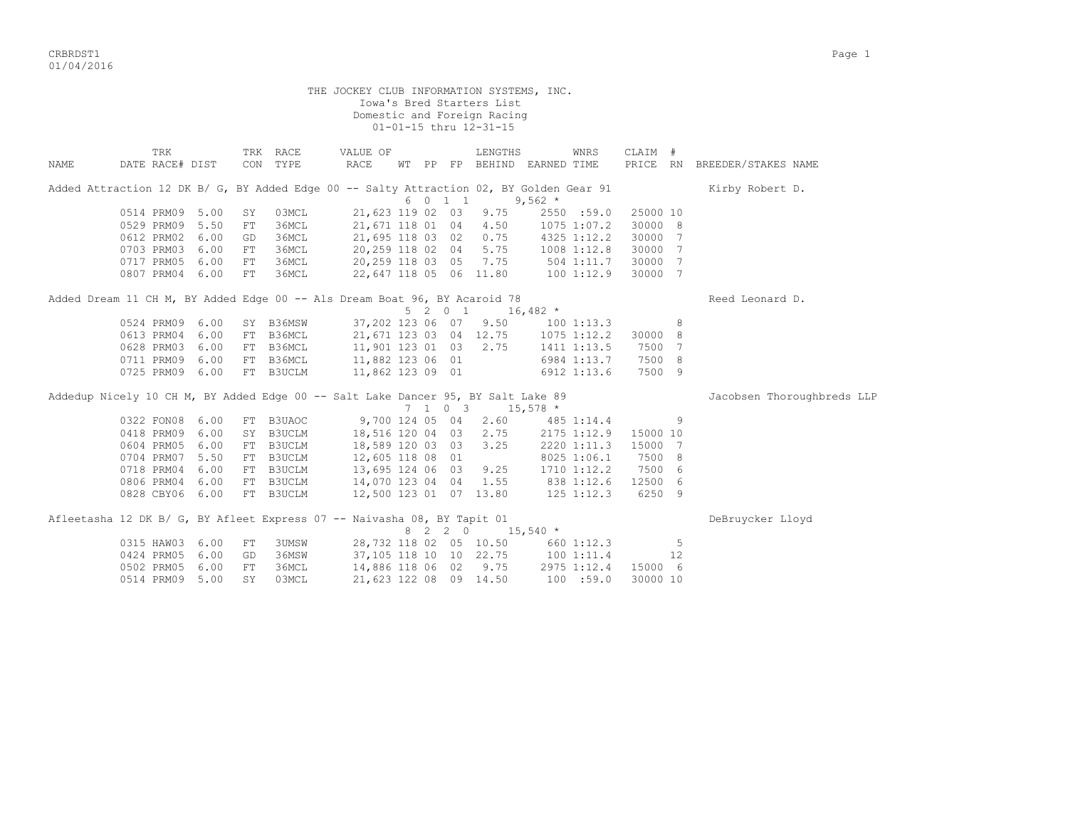criterial contracts of the contracts of the contracts of the contracts of the contracts of the contracts of the contracts of the contracts of the contracts of the contracts of the contracts of the contracts of the contract 01/04/2016

THE JOCKEY CLUB INFORMATION SYSTEMS, INC. Iowa's Bred Starters List Domestic and Foreign Racing 01-01-15 thru 12-31-15 TRK TRK RACE VALUE OF LENGTHS WNRS CLAIM # NAME DATE RACE# DIST CON TYPE RACE WT PP FP BEHIND EARNED TIME PRICE RN BREEDER/STAKES NAME Added Attraction 12 DK B/ G, BY Added Edge 00 -- Salty Attraction 02, BY Golden Gear 91 Kirby Robert D.  $6 \t0 \t1 \t1 \t9.562 \t*$ 0514 PRM09 5.00 SY 03MCL 21,623 119 02 03 9.75 2550 :59.0 25000 10<br>0529 PRM09 5.50 FT 36MCL 21,671 118 01 04 4.50 1075 1:07.2 30000 8 0529 PRM09 5.50 FT 36MCL 21,671 118 01 04 4.50 1075 1:07.2 30000 8 0612 PRM02 6.00 GD 36MCL 21,695 118 03 02 0.75 4325 1:12.2 30000 7 0703 PRM03 6.00 FT 36MCL 20,259 118 02 04 5.75 1008 1:12.8 30000 7 0717 PRM05 6.00 FT 36MCL 20,259 118 03 05 7.75 504 1:11.7 30000 7 0807 PRM04 6.00 FT 36MCL 22,647 118 05 06 11.80 100 1:12.9 30000 7 Added Dream 11 CH M, BY Added Edge 00 -- Als Dream Boat 96, BY Acaroid 78 Reed Leonard D.  $5 \t2 \t0 \t1 \t16,482 \t*$  0524 PRM09 6.00 SY B36MSW 37,202 123 06 07 9.50 100 1:13.3 8 0613 PRM04 6.00 FT B36MCL 21,671 123 03 04 12.75 1075 1:12.2 30000 8 0628 PRM03 6.00 FT B36MCL 11,901 123 01 03 2.75 1411 1:13.5 7500 7 0711 PRM09 6.00 FT B36MCL 11,882 123 06 01 6984 1:13.7 7500 8<br>0725 PRM09 6.00 FT B3UCLM 11,862 123 09 01 6912 1:13.6 7500 9 0725 PRM09 6.00 FT B3UCLM 11,862 123 09 01 6912 1:13.6 7500 9 Addedup Nicely 10 CH M, BY Added Edge 00 -- Salt Lake Dancer 95, BY Salt Lake 89 Jacobsen Thoroughbreds LLP 7 1 0 3 15,578 \* 0322 FON08 6.00 FT B3UAOC 9,700 124 05 04 2.60 485 1:14.4 9 0418 PRM09 6.00 SY B3UCLM 18,516 120 04 03 2.75 2175 1:12.9 15000 10 0604 PRM05 6.00 FT B3UCLM 18,589 120 03 03 3.25 2220 1:11.3 15000 7 0704 PRM07 5.50 FT B3UCLM 12,605 118 08 01 8025 1:06.1 7500 8 0718 PRM04 6.00 FT B3UCLM 13,695 124 06 03 9.25 1710 1:12.2 7500 6 0806 PRM04 6.00 FT B3UCLM 14,070 123 04 04 1.55 838 1:12.6 12500 6 0828 CBY06 6.00 FT B3UCLM 12,500 123 01 07 13.80 125 1:12.3 6250 9 Afleetasha 12 DK B/ G, BY Afleet Express 07 -- Naivasha 08, BY Tapit 01 DeBruycker Lloyd  $8 \quad 2 \quad 2 \quad 0 \qquad 15,540 \neq$ 0315 HAW03 6.00 FT 3UMSW 28,732 118 02 05 10.50 660 1:12.3 5<br>0424 PRM05 6.00 GD 36MSW 37.105 118 10 10 22.75 100 1:11.4 12 0424 PRM05 6.00 GD 36MSW 37,105 118 10 10 22.75 100 1:11.4 12 0502 PRM05 6.00 FT 36MCL 14,886 118 06 02 9.75 2975 1:12.4 15000 6 0514 PRM09 5.00 SY 03MCL 21,623 122 08 09 14.50 100 :59.0 30000 10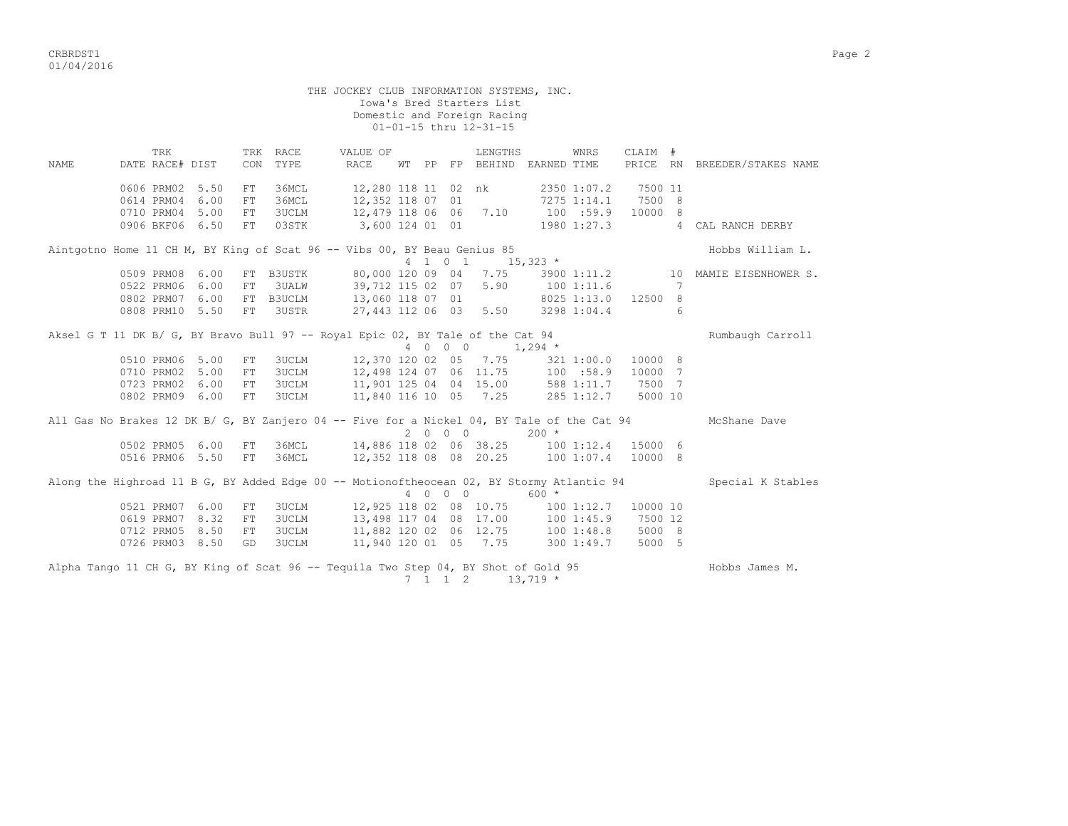CRBRDST1 Page 2 01/04/2016

 THE JOCKEY CLUB INFORMATION SYSTEMS, INC. Iowa's Bred Starters List Domestic and Foreign Racing 01-01-15 thru 12-31-15 TRK TRK RACE VALUE OF LENGTHS WNRS CLAIM # NAME DATE RACE# DIST CON TYPE RACE WT PP FP BEHIND EARNED TIME PRICE RN BREEDER/STAKES NAME 0606 PRM02 5.50 FT 36MCL 12,280 118 11 02 nk 2350 1:07.2 7500 11 0614 PRM04 6.00 FT 36MCL 12,352 118 07 01 0710 PRM04 5.00 FT 3UCLM 12,479 118 06 06 7.10 100 :59.9 10000 8 0906 BKF06 6.50 FT 03STK 3,600 124 01 01 1980 1:27.3 4 CAL RANCH DERBY Aintgotno Home 11 CH M, BY King of Scat 96 -- Vibs 00, BY Beau Genius 85  $\begin{array}{ccccccccc} & & & & & & & & \text{Hobbs William L.} & & & & & & \text{Hobbs William L.} & & & & & & \text{Hobbs Number} & \text{Hobbs Number} & \text{Hobbs Number} & \text{Hobbs Number} & \text{Hobbs Number} & \text{Hobbs Number} & \text{Hobbs Number} & \text{Hobbs Number} & \text{Hobbs Number} & \text{Hobbs Number} & \text{Hobbs Number}$ 4 1 0 1 15,323 \* 0509 PRM08 6.00 FT B3USTK 80,000 120 09 04 7.75 3900 1:11.2 10 MAMIE EISENHOWER S. 0522 PRM06 6.00 FT 3UALW 39,712 115 02 07 5.90 100 1:11.6 7 0802 PRM07 6.00 FT B3UCLM 13,060 118 07 01 8025 1:13.0 12500 8 0808 PRM10 5.50 FT 3USTR 27,443 112 06 03 5.50 3298 1:04.4 6 Aksel G T 11 DK B/ G, BY Bravo Bull 97 -- Royal Epic 02, BY Tale of the Cat 94 Rumbaugh Carroll 4 0 0 0 1,294 \* 0510 PRM06 5.00 FT 3UCLM 12,370 120 02 05 7.75 321 1:00.0 10000 8 0710 PRM02 5.00 FT 3UCLM 12,498 124 07 06 11.75 100 :58.9 10000 7 0723 PRM02 6.00 FT 3UCLM 11,901 125 04 04 15.00 588 1:11.7 7500 7 0802 PRM09 6.00 FT 3UCLM 11,840 116 10 05 7.25 285 1:12.7 5000 10 All Gas No Brakes 12 DK B/ G, BY Zanjero 04 -- Five for a Nickel 04, BY Tale of the Cat 94 McShane Dave 2 0 0 0 200 \* 0502 PRM05 6.00 FT 36MCL 14,886 118 02 06 38.25 100 1:12.4 15000 6 0516 PRM06 5.50 FT 36MCL 12,352 118 08 08 20.25 100 1:07.4 10000 8 Along the Highroad 11 B G, BY Added Edge 00 -- Motionoftheocean 02, BY Stormy Atlantic 94 Special K Stables 4 0 0 0 600 \* 0521 PRM07 6.00 FT 3UCLM 12,925 118 02 08 10.75 100 1:12.7 10000 10 0619 PRM07 8.32 FT 3UCLM 13,498 117 04 08 17.00 100 1:45.9 7500 12 0712 PRM05 8.50 FT 3UCLM 11,882 120 02 06 12.75 100 1:48.8 5000 8 0726 PRM03 8.50 GD 3UCLM 11,940 120 01 05 7.75 300 1:49.7 5000 5 Alpha Tango 11 CH G, BY King of Scat 96 -- Tequila Two Step 04, BY Shot of Gold 95 Hobbs James M.

7 1 1 2 13,719 \*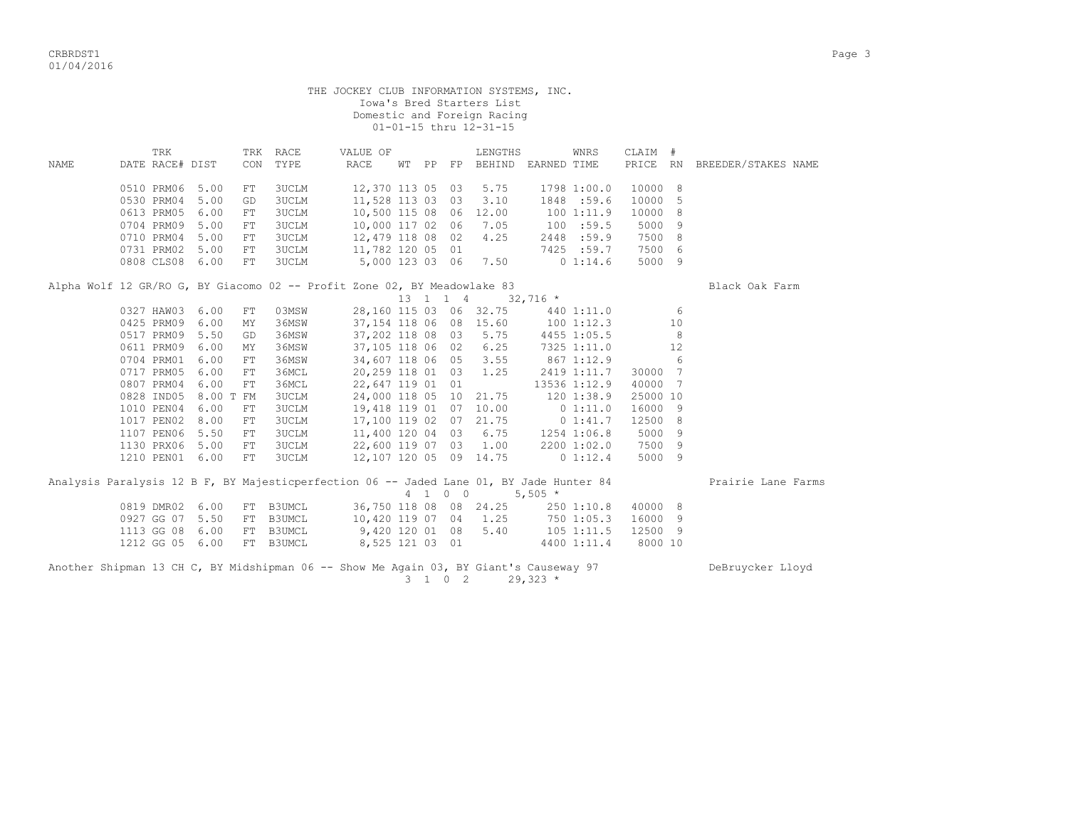criteria de la contradición de la contradición de la contradición de la contradición de la contradición de la contradición de la contradición de la contradición de la contradición de la contradición de la contradición de l 01/04/2016

 THE JOCKEY CLUB INFORMATION SYSTEMS, INC. Iowa's Bred Starters List Domestic and Foreign Racing 01-01-15 thru 12-31-15 TRK TRK RACE VALUE OF LENGTHS WNRS CLAIM # NAME DATE RACE# DIST CON TYPE RACE WT PP FP BEHIND EARNED TIME PRICE RN BREEDER/STAKES NAME 0510 PRM06 5.00 FT 3UCLM 12,370 113 05 03 5.75 1798 1:00.0 10000 8 0530 PRM04 5.00 GD 3UCLM 11,528 113 03 03 3.10 1848 :59.6 10000 5 0613 PRM05 6.00 FT 3UCLM 10,500 115 08 06 12.00 100 1:11.9 10000 8<br>0704 PRM09 5.00 FT 3UCLM 10,000 117 02 06 7.05 100 :59.5 5000 9 0704 PRM09 5.00 FT 3UCLM 10,000 117 02 06 7.05 100 :59.5 5000 9 0710 PRM04 5.00 FT 3UCLM 12,479 118 08 02 4.25 2448 :59.9 7500 8 0731 PRM02 5.00 FT 3UCLM 11,782 120 05 01 7425 :59.7 7500 6 0808 CLS08 6.00 FT 3UCLM 5,000 123 03 06 7.50 0 1:14.6 5000 9 Alpha Wolf 12 GR/RO G, BY Giacomo 02 -- Profit Zone 02, BY Meadowlake 83 Black Oak Farm  $13$  1 1 4  $32,716$  \*<br>
60 115 03 06 32.75 440 1:11.0 6<br>
54 118 06 08 15.60 100 1:12.3 10<br>
02 118 08 03 5.75 0327 HAW03 6.00 FT 03MSW 28,160 115 03 06 32.75 440 1:11.0 6 0425 PRM09 6.00 MY 36MSW 37,154 118 06 08 15.60 100 1:12.3 10 0517 PRM09 5.50 GD 36MSW 37,202 118 08 03 5.75 4455 1:05.5 8 0611 PRM09 6.00 MY 36MSW 37,105 118 06 02 6.25 7325 1:11.0 12 0704 PRM01 6.00 FT 36MSW 34,607 118 06 05 3.55 867 1:12.9 6 0717 PRM05 6.00 FT 36MCL 20,259 118 01 03 1.25 2419 1:11.7 30000 7 0807 PRM04 6.00 FT 36MCL 22,647 119 01 01 13536 1:12.9 40000 7 0828 IND05 8.00 T FM 3UCLM 24,000 118 05 10 21.75 120 1:38.9 25000 10 1010 PEN04 6.00 FT 3UCLM 19,418 119 01 07 10.00 0 1:11.0 16000 9 1017 PEN02 8.00 FT 3UCLM 17,100 119 02 07 21.75 0 1:41.7 12500 8 1107 PEN06 5.50 FT 3UCLM 11,400 120 04 03 6.75 1254 1:06.8 5000 9 1130 PRX06 5.00 FT 3UCLM 22,600 119 07 03 1.00 2200 1:02.0 7500 9 1210 PEN01 6.00 FT 3UCLM 12,107 120 05 09 14.75 0 1:12.4 5000 9 Analysis Paralysis 12 B F, BY Majesticperfection 06 -- Jaded Lane 01, BY Jade Hunter 84 Prairie Lane Farms  $4 \quad 1 \quad 0 \quad 0 \quad 5,505 \neq$ 0819 DMR02 6.00 FT B3UMCL 36,750 118 08 08 24.25 250 1:10.8 40000 8<br>0927 GG 07 5.50 FT B3UMCL 10,420 119 07 04 1.25 750 1:05.3 16000 9 10,420 119 07 04 1.25 1113 GG 08 6.00 FT B3UMCL 9,420 120 01 08 5.40 105 1:11.5 12500 9 8,525 121 03 01

Another Shipman 13 CH C, BY Midshipman 06 -- Show Me Again 03, BY Giant's Causeway 97 DeBruycker Lloyd 3 1 0 2 29,323 \*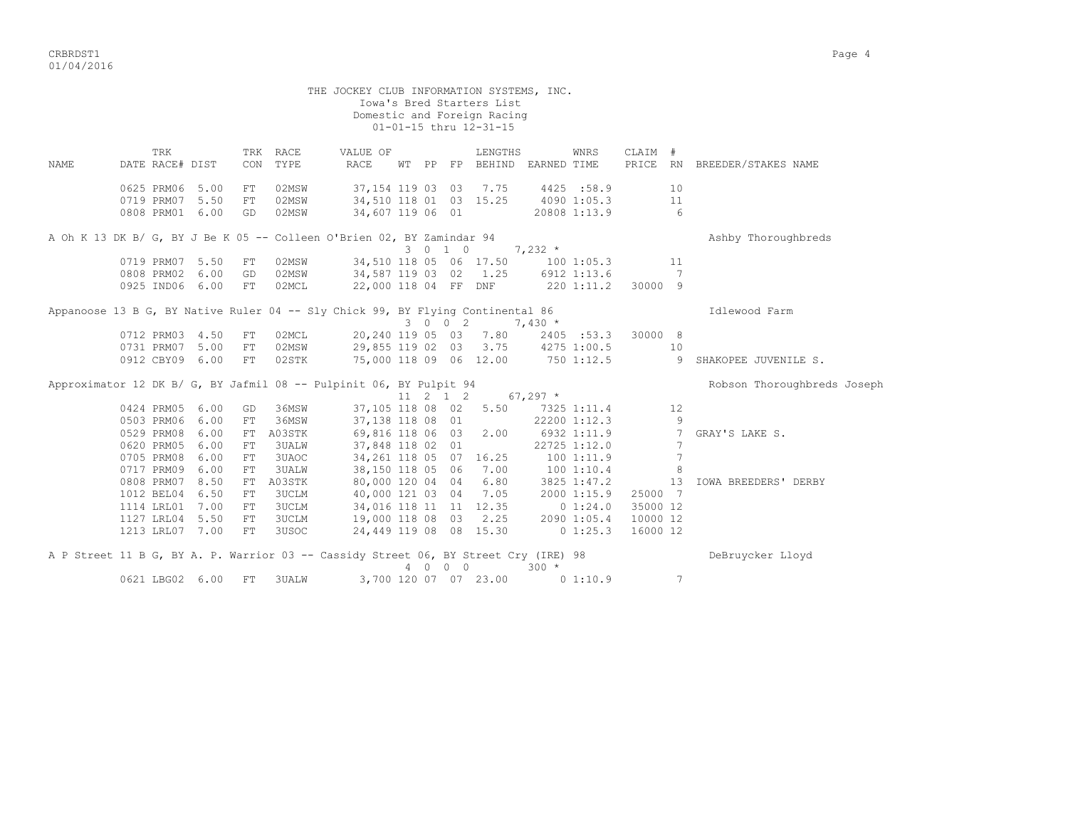criterial contracts of the contracts of the contracts of the contracts of the contracts of the contracts of the contracts of the contracts of the contracts of the contracts of the contracts of the contracts of the contract 01/04/2016

THE JOCKEY CLUB INFORMATION SYSTEMS, INC. Iowa's Bred Starters List Domestic and Foreign Racing 01-01-15 thru 12-31-15 TRK TRK RACE VALUE OF LENGTHS WNRS CLAIM # NAME DATE RACE# DIST CON TYPE RACE WT PP FP BEHIND EARNED TIME PRICE RN BREEDER/STAKES NAME 0625 PRM06 5.00 FT 02MSW 37,154 119 03 03 7.75 4425 :58.9 10 0719 PRM07 5.50 FT 02MSW 34,510 118 01 03 15.25 4090 1:05.3 11 0808 PRM01 6.00 GD 02MSW 34,607 119 06 01 20808 1:13.9 6 A Oh K 13 DK B/ G, BY J Be K 05 -- Colleen O'Brien 02, BY Zamindar 94 Ashby Thoroughbreds  $3 \t0 \t1 \t0 \t7,232 \t*$ 0719 PRM07 5.50 FT 02MSW 34,510 118 05 06 17.50 100 1:05.3 11<br>0808 PRM02 6.00 GD 02MSW 34.587 119 03 02 1.25 6912 1:13.6 7 0808 PRM02 6.00 GD 02MSW 34,587 119 03 02 1.25 6912 1:13.6 7 0925 IND06 6.00 FT 02MCL 22,000 118 04 FF DNF 220 1:11.2 30000 9 Appanoose 13 B G, BY Native Ruler 04 -- Sly Chick 99, BY Flying Continental 86 Intervool Farm 3 0 0 2 7,430 \* 0712 PRM03 4.50 FT 02MCL 20,240 119 05 03 7.80 2405 :53.3 30000 8 0731 PRM07 5.00 FT 02MSW 29,855 119 02 03 3.75 4275 1:00.5 10 0912 CBY09 6.00 FT 02STK 75,000 118 09 06 12.00 750 1:12.5 9 SHAKOPEE JUVENILE S. Approximator 12 DK B/ G, BY Jafmil 08 -- Pulpinit 06, BY Pulpit 94 Robson Thoroughbreds Joseph  $11 \t2 \t1 \t2 \t67.297$  \* 0424 PRM05 6.00 GD 36MSW 37,105 118 08 02 5.50 7325 1:11.4 12 0503 PRM06 6.00 FT 36MSW 37,138 118 08 01 22200 1:12.3 9 0529 PRM08 6.00 FT A03STK 69,816 118 06 03 2.00 6932 1:11.9 7 GRAY'S LAKE S.<br>0620 PRM05 6.00 FT 3UALW 37,848 118 02 01 22725 1:12.0 7 0620 PRM05 6.00 FT 3UALW 37,848 118 02 01 22725 1:12.0 7 0705 PRM08 6.00 FT 3UAOC 34,261 118 05 07 16.25 100 1:11.9 7 0717 PRM09 6.00 FT 3UALW 38,150 118 05 06 7.00 100 1:10.4 8<br>0808 PRM07 8.50 FT A03STK 80,000 120 04 04 6.80 3825 1:47.2 13 IOWA BREEDERS' DERBY 0808 PRM07 8.50 FT A03STK 80,000 120 04 04 6.80 1012 BEL04 6.50 FT 3UCLM 40,000 121 03 04 7.05 2000 1:15.9 25000 7 1114 LRL01 7.00 FT 3UCLM 34,016 118 11 11 12.35 0 1:24.0 35000 12 1127 LRL04 5.50 FT 3UCLM 19,000 118 08 03 2.25 2090 1:05.4 10000 12 1213 LRL07 7.00 FT 3USOC 24,449 119 08 08 15.30 0 1:25.3 16000 12 A P Street 11 B G, BY A. P. Warrior 03 -- Cassidy Street 06, BY Street Cry (IRE) 98 DeBruycker Lloyd 4 0 0 0 300 \* 0621 LBG02 6.00 FT 3UALW 3,700 120 07 07 23.00 0 1:10.9 7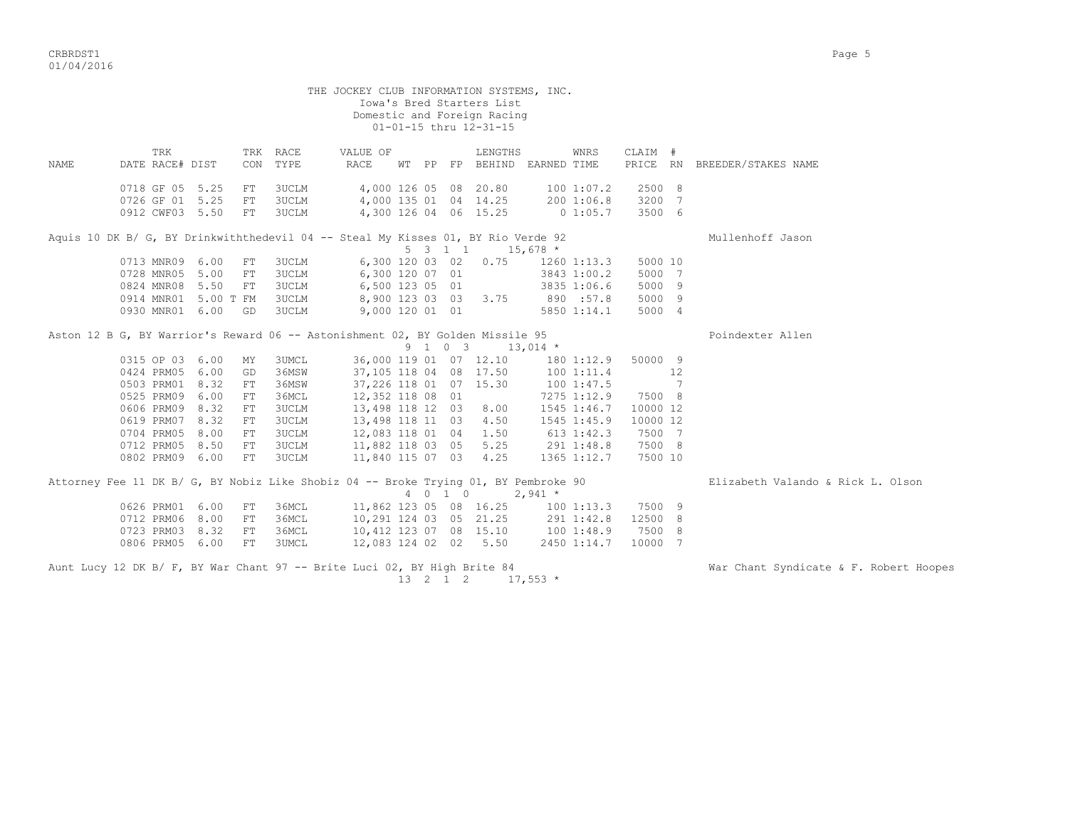|      |                                    |     |                            |            |                       | THE JOCKEY CLUB INFORMATION SYSTEMS, INC.                                           |         | Iowa's Bred Starters List<br>Domestic and Foreign Racing<br>01-01-15 thru 12-31-15 |                                                                       |         |                   |                                        |
|------|------------------------------------|-----|----------------------------|------------|-----------------------|-------------------------------------------------------------------------------------|---------|------------------------------------------------------------------------------------|-----------------------------------------------------------------------|---------|-------------------|----------------------------------------|
| NAME | DATE RACE# DIST                    | TRK |                            |            | TRK RACE<br>CON TYPE  | VALUE OF<br>RACE                                                                    |         | LENGTHS                                                                            | WNRS<br>WT PP FP BEHIND EARNED TIME                                   | CLAIM # |                   | PRICE RN BREEDER/STAKES NAME           |
|      | 0718 GF 05 5.25                    |     |                            | FT         | 3UCLM                 |                                                                                     |         |                                                                                    | 4,000 126 05 08 20.80 100 1:07.2                                      |         | 2500 8            |                                        |
|      | 0726 GF 01 5.25                    |     |                            |            | FT 3UCLM              |                                                                                     |         |                                                                                    | 4,000 135 01 04 14.25 200 1:06.8                                      | 3200 7  |                   |                                        |
|      |                                    |     | 0912 CWF03 5.50            | FT         | <b>3UCLM</b>          |                                                                                     |         |                                                                                    | 4,300 126 04 06 15.25 0 1:05.7                                        |         | 3500 6            |                                        |
|      |                                    |     |                            |            |                       | Aquis 10 DK B/ G, BY Drinkwiththedevil 04 -- Steal My Kisses 01, BY Rio Verde 92    |         | 5 3 1 1 1 15,678 $\star$                                                           |                                                                       |         |                   | Mullenhoff Jason                       |
|      |                                    |     | 0713 MNR09 6.00            | FT         | <b>3UCLM</b>          |                                                                                     |         |                                                                                    | 6,300 120 03 02 0.75 1260 1:13.3                                      |         | 5000 10           |                                        |
|      |                                    |     | 0728 MNR05 5.00            | FT         | 3UCLM                 | 6,300 120 07 01                                                                     |         |                                                                                    | $3843$ 1:00.2                                                         |         | 5000 7            |                                        |
|      | 0824 MNR08 5.50                    |     |                            | FT         | <b>3UCLM</b>          | 6,500 123 05 01                                                                     |         |                                                                                    | 3835 1:06.6                                                           |         | 5000 9            |                                        |
|      |                                    |     | 0914 MNR01 5.00 T FM 3UCLM |            |                       |                                                                                     |         |                                                                                    | 8,900 123 03 03 3.75 890 :57.8                                        |         | 5000 9            |                                        |
|      |                                    |     | 0930 MNR01 6.00 GD 3UCLM   |            |                       | 9,000 120 01 01                                                                     |         |                                                                                    | 5850 1:14.1                                                           |         | 5000 4            |                                        |
|      |                                    |     |                            |            |                       | Aston 12 B G, BY Warrior's Reward 06 -- Astonishment 02, BY Golden Missile 95       |         |                                                                                    |                                                                       |         |                   | Poindexter Allen                       |
|      |                                    |     |                            |            |                       |                                                                                     |         | $9 \quad 1 \quad 0 \quad 3 \quad 13,014 \quad ^{\star}$                            |                                                                       |         |                   |                                        |
|      |                                    |     | 0315 OP 03 6.00            | MY         | <b>3UMCL</b>          |                                                                                     |         |                                                                                    | 36,000 119 01 07 12.10 180 1:12.9                                     |         | 50000 9           |                                        |
|      | 0424 PRM05 6.00                    |     |                            | GD         | 36MSW                 |                                                                                     |         |                                                                                    | 37,105 118 04 08 17.50 100 1:11.4                                     |         | 12                |                                        |
|      | 0503 PRM01 8.32                    |     |                            | ${\rm FT}$ | 36MSW                 | 37,226 118 01 07 15.30                                                              |         |                                                                                    | 100 1:47.5                                                            |         | $\sim$ 7          |                                        |
|      | 0525 PRM09                         |     | 6.00                       | FT         | 36MCL                 | 12,352 118 08 01                                                                    |         |                                                                                    | 7275 1:12.9                                                           | 7500 8  |                   |                                        |
|      | 0606 PRM09                         |     | 8.32                       | FT         | 3UCLM                 | 13,498 118 12 03 8.00                                                               |         |                                                                                    | 1545 1:46.7                                                           |         | 10000 12          |                                        |
|      | 0619 PRM07 8.32                    |     |                            | FT         | 3UCLM                 | 13,498 118 11 03 4.50                                                               |         |                                                                                    | 1545 1:45.9                                                           |         | 10000 12          |                                        |
|      | 0704 PRM05 8.00                    |     |                            | FT         | 3UCLM                 | 12,083 118 01 04 1.50                                                               |         |                                                                                    | 613 1:42.3                                                            |         | 7500 7            |                                        |
|      | 0712 PRM05 8.50<br>0802 PRM09 6.00 |     |                            | FT<br>FT   | 3UCLM<br><b>3UCLM</b> |                                                                                     |         |                                                                                    | 11,882 118 03 05 5.25 291 1:48.8<br>11,840 115 07 03 4.25 1365 1:12.7 |         | 7500 8<br>7500 10 |                                        |
|      |                                    |     |                            |            |                       |                                                                                     |         |                                                                                    |                                                                       |         |                   |                                        |
|      |                                    |     |                            |            |                       | Attorney Fee 11 DK B/ G, BY Nobiz Like Shobiz 04 -- Broke Trying 01, BY Pembroke 90 | 4 0 1 0 | $2,941$ *                                                                          |                                                                       |         |                   | Elizabeth Valando & Rick L. Olson      |
|      | 0626 PRM01 6.00                    |     |                            | FT         | 36MCL                 | 11,862 123 05 08 16.25                                                              |         |                                                                                    | 100 1:13.3                                                            | 7500 9  |                   |                                        |
|      | 0712 PRM06 8.00                    |     |                            | FT         | 36MCL                 |                                                                                     |         |                                                                                    | 10,291 124 03 05 21.25 291 1:42.8                                     |         | 12500 8           |                                        |
|      | 0723 PRM03 8.32                    |     |                            | FT         | 36MCL                 |                                                                                     |         |                                                                                    | 10,412 123 07 08 15.10 100 1:48.9                                     |         | 7500 8            |                                        |
|      | 0806 PRM05 6.00                    |     |                            | FT         | 3UMCL                 |                                                                                     |         |                                                                                    | 12,083 124 02 02 5.50 2450 1:14.7                                     |         | 10000 7           |                                        |
|      |                                    |     |                            |            |                       | Aunt Lucy 12 DK B/ F, BY War Chant 97 -- Brite Luci 02, BY High Brite 84            |         |                                                                                    |                                                                       |         |                   | War Chant Syndicate & F. Robert Hoopes |

 $13$  2  $1$  2  $17,553$  \*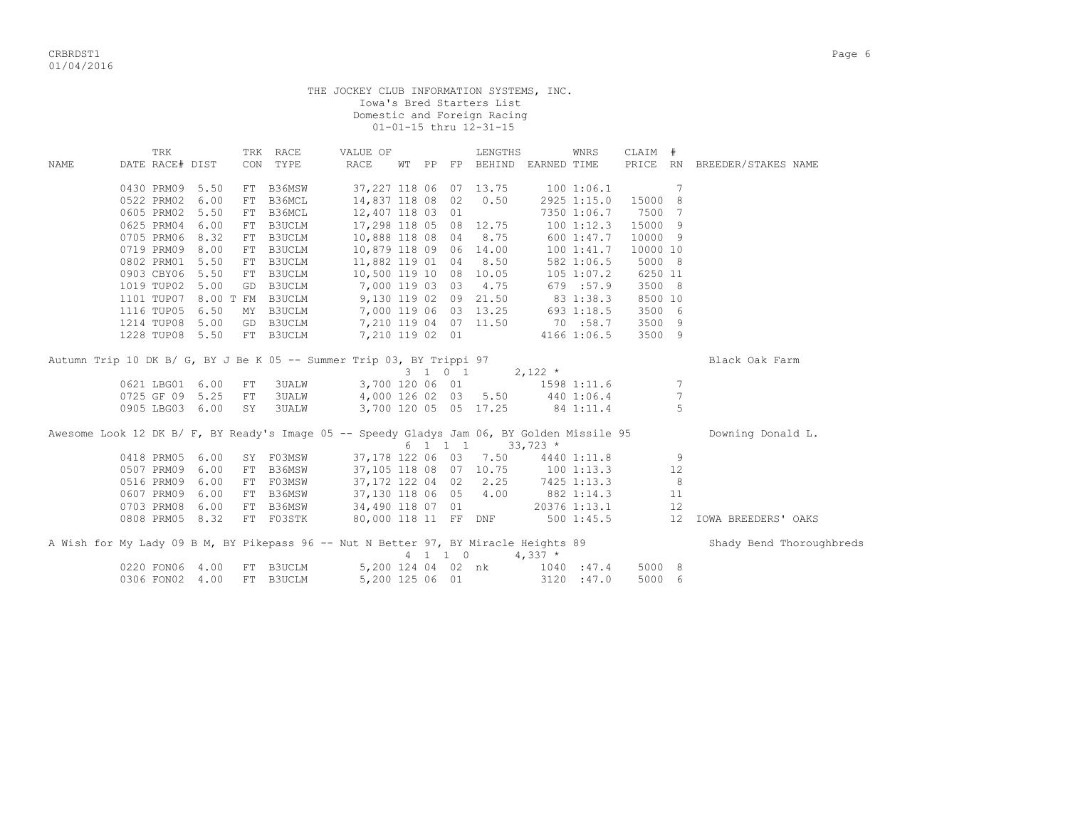THE JOCKEY CLUB INFORMATION SYSTEMS, INC. Iowa's Bred Starters List Domestic and Foreign Racing 01-01-15 thru 12-31-15

|             | TRK             |      |    | TRK RACE     | VALUE OF                                                                                   |       |                             | LENGTHS                                       |                           | WNRS        | CLAIM #  |    |                              |
|-------------|-----------------|------|----|--------------|--------------------------------------------------------------------------------------------|-------|-----------------------------|-----------------------------------------------|---------------------------|-------------|----------|----|------------------------------|
| <b>NAME</b> | DATE RACE# DIST |      |    | CON TYPE     | RACE                                                                                       | WT PP |                             | FP BEHIND EARNED TIME                         |                           |             |          |    | PRICE RN BREEDER/STAKES NAME |
|             | 0430 PRM09      | 5.50 |    | FT B36MSW    |                                                                                            |       |                             | 37,227 118 06 07 13.75                        | 1001:06.1                 |             |          | 7  |                              |
|             | 0522 PRM02      | 6.00 |    | FT B36MCL    | 14,837 118 08 02                                                                           |       |                             | 0.50                                          |                           | 2925 1:15.0 | 15000    | 8  |                              |
|             | 0605 PRM02      | 5.50 |    | FT B36MCL    | 12,407 118 03 01                                                                           |       |                             |                                               |                           | 7350 1:06.7 | 7500     | 7  |                              |
|             | 0625 PRM04      | 6.00 |    | FT B3UCLM    | 17,298 118 05 08 12.75                                                                     |       |                             |                                               |                           | 1001:12.3   | 15000    | -9 |                              |
|             | 0705 PRM06      | 8.32 |    | FT B3UCLM    | 10,888 118 08 04                                                                           |       |                             | 8.75                                          |                           | 600 1:47.7  | 10000 9  |    |                              |
|             | 0719 PRM09      | 8.00 |    | FT B3UCLM    | 10,879 118 09 06 14.00                                                                     |       |                             |                                               |                           | 1001:41.7   | 10000 10 |    |                              |
|             | 0802 PRM01      | 5.50 |    | FT B3UCLM    | 11,882 119 01 04 8.50                                                                      |       |                             |                                               |                           | 582 1:06.5  | 5000 8   |    |                              |
|             | 0903 CBY06      | 5.50 |    | FT B3UCLM    | 10,500 119 10 08 10.05                                                                     |       |                             |                                               |                           | 105 1:07.2  | 6250 11  |    |                              |
|             | 1019 TUP02      | 5.00 |    | GD B3UCLM    | 7,000 119 03 03 4.75                                                                       |       |                             |                                               |                           | 679 :57.9   | 3500 8   |    |                              |
|             | 1101 TUP07      |      |    |              |                                                                                            |       |                             |                                               |                           |             | 8500 10  |    |                              |
|             | 1116 TUP05      |      |    |              | 8.00 T FM B3UCLM 9,130 119 02 09 21.50<br>6.50 MY B3UCLM 7,000 119 06 03 13.25             |       |                             |                                               | $83$ 1:38.3<br>693 1:18.5 |             | 3500 6   |    |                              |
|             | 1214 TUP08      | 5.00 |    | GD B3UCLM    | 7,210 119 04 07 11.50                                                                      |       |                             |                                               | 70 :58.7                  |             | 3500 9   |    |                              |
|             | 1228 TUP08 5.50 |      |    | FT B3UCLM    | 7,210 119 02 01                                                                            |       |                             |                                               | 4166 1:06.5               |             | 3500 9   |    |                              |
|             |                 |      |    |              | Autumn Trip 10 DK B/ G, BY J Be K 05 -- Summer Trip 03, BY Trippi 97                       |       |                             |                                               |                           |             |          |    | Black Oak Farm               |
|             |                 |      |    |              |                                                                                            |       |                             | $3 \t1 \t0 \t1 \t2,122 \t*$                   |                           |             |          |    |                              |
|             | 0621 LBG01      | 6.00 | FT | <b>3UALW</b> | 3,700 120 06 01 1598 1:11.6                                                                |       |                             |                                               |                           |             |          | 7  |                              |
|             | 0725 GF 09      | 5.25 | FT | <b>3UALW</b> | 4,000 126 02 03 5.50 440 1:06.4                                                            |       |                             |                                               |                           |             |          | 7  |                              |
|             | 0905 LBG03 6.00 |      | SY | <b>3UALW</b> | 3,700 120 05 05 17.25                                                                      |       |                             |                                               | 84 1:11.4                 |             |          | 5  |                              |
|             |                 |      |    |              | Awesome Look 12 DK B/ F, BY Ready's Image 05 -- Speedy Gladys Jam 06, BY Golden Missile 95 |       |                             | $6 \quad 1 \quad 1 \quad 1 \quad 33,723 \; *$ |                           |             |          |    | Downing Donald L.            |
|             | 0418 PRM05      | 6.00 |    | SY F03MSW    |                                                                                            |       |                             | 37,178 122 06 03 7.50 4440 1:11.8             |                           |             |          | 9  |                              |
|             | 0507 PRM09      | 6.00 |    | FT B36MSW    | 37,105 118 08 07 10.75                                                                     |       |                             |                                               | 1001:13.3                 |             |          | 12 |                              |
|             | 0516 PRM09      | 6.00 |    | FT F03MSW    | 37,172 122 04 02 2.25                                                                      |       |                             |                                               | 7425 1:13.3               |             |          | 8  |                              |
|             | 0607 PRM09      | 6.00 |    | FT B36MSW    | 37,130 118 06 05 4.00                                                                      |       |                             |                                               | 882 1:14.3                |             |          | 11 |                              |
|             | 0703 PRM08      | 6.00 |    | FT B36MSW    | 34,490 118 07 01                                                                           |       |                             |                                               | 20376 1:13.1              |             |          | 12 |                              |
|             | 0808 PRM05 8.32 |      |    | FT F03STK    |                                                                                            |       |                             | 80,000 118 11 FF DNF                          |                           | 500 1:45.5  |          | 12 | IOWA BREEDERS' OAKS          |
|             |                 |      |    |              | A Wish for My Lady 09 B M, BY Pikepass 96 -- Nut N Better 97, BY Miracle Heights 89        |       | $4 \quad 1 \quad 1 \quad 0$ |                                               | $4,337$ *                 |             |          |    | Shady Bend Thoroughbreds     |
|             | 0220 FON06      | 4.00 |    | FT B3UCLM    | 5,200 124 04 02 nk                                                                         |       |                             |                                               | 1040 : 47.4               |             | 5000 8   |    |                              |
|             | 0306 FON02 4.00 |      |    | FT B3UCLM    | 5,200 125 06 01                                                                            |       |                             |                                               |                           | 3120 : 47.0 | 5000 6   |    |                              |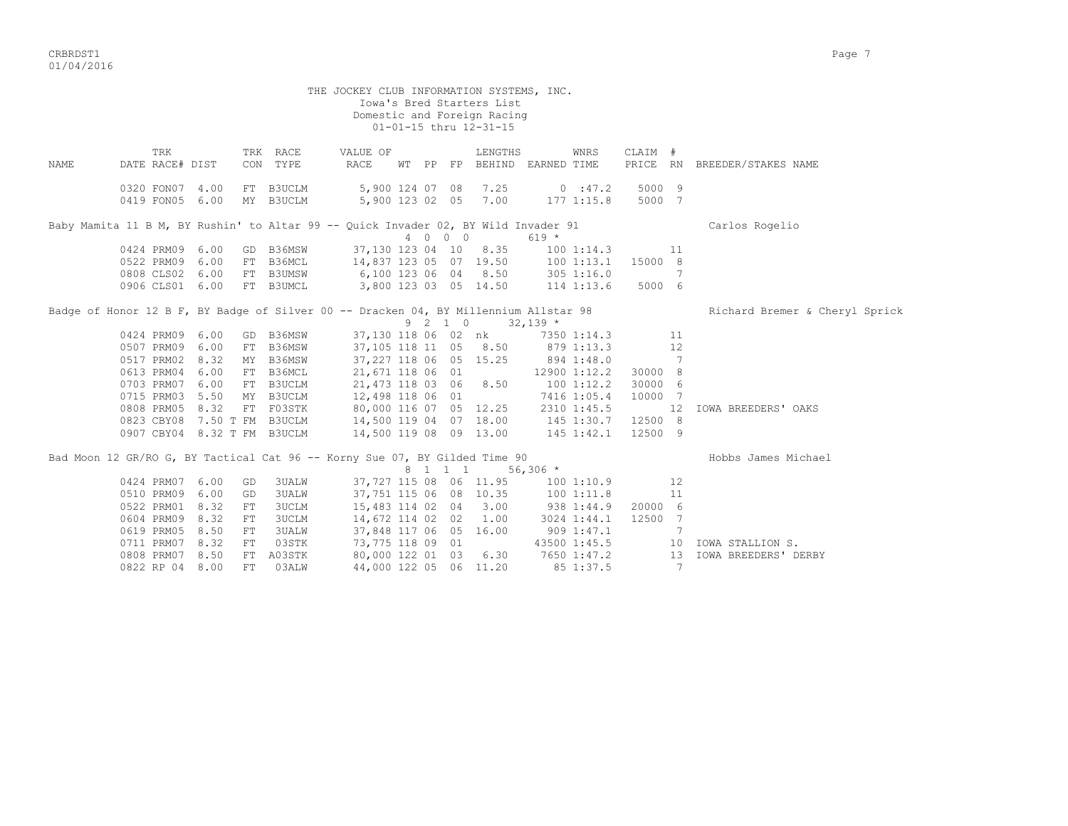THE JOCKEY CLUB INFORMATION SYSTEMS, INC. Iowa's Bred Starters List Domestic and Foreign Racing 01-01-15 thru 12-31-15 TRK TRK RACE VALUE OF LENGTHS WNRS CLAIM # NAME DATE RACE# DIST CON TYPE RACE WT PP FP BEHIND EARNED TIME PRICE RN BREEDER/STAKES NAME 0320 FON07 4.00 FT B3UCLM 5,900 124 07 08 7.25 0 :47.2 5000 9 0419 FON05 6.00 MY B3UCLM 5,900 123 02 05 7.00 177 1:15.8 5000 7 Baby Mamita 11 B M, BY Rushin' to Altar 99 -- Quick Invader 02, BY Wild Invader 91 Carlos Rogelio<br>  $4 \quad 0 \quad 0 \quad 0$  619 \*  $4 \t0 \t0 \t0 \t619 \star$ <br>37,130 123 04 10 8.35 100 1:14.3 11 0424 PRM09 6.00 GD B36MSW 0522 PRM09 6.00 FT B36MCL 14,837 123 05 07 19.50 100 1:13.1 15000 8 0808 CLS02 6.00 FT B3UMSW 6,100 123 06 04 8.50 305 1:16.0 7 0906 CLS01 6.00 FT B3UMCL 3,800 123 03 05 14.50 114 1:13.6 5000 6 Badge of Honor 12 B F, BY Badge of Silver 00 -- Dracken 04, BY Millennium Allstar 98 Richard Bremer & Cheryl Sprick  $9 \quad 2 \quad 1 \quad 0 \quad 32,139$  \* 0424 PRM09 6.00 GD B36MSW 37,130 118 06 02 nk 7350 1:14.3 11 0507 PRM09 6.00 FT B36MSW 37,105 118 11 05 8.50 879 1:13.3 12 0517 PRM02 8.32 MY B36MSW 37,227 118 06 05 15.25 894 1:48.0 7 0613 PRM04 6.00 FT B36MCL 21,671 118 06 01 12900 1:12.2 30000 8 0703 PRM07 6.00 FT B3UCLM 21,473 118 03 06 8.50 100 1:12.2 30000 6 0715 PRM03 5.50 MY B3UCLM 12,498 118 06 01 7416 1:05.4 10000 7 0808 PRM05 8.32 FT F03STK 80,000 116 07 05 12.25 2310 1:45.5 12 IOWA BREEDERS' OAKS 0823 CBY08 7.50 T FM B3UCLM 14,500 119 04 07 18.00 145 1:30.7 12500 8 0907 CBY04 8.32 T FM B3UCLM 14,500 119 08 09 13.00 145 1:42.1 12500 9 Bad Moon 12 GR/RO G, BY Tactical Cat 96 -- Korny Sue 07, BY Gilded Time 90 Hobbs James Michael  $8 \quad 1 \quad 1 \quad 1 \quad 56,306 \star$  0424 PRM07 6.00 GD 3UALW 37,727 115 08 06 11.95 100 1:10.9 12 0510 PRM09 6.00 GD 3UALW 37,751 115 06 08 10.35 100 1:11.8 11 0522 PRM01 8.32 FT 3UCLM 15,483 114 02 04 3.00 938 1:44.9 20000 6 0604 PRM09 8.32 FT 3UCLM 14,672 114 02 02 1.00 3024 1:44.1 12500 7 0619 PRM05 8.50 FT 3UALW 37,848 117 06 05 16.00 909 1:47.1 7 0711 PRM07 8.32 FT 03STK 73,775 118 09 01 43500 1:45.5 10 IOWA STALLION S. 0808 PRM07 8.50 FT A03STK 80,000 122 01 03 6.30 7650 1:47.2 13 IOWA BREEDERS' DERBY 0822 RP 04 8.00 FT 03ALW 44,000 122 05 06 11.20 85 1:37.5 7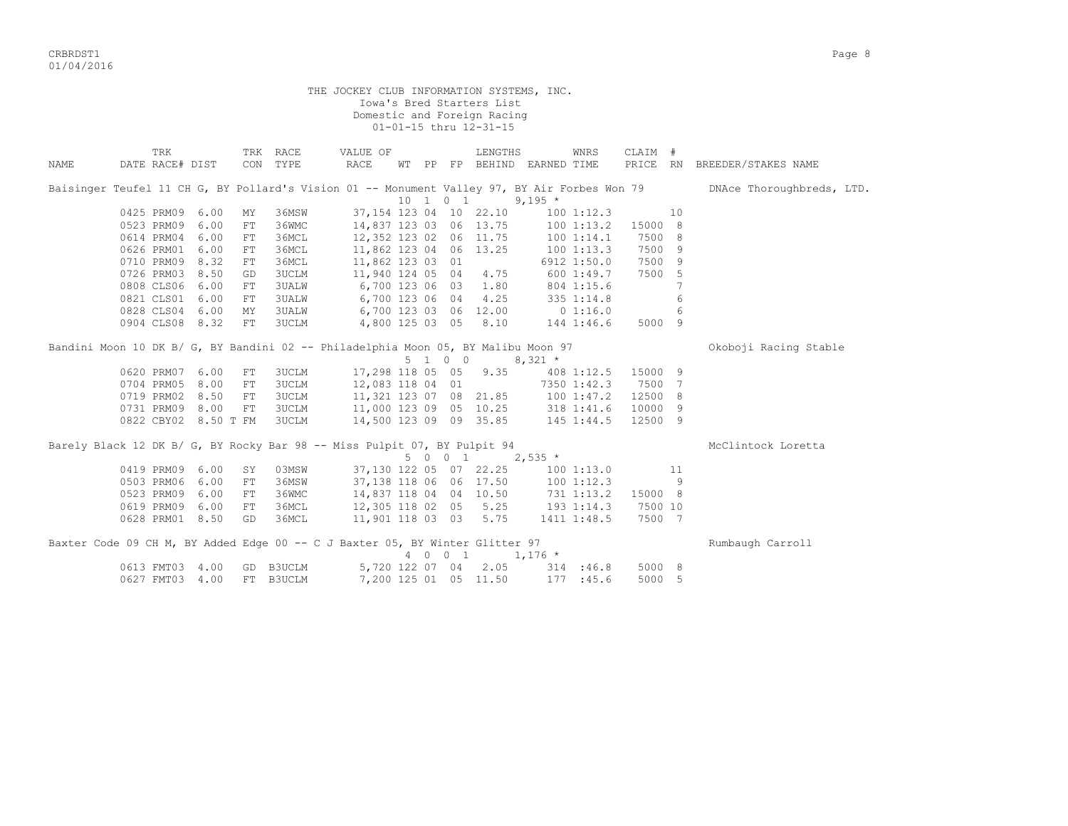criterion of the contract of the contract of the contract of the contract of the contract of the contract of the contract of the contract of the contract of the contract of the contract of the contract of the contract of t 01/04/2016

|      |                                                                                              |      |    |              | THE JOCKEY CLUB INFORMATION SYSTEMS, INC.                                                            |  |          |                                                          |                                                                                |             |         |     |                              |
|------|----------------------------------------------------------------------------------------------|------|----|--------------|------------------------------------------------------------------------------------------------------|--|----------|----------------------------------------------------------|--------------------------------------------------------------------------------|-------------|---------|-----|------------------------------|
|      |                                                                                              |      |    |              |                                                                                                      |  |          | Iowa's Bred Starters List<br>Domestic and Foreign Racing |                                                                                |             |         |     |                              |
|      |                                                                                              |      |    |              |                                                                                                      |  |          | 01-01-15 thru 12-31-15                                   |                                                                                |             |         |     |                              |
|      |                                                                                              |      |    |              |                                                                                                      |  |          |                                                          |                                                                                |             |         |     |                              |
|      | TRK                                                                                          |      |    | TRK RACE     | VALUE OF                                                                                             |  |          | LENGTHS                                                  |                                                                                | WNRS        | CLAIM # |     |                              |
| NAME | DATE RACE# DIST                                                                              |      |    | CON TYPE     | RACE                                                                                                 |  |          |                                                          | WT PP FP BEHIND EARNED TIME                                                    |             |         |     | PRICE RN BREEDER/STAKES NAME |
|      | Baisinger Teufel 11 CH G, BY Pollard's Vision 01 -- Monument Valley 97, BY Air Forbes Won 79 |      |    |              |                                                                                                      |  |          |                                                          |                                                                                |             |         |     | DNAce Thoroughbreds, LTD.    |
|      |                                                                                              |      |    |              |                                                                                                      |  | 10 1 0 1 |                                                          | 9,195 $*$                                                                      |             |         |     |                              |
|      | 0425 PRM09 6.00                                                                              |      | MY | 36MSW        |                                                                                                      |  |          | 37,154 123 04 10 22.10                                   |                                                                                | 1001:12.3   |         | 10  |                              |
|      | 0523 PRM09 6.00                                                                              |      | FT | 36WMC        |                                                                                                      |  |          | 14,837 123 03 06 13.75                                   |                                                                                | 1001:13.2   | 15000 8 |     |                              |
|      | 0614 PRM04 6.00                                                                              |      | FT | 36MCL        |                                                                                                      |  |          |                                                          | $12,352$ 123 02 06 11.75 100 1:13.1                                            |             | 7500 8  |     |                              |
|      | 0626 PRM01                                                                                   | 6.00 | FT | 36MCL        |                                                                                                      |  |          | 11,862 123 04 06 13.25                                   | 1001:13.3                                                                      |             | 7500 9  |     |                              |
|      | 0710 PRM09 8.32                                                                              |      | FT | 36MCL        | 11,862 123 03 01                                                                                     |  |          |                                                          |                                                                                | 6912 1:50.0 | 7500 9  |     |                              |
|      | 0726 PRM03                                                                                   | 8.50 | GD | <b>3UCLM</b> | 11,940 124 05 04                                                                                     |  |          | 4.75                                                     | 600 1:49.7                                                                     |             | 7500 5  |     |                              |
|      | 0808 CLS06                                                                                   | 6.00 | FT | <b>3UALW</b> |                                                                                                      |  |          |                                                          |                                                                                |             |         | 7   |                              |
|      | 0821 CLS01 6.00                                                                              |      | FT | <b>3UALW</b> | 6,700 123 06 03 1.80 804 1:15.6<br>6,700 123 06 04 4.25 335 1:14.8<br>6,700 123 03 06 12.00 0 1:16.0 |  |          |                                                          |                                                                                |             |         | 6   |                              |
|      | 0828 CLS04 6.00                                                                              |      | MY | 3UALW        |                                                                                                      |  |          |                                                          |                                                                                |             |         | 6   |                              |
|      | 0904 CLS08 8.32                                                                              |      | FT | 3UCLM        | 4,800 125 03 05 8.10 144 1:46.6                                                                      |  |          |                                                          |                                                                                |             | 5000 9  |     |                              |
|      | Bandini Moon 10 DK B/ G, BY Bandini 02 -- Philadelphia Moon 05, BY Malibu Moon 97            |      |    |              |                                                                                                      |  |          |                                                          |                                                                                |             |         |     | Okoboji Racing Stable        |
|      |                                                                                              |      |    |              |                                                                                                      |  | 5 1 0 0  |                                                          | $8,321$ *                                                                      |             |         |     |                              |
|      | 0620 PRM07 6.00                                                                              |      | FT | <b>3UCLM</b> |                                                                                                      |  |          | 17,298 118 05 05 9.35                                    | 408 1:12.5 15000 9                                                             |             |         |     |                              |
|      | 0704 PRM05                                                                                   | 8.00 | FT | <b>3UCLM</b> | 12,083 118 04 01                                                                                     |  |          |                                                          | 7350 1:42.3                                                                    |             | 7500 7  |     |                              |
|      | 0719 PRM02                                                                                   | 8.50 | FT | <b>3UCLM</b> |                                                                                                      |  |          |                                                          | 11,321 123 07 08 21.85 100 1:47.2                                              |             | 12500 8 |     |                              |
|      | 0731 PRM09 8.00                                                                              |      | FT | 3UCLM        |                                                                                                      |  |          |                                                          | 11,000 123 09 05 10.25 318 1:41.6                                              |             | 10000 9 |     |                              |
|      | 0822 CBY02 8.50 T FM                                                                         |      |    | 3UCLM        |                                                                                                      |  |          |                                                          | 14,500 123 09 09 35.85 145 1:44.5                                              |             | 12500 9 |     |                              |
|      | Barely Black 12 DK B/ G, BY Rocky Bar 98 -- Miss Pulpit 07, BY Pulpit 94                     |      |    |              |                                                                                                      |  |          |                                                          |                                                                                |             |         |     | McClintock Loretta           |
|      |                                                                                              |      |    |              |                                                                                                      |  |          | 5 0 0 1 2,535 $*$                                        |                                                                                |             |         |     |                              |
|      | 0419 PRM09 6.00                                                                              |      | SY | 03MSW        |                                                                                                      |  |          |                                                          | 37,130 122 05 07 22.25 100 1:13.0                                              |             |         | 11  |                              |
|      | 0503 PRM06 6.00                                                                              |      | FT | 36MSW        |                                                                                                      |  |          | 37,138 118 06 06 17.50                                   | 37,138 118 06  06  17.50  100  1:12.3<br>14,837 118 04  04  10.50  731  1:13.2 | 1001:12.3   |         | - 9 |                              |
|      | 0523 PRM09 6.00                                                                              |      | FT | 36WMC        |                                                                                                      |  |          |                                                          |                                                                                |             | 15000 8 |     |                              |
|      | 0619 PRM09 6.00                                                                              |      | FT | 36MCL        |                                                                                                      |  |          |                                                          | 12,305 118 02 05 5.25 193 1:14.3                                               |             | 7500 10 |     |                              |
|      | 0628 PRM01 8.50                                                                              |      | GD | 36MCL        |                                                                                                      |  |          | 11,901 118 03 03 5.75                                    |                                                                                | 1411 1:48.5 | 7500 7  |     |                              |
|      | Baxter Code 09 CH M, BY Added Edge 00 -- C J Baxter 05, BY Winter Glitter 97                 |      |    |              |                                                                                                      |  |          | 4 0 0 1                                                  | $1,176$ *                                                                      |             |         |     | Rumbaugh Carroll             |
|      | 0613 FMT03 4.00                                                                              |      |    |              | GD B3UCLM 5,720 122 07 04                                                                            |  |          | 2.05                                                     |                                                                                | 314 : 46.8  | 5000 8  |     |                              |
|      | 0627 FMT03 4.00                                                                              |      |    | FT B3UCLM    | 7,200 125 01 05 11.50                                                                                |  |          |                                                          |                                                                                | 177 : 45.6  | 5000 5  |     |                              |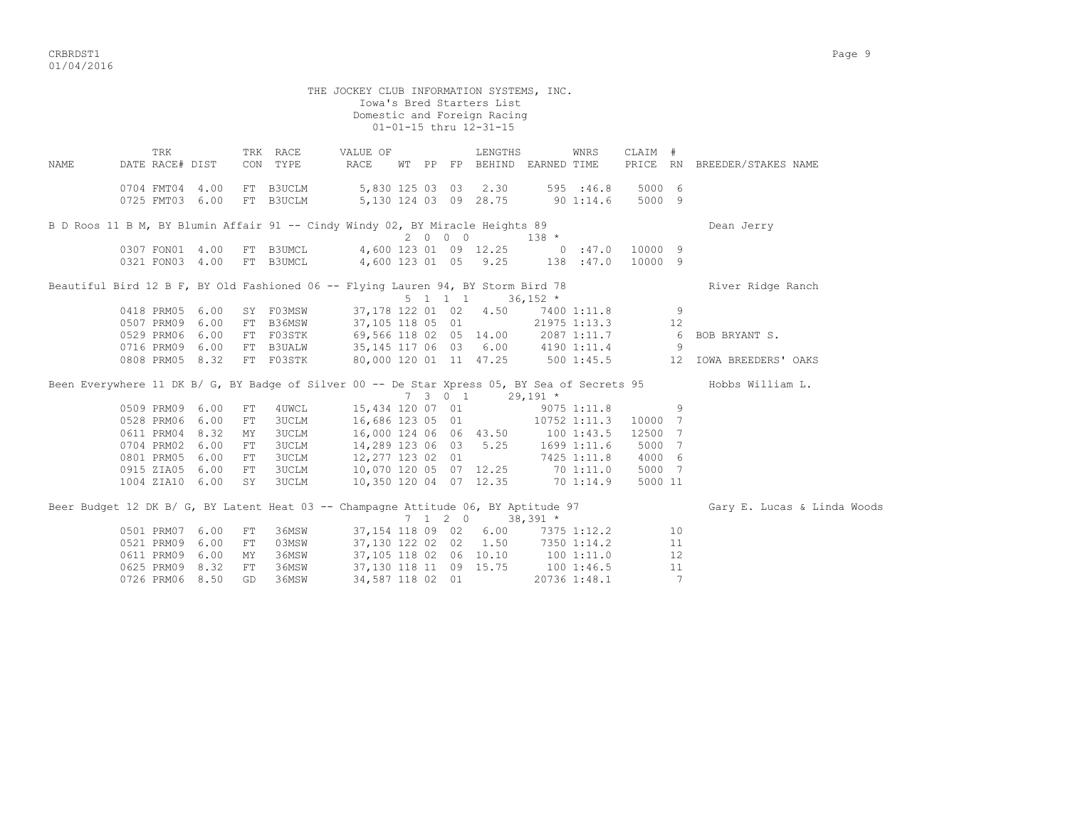critering the contract of the contract of the contract of the contract of the contract of the contract of the contract of the contract of the contract of the contract of the contract of the contract of the contract of the 01/04/2016

THE JOCKEY CLUB INFORMATION SYSTEMS, INC. Iowa's Bred Starters List Domestic and Foreign Racing 01-01-15 thru 12-31-15 TRK TRK RACE VALUE OF LENGTHS WNRS CLAIM # NAME DATE RACE# DIST CON TYPE RACE WT PP FP BEHIND EARNED TIME PRICE RN BREEDER/STAKES NAME 0704 FMT04 4.00 FT B3UCLM 5,830 125 03 03 2.30 595 :46.8 5000 6 0725 FMT03 6.00 FT B3UCLM 5,130 124 03 09 28.75 90 1:14.6 5000 9 B D Roos 11 B M, BY Blumin Affair 91 -- Cindy Windy 02, BY Miracle Heights 89 Dean Jerry  $2 \t 0 \t 0 \t 138 \t \star$ <br>  $4.600 \t 122 \t 21 \t 132 \t \star$  0307 FON01 4.00 FT B3UMCL 4,600 123 01 09 12.25 0 :47.0 10000 9 0321 FON03 4.00 FT B3UMCL 4,600 123 01 05 9.25 138 :47.0 10000 9 Beautiful Bird 12 B F, BY Old Fashioned 06 -- Flying Lauren 94, BY Storm Bird 78 River Ridge Ranch  $5 \t1 \t1 \t36,152 \t*$  0418 PRM05 6.00 SY F03MSW 37,178 122 01 02 4.50 7400 1:11.8 9 0507 PRM09 6.00 FT B36MSW 37,105 118 05 01 21975 1:13.3 12 0529 PRM06 6.00 FT F03STK 69,566 118 02 05 14.00 2087 1:11.7 6 BOB BRYANT S. 0716 PRM09 6.00 FT B3UALW 35,145 117 06 03 6.00 4190 1:11.4 9 0808 PRM05 8.32 FT F03STK 80,000 120 01 11 47.25 500 1:45.5 12 IOWA BREEDERS' OAKS Been Everywhere 11 DK B/ G, BY Badge of Silver 00 -- De Star Xpress 05, BY Sea of Secrets 95 Hobbs William L.<br>
7 3 0 1 29,191 \*  $7 \t3 \t0 \t1 \t29,191 \t*$  0509 PRM09 6.00 FT 4UWCL 15,434 120 07 01 9075 1:11.8 9 0528 PRM06 6.00 FT 3UCLM 16,686 123 05 01 10752 1:11.3 10000 7 0611 PRM04 8.32 MY 3UCLM 16,000 124 06 06 43.50 100 1:43.5 12500 7 0704 PRM02 6.00 FT 3UCLM 14,289 123 06 03 5.25 1699 1:11.6 5000 7 0801 PRM05 6.00 FT 3UCLM 12,277 123 02 01 7425 1:11.8 4000 6 0915 ZIA05 6.00 FT 3UCLM 10,070 120 05 07 12.25 70 1:11.0 5000 7 1004 ZIA10 6.00 SY 3UCLM 10,350 120 04 07 12.35 70 1:14.9 5000 11 Beer Budget 12 DK B/ G, BY Latent Heat 03 -- Champagne Attitude 06, BY Aptitude 97 Gary E. Lucas & Linda Woods  $7$  1 2 0 38,391 \* 0501 PRM07 6.00 FT 36MSW 37,154 118 09 02 6.00 7375 1:12.2 10 0521 PRM09 6.00 FT 03MSW 37,130 122 02 02 1.50 7350 1:14.2 11 0611 PRM09 6.00 MY 36MSW 37,105 118 02 06 10.10 100 1:11.0 12 0625 PRM09 8.32 FT 36MSW 37,130 118 11 09 15.75 100 1:46.5 11 0726 PRM06 8.50 GD 36MSW 34,587 118 02 01 20736 1:48.1 7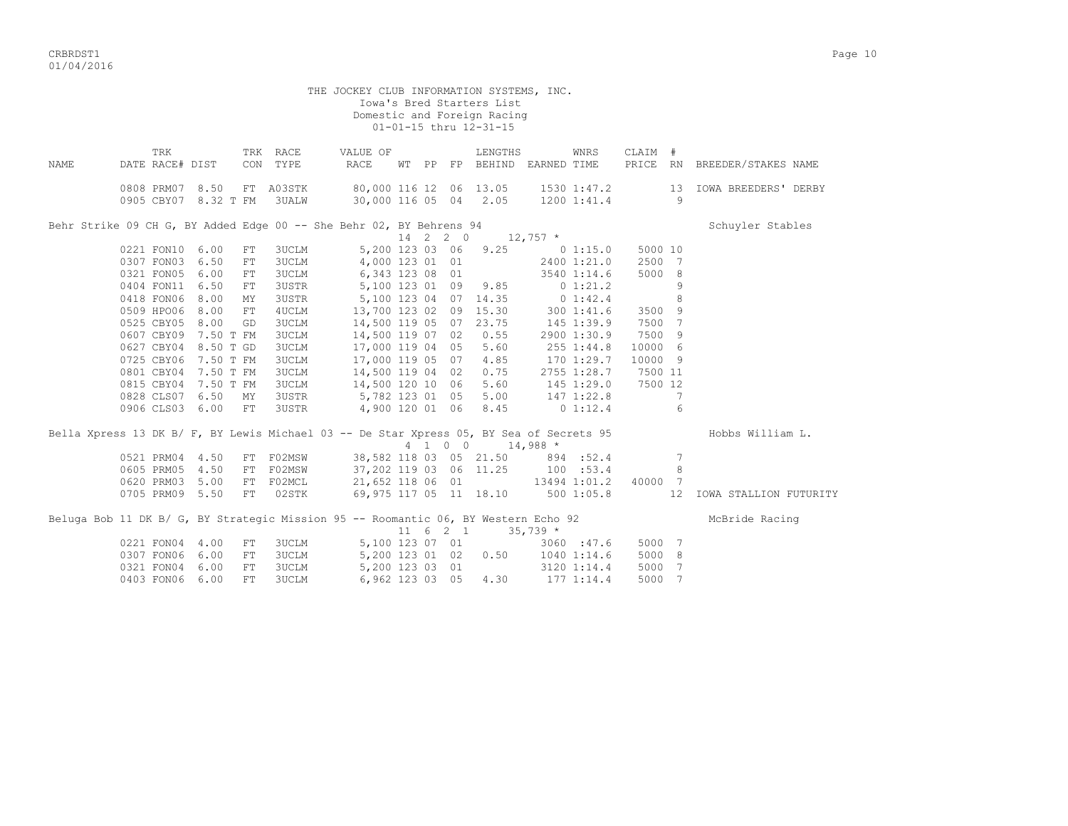|      |                                                                                         |           |            |              | THE JOCKEY CLUB INFORMATION SYSTEMS, INC. |  |          |                                   |             |                 |          |                 |                             |
|------|-----------------------------------------------------------------------------------------|-----------|------------|--------------|-------------------------------------------|--|----------|-----------------------------------|-------------|-----------------|----------|-----------------|-----------------------------|
|      |                                                                                         |           |            |              |                                           |  |          | Iowa's Bred Starters List         |             |                 |          |                 |                             |
|      |                                                                                         |           |            |              |                                           |  |          | Domestic and Foreign Racing       |             |                 |          |                 |                             |
|      |                                                                                         |           |            |              |                                           |  |          | 01-01-15 thru 12-31-15            |             |                 |          |                 |                             |
|      | TRK                                                                                     |           |            | TRK RACE     | VALUE OF                                  |  |          | LENGTHS                           |             | WNRS            | CLAIM #  |                 |                             |
| NAME | DATE RACE# DIST                                                                         |           |            | CON TYPE     | RACE                                      |  |          | WT PP FP BEHIND EARNED TIME       |             |                 | PRICE RN |                 | BREEDER/STAKES NAME         |
|      |                                                                                         |           |            |              |                                           |  |          |                                   |             |                 |          |                 |                             |
|      | 0808 PRM07 8.50                                                                         |           |            | FT A03STK    | 80,000 116 12 06 13.05                    |  |          |                                   |             | 1530 1:47.2     |          | 13              | <b>IOWA BREEDERS' DERBY</b> |
|      | 0905 CBY07 8.32 T FM                                                                    |           |            | 3UALW        |                                           |  |          | 30,000 116 05 04 2.05 1200 1:41.4 |             |                 |          | 9               |                             |
|      | Behr Strike 09 CH G, BY Added Edge 00 -- She Behr 02, BY Behrens 94                     |           |            |              |                                           |  |          |                                   |             |                 |          |                 | Schuyler Stables            |
|      |                                                                                         |           |            |              |                                           |  | 14 2 2 0 | $12,757$ *                        |             |                 |          |                 |                             |
|      | 0221 FON10 6.00                                                                         |           | FT         | <b>3UCLM</b> | 5,200 123 03 06                           |  |          | 9.25                              |             | 0 1:15.0        | 5000 10  |                 |                             |
|      | 0307 FON03 6.50                                                                         |           | FT         | <b>3UCLM</b> | 4,000 123 01 01                           |  |          |                                   |             | 2400 1:21.0     | 2500 7   |                 |                             |
|      | 0321 FON05                                                                              | 6.00      | ${\rm FT}$ | <b>3UCLM</b> | 6,343 123 08 01                           |  |          |                                   |             | 3540 1:14.6     | 5000 8   |                 |                             |
|      | 0404 FON11 6.50                                                                         |           | FT         | 3USTR        | 5,100 123 01 09                           |  |          | 9.85                              | $0\;1:21.2$ |                 |          | 9               |                             |
|      | 0418 FON06                                                                              | 8.00      | MY         | 3USTR        | 5,100 123 04 07 14.35                     |  |          |                                   | 0 1:42.4    |                 |          | 8               |                             |
|      | 0509 HPO06 8.00                                                                         |           | FT         | 4UCLM        |                                           |  |          | 13,700 123 02 09 15.30            |             | 300 1:41.6      | 3500 9   |                 |                             |
|      | 0525 CBY05                                                                              | 8.00      | GD         | <b>3UCLM</b> | 14,500 119 05 07 23.75                    |  |          |                                   |             | 145 1:39.9      | 7500 7   |                 |                             |
|      | 0607 CBY09                                                                              | 7.50 T FM |            | <b>3UCLM</b> | 14,500 119 07 02                          |  |          | 0.55                              |             | 2900 1:30.9     | 7500 9   |                 |                             |
|      | 0627 CBY04 8.50 T GD                                                                    |           |            | 3UCLM        | 17,000 119 04 05                          |  |          | 5.60                              |             | 255 1:44.8      | 10000 6  |                 |                             |
|      | 0725 CBY06                                                                              | 7.50 T FM |            | 3UCLM        | 17,000 119 05 07                          |  |          | 4.85                              |             | 170 1:29.7      | 10000 9  |                 |                             |
|      | 0801 CBY04                                                                              | 7.50 T FM |            | 3UCLM        | 14,500 119 04 02                          |  |          | 0.75                              |             | 2755 1:28.7     | 7500 11  |                 |                             |
|      | 0815 CBY04                                                                              | 7.50 T FM |            | 3UCLM        | 14,500 120 10 06                          |  |          | 5.60                              |             | 145 1:29.0      | 7500 12  |                 |                             |
|      | 0828 CLS07 6.50 MY                                                                      |           |            | 3USTR        | 5,782 123 01 05                           |  |          | 5.00                              |             | 147 1:22.8      |          | 7               |                             |
|      | 0906 CLS03 6.00 FT                                                                      |           |            | 3USTR        | 4,900 120 01 06                           |  |          | 8.45                              |             | $0\;1:12.4$     |          | 6               |                             |
|      | Bella Xpress 13 DK B/ F, BY Lewis Michael 03 -- De Star Xpress 05, BY Sea of Secrets 95 |           |            |              |                                           |  |          |                                   |             |                 |          |                 | Hobbs William L.            |
|      |                                                                                         |           |            |              |                                           |  |          | 4 1 0 0 14,988 *                  |             |                 |          |                 |                             |
|      | 0521 PRM04 4.50                                                                         |           |            | FT F02MSW    |                                           |  |          | 38,582 118 03 05 21.50            |             | 894 :52.4       |          | $7\phantom{.0}$ |                             |
|      | 0605 PRM05                                                                              | 4.50      |            | FT F02MSW    | 37,202 119 03 06 11.25                    |  |          |                                   |             | 100 : 53.4      |          | 8               |                             |
|      | 0620 PRM03                                                                              | 5.00      |            | FT F02MCL    | 21,652 118 06 01                          |  |          | 13494 1:01.2                      |             |                 | 40000 7  |                 |                             |
|      | 0705 PRM09 5.50                                                                         |           | FT         | 02STK        |                                           |  |          | 69,975 117 05 11 18.10            |             | 5001:05.8       | 12       |                 | IOWA STALLION FUTURITY      |
|      | Beluga Bob 11 DK B/ G, BY Strategic Mission 95 -- Roomantic 06, BY Western Echo 92      |           |            |              |                                           |  |          |                                   |             |                 |          |                 | McBride Racing              |
|      |                                                                                         |           |            |              |                                           |  |          | $11 \t6 \t2 \t1 \t35.739$ *       |             |                 |          |                 |                             |
|      | 0221 FON04                                                                              | 4.00      | FT         | 3UCLM        | 5,100 123 07 01                           |  |          |                                   |             | 3060 : 47.6     | 5000 7   |                 |                             |
|      | 0307 FON06 6.00                                                                         |           | FT         | <b>3UCLM</b> | 5,200 123 01 02                           |  |          | 0.50                              |             | $1040$ $1:14.6$ | 5000 8   |                 |                             |
|      | 0321 FON04 6.00                                                                         |           | FT         | <b>3UCLM</b> | 5,200 123 03 01                           |  |          |                                   |             | 3120 1:14.4     | 5000     | $\overline{7}$  |                             |

0403 FON06 6.00 FT 3UCLM 6,962 123 03 05 4.30 177 1:14.4 5000 7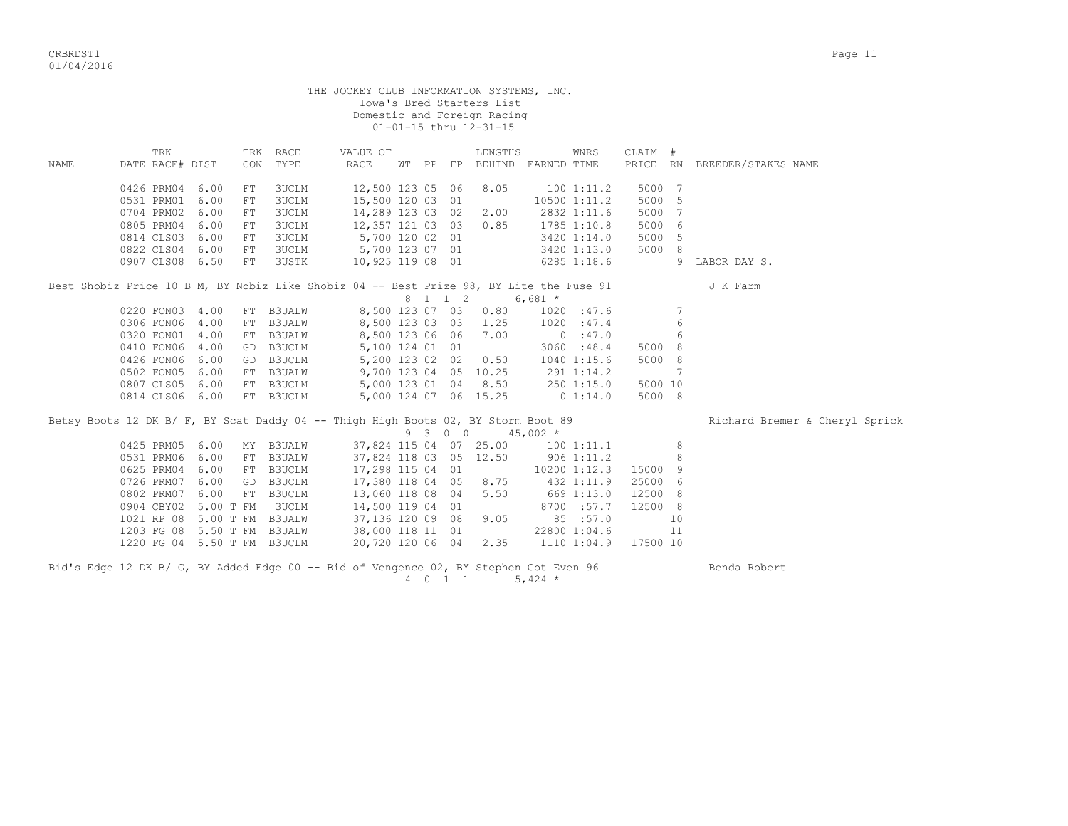|      |                        |           |            |                             | THE JOCKEY CLUB INFORMATION SYSTEMS, INC.                                               |  |         | Iowa's Bred Starters List<br>Domestic and Foreign Racing<br>01-01-15 thru 12-31-15 |               |                        |                      |                 |                                |
|------|------------------------|-----------|------------|-----------------------------|-----------------------------------------------------------------------------------------|--|---------|------------------------------------------------------------------------------------|---------------|------------------------|----------------------|-----------------|--------------------------------|
| NAME | TRK<br>DATE RACE# DIST |           | CON        | TRK RACE<br>TYPE            | VALUE OF<br>RACE                                                                        |  |         | LENGTHS<br>WT PP FP BEHIND EARNED TIME                                             |               | WNRS                   | CLAIM #              |                 | PRICE RN BREEDER/STAKES NAME   |
|      |                        |           |            |                             |                                                                                         |  |         |                                                                                    |               |                        |                      |                 |                                |
|      | 0426 PRM04 6.00        |           | FT         | 3UCLM                       | 12,500 123 05 06                                                                        |  |         | 8.05                                                                               |               | 1001:11.2              | 5000                 | - 7             |                                |
|      | 0531 PRM01 6.00        |           | ${\rm FT}$ | <b>3UCLM</b>                | 15,500 120 03 01                                                                        |  |         |                                                                                    |               | 10500 1:11.2           | 5000                 | -5              |                                |
|      | 0704 PRM02 6.00        |           | FT.        | <b>3UCLM</b>                | 14,289 123 03 02                                                                        |  |         | 2.00                                                                               | 2832 1:11.6   |                        | 5000                 | - 7             |                                |
|      | 0805 PRM04             | 6.00      | FT         | 3UCLM                       | 12,357 121 03 03                                                                        |  |         | 0.85                                                                               |               | 1785 1:10.8            | 5000                 | 6               |                                |
|      | 0814 CLS03 6.00        |           | ${\rm FT}$ | <b>3UCLM</b>                | 5,700 120 02 01                                                                         |  |         |                                                                                    | 3420 1:14.0   |                        | 5000                 | -5              |                                |
|      | 0822 CLS04 6.00        |           | ${\rm FT}$ | 3UCLM                       | 5,700 123 07 01                                                                         |  |         |                                                                                    |               | 3420 1:13.0            | 5000 8               |                 |                                |
|      | 0907 CLS08 6.50        |           | FT         | 3USTK                       | 10,925 119 08 01                                                                        |  |         |                                                                                    | $6285$ 1:18.6 |                        |                      |                 | 9 LABOR DAY S.                 |
|      |                        |           |            |                             | Best Shobiz Price 10 B M, BY Nobiz Like Shobiz 04 -- Best Prize 98, BY Lite the Fuse 91 |  | 8 1 1 2 | $6,681$ *                                                                          |               |                        |                      |                 | J K Farm                       |
|      | 0220 FON03 4.00        |           |            | FT B3UALW                   | 8,500 123 07 03                                                                         |  |         | 0.80                                                                               |               | 1020 : 47.6            |                      | $7\phantom{.0}$ |                                |
|      | 0306 FON06 4.00        |           | FT         | <b>B3UALW</b>               | 8,500 123 03 03                                                                         |  |         | 1.25                                                                               |               | 1020 : 47.4            |                      | 6               |                                |
|      | 0320 FON01 4.00        |           |            | FT B3UALW                   | 8,500 123 06 06                                                                         |  |         | 7.00                                                                               |               | 0:47.0                 |                      | 6               |                                |
|      | 0410 FON06 4.00        |           |            | GD B3UCLM                   | 5,100 124 01 01                                                                         |  |         |                                                                                    |               | 3060 : 48.4            | 5000 8               |                 |                                |
|      | 0426 FON06 6.00        |           |            | GD B3UCLM                   | 5,200 123 02 02                                                                         |  |         | 0.50                                                                               | 1040 1:15.6   |                        | 5000 8               |                 |                                |
|      | 0502 FON05 6.00        |           |            | FT B3UALW                   | 9,700 123 04 05 10.25                                                                   |  |         |                                                                                    | 291 1:14.2    |                        |                      | 7               |                                |
|      | 0807 CLS05 6.00        |           |            | FT B3UCLM                   |                                                                                         |  |         | 5,000 123 01 04 8.50                                                               |               |                        |                      |                 |                                |
|      | 0814 CLS06 6.00        |           |            | FT B3UCLM                   |                                                                                         |  |         | 5,000 124 07 06 15.25                                                              |               | 250 1:15.0<br>0 1:14.0 | 5000 10<br>5000 8    |                 |                                |
|      |                        |           |            |                             | Betsy Boots 12 DK B/ F, BY Scat Daddy 04 -- Thigh High Boots 02, BY Storm Boot 89       |  | 9 3 0 0 |                                                                                    | $45,002$ *    |                        |                      |                 | Richard Bremer & Cheryl Sprick |
|      | 0425 PRM05 6.00        |           |            | MY B3UALW                   | 37,824 115 04 07 25.00                                                                  |  |         |                                                                                    | 100 1:11.1    |                        |                      | 8               |                                |
|      | 0531 PRM06 6.00        |           | FT         | <b>B3UALW</b>               | 37,824 118 03 05 12.50                                                                  |  |         |                                                                                    | $906$ 1:11.2  |                        |                      | 8               |                                |
|      |                        |           |            | 0625 PRM04 6.00 FT B3UCLM   | 17,298 115 04 01                                                                        |  |         |                                                                                    |               |                        | 10200 1:12.3 15000 9 |                 |                                |
|      | 0726 PRM07 6.00        |           | GD         | B3UCLM                      | 17,380 118 04 05                                                                        |  |         | 8.75                                                                               |               | 432 1:11.9             | 25000 6              |                 |                                |
|      | 0802 PRM07 6.00        |           |            | FT B3UCLM                   | 13,060 118 08 04                                                                        |  |         | 5.50                                                                               | 669 1:13.0    |                        | 12500 8              |                 |                                |
|      | 0904 CBY02             | 5.00 T FM |            | 3UCLM                       | 14,500 119 04 01                                                                        |  |         |                                                                                    |               | 8700 :57.7             | 12500 8              |                 |                                |
|      |                        |           |            | 1021 RP 08 5.00 T FM B3UALW |                                                                                         |  |         | 9.05                                                                               |               | 85 : 57.0              |                      | 10              |                                |
|      |                        |           |            | 1203 FG 08 5.50 T FM B3UALW | 37,136 120 09  08<br>38,000 118 11  01                                                  |  |         |                                                                                    |               | 22800 1:04.6           |                      | 11              |                                |
|      |                        |           |            | 1220 FG 04 5.50 T FM B3UCLM | 20,720 120 06 04                                                                        |  |         | 2.35                                                                               |               | 1110 1:04.9            | 17500 10             |                 |                                |
|      |                        |           |            |                             | Bid's Edge 12 DK B/ G, BY Added Edge 00 -- Bid of Vengence 02, BY Stephen Got Even 96   |  | 4 0 1 1 |                                                                                    | 5,424 $*$     |                        |                      |                 | Benda Robert                   |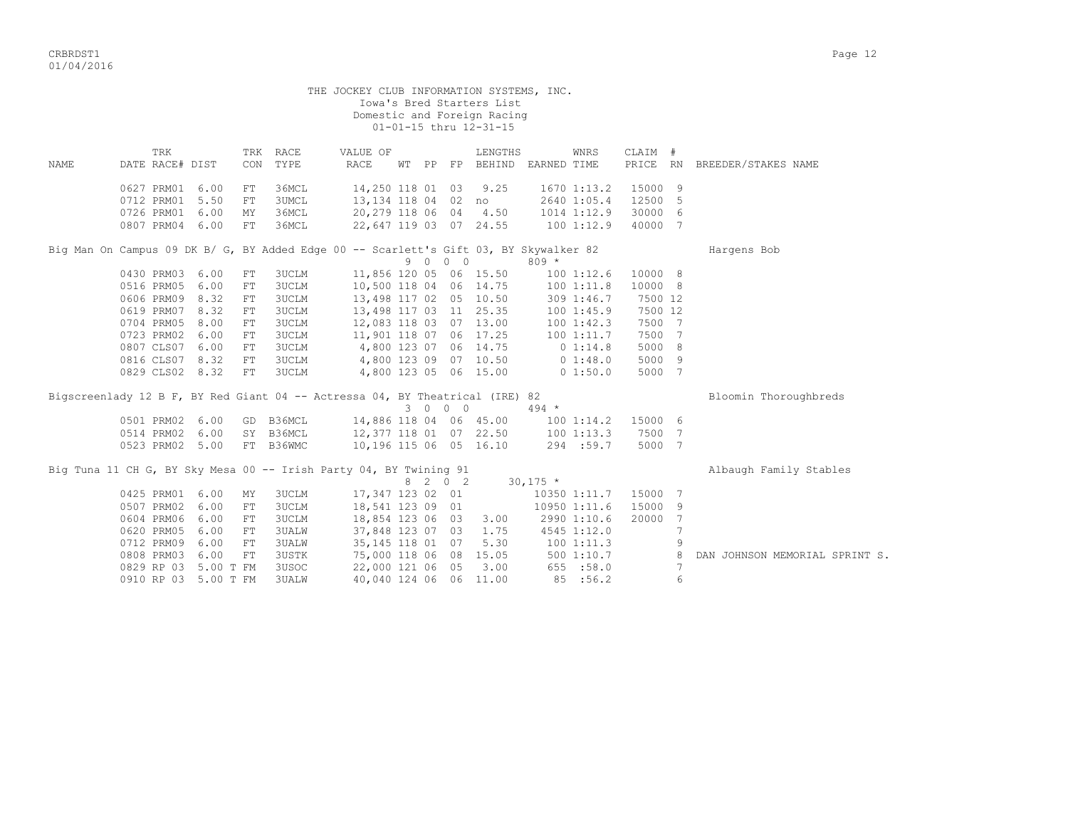|                                                                                       |                        |                      |            |                  | THE JOCKEY CLUB INFORMATION SYSTEMS, INC. |  |         | Iowa's Bred Starters List<br>Domestic and Foreign Racing<br>01-01-15 thru 12-31-15 |            |                    |         |                 |                                |
|---------------------------------------------------------------------------------------|------------------------|----------------------|------------|------------------|-------------------------------------------|--|---------|------------------------------------------------------------------------------------|------------|--------------------|---------|-----------------|--------------------------------|
| NAME                                                                                  | TRK<br>DATE RACE# DIST |                      | CON        | TRK RACE<br>TYPE | VALUE OF<br><b>RACE</b>                   |  |         | LENGTHS<br>WT PP FP BEHIND EARNED TIME                                             |            | WNRS               | CLAIM # |                 | PRICE RN BREEDER/STAKES NAME   |
|                                                                                       |                        |                      |            |                  |                                           |  |         |                                                                                    |            |                    |         |                 |                                |
|                                                                                       | 0627 PRM01 6.00        |                      | ${\rm FT}$ | 36MCL            | 14,250 118 01 03                          |  |         | 9.25                                                                               |            | 1670 1:13.2        | 15000 9 |                 |                                |
|                                                                                       | 0712 PRM01 5.50        |                      | ${\rm FT}$ | <b>3UMCL</b>     | 13,134 118 04  02  no                     |  |         |                                                                                    |            | 2640 1:05.4        | 12500 5 |                 |                                |
|                                                                                       | 0726 PRM01 6.00        |                      | MY         | 36MCL            | 20,279 118 06 04 4.50                     |  |         |                                                                                    |            | 1014 1:12.9        | 30000 6 |                 |                                |
|                                                                                       | 0807 PRM04 6.00        |                      | ${\rm FT}$ | 36MCL            | 22,647 119 03 07 24.55                    |  |         |                                                                                    |            | 1001:12.9          | 40000 7 |                 |                                |
| Big Man On Campus 09 DK B/ G, BY Added Edge 00 -- Scarlett's Gift 03, BY Skywalker 82 |                        |                      |            |                  |                                           |  | 9 0 0 0 |                                                                                    | $809 *$    |                    |         |                 | Hargens Bob                    |
|                                                                                       | 0430 PRM03 6.00        |                      | FT         | <b>3UCLM</b>     | 11,856 120 05 06 15.50                    |  |         |                                                                                    |            | $100$ $1:12.6$     | 10000 8 |                 |                                |
|                                                                                       | 0516 PRM05 6.00        |                      | ${\rm FT}$ | <b>3UCLM</b>     | 10,500 118 04 06 14.75                    |  |         |                                                                                    |            | 100 1:11.8         | 10000 8 |                 |                                |
|                                                                                       | 0606 PRM09             | 8.32                 |            | 3UCLM            |                                           |  |         |                                                                                    |            |                    | 7500 12 |                 |                                |
|                                                                                       |                        |                      | ${\rm FT}$ |                  | 13,498 117 02 05 10.50                    |  |         |                                                                                    |            | 309 1:46.7         |         |                 |                                |
|                                                                                       | 0619 PRM07 8.32        |                      | FT         | 3UCLM            | 13,498 117 03 11 25.35                    |  |         |                                                                                    |            | 1001:45.9          | 7500 12 |                 |                                |
|                                                                                       | 0704 PRM05             | 8.00                 | FT         | <b>3UCLM</b>     | 12,083 118 03 07 13.00                    |  |         |                                                                                    |            | 100 1:42.3         | 7500 7  |                 |                                |
|                                                                                       | 0723 PRM02 6.00        |                      | ${\rm FT}$ | <b>3UCLM</b>     | 11,901 118 07 06 17.25                    |  |         |                                                                                    |            | 1001:11.7          | 7500 7  |                 |                                |
|                                                                                       | 0807 CLS07 6.00        |                      | ${\rm FT}$ | 3UCLM            | 4,800 123 07 06 14.75                     |  |         |                                                                                    |            | 0 1:14.8           | 5000 8  |                 |                                |
|                                                                                       | 0816 CLS07 8.32        |                      | ${\rm FT}$ | <b>3UCLM</b>     | 4,800 123 09 07 10.50                     |  |         |                                                                                    |            | 0 1:48.0           | 5000 9  |                 |                                |
|                                                                                       | 0829 CLS02 8.32        |                      | ${\rm FT}$ | <b>3UCLM</b>     |                                           |  |         | 4,800 123 05 06 15.00                                                              |            | 01:50.0            | 5000 7  |                 |                                |
| Bigscreenlady 12 B F, BY Red Giant 04 -- Actressa 04, BY Theatrical (IRE) 82          |                        |                      |            |                  |                                           |  |         |                                                                                    |            |                    |         |                 | Bloomin Thoroughbreds          |
|                                                                                       |                        |                      |            |                  |                                           |  | 3 0 0 0 |                                                                                    | $494 *$    |                    |         |                 |                                |
|                                                                                       | 0501 PRM02 6.00        |                      |            | GD B36MCL        | 14,886 118 04 06 45.00                    |  |         |                                                                                    |            | 100 1:14.2 15000 6 |         |                 |                                |
|                                                                                       |                        | 0514 PRM02 6.00      |            | SY B36MCL        | 12,377 118 01 07 22.50                    |  |         |                                                                                    |            | 1001:13.3          | 7500 7  |                 |                                |
|                                                                                       |                        | 0523 PRM02 5.00      |            | FT B36WMC        | 10,196 115 06 05 16.10                    |  |         |                                                                                    |            | 294 :59.7          | 5000 7  |                 |                                |
| Big Tuna 11 CH G, BY Sky Mesa 00 -- Irish Party 04, BY Twining 91                     |                        |                      |            |                  |                                           |  | 8 2 0 2 |                                                                                    | $30,175$ * |                    |         |                 | Albaugh Family Stables         |
|                                                                                       | 0425 PRM01 6.00        |                      |            |                  | 17,347 123 02 01                          |  |         |                                                                                    |            |                    |         |                 |                                |
|                                                                                       |                        |                      | MΥ         | <b>3UCLM</b>     |                                           |  |         |                                                                                    |            | 10350 1:11.7       | 15000 7 |                 |                                |
|                                                                                       | 0507 PRM02 6.00        |                      | ${\rm FT}$ | <b>3UCLM</b>     | 18,541 123 09 01                          |  |         |                                                                                    |            | 10950 1:11.6       | 15000 9 |                 |                                |
|                                                                                       | 0604 PRM06 6.00        |                      | FT         | <b>3UCLM</b>     | 18,854 123 06 03                          |  |         | 3.00                                                                               |            | 2990 1:10.6        | 20000 7 |                 |                                |
|                                                                                       | 0620 PRM05             | 6.00                 | ${\rm FT}$ | <b>3UALW</b>     | 37,848 123 07 03                          |  |         | 1.75                                                                               |            | 4545 1:12.0        |         | $\overline{7}$  |                                |
|                                                                                       | 0712 PRM09             | 6.00                 | ${\rm FT}$ | <b>3UALW</b>     | 35, 145 118 01 07                         |  |         | 5.30                                                                               |            | 1001:11.3          |         | 9               |                                |
|                                                                                       | 0808 PRM03             | 6.00                 | FT         | <b>3USTK</b>     | 75,000 118 06 08 15.05                    |  |         |                                                                                    |            | 5001:10.7          |         | 8               | DAN JOHNSON MEMORIAL SPRINT S. |
|                                                                                       |                        | 0829 RP 03 5.00 T FM |            | 3USOC            | 22,000 121 06 05                          |  |         | 3.00                                                                               |            | 655 : 58.0         |         | $7\phantom{.0}$ |                                |

0910 RP 03 5.00 T FM 3UALW 40,040 124 06 06 11.00 85 :56.2 6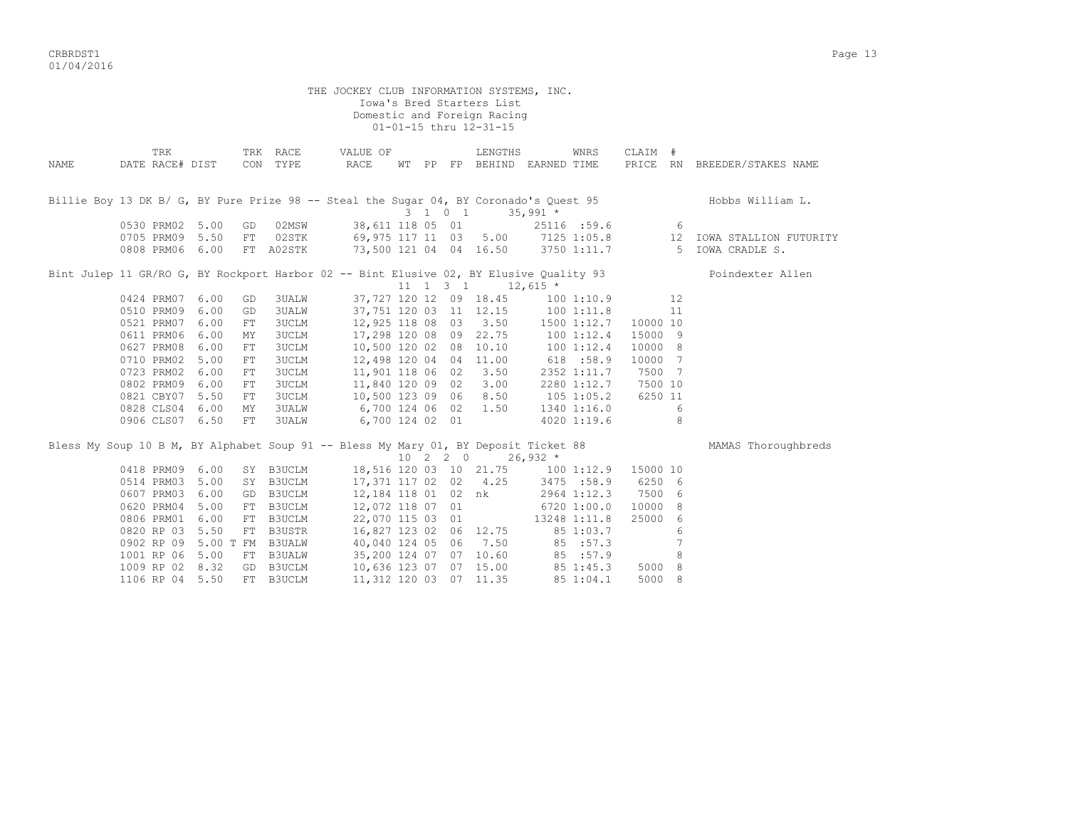crbs and the control of the control of the control of the control of the control of the control of the control of the control of the control of the control of the control of the control of the control of the control of the 01/04/2016

THE JOCKEY CLUB INFORMATION SYSTEMS, INC. Iowa's Bred Starters List Domestic and Foreign Racing 01-01-15 thru 12-31-15 TRK TRK RACE VALUE OF LENGTHS WNRS CLAIM # NAME DATE RACE# DIST CON TYPE RACE WT PP FP BEHIND EARNED TIME PRICE RN BREEDER/STAKES NAME Billie Boy 13 DK B/ G, BY Pure Prize 98 -- Steal the Sugar 04, BY Coronado's Quest 95 hobbs William L. 3 1 0 1 35,991 \* 0530 PRM02 5.00 GD 02MSW 38,611 118 05 01 25116 :59.6<br>0705 PRM09 5.50 FT 02STK 69,975 117 11 03 5.00 7125 1:05.8 0530 PRM02 5.00 GD 02MSW 38,611 118 05 01<br>0705 PRM09 5.50 FT 02STK 69,975 117 11 03 5.00 7125 1:05.8 12 IOWA STALLION FUTURITY<br>0808 PRM06 6.00 FT A02STK 73.500 121 04 04 16.50 3750 1:11.7 5 TOWA CRADLE S. 73.500 121 04 04 16.50 3750 1:11.7 5 TOWA CRADLE S. Bint Julep 11 GR/RO G, BY Rockport Harbor 02 -- Bint Elusive 02, BY Elusive Quality 93 Poindexter Allen  $11 \quad 1 \quad 3 \quad 1 \quad 12.615 \star$  0424 PRM07 6.00 GD 3UALW 37,727 120 12 09 18.45 100 1:10.9 12 0510 PRM09 6.00 GD 3UALW 37,751 120 03 11 12.15 100 1:11.8 11 0521 PRM07 6.00 FT 3UCLM 12,925 118 08 03 3.50 1500 1:12.7 10000 10 0611 PRM06 6.00 MY 3UCLM 17,298 120 08 09 22.75 100 1:12.4 15000 9 0627 PRM08 6.00 FT 3UCLM 10,500 120 02 08 10.10 100 1:12.4 10000 8 0710 PRM02 5.00 FT 3UCLM 12,498 120 04 04 11.00 618 :58.9 10000 7 0723 PRM02 6.00 FT 3UCLM 11,901 118 06 02 3.50 2352 1:11.7 7500 7 0802 PRM09 6.00 FT 3UCLM 11,840 120 09 02 3.00 2280 1:12.7 7500 10 0821 CBY07 5.50 FT 3UCLM 10,500 123 09 06 8.50 105 1:05.2 6250 11 0828 CLS04 6.00 MY 3UALW 6,700 124 06 02 1.50 1340 1:16.0 6 0906 CLS07 6.50 FT 3UALW 6,700 124 02 01 4020 1:19.6 8 Bless My Soup 10 B M, BY Alphabet Soup 91 -- Bless My Mary 01, BY Deposit Ticket 88 MAMAS Thoroughbreds  $\begin{array}{ccccccccc}\n10 & 2 & 2 & 0 & 26,932 & * \\
120 & 03 & 10 & 21.75 & 100 & 1:12.9 & 15000 & 10\n\end{array}$ 0418 PRM09 6.00 SY B3UCLM 18,516 120 03 10 21.75 0514 PRM03 5.00 SY B3UCLM 17,371 117 02 02 4.25 3475 :58.9 6250 6 0607 PRM03 6.00 GD B3UCLM 12,184 118 01 02 nk 2964 1:12.3 7500 6 0620 PRM04 5.00 FT B3UCLM 12,072 118 07 01 6720 1:00.0 10000 8 0806 PRM01 6.00 FT B3UCLM 22,070 115 03 01 13248 1:11.8 25000 6 0820 RP 03 5.50 FT B3USTR 16,827 123 02 06 12.75 85 1:03.7 6 0902 RP 09 5.00 T FM B3UALW 40,040 124 05 06 7.50 85 :57.3 7 1001 RP 06 5.00 FT B3UALW 35,200 124 07 07 10.60 85 :57.9 8 1009 RP 02 8.32 GD B3UCLM 10,636 123 07 07 15.00 85 1:45.3 5000 8 1106 RP 04 5.50 FT B3UCLM 11,312 120 03 07 11.35 85 1:04.1 5000 8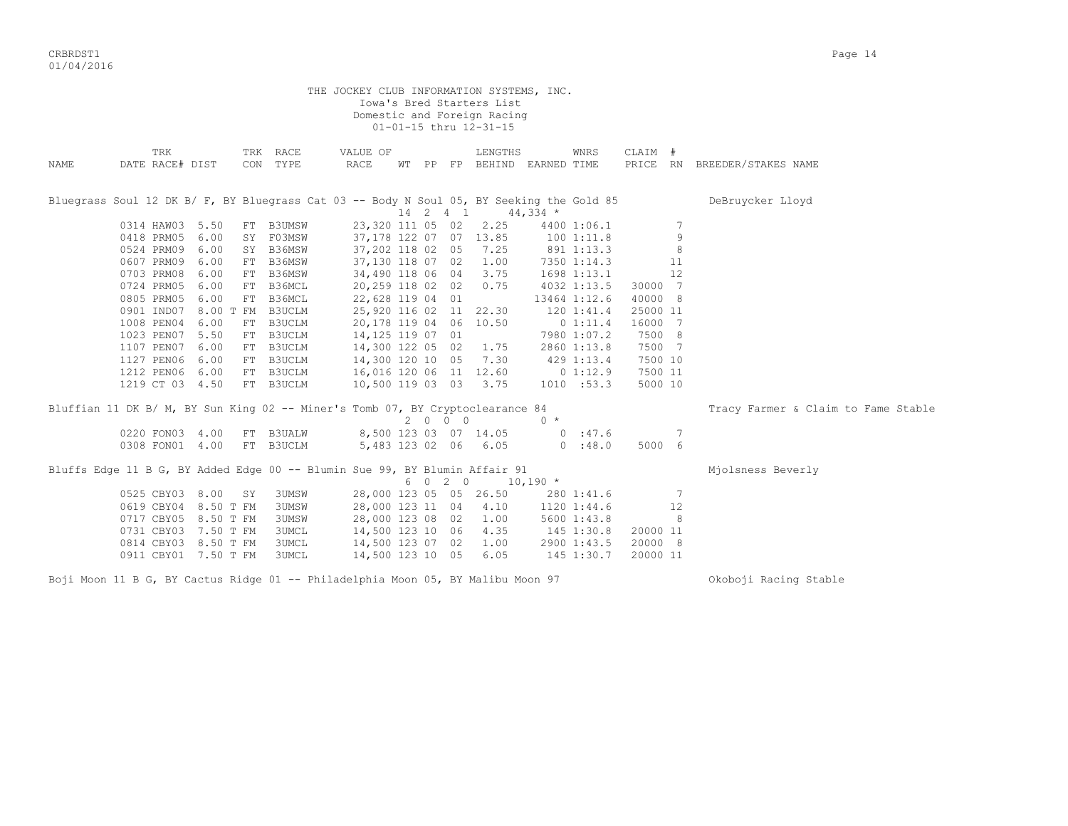CRBRDST1 Page 14 01/04/2016

THE JOCKEY CLUB INFORMATION SYSTEMS, INC. Iowa's Bred Starters List Domestic and Foreign Racing 01-01-15 thru 12-31-15 TRK TRK RACE VALUE OF LENGTHS WNRS CLAIM # NAME DATE RACE# DIST CON TYPE RACE WT PP FP BEHIND EARNED TIME PRICE RN BREEDER/STAKES NAME Bluegrass Soul 12 DK B/ F, BY Bluegrass Cat 03 -- Body N Soul 05, BY Seeking the Gold 85 DeBruycker Lloyd  $14$  2 4 1  $44$ , 334 \*<br>23, 320 111 05 02 2.25 4400 0314 HAW03 5.50 FT B3UMSW 23,320 111 05 02 2.25 4400 1:06.1 7<br>0418 PRM05 6.00 SY F03MSW 37,178 122 07 07 13.85 100 1:11.8 9  $37,178$  122 07 07 13.85 100 1:11.8<br>37,202 118 02 05 7.25 891 1:13.3 0524 PRM09 6.00 SY B36MSW 37,202 118 02 05 7.25 891 1:13.3 8 0607 PRM09 6.00 FT B36MSW 37,130 118 07 02 1.00 7350 1:14.3 11 0703 PRM08 6.00 FT B36MSW 34,490 118 06 04 3.75 1698 1:13.1 12 0724 PRM05 6.00 FT B36MCL 20,259 118 02 02 0.75 4032 1:13.5 30000 7 0805 PRM05 6.00 FT B36MCL 22,628 119 04 01 13464 1:12.6 40000 8 0901 IND07 8.00 T FM B3UCLM 25,920 116 02 11 22.30 120 1:41.4 25000 11 1008 PEN04 6.00 FT B3UCLM 20,178 119 04 06 10.50 0 1:11.4 16000 7 1023 PEN07 5.50 FT B3UCLM 14,125 119 07 01 7980 1:07.2 7500 8 1107 PEN07 6.00 FT B3UCLM 14,300 122 05 02 1.75 2860 1:13.8 7500 7 1127 PEN06 6.00 FT B3UCLM 14,300 120 10 05 7.30 429 1:13.4 7500 10 1212 PEN06 6.00 FT B3UCLM 16,016 120 06 11 12.60 0 1:12.9 7500 11 1219 CT 03 4.50 FT B3UCLM 10,500 119 03 03 3.75 1010 :53.3 5000 10 Bluffian 11 DK B/ M, BY Sun King 02 -- Miner's Tomb 07, BY Cryptoclearance 84 Tracy Farmer & Claim to Fame Stable 2 0 0 0 0 \* 0220 FON03 4.00 FT B3UALW 8,500 123 03 07 14.05 0 :47.6 7 0308 FON01 4.00 FT B3UCLM 5,483 123 02 06 6.05 0 :48.0 5000 6 Bluffs Edge 11 B G, BY Added Edge 00 -- Blumin Sue 99, BY Blumin Affair 91 Mjolsness Beverly  $6 \t0 \t2 \t0 \t10.190 \t*$  0525 CBY03 8.00 SY 3UMSW 28,000 123 05 05 26.50 280 1:41.6 7 0619 CBY04 8.50 T FM 3UMSW 28,000 123 11 04 4.10 1120 1:44.6 12<br>0717 CBY05 8.50 T FM 3UMSW 28,000 123 08 02 1.00 5600 1:43.8 8 0717 CBY05 8.50 T FM 3UMSW 28,000 123 08 02 1.00 5600 1:43.8 8<br>0731 CBY03 7.50 T FM 3UMCL 14,500 123 10 06 4.35 145 1:30.8 20000 11 0731 CBY03 7.50 T FM 3UMCL 14,500 123 10 06 4.35 145 1:30.8 20000 11<br>0814 CBY03 8.50 T FM 3UMCL 14,500 123 07 02 1.00 2900 1:43.5 20000 8 0814 CBY03 8.50 T FM 3UMCL 14,500 123 07 02 1.00<br>0911 CBY01 7.50 T FM 3UMCL 14.500 123 10 05 6.05 0911 CBY01 7.50 T FM 3UMCL 14,500 123 10 05 6.05 145 1:30.7 20000 11

Boji Moon 11 B G, BY Cactus Ridge 01 -- Philadelphia Moon 05, BY Malibu Moon 97 Ckoboji Racing Stable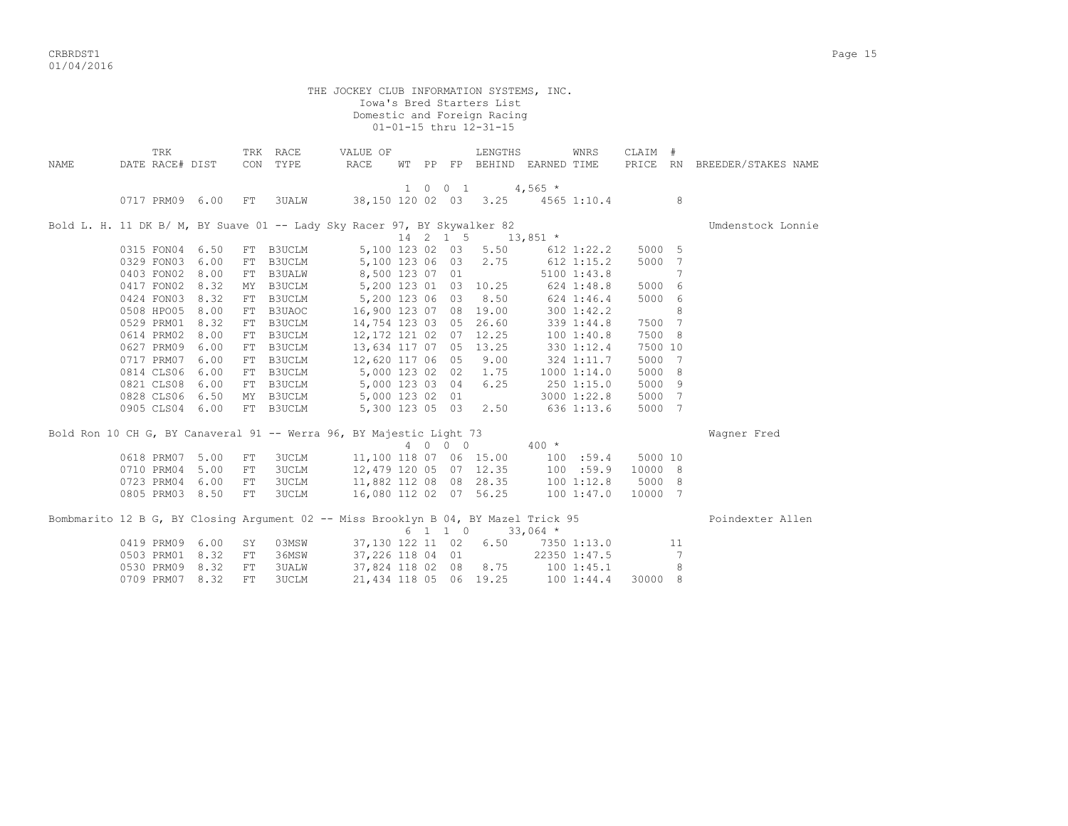CRBRDST1 Page 15 01/04/2016

 THE JOCKEY CLUB INFORMATION SYSTEMS, INC. Iowa's Bred Starters List Domestic and Foreign Racing 01-01-15 thru 12-31-15 TRK TRK RACE WALUE OF LENGTHS WNRS CLAIM # NAME DATE RACE# DIST CON TYPE RACE WT PP FP BEHIND EARNED TIME PRICE RN BREEDER/STAKES NAME  $1 \t 0 \t 0 \t 1 \t 4,565$  \* 0717 PRM09 6.00 FT 3UALW 38,150 120 02 03 3.25 4565 1:10.4 8 Bold L. H. 11 DK B/ M, BY Suave 01 -- Lady Sky Racer 97, BY Skywalker 82 Vindenstock Lonnie 14 2 1 5 13,851  $\star$  0315 FON04 6.50 FT B3UCLM 5,100 123 02 03 5.50 612 1:22.2 5000 5 0329 FON03 6.00 FT B3UCLM 5,100 123 06 03 2.75 612 1:15.2 5000 7<br>0403 FON02 8.00 FT B3UALW 8,500 123 07 01 5100 1:43.8 7 0403 FON02 8.00 FT B3UALW 8,500 123 07 01 5100 1:43.8 7<br>0417 FON02 8.32 MY B3UCLM 5,200 123 01 03 10.25 624 1:48.8 5000 6 0417 FON02 8.32 MY B3UCLM 5,200 123 01 03 10.25 624 1:48.8 5000 6 0424 FON03 8.32 FT B3UCLM 5,200 123 06 03 8.50 624 1:46.4 5000 6 0508 HPO05 8.00 FT B3UAOC 16,900 123 07 08 19.00 300 1:42.2 8 0529 PRM01 8.32 FT B3UCLM 14,754 123 03 05 26.60 339 1:44.8 7500 7 0614 PRM02 8.00 FT B3UCLM 12,172 121 02 07 12.25 100 1:40.8 7500 8 0627 PRM09 6.00 FT B3UCLM 13,634 117 07 05 13.25 330 1:12.4 7500 10 0717 PRM07 6.00 FT B3UCLM 12,620 117 06 05 9.00 324 1:11.7 5000 7 0814 CLS06 6.00 FT B3UCLM 5,000 123 02 02 1.75 1000 1:14.0 5000 8 0821 CLS08 6.00 FT B3UCLM 5,000 123 03 04 6.25 250 1:15.0 5000 9  $5,000$  123 02 01 0905 CLS04 6.00 FT B3UCLM 5,300 123 05 03 2.50 636 1:13.6 5000 7 Bold Ron 10 CH G, BY Canaveral 91 -- Werra 96, BY Majestic Light 73 Wagner Fred 4 0 0 0 400 \* 0618 PRM07 5.00 FT 3UCLM 11,100 118 07 06 15.00 100 :59.4 5000 10 0710 PRM04 5.00 FT 3UCLM 12,479 120 05 07 12.35 100 :59.9 10000 8 0723 PRM04 6.00 FT 3UCLM 11,882 112 08 08 28.35 100 1:12.8 5000 8 0805 PRM03 8.50 FT 3UCLM 16,080 112 02 07 56.25 100 1:47.0 10000 7 Bombmarito 12 B G, BY Closing Argument 02 -- Miss Brooklyn B 04, BY Mazel Trick 95 Poindexter Allen

| pomphatric is a gli di crosting highment va illing brookryn b vil bi nasci itten po |  |                          |       |                       |  |                                   |                    |                | LUINUAUUL II |
|-------------------------------------------------------------------------------------|--|--------------------------|-------|-----------------------|--|-----------------------------------|--------------------|----------------|--------------|
|                                                                                     |  |                          |       |                       |  | 6 1 1 0 33,064 *                  |                    |                |              |
|                                                                                     |  | 0419 PRM09 6.00 SY 03MSW |       |                       |  | 37,130 122 11 02 6.50 7350 1:13.0 |                    |                |              |
|                                                                                     |  | 0503 PRM01 8.32 FT       | 36MSW |                       |  | 37,226 118 04 01                  | 22350 1:47.5       |                |              |
|                                                                                     |  | 0530 PRM09 8.32 FT       | 3UALW | 37,824 118 02 08 8.75 |  |                                   | 100 1:45.1         | $\overline{R}$ |              |
|                                                                                     |  | 0709 PRM07 8.32 FT 3UCLM |       |                       |  | 21,434 118 05 06 19.25            | 100 1:44.4 30000 8 |                |              |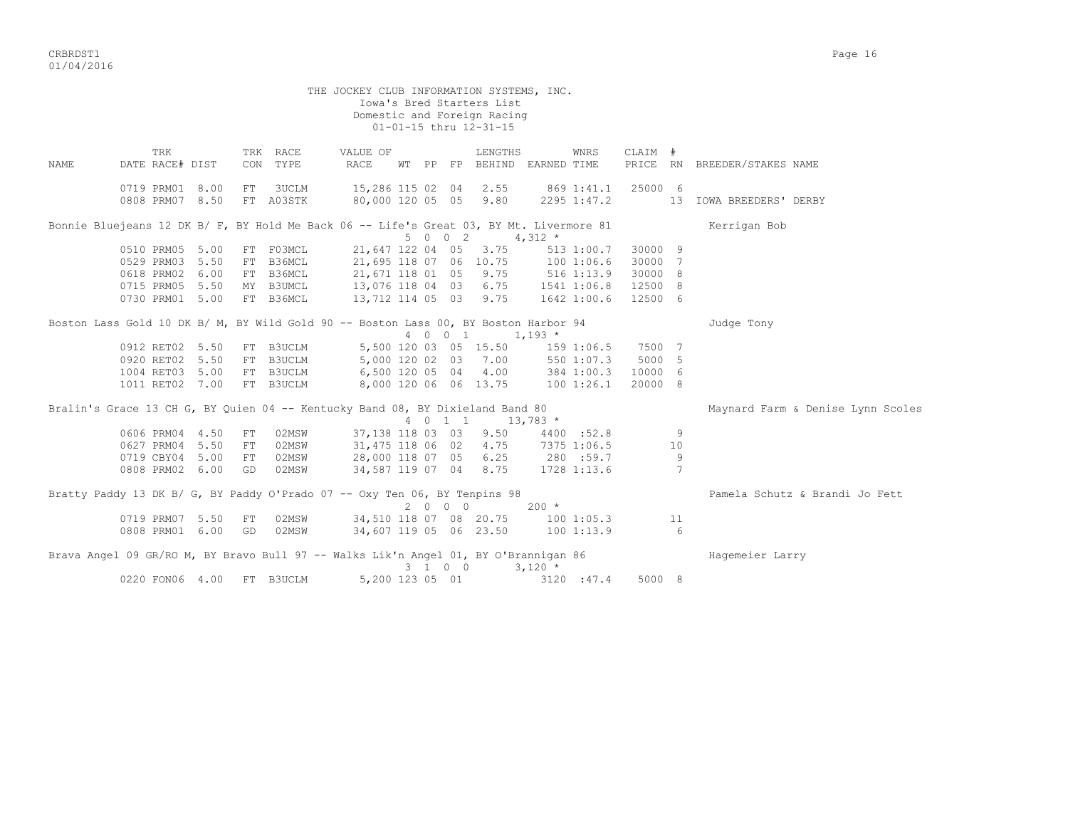|             |                                                                                         |      |      |           | THE JOCKEY CLUB INFORMATION SYSTEMS, INC. |  |         | Iowa's Bred Starters List   |            |             |         |    |                                   |
|-------------|-----------------------------------------------------------------------------------------|------|------|-----------|-------------------------------------------|--|---------|-----------------------------|------------|-------------|---------|----|-----------------------------------|
|             |                                                                                         |      |      |           |                                           |  |         | Domestic and Foreign Racing |            |             |         |    |                                   |
|             |                                                                                         |      |      |           |                                           |  |         | 01-01-15 thru 12-31-15      |            |             |         |    |                                   |
|             | TRK                                                                                     |      |      | TRK RACE  | VALUE OF                                  |  |         | LENGTHS                     |            | WNRS        | CLAIM # |    |                                   |
| <b>NAME</b> | DATE RACE# DIST                                                                         |      | CON  | TYPE      | <b>RACE</b>                               |  |         | WT PP FP BEHIND EARNED TIME |            |             |         |    | PRICE RN BREEDER/STAKES NAME      |
|             | 0719 PRM01                                                                              | 8.00 | FT.  | 3UCLM     | 15,286 115 02 04 2.55                     |  |         |                             |            | 869 1:41.1  | 25000 6 |    |                                   |
|             | 0808 PRM07 8.50                                                                         |      |      | FT A03STK | 80,000 120 05 05 9.80                     |  |         |                             |            | 2295 1:47.2 |         |    | 13 IOWA BREEDERS' DERBY           |
|             | Bonnie Bluejeans 12 DK B/ F, BY Hold Me Back 06 -- Life's Great 03, BY Mt. Livermore 81 |      |      |           |                                           |  | 5 0 0 2 | $4,312$ *                   |            |             |         |    | Kerrigan Bob                      |
|             | 0510 PRM05 5.00                                                                         |      |      | FT F03MCL | 21,647 122 04 05                          |  |         | 3.75                        |            | 513 1:00.7  | 30000 9 |    |                                   |
|             | 0529 PRM03                                                                              | 5.50 |      | FT B36MCL | 21,695 118 07 06 10.75                    |  |         |                             | 1001:06.6  |             | 30000 7 |    |                                   |
|             | 0618 PRM02                                                                              | 6.00 |      | FT B36MCL | 21,671 118 01 05 9.75                     |  |         |                             | 516 1:13.9 |             | 30000 8 |    |                                   |
|             | 0715 PRM05                                                                              | 5.50 |      | MY B3UMCL | 13,076 118 04 03 6.75                     |  |         |                             |            | 1541 1:06.8 | 12500 8 |    |                                   |
|             | 0730 PRM01 5.00                                                                         |      |      | FT B36MCL | 13,712 114 05 03 9.75                     |  |         |                             |            | 1642 1:00.6 | 12500 6 |    |                                   |
|             | Boston Lass Gold 10 DK B/ M, BY Wild Gold 90 -- Boston Lass 00, BY Boston Harbor 94     |      |      |           |                                           |  | 4 0 0 1 |                             | $1,193$ *  |             |         |    | Judge Tony                        |
|             | 0912 RET02 5.50                                                                         |      |      | FT B3UCLM |                                           |  |         | 5,500 120 03 05 15.50       |            | 159 1:06.5  | 7500 7  |    |                                   |
|             | 0920 RET02 5.50                                                                         |      |      | FT B3UCLM | 5,000 120 02 03                           |  |         | 7.00                        |            | 550 1:07.3  | 5000 5  |    |                                   |
|             | 1004 RET03 5.00                                                                         |      |      | FT B3UCLM | 6,500 120 05 04                           |  |         | 4.00                        |            | 384 1:00.3  | 10000 6 |    |                                   |
|             | 1011 RET02 7.00                                                                         |      |      | FT B3UCLM |                                           |  |         | 8,000 120 06 06 13.75       |            | 1001:26.1   | 20000 8 |    |                                   |
|             | Bralin's Grace 13 CH G, BY Quien 04 -- Kentucky Band 08, BY Dixieland Band 80           |      |      |           |                                           |  | 4 0 1 1 | $13,783$ *                  |            |             |         |    | Maynard Farm & Denise Lynn Scoles |
|             | 0606 PRM04                                                                              | 4.50 | FT   | 02MSW     |                                           |  |         | 37,138 118 03 03 9.50       |            | 4400 :52.8  |         | 9  |                                   |
|             | 0627 PRM04 5.50                                                                         |      | FT   | 02MSW     |                                           |  |         | 31,475 118 06 02 4.75       |            | 7375 1:06.5 |         | 10 |                                   |
|             | 0719 CBY04 5.00                                                                         |      | FT   | 02MSW     | 28,000 118 07 05 6.25                     |  |         |                             |            | 280 :59.7   |         | 9  |                                   |
|             | 0808 PRM02 6.00                                                                         |      | - GD | 02MSW     | 34,587 119 07 04 8.75                     |  |         |                             |            | 1728 1:13.6 |         | 7  |                                   |
|             | Bratty Paddy 13 DK B/ G, BY Paddy O'Prado 07 -- Oxy Ten 06, BY Tenpins 98               |      |      |           |                                           |  | 2000    |                             | $200 *$    |             |         |    | Pamela Schutz & Brandi Jo Fett    |
|             | 0719 PRM07 5.50                                                                         |      | FT   | 02MSW     | 34,510 118 07 08 20.75                    |  |         |                             |            | 1001:05.3   |         | 11 |                                   |
|             | 0808 PRM01 6.00                                                                         |      | GD   | 02MSW     | 34,607 119 05 06 23.50                    |  |         |                             |            | 1001:13.9   |         | 6  |                                   |
|             | Brava Angel 09 GR/RO M, BY Bravo Bull 97 -- Walks Lik'n Angel 01, BY O'Brannigan 86     |      |      |           |                                           |  | 3 1 0 0 |                             | $3.120*$   |             |         |    | Hagemeier Larry                   |
|             | 0220 FON06 4.00                                                                         |      |      | FT B3UCLM | 5,200 123 05 01                           |  |         |                             |            | 3120 : 47.4 | 5000 8  |    |                                   |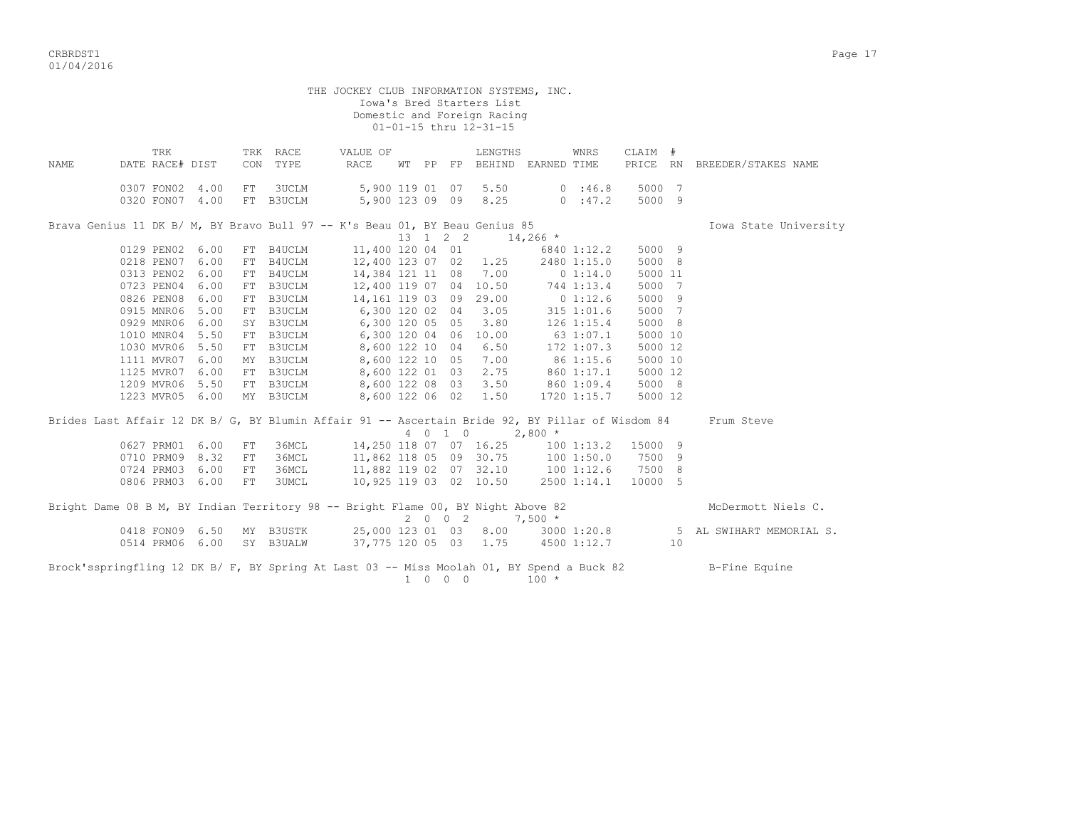CRBRDST1 Page 17 01/04/2016

 THE JOCKEY CLUB INFORMATION SYSTEMS, INC. Iowa's Bred Starters List Domestic and Foreign Racing 01-01-15 thru 12-31-15 TRK TRK RACE WALUE OF LENGTHS WNRS CLAIM # NAME DATE RACE# DIST CON TYPE RACE WT PP FP BEHIND EARNED TIME PRICE RN BREEDER/STAKES NAME 0307 FON02 4.00 FT 3UCLM 5,900 119 01 07 5.50 0 :46.8 5000 7 0320 FON07 4.00 FT B3UCLM 5,900 123 09 09 8.25 0 :47.2 5000 9 Brava Genius 11 DK B/ M, BY Bravo Bull 97 -- K's Beau 01, BY Beau Genius 85 Iowa State University  $13 \quad 1 \quad 2 \quad 2 \quad 14,266 \quad *$  0129 PEN02 6.00 FT B4UCLM 11,400 120 04 01 6840 1:12.2 5000 9 0218 PEN07 6.00 FT B4UCLM 12,400 123 07 02 1.25 2480 1:15.0 5000 8<br>0313 PEN02 6.00 FT B4UCLM 14,384 121 11 08 7.00 0 1:14.0 5000 11 0313 PEN02 6.00 FT B4UCLM 14,384 121 11 08 7.00 0 1:14.0 5000 11 0723 PEN04 6.00 FT B3UCLM 12,400 119 07 04 10.50 744 1:13.4 5000 7 0826 PEN08 6.00 FT B3UCLM 14,161 119 03 09 29.00 0 1:12.6 5000 9 0915 MNR06 5.00 FT B3UCLM 6,300 120 02 04 3.05 315 1:01.6 5000 7 0929 MNR06 6.00 SY B3UCLM 6,300 120 05 05 3.80 126 1:15.4 5000 8 1010 MNR04 5.50 FT B3UCLM 6,300 120 04 06 10.00 63 1:07.1 5000 10 1030 MVR06 5.50 FT B3UCLM 8,600 122 10 04 6.50 172 1:07.3 5000 12 1111 MVR07 6.00 MY B3UCLM 8,600 122 10 05 7.00 86 1:15.6 5000 10 1125 MVR07 6.00 FT B3UCLM 8,600 122 01 03 2.75 860 1:17.1 5000 12 1209 MVR06 5.50 FT B3UCLM 8,600 122 08 03 3.50 860 1:09.4 5000 8 1223 MVR05 6.00 MY B3UCLM 8,600 122 06 02 1.50 1720 1:15.7 5000 12 Brides Last Affair 12 DK B/ G, BY Blumin Affair 91 -- Ascertain Bride 92, BY Pillar of Wisdom 84 Frum Steve 4 0 1 0 2,800 \* 0627 PRM01 6.00 FT 36MCL 14,250 118 07 07 16.25 100 1:13.2 15000 9 0710 PRM09 8.32 FT 36MCL 11,862 118 05 09 30.75 100 1:50.0 7500 9 0724 PRM03 6.00 FT 36MCL 11,882 119 02 07 32.10 100 1:12.6 7500 8

|  |  |  |                           |  |  |                       | Bright Dame 08 B M, BY Indian Territory 98 -- Bright Flame 00, BY Night Above 82          |             |     |               | McDermott Niels C.       |
|--|--|--|---------------------------|--|--|-----------------------|-------------------------------------------------------------------------------------------|-------------|-----|---------------|--------------------------|
|  |  |  |                           |  |  |                       | $20027.500*$                                                                              |             |     |               |                          |
|  |  |  | 0418 FON09 6.50 MY B3USTK |  |  | 25,000 123 01 03 8.00 |                                                                                           | 3000 1:20.8 |     |               | 5 AL SWIHART MEMORIAL S. |
|  |  |  | 0514 PRM06 6.00 SY B3UALW |  |  | 37,775 120 05 03 1.75 |                                                                                           | 4500 1:12.7 | 1 O |               |                          |
|  |  |  |                           |  |  |                       | Brock'sspringfling 12 DK B/ F, BY Spring At Last 03 -- Miss Moolah 01, BY Spend a Buck 82 |             |     | B-Fine Equine |                          |

0806 PRM03 6.00 FT 3UMCL 10,925 119 03 02 10.50 2500 1:14.1 10000 5

1 0 0 0 100 \*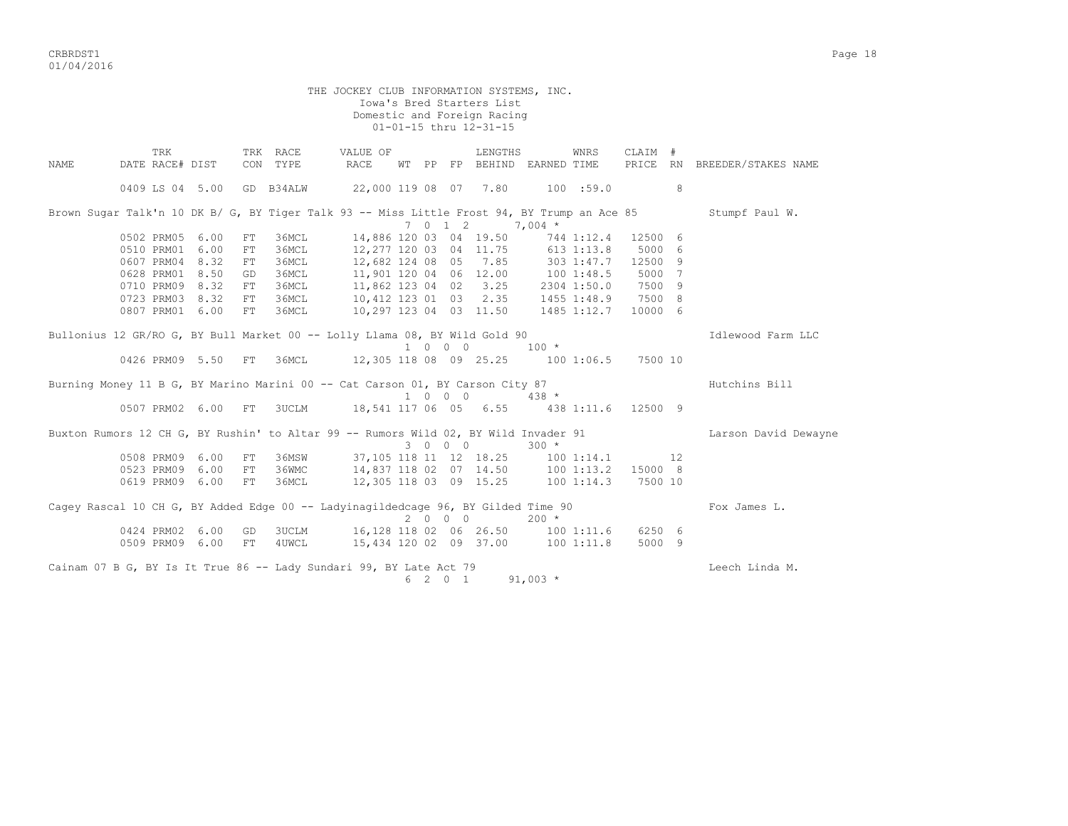CRBRDST1 Page 18 01/04/2016

 THE JOCKEY CLUB INFORMATION SYSTEMS, INC. Iowa's Bred Starters List Domestic and Foreign Racing 01-01-15 thru 12-31-15 TRK TRK RACE VALUE OF LENGTHS WNRS CLAIM # NAME DATE RACE# DIST CON TYPE RACE WT PP FP BEHIND EARNED TIME PRICE RN BREEDER/STAKES NAME 0409 LS 04 5.00 GD B34ALW 22,000 119 08 07 7.80 100 :59.0 8 Brown Sugar Talk'n 10 DK B/ G, BY Tiger Talk 93 -- Miss Little Frost 94, BY Trump an Ace 85 Stumpf Paul W. 7 0 1 2 7,004 \*<br>0502 PRM05 6.00 FT 36MCL 14,886 120 03 04 19.50 744 0502 PRM05 6.00 FT 36MCL 14,886 120 03 04 19.50 744 1:12.4 12500 6 0510 PRM01 6.00 FT 36MCL 12,277 120 03 04 11.75 613 1:13.8 5000 6 0607 PRM04 8.32 FT 36MCL 12,682 124 08 05 7.85 303 1:47.7 12500 9 0628 PRM01 8.50 GD 36MCL 11,901 120 04 06 12.00 100 1:48.5 5000 7 0710 PRM09 8.32 FT 36MCL 11,862 123 04 02 3.25 2304 1:50.0 7500 9 0723 PRM03 8.32 FT 36MCL 10,412 123 01 03 2.35 1455 1:48.9 7500 8 0807 PRM01 6.00 FT 36MCL 10,297 123 04 03 11.50 1485 1:12.7 10000 6 Bullonius 12 GR/RO G, BY Bull Market 00 -- Lolly Llama 08, BY Wild Gold 90 **Idlewood Farm LLC**  1 0 0 0 100 \* 0426 PRM09 5.50 FT 36MCL 12,305 118 08 09 25.25 100 1:06.5 7500 10 Burning Money 11 B G, BY Marino Marini 00 -- Cat Carson 01, BY Carson City 87 human human Bill  $1 \t0 \t0 \t0 \t0 \t438$  \* 0507 PRM02 6.00 FT 3UCLM 18,541 117 06 05 6.55 438 1:11.6 12500 9 Buxton Rumors 12 CH G, BY Rushin' to Altar 99 -- Rumors Wild 02, BY Wild Invader 91 Larson David Dewayne  $3 \t0 \t0 \t300 \t\t \star$ 0508 PRM09 6.00 FT 36MSW 37,105 118 11 12 18.25 100 1:14.1 12 0523 PRM09 6.00 FT 36WMC 14,837 118 02 07 14.50 100 1:13.2 15000 8 0619 PRM09 6.00 FT 36MCL 12,305 118 03 09 15.25 100 1:14.3 7500 10 Cagey Rascal 10 CH G, BY Added Edge 00 -- Ladyinagildedcage 96, BY Gilded Time 90 Fox James L.  $2 \t0 \t0 \t200 \t\t \star$  0424 PRM02 6.00 GD 3UCLM 16,128 118 02 06 26.50 100 1:11.6 6250 6 0509 PRM09 6.00 FT 4UWCL 15,434 120 02 09 37.00 100 1:11.8 5000 9 Cainam 07 B G, BY Is It True 86 -- Lady Sundari 99, BY Late Act 79 Cainam Communication Chech Linda M. 6 2 0 1 91,003 \*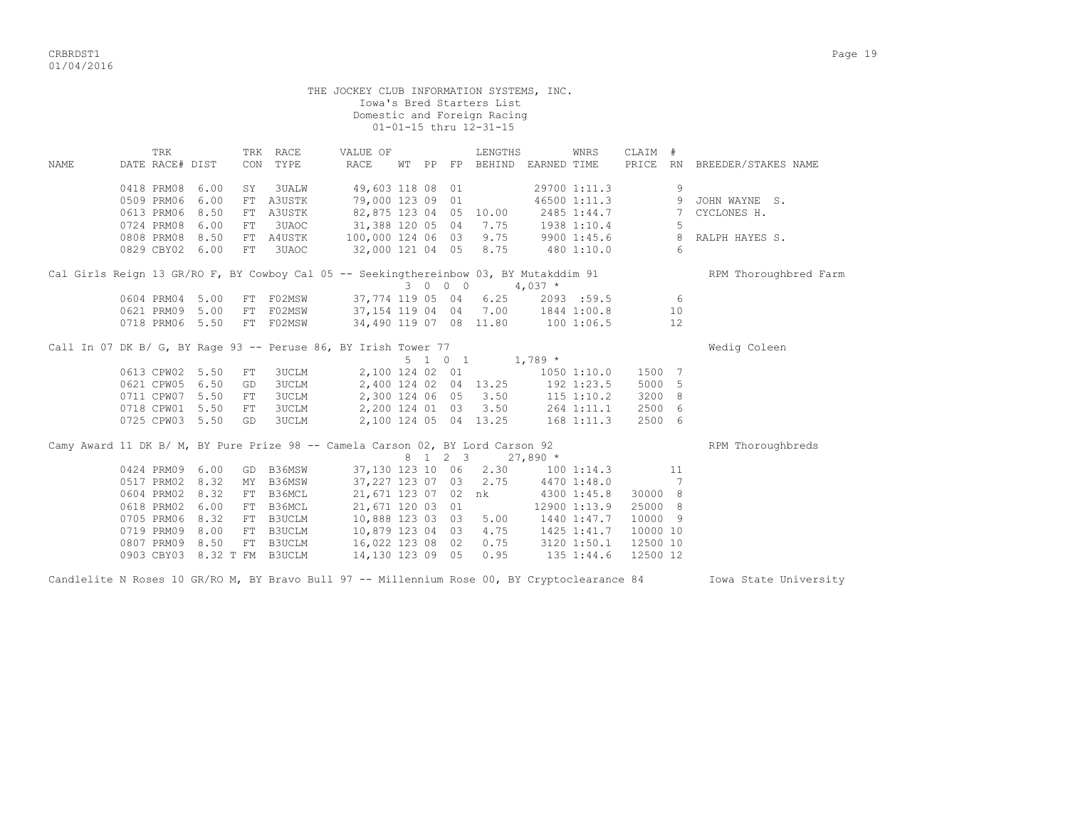|                                                                                       |                 |     |      |            |                             | THE JOCKEY CLUB INFORMATION SYSTEMS, INC. |  |                 | Iowa's Bred Starters List<br>Domestic and Foreign Racing<br>01-01-15 thru 12-31-15 |                             |              |          |                  |                              |
|---------------------------------------------------------------------------------------|-----------------|-----|------|------------|-----------------------------|-------------------------------------------|--|-----------------|------------------------------------------------------------------------------------|-----------------------------|--------------|----------|------------------|------------------------------|
|                                                                                       |                 | TRK |      |            | TRK RACE<br>CON TYPE        | VALUE OF                                  |  |                 | LENGTHS                                                                            |                             | WNRS         | CLAIM #  |                  |                              |
| NAME                                                                                  | DATE RACE# DIST |     |      |            |                             | RACE                                      |  |                 |                                                                                    | WT PP FP BEHIND EARNED TIME |              |          |                  | PRICE RN BREEDER/STAKES NAME |
|                                                                                       | 0418 PRM08      |     | 6.00 | SY         | 3UALW                       | 49,603 118 08 01                          |  |                 |                                                                                    |                             | 29700 1:11.3 |          | 9                |                              |
|                                                                                       | 0509 PRM06      |     | 6.00 |            | FT A3USTK                   | 79,000 123 09 01                          |  |                 |                                                                                    |                             | 46500 1:11.3 |          |                  | 9 JOHN WAYNE S.              |
|                                                                                       | 0613 PRM06      |     | 8.50 |            | FT A3USTK                   | 82,875 123 04 05 10.00                    |  |                 |                                                                                    |                             | 2485 1:44.7  |          | 7                | CYCLONES H.                  |
|                                                                                       | 0724 PRM08      |     | 6.00 | ${\rm FT}$ | 3UAOC                       | 31,388 120 05 04 7.75                     |  |                 |                                                                                    |                             | 1938 1:10.4  |          | 5                |                              |
|                                                                                       | 0808 PRM08      |     | 8.50 |            | FT A4USTK                   | 100,000 124 06 03 9.75                    |  |                 |                                                                                    | 9900 1:45.6                 |              |          | 8                | RALPH HAYES S.               |
|                                                                                       | 0829 CBY02 6.00 |     |      | FT         | 3UAOC                       | 32,000 121 04 05 8.75                     |  |                 |                                                                                    | 480 1:10.0                  |              |          | $6 \overline{6}$ |                              |
| Cal Girls Reign 13 GR/RO F, BY Cowboy Cal 05 -- Seekingthereinbow 03, BY Mutakddim 91 |                 |     |      |            |                             |                                           |  | 3 0 0 0         |                                                                                    | $4,037$ *                   |              |          |                  | RPM Thoroughbred Farm        |
|                                                                                       | 0604 PRM04 5.00 |     |      | FT         | F02MSW                      | 37,774 119 05 04                          |  |                 | 6.25                                                                               |                             | 2093:59.5    |          | $6\overline{6}$  |                              |
|                                                                                       | 0621 PRM09 5.00 |     |      |            | FT F02MSW                   | 37, 154 119 04 04 7.00                    |  |                 |                                                                                    |                             | 1844 1:00.8  |          | 10               |                              |
|                                                                                       | 0718 PRM06 5.50 |     |      |            | FT F02MSW                   | 34,490 119 07 08 11.80                    |  |                 |                                                                                    | 1001:06.5                   |              |          | 12               |                              |
| Call In 07 DK B/ G, BY Rage 93 -- Peruse 86, BY Irish Tower 77                        |                 |     |      |            |                             |                                           |  | $5 \t1 \t0 \t1$ |                                                                                    | $1,789$ *                   |              |          |                  | Wedig Coleen                 |
|                                                                                       | 0613 CPW02 5.50 |     |      | FT         | <b>3UCLM</b>                | 2,100 124 02 01                           |  |                 |                                                                                    |                             | 1050 1:10.0  | 1500 7   |                  |                              |
|                                                                                       | 0621 CPW05      |     | 6.50 | GD         | <b>3UCLM</b>                |                                           |  |                 | 2,400 124 02 04 13.25                                                              | 192 1:23.5                  |              | 5000 5   |                  |                              |
|                                                                                       | 0711 CPW07      |     | 5.50 | FT         | <b>3UCLM</b>                |                                           |  |                 | 2,300 124 06 05 3.50                                                               | 115 1:10.2                  |              | 3200 8   |                  |                              |
|                                                                                       | 0718 CPW01 5.50 |     |      | FT         | <b>3UCLM</b>                | 2,200 124 01 03 3.50                      |  |                 |                                                                                    | 264 1:11.1                  |              | 2500 6   |                  |                              |
|                                                                                       | 0725 CPW03 5.50 |     |      | GD         | <b>3UCLM</b>                | 2,100 124 05 04 13.25                     |  |                 |                                                                                    | $168$ $1:11.3$              |              | 2500 6   |                  |                              |
| Camy Award 11 DK B/ M, BY Pure Prize 98 -- Camela Carson 02, BY Lord Carson 92        |                 |     |      |            |                             |                                           |  |                 | 8 1 2 3                                                                            | $27,890*$                   |              |          |                  | RPM Thoroughbreds            |
|                                                                                       | 0424 PRM09 6.00 |     |      |            | GD B36MSW                   |                                           |  |                 | 37,130 123 10 06 2.30                                                              |                             | 1001:14.3    |          | 11               |                              |
|                                                                                       | 0517 PRM02      |     | 8.32 | MY         | B36MSW                      | 37,227 123 07 03 2.75                     |  |                 |                                                                                    |                             | 4470 1:48.0  |          | 7                |                              |
|                                                                                       | 0604 PRM02      |     | 8.32 |            | FT B36MCL                   | 21,671 123 07 02 nk                       |  |                 |                                                                                    |                             | 4300 1:45.8  | 30000 8  |                  |                              |
|                                                                                       | 0618 PRM02      |     | 6.00 |            | FT B36MCL                   | 21,671 120 03 01                          |  |                 |                                                                                    |                             | 12900 1:13.9 | 25000 8  |                  |                              |
|                                                                                       | 0705 PRM06      |     | 8.32 |            | FT B3UCLM                   | 10,888 123 03 03 5.00                     |  |                 |                                                                                    |                             | 1440 1:47.7  | 10000 9  |                  |                              |
|                                                                                       | 0719 PRM09      |     | 8.00 |            | FT B3UCLM                   | 10,879 123 04 03 4.75                     |  |                 |                                                                                    |                             | 1425 1:41.7  | 10000 10 |                  |                              |
|                                                                                       | 0807 PRM09      |     | 8.50 |            | FT B3UCLM                   | 16,022 123 08 02 0.75                     |  |                 |                                                                                    | 3120 1:50.1                 |              | 12500 10 |                  |                              |
|                                                                                       |                 |     |      |            | 0903 CBY03 8.32 T FM B3UCLM | 14,130 123 09 05                          |  |                 | 0.95                                                                               |                             | 135 1:44.6   | 12500 12 |                  |                              |
|                                                                                       |                 |     |      |            |                             |                                           |  |                 |                                                                                    |                             |              |          |                  |                              |

Candlelite N Roses 10 GR/RO M, BY Bravo Bull 97 -- Millennium Rose 00, BY Cryptoclearance 84 Iowa State University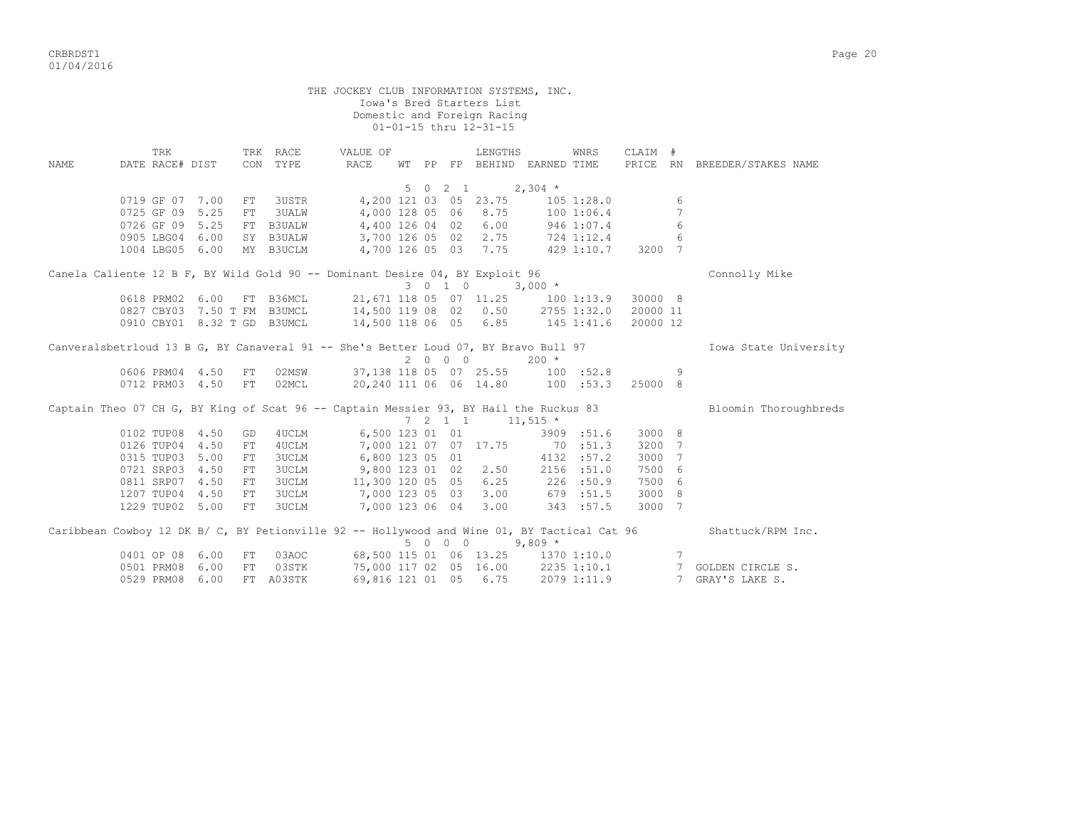CRBRDST1 Page 20 01/04/2016

 THE JOCKEY CLUB INFORMATION SYSTEMS, INC. Iowa's Bred Starters List Domestic and Foreign Racing 01-01-15 thru 12-31-15 TRK TRK RACE VALUE OF LENGTHS WNRS CLAIM # NAME DATE RACE# DIST CON TYPE RACE WT PP FP BEHIND EARNED TIME PRICE RN BREEDER/STAKES NAME  $5 \t 0 \t 2 \t 1 \t 2,304$  \* 0719 GF 07 7.00 FT 3USTR 4,200 121 03 05 23.75 105 1:28.0 6 0725 GF 09 5.25 FT 3UALW 4,000 128 05 06 8.75 100 1:06.4 7 0726 GF 09 5.25 FT B3UALW 4,400 126 04 02 6.00 946 1:07.4 6 0905 LBG04 6.00 SY B3UALW 3,700 126 05 02 2.75 724 1:12.4 6 1004 LBG05 6.00 MY B3UCLM 4,700 126 05 03 7.75 429 1:10.7 3200 7 Canela Caliente 12 B F, BY Wild Gold 90 -- Dominant Desire 04, BY Exploit 96 Connolly Mike  $3 \t 0 \t 1 \t 0 \t 3,000 \t \star$  0618 PRM02 6.00 FT B36MCL 21,671 118 05 07 11.25 100 1:13.9 30000 8 0827 CBY03 7.50 T FM B3UMCL 14,500 119 08 02 0.50 2755 1:32.0 20000 11 0910 CBY01 8.32 T GD B3UMCL 14,500 118 06 05 6.85 145 1:41.6 20000 12 Canveralsbetrloud 13 B G, BY Canaveral 91 -- She's Better Loud 07, BY Bravo Bull 97 Towa State University  $2 \t0 \t0 \t200 \t\t \star$  0606 PRM04 4.50 FT 02MSW 37,138 118 05 07 25.55 100 :52.8 9 0712 PRM03 4.50 FT 02MCL 20,240 111 06 06 14.80 100 :53.3 25000 8 Captain Theo 07 CH G, BY King of Scat 96 -- Captain Messier 93, BY Hail the Ruckus 83 Bloomin Thoroughbreds  $7 \quad 2 \quad 1 \quad 1 \quad 11.515 \quad *$ 

|  | 0102 TUP08      | 4.50 | GD  | 4UCLM                                                                                       | 6,500 123 01 01  |     |            |                        | 3909        | :51.6       | 3000 8 |                   |
|--|-----------------|------|-----|---------------------------------------------------------------------------------------------|------------------|-----|------------|------------------------|-------------|-------------|--------|-------------------|
|  | 0126 TUP04      | 4.50 | FT. | 4UCLM                                                                                       | 7,000 121 07 07  |     |            | 17.75                  | 70          | :51.3       | 3200 7 |                   |
|  | 0315 TUP03      | 5.00 | FT  | 3UCLM                                                                                       | 6,800 123 05 01  |     |            |                        | 4132        | :57.2       | 3000 7 |                   |
|  | 0721 SRP03      | 4.50 | FT. | 3UCLM                                                                                       | 9,800 123 01     |     | 02         | 2.50                   | 2156        | :51.0       | 7500 6 |                   |
|  | 0811 SRP07      | 4.50 | FT. | 3UCLM                                                                                       | 11,300 120 05 05 |     |            | 6.25                   |             | 226 : 50.9  | 7500 6 |                   |
|  | 1207 TUP04      | 4.50 | FT  | 3UCLM                                                                                       | 7,000 123 05 03  |     |            | 3.00                   | 679         | :51.5       | 3000 8 |                   |
|  | 1229 TUP02 5.00 |      | FT  | 3UCLM                                                                                       | 7,000 123 06 04  |     |            | 3.00                   |             | 343 :57.5   | 3000 7 |                   |
|  |                 |      |     | Caribbean Cowboy 12 DK B/ C, BY Petionville 92 -- Hollywood and Wine 01, BY Tactical Cat 96 |                  |     |            |                        |             |             |        | Shattuck/RPM Inc. |
|  |                 |      |     |                                                                                             |                  | 5 0 | $0\quad 0$ |                        | $9,809$ *   |             |        |                   |
|  | 0401 OP 08      | 6.00 | FT  | 03AOC                                                                                       |                  |     |            | 68,500 115 01 06 13.25 |             | 1370 1:10.0 |        |                   |
|  | 0501 PRM08      | 6.00 | FT  | 03STK                                                                                       |                  |     |            | 75,000 117 02 05 16.00 | 2235 1:10.1 |             |        | GOLDEN CIRCLE S.  |
|  | 0529 PRM08      | 6.00 | FT  | A03STK                                                                                      | 69,816 121 01 05 |     |            | 6.75                   |             | 2079 1:11.9 |        | 7 GRAY'S LAKE S.  |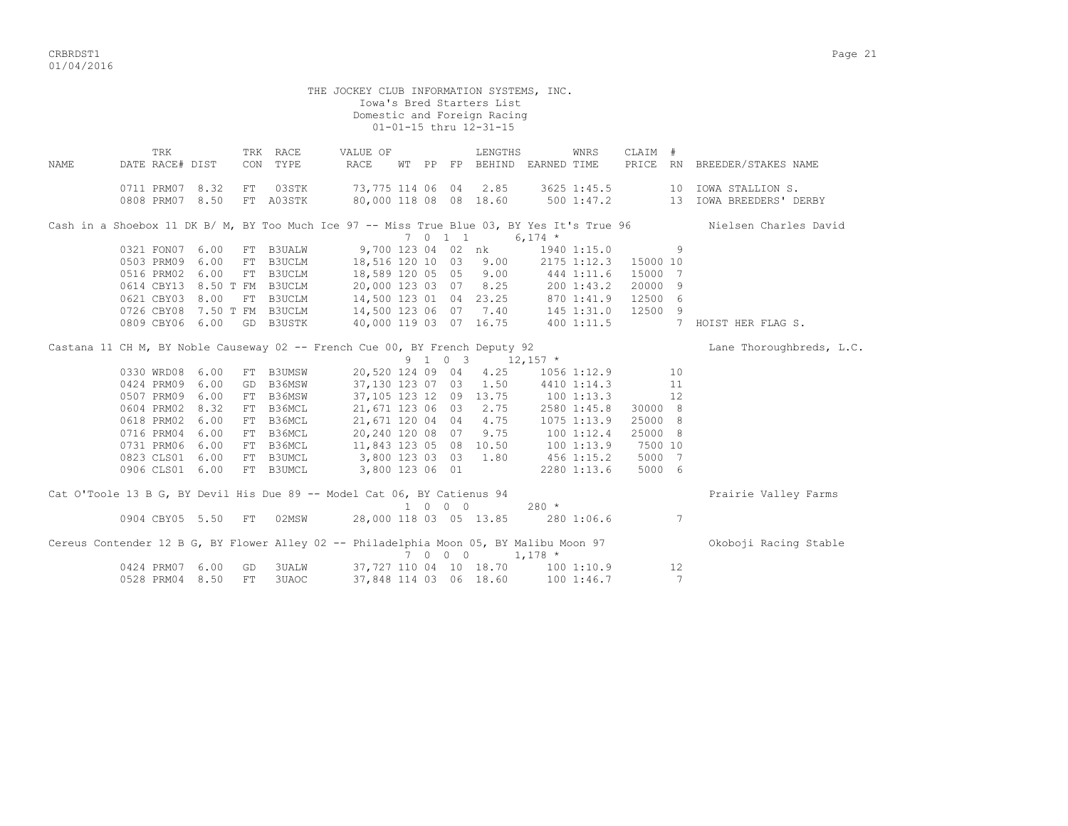CRBRDST1 Page 21 01/04/2016

 THE JOCKEY CLUB INFORMATION SYSTEMS, INC. Iowa's Bred Starters List Domestic and Foreign Racing 01-01-15 thru 12-31-15 TRK TRK RACE VALUE OF LENGTHS WNRS CLAIM # NAME DATE RACE# DIST CON TYPE RACE WT PP FP BEHIND EARNED TIME PRICE RN BREEDER/STAKES NAME 0711 PRM07 8.32 FT 03STK 73,775 114 06 04 2.85 3625 1:45.5 10 IOWA STALLION S. 0808 PRM07 8.50 FT A03STK 80,000 118 08 08 18.60 500 1:47.2 13 IOWA BREEDERS' DERBY Cash in a Shoebox 11 DK B/ M, BY Too Much Ice 97 -- Miss True Blue 03, BY Yes It's True 96 Nielsen Charles David  $7 \t 0 \t 1 \t 6,174 \t \star$ <br>9.700 123 04 02 nk 1940 0321 FON07 6.00 FT B3UALW 9,700 123 04 02 nk 1940 1:15.0 9 0503 PRM09 6.00 FT B3UCLM 18,516 120 10 03 9.00 2175 1:12.3 15000 10 0516 PRM02 6.00 FT B3UCLM 18,589 120 05 05 9.00 444 1:11.6 15000 7 0614 CBY13 8.50 T FM B3UCLM 20,000 123 03 07 8.25 200 1:43.2 20000 9 0621 CBY03 8.00 FT B3UCLM 14,500 123 01 04 23.25 870 1:41.9 12500 6 0726 CBY08 7.50 T FM B3UCLM 14,500 123 06 07 7.40 145 1:31.0 12500 9 0809 CBY06 6.00 GD B3USTK 40,000 119 03 07 16.75 400 1:11.5 7 HOIST HER FLAG S. Castana 11 CH M, BY Noble Causeway 02 -- French Cue 00, BY French Deputy 92 Lane Phoroughbreds, L.C. 9 1 0 3  $12,157$  \* 0330 WRD08 6.00 FT B3UMSW 20,520 124 09 04 4.25 1056 1:12.9 10 0424 PRM09 6.00 GD B36MSW 37,130 123 07 03 1.50 4410 1:14.3 11 0507 PRM09 6.00 FT B36MSW 37,105 123 12 09 13.75 100 1:13.3 12 0604 PRM02 8.32 FT B36MCL 21,671 123 06 03 2.75 2580 1:45.8 30000 8 0618 PRM02 6.00 FT B36MCL 21,671 120 04 04 4.75 1075 1:13.9 25000 8 0716 PRM04 6.00 FT B36MCL 20,240 120 08 07 9.75 100 1:12.4 25000 8 0731 PRM06 6.00 FT B36MCL 11,843 123 05 08 10.50 100 1:13.9 7500 10 0823 CLS01 6.00 FT B3UMCL 3,800 123 03 03 1.80 456 1:15.2 5000 7 0906 CLS01 6.00 FT B3UMCL 3,800 123 06 01 2280 1:13.6 5000 6  $C_1$  O'Toole 12 B G, BY Devil His Due 89 -- Model Cat  $0$  - BY Catienus 94 -- Due injections Valley Fa

| Cat O'TOOLE IS B G, BY DEVIL HIS DUE 89 -- MOQEL CAT U6, BY CATIENUS 94                |                    |                  |                                                  |                           |                          |     | Frairie valley Farms  |
|----------------------------------------------------------------------------------------|--------------------|------------------|--------------------------------------------------|---------------------------|--------------------------|-----|-----------------------|
|                                                                                        | 0904 CBY05 5.50 FT | 02MSW            | 1 0 0 0<br>28,000 118 03 05 13.85                |                           | $280 *$<br>280 1:06.6    |     |                       |
| Cereus Contender 12 B G, BY Flower Alley 02 -- Philadelphia Moon 05, BY Malibu Moon 97 |                    |                  |                                                  | $7 \t0 \t0 \t0 \t1.178$ * |                          |     | Okoboji Racing Stable |
| 0424 PRM07 6.00<br>0528 PRM04 8.50                                                     | GD.<br>一下下         | 3UALW<br>3UAOC - | 37,727 110 04 10 18.70<br>37,848 114 03 06 18.60 |                           | 100 1:10.9<br>100 1:46.7 | 12. |                       |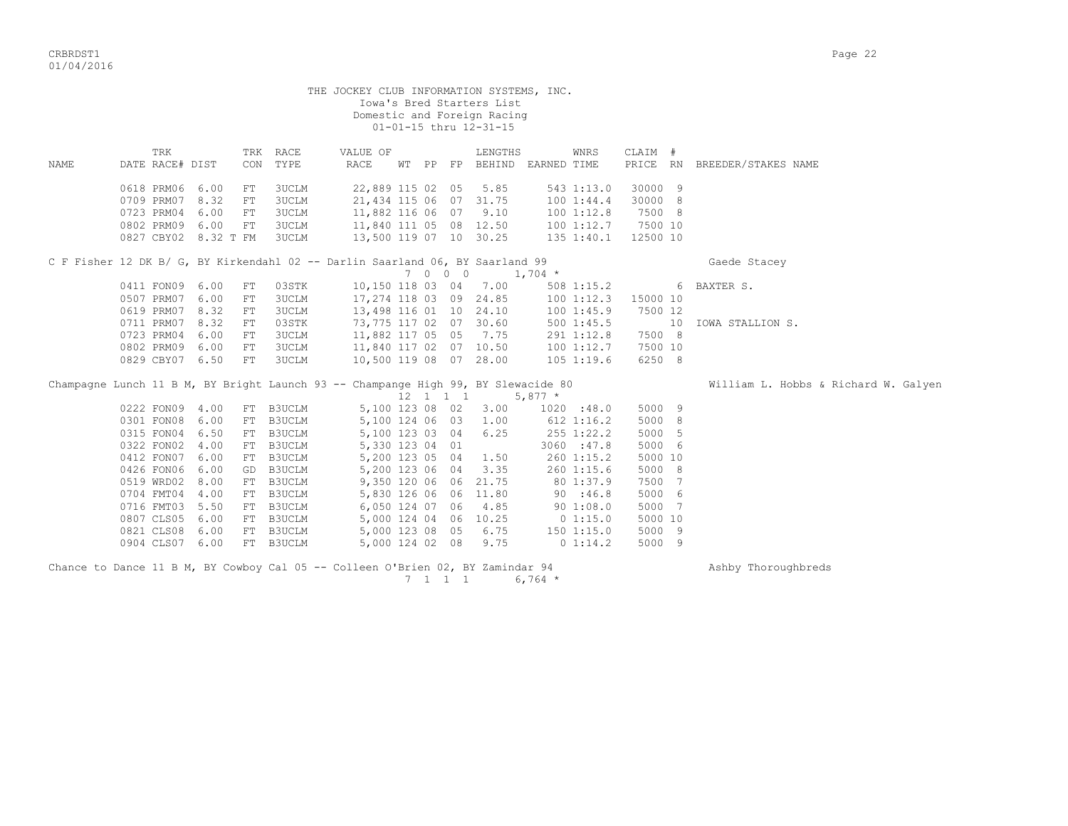|      |                                                                                   |      |                        |                      | THE JOCKEY CLUB INFORMATION SYSTEMS, INC.        |                         | Iowa's Bred Starters List<br>Domestic and Foreign Racing<br>01-01-15 thru 12-31-15 |                                           |         |  |                                      |
|------|-----------------------------------------------------------------------------------|------|------------------------|----------------------|--------------------------------------------------|-------------------------|------------------------------------------------------------------------------------|-------------------------------------------|---------|--|--------------------------------------|
| NAME | TRK<br>DATE RACE# DIST                                                            |      |                        | TRK RACE<br>CON TYPE | VALUE OF<br>RACE                                 |                         | LENGTHS                                                                            | WNRS<br>WT PP FP BEHIND EARNED TIME       | CLAIM # |  | PRICE RN BREEDER/STAKES NAME         |
|      | 0618 PRM06 6.00                                                                   |      | FT                     | 3UCLM                |                                                  | 22,889 115 02 05        | 5.85                                                                               | 543 1:13.0                                | 30000 9 |  |                                      |
|      | 0709 PRM07                                                                        | 8.32 | FT                     | <b>3UCLM</b>         |                                                  | 21, 434 115 06 07 31.75 |                                                                                    | 1001:44.4                                 | 30000 8 |  |                                      |
|      | 0723 PRM04                                                                        | 6.00 | FT                     | 3UCLM                |                                                  | 11,882 116 06 07 9.10   |                                                                                    | 100 1:12.8                                | 7500 8  |  |                                      |
|      | 0802 PRM09 6.00<br>0827 CBY02 8.32 T FM                                           |      | FT                     | 3UCLM<br>3UCLM       | 11,840 111 05 08 12.50<br>13,500 119 07 10 30.25 |                         |                                                                                    | 100 1:12.7 7500 10<br>135 1:40.1 12500 10 |         |  |                                      |
|      | C F Fisher 12 DK B/ G, BY Kirkendahl 02 -- Darlin Saarland 06, BY Saarland 99     |      | Gaede Stacey           |                      |                                                  |                         |                                                                                    |                                           |         |  |                                      |
|      | 0411 FON09 6.00                                                                   |      | 508 1:15.2 6 BAXTER S. |                      |                                                  |                         |                                                                                    |                                           |         |  |                                      |
|      | 0507 PRM07 6.00                                                                   |      | FT<br>FT               | 03STK<br>3UCLM       | 17,274 118 03 09 24.85                           |                         | 10,150 118 03 04 7.00                                                              | 100 1:12.3 15000 10                       |         |  |                                      |
|      | 0619 PRM07 8.32                                                                   |      | FT                     | 3UCLM                |                                                  | 13,498 116 01 10 24.10  |                                                                                    | 1001:45.9                                 | 7500 12 |  |                                      |
|      | 0711 PRM07 8.32                                                                   |      | FT                     | 03STK                | 73,775 117 02 07 30.60                           |                         |                                                                                    |                                           |         |  | 10 IOWA STALLION S.                  |
|      | 0723 PRM04                                                                        | 6.00 | FT                     | 3UCLM                | $11,882$ 117 05 05 7.75                          |                         |                                                                                    | 500 1:45.5<br>291 1:12.8<br>100 1:12.7    | 7500 8  |  |                                      |
|      | 0802 PRM09 6.00                                                                   |      | FT                     | 3UCLM                | 11,840 117 02 07 10.50                           |                         |                                                                                    |                                           | 7500 10 |  |                                      |
|      | 0829 CBY07 6.50                                                                   |      | FT                     | <b>3UCLM</b>         |                                                  | 10,500 119 08 07 28.00  |                                                                                    | $105$ 1:19.6                              | 6250 8  |  |                                      |
|      | Champagne Lunch 11 B M, BY Bright Launch 93 -- Champange High 99, BY Slewacide 80 |      |                        |                      |                                                  |                         | $12 \quad 1 \quad 1 \quad 1 \quad 5,877 \quad *$                                   |                                           |         |  | William L. Hobbs & Richard W. Galyen |
|      | 0222 FON09 4.00                                                                   |      |                        | FT B3UCLM            |                                                  |                         |                                                                                    | 5,100 123 08 02 3.00 1020 :48.0           | 5000 9  |  |                                      |
|      | 0301 FON08 6.00                                                                   |      |                        | FT B3UCLM            |                                                  | 5,100 124 06 03 1.00    |                                                                                    | $612$ 1:16.2                              | 5000 8  |  |                                      |
|      | 0315 FON04 6.50                                                                   |      |                        | FT B3UCLM            |                                                  | 5,100 123 03 04 6.25    |                                                                                    | 255 1:22.2                                | 5000 5  |  |                                      |
|      | 0322 FON02 4.00                                                                   |      |                        | FT B3UCLM            |                                                  | 5,330 123 04 01         |                                                                                    | 3060 : 47.8                               | 5000 6  |  |                                      |
|      | 0412 FON07                                                                        | 6.00 |                        | FT B3UCLM            |                                                  | 5,200 123 05 04 1.50    |                                                                                    | $260$ 1:15.2                              | 5000 10 |  |                                      |
|      | 0426 FON06                                                                        | 6.00 |                        | GD B3UCLM            |                                                  | 5,200 123 06 04         | 3.35                                                                               | 260 1:15.6                                | 5000 8  |  |                                      |
|      | 0519 WRD02 8.00                                                                   |      |                        | FT B3UCLM            |                                                  | 9,350 120 06 06 21.75   |                                                                                    |                                           | 7500 7  |  |                                      |
|      | 0704 FMT04 4.00                                                                   |      |                        | FT B3UCLM            |                                                  | 5,830 126 06 06 11.80   |                                                                                    | 80 1:37.9<br>90 :46.8                     | 5000 6  |  |                                      |
|      | 0716 FMT03 5.50                                                                   |      |                        | FT B3UCLM            |                                                  | 6,050 124 07 06 4.85    |                                                                                    | 90 1:08.0                                 | 5000 7  |  |                                      |
|      | 0807 CLS05 6.00                                                                   |      |                        | FT B3UCLM            |                                                  | 5,000 124 04 06 10.25   |                                                                                    | 0 1:15.0                                  | 5000 10 |  |                                      |
|      | 0821 CLS08                                                                        | 6.00 |                        | FT B3UCLM            |                                                  | 5,000 123 08 05 6.75    |                                                                                    | 1501:15.0                                 | 5000 9  |  |                                      |
|      | 0904 CLS07 6.00                                                                   |      |                        | FT B3UCLM            |                                                  | 5,000 124 02 08 9.75    |                                                                                    | $0\;1:14.2$                               | 5000 9  |  |                                      |
|      | Chance to Dance 11 B M, BY Cowboy Cal 05 -- Colleen O'Brien 02, BY Zamindar 94    |      |                        |                      |                                                  |                         |                                                                                    |                                           |         |  | Ashby Thoroughbreds                  |

 $7 \quad 1 \quad 1 \quad 1$  6,764 \*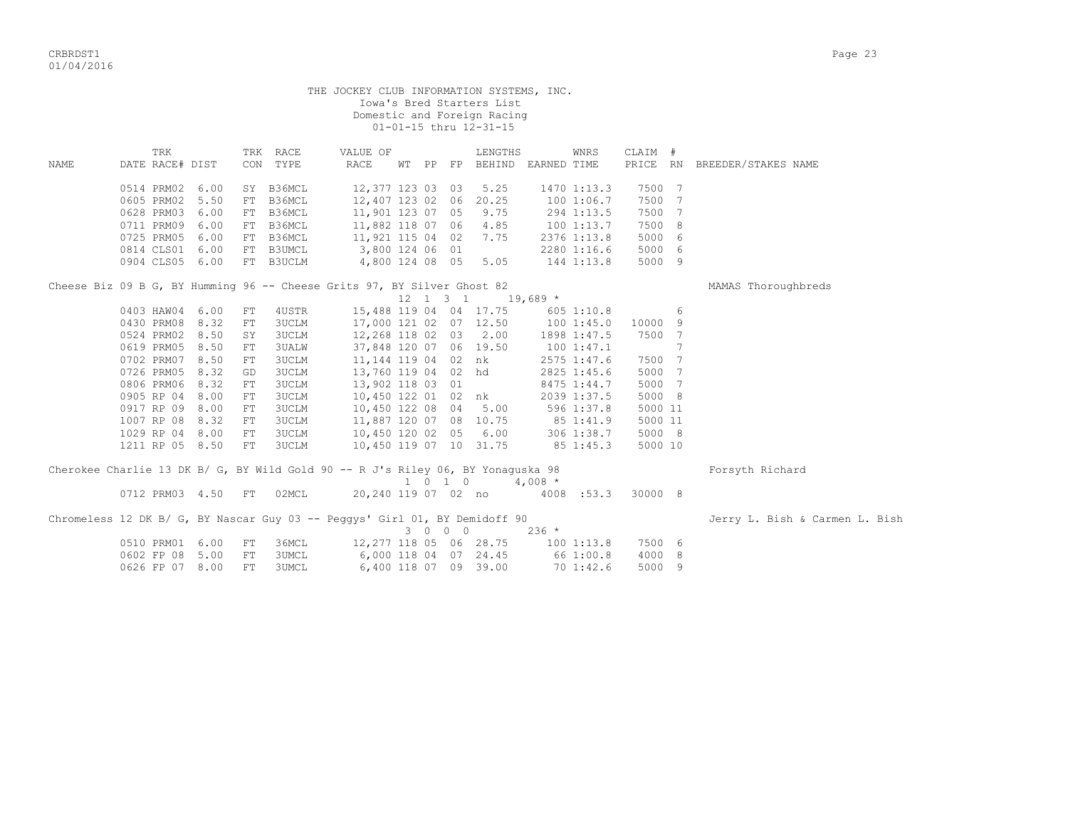|      |                          |      |    |              | THE JOCKEY CLUB INFORMATION SYSTEMS, INC.                                       |  |                              | Iowa's Bred Starters List<br>Domestic and Foreign Racing<br>01-01-15 thru 12-31-15 |            |                         |         |     |                                |
|------|--------------------------|------|----|--------------|---------------------------------------------------------------------------------|--|------------------------------|------------------------------------------------------------------------------------|------------|-------------------------|---------|-----|--------------------------------|
|      | TRK                      |      |    | TRK RACE     | VALUE OF                                                                        |  |                              | LENGTHS                                                                            |            | WNRS                    | CLAIM # |     |                                |
| NAME | DATE RACE# DIST          |      |    | CON TYPE     | RACE                                                                            |  |                              | WT PP FP BEHIND EARNED TIME                                                        |            |                         |         |     | PRICE RN BREEDER/STAKES NAME   |
|      | 0514 PRM02 6.00          |      |    | SY B36MCL    | 12,377 123 03 03                                                                |  |                              | 5.25                                                                               |            | 1470 1:13.3             | 7500 7  |     |                                |
|      | 0605 PRM02 5.50          |      |    | FT B36MCL    | 12,407 123 02 06 20.25                                                          |  |                              |                                                                                    |            | 1001:06.7               | 7500 7  |     |                                |
|      | 0628 PRM03 6.00          |      |    | FT B36MCL    | 11,901 123 07 05                                                                |  |                              | 9.75                                                                               |            | 294 1:13.5              | 7500 7  |     |                                |
|      | 0711 PRM09 6.00          |      |    | FT B36MCL    | 11,882 118 07 06 4.85                                                           |  |                              |                                                                                    |            | 100 1:13.7              | 7500 8  |     |                                |
|      | 0725 PRM05               | 6.00 |    | FT B36MCL    | 11,921 115 04 02                                                                |  |                              | 7.75                                                                               |            | 2376 1:13.8             | 5000 6  |     |                                |
|      | 0814 CLS01 6.00          |      |    | FT B3UMCL    | 3,800 124 06 01                                                                 |  |                              |                                                                                    |            | 2280 1:16.6             | 5000 6  |     |                                |
|      | 0904 CLS05 6.00          |      |    | FT B3UCLM    |                                                                                 |  |                              |                                                                                    |            | 144 1:13.8              | 5000 9  |     |                                |
|      |                          |      |    |              | 4,800 124 08 05 5.05                                                            |  |                              |                                                                                    |            |                         |         |     |                                |
|      |                          |      |    |              | Cheese Biz 09 B G, BY Humming 96 -- Cheese Grits 97, BY Silver Ghost 82         |  | $12 \quad 1 \quad 3 \quad 1$ |                                                                                    | $19,689$ * |                         |         |     | MAMAS Thoroughbreds            |
|      | 0403 HAW04 6.00          |      | FT | 4USTR        |                                                                                 |  |                              | 15,488 119 04 04 17.75                                                             |            | $605$ 1:10.8            |         | 6   |                                |
|      | 0430 PRM08 8.32          |      | FT | 3UCLM        | 17,000 121 02 07 12.50                                                          |  |                              |                                                                                    |            | 100 1:45.0              | 10000 9 |     |                                |
|      | 0524 PRM02 8.50          |      | SY | <b>3UCLM</b> | 12,268 118 02 03 2.00                                                           |  |                              |                                                                                    |            | 1898 1:47.5             | 7500 7  |     |                                |
|      | 0619 PRM05 8.50          |      | FT | 3UALW        | 37,848 120 07 06 19.50                                                          |  |                              |                                                                                    |            | 1001:47.1               |         | 7   |                                |
|      | 0702 PRM07 8.50          |      | FT |              |                                                                                 |  |                              |                                                                                    |            |                         | 7500 7  |     |                                |
|      | 0726 PRM05 8.32          |      |    | 3UCLM        |                                                                                 |  |                              | 11,144 119 04 02 nk                                                                |            | 2575 1:47.6             | 5000 7  |     |                                |
|      |                          |      | GD | 3UCLM        |                                                                                 |  |                              | 13,760 119 04 02 hd                                                                |            | 2825 1:45.6             |         |     |                                |
|      | 0806 PRM06 8.32          |      | FT | <b>3UCLM</b> | 13,902 118 03 01                                                                |  |                              |                                                                                    |            | 8475 1:44.7             | 5000 7  |     |                                |
|      | 0905 RP 04               | 8.00 | FT | 3UCLM        |                                                                                 |  |                              | 10,450 122 01 02 nk                                                                |            | 2039 1:37.5             | 5000 8  |     |                                |
|      | 0917 RP 09 8.00          |      | FT | 3UCLM        | 10,450 122 08 04 5.00                                                           |  |                              |                                                                                    |            | 596 1:37.8              | 5000 11 |     |                                |
|      | 1007 RP 08 8.32          |      | FT | 3UCLM        | 11,887 120 07 08 10.75                                                          |  |                              |                                                                                    |            | 85 1:41.9<br>306 1:38.7 | 5000 11 |     |                                |
|      | 1029 RP 04 8.00          |      | FT | 3UCLM        | 10,450 120 02 05 6.00                                                           |  |                              |                                                                                    |            |                         | 5000 8  |     |                                |
|      | 1211 RP 05 8.50          |      | FT | <b>3UCLM</b> | 10,450 119 07 10 31.75                                                          |  |                              |                                                                                    | 85 1:45.3  |                         | 5000 10 |     |                                |
|      |                          |      |    |              | Cherokee Charlie 13 DK B/ G, BY Wild Gold 90 -- R J's Riley 06, BY Yonaguska 98 |  |                              |                                                                                    |            |                         |         |     | Forsyth Richard                |
|      |                          |      |    |              |                                                                                 |  |                              | $1 \t0 \t1 \t0 \t4.008$ *                                                          |            |                         |         |     |                                |
|      | 0712 PRM03 4.50 FT 02MCL |      |    |              |                                                                                 |  |                              |                                                                                    |            |                         |         |     |                                |
|      |                          |      |    |              | Chromeless 12 DK B/ G, BY Nascar Guy 03 -- Peqqys' Girl 01, BY Demidoff 90      |  |                              |                                                                                    |            |                         |         |     | Jerry L. Bish & Carmen L. Bish |
|      |                          |      |    |              |                                                                                 |  | 3 0 0 0                      |                                                                                    | $236 *$    |                         |         |     |                                |
|      | 0510 PRM01 6.00          |      | FT | 36MCL        | 12,277 118 05 06 28.75                                                          |  |                              |                                                                                    |            | 1001:13.8               | 7500 6  |     |                                |
|      | 0602 FP 08 5.00          |      | FT | <b>3UMCL</b> |                                                                                 |  |                              | 6,000 118 04 07 24.45                                                              | 66 1:00.8  |                         | 4000 8  |     |                                |
|      | 0626 FP 07 8.00          |      | FT | 3UMCL        |                                                                                 |  |                              | 6,400 118 07 09 39.00                                                              |            | 701:42.6                | 5000    | - 9 |                                |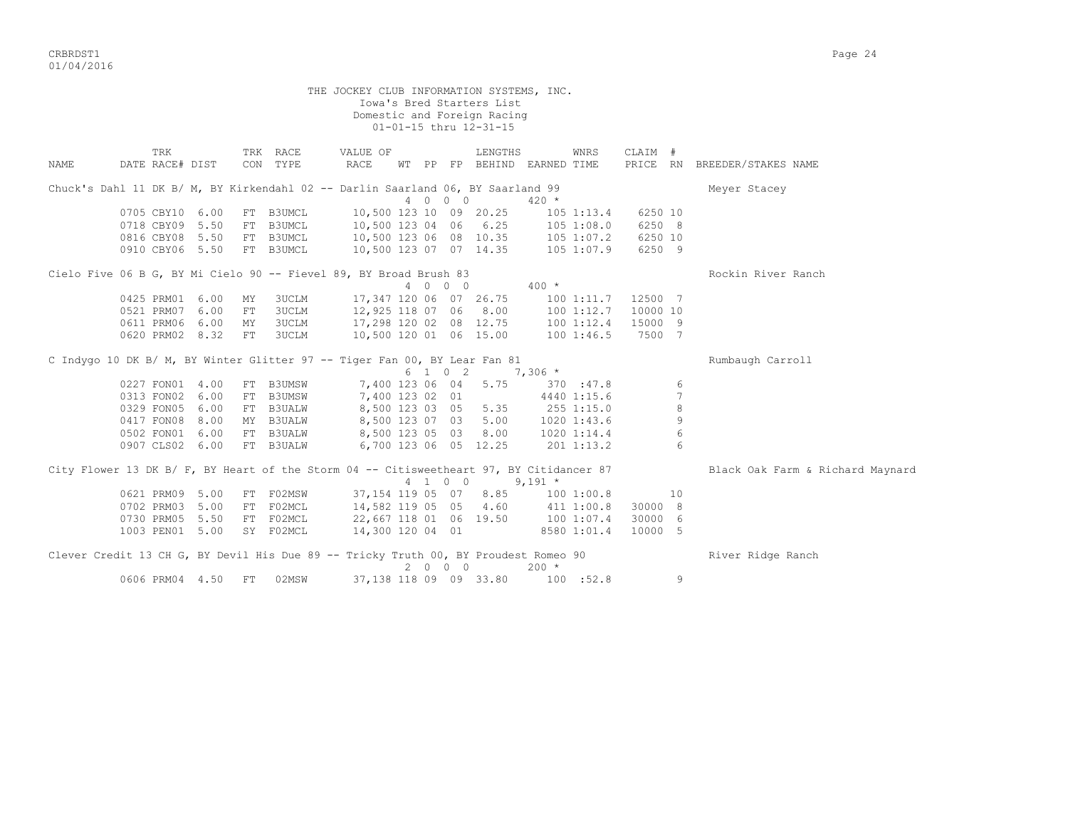CRBRDST1 Page 24 01/04/2016

THE JOCKEY CLUB INFORMATION SYSTEMS, INC. Iowa's Bred Starters List Domestic and Foreign Racing 01-01-15 thru 12-31-15 TRK TRK RACE VALUE OF LENGTHS WNRS CLAIM # NAME DATE RACE# DIST CON TYPE RACE WT PP FP BEHIND EARNED TIME PRICE RN BREEDER/STAKES NAME Chuck's Dahl 11 DK B/ M, BY Kirkendahl 02 -- Darlin Saarland 06, BY Saarland 99 Meyer Stacey 4 0 0 0 420 \* 0705 CBY10 6.00 FT B3UMCL 10,500 123 10 09 20.25 105 1:13.4 6250 10 0718 CBY09 5.50 FT B3UMCL 10,500 123 04 06 6.25 105 1:08.0 6250 8 0816 CBY08 5.50 FT B3UMCL 10,500 123 06 08 10.35 105 1:07.2 6250 10 0910 CBY06 5.50 FT B3UMCL 10,500 123 07 07 14.35 105 1:07.9 6250 9 Cielo Five 06 B G, BY Mi Cielo 90 -- Fievel 89, BY Broad Brush 83 Rockin Rockin River Ranch 4 0 0 0 400 \* 0425 PRM01 6.00 MY 3UCLM 17,347 120 06 07 26.75 100 1:11.7 12500 7 0521 PRM07 6.00 FT 3UCLM 12,925 118 07 06 8.00 100 1:12.7 10000 10 0611 PRM06 6.00 MY 3UCLM 17,298 120 02 08 12.75 100 1:12.4 15000 9 0620 PRM02 8.32 FT 3UCLM 10,500 120 01 06 15.00 100 1:46.5 7500 7 C Indygo 10 DK B/ M, BY Winter Glitter 97 -- Tiger Fan 00, BY Lear Fan 81 Rumbaugh Carroll 6 1 0 2 7,306 \* 0227 FON01 4.00 FT B3UMSW 7,400 123 06 04 5.75 370 :47.8 6<br>0313 FON02 6.00 FT B3UMSW 7.400 123 02 01 4440 1:15.6 7 0313 FON02 6.00 FT B3UMSW 7,400 123 02 01 4440 1:15.6 7 0329 FON05 6.00 FT B3UALW 8,500 123 03 05 5.35 255 1:15.0 8 0417 FON08 8.00 MY B3UALW 8,500 123 07 03 5.00 1020 1:43.6 9 0502 FON01 6.00 FT B3UALW 8,500 123 05 03 8.00 1020 1:14.4 6 0907 CLS02 6.00 FT B3UALW 6,700 123 06 05 12.25 201 1:13.2 6 City Flower 13 DK B/ F, BY Heart of the Storm 04 -- Citisweetheart 97, BY Citidancer 87 Black Oak Farm & Richard Maynard 4 1 0 0 9,191 \* 0621 PRM09 5.00 FT F02MSW 37,154 119 05 07 8.85 100 1:00.8 10 0702 PRM03 5.00 FT F02MCL 14,582 119 05 05 4.60 411 1:00.8 30000 8 0730 PRM05 5.50 FT F02MCL 22,667 118 01 06 19.50 100 1:07.4 30000 6 1003 PEN01 5.00 SY F02MCL 14,300 120 04 01 8580 1:01.4 10000 5 Clever Credit 13 CH G, BY Devil His Due 89 -- Tricky Truth 00, BY Proudest Romeo 90 River Ridge Ranch  $200 *$ 0606 PRM04 4.50 FT 02MSW 37,138 118 09 09 33.80 100 :52.8 9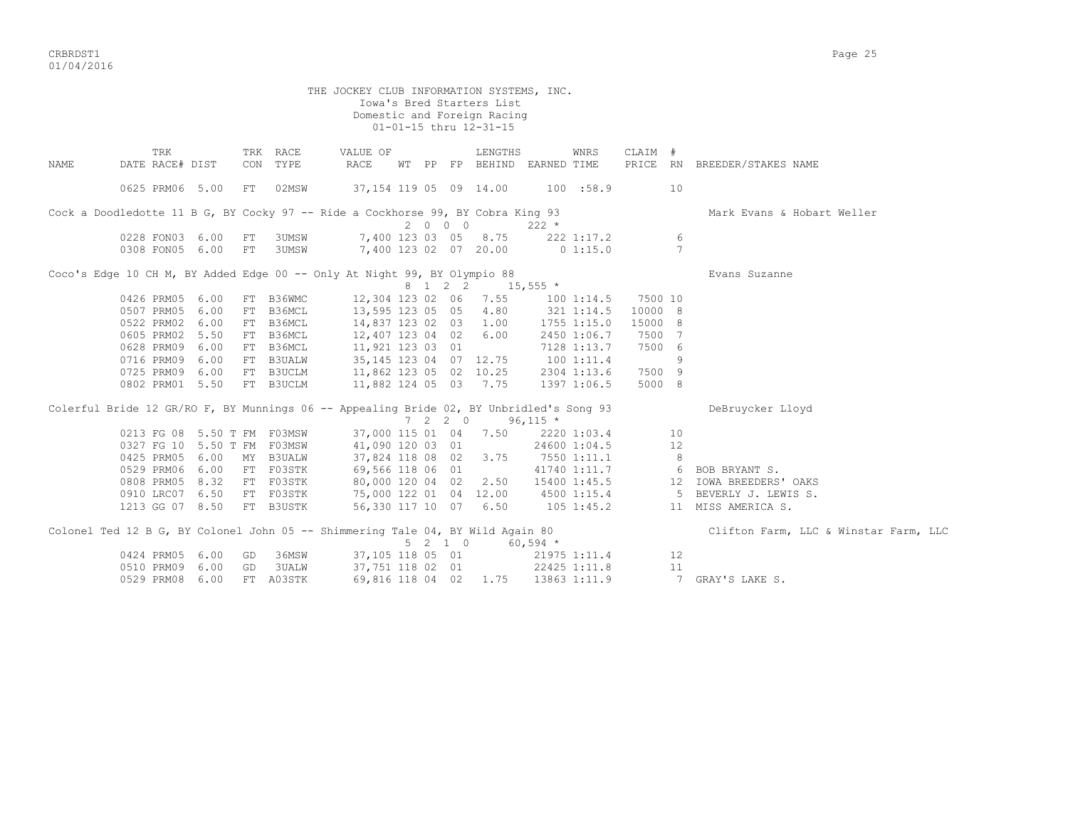CRBRDST1 Page 25 01/04/2016

THE JOCKEY CLUB INFORMATION SYSTEMS, INC. Iowa's Bred Starters List Domestic and Foreign Racing 01-01-15 thru 12-31-15 TRK TRK RACE VALUE OF LENGTHS WNRS CLAIM # NAME DATE RACE# DIST CON TYPE RACE WT PP FP BEHIND EARNED TIME PRICE RN BREEDER/STAKES NAME 0625 PRM06 5.00 FT 02MSW 37,154 119 05 09 14.00 100 :58.9 10 Cock a Doodledotte 11 B G, BY Cocky 97 -- Ride a Cockhorse 99, BY Cobra King 93 Mark Evans & Hobart Weller  $0228 \text{ FONO3} \quad 6.00 \quad \text{FT} \quad 3 \text{UMSW} \qquad 7,400 \quad 123 \quad 03 \quad 05 \quad 8.75 \qquad 222$  0228 FON03 6.00 FT 3UMSW 7,400 123 03 05 8.75 222 1:17.2 6 0308 FON05 6.00 FT 3UMSW 7,400 123 02 07 20.00 0 1:15.0 7 Coco's Edge 10 CH M, BY Added Edge 00 -- Only At Night 99, BY Olympio 88  $8 \t1 \t2 \t2 \t15.555 \t*$  0426 PRM05 6.00 FT B36WMC 12,304 123 02 06 7.55 100 1:14.5 7500 10 0507 PRM05 6.00 FT B36MCL 13,595 123 05 05 4.80 321 1:14.5 10000 8 0522 PRM02 6.00 FT B36MCL 14,837 123 02 03 1.00 1755 1:15.0 15000 8 0605 PRM02 5.50 FT B36MCL 12,407 123 04 02 6.00 2450 1:06.7 7500 7 0628 PRM09 6.00 FT B36MCL 11,921 123 03 01 7128 1:13.7 7500 6 0716 PRM09 6.00 FT B3UALW 35,145 123 04 07 12.75 100 1:11.4 9 0725 PRM09 6.00 FT B3UCLM 11,862 123 05 02 10.25 2304 1:13.6 7500 9 0802 PRM01 5.50 FT B3UCLM 11,882 124 05 03 7.75 1397 1:06.5 5000 8 Colerful Bride 12 GR/RO F, BY Munnings 06 -- Appealing Bride 02, BY Unbridled's Song 93 DeBruycker Lloyd  $7$  2 2 0 96,115 \*<br>37,000 115 01 04 7.50 2220 1:03.4 10<br>41,090 120 03 01 24600 1:04.5 12 0213 FG 08 5.50 T FM F03MSW 37,000 115 01 04 7.50 0327 FG 10 5.50 T FM F03MSW 41,090 120 03 01 24600 1:04.5 12 0425 PRM05 6.00 MY B3UALW 37,824 118 08 02 3.75 7550 1:11.1 8 0425 PRM05 6.00 MY B3UALW 37,824 118 08 02 3.75 7550 1:11.1 8<br>0529 PRM06 6.00 FT F03STK 69,566 118 06 01 41740 1:11.7 6 BOB BRYANT S. 0808 PRM05 8.32 FT F03STK 80,000 120 04 02 2.50 15400 1:45.5 12 IOWA BREEDERS' OAKS 0910 LRC07 6.50 FT F03STK 75,000 122 01 04 12.00 4500 1:15.4 5 BEVERLY J. LEWIS S. 1213 GG 07 8.50 FT B3USTK 56,330 117 10 07 6.50 105 1:45.2 11 MISS AMERICA S. Colonel Ted 12 B G, BY Colonel John 05 -- Shimmering Tale 04, BY Wild Again 80 Clifton Farm, LLC & Winstar Farm, LLC  $5 \t2 \t1 \t0 \t60.594 \t\t*$  0424 PRM05 6.00 GD 36MSW 37,105 118 05 01 21975 1:11.4 12 0510 PRM09 6.00 GD 3UALW 37,751 118 02 01 22425 1:11.8 11 0529 PRM08 6.00 FT A03STK 69,816 118 04 02 1.75 13863 1:11.9 7 GRAY'S LAKE S.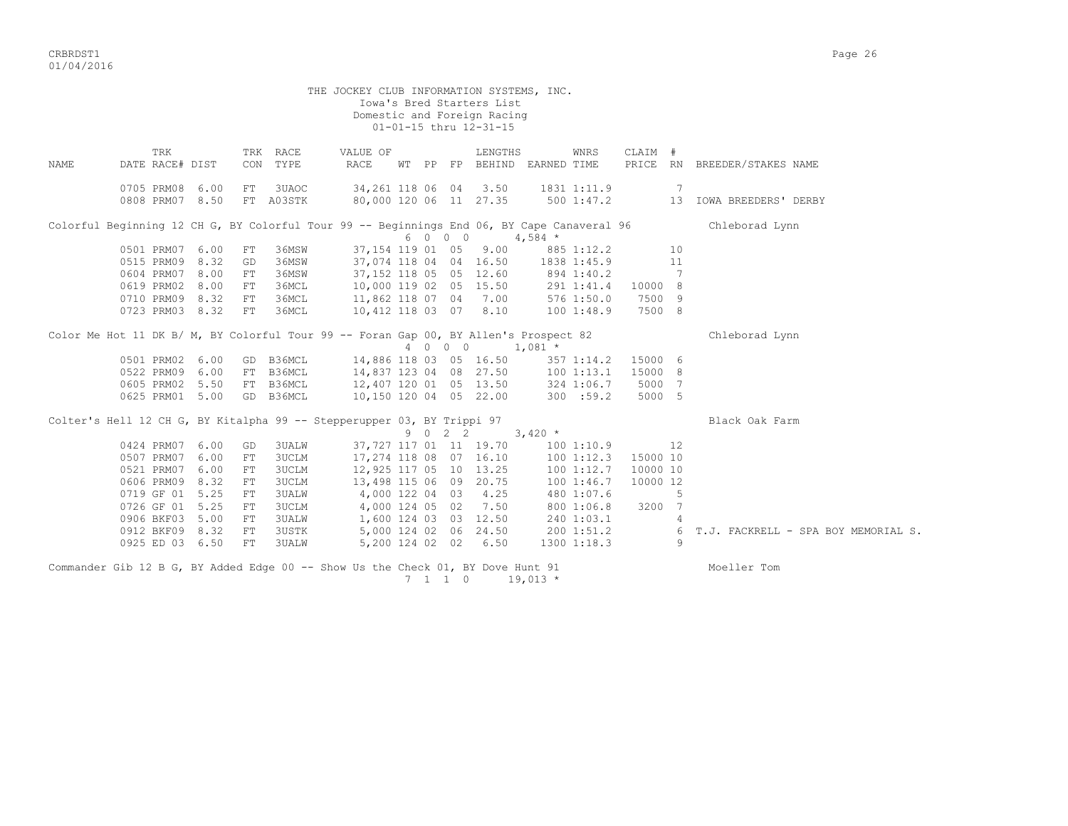|      |                                    |      |          |                              | THE JOCKEY CLUB INFORMATION SYSTEMS, INC.                                                  |  | Iowa's Bred Starters List<br>Domestic and Foreign Racing<br>01-01-15 thru 12-31-15 |            |                        |                      |                |                                            |
|------|------------------------------------|------|----------|------------------------------|--------------------------------------------------------------------------------------------|--|------------------------------------------------------------------------------------|------------|------------------------|----------------------|----------------|--------------------------------------------|
|      |                                    |      |          |                              |                                                                                            |  |                                                                                    |            |                        |                      |                |                                            |
| NAME | TRK<br>DATE RACE# DIST             |      |          | TRK RACE<br>CON TYPE         | VALUE OF<br>RACE                                                                           |  | LENGTHS<br>WT PP FP BEHIND EARNED TIME                                             |            | WNRS                   | CLAIM #              |                | PRICE RN BREEDER/STAKES NAME               |
|      | 0705 PRM08 6.00                    |      | FT       | 3UAOC                        |                                                                                            |  | 34, 261 118 06 04 3.50 1831 1:11.9                                                 |            |                        |                      | $\overline{7}$ |                                            |
|      | 0808 PRM07 8.50                    |      |          | FT A03STK                    |                                                                                            |  | 80,000 120 06 11 27.35 500 1:47.2                                                  |            |                        |                      |                | 13 IOWA BREEDERS' DERBY                    |
|      |                                    |      |          |                              | Colorful Beginning 12 CH G, BY Colorful Tour 99 -- Beginnings End 06, BY Cape Canaveral 96 |  | 6 0 0 0                                                                            | $4,584$ *  |                        |                      |                | Chleborad Lynn                             |
|      | 0501 PRM07 6.00                    |      | FT       | 36MSW                        |                                                                                            |  | 37,154 119 01 05 9.00                                                              |            | 885 1:12.2             |                      | 10             |                                            |
|      | 0515 PRM09 8.32                    |      | GD       | 36MSW                        |                                                                                            |  | 37,074 118 04 04 16.50 1838 1:45.9                                                 |            |                        |                      | 11             |                                            |
|      | 0604 PRM07 8.00                    |      | FT       | 36MSW                        |                                                                                            |  | 37,152 118 05 05 12.60                                                             | 894 1:40.2 |                        |                      | 7              |                                            |
|      | 0619 PRM02                         | 8.00 | FT       | 36MCL                        | 10,000 119 02 05 15.50                                                                     |  |                                                                                    | 291 1:41.4 |                        | 10000 8              |                |                                            |
|      | 0710 PRM09 8.32                    |      | FT       | 36MCL                        | 11,862 118 07 04 7.00                                                                      |  |                                                                                    | 576 1:50.0 |                        | 7500 9               |                |                                            |
|      | 0723 PRM03 8.32                    |      | FT       | 36MCL                        | 10,412 118 03 07 8.10                                                                      |  |                                                                                    | 100 1:48.9 |                        | 7500 8               |                |                                            |
|      |                                    |      |          |                              | Color Me Hot 11 DK B/ M, BY Colorful Tour 99 -- Foran Gap 00, BY Allen's Prospect 82       |  |                                                                                    |            |                        |                      |                | Chleborad Lynn                             |
|      |                                    |      |          |                              |                                                                                            |  | 4 0 0 0 1,081 *                                                                    |            |                        |                      |                |                                            |
|      | 0501 PRM02 6.00<br>0522 PRM09 6.00 |      |          | GD B36MCL<br>FT B36MCL       | 14,886 118 03 05 16.50<br>14,837 123 04 08 27.50 100 1:13.1                                |  |                                                                                    |            | 357 1:14.2             | 15000 6<br>15000 8   |                |                                            |
|      | 0605 PRM02 5.50                    |      |          | FT B36MCL                    |                                                                                            |  | 12,407 120 01 05 13.50 324 1:06.7                                                  |            |                        | 5000 7               |                |                                            |
|      | 0625 PRM01 5.00                    |      |          | GD B36MCL                    | 10,150 120 04 05 22.00                                                                     |  |                                                                                    | 300 : 59.2 |                        | 5000 5               |                |                                            |
|      |                                    |      |          |                              |                                                                                            |  |                                                                                    |            |                        |                      |                |                                            |
|      |                                    |      |          |                              | Colter's Hell 12 CH G, BY Kitalpha 99 -- Stepperupper 03, BY Trippi 97                     |  |                                                                                    |            |                        |                      |                | Black Oak Farm                             |
|      | 0424 PRM07 6.00                    |      |          |                              |                                                                                            |  | 9 0 2 2 3,420 $*$                                                                  |            |                        |                      |                |                                            |
|      |                                    |      | GD       | <b>3UALW</b>                 |                                                                                            |  | 37, 727 117 01 11 19.70 100 1:10.9                                                 |            |                        |                      | 12             |                                            |
|      | 0507 PRM07 6.00<br>0521 PRM07 6.00 |      | FT<br>FT | <b>3UCLM</b>                 |                                                                                            |  | $17,274$ 118 08 07 16.10 100 1:12.3                                                |            |                        | 15000 10             |                |                                            |
|      | 0606 PRM09 8.32                    |      | FT       | <b>3UCLM</b><br><b>3UCLM</b> | 12,925 117 05 10 13.25<br>13,498 115 06 09 20.75                                           |  |                                                                                    |            | 1001:12.7<br>1001:46.7 | 10000 10<br>10000 12 |                |                                            |
|      | 0719 GF 01 5.25                    |      | FT.      | <b>3UALW</b>                 | 4,000 122 04 03 4.25                                                                       |  |                                                                                    |            | 480 1:07.6             |                      | 5              |                                            |
|      | 0726 GF 01 5.25                    |      | FT       | <b>3UCLM</b>                 | 4,000 124 05 02 7.50                                                                       |  |                                                                                    |            | 800 1:06.8             | 3200 7               |                |                                            |
|      | 0906 BKF03 5.00                    |      | FT.      | <b>3UALW</b>                 | 1,600 124 03 03 12.50                                                                      |  |                                                                                    |            | 240 1:03.1             |                      | 4              |                                            |
|      | 0912 BKF09 8.32                    |      | FT       | <b>3USTK</b>                 | 5,000 124 02 06 24.50 200 1:51.2                                                           |  |                                                                                    |            |                        |                      | 6              | T.J. FACKRELL - SPA BOY MEMORIAL S.        |
|      | 0925 ED 03 6.50                    |      | FT       | <b>3UALW</b>                 | 5,200 124 02 02 6.50                                                                       |  |                                                                                    |            | 1300 1:18.3            |                      | 9              |                                            |
|      |                                    |      |          |                              | a i gli in principale del control di logare di log                                         |  |                                                                                    |            |                        |                      |                | $\mathbf{r}$ , and the set of $\mathbf{r}$ |
|      |                                    |      |          |                              |                                                                                            |  |                                                                                    |            |                        |                      |                |                                            |

Commander Gib 12 B G, BY Added Edge 00 -- Show Us the Check 01, BY Dove Hunt 91 Moeller Tom  $7 \quad 1 \quad 1 \quad 0 \qquad 19,013$  \*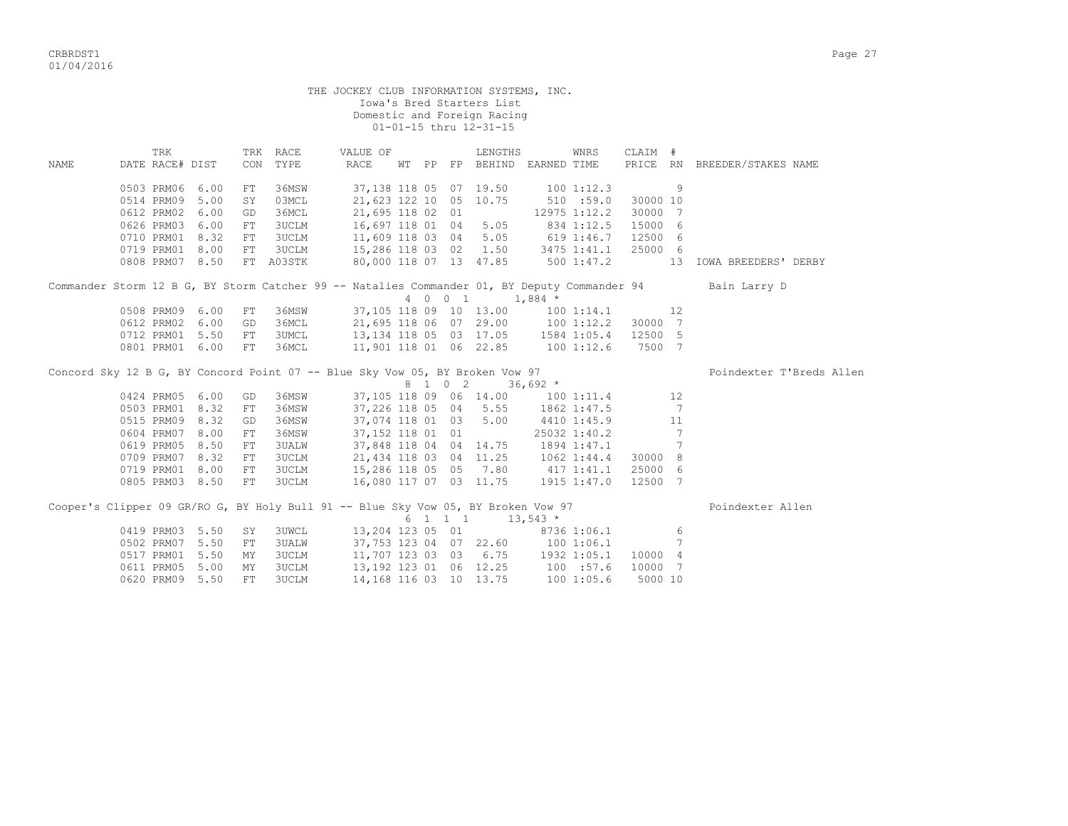|       | THE JOCKEY CLUB INFORMATION SYSTEMS, INC.<br>Iowa's Bred Starters List<br>Domestic and Foreign Racing<br>01-01-15 thru 12-31-15<br>TRK RACE<br>CLAIM #<br>TRK<br>VALUE OF<br>LENGTHS<br>WNRS |      |    |              |                                                                                                                                     |  |  |  |                                                |                                                                        |             |          |                 |                                                                                                           |  |
|-------|----------------------------------------------------------------------------------------------------------------------------------------------------------------------------------------------|------|----|--------------|-------------------------------------------------------------------------------------------------------------------------------------|--|--|--|------------------------------------------------|------------------------------------------------------------------------|-------------|----------|-----------------|-----------------------------------------------------------------------------------------------------------|--|
| NAMF. | DATE RACE# DIST                                                                                                                                                                              |      |    | CON TYPE     | RACE                                                                                                                                |  |  |  |                                                | WT PP FP BEHIND EARNED TIME                                            |             |          |                 | PRICE RN BREEDER/STAKES NAME                                                                              |  |
|       |                                                                                                                                                                                              |      |    |              |                                                                                                                                     |  |  |  |                                                |                                                                        |             |          |                 |                                                                                                           |  |
|       | 0503 PRM06 6.00                                                                                                                                                                              |      | FT | 36MSW        | 37,138 118 05 07 19.50                                                                                                              |  |  |  |                                                | $100$ 1:12.3                                                           |             |          | 9               |                                                                                                           |  |
|       | 0514 PRM09 5.00                                                                                                                                                                              |      | SY | 03MCL        | 21,623 122 10 05 10.75                                                                                                              |  |  |  |                                                | 510 : 59.0                                                             |             | 30000 10 |                 |                                                                                                           |  |
|       | 0612 PRM02 6.00                                                                                                                                                                              |      | GD | 36MCL        | 21,695 118 02 01                                                                                                                    |  |  |  |                                                | 12975 1:12.2                                                           |             | 30000 7  |                 |                                                                                                           |  |
|       | 0626 PRM03 6.00                                                                                                                                                                              |      | FT | 3UCLM        | 16,697 118 01 04                                                                                                                    |  |  |  | 5.05                                           |                                                                        | 834 1:12.5  | 15000 6  |                 |                                                                                                           |  |
|       | 0710 PRM01 8.32                                                                                                                                                                              |      | FT | 3UCLM        | 11,609 118 03 04 5.05                                                                                                               |  |  |  |                                                | 619 1:46.7                                                             |             | 12500 6  |                 |                                                                                                           |  |
|       | 0719 PRM01 8.00                                                                                                                                                                              |      | FT | <b>3UCLM</b> | 15,286 118 03 02 1.50 3475 1:41.1                                                                                                   |  |  |  |                                                |                                                                        |             | 25000 6  |                 |                                                                                                           |  |
|       | 0808 PRM07 8.50                                                                                                                                                                              |      |    | FT A03STK    | 80,000 118 07 13 47.85                                                                                                              |  |  |  |                                                |                                                                        |             |          |                 | 500 1:47.2 13 IOWA BREEDERS' DERBY                                                                        |  |
|       |                                                                                                                                                                                              |      |    |              |                                                                                                                                     |  |  |  | 4 0 0 1 1,884 *                                |                                                                        |             |          |                 | Commander Storm 12 B G, BY Storm Catcher 99 -- Natalies Commander 01, BY Deputy Commander 94 Bain Larry D |  |
|       | 0508 PRM09 6.00                                                                                                                                                                              |      | FT | 36MSW        | 37,105 118 09 10 13.00 100 1:14.1                                                                                                   |  |  |  |                                                |                                                                        |             |          | 12              |                                                                                                           |  |
|       | 0612 PRM02 6.00                                                                                                                                                                              |      | GD | 36MCL        | 21,695 118 06 07 29.00 100 1:12.2 30000 7<br>13,134 118 05 03 17.05 1584 1:05.4 12500 5<br>11,901 118 01 06 22.85 100 1:12.6 7500 7 |  |  |  |                                                |                                                                        |             |          |                 |                                                                                                           |  |
|       | 0712 PRM01 5.50                                                                                                                                                                              |      | FT | <b>3UMCL</b> |                                                                                                                                     |  |  |  |                                                |                                                                        |             |          |                 |                                                                                                           |  |
|       | 0801 PRM01 6.00                                                                                                                                                                              |      | FT | 36MCL        |                                                                                                                                     |  |  |  |                                                |                                                                        |             |          |                 |                                                                                                           |  |
|       | Concord Sky 12 B G, BY Concord Point 07 -- Blue Sky Vow 05, BY Broken Vow 97                                                                                                                 |      |    |              |                                                                                                                                     |  |  |  |                                                |                                                                        |             |          |                 | Poindexter T'Breds Allen                                                                                  |  |
|       |                                                                                                                                                                                              |      |    |              |                                                                                                                                     |  |  |  | 8 1 0 2 36,692 *                               |                                                                        |             |          |                 |                                                                                                           |  |
|       | 0424 PRM05 6.00                                                                                                                                                                              |      | GD | 36MSW        |                                                                                                                                     |  |  |  |                                                | 37,105 118 09 06 14.00 100 1:11.4<br>37,226 118 05 04 5.55 1862 1:47.5 |             |          | 12              |                                                                                                           |  |
|       | 0503 PRM01 8.32                                                                                                                                                                              |      | FT | 36MSW        |                                                                                                                                     |  |  |  |                                                |                                                                        |             |          | $\overline{7}$  |                                                                                                           |  |
|       | 0515 PRM09 8.32                                                                                                                                                                              |      | GD | 36MSW        |                                                                                                                                     |  |  |  | 37,074 118 01 03 5.00                          | 4410 1:45.9                                                            |             |          | 11              |                                                                                                           |  |
|       | 0604 PRM07 8.00                                                                                                                                                                              |      | FT | 36MSW        | 37,152 118 01 01                                                                                                                    |  |  |  |                                                | $25032$ 1:40.2                                                         |             |          | 7               |                                                                                                           |  |
|       | 0619 PRM05 8.50                                                                                                                                                                              |      | FT | 3UALW        |                                                                                                                                     |  |  |  |                                                | 37,848 118 04 04 14.75 1894 1:47.1                                     |             |          | $7\phantom{.0}$ |                                                                                                           |  |
|       | 0709 PRM07 8.32                                                                                                                                                                              |      | FT | <b>3UCLM</b> | 21,434 118 03 04 11.25                                                                                                              |  |  |  |                                                | $1062$ $1:44.4$<br>$417$ $1:41.1$                                      |             | 30000 8  |                 |                                                                                                           |  |
|       | 0719 PRM01 8.00                                                                                                                                                                              |      | FT | 3UCLM        | 15,286 118 05 05 7.80                                                                                                               |  |  |  |                                                |                                                                        |             | 25000 6  |                 |                                                                                                           |  |
|       | 0805 PRM03 8.50 FT                                                                                                                                                                           |      |    | <b>3UCLM</b> |                                                                                                                                     |  |  |  |                                                | 16,080 117 07 03 11.75 1915 1:47.0                                     |             | 12500 7  |                 |                                                                                                           |  |
|       | Cooper's Clipper 09 GR/RO G, BY Holy Bull 91 -- Blue Sky Vow 05, BY Broken Vow 97                                                                                                            |      |    |              |                                                                                                                                     |  |  |  | $6 \quad 1 \quad 1 \quad 1 \quad 13,543 \star$ |                                                                        |             |          |                 | Poindexter Allen                                                                                          |  |
|       | 0419 PRM03 5.50                                                                                                                                                                              |      | SY | 3UWCL        | 13,204 123 05 01                                                                                                                    |  |  |  |                                                |                                                                        | 8736 1:06.1 |          | 6               |                                                                                                           |  |
|       | 0502 PRM07 5.50                                                                                                                                                                              |      | FT | <b>3UALW</b> |                                                                                                                                     |  |  |  |                                                | 37,753 123 04 07 22.60 100 1:06.1                                      |             |          | 7               |                                                                                                           |  |
|       | 0517 PRM01 5.50                                                                                                                                                                              |      | MY | 3UCLM        |                                                                                                                                     |  |  |  |                                                | 11,707 123 03 03 6.75 1932 1:05.1                                      |             | 10000 4  |                 |                                                                                                           |  |
|       | 0611 PRM05                                                                                                                                                                                   | 5.00 | MY | <b>3UCLM</b> | 13, 192 123 01 06 12.25                                                                                                             |  |  |  |                                                | 100 : 57.6                                                             |             | 10000 7  |                 |                                                                                                           |  |
|       | 0620 PRM09 5.50                                                                                                                                                                              |      | FT | <b>3UCLM</b> |                                                                                                                                     |  |  |  | 14, 168 116 03 10 13.75                        | 1001:05.6                                                              |             | 5000 10  |                 |                                                                                                           |  |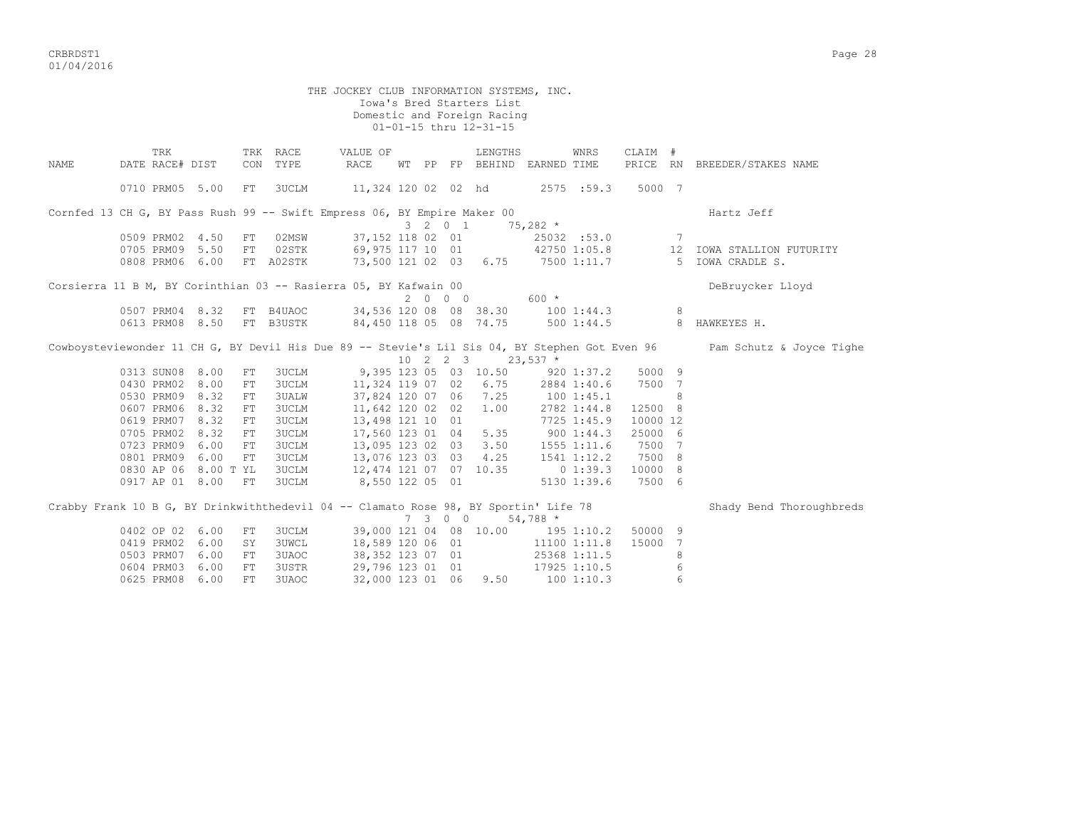CRBRDST1 Page 28 01/04/2016

THE JOCKEY CLUB INFORMATION SYSTEMS, INC. Iowa's Bred Starters List Domestic and Foreign Racing 01-01-15 thru 12-31-15 TRK TRK RACE VALUE OF LENGTHS WNRS CLAIM # NAME DATE RACE# DIST CON TYPE RACE WT PP FP BEHIND EARNED TIME PRICE RN BREEDER/STAKES NAME 0710 PRM05 5.00 FT 3UCLM 11,324 120 02 02 hd 2575 :59.3 5000 7 Cornfed 13 CH G, BY Pass Rush 99 -- Swift Empress 06, BY Empire Maker 00 Hartz Jeff  $3 \t 2 \t 0 \t 1 \t 75.282 \t \star$  0509 PRM02 4.50 FT 02MSW 37,152 118 02 01 25032 :53.0 7 0705 PRM09 5.50 FT 02STK 69,975 117 10 01 42750 1:05.8 12 IOWA STALLION FUTURITY 0808 PRM06 6.00 FT A02STK 73,500 121 02 03 6.75 7500 1:11.7 5 IOWA CRADLE S. Corsierra 11 B M, BY Corinthian 03 -- Rasierra 05, BY Kafwain 00 DeBruycker Lloyd  $2$  0 0 0 600  $*$  0507 PRM04 8.32 FT B4UAOC 34,536 120 08 08 38.30 100 1:44.3 8 0613 PRM08 8.50 FT B3USTK 84,450 118 05 08 74.75 500 1:44.5 8 HAWKEYES H. Cowboysteviewonder 11 CH G, BY Devil His Due 89 -- Stevie's Lil Sis 04, BY Stephen Got Even 96 Pam Schutz & Joyce Tighe  $9,395$  10 2 2 3  $23,537$  \*<br>9,395 123 05 03 10.50 920 0313 SUN08 8.00 FT 3UCLM 9,395 123 05 03 10.50 920 1:37.2 5000 9 0430 PRM02 8.00 FT 3UCLM 11,324 119 07 02 6.75 2884 1:40.6 7500 7 0530 PRM09 8.32 FT 3UALW 37,824 120 07 06 7.25 100 1:45.1 8 0607 PRM06 8.32 FT 3UCLM 11,642 120 02 02 1.00 2782 1:44.8 12500 8 0619 PRM07 8.32 FT 3UCLM 13,498 121 10 01 7725 1:45.9 10000 12 0705 PRM02 8.32 FT 3UCLM 17,560 123 01 04 5.35 900 1:44.3 25000 6 0723 PRM09 6.00 FT 3UCLM 13,095 123 02 03 3.50 1555 1:11.6 7500 7 0801 PRM09 6.00 FT 3UCLM 13,076 123 03 03 4.25 1541 1:12.2 7500 8 0830 AP 06 8.00 T YL 3UCLM 12,474 121 07 07 10.35 0 1:39.3 10000 8 0917 AP 01 8.00 FT 3UCLM 8,550 122 05 01 5130 1:39.6 7500 6 Crabby Frank 10 B G, BY Drinkwiththedevil 04 -- Clamato Rose 98, BY Sportin' Life 78 Shady Bend Thoroughbreds 7 3 0 0 54,788 \*

0402 OP 02 6.00 FT 3UCLM 39,000 121 04 08 10.00 195 1:10.2 50000 9

0625 PRM08 6.00 FT 3UAOC 32,000 123 01 06 9.50 100 1:10.3 6

0419 PRM02 6.00 SY 3UWCL 18,589 120 06 01 11100 1:11.8 15000 7 0503 PRM07 6.00 FT 3UAOC 38,352 123 07 01 25368 1:11.5 8 0604 PRM03 6.00 FT 3USTR 29,796 123 01 01 17925 1:10.5 6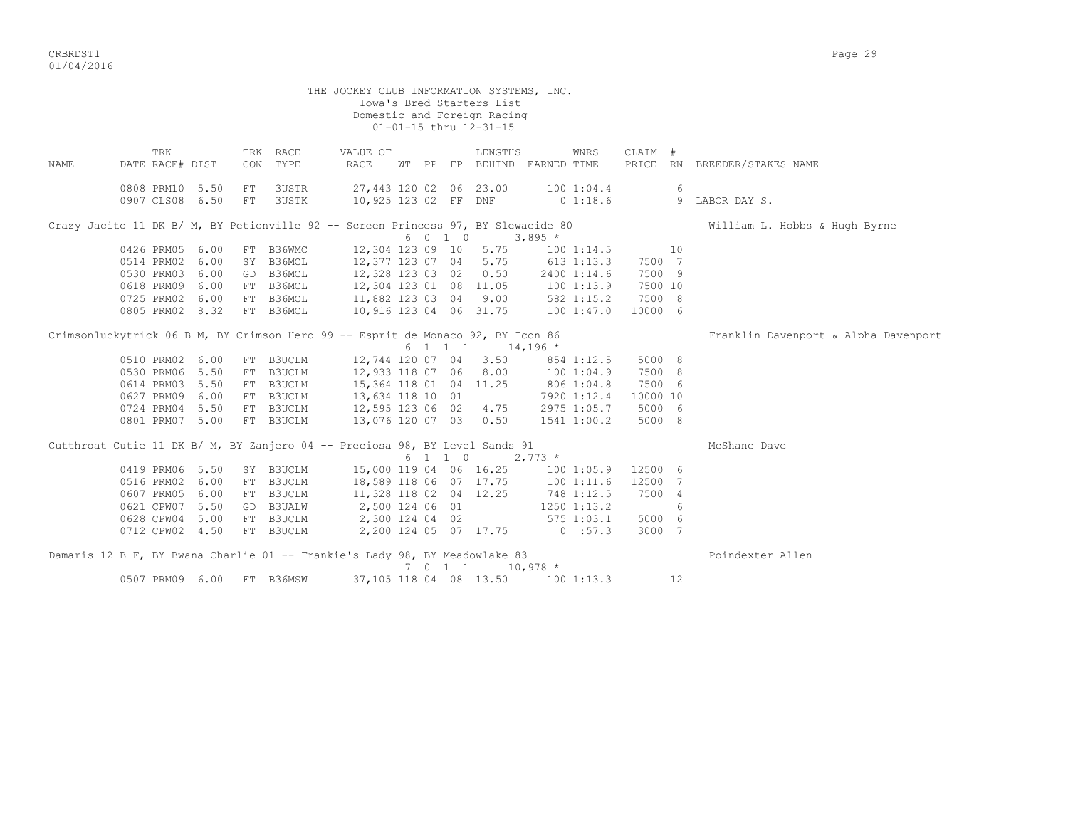CRBRDST1 Page 29 01/04/2016

|      |            |                        |                                    |          |                       | THE JOCKEY CLUB INFORMATION SYSTEMS, INC.                                                             |  |         | Iowa's Bred Starters List<br>Domestic and Foreign Racing<br>01-01-15 thru 12-31-15 |                                             |          |    |                                      |
|------|------------|------------------------|------------------------------------|----------|-----------------------|-------------------------------------------------------------------------------------------------------|--|---------|------------------------------------------------------------------------------------|---------------------------------------------|----------|----|--------------------------------------|
| NAME |            | TRK<br>DATE RACE# DIST |                                    |          | TRK RACE<br>CON TYPE  | VALUE OF<br>RACE                                                                                      |  |         | LENGTHS                                                                            | WNRS<br>WT PP FP BEHIND EARNED TIME         | CLAIM #  |    | PRICE RN BREEDER/STAKES NAME         |
|      |            |                        | 0808 PRM10 5.50<br>0907 CLS08 6.50 | FT<br>FT | 3USTR<br><b>3USTK</b> |                                                                                                       |  |         | 27,443 120 02 06 23.00                                                             | 100 1:04.4<br>10,925 123 02 FF DNF 0 1:18.6 |          | 6  | 9 LABOR DAY S.                       |
|      |            |                        |                                    |          |                       | Crazy Jacito 11 DK B/ M, BY Petionville 92 -- Screen Princess 97, BY Slewacide 80                     |  |         |                                                                                    |                                             |          |    | William L. Hobbs & Hugh Byrne        |
|      |            |                        |                                    |          |                       |                                                                                                       |  | 6 0 1 0 |                                                                                    | $3,895$ *                                   |          |    |                                      |
|      |            |                        | 0426 PRM05 6.00                    |          |                       |                                                                                                       |  |         |                                                                                    | 1001:14.5                                   |          | 10 |                                      |
|      |            |                        | 0514 PRM02 6.00                    |          |                       | FT B36WMC 12,304 123 09 10 5.75<br>SY B36MCL 12,377 123 07 04 5.75<br>GD B36MCL 12,328 123 03 02 0.50 |  |         |                                                                                    | 613 1:13.3                                  | 7500 7   |    |                                      |
|      |            |                        | 0530 PRM03 6.00                    |          |                       |                                                                                                       |  |         |                                                                                    | 2400 1:14.6                                 | 7500 9   |    |                                      |
|      | 0618 PRM09 |                        | 6.00                               |          |                       | FT B36MCL 12,304 123 01 08 11.05                                                                      |  |         |                                                                                    | 100 1:13.9                                  | 7500 10  |    |                                      |
|      | 0725 PRM02 |                        | 6.00                               |          |                       | FT B36MCL 11,882 123 03 04 9.00                                                                       |  |         |                                                                                    | $582$ 1:15.2                                | 7500 8   |    |                                      |
|      |            |                        | 0805 PRM02 8.32                    |          | FT B36MCL             | 10,916 123 04 06 31.75                                                                                |  |         |                                                                                    | 100 1:47.0                                  | 10000 6  |    |                                      |
|      |            |                        |                                    |          |                       | Crimsonluckytrick 06 B M, BY Crimson Hero 99 -- Esprit de Monaco 92, BY Icon 86                       |  |         |                                                                                    |                                             |          |    | Franklin Davenport & Alpha Davenport |
|      |            |                        |                                    |          |                       |                                                                                                       |  | 6 1 1 1 | $14,196$ *                                                                         |                                             |          |    |                                      |
|      |            |                        | 0510 PRM02 6.00                    |          | FT B3UCLM             |                                                                                                       |  |         | 12,744 120 07 04 3.50                                                              | 854 1:12.5                                  | 5000 8   |    |                                      |
|      |            |                        | 0530 PRM06 5.50                    |          | FT B3UCLM             | 12,933 118 07 06                                                                                      |  |         | 8.00                                                                               | 100 1:04.9                                  | 7500 8   |    |                                      |
|      |            |                        | 0614 PRM03 5.50                    |          |                       | FT B3UCLM 15,364 118 01 04 11.25<br>FT B3UCLM 13,634 118 10 01                                        |  |         |                                                                                    | 806 1:04.8                                  | 7500 6   |    |                                      |
|      |            |                        | 0627 PRM09 6.00                    |          |                       |                                                                                                       |  |         |                                                                                    | 7920 1:12.4                                 | 10000 10 |    |                                      |
|      |            |                        | 0724 PRM04 5.50                    |          |                       | FT B3UCLM 12,595 123 06 02 4.75                                                                       |  |         |                                                                                    | 2975 1:05.7                                 | 5000 6   |    |                                      |
|      |            |                        | 0801 PRM07 5.00                    |          | FT B3UCLM             | 13,076 120 07 03 0.50                                                                                 |  |         |                                                                                    | 1541 1:00.2                                 | 5000 8   |    |                                      |
|      |            |                        |                                    |          |                       | Cutthroat Cutie 11 DK B/ M, BY Zanjero 04 -- Preciosa 98, BY Level Sands 91                           |  | 6 1 1 0 | $2,773$ *                                                                          |                                             |          |    | McShane Dave                         |
|      |            |                        | 0419 PRM06 5.50                    |          | SY B3UCLM             |                                                                                                       |  |         | 15,000 119 04 06 16.25                                                             | 1001:05.9                                   | 12500 6  |    |                                      |
|      |            |                        | 0516 PRM02 6.00                    |          |                       | FT B3UCLM 18,589 118 06 07 17.75                                                                      |  |         |                                                                                    | 1001:11.6                                   | 12500 7  |    |                                      |
|      | 0607 PRM05 |                        | 6.00                               |          | FT B3UCLM             | 11,328 118 02 04 12.25                                                                                |  |         |                                                                                    | 748 1:12.5                                  | 7500 4   |    |                                      |
|      |            |                        | 0621 CPW07 5.50                    |          | GD B3UALW             |                                                                                                       |  |         |                                                                                    |                                             |          | 6  |                                      |
|      |            |                        | 0628 CPW04 5.00                    |          | FT B3UCLM             | 2,500 124 06 01                                                                                       |  |         |                                                                                    | 1250 1:13.2<br>$575$ 1:03.1                 | 5000 6   |    |                                      |
|      |            |                        | 0712 CPW02 4.50                    |          |                       | 2,300 124 04 02                                                                                       |  |         |                                                                                    | 2,200 124 05 07 17.75 0 :57.3               |          |    |                                      |
|      |            |                        |                                    |          | FT B3UCLM             |                                                                                                       |  |         |                                                                                    |                                             | 3000 7   |    |                                      |
|      |            |                        |                                    |          |                       | Damaris 12 B F, BY Bwana Charlie 01 -- Frankie's Lady 98, BY Meadowlake 83                            |  |         | 7 0 1 1 10,978 *                                                                   |                                             |          |    | Poindexter Allen                     |
|      |            |                        | 0507 PRM09 6.00                    |          | FT B36MSW             |                                                                                                       |  |         |                                                                                    | 37, 105 118 04 08 13.50 100 1:13.3          |          | 12 |                                      |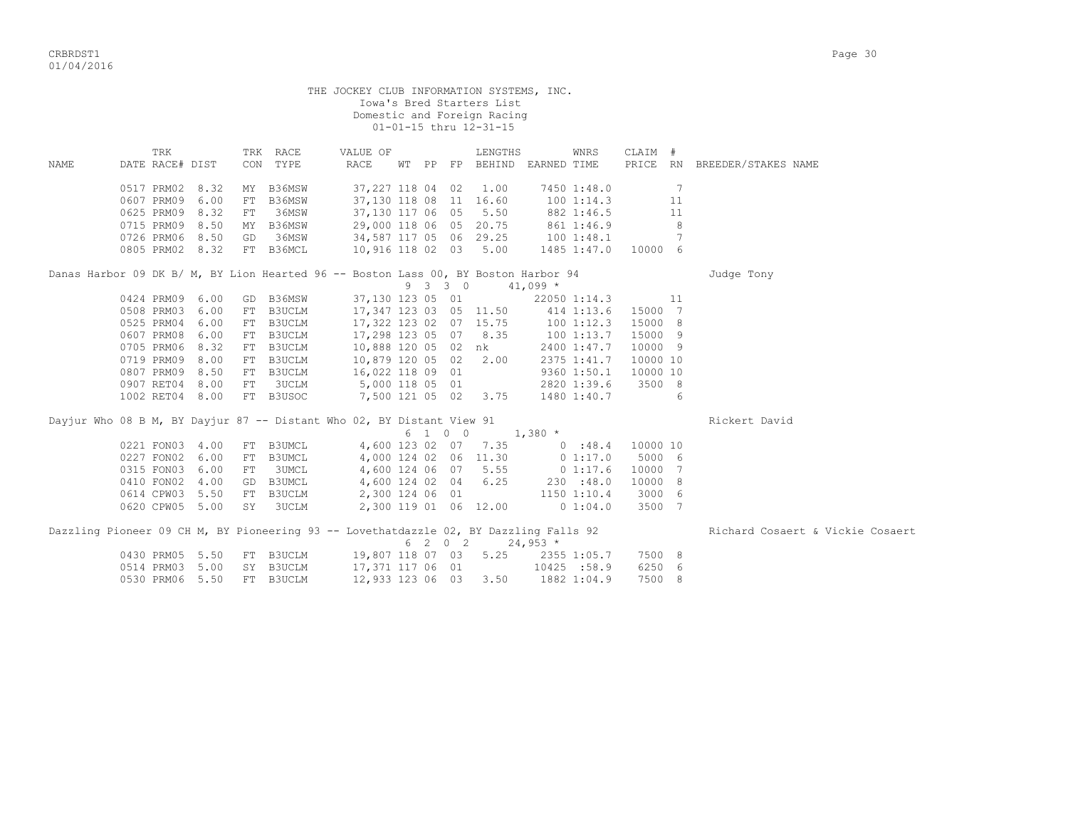|             |                                                                                       |    |                      | THE JOCKEY CLUB INFORMATION SYSTEMS, INC. |  |         | Iowa's Bred Starters List<br>Domestic and Foreign Racing<br>01-01-15 thru 12-31-15 |            |                          |                     |     |                                  |
|-------------|---------------------------------------------------------------------------------------|----|----------------------|-------------------------------------------|--|---------|------------------------------------------------------------------------------------|------------|--------------------------|---------------------|-----|----------------------------------|
| <b>NAME</b> | TRK<br>DATE RACE# DIST                                                                |    | TRK RACE<br>CON TYPE | VALUE OF<br>RACE                          |  |         | LENGTHS<br>WT PP FP BEHIND EARNED TIME                                             |            | WNRS                     | CLAIM #             |     | PRICE RN BREEDER/STAKES NAME     |
|             | 0517 PRM02 8.32                                                                       | MY | B36MSW               | 37,227 118 04 02 1.00                     |  |         |                                                                                    |            | 7450 1:48.0              |                     | - 7 |                                  |
|             | 0607 PRM09 6.00                                                                       | FT | B36MSW               | 37,130 118 08 11 16.60                    |  |         |                                                                                    |            | 100 1:14.3               |                     | 11  |                                  |
|             | 0625 PRM09 8.32                                                                       | FT | 36MSW                | 37,130 117 06 05                          |  |         | 5.50                                                                               |            |                          |                     | 11  |                                  |
|             | 0715 PRM09 8.50                                                                       |    | MY B36MSW            | 29,000 118 06 05 20.75                    |  |         |                                                                                    |            | 882 1:46.5<br>861 1:46.9 |                     | 8   |                                  |
|             | 0726 PRM06 8.50                                                                       | GD | 36MSW                | 34,587 117 05 06 29.25 100 1:48.1         |  |         |                                                                                    |            |                          |                     | 7   |                                  |
|             | 0805 PRM02 8.32                                                                       |    | FT B36MCL            | 10,916 118 02 03 5.00                     |  |         |                                                                                    |            |                          | 1485 1:47.0 10000 6 |     |                                  |
|             | Danas Harbor 09 DK B/ M, BY Lion Hearted 96 -- Boston Lass 00, BY Boston Harbor 94    |    |                      |                                           |  |         | 9 3 3 0 41,099 *                                                                   |            |                          |                     |     | Judge Tony                       |
|             | 0424 PRM09 6.00                                                                       |    | GD B36MSW            |                                           |  |         | 37,130 123 05 01                                                                   |            | 22050 1:14.3             |                     | 11  |                                  |
|             | 0508 PRM03 6.00                                                                       |    | FT B3UCLM            |                                           |  |         | 17,347 123 03 05 11.50 414 1:13.6                                                  |            |                          | 15000 7             |     |                                  |
|             | 0525 PRM04 6.00                                                                       | FT | B3UCLM               | 17,322 123 02 07 15.75                    |  |         |                                                                                    |            | 100 1:12.3               | 15000 8             |     |                                  |
|             | 0607 PRM08 6.00                                                                       |    | FT B3UCLM            | 17,298 123 05 07 8.35                     |  |         |                                                                                    |            | 100 1:13.7               | 15000 9             |     |                                  |
|             | 0705 PRM06 8.32                                                                       |    | FT B3UCLM            | 10,888 120 05 02 nk                       |  |         |                                                                                    |            | 2400 1:47.7              | 10000 9             |     |                                  |
|             | 0719 PRM09 8.00                                                                       | FT | B3UCLM               | 10,879 120 05 02 2.00                     |  |         |                                                                                    |            | 2375 1:41.7              | 10000 10            |     |                                  |
|             | 0807 PRM09 8.50                                                                       |    | FT B3UCLM            | 16,022 118 09 01                          |  |         |                                                                                    |            | 9360 1:50.1              | 10000 10            |     |                                  |
|             | 0907 RET04 8.00                                                                       | FT | 3UCLM                | 5,000 118 05 01                           |  |         |                                                                                    |            | 2820 1:39.6              | 3500 8              |     |                                  |
|             | 1002 RET04 8.00                                                                       |    | FT B3USOC            | 7,500 121 05 02 3.75                      |  |         |                                                                                    |            | 1480 1:40.7              | 6 <sup>6</sup>      |     |                                  |
|             | Dayjur Who 08 B M, BY Dayjur 87 -- Distant Who 02, BY Distant View 91                 |    |                      |                                           |  | 6 1 0 0 |                                                                                    | $1,380$ *  |                          |                     |     | Rickert David                    |
|             | 0221 FON03 4.00                                                                       |    | FT B3UMCL            |                                           |  |         | 4,600 123 02 07 7.35 0 :48.4                                                       |            |                          | 10000 10            |     |                                  |
|             | 0227 FON02 6.00                                                                       |    | FT B3UMCL            |                                           |  |         | 4,000 124 02 06 11.30                                                              |            | 0 1:17.0                 | 5000 6              |     |                                  |
|             | 0315 FON03 6.00                                                                       | FT | 3UMCL                |                                           |  |         | 4,600 124 06 07 5.55                                                               |            | 0 1:17.6                 | 10000 7             |     |                                  |
|             | 0410 FON02 4.00                                                                       |    | GD B3UMCL            | 4,600 124 02 04 6.25                      |  |         |                                                                                    |            | 230 : 48.0               | 10000 8             |     |                                  |
|             | 0614 CPW03 5.50                                                                       |    | FT B3UCLM            | 2,300 124 06 01 1150 1:10.4               |  |         |                                                                                    |            |                          | 3000 6              |     |                                  |
|             | 0620 CPW05 5.00                                                                       |    | SY 3UCLM             |                                           |  |         | 2,300 119 01 06 12.00                                                              |            | 0 1:04.0                 | 3500 7              |     |                                  |
|             |                                                                                       |    |                      |                                           |  |         |                                                                                    |            |                          |                     |     |                                  |
|             | Dazzling Pioneer 09 CH M, BY Pioneering 93 -- Lovethatdazzle 02, BY Dazzling Falls 92 |    |                      |                                           |  |         | 6 2 0 2                                                                            | $24,953$ * |                          |                     |     | Richard Cosaert & Vickie Cosaert |
|             | 0430 PRM05 5.50 FT B3UCLM                                                             |    |                      | 19,807 118 07 03                          |  |         | 5.25                                                                               |            | 2355 1:05.7              | 7500 8              |     |                                  |
|             | 0514 PRM03 5.00                                                                       |    | SY B3UCLM            | 17,371 117 06 01                          |  |         |                                                                                    |            | 10425 :58.9              | 6250 6              |     |                                  |
|             | 0530 PRM06 5.50                                                                       | FT | B3UCLM               | 12,933 123 06 03                          |  |         | 3.50                                                                               |            | 1882 1:04.9              | 7500 8              |     |                                  |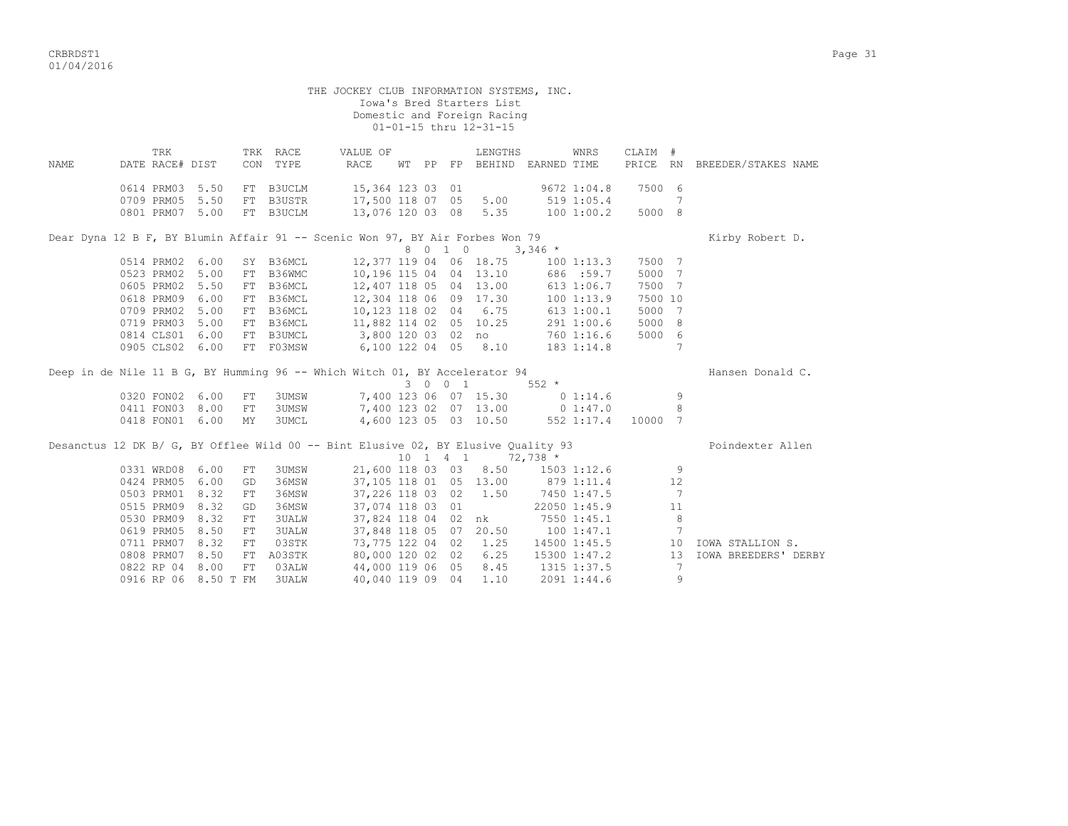CRBRDST1 Page 31 01/04/2016

 THE JOCKEY CLUB INFORMATION SYSTEMS, INC. Iowa's Bred Starters List Domestic and Foreign Racing 01-01-15 thru 12-31-15 TRK TRK RACE VALUE OF LENGTHS WNRS CLAIM # NAME DATE RACE# DIST CON TYPE RACE WT PP FP BEHIND EARNED TIME PRICE RN BREEDER/STAKES NAME 0614 PRM03 5.50 FT B3UCLM 15,364 123 03 01 9672 1:04.8 7500 6 0709 PRM05 5.50 FT B3USTR 17,500 118 07 05 5.00 519 1:05.4 7 0801 PRM07 5.00 FT B3UCLM 13,076 120 03 08 5.35 100 1:00.2 5000 8 Dear Dyna 12 B F, BY Blumin Affair 91 -- Scenic Won 97, BY Air Forbes Won 79 Kirby Robert D.  $8 \t 0 \t 1 \t 0 \t 3,346 \star$ <br>(1. 12.377 119 04 06 18.75 100 1:13.3 7500 7 0514 PRM02 6.00 SY B36MCL 12,377 119 04 06 18.75 100 1:13.3 7500 7 0523 PRM02 5.00 FT B36WMC 10,196 115 04 04 13.10 686 :59.7 5000 7 0605 PRM02 5.50 FT B36MCL 12,407 118 05 04 13.00 613 1:06.7 7500 7 0618 PRM09 6.00 FT B36MCL 12,304 118 06 09 17.30 100 1:13.9 7500 10 0709 PRM02 5.00 FT B36MCL 10,123 118 02 04 6.75 613 1:00.1 5000 7 0719 PRM03 5.00 FT B36MCL 11,882 114 02 05 10.25 291 1:00.6 5000 8 0814 CLS01 6.00 FT B3UMCL 3,800 120 03 02 no 760 1:16.6 5000 6 0905 CLS02 6.00 FT F03MSW 6,100 122 04 05 8.10 183 1:14.8 7 Deep in de Nile 11 B G, BY Humming 96 -- Which Witch 01, BY Accelerator 94 Hansen Donald C. 3 0 0 1 552 \*<br>3 0 0 1 552 \*<br>3 0 1:14.6 0320 FON02 6.00 FT 3UMSW 7.400 123 06 07 15.30 0 1:14.6 0320 FOND 123 06 07 15.30 0 1:14.6 9<br>7,400 123 02 07 13.00 0 1:47.0 0210 12000 123 02 07 13.00 0 1:47.0<br>0411 FON03 8.00 FT 3UMSW 7,400 123 02 07 13.00 0 1:47.0<br>0418 FON01 6.00 MY 3UMCI, 4.600 123 05 03 10.50 552 1:17.4 10000 7 4,600 123 05 03 10.50 552 1:17.4 10000 7 Desanctus 12 DK B/ G, BY Offlee Wild 00 -- Bint Elusive 02, BY Elusive Quality 93 Poindexter Allen 10 1 4 1 72,738 \*<br>118 03 03 8.50 1503 1:12.6 9 0331 WRD08 6.00 FT 3UMSW 21,600 118 03 03 8.50 0424 PRM05 6.00 GD 36MSW 37,105 118 01 05 13.00 879 1:11.4 12 0503 PRM01 8.32 FT 36MSW 37,226 118 03 02 1.50 7450 1:47.5 7 0515 PRM09 8.32 GD 36MSW 37,074 118 03 01 22050 1:45.9 11 0530 PRM09 8.32 FT 3UALW 37,824 118 04 02 nk 7550 1:45.1 8 0619 PRM05 8.50 FT 3UALW 37,848 118 05 07 20.50 100 1:47.1 7 0711 PRM07 8.32 FT 03STK 73,775 122 04 02 1.25 14500 1:45.5 10 IOWA STALLION S. 0808 PRM07 8.50 FT A03STK 80,000 120 02 02 6.25 15300 1:47.2 13 IOWA BREEDERS' DERBY 0822 RP 04 8.00 FT 03ALW 44,000 119 06 05 8.45 1315 1:37.5 7 0822 RP 04 8.00 FT 03ALW 44,000 119 06 05 8.45 1315 1:37.5 7<br>0916 RP 06 8.50 T FM 3UALW 40,040 119 09 04 1.10 2091 1:44.6 9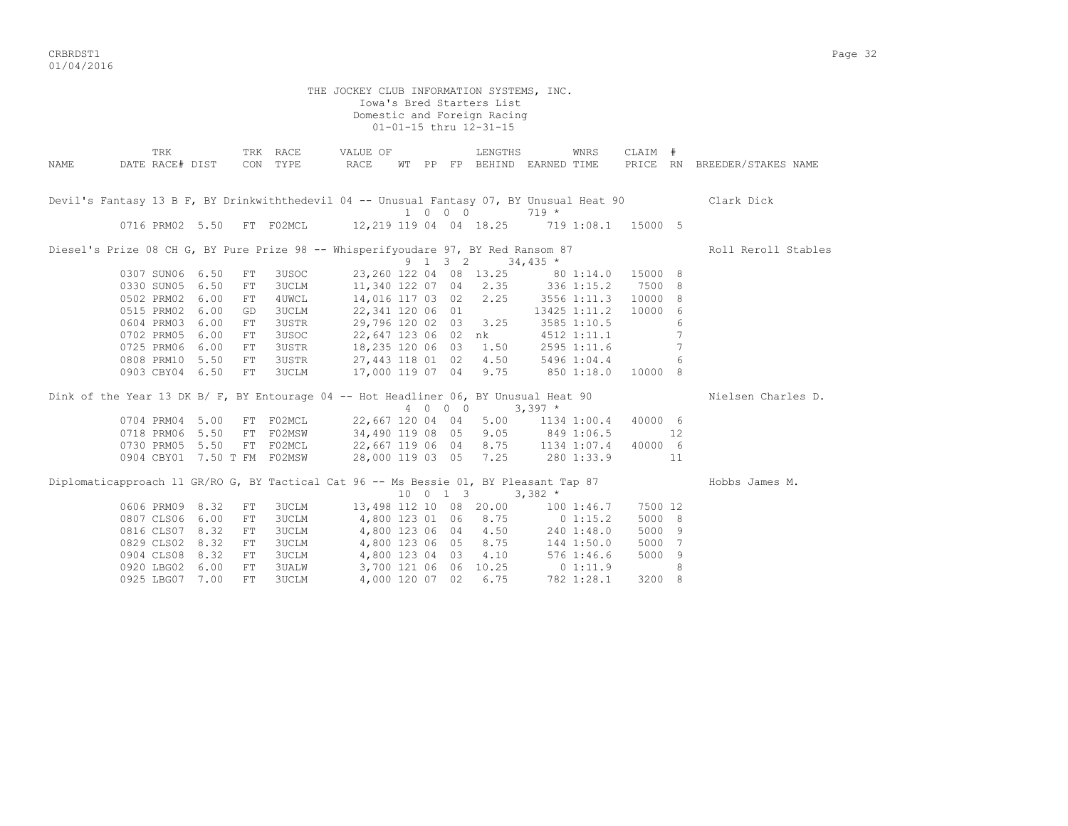CRBRDST1 Page 32 01/04/2016

THE JOCKEY CLUB INFORMATION SYSTEMS, INC. Iowa's Bred Starters List Domestic and Foreign Racing 01-01-15 thru 12-31-15 TRK TRK RACE VALUE OF LENGTHS WNRS CLAIM # NAME DATE RACE# DIST CON TYPE RACE WT PP FP BEHIND EARNED TIME PRICE RN BREEDER/STAKES NAME Devil's Fantasy 13 B F, BY Drinkwiththedevil 04 -- Unusual Fantasy 07, BY Unusual Heat 90 Clark Dick 1 0 0 0 719 \* 0716 PRM02 5.50 FT F02MCL 12,219 119 04 04 18.25 719 1:08.1 15000 5 Diesel's Prize 08 CH G, BY Pure Prize 98 -- Whisperifyoudare 97, BY Red Ransom 87 Roll Reroll Stables  $9 \quad 1 \quad 3 \quad 2 \quad 34,435$  \* 0307 SUN06 6.50 FT 3USOC 23,260 122 04 08 13.25 80 1:14.0 15000 8 0330 SUN05 6.50 FT 3UCLM 11,340 122 07 04 2.35 336 1:15.2 7500 8 0502 PRM02 6.00 FT 4UWCL 14,016 117 03 02 2.25 3556 1:11.3 10000 8 0515 PRM02 6.00 GD 3UCLM 22,341 120 06 01 13425 1:11.2 10000 6 0604 PRM03 6.00 FT 3USTR 29,796 120 02 03 3.25 3585 1:10.5 6 0702 PRM05 6.00 FT 3USOC 22,647 123 06 02 nk 4512 1:11.1 7 0725 PRM06 6.00 FT 3USTR 18,235 120 06 03 1.50 2595 1:11.6 7 0808 PRM10 5.50 FT 3USTR 27,443 118 01 02 4.50 5496 1:04.4 6 0903 CBY04 6.50 FT 3UCLM 17,000 119 07 04 9.75 850 1:18.0 10000 8 Dink of the Year 13 DK B/ F, BY Entourage 04 -- Hot Headliner 06, BY Unusual Heat 90 Nielsen Charles D.  $4 \t0 \t0 \t0 \t3$ , 397 \* 0704 PRM04 5.00 FT F02MCL 22,667 120 04 04 5.00 1134 1:00.4 40000 6 0718 PRM06 5.50 FT F02MSW 34,490 119 08 05 9.05 849 1:06.5 12 0730 PRM05 5.50 FT F02MCL 22,667 119 06 04 8.75 1134 1:07.4 40000 6 0904 CBY01 7.50 T FM F02MSW 28,000 119 03 05 7.25 280 1:33.9 11 Diplomaticapproach 11 GR/RO G, BY Tactical Cat 96 -- Ms Bessie 01, BY Pleasant Tap 87 Hobbs James M.  $10 \t 0 \t 1 \t 3 \t 3.382 \t \star$  0606 PRM09 8.32 FT 3UCLM 13,498 112 10 08 20.00 100 1:46.7 7500 12 0807 CLS06 6.00 FT 3UCLM 4,800 123 01 06 8.75 0 1:15.2 5000 8 0816 CLS07 8.32 FT 3UCLM 4,800 123 06 04 4.50 240 1:48.0 5000 9 0829 CLS02 8.32 FT 3UCLM 4,800 123 06 05 8.75 144 1:50.0 5000 7 0904 CLS08 8.32 FT 3UCLM 4,800 123 04 03 4.10 576 1:46.6 5000 9 0920 LBG02 6.00 FT 3UALW 3,700 121 06 06 10.25 0 1:11.9 8 0925 LBG07 7.00 FT 3UCLM 4,000 120 07 02 6.75 782 1:28.1 3200 8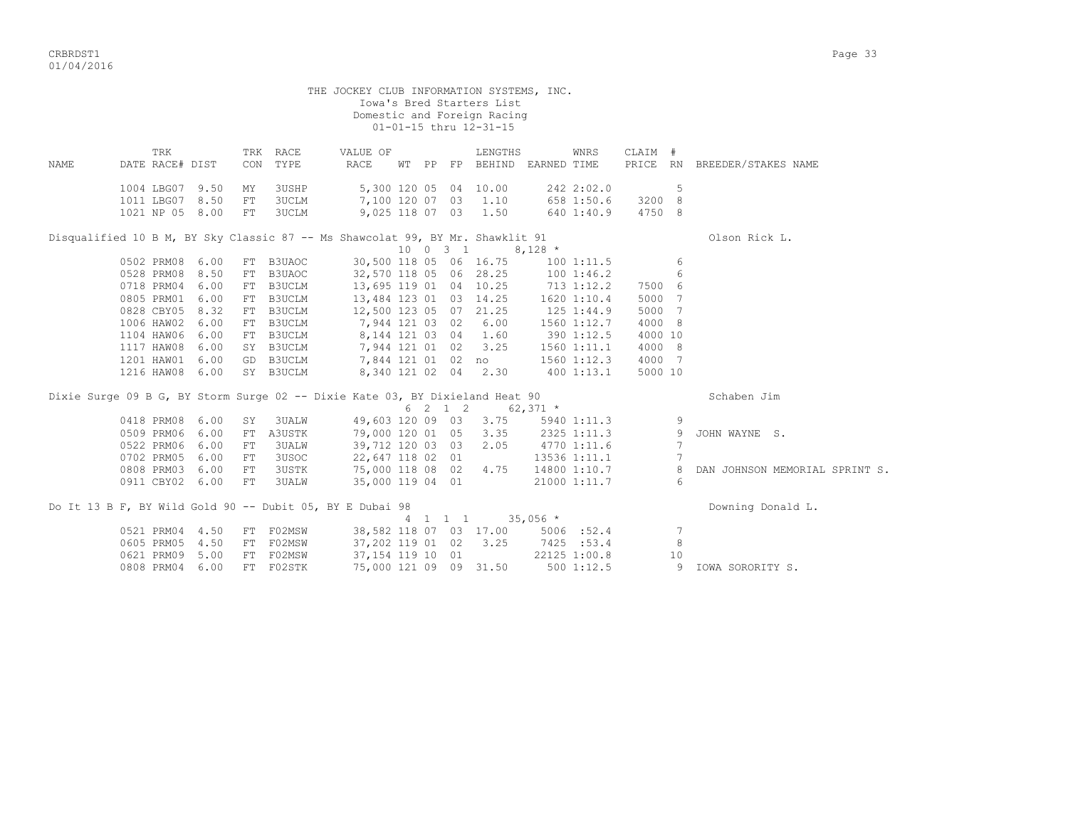CRBRDST1 Page 33 01/04/2016

|      |                 |      |                            |               | THE JOCKEY CLUB INFORMATION SYSTEMS, INC.                                     |  |          |                                   |            |              |         |       |                                |
|------|-----------------|------|----------------------------|---------------|-------------------------------------------------------------------------------|--|----------|-----------------------------------|------------|--------------|---------|-------|--------------------------------|
|      |                 |      |                            |               |                                                                               |  |          | Iowa's Bred Starters List         |            |              |         |       |                                |
|      |                 |      |                            |               |                                                                               |  |          | Domestic and Foreign Racing       |            |              |         |       |                                |
|      |                 |      |                            |               |                                                                               |  |          | 01-01-15 thru 12-31-15            |            |              |         |       |                                |
|      | TRK             |      |                            | TRK RACE      | VALUE OF                                                                      |  |          | LENGTHS                           |            | WNRS         | CLAIM # |       |                                |
| NAME | DATE RACE# DIST |      | CON                        | TYPE          | RACE                                                                          |  |          | WT PP FP BEHIND EARNED TIME       |            |              |         |       | PRICE RN BREEDER/STAKES NAME   |
|      |                 |      |                            |               |                                                                               |  |          |                                   |            |              |         |       |                                |
|      | 1004 LBG07 9.50 |      | ΜY                         | 3USHP         |                                                                               |  |          | 5,300 120 05 04 10.00             |            | 242 2:02.0   |         | 5     |                                |
|      | 1011 LBG07 8.50 |      | FT                         | 3UCLM         | 7,100 120 07 03 1.10                                                          |  |          |                                   |            | 658 1:50.6   | 3200 8  |       |                                |
|      | 1021 NP 05 8.00 |      | FT                         | 3UCLM         |                                                                               |  |          | 9,025 118 07 03 1.50              |            | 640 1:40.9   | 4750 8  |       |                                |
|      |                 |      |                            |               | Disqualified 10 B M, BY Sky Classic 87 -- Ms Shawcolat 99, BY Mr. Shawklit 91 |  |          |                                   |            |              |         |       | Olson Rick L.                  |
|      |                 |      |                            |               |                                                                               |  | 10 0 3 1 |                                   | $8,128$ *  |              |         |       |                                |
|      | 0502 PRM08 6.00 |      |                            | FT B3UAOC     | 30,500 118 05 06 16.75                                                        |  |          |                                   |            | 1001:11.5    |         | 6     |                                |
|      | 0528 PRM08 8.50 |      |                            | FT B3UAOC     | 32,570 118 05 06 28.25                                                        |  |          |                                   |            | 1001:46.2    |         | $6\,$ |                                |
|      | 0718 PRM04 6.00 |      |                            | FT B3UCLM     | 13,695 119 01 04 10.25                                                        |  |          |                                   |            | $713$ 1:12.2 | 7500 6  |       |                                |
|      | 0805 PRM01 6.00 |      |                            | FT B3UCLM     | 13,484 123 01 03 14.25                                                        |  |          |                                   |            | 1620 1:10.4  | 5000 7  |       |                                |
|      | 0828 CBY05 8.32 |      |                            | FT B3UCLM     | 12,500 123 05 07 21.25                                                        |  |          |                                   | 125 1:44.9 |              | 5000 7  |       |                                |
|      | 1006 HAW02 6.00 |      | FT                         | <b>B3UCLM</b> | 7,944 121 03 02 6.00                                                          |  |          |                                   |            | 1560 1:12.7  | 4000 8  |       |                                |
|      | 1104 HAW06 6.00 |      |                            | FT B3UCLM     | 8,144 121 03 04 1.60                                                          |  |          |                                   |            | 3901:12.5    | 4000 10 |       |                                |
|      | 1117 HAW08 6.00 |      |                            | SY B3UCLM     | 7,944 121 01 02 3.25                                                          |  |          |                                   |            | 1560 1:11.1  | 4000 8  |       |                                |
|      | 1201 HAW01 6.00 |      |                            | GD B3UCLM     | 7,844 121 01 02 no                                                            |  |          |                                   |            | 1560 1:12.3  | 4000 7  |       |                                |
|      | 1216 HAW08 6.00 |      |                            | SY B3UCLM     |                                                                               |  |          | 8,340 121 02 04 2.30              |            | 400 1:13.1   | 5000 10 |       |                                |
|      |                 |      |                            |               | Dixie Surge 09 B G, BY Storm Surge 02 -- Dixie Kate 03, BY Dixieland Heat 90  |  |          |                                   |            |              |         |       | Schaben Jim                    |
|      |                 |      |                            |               |                                                                               |  | 6 2 1 2  |                                   | $62,371$ * |              |         |       |                                |
|      | 0418 PRM08 6.00 |      | SY                         | <b>3UALW</b>  |                                                                               |  |          | 49,603 120 09 03 3.75             |            | 5940 1:11.3  |         | 9     |                                |
|      | 0509 PRM06 6.00 |      | FT                         | A3USTK        |                                                                               |  |          | 79,000 120 01 05 3.35 2325 1:11.3 |            |              |         | -9    | JOHN WAYNE S.                  |
|      | 0522 PRM06 6.00 |      | FT.                        | <b>3UALW</b>  | 39,712 120 03 03                                                              |  |          | 2.05                              |            | 4770 1:11.6  |         | 7     |                                |
|      | 0702 PRM05      | 6.00 | FT                         | 3USOC         | 22,647 118 02 01                                                              |  |          |                                   |            | 13536 1:11.1 |         | 7     |                                |
|      | 0808 PRM03 6.00 |      | FT                         | <b>3USTK</b>  | 75,000 118 08 02 4.75                                                         |  |          |                                   |            | 14800 1:10.7 |         | 8     | DAN JOHNSON MEMORIAL SPRINT S. |
|      | 0911 CBY02 6.00 |      | $\mathop{\rm FT}\nolimits$ | 3UALW         | 35,000 119 04 01                                                              |  |          |                                   |            | 21000 1:11.7 |         | 6     |                                |
|      |                 |      |                            |               |                                                                               |  |          |                                   |            |              |         |       |                                |
|      |                 |      |                            |               | Do It 13 B F, BY Wild Gold 90 -- Dubit 05, BY E Dubai 98                      |  |          | 4 1 1 1                           | $35,056$ * |              |         |       | Downing Donald L.              |
|      | 0521 PRM04 4.50 |      |                            | FT F02MSW     |                                                                               |  |          | 38,582 118 07 03 17.00 5006 :52.4 |            |              |         | 7     |                                |
|      | 0605 PRM05 4.50 |      | FT                         | F02MSW        | 37,202 119 01 02                                                              |  |          | 3.25                              |            | 7425 :53.4   |         | 8     |                                |
|      | 0621 PRM09 5.00 |      | FT                         | F02MSW        | 37, 154 119 10 01                                                             |  |          |                                   |            | 22125 1:00.8 |         | 10    |                                |
|      | 0808 PRM04      | 6.00 |                            | FT F02STK     | 75,000 121 09 09 31.50                                                        |  |          |                                   |            | $500$ 1:12.5 |         | 9     | IOWA SORORITY S.               |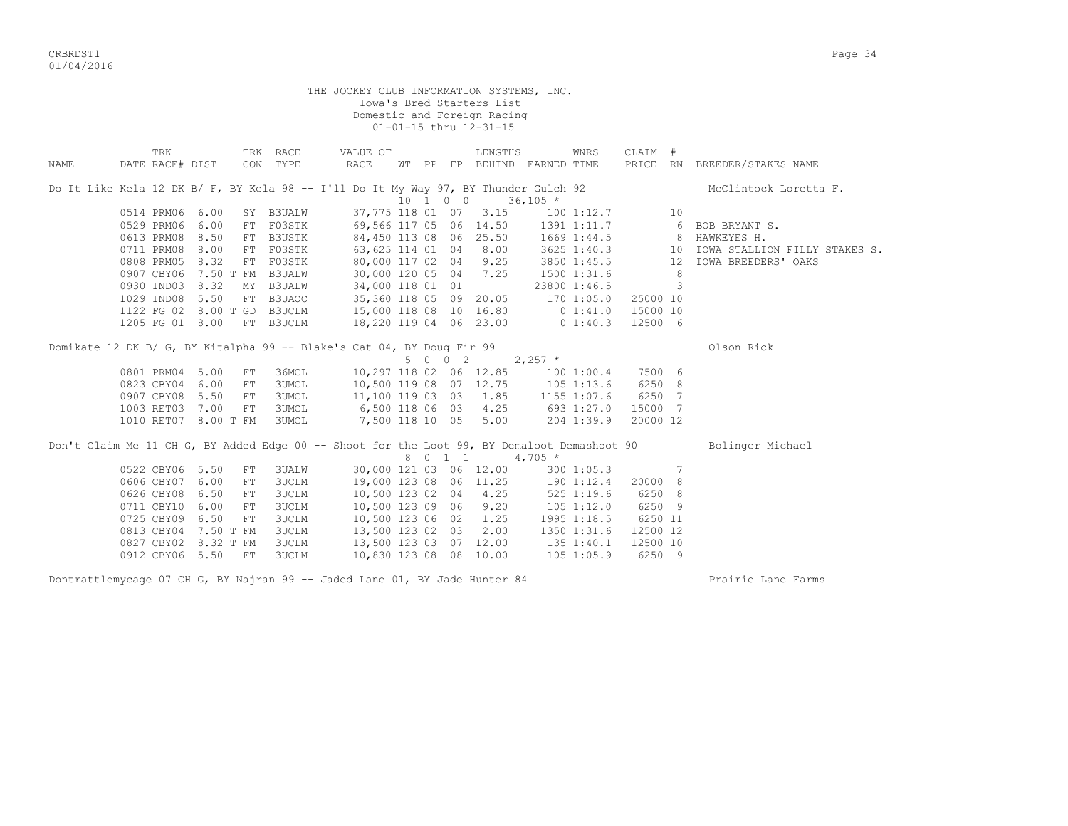CRBRDST1 Page 34 01/04/2016

|      | THE JOCKEY CLUB INFORMATION SYSTEMS, INC.<br>Iowa's Bred Starters List<br>Domestic and Foreign Racing<br>01-01-15 thru 12-31-15<br>TRK<br>TRK RACE<br>CLAIM #<br>VALUE OF<br>LENGTHS<br>WNRS                        |                       |    |                        |                                                    |  |  |         |                                   |                |                          |          |                |                                              |  |
|------|---------------------------------------------------------------------------------------------------------------------------------------------------------------------------------------------------------------------|-----------------------|----|------------------------|----------------------------------------------------|--|--|---------|-----------------------------------|----------------|--------------------------|----------|----------------|----------------------------------------------|--|
| NAME | DATE RACE# DIST<br>CON TYPE<br>RACE<br>PRICE RN BREEDER/STAKES NAME<br>WT PP FP BEHIND EARNED TIME<br>Do It Like Kela 12 DK B/ F, BY Kela 98 -- I'll Do It My Way 97, BY Thunder Gulch 92<br>10 1 0 0<br>$36,105$ * |                       |    |                        |                                                    |  |  |         |                                   |                |                          |          |                |                                              |  |
|      |                                                                                                                                                                                                                     | McClintock Loretta F. |    |                        |                                                    |  |  |         |                                   |                |                          |          |                |                                              |  |
|      | 0514 PRM06 6.00                                                                                                                                                                                                     |                       |    |                        |                                                    |  |  |         |                                   |                |                          |          |                |                                              |  |
|      | 0529 PRM06                                                                                                                                                                                                          | 6.00                  |    | SY B3UALW<br>FT F03STK | 69,566 117 05 06 14.50                             |  |  |         | 37,775 118 01 07 3.15             |                | 1001:12.7<br>1391 1:11.7 |          |                | 6 BOB BRYANT S.                              |  |
|      | 0613 PRM08                                                                                                                                                                                                          | 8.50                  |    | FT B3USTK              |                                                    |  |  |         | 84,450 113 08 06 25.50            |                |                          |          |                | 1669 1:44.5 8 HAWKEYES H.                    |  |
|      | 0711 PRM08                                                                                                                                                                                                          | 8.00                  |    | FT F03STK              |                                                    |  |  |         | 63, 625 114 01 04 8.00            |                |                          |          |                | 3625 1:40.3 10 IOWA STALLION FILLY STAKES S. |  |
|      | 0808 PRM05 8.32                                                                                                                                                                                                     |                       |    | FT F03STK              |                                                    |  |  |         | 80,000 117 02 04 9.25             |                | 3850 1:45.5              |          |                | 12 IOWA BREEDERS' OAKS                       |  |
|      | 0907 CBY06 7.50 T FM B3UALW                                                                                                                                                                                         |                       |    |                        |                                                    |  |  |         | 30,000 120 05 04 7.25             |                | 1500 1:31.6              |          | 8 <sup>8</sup> |                                              |  |
|      | 0930 IND03 8.32                                                                                                                                                                                                     |                       |    | MY B3UALW              |                                                    |  |  |         | 34,000 118 01 01                  |                | 23800 1:46.5             |          | $\mathbf{3}$   |                                              |  |
|      | 1029 IND08 5.50                                                                                                                                                                                                     |                       |    | FT B3UAOC              |                                                    |  |  |         | 35,360 118 05 09 20.05            | 170 1:05.0     |                          | 25000 10 |                |                                              |  |
|      |                                                                                                                                                                                                                     |                       |    |                        | 1122 FG 02 8.00 T GD B3UCLM 15,000 118 08 10 16.80 |  |  |         |                                   | 0 1:41.0       |                          | 15000 10 |                |                                              |  |
|      | 1205 FG 01 8.00                                                                                                                                                                                                     |                       |    | FT B3UCLM              | 18,220 119 04 06 23.00                             |  |  |         |                                   |                | $0\;1:40.3$              | 12500 6  |                |                                              |  |
|      | Domikate 12 DK B/ G, BY Kitalpha 99 -- Blake's Cat 04, BY Doug Fir 99                                                                                                                                               |                       |    |                        |                                                    |  |  |         |                                   |                |                          |          |                | Olson Rick                                   |  |
|      |                                                                                                                                                                                                                     |                       |    |                        |                                                    |  |  | 5 0 0 2 |                                   | $2,257$ *      |                          |          |                |                                              |  |
|      | 0801 PRM04 5.00                                                                                                                                                                                                     |                       | FT | 36MCL                  |                                                    |  |  |         | 10,297 118 02 06 12.85            |                | 100 1:00.4               | 7500 6   |                |                                              |  |
|      | 0823 CBY04 6.00                                                                                                                                                                                                     |                       | FT | 3UMCL                  |                                                    |  |  |         | 10,500 119 08 07 12.75            | 105 1:13.6     |                          | 6250 8   |                |                                              |  |
|      | 0907 CBY08 5.50                                                                                                                                                                                                     |                       | FT | 3UMCL                  |                                                    |  |  |         | 11,100 119 03 03 1.85             |                | 1155 1:07.6              | 6250 7   |                |                                              |  |
|      | 1003 RET03 7.00                                                                                                                                                                                                     |                       | FT | 3UMCL                  | 6,500 118 06 03 4.25                               |  |  |         |                                   |                | 693 1:27.0               | 15000 7  |                |                                              |  |
|      | 1010 RET07 8.00 T FM                                                                                                                                                                                                |                       |    | <b>3UMCL</b>           | 7,500 118 10 05                                    |  |  |         | 5.00                              |                | 204 1:39.9               | 20000 12 |                |                                              |  |
|      | Don't Claim Me 11 CH G, BY Added Edge 00 -- Shoot for the Loot 99, BY Demaloot Demashoot 90                                                                                                                         |                       |    |                        |                                                    |  |  |         | 8 0 1 1 4,705 *                   |                |                          |          |                | Bolinger Michael                             |  |
|      | 0522 CBY06 5.50                                                                                                                                                                                                     |                       | FT | <b>3UALW</b>           |                                                    |  |  |         | 30,000 121 03 06 12.00            |                | 3001:05.3                |          | $\overline{7}$ |                                              |  |
|      | 0606 CBY07 6.00                                                                                                                                                                                                     |                       | FT | <b>3UCLM</b>           |                                                    |  |  |         | 19,000 123 08 06 11.25 190 1:12.4 |                |                          | 20000 8  |                |                                              |  |
|      | 0626 CBY08 6.50                                                                                                                                                                                                     |                       | FT | 3UCLM                  |                                                    |  |  |         | 10,500 123 02 04 4.25             |                | $525$ 1:19.6             | 6250 8   |                |                                              |  |
|      | 0711 CBY10                                                                                                                                                                                                          | 6.00                  | FT | 3UCLM                  |                                                    |  |  |         | 10,500 123 09 06 9.20             | $105$ $1:12.0$ |                          | 6250 9   |                |                                              |  |
|      | 0725 CBY09 6.50                                                                                                                                                                                                     |                       | FT | 3UCLM                  | 10,500 123 06 02                                   |  |  |         | 1.25                              |                | 1995 1:18.5              | 6250 11  |                |                                              |  |
|      |                                                                                                                                                                                                                     |                       |    | 3UCLM                  | 13,500 123 02 03                                   |  |  |         | 2.00                              |                | 1350 1:31.6              | 12500 12 |                |                                              |  |
|      |                                                                                                                                                                                                                     |                       |    |                        |                                                    |  |  |         |                                   |                |                          |          |                |                                              |  |
|      | 0813 CBY04 7.50 T FM<br>0827 CBY02 8.32 T FM                                                                                                                                                                        |                       |    | 3UCLM                  |                                                    |  |  |         | 13,500 123 03 07 12.00            |                | 135 1:40.1               | 12500 10 |                |                                              |  |

Dontrattlemycage 07 CH G, BY Najran 99 -- Jaded Lane 01, BY Jade Hunter 84 Prairie Lane Farms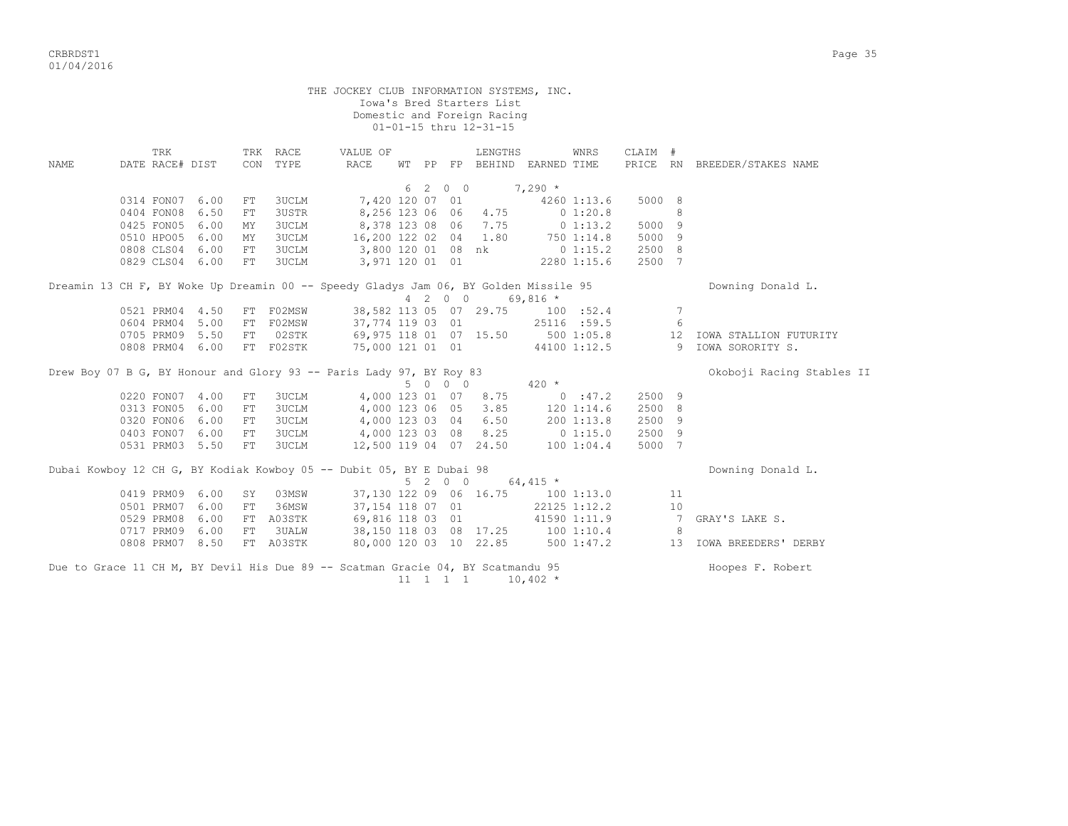|                                                                                      |                        |      |            |                      | THE JOCKEY CLUB INFORMATION SYSTEMS, INC.                                       |  |                              | Iowa's Bred Starters List<br>Domestic and Foreign Racing<br>01-01-15 thru 12-31-15 |             |              |         |                 |                                 |
|--------------------------------------------------------------------------------------|------------------------|------|------------|----------------------|---------------------------------------------------------------------------------|--|------------------------------|------------------------------------------------------------------------------------|-------------|--------------|---------|-----------------|---------------------------------|
| NAME                                                                                 | TRK<br>DATE RACE# DIST |      |            | TRK RACE<br>CON TYPE | VALUE OF<br>RACE                                                                |  |                              | LENGTHS<br>WT PP FP BEHIND EARNED TIME                                             |             | WNRS         | CLAIM # |                 | PRICE RN BREEDER/STAKES NAME    |
|                                                                                      |                        |      |            |                      |                                                                                 |  | 6 2 0 0                      |                                                                                    | $7,290*$    |              |         |                 |                                 |
|                                                                                      | 0314 FON07 6.00        |      | FT         | 3UCLM                | 7,420 120 07 01                                                                 |  |                              |                                                                                    |             | 4260 1:13.6  | 5000 8  |                 |                                 |
|                                                                                      | 0404 FON08             | 6.50 | FT         | <b>3USTR</b>         | 8,256 123 06 06                                                                 |  |                              | 4.75                                                                               | $0\;1:20.8$ |              |         | 8               |                                 |
|                                                                                      | 0425 FON05             | 6.00 | MY         | 3UCLM                | 8,378 123 08 06                                                                 |  |                              | 7.75                                                                               |             | $0\;1:13.2$  | 5000 9  |                 |                                 |
|                                                                                      | 0510 HPO05             | 6.00 | MY         | <b>3UCLM</b>         | 16,200 122 02 04                                                                |  |                              | 1.80                                                                               |             | 750 1:14.8   | 5000 9  |                 |                                 |
|                                                                                      | 0808 CLS04 6.00        |      | FT         | <b>3UCLM</b>         | 3,800 120 01 08 nk                                                              |  |                              |                                                                                    |             | $0\;1:15.2$  | 2500 8  |                 |                                 |
|                                                                                      | 0829 CLS04 6.00        |      | FT         | <b>3UCLM</b>         | 3,971 120 01 01                                                                 |  |                              |                                                                                    |             | 2280 1:15.6  | 2500 7  |                 |                                 |
| Dreamin 13 CH F, BY Woke Up Dreamin 00 -- Speedy Gladys Jam 06, BY Golden Missile 95 |                        |      |            |                      | Downing Donald L.                                                               |  |                              |                                                                                    |             |              |         |                 |                                 |
|                                                                                      | 0521 PRM04 4.50        |      | 100 : 52.4 | 7                    |                                                                                 |  |                              |                                                                                    |             |              |         |                 |                                 |
|                                                                                      | 0604 PRM04 5.00        |      |            | FT FO2MSW            | 37,774 119 03 01                                                                |  |                              |                                                                                    |             | 25116 :59.5  |         | $6\overline{6}$ |                                 |
|                                                                                      | 0705 PRM09 5.50        |      |            | FT 02STK             |                                                                                 |  |                              | 69,975 118 01 07 15.50                                                             |             | 500 1:05.8   |         |                 | 12 IOWA STALLION FUTURITY       |
|                                                                                      | 0808 PRM04 6.00        |      |            | FT F02STK            | 75,000 121 01 01                                                                |  |                              |                                                                                    |             |              |         |                 | 44100 1:12.5 9 IOWA SORORITY S. |
| Drew Boy 07 B G, BY Honour and Glory 93 -- Paris Lady 97, BY Roy 83                  |                        |      |            |                      | Okoboji Racing Stables II                                                       |  |                              |                                                                                    |             |              |         |                 |                                 |
|                                                                                      |                        |      |            |                      |                                                                                 |  | 5 0 0 0                      |                                                                                    | $420 *$     |              |         |                 |                                 |
|                                                                                      | 0220 FON07 4.00        |      | FT         | <b>3UCLM</b>         | 4,000 123 01 07                                                                 |  |                              | 8.75                                                                               |             | 0:47.2       | 2500 9  |                 |                                 |
|                                                                                      | 0313 FON05             | 6.00 | FT         | <b>3UCLM</b>         | 4,000 123 06 05                                                                 |  |                              | 3.85                                                                               |             | 120 1:14.6   | 2500 8  |                 |                                 |
|                                                                                      | 0320 FON06 6.00        |      | FT         | <b>3UCLM</b>         | 4,000 123 03 04                                                                 |  |                              | 6.50                                                                               |             | 200 1:13.8   | 2500 9  |                 |                                 |
|                                                                                      | 0403 FON07 6.00        |      | FT         | <b>3UCLM</b>         |                                                                                 |  |                              | 4,000 123 03 08 8.25 0 1:15.0                                                      |             |              | 2500 9  |                 |                                 |
|                                                                                      | 0531 PRM03 5.50        |      | FT         | <b>3UCLM</b>         |                                                                                 |  |                              | 12,500 119 04 07 24.50 100 1:04.4                                                  |             |              | 5000 7  |                 |                                 |
|                                                                                      |                        |      |            |                      | Dubai Kowboy 12 CH G, BY Kodiak Kowboy 05 -- Dubit 05, BY E Dubai 98            |  |                              |                                                                                    |             |              |         |                 | Downing Donald L.               |
|                                                                                      |                        |      |            |                      |                                                                                 |  | 5 2 0 0                      |                                                                                    | $64,415$ *  |              |         |                 |                                 |
|                                                                                      | 0419 PRM09             | 6.00 | SY         | 03MSW                |                                                                                 |  |                              | 37,130 122 09 06 16.75                                                             |             | 1001:13.0    |         | 11              |                                 |
|                                                                                      | 0501 PRM07             | 6.00 | FT         | 36MSW                | 37,154 118 07 01                                                                |  |                              |                                                                                    |             | 22125 1:12.2 |         | 10              |                                 |
|                                                                                      | 0529 PRM08             | 6.00 |            | FT A03STK            | 69,816 118 03 01                                                                |  |                              |                                                                                    |             | 41590 1:11.9 |         | $\overline{7}$  | GRAY'S LAKE S.                  |
|                                                                                      | 0717 PRM09             | 6.00 | ${\rm FT}$ | <b>3UALW</b>         |                                                                                 |  |                              | 38,150 118 03 08 17.25                                                             |             | 1001:10.4    |         | 8               |                                 |
|                                                                                      | 0808 PRM07 8.50        |      |            | FT A03STK            |                                                                                 |  |                              | 80,000 120 03 10 22.85                                                             |             | 5001:47.2    |         |                 | 13 IOWA BREEDERS' DERBY         |
|                                                                                      |                        |      |            |                      | Due to Grace 11 CH M, BY Devil His Due 89 -- Scatman Gracie 04, BY Scatmandu 95 |  | $11 \quad 1 \quad 1 \quad 1$ |                                                                                    | $10,402$ *  |              |         |                 | Hoopes F. Robert                |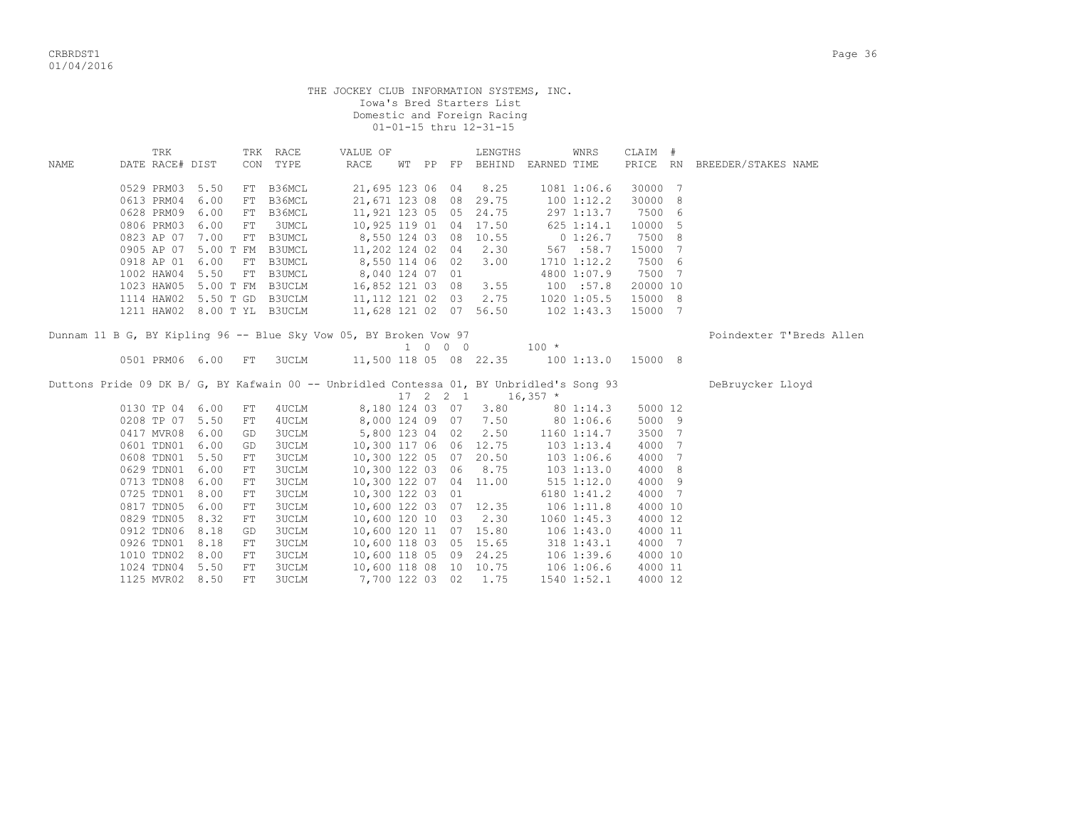|      |                               |  |            |               | THE JOCKEY CLUB INFORMATION SYSTEMS, INC.                                                |  |                             | Iowa's Bred Starters List<br>Domestic and Foreign Racing<br>01-01-15 thru 12-31-15 |                  |                 |          |                              |  |
|------|-------------------------------|--|------------|---------------|------------------------------------------------------------------------------------------|--|-----------------------------|------------------------------------------------------------------------------------|------------------|-----------------|----------|------------------------------|--|
|      | TRK                           |  |            | TRK RACE      | VALUE OF                                                                                 |  |                             | LENGTHS                                                                            |                  | WNRS            | CLAIM #  |                              |  |
| NAME | DATE RACE# DIST               |  |            | CON TYPE      | RACE                                                                                     |  |                             | WT PP FP BEHIND EARNED TIME                                                        |                  |                 |          | PRICE RN BREEDER/STAKES NAME |  |
|      | 0529 PRM03 5.50               |  | FT         | B36MCL        | 21,695 123 06 04                                                                         |  |                             | 8.25                                                                               |                  | 1081 1:06.6     | 30000 7  |                              |  |
|      | 0613 PRM04 6.00               |  | FT         | B36MCL        | 21,671 123 08 08                                                                         |  |                             | 29.75                                                                              |                  | 100 1:12.2      | 30000 8  |                              |  |
|      | 0628 PRM09 6.00               |  |            | FT B36MCL     | 11,921 123 05 05                                                                         |  |                             | 24.75                                                                              |                  | 297 1:13.7      | 7500 6   |                              |  |
|      | 0806 PRM03 6.00               |  | FT         | 3UMCL         | 10,925 119 01 04                                                                         |  |                             | 17.50                                                                              |                  | 625 1:14.1      | 10000 5  |                              |  |
|      | 0823 AP 07 7.00               |  |            | FT B3UMCL     | 8,550 124 03 08                                                                          |  |                             | 10.55 0 1:26.7                                                                     |                  |                 | 7500 8   |                              |  |
|      | 0905 AP 07 5.00 T FM          |  |            | <b>B3UMCL</b> | 11,202 124 02 04                                                                         |  |                             | 2.30                                                                               |                  | 567 : 58.7      | 15000 7  |                              |  |
|      | 0918 AP 01 6.00               |  |            | FT B3UMCL     | 8,550 114 06 02                                                                          |  |                             | 3.00                                                                               |                  | 1710 1:12.2     | 7500 6   |                              |  |
|      | 1002 HAW04 5.50               |  |            | FT B3UMCL     | 8,040 124 07 01                                                                          |  |                             |                                                                                    |                  | 4800 1:07.9     | 7500 7   |                              |  |
|      | $1023$ HAW05 5.00 T FM B3UCLM |  |            |               | 16,852 121 03 08                                                                         |  |                             | 3.55                                                                               |                  | 100 : 57.8      | 20000 10 |                              |  |
|      |                               |  |            |               | 1114 HAW02 5.50 T GD B3UCLM 11, 112 121 02 03                                            |  |                             | 2.75                                                                               |                  | 1020 1:05.5     | 15000 8  |                              |  |
|      |                               |  |            |               | 1211 HAW02 8.00 T YL B3UCLM 11,628 121 02 07 56.50 102 1:43.3                            |  |                             |                                                                                    |                  |                 | 15000 7  |                              |  |
|      |                               |  |            |               | Dunnam 11 B G, BY Kipling 96 -- Blue Sky Vow 05, BY Broken Vow 97                        |  |                             |                                                                                    |                  |                 |          | Poindexter T'Breds Allen     |  |
|      |                               |  |            |               |                                                                                          |  | $1 \quad 0 \quad 0 \quad 0$ |                                                                                    | $100 *$          |                 |          |                              |  |
|      | 0501 PRM06 6.00 FT            |  |            |               | 3UCLM 11,500 118 05 08 22.35 100 1:13.0 15000 8                                          |  |                             |                                                                                    |                  |                 |          |                              |  |
|      |                               |  |            |               | Duttons Pride 09 DK B/ G, BY Kafwain 00 -- Unbridled Contessa 01, BY Unbridled's Song 93 |  |                             |                                                                                    |                  |                 |          | DeBruycker Lloyd             |  |
|      |                               |  |            |               |                                                                                          |  |                             | $17 \quad 2 \quad 2 \quad 1 \quad 16,357 \quad *$                                  |                  |                 |          |                              |  |
|      | 0130 TP 04 6.00               |  | FT         | 4UCLM         | 8,180 124 03 07                                                                          |  |                             | 3.80                                                                               |                  | 80 1:14.3       | 5000 12  |                              |  |
|      | 0208 TP 07 5.50               |  | FT         | 4UCLM         |                                                                                          |  |                             | 8,000 124 09 07 7.50 80 1:06.6                                                     |                  |                 | 5000 9   |                              |  |
|      | 0417 MVR08 6.00               |  | GD         | 3UCLM         | 5,800 123 04 02                                                                          |  |                             |                                                                                    | 2.50 1160 1:14.7 |                 | 3500 7   |                              |  |
|      | 0601 TDN01 6.00               |  | GD         | 3UCLM         |                                                                                          |  |                             | 10,300 117 06 06 12.75 103 1:13.4                                                  |                  |                 | 4000 7   |                              |  |
|      | 0608 TDN01 5.50               |  | FT         | 3UCLM         |                                                                                          |  |                             | 10,300 122 05 07 20.50                                                             | 103 1:06.6       |                 | 4000 7   |                              |  |
|      | 0629 TDN01 6.00               |  | ${\rm FT}$ | 3UCLM         | 10,300 122 03 06                                                                         |  |                             | 8.75                                                                               | 103 1:13.0       |                 | 4000 8   |                              |  |
|      | 0713 TDN08 6.00               |  | ${\rm FT}$ | 3UCLM         |                                                                                          |  |                             | 10,300 122 07 04 11.00                                                             |                  | 515 1:12.0      | 4000 9   |                              |  |
|      | 0725 TDN01 8.00               |  | FT         | 3UCLM         | 10,300 122 03 01                                                                         |  |                             |                                                                                    |                  | $6180$ $1:41.2$ | 4000 7   |                              |  |
|      | 0817 TDN05 6.00               |  | FT         | 3UCLM         |                                                                                          |  |                             | 10,600 122 03 07 12.35                                                             | $106$ $1:11.8$   |                 | 4000 10  |                              |  |
|      | 0829 TDN05 8.32               |  | ${\rm FT}$ | 3UCLM         | 10,600 120 10 03                                                                         |  |                             | 2.30                                                                               |                  | $1060$ $1:45.3$ | 4000 12  |                              |  |
|      | 0912 TDN06 8.18               |  | GD         | 3UCLM         |                                                                                          |  |                             | 10,600 120 11 07 15.80                                                             | $106$ $1:43.0$   |                 | 4000 11  |                              |  |
|      | 0926 TDN01 8.18               |  | FT         | 3UCLM         | 10,600 118 03 05                                                                         |  |                             | 15.65                                                                              |                  | $318$ 1:43.1    | 4000 7   |                              |  |
|      | 1010 TDN02 8.00               |  | FT         | 3UCLM         | 10,600 118 05 09                                                                         |  |                             | 24.25                                                                              |                  | 1061:39.6       | 4000 10  |                              |  |
|      | 1024 TDN04 5.50               |  | FТ         | 3UCLM         | 10,600 118 08 10 10.75                                                                   |  |                             |                                                                                    |                  | 1061:06.6       | 4000 11  |                              |  |

1125 MVR02 8.50 FT 3UCLM 7,700 122 03 02 1.75 1540 1:52.1 4000 12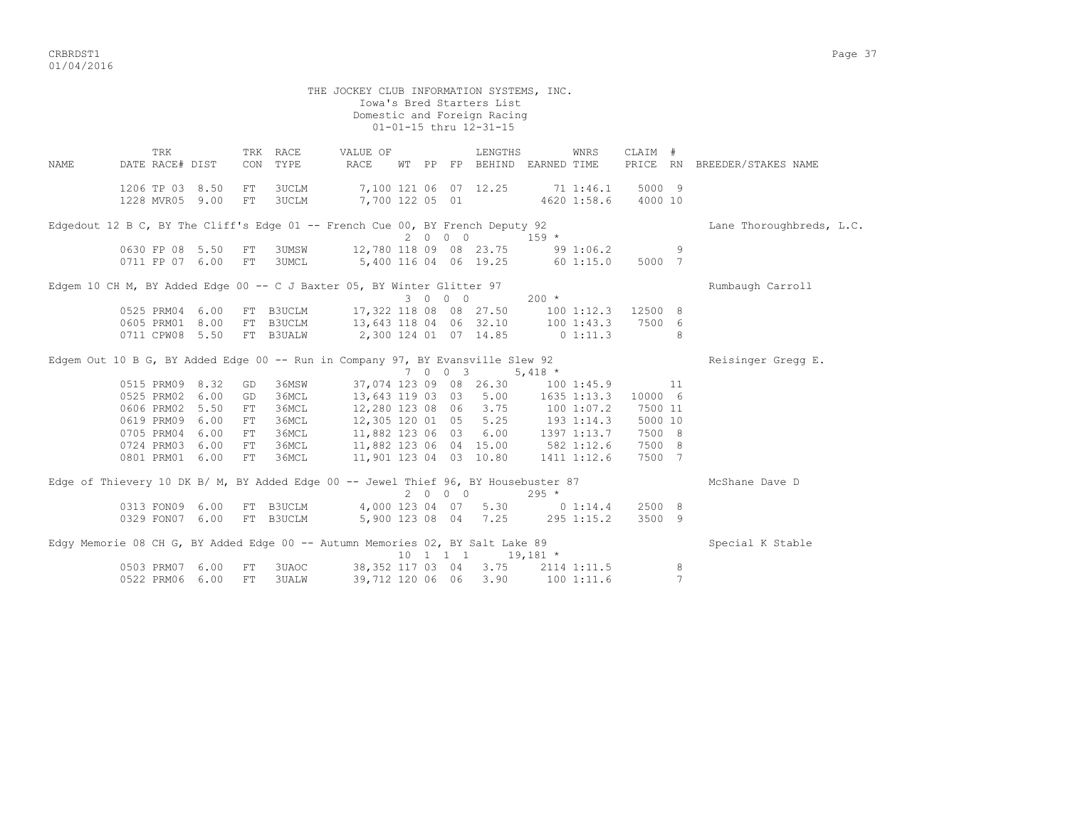CRBRDST1 Page 37 01/04/2016

 THE JOCKEY CLUB INFORMATION SYSTEMS, INC. Iowa's Bred Starters List Domestic and Foreign Racing 01-01-15 thru 12-31-15 TRK TRK RACE VALUE OF LENGTHS WNRS CLAIM # NAME DATE RACE# DIST CON TYPE RACE WT PP FP BEHIND EARNED TIME PRICE RN BREEDER/STAKES NAME 1206 TP 03 8.50 FT 3UCLM 7,100 121 06 07 12.25 71 1:46.1 5000 9 1228 MVR05 9.00 FT 3UCLM 7,700 122 05 01 4620 1:58.6 4000 10 Edgedout 12 B C, BY The Cliff's Edge 01 -- French Cue 00, BY French Deputy 92 Lane Thoroughbreds, L.C.  $2000$  159  $*$ <br>12 780 119 20 21 0630 FP 08 5.50 FT 3UMSW 12,780 118 09 08 23.75 99 1:06.2 9 5,400 116 04 06 19.25 60 1:15.0 5000 7 Edgem 10 CH M, BY Added Edge 00 -- C J Baxter 05, BY Winter Glitter 97 Rumbaugh Carroll  $3 \t0 \t0 \t200 \t\t\t\t\t\t\t\t\t\t\t\t\t\t\t 3$  0525 PRM04 6.00 FT B3UCLM 17,322 118 08 08 27.50 100 1:12.3 12500 8 0605 PRM01 8.00 FT B3UCLM 13,643 118 04 06 32.10 100 1:43.3 7500 6 0711 CPW08 5.50 FT B3UALW 2,300 124 01 07 14.85 0 1:11.3 8 Edgem Out 10 B G, BY Added Edge 00 -- Run in Company 97, BY Evansville Slew 92 Reisinger Gregg E. 7 0 0 3 5,418 \* 0515 PRM09 8.32 GD 36MSW 37,074 123 09 08 26.30 100 1:45.9 11 0525 PRM02 6.00 GD 36MCL 13,643 119 03 03 5.00 1635 1:13.3 10000 6 0606 PRM02 5.50 FT 36MCL 12,280 123 08 06 3.75 100 1:07.2 7500 11 0619 PRM09 6.00 FT 36MCL 12,305 120 01 05 5.25 193 1:14.3 5000 10 0705 PRM04 6.00 FT 36MCL 11,882 123 06 03 6.00 1397 1:13.7 7500 8 0724 PRM03 6.00 FT 36MCL 11,882 123 06 04 15.00 582 1:12.6 7500 8 0801 PRM01 6.00 FT 36MCL 11,901 123 04 03 10.80 1411 1:12.6 7500 7 Edge of Thievery 10 DK B/ M, BY Added Edge 00 -- Jewel Thief 96, BY Housebuster 87 McShane Dave D 2 0 0 0 295 \* 0313 FON09 6.00 FT B3UCLM 4,000 123 04 07 5.30 0 1:14.4 2500 8<br>0329 FON07 6.00 FT B3UCLM 5,900 123 08 04 7.25 295 1:15.2 3500 9  $5,900$  123 08 04 7.25 295 1:15.2 3500 9 Edgy Memorie 08 CH G, BY Added Edge 00 -- Autumn Memories 02, BY Salt Lake 89 Special K Stable 10 1 1 1 19,181 \* 0503 Press Press, 2014 1:11.5<br>06.712.120.06.06.3.90 100.1:11.6 7 0522 PRM06 6.00 FT 3UALW 39,712 120 06 06 3.90 100 1:11.6 7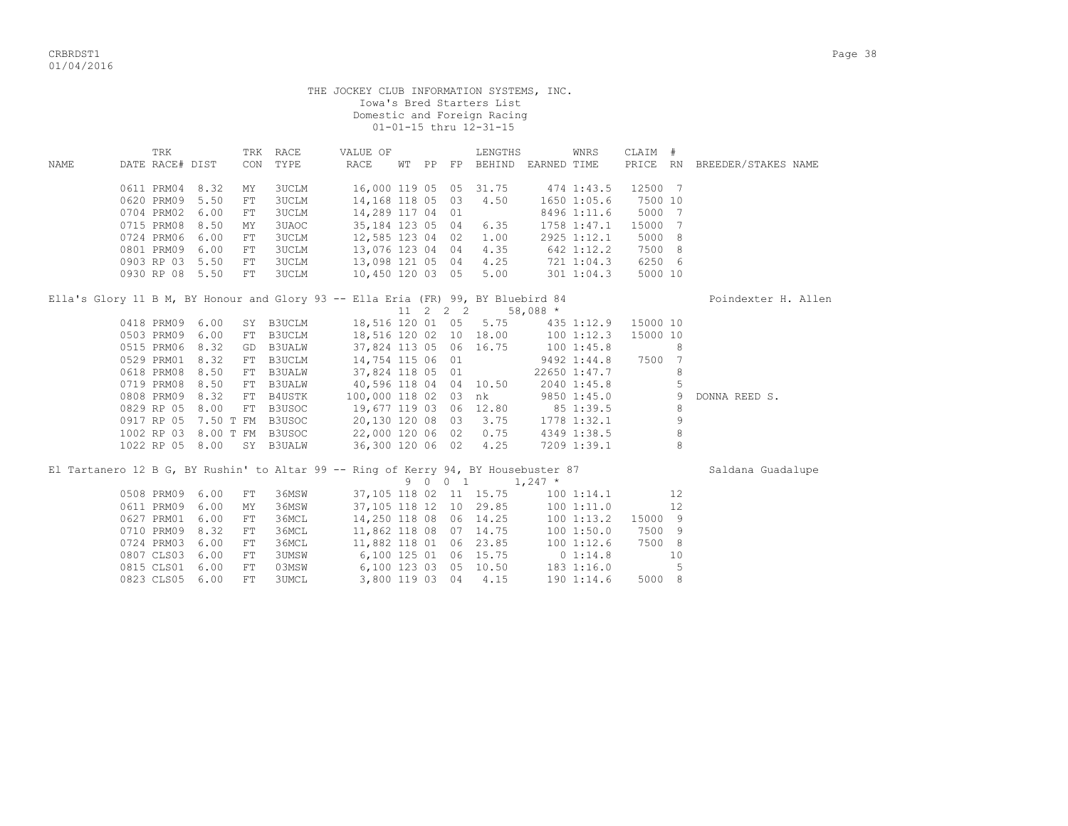|      |                                                                                                                             |      |                            |                  |                  |  | Iowa's Bred Starters List<br>Domestic and Foreign Racing<br>01-01-15 thru 12-31-15 | THE JOCKEY CLUB INFORMATION SYSTEMS, INC. |                |           |                |                              |
|------|-----------------------------------------------------------------------------------------------------------------------------|------|----------------------------|------------------|------------------|--|------------------------------------------------------------------------------------|-------------------------------------------|----------------|-----------|----------------|------------------------------|
|      | TRK                                                                                                                         |      | TRK RACE                   |                  | VALUE OF         |  | LENGTHS                                                                            |                                           | WNRS           | CLAIM #   |                |                              |
| NAME | DATE RACE# DIST                                                                                                             |      | TYPE<br>CON                |                  | RACE             |  |                                                                                    | WT PP FP BEHIND EARNED TIME               |                |           |                | PRICE RN BREEDER/STAKES NAME |
|      | 0611 PRM04 8.32                                                                                                             |      | MΥ<br><b>3UCLM</b>         |                  |                  |  |                                                                                    | 16,000 119 05 05 31.75 474 1:43.5         |                | 12500 7   |                |                              |
|      | 0620 PRM09 5.50                                                                                                             |      | <b>3UCLM</b><br>${\rm FT}$ |                  | 14,168 118 05 03 |  | 4.50                                                                               |                                           | 1650 1:05.6    | 7500 10   |                |                              |
|      | 0704 PRM02 6.00                                                                                                             |      | <b>3UCLM</b><br>FT         |                  | 14,289 117 04 01 |  |                                                                                    |                                           | 8496 1:11.6    | 5000 7    |                |                              |
|      | 0715 PRM08 8.50                                                                                                             |      | 3UAOC<br>MΥ                |                  | 35,184 123 05 04 |  | 6.35                                                                               |                                           | 1758 1:47.1    | 15000     | $\overline{7}$ |                              |
|      | 0724 PRM06 6.00                                                                                                             |      | ${\rm FT}$<br><b>3UCLM</b> |                  | 12,585 123 04 02 |  | 1.00                                                                               |                                           | 2925 1:12.1    | 5000 8    |                |                              |
|      | 0801 PRM09                                                                                                                  | 6.00 | <b>3UCLM</b><br>${\rm FT}$ |                  | 13,076 123 04 04 |  | 4.35                                                                               | 642 1:12.2                                |                | 7500 8    |                |                              |
|      | 0903 RP 03 5.50                                                                                                             |      | <b>3UCLM</b><br>FT         |                  | 13,098 121 05 04 |  |                                                                                    | $4.25$ $721$ $1:04.3$                     |                | 6250 6    |                |                              |
|      | 0930 RP 08 5.50                                                                                                             |      | <b>3UCLM</b><br>FT         |                  | 10,450 120 03 05 |  | 5.00                                                                               |                                           | 301 1:04.3     | 5000 10   |                |                              |
|      | Ella's Glory 11 B M, BY Honour and Glory 93 -- Ella Eria (FR) 99, BY Bluebird 84                                            |      |                            |                  |                  |  | $11 \quad 2 \quad 2 \quad 2 \quad 58,088$ *                                        |                                           |                |           |                | Poindexter H. Allen          |
|      | 0418 PRM09 6.00                                                                                                             |      | SY B3UCLM                  |                  |                  |  |                                                                                    | 18,516 120 01 05 5.75 435 1:12.9          |                | 15000 10  |                |                              |
|      | 0503 PRM09 6.00                                                                                                             |      | FT B3UCLM                  |                  |                  |  |                                                                                    | 18,516 120 02 10 18.00 100 1:12.3         |                | 15000 10  |                |                              |
|      | 0515 PRM06 8.32                                                                                                             |      | GD B3UALW                  |                  |                  |  |                                                                                    | $100$ 1:45.8<br>9492 1:44 9               |                |           | 8              |                              |
|      | 0529 PRM01 8.32                                                                                                             |      | FT B3UCLM                  |                  |                  |  | 37,824 113 05 06 16.75<br>14,754 115 06 01                                         |                                           | 9492 1:44.8    | 7500 7    |                |                              |
|      | 0618 PRM08 8.50                                                                                                             |      | FT B3UALW                  | 37,824 118 05 01 |                  |  |                                                                                    | 22650 1:47.7                              |                |           | 8              |                              |
|      | 0719 PRM08 8.50                                                                                                             |      | FT B3UALW                  |                  |                  |  | 40,596 118 04 04 10.50                                                             | 2040 1:45.8                               |                |           | 5              |                              |
|      | 0808 PRM09 8.32                                                                                                             |      | FT B4USTK                  |                  |                  |  | 100,000 118 02 03 nk                                                               |                                           | 9850 1:45.0    |           | 9              | DONNA REED S.                |
|      |                                                                                                                             |      |                            |                  |                  |  |                                                                                    |                                           |                |           | 8              |                              |
|      | 0829 RP 05 8.00 FT B3USOC 19,677 119 03 06 12.80 85 1:39.5<br>0917 RP 05 7.50 T FM B3USOC 20,130 120 08 03 3.75 1778 1:32.1 |      |                            |                  |                  |  |                                                                                    |                                           |                |           | 9              |                              |
|      | 1002 RP 03 8.00 T FM B3USOC 22,000 120 06 02 0.75 4349 1:38.5                                                               |      |                            |                  |                  |  |                                                                                    |                                           |                |           | $\,8\,$        |                              |
|      | 1022 RP 05 8.00                                                                                                             |      | SY B3UALW                  |                  | 36,300 120 06 02 |  | 4.25                                                                               |                                           | 7209 1:39.1    |           | 8              |                              |
|      | El Tartanero 12 B G, BY Rushin' to Altar 99 -- Ring of Kerry 94, BY Housebuster 87                                          |      |                            |                  |                  |  | $9 \t 0 \t 1 \t 1,247$ *                                                           |                                           |                |           |                | Saldana Guadalupe            |
|      | 0508 PRM09 6.00                                                                                                             |      | 36MSW<br>FT                |                  |                  |  | 37,105 118 02 11 15.75                                                             |                                           |                | 1001:14.1 | 12             |                              |
|      | 0611 PRM09 6.00                                                                                                             |      | 36MSW<br>MΥ                |                  |                  |  | 37,105 118 12 10 29.85                                                             |                                           | 1001:11.0      |           | 12             |                              |
|      | 0627 PRM01 6.00                                                                                                             |      | 36MCL<br>${\rm FT}$        |                  |                  |  |                                                                                    |                                           | $100$ $1:13.2$ | 15000 9   |                |                              |
|      | 0710 PRM09 8.32                                                                                                             |      | 36MCL<br>FT                |                  |                  |  | 14,250 118 08 06 14.25<br>11,862 118 08 07 14.75<br>11,882 118 01 06 23.85         |                                           | 1001:50.0      | 7500 9    |                |                              |
|      | 0724 PRM03 6.00                                                                                                             |      | ${\rm FT}$<br>36MCL        |                  |                  |  |                                                                                    |                                           | 1001:12.6      | 7500 8    |                |                              |
|      | 0807 CLS03 6.00                                                                                                             |      | FT<br><b>3UMSW</b>         |                  |                  |  | 6,100 125 01 06 15.75                                                              | 0 1:14.8                                  |                |           | 10             |                              |
|      | 0815 CLS01                                                                                                                  | 6.00 | 03MSW<br>${\rm FT}$        |                  |                  |  | 6,100 123 03 05 10.50                                                              |                                           | 1831:16.0      |           | 5              |                              |
|      | 0823 CLS05                                                                                                                  | 6.00 | FT<br>3UMCL                |                  | 3,800 119 03 04  |  | 4.15                                                                               |                                           | 190 1:14.6     | 5000 8    |                |                              |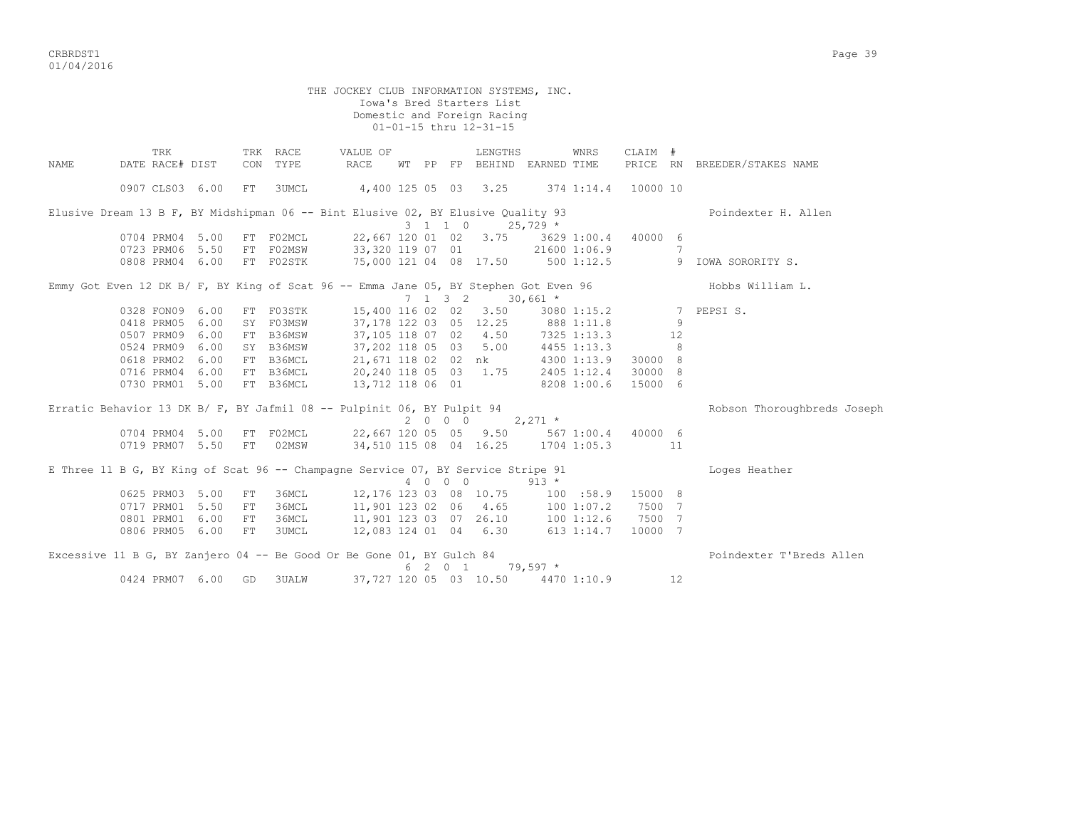CRBRDST1 Page 39 01/04/2016

 THE JOCKEY CLUB INFORMATION SYSTEMS, INC. Iowa's Bred Starters List Domestic and Foreign Racing 01-01-15 thru 12-31-15 TRK TRK RACE VALUE OF LENGTHS WNRS CLAIM # NAME DATE RACE# DIST CON TYPE RACE WT PP FP BEHIND EARNED TIME PRICE RN BREEDER/STAKES NAME 0907 CLS03 6.00 FT 3UMCL 4,400 125 05 03 3.25 374 1:14.4 10000 10 Elusive Dream 13 B F, BY Midshipman 06 -- Bint Elusive 02, BY Elusive Quality 93 Poindexter H. Allen 3 1 1 0 25,729 \* 0704 1206 PRM04 1004 1204 1204 1204 1204 1205 1204 1205 1204 1205 1206 1207 120 120 120 120 120 120 120 120 12<br>
21600 1:06.9 0723 PRM06 5.50 FT F02MSW 33,320 119 07 01 21600 1:06.9 7 0808 PRM04 6.00 FT F02STK 75,000 121 04 08 17.50 500 1:12.5 9 IOWA SORORITY S. Emmy Got Even 12 DK B/ F, BY King of Scat 96 -- Emma Jane 05, BY Stephen Got Even 96 Hobbs William L.  $7 \quad 1 \quad 3 \quad 2 \quad 30,661 \star$  0328 FON09 6.00 FT F03STK 15,400 116 02 02 3.50 3080 1:15.2 7 PEPSI S. 0418 PRM05 6.00 SY F03MSW 37,178 122 03 05 12.25 888 1:11.8 9 0507 PRM09 6.00 FT B36MSW 37,105 118 07 02 4.50 7325 1:13.3 12 0524 PRM09 6.00 SY B36MSW 37,202 118 05 03 5.00 4455 1:13.3 8 0618 PRM02 6.00 FT B36MCL 21,671 118 02 02 nk 4300 1:13.9 30000 8 0716 PRM04 6.00 FT B36MCL 20,240 118 05 03 1.75 2405 1:12.4 30000 8 0730 PRM01 5.00 FT B36MCL 13,712 118 06 01 8208 1:00.6 15000 6 Erratic Behavior 13 DK B/ F, BY Jafmil 08 -- Pulpinit 06, BY Pulpit 94 Robson Thoroughbreds Joseph  $2 \t0 \t0 \t0 \t2.271$  \* 0704 PRM04 5.00 FT F02MCL 22,667 120 05 05 9.50 567 1:00.4 40000 6 0719 PRM07 5.50 FT 02MSW 34,510 115 08 04 16.25 1704 1:05.3 11 E Three 11 B G, BY King of Scat 96 -- Champagne Service 07, BY Service Stripe 91 Loges Heather 4 0 0 0 913 \* 0625 PRM03 5.00 FT 36MCL 12,176 123 03 08 10.75 100 :58.9 15000 8 0717 PRM01 5.50 FT 36MCL 11,901 123 02 06 4.65 100 1:07.2 7500 7 0801 PRM01 6.00 FT 36MCL 11,901 123 03 07 26.10 100 1:12.6 7500 7 0806 PRM05 6.00 FT 3UMCL 12,083 124 01 04 6.30 613 1:14.7 10000 7 Excessive 11 B G, BY Zanjero 04 -- Be Good Or Be Gone 01, BY Gulch 84 Poindexter T'Breds Allen  $6 \t2 \t0 \t1 \t79.597$  \* 0424 PRM07 6.00 GD 3UALW 37,727 120 05 03 10.50 4470 1:10.9 12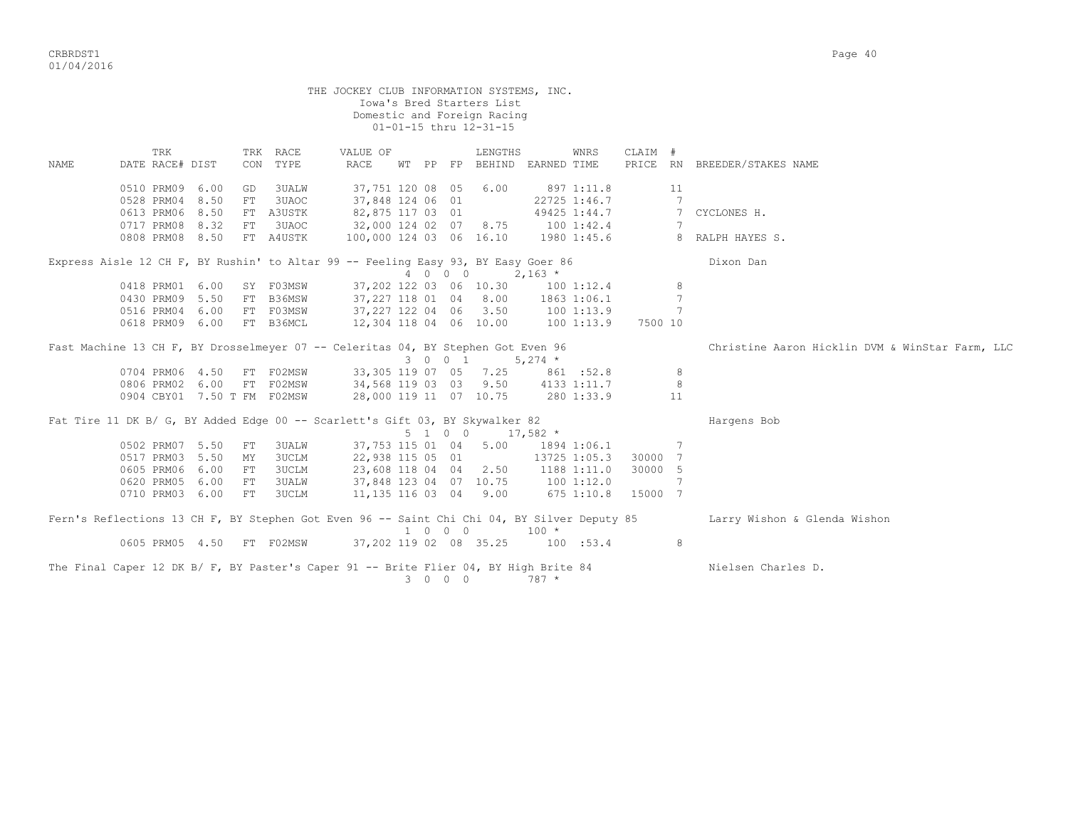|             |                                                                                             |              |          |                      | THE JOCKEY CLUB INFORMATION SYSTEMS, INC.        |         | Iowa's Bred Starters List<br>Domestic and Foreign Racing<br>01-01-15 thru 12-31-15 |              |                            |                      |         |                                                 |
|-------------|---------------------------------------------------------------------------------------------|--------------|----------|----------------------|--------------------------------------------------|---------|------------------------------------------------------------------------------------|--------------|----------------------------|----------------------|---------|-------------------------------------------------|
| <b>NAME</b> | TRK<br>DATE RACE# DIST                                                                      |              |          | TRK RACE<br>CON TYPE | VALUE OF<br>RACE                                 |         | LENGTHS<br>WT PP FP BEHIND EARNED TIME                                             |              | WNRS                       | CLAIM #              |         | PRICE RN BREEDER/STAKES NAME                    |
|             | 0510 PRM09<br>0528 PRM04                                                                    | 6.00<br>8.50 | GD<br>FT | 3UALW<br>3UAOC       | 37,751 120 08 05<br>37,848 124 06 01             |         | 6.00                                                                               |              | 897 1:11.8<br>22725 1:46.7 |                      | 11<br>7 |                                                 |
|             | 0613 PRM06<br>0717 PRM08                                                                    | 8.50<br>8.32 | FT       | FT A3USTK<br>3UAOC   | 82,875 117 03 01<br>32,000 124 02 07 8.75        |         |                                                                                    |              | 49425 1:44.7<br>1001:42.4  |                      | 7       | CYCLONES H.                                     |
|             | 0808 PRM08                                                                                  | 8.50         |          | FT A4USTK            | 100,000 124 03 06 16.10                          |         |                                                                                    |              | 1980 1:45.6                |                      |         | 8 RALPH HAYES S.                                |
|             | Express Aisle 12 CH F, BY Rushin' to Altar 99 -- Feeling Easy 93, BY Easy Goer 86           |              |          |                      |                                                  | 4 0 0 0 | $2,163$ *                                                                          |              |                            |                      |         | Dixon Dan                                       |
|             | 0418 PRM01 6.00                                                                             |              |          | SY F03MSW            |                                                  |         | 37,202 122 03 06 10.30                                                             | 100 1:12.4   |                            |                      | 8       |                                                 |
|             | 0430 PRM09 5.50                                                                             |              |          | FT B36MSW            |                                                  |         | 37,227 118 01 04 8.00                                                              | 1863 1:06.1  |                            |                      | 7       |                                                 |
|             | 0516 PRM04 6.00 FT F03MSW                                                                   |              |          |                      | $37,227$ 122 04 06 3.50<br>37,227 122 04 06 3.50 |         |                                                                                    | 100 1:13.9   |                            |                      | 7       |                                                 |
|             | 0618 PRM09 6.00 FT B36MCL                                                                   |              |          |                      | 12,304 118 04 06 10.00                           |         |                                                                                    | 100 1:13.9   |                            | 7500 10              |         |                                                 |
|             | Fast Machine 13 CH F, BY Drosselmeyer 07 -- Celeritas 04, BY Stephen Got Even 96            |              |          |                      |                                                  |         | $3 \t 0 \t 0 \t 1 \t 5,274 \t\times$                                               |              |                            |                      |         | Christine Aaron Hicklin DVM & WinStar Farm, LLC |
|             | 0704 PRM06 4.50 FT F02MSW                                                                   |              |          |                      |                                                  |         | 33, 305 119 07 05 7.25                                                             | 861:52.8     |                            |                      | 8       |                                                 |
|             | 0806 PRM02 6.00                                                                             |              |          | FT F02MSW            | 34,568 119 03 03 9.50 4133 1:11.7                |         |                                                                                    |              |                            |                      | 8       |                                                 |
|             | 0904 CBY01 7.50 T FM F02MSW                                                                 |              |          |                      |                                                  |         | 28,000 119 11 07 10.75 280 1:33.9                                                  |              |                            |                      | 11      |                                                 |
|             | Fat Tire 11 DK B/ G, BY Added Edge 00 -- Scarlett's Gift 03, BY Skywalker 82                |              |          |                      |                                                  | 5 1 0 0 | $17,582$ *                                                                         |              |                            |                      |         | Hargens Bob                                     |
|             | 0502 PRM07 5.50                                                                             |              | FT       | <b>3UALW</b>         |                                                  |         | 37,753 115 01 04 5.00 1894 1:06.1                                                  |              |                            | $\overline{7}$       |         |                                                 |
|             | 0517 PRM03                                                                                  | 5.50         | MY       | <b>3UCLM</b>         | 22,938 115 05 01                                 |         |                                                                                    |              |                            | 13725 1:05.3 30000 7 |         |                                                 |
|             | 0605 PRM06                                                                                  | 6.00         | FT       | <b>3UCLM</b>         |                                                  |         | 23,608 118 04 04 2.50                                                              |              | 1188 1:11.0                | 30000 5              |         |                                                 |
|             | 0620 PRM05                                                                                  | 6.00         | FT       | <b>3UALW</b>         |                                                  |         | 37,848 123 04 07 10.75                                                             | 1001:12.0    |                            |                      | 7       |                                                 |
|             | 0710 PRM03 6.00                                                                             |              | FT       | 3UCLM                |                                                  |         | 11, 135 116 03 04 9.00                                                             | $675$ 1:10.8 |                            | 15000 7              |         |                                                 |
|             | Fern's Reflections 13 CH F, BY Stephen Got Even 96 -- Saint Chi Chi 04, BY Silver Deputy 85 |              |          |                      |                                                  | 1 0 0 0 |                                                                                    | $100 *$      |                            |                      |         | Larry Wishon & Glenda Wishon                    |
|             | 0605 PRM05 4.50 FT F02MSW                                                                   |              |          |                      |                                                  |         | 37,202 119 02 08 35.25 100 :53.4                                                   |              |                            |                      | 8       |                                                 |
|             | The Final Caper 12 DK B/ F, BY Paster's Caper 91 -- Brite Flier 04, BY High Brite 84        |              |          |                      |                                                  | 3 0 0 0 |                                                                                    | $787 *$      |                            |                      |         | Nielsen Charles D.                              |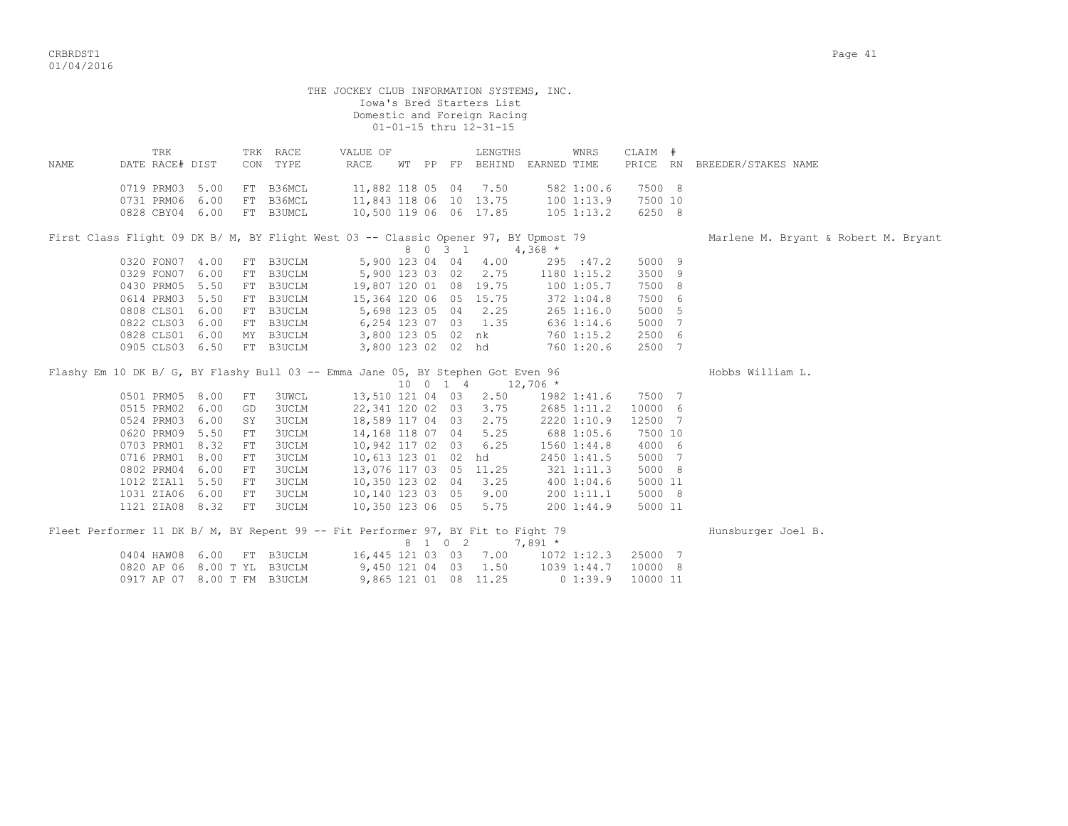|       |                                                                                     |      |    |                      | THE JOCKEY CLUB INFORMATION SYSTEMS, INC. |                       | Iowa's Bred Starters List<br>Domestic and Foreign Racing<br>01-01-15 thru 12-31-15 |            |                |          |                                      |
|-------|-------------------------------------------------------------------------------------|------|----|----------------------|-------------------------------------------|-----------------------|------------------------------------------------------------------------------------|------------|----------------|----------|--------------------------------------|
| NAMF. | TRK<br>DATE RACE# DIST                                                              |      |    | TRK RACE<br>CON TYPE | VALUE OF<br>RACE                          |                       | LENGTHS<br>WT PP FP BEHIND EARNED TIME                                             |            | WNRS           | CLAIM #  | PRICE RN BREEDER/STAKES NAME         |
|       | 0719 PRM03 5.00                                                                     |      |    | FT B36MCL            | 11,882 118 05 04                          |                       | 7.50                                                                               |            | 582 1:00.6     | 7500 8   |                                      |
|       | 0731 PRM06 6.00                                                                     |      |    | FT B36MCL            | 11,843 118 06 10 13.75                    |                       |                                                                                    |            | 1001:13.9      | 7500 10  |                                      |
|       | 0828 CBY04 6.00                                                                     |      |    | FT B3UMCL            | 10,500 119 06 06 17.85                    |                       |                                                                                    |            | 105 1:13.2     | 6250 8   |                                      |
|       | First Class Flight 09 DK B/ M, BY Flight West 03 -- Classic Opener 97, BY Upmost 79 |      |    |                      |                                           | 8 0 3 1               |                                                                                    | $4,368$ *  |                |          | Marlene M. Bryant & Robert M. Bryant |
|       | 0320 FON07 4.00                                                                     |      |    | FT B3UCLM            |                                           |                       | 5,900 123 04 04 4.00                                                               |            | 295 : 47.2     | 5000 9   |                                      |
|       | 0329 FON07 6.00                                                                     |      |    | FT B3UCLM            | 5,900 123 03 02                           |                       | 2.75                                                                               |            | 1180 1:15.2    | 3500 9   |                                      |
|       | 0430 PRM05 5.50                                                                     |      |    | FT B3UCLM            | 19,807 120 01 08 19.75                    |                       |                                                                                    | 100 1:05.7 |                | 7500 8   |                                      |
|       | 0614 PRM03 5.50                                                                     |      |    | FT B3UCLM            | 15,364 120 06 05 15.75                    |                       |                                                                                    |            | 372 1:04.8     | 7500 6   |                                      |
|       | 0808 CLS01 6.00                                                                     |      |    | FT B3UCLM            |                                           | 5,698 123 05 04 2.25  |                                                                                    |            | $265$ $1:16.0$ | 5000 5   |                                      |
|       | 0822 CLS03                                                                          | 6.00 |    | FT B3UCLM            |                                           | 6, 254 123 07 03 1.35 |                                                                                    |            | 636 1:14.6     | 5000 7   |                                      |
|       | 0828 CLS01 6.00                                                                     |      |    | MY B3UCLM            |                                           | 3,800 123 05 02 nk    |                                                                                    |            | 760 1:15.2     | 2500 6   |                                      |
|       | 0905 CLS03 6.50                                                                     |      |    | FT B3UCLM            |                                           | 3,800 123 02 02 hd    |                                                                                    |            | 760 1:20.6     | 2500 7   |                                      |
|       | Flashy Em 10 DK B/ G, BY Flashy Bull 03 -- Emma Jane 05, BY Stephen Got Even 96     |      |    |                      |                                           |                       | 10 0 1 4 12,706 *                                                                  |            |                |          | Hobbs William L.                     |
|       | 0501 PRM05 8.00                                                                     |      | FT | 3UWCL                |                                           |                       | 13,510 121 04 03 2.50                                                              |            | 1982 1:41.6    | 7500 7   |                                      |
|       | 0515 PRM02 6.00                                                                     |      | GD | 3UCLM                |                                           |                       | 22,341 120 02 03 3.75                                                              |            | 2685 1:11.2    | 10000 6  |                                      |
|       | 0524 PRM03 6.00                                                                     |      | SY | 3UCLM                |                                           |                       | 18,589 117 04 03 2.75                                                              |            | 2220 1:10.9    | 12500 7  |                                      |
|       | 0620 PRM09 5.50                                                                     |      | FT | 3UCLM                | 14,168 118 07 04                          |                       | 5.25                                                                               | 688 1:05.6 |                | 7500 10  |                                      |
|       | 0703 PRM01 8.32                                                                     |      | FT | 3UCLM                | 10,942 117 02 03                          |                       | 6.25                                                                               |            | 1560 1:44.8    | 4000 6   |                                      |
|       | 0716 PRM01 8.00                                                                     |      | FT | 3UCLM                |                                           |                       | 10,613 123 01 02 hd                                                                |            | 2450 1:41.5    | 5000 7   |                                      |
|       | 0802 PRM04 6.00                                                                     |      | FT | 3UCLM                | 13,076 117 03 05 11.25                    |                       |                                                                                    |            | 321 1:11.3     | 5000 8   |                                      |
|       | 1012 ZIA11 5.50                                                                     |      | FT | 3UCLM                | 10,350 123 02 04                          |                       | 3.25                                                                               |            | 400 1:04.6     | 5000 11  |                                      |
|       | 1031 ZIA06 6.00                                                                     |      | FT | 3UCLM                | 10,140 123 03 05                          |                       | 9.00                                                                               |            | 200 1:11.1     | 5000 8   |                                      |
|       | 1121 ZIA08 8.32                                                                     |      | FT | 3UCLM                | 10,350 123 06 05                          |                       | 5.75                                                                               |            | 200 1:44.9     | 5000 11  |                                      |
|       | Fleet Performer 11 DK B/ M, BY Repent 99 -- Fit Performer 97, BY Fit to Fight 79    |      |    |                      |                                           | 8 1 0 2               |                                                                                    | $7,891*$   |                |          | Hunsburger Joel B.                   |
|       | 0404 HAW08 6.00 FT B3UCLM                                                           |      |    |                      |                                           |                       | 16,445 121 03 03 7.00                                                              |            | 1072 1:12.3    | 25000 7  |                                      |
|       | 0820 AP 06 8.00 T YL B3UCLM                                                         |      |    |                      | 9,450 121 04 03 1.50                      |                       |                                                                                    |            | 1039 1:44.7    | 10000 8  |                                      |
|       | 0917 AP 07 8.00 T FM B3UCLM                                                         |      |    |                      |                                           | 9,865 121 01 08 11.25 |                                                                                    |            | 01:39.9        | 10000 11 |                                      |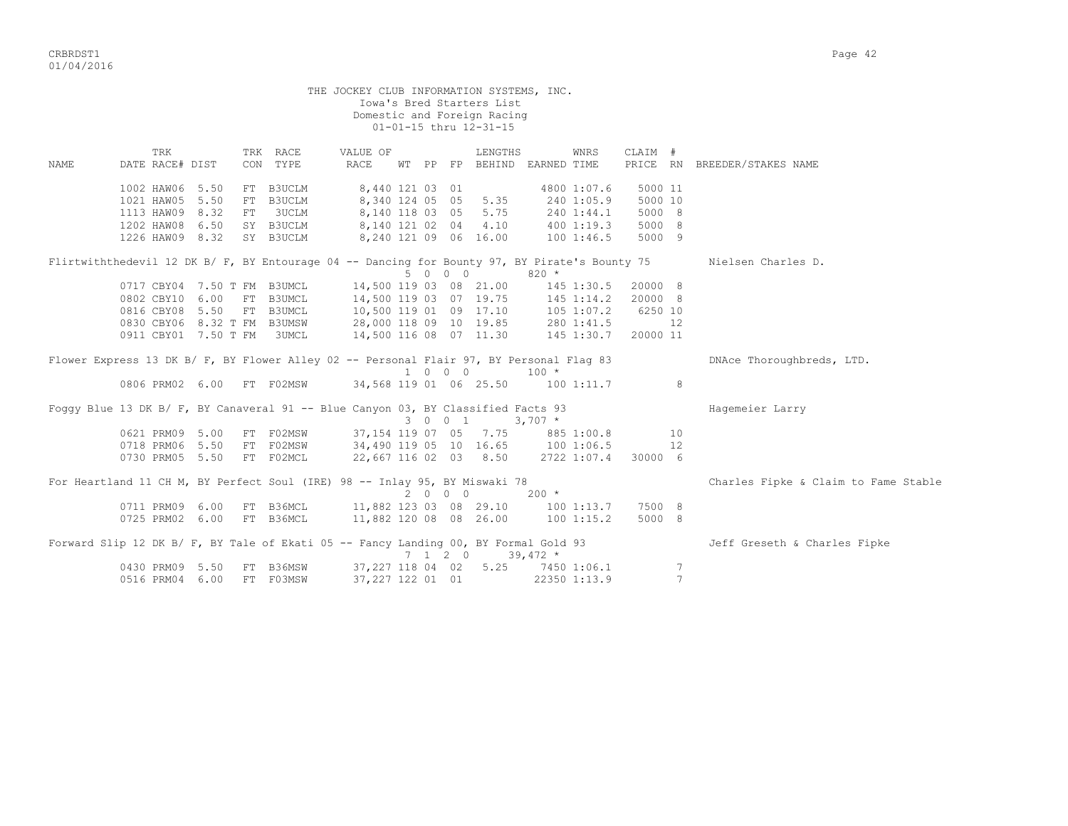CRBRDST1 Page 42 01/04/2016

|      |            |                        |                             |                                                                                               | THE JOCKEY CLUB INFORMATION SYSTEMS, INC.                                                                   |  |         | Iowa's Bred Starters List<br>Domestic and Foreign Racing<br>01-01-15 thru 12-31-15 |                |                            |                     |    |                                      |
|------|------------|------------------------|-----------------------------|-----------------------------------------------------------------------------------------------|-------------------------------------------------------------------------------------------------------------|--|---------|------------------------------------------------------------------------------------|----------------|----------------------------|---------------------|----|--------------------------------------|
| NAME |            | TRK<br>DATE RACE# DIST |                             | TRK RACE<br>CON TYPE                                                                          | VALUE OF<br>RACE                                                                                            |  |         | LENGTHS<br>WT PP FP BEHIND EARNED TIME                                             |                | WNRS                       | CLAIM #<br>PRICE RN |    | BREEDER/STAKES NAME                  |
|      |            |                        |                             |                                                                                               |                                                                                                             |  |         |                                                                                    |                |                            |                     |    |                                      |
|      |            | 1002 HAW06 5.50        |                             | FT B3UCLM                                                                                     | 8,440 121 03 01                                                                                             |  |         |                                                                                    |                | 4800 1:07.6                | 5000 11             |    |                                      |
|      | 1021 HAW05 |                        | 5.50                        | FT B3UCLM                                                                                     | 8,340 124 05 05                                                                                             |  |         | 5.35                                                                               | 240 1:05.9     |                            | 5000 10             |    |                                      |
|      | 1113 HAW09 |                        | 8.32                        | FT 3UCLM                                                                                      |                                                                                                             |  |         | 8, 140 118 03 05 5.75                                                              |                |                            | 5000 8              |    |                                      |
|      |            | 1202 HAW08 6.50        |                             | SY B3UCLM                                                                                     |                                                                                                             |  |         | 8,140 121 02 04 4.10                                                               |                | $240$ 1:44.1<br>400 1:19.3 | 5000 8              |    |                                      |
|      |            | 1226 HAW09 8.32        |                             | SY B3UCLM                                                                                     |                                                                                                             |  |         | 8,240 121 09 06 16.00 100 1:46.5                                                   |                |                            | 5000 9              |    |                                      |
|      |            |                        |                             | Flirtwiththedevil 12 DK B/ F, BY Entourage 04 -- Dancing for Bounty 97, BY Pirate's Bounty 75 |                                                                                                             |  | 5 0 0 0 |                                                                                    | $820 *$        |                            |                     |    | Nielsen Charles D.                   |
|      |            |                        | 0717 CBY04 7.50 T FM B3UMCL |                                                                                               | 14,500 119 03 08 21.00                                                                                      |  |         |                                                                                    |                | $145$ 1:30.5               | 20000 8             |    |                                      |
|      |            | 0802 CBY10             | 6.00                        | FT B3UMCL                                                                                     | 14,500 119 03 07 19.75 145 1:14.2<br>10,500 119 01 09 17.10 105 1:07.2<br>28,000 118 09 10 19.85 280 1:41.5 |  |         |                                                                                    |                |                            | 20000 8             |    |                                      |
|      |            | 0816 CBY08 5.50        |                             | FT B3UMCL                                                                                     |                                                                                                             |  |         |                                                                                    |                |                            | 6250 10             |    |                                      |
|      |            |                        | 0830 CBY06 8.32 T FM B3UMSW |                                                                                               |                                                                                                             |  |         |                                                                                    |                |                            |                     | 12 |                                      |
|      |            |                        | 0911 CBY01 7.50 T FM        | 3UMCL                                                                                         | 14,500 116 08 07 11.30 145 1:30.7                                                                           |  |         |                                                                                    |                |                            | 20000 11            |    |                                      |
|      |            |                        |                             | Flower Express 13 DK B/ F, BY Flower Alley 02 -- Personal Flair 97, BY Personal Flaq 83       |                                                                                                             |  | 1 0 0 0 |                                                                                    | $100 *$        |                            |                     |    | DNAce Thoroughbreds, LTD.            |
|      |            | 0806 PRM02 6.00        |                             | FT F02MSW                                                                                     | 34,568 119 01 06 25.50 100 1:11.7                                                                           |  |         |                                                                                    |                |                            |                     | 8  |                                      |
|      |            |                        |                             | Foggy Blue 13 DK B/ F, BY Canaveral 91 -- Blue Canyon 03, BY Classified Facts 93              |                                                                                                             |  | 3 0 0 1 | $3,707$ *                                                                          |                |                            |                     |    | Hagemeier Larry                      |
|      |            | 0621 PRM09             | 5.00                        | FT F02MSW                                                                                     | 37, 154 119 07 05 7.75 885 1:00.8                                                                           |  |         |                                                                                    |                |                            |                     | 10 |                                      |
|      |            | 0718 PRM06 5.50        |                             | FT F02MSW                                                                                     | 34,490 119 05 10 16.65 100 1:06.5                                                                           |  |         |                                                                                    |                |                            |                     | 12 |                                      |
|      |            | 0730 PRM05 5.50        |                             | FT F02MCL                                                                                     | 22,667 116 02 03 8.50 2722 1:07.4                                                                           |  |         |                                                                                    |                |                            | 30000 6             |    |                                      |
|      |            |                        |                             | For Heartland 11 CH M, BY Perfect Soul (IRE) 98 -- Inlay 95, BY Miswaki 78                    |                                                                                                             |  | 2000    |                                                                                    | $200 *$        |                            |                     |    | Charles Fipke & Claim to Fame Stable |
|      |            | 0711 PRM09 6.00        |                             | FT B36MCL                                                                                     | 11,882 123 03 08 29.10                                                                                      |  |         |                                                                                    | $100$ $1:13.7$ |                            | 7500 8              |    |                                      |

|                           |  | Forward Slip 12 DK B/ F, BY Tale of Ekati 05 -- Fancy Landing 00, BY Formal Gold 93 |              |               | Jeff Greseth & Charles Fipke |
|---------------------------|--|-------------------------------------------------------------------------------------|--------------|---------------|------------------------------|
|                           |  | $7 \quad 1 \quad 2 \quad 0 \quad 39.472 \; *$                                       |              |               |                              |
| 0430 PRM09 5.50 FT B36MSW |  | 37,227 118 04 02 5.25                                                               | 7450 1:06.1  | $\mathcal{L}$ |                              |
| 0516 PRM04 6.00 FT F03MSW |  | 37,227 122 01 01                                                                    | 22350 1:13.9 |               |                              |

0725 PRM02 6.00 FT B36MCL 11,882 120 08 08 26.00 100 1:15.2 5000 8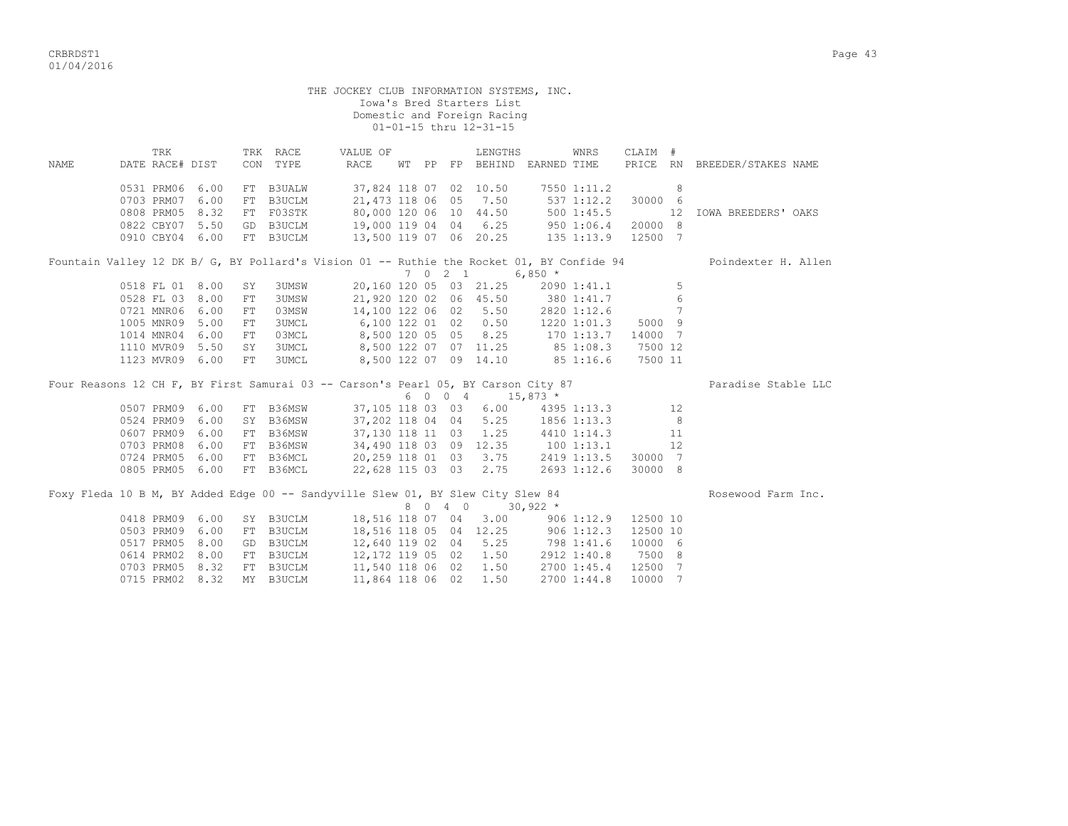CRBRDST1 Page 43 01/04/2016

| UI/U4/ZUI0                     |                                          |              |                                            |    |       |                                                                                    |                     |                     |                     |  |
|--------------------------------|------------------------------------------|--------------|--------------------------------------------|----|-------|------------------------------------------------------------------------------------|---------------------|---------------------|---------------------|--|
|                                |                                          |              | THE JOCKEY CLUB INFORMATION SYSTEMS, INC.  |    |       | Iowa's Bred Starters List<br>Domestic and Foreign Racing<br>01-01-15 thru 12-31-15 |                     |                     |                     |  |
| TRK<br>DATE RACE# DIST<br>NAME | TRK<br>CON<br>0.531 PRM06 6.00 FT B3UALM | RACE<br>TYPE | VALUE OF<br>RACE<br>37.824 118 07 02 10.50 | WT | PP FP | LENGTHS<br>BEHIND EARNED TIME                                                      | WNRS<br>7550 1:11.2 | CLAIM #<br>PRICE RN | BREEDER/STAKES NAME |  |

|  | 0531 PRM06 | 6.00 | FT  | B3UALW    | 37,824 118 07                                                                             |  | 02      | 10.50                  |                                   | 7550 1:11.2     |         | 8  |                     |
|--|------------|------|-----|-----------|-------------------------------------------------------------------------------------------|--|---------|------------------------|-----------------------------------|-----------------|---------|----|---------------------|
|  |            |      |     |           |                                                                                           |  |         |                        |                                   |                 |         |    |                     |
|  | 0703 PRM07 | 6.00 |     | FT B3UCLM |                                                                                           |  |         | 21,473 118 06 05 7.50  |                                   | 537 1:12.2      | 30000 6 |    |                     |
|  | 0808 PRM05 | 8.32 |     | FT F03STK |                                                                                           |  |         | 80,000 120 06 10 44.50 |                                   | 5001:45.5       |         | 12 | IOWA BREEDERS' OAKS |
|  | 0822 CBY07 | 5.50 |     | GD B3UCLM |                                                                                           |  |         | 19,000 119 04 04 6.25  |                                   | 950 1:06.4      | 20000 8 |    |                     |
|  | 0910 CBY04 | 6.00 |     | FT B3UCLM |                                                                                           |  |         | 13,500 119 07 06 20.25 |                                   | 135 1:13.9      | 12500 7 |    |                     |
|  |            |      |     |           | Fountain Valley 12 DK B/ G, BY Pollard's Vision 01 -- Ruthie the Rocket 01, BY Confide 94 |  |         |                        |                                   |                 |         |    | Poindexter H. Allen |
|  |            |      |     |           |                                                                                           |  | 7 0 2 1 |                        | $6,850*$                          |                 |         |    |                     |
|  | 0518 FL 01 | 8.00 | SY  | 3UMSW     |                                                                                           |  |         | 20,160 120 05 03 21.25 |                                   | 2090 1:41.1     |         | 5  |                     |
|  | 0528 FL 03 | 8.00 | FT  | 3UMSW     |                                                                                           |  |         |                        | 21,920 120 02 06 45.50 380 1:41.7 |                 |         | 6  |                     |
|  | 0721 MNR06 | 6.00 | FT. | 03MSW     |                                                                                           |  |         | 14,100 122 06 02 5.50  |                                   | 2820 1:12.6     |         |    |                     |
|  | 1005 MNR09 | 5.00 | FT  | 3UMCL     |                                                                                           |  |         | 6,100 122 01 02 0.50   |                                   | $1220$ $1:01.3$ | 5000 9  |    |                     |
|  | 1014 MNR04 | 6.00 | FT. | 03MCL     |                                                                                           |  |         | 8,500 120 05 05 8.25   |                                   | 170 1:13.7      | 14000 7 |    |                     |
|  | 1110 MVR09 | 5.50 | SY. | 3UMCL     |                                                                                           |  |         | 8,500 122 07 07 11.25  |                                   | 851:08.3        | 7500 12 |    |                     |

Four Reasons 12 CH F, BY First Samurai 03 -- Carson's Pearl 05, BY Carson City 87 Paradise Stable LLC<br>
6 0 0 4 15,873 \*  $6 \t0 \t0 \t4 \t15,873$  \* 0507 PRM09 6.00 FT B36MSW 37,105 118 03 03 6.00 4395 1:13.3 12 0524 PRM09 6.00 SY B36MSW 37,202 118 04 04 5.25 1856 1:13.3 8 0607 PRM09 6.00 FT B36MSW 37,130 118 11 03 1.25 4410 1:14.3 11 0703 PRM08 6.00 FT B36MSW 34,490 118 03 09 12.35 100 1:13.1 12

1123 MVR09 6.00 FT 3UMCL 8,500 122 07 09 14.10 85 1:16.6 7500 11

 0724 PRM05 6.00 FT B36MCL 20,259 118 01 03 3.75 2419 1:13.5 30000 7 0805 PRM05 6.00 FT B36MCL 22,628 115 03 03 2.75 2693 1:12.6 30000 8

|  |  |                 |                           | Foxy Fleda 10 B M, BY Added Edge 00 -- Sandyville Slew 01, BY Slew City Slew 84 |  |         |                       |                                   |            |            |          | Rosewood Farm Inc. |  |
|--|--|-----------------|---------------------------|---------------------------------------------------------------------------------|--|---------|-----------------------|-----------------------------------|------------|------------|----------|--------------------|--|
|  |  |                 |                           |                                                                                 |  | 8 0 4 0 |                       | $30,922$ *                        |            |            |          |                    |  |
|  |  |                 | 0418 PRM09 6.00 SY B3UCLM |                                                                                 |  |         | 18,516 118 07 04 3.00 |                                   |            | 906 1:12.9 | 12500 10 |                    |  |
|  |  | 0503 PRM09 6.00 | FT B3UCLM                 |                                                                                 |  |         |                       | 18,516 118 05 04 12.25 906 1:12.3 |            |            | 12500 10 |                    |  |
|  |  | 0517 PRM05 8.00 | GD B3UCLM                 |                                                                                 |  |         | 12,640 119 02 04 5.25 |                                   | 798 1:41.6 |            | 10000 6  |                    |  |
|  |  |                 | 0614 PRM02 8.00 FT B3UCLM |                                                                                 |  |         | 12,172 119 05 02 1.50 | 2912 1:40.8                       |            |            | 7500 8   |                    |  |
|  |  | 0703 PRM05 8.32 | FT B3UCLM                 |                                                                                 |  |         | 11,540 118 06 02 1.50 | 2700 1:45.4                       |            |            | 12500 7  |                    |  |
|  |  | 0715 PRM02 8.32 | MY B3UCLM                 |                                                                                 |  |         | 11,864 118 06 02 1.50 | 2700 1:44.8                       |            |            | 10000 7  |                    |  |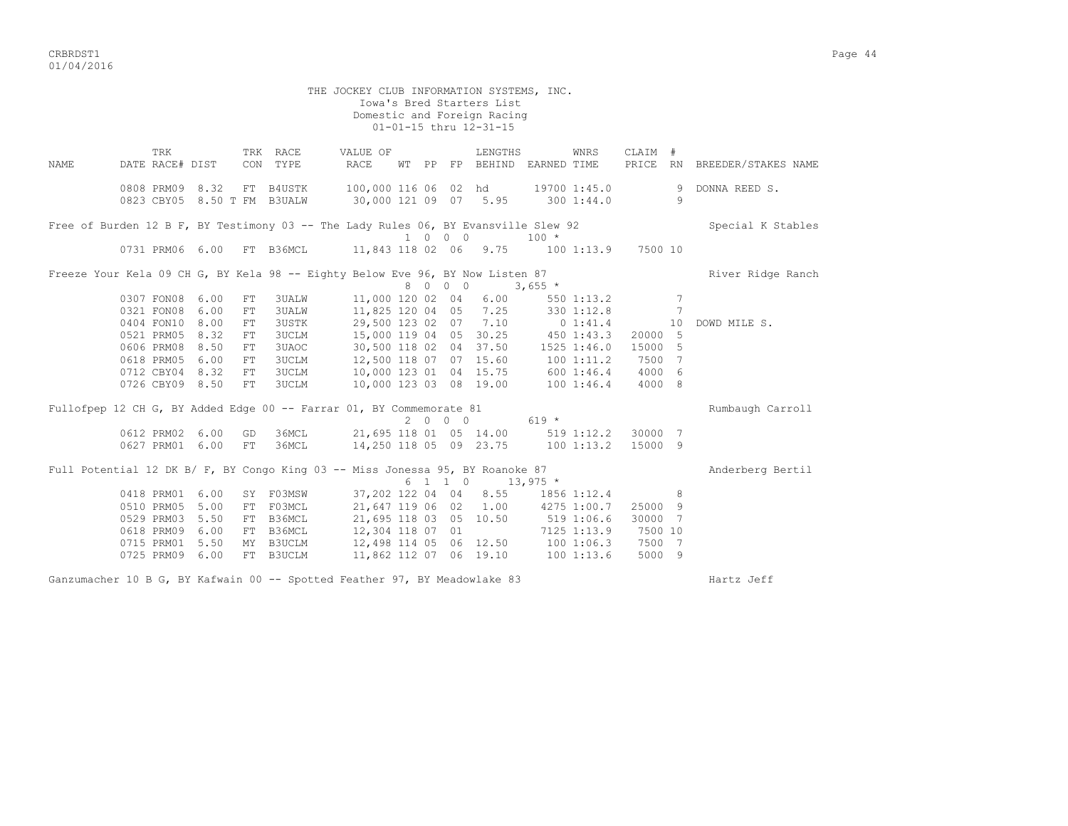CRBRDST1 Page 44 01/04/2016

THE JOCKEY CLUB INFORMATION SYSTEMS, INC. Iowa's Bred Starters List Domestic and Foreign Racing 01-01-15 thru 12-31-15 TRK TRK RACE VALUE OF LENGTHS WNRS CLAIM # NAME DATE RACE# DIST CON TYPE RACE WT PP FP BEHIND EARNED TIME PRICE RN BREEDER/STAKES NAME 0808 PRM09 8.32 FT B4USTK 100,000 116 06 02 hd 19700 1:45.0 9 DONNA REED S. 0823 CBY05 8.50 T FM B3UALW 30,000 121 09 07 5.95 300 1:44.0 9 Free of Burden 12 B F, BY Testimony 03 -- The Lady Rules 06, BY Evansville Slew 92 Special K Stables 1 0 0 0 100 \* 0731 PRM06 6.00 FT B36MCL 11,843 118 02 06 9.75 100 1:13.9 7500 10 Freeze Your Kela 09 CH G, BY Kela 98 -- Eighty Below Eve 96, BY Now Listen 87 River Ridge Ranch  $8 \times 1000$  Listen 87<br>8 0 0 0 3,655 \*<br>000 120 02 04 0307 FON08 6.00 FT 3UALW 11,000 120 02 04 6.00 550 1:13.2 7 0321 FON08 6.00 FT 3UALW 11,825 120 04 05 7.25 330 1:12.8 7 0404 FON10 8.00 FT 3USTK 29,500 123 02 07 7.10 0 1:41.4 10 DOWD MILE S. 0521 PRM05 8.32 FT 3UCLM 15,000 119 04 05 30.25 450 1:43.3 20000 5 0606 PRM08 8.50 FT 3UAOC 30,500 118 02 04 37.50 1525 1:46.0 15000 5 0618 PRM05 6.00 FT 3UCLM 12,500 118 07 07 15.60 100 1:11.2 7500 7 0712 CBY04 8.32 FT 3UCLM 10,000 123 01 04 15.75 600 1:46.4 4000 6 0726 CBY09 8.50 FT 3UCLM 10,000 123 03 08 19.00 100 1:46.4 4000 8 Fullofpep 12 CH G, BY Added Edge 00 -- Farrar 01, BY Commemorate 81 Rumbaugh Carroll  $2 0 0 0 619 *$  0612 PRM02 6.00 GD 36MCL 21,695 118 01 05 14.00 519 1:12.2 30000 7 0627 PRM01 6.00 FT 36MCL 14,250 118 05 09 23.75 100 1:13.2 15000 9 Full Potential 12 DK B/ F, BY Congo King 03 -- Miss Jonessa 95, BY Roanoke 87 Anderberg Bertil  $6 \t1 \t1 \t0 \t13,975$  \* 0418 PRM01 6.00 SY F03MSW 37,202 122 04 04 8.55 1856 1:12.4 8 0510 PRM05 5.00 FT F03MCL 21,647 119 06 02 1.00 4275 1:00.7 25000 9 0529 PRM03 5.50 FT B36MCL 21,695 118 03 05 10.50 519 1:06.6 30000 7 0618 PRM09 6.00 FT B36MCL 12,304 118 07 01 7125 1:13.9 7500 10 0715 PRM01 5.50 MY B3UCLM 12,498 114 05 06 12.50 100 1:06.3 7500 7 0725 PRM09 6.00 FT B3UCLM 11,862 112 07 06 19.10 100 1:13.6 5000 9

Ganzumacher 10 B G, BY Kafwain 00 -- Spotted Feather 97, BY Meadowlake 83 Hartz Jeff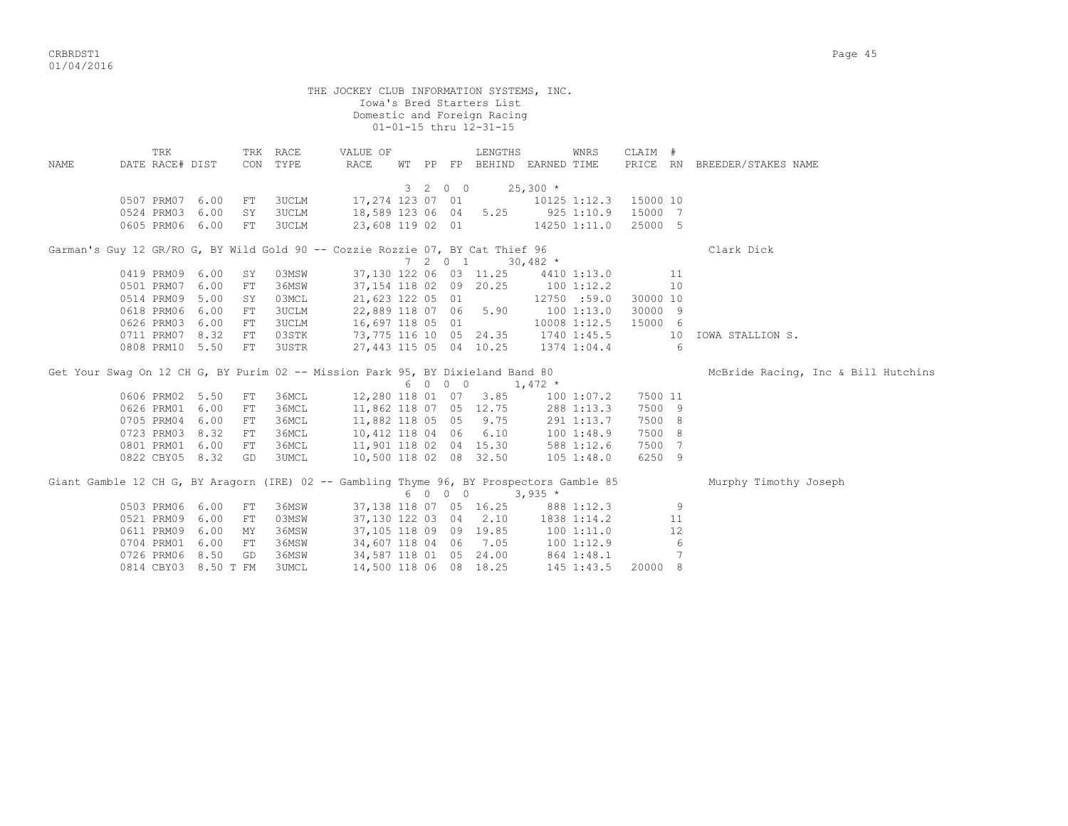|      |                                                                                |    |                      | THE JOCKEY CLUB INFORMATION SYSTEMS, INC. |         | Iowa's Bred Starters List<br>Domestic and Foreign Racing<br>01-01-15 thru 12-31-15 |                                                                                                       |                       |                                     |
|------|--------------------------------------------------------------------------------|----|----------------------|-------------------------------------------|---------|------------------------------------------------------------------------------------|-------------------------------------------------------------------------------------------------------|-----------------------|-------------------------------------|
| NAME | TRK<br>DATE RACE# DIST                                                         |    | TRK RACE<br>CON TYPE | VALUE OF<br>RACE                          |         | LENGTHS                                                                            | WNRS<br>WT PP FP BEHIND EARNED TIME                                                                   | CLAIM #               | PRICE RN BREEDER/STAKES NAME        |
|      |                                                                                |    |                      |                                           |         | 3 2 0 0                                                                            | $25,300*$                                                                                             |                       |                                     |
|      | 0507 PRM07 6.00                                                                | FT | 3UCLM                |                                           |         | 17,274 123 07 01                                                                   |                                                                                                       | 10125 1:12.3 15000 10 |                                     |
|      | 0524 PRM03 6.00                                                                | SY | <b>3UCLM</b>         |                                           |         |                                                                                    | 18,589 123 06 04 5.25 925 1:10.9                                                                      | 15000 7               |                                     |
|      | 0605 PRM06 6.00                                                                | FT | <b>3UCLM</b>         |                                           |         |                                                                                    | 23,608 119 02 01 14250 1:11.0                                                                         | 25000 5               |                                     |
|      | Garman's Guy 12 GR/RO G, BY Wild Gold 90 -- Cozzie Rozzie 07, BY Cat Thief 96  |    |                      |                                           |         |                                                                                    |                                                                                                       |                       | Clark Dick                          |
|      |                                                                                |    |                      |                                           | 7201    |                                                                                    | $30,482$ *                                                                                            |                       |                                     |
|      | 0419 PRM09 6.00                                                                | SY | 03MSW                |                                           |         | 37,130 122 06 03 11.25                                                             | 4410 1:13.0                                                                                           | 11                    |                                     |
|      | 0501 PRM07 6.00                                                                | FT | 36MSW                |                                           |         | 37,154 118 02 09 20.25                                                             | $100$ 1:12.2                                                                                          | 10                    |                                     |
|      | 0514 PRM09 5.00                                                                | SY | 03MCL                | 21,623 122 05 01                          |         |                                                                                    | 12750 :59.0                                                                                           | 30000 10              |                                     |
|      | 0618 PRM06 6.00                                                                | FT | <b>3UCLM</b>         |                                           |         | 22,889 118 07 06 5.90                                                              | 1001:13.0                                                                                             | 30000 9               |                                     |
|      | 0626 PRM03 6.00                                                                | FT | <b>3UCLM</b>         |                                           |         | 16,697 118 05 01                                                                   | 10008 1:12.5                                                                                          | 15000 6               |                                     |
|      | 0711 PRM07 8.32                                                                | FT | 03STK                |                                           |         |                                                                                    | 73,775 116 10 05 24.35 1740 1:45.5                                                                    | 10                    | IOWA STALLION S.                    |
|      | 0808 PRM10 5.50                                                                | FT | 3USTR                |                                           |         | 27,443 115 05 04 10.25                                                             | 1374 1:04.4                                                                                           | $6\overline{6}$       |                                     |
|      | Get Your Swaq On 12 CH G, BY Purim 02 -- Mission Park 95, BY Dixieland Band 80 |    |                      |                                           |         |                                                                                    |                                                                                                       |                       | McBride Racing, Inc & Bill Hutchins |
|      |                                                                                |    |                      |                                           | 6 0 0 0 |                                                                                    | $1,472$ *                                                                                             |                       |                                     |
|      | 0606 PRM02 5.50                                                                | FT | 36MCL                |                                           |         | 12,280 118 01 07 3.85                                                              | 100 1:07.2                                                                                            | 7500 11               |                                     |
|      | 0626 PRM01 6.00                                                                | FT | 36MCL                |                                           |         | 11,862 118 07 05 12.75                                                             | 288 1:13.3                                                                                            | 7500 9                |                                     |
|      | 0705 PRM04 6.00                                                                | FT | 36MCL                | 11,882 118 05 05 9.75                     |         |                                                                                    | 291 1:13.7                                                                                            | 7500 8                |                                     |
|      | 0723 PRM03 8.32                                                                | FT | 36MCL                |                                           |         | 10,412 118 04 06 6.10                                                              | 1001:48.9                                                                                             | 7500 8                |                                     |
|      | 0801 PRM01 6.00                                                                | FT | 36MCL                |                                           |         | 11,901 118 02 04 15.30                                                             | 588 1:12.6                                                                                            | 7500 7                |                                     |
|      | 0822 CBY05 8.32                                                                | GD | <b>3UMCL</b>         | 10,500 118 02 08 32.50                    |         |                                                                                    | 105 1:48.0                                                                                            | 6250 9                |                                     |
|      |                                                                                |    |                      |                                           | 6 0 0 0 |                                                                                    | Giant Gamble 12 CH G, BY Aragorn (IRE) 02 -- Gambling Thyme 96, BY Prospectors Gamble 85<br>$3,935$ * |                       | Murphy Timothy Joseph               |
|      | 0503 PRM06 6.00                                                                | FT | 36MSW                |                                           |         | 37,138 118 07 05 16.25                                                             | 888 1:12.3                                                                                            | 9                     |                                     |
|      | 0521 PRM09 6.00                                                                | FT | 03MSW                |                                           |         | 37,130 122 03 04 2.10                                                              | 1838 1:14.2                                                                                           | 11                    |                                     |
|      | 0611 PRM09 6.00                                                                | MY | 36MSW                |                                           |         | 37,105 118 09 09 19.85                                                             | 1001:11.0                                                                                             | 12                    |                                     |
|      | 0704 PRM01 6.00                                                                | FT | 36MSW                |                                           |         | 34,607 118 04 06 7.05                                                              | 1001:12.9                                                                                             | 6                     |                                     |
|      | 0726 PRM06 8.50                                                                | GD | 36MSW                |                                           |         | 34,587 118 01 05 24.00                                                             | 864 1:48.1                                                                                            | 7                     |                                     |
|      | 0814 CBY03 8.50 T FM                                                           |    | 3UMCL                | 14,500 118 06 08 18.25                    |         |                                                                                    | 145 1:43.5                                                                                            | 20000 8               |                                     |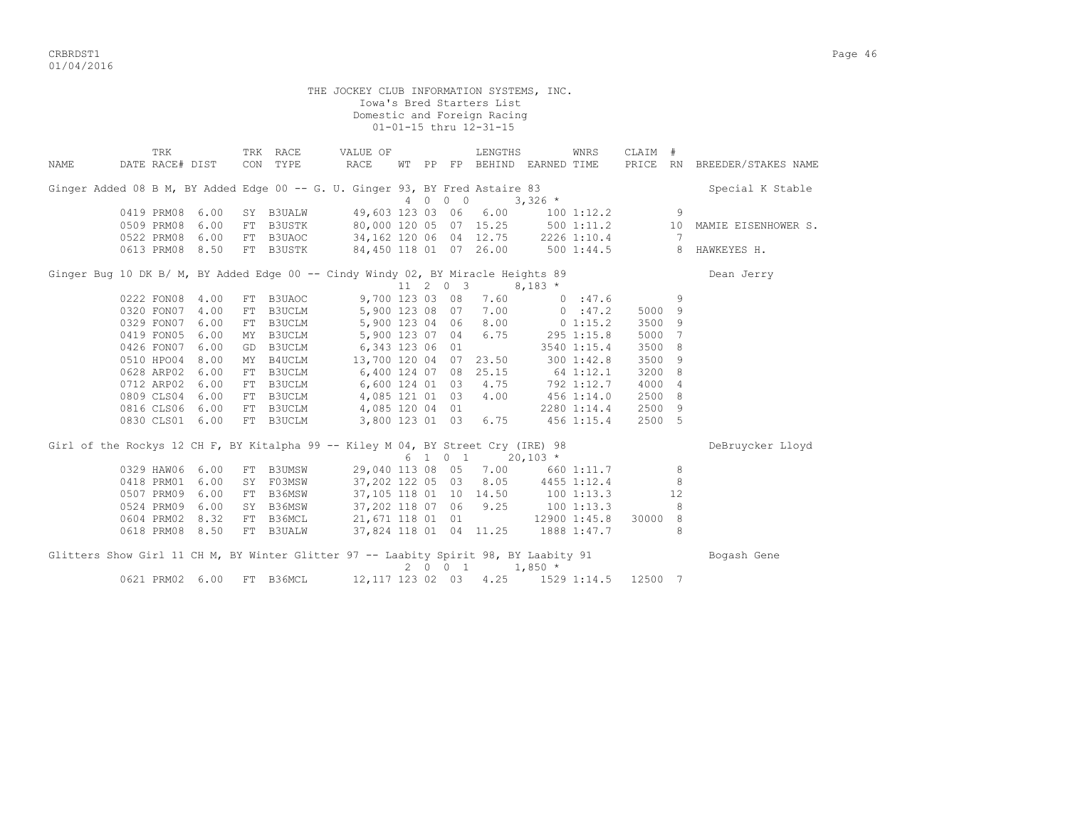critering the contract of the contract of the contract of the contract of the contract of the contract of the contract of the contract of the contract of the contract of the contract of the contract of the contract of the 01/04/2016

THE JOCKEY CLUB INFORMATION SYSTEMS, INC. Iowa's Bred Starters List Domestic and Foreign Racing 01-01-15 thru 12-31-15 TRK TRK RACE VALUE OF LENGTHS WNRS CLAIM # NAME DATE RACE# DIST CON TYPE RACE WT PP FP BEHIND EARNED TIME PRICE RN BREEDER/STAKES NAME Ginger Added 08 B M, BY Added Edge 00 -- G. U. Ginger 93, BY Fred Astaire 83 Special K Stable 4 0 0 0 3,326 \* 0419 PRM08 6.00 SY B3UALW 49,603 123 03 06 6.00 100 1:12.2 9 0419 PRM08 6.00 SY B3UALW 49,603 123 03 06 6.00 100 1:12.2 9<br>0509 PRM08 6.00 FT B3USTK 80,000 120 05 07 15.25 500 1:11.2 10 MAMIE EISENHOWER S.<br>0522 PRM08 6.00 FT B3UAOC 34,162 120 06 04 12.75 2226 1:10.4 7 80,000 120 05 07 15.25<br>34,162 120 06 04 12.75 0613 PRM08 8.50 FT B3USTK 84,450 118 01 07 26.00 500 1:44.5 8 HAWKEYES H. Ginger Bug 10 DK B/ M, BY Added Edge 00 -- Cindy Windy 02, BY Miracle Heights 89 Dean Jerry  $\frac{11}{2}$  0 3 8,183 \* 0222 FON08 4.00 FT B3UAOC 9,700 123 03 08 7.60 0 :47.6 9 0320 FON07 4.00 FT B3UCLM 5,900 123 08 07 7.00 0 :47.2 5000 9 0329 FON07 6.00 FT B3UCLM 5,900 123 04 06 8.00 0 1:15.2 3500 9 0419 FON05 6.00 MY B3UCLM 5,900 123 07 04 6.75 295 1:15.8 5000 7 0426 FON07 6.00 GD B3UCLM 6,343 123 06 01 3540 1:15.4 3500 8 0510 HPO04 8.00 MY B4UCLM 13,700 120 04 07 23.50 300 1:42.8 3500 9 0628 ARP02 6.00 FT B3UCLM 6,400 124 07 08 25.15 64 1:12.1 3200 8 0712 ARP02 6.00 FT B3UCLM 6,600 124 01 03 4.75 792 1:12.7 4000 4 0809 CLS04 6.00 FT B3UCLM 4,085 121 01 03 4.00 456 1:14.0 2500 8 0816 CLS06 6.00 FT B3UCLM 4,085 120 04 01 2280 1:14.4 2500 9 0830 CLS01 6.00 FT B3UCLM 3,800 123 01 03 6.75 456 1:15.4 2500 5 Girl of the Rockys 12 CH F, BY Kitalpha 99 -- Kiley M 04, BY Street Cry (IRE) 98 DeBruycker Lloyd  $6 \quad 1 \quad 0 \quad 1 \quad 20,103 \quad ^{\star}$  0329 HAW06 6.00 FT B3UMSW 29,040 113 08 05 7.00 660 1:11.7 8 0418 PRM01 6.00 SY F03MSW 37,202 122 05 03 8.05 4455 1:12.4 8 0507 PRM09 6.00 FT B36MSW 37,105 118 01 10 14.50 100 1:13.3 12 0524 PRM09 6.00 SY B36MSW 37,202 118 07 06 9.25 100 1:13.3 8 0604 PRM02 8.32 FT B36MCL 21,671 118 01 01 12900 1:45.8 30000 8 0618 PRM08 8.50 FT B3UALW 37,824 118 01 04 11.25 1888 1:47.7 8 Glitters Show Girl 11 CH M, BY Winter Glitter 97 -- Laabity Spirit 98, BY Laabity 91 Bogash Gene  $2 \t0 \t0 \t1 \t1,850 \t*$ 0621 PRM02 6.00 FT B36MCL 12,117 123 02 03 4.25 1529 1:14.5 12500 7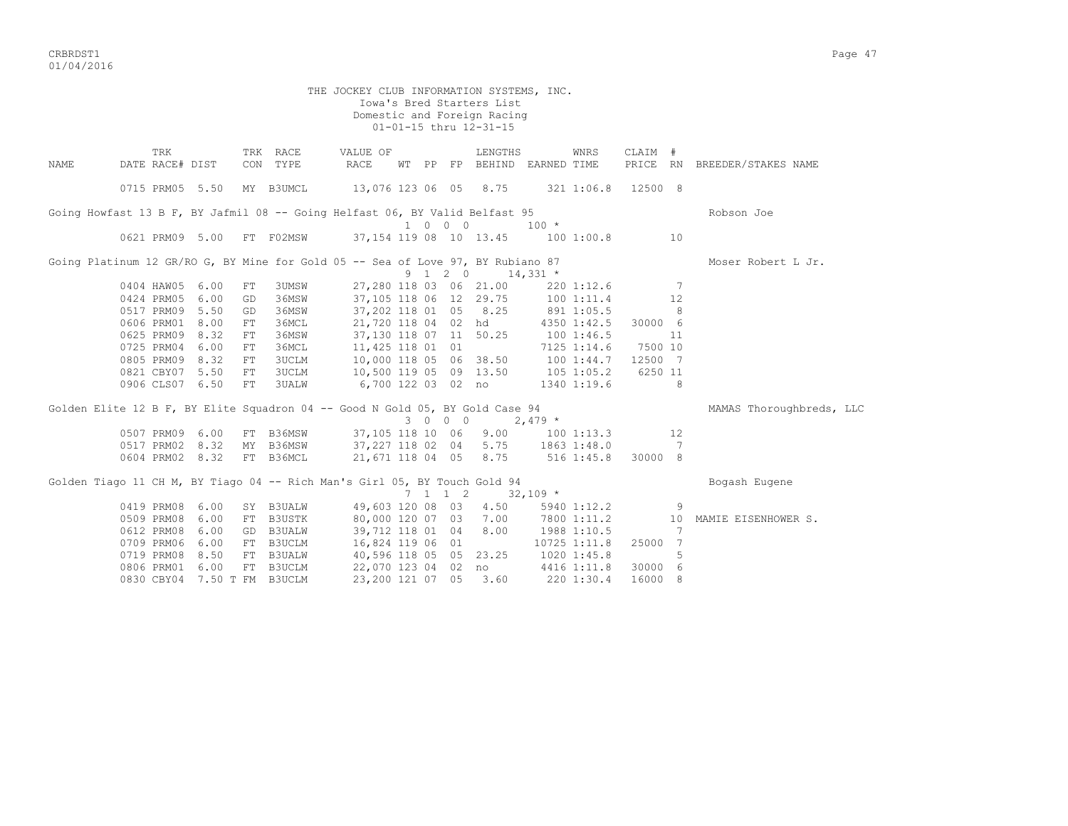CRBRDST1 Page 47 01/04/2016

THE JOCKEY CLUB INFORMATION SYSTEMS, INC. Iowa's Bred Starters List Domestic and Foreign Racing 01-01-15 thru 12-31-15 TRK TRK RACE VALUE OF LENGTHS WNRS CLAIM # NAME DATE RACE# DIST CON TYPE RACE WT PP FP BEHIND EARNED TIME PRICE RN BREEDER/STAKES NAME 0715 PRM05 5.50 MY B3UMCL 13,076 123 06 05 8.75 321 1:06.8 12500 8 Going Howfast 13 B F, BY Jafmil 08 -- Going Helfast 06, BY Valid Belfast 95 Robson Joe 1 0 0 0 100 100 100 100 100 100 100 FT F02MSW 37,154 119 08 10 13.45 100 1:00.8 37,154 119 08 10 13.45 100 1:00.8 10 Going Platinum 12 GR/RO G, BY Mine for Gold 05 -- Sea of Love 97, BY Rubiano 87 Moser Robert L Jr.  $9 \t1 \t2 \t0 \t14,331 \t*$  0404 HAW05 6.00 FT 3UMSW 27,280 118 03 06 21.00 220 1:12.6 7 0424 PRM05 6.00 GD 36MSW 37,105 118 06 12 29.75 100 1:11.4 12 0517 PRM09 5.50 GD 36MSW 37,202 118 01 05 8.25 891 1:05.5 8 0606 PRM01 8.00 FT 36MCL 21,720 118 04 02 hd 4350 1:42.5 30000 6 0625 PRM09 8.32 FT 36MSW 37,130 118 07 11 50.25 100 1:46.5 11 0725 PRM04 6.00 FT 36MCL 11,425 118 01 01 7125 1:14.6 7500 10 0805 PRM09 8.32 FT 3UCLM 10,000 118 05 06 38.50 100 1:44.7 12500 7 0821 CBY07 5.50 FT 3UCLM 10,500 119 05 09 13.50 105 1:05.2 6250 11 0906 CLS07 6.50 FT 3UALW 6,700 122 03 02 no 1340 1:19.6 8 Golden Elite 12 B F, BY Elite Squadron 04 -- Good N Gold 05, BY Gold Case 94 MAMAS Thoroughbreds, LLC  $3 \t 0 \t 0 \t 2,479$  \* 0507 PRM09 6.00 FT B36MSW 37,105 118 10 06 9.00 100 1:13.3 12 0517 PRM02 8.32 MY B36MSW 37,227 118 02 04 5.75 1863 1:48.0 7 0604 PRM02 8.32 FT B36MCL 21,671 118 04 05 8.75 516 1:45.8 30000 8 Golden Tiago 11 CH M, BY Tiago 04 -- Rich Man's Girl 05, BY Touch Gold 94 Bogash Eugene  $7 \quad 1 \quad 1 \quad 2 \quad 32,109$  \* 0419 PRM08 6.00 SY B3UALW 49,603 120 08 03 4.50 5940 1:12.2 9 0509 PRM08 6.00 FT B3USTK 80,000 120 07 03 7.00 7800 1:11.2 10 MAMIE EISENHOWER S. 0612 PRM08 6.00 GD B3UALW 39,712 118 01 04 8.00 1988 1:10.5 7 0709 PRM06 6.00 FT B3UCLM 16,824 119 06 01 10725 1:11.8 25000 7 0719 PRM08 8.50 FT B3UALW 40,596 118 05 05 23.25 1020 1:45.8 5 0806 PRM01 6.00 FT B3UCLM 22,070 123 04 02 no 4416 1:11.8 30000 6 0830 CBY04 7.50 T FM B3UCLM 23,200 121 07 05 3.60 220 1:30.4 16000 8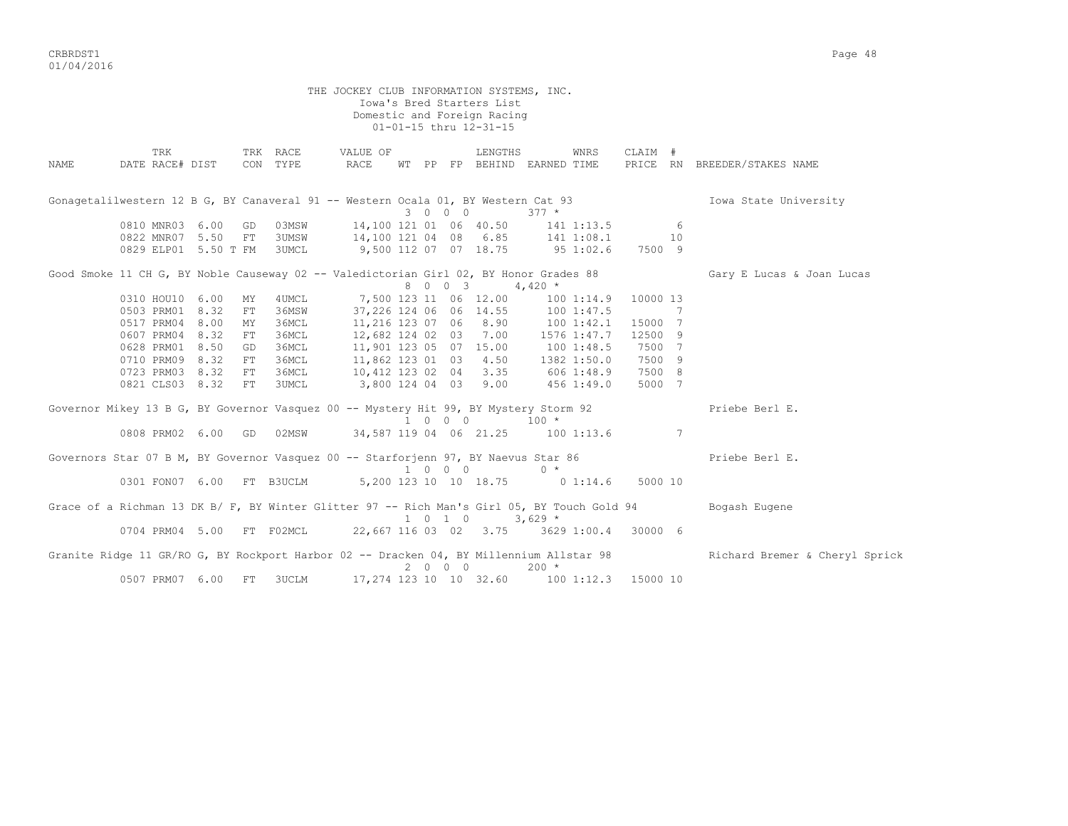critering the contract of the contract of the contract of the contract of the contract of the contract of the contract of the contract of the contract of the contract of the contract of the contract of the contract of the 01/04/2016

 THE JOCKEY CLUB INFORMATION SYSTEMS, INC. Iowa's Bred Starters List Domestic and Foreign Racing 01-01-15 thru 12-31-15 TRK TRK RACE VALUE OF LENGTHS WNRS CLAIM # NAME DATE RACE# DIST CON TYPE RACE WT PP FP BEHIND EARNED TIME PRICE RN BREEDER/STAKES NAME Gonagetalilwestern 12 B G, BY Canaveral 91 -- Western Ocala 01, BY Western Cat 93 Iowa State University 3 0 0 0 377 \* 0810 MNR03 6.00 GD 03MSW 14,100 121 01 06 40.50 141 1:13.5 6 0822 MNR07 5.50 FT 3UMSW 14,100 121 04 08 6.85 141 1:08.1 10 0829 ELP01 5.50 T FM 3UMCL 9,500 112 07 07 18.75 95 1:02.6 7500 9 Good Smoke 11 CH G, BY Noble Causeway 02 -- Valedictorian Girl 02, BY Honor Grades 88 Gary E Lucas & Joan Lucas  $8 \t0 \t0 \t3 \t4.420 \t*$  0310 HOU10 6.00 MY 4UMCL 7,500 123 11 06 12.00 100 1:14.9 10000 13 0503 PRM01 8.32 FT 36MSW 37,226 124 06 06 14.55 100 1:47.5 7 0517 PRM04 8.00 MY 36MCL 11,216 123 07 06 8.90 100 1:42.1 15000 7 0607 PRM04 8.32 FT 36MCL 12,682 124 02 03 7.00 1576 1:47.7 12500 9 0628 PRM01 8.50 GD 36MCL 11,901 123 05 07 15.00 100 1:48.5 7500 7 0710 PRM09 8.32 FT 36MCL 11,862 123 01 03 4.50 1382 1:50.0 7500 9 0723 PRM03 8.32 FT 36MCL 10,412 123 02 04 3.35 606 1:48.9 7500 8 0821 CLS03 8.32 FT 3UMCL 3,800 124 04 03 9.00 456 1:49.0 5000 7 Governor Mikey 13 B G, BY Governor Vasquez 00 -- Mystery Hit 99, BY Mystery Storm 92 Priebe Berl E.  $\frac{1}{1}$  0 0 0  $\frac{1}{100}$   $\star$  0808 PRM02 6.00 GD 02MSW 34,587 119 04 06 21.25 100 1:13.6 7 Governors Star 07 B M, BY Governor Vasquez 00 -- Starforjenn 97, BY Naevus Star 86 Priebe Berl E.  $1 \quad 0 \quad 0 \quad 0 \qquad 0 \qquad \star$  0301 FON07 6.00 FT B3UCLM 5,200 123 10 10 18.75 0 1:14.6 5000 10 Grace of a Richman 13 DK B/ F, BY Winter Glitter 97 -- Rich Man's Girl 05, BY Touch Gold 94 Bogash Eugene  $1 \t0 \t1 \t0 \t3,629$  \* 0704 PRM04 5.00 FT F02MCL 22,667 116 03 02 3.75 3629 1:00.4 30000 6 Granite Ridge 11 GR/RO G, BY Rockport Harbor 02 -- Dracken 04, BY Millennium Allstar 98 Richard Bremer & Cheryl Sprick 2 0 0 0 200 \* 0507 PRM07 6.00 FT 3UCLM 17,274 123 10 10 32.60 100 1:12.3 15000 10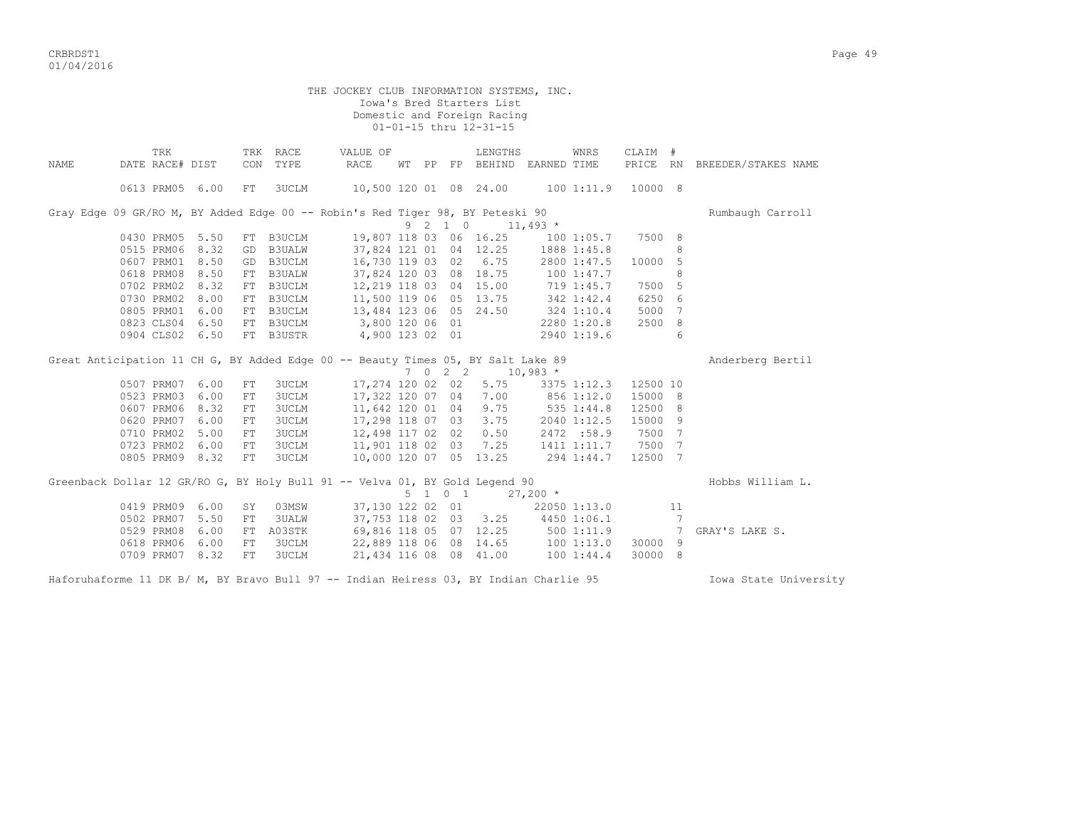CRBRDST1 Page 49 01/04/2016

THE JOCKEY CLUB INFORMATION SYSTEMS, INC. Iowa's Bred Starters List Domestic and Foreign Racing 01-01-15 thru 12-31-15 TRK TRK RACE VALUE OF LENGTHS WNRS CLAIM # NAME DATE RACE# DIST CON TYPE RACE WT PP FP BEHIND EARNED TIME PRICE RN BREEDER/STAKES NAME 0613 PRM05 6.00 FT 3UCLM 10,500 120 01 08 24.00 100 1:11.9 10000 8 Gray Edge 09 GR/RO M, BY Added Edge 00 -- Robin's Red Tiger 98, BY Peteski 90 Rumbaugh Carroll  $9 \overline{\smash)2} \quad 1 \quad 0 \quad 11,493 \quad *$ <br>
9 2 1 0 11,493 \*<br>
9 2 1 0 1:05.7 7500 8 19,807 118 03 06 16.25<br>37.824 121 01 04 12.25 0515 PRM06 8.32 GD B3UALW 37,824 121 01 04 12.25 1888 1:45.8 8<br>0607 PRM01 8.50 GD B3UCLM 16,730 119 03 02 6.75 2800 1:47.5 10000 5 0607 PRM01 8.50 GD B3UCLM 16,730 119 03 02 6.75 2800 1:47.5 10000 5<br>0618 PRM08 8.50 FT B3UALW 37,824 120 03 08 18.75 100 1:47.7 8 0618 PRM08 8.50 FT B3UALW 37,824 120 03 08 18.75 100 1:47.7 8 0702 PRM02 8.32 FT B3UCLM 12,219 118 03 04 15.00 719 1:45.7 7500 5 0730 PRM02 8.00 FT B3UCLM 11,500 119 06 05 13.75 342 1:42.4 6250 6 0805 PRM01 6.00 FT B3UCLM 13,484 123 06 05 24.50 324 1:10.4 5000 7 0823 CLS04 6.50 FT B3UCLM 3,800 120 06 01 2280 1:20.8 2500 8 0904 CLS02 6.50 FT B3USTR 4,900 123 02 01 2940 1:19.6 6 Great Anticipation 11 CH G, BY Added Edge 00 -- Beauty Times 05, BY Salt Lake 89 Anticipation Pertil 7 0 2 2 10,983 \* 0507 PRM07 6.00 FT 3UCLM 17,274 120 02 02 5.75 3375 1:12.3 12500 10<br>0523 PRM03 6.00 FT 3UCLM 17,322 120 07 04 7.00 856 1:12.0 15000 8  $17,322$  120 07 04 7.00 0607 PRM06 8.32 FT 3UCLM 11,642 120 01 04 9.75 535 1:44.8 12500 8<br>0620 PRM07 6.00 FT 3UCLM 17,298 118 07 03 3.75 2040 1:12.5 15000 9 0620 PRM07 6.00 FT 3UCLM 17,298 118 07 03 3.75 0710 PRM02 5.00 FT 3UCLM 12,498 117 02 02 0.50 2472 :58.9 7500 7 0723 PRM02 6.00 FT 3UCLM 11,901 118 02 03 7.25 1411 1:11.7 7500 7 0805 PRM09 8.32 FT 3UCLM 10,000 120 07 05 13.25 294 1:44.7 12500 7 Greenback Dollar 12 GR/RO G, BY Holy Bull 91 -- Velva 01, BY Gold Legend 90 Hobbs William L.  $5 \t1 \t0 \t1 \t27,200 \t*$ 0419 PRM09 6.00 SY 03MSW 37,130 122 02 01 22050 1:13.0 11<br>0502 PRM07 5.50 FT 3UALW 37,753 118 02 03 3.25 4450 1:06.1 7 0502 PRM07 5.50 FT 3UALW 37,753 118 02 03 3.25 4450 1:06.1 7 0529 PRM08 6.00 FT A03STK 69,816 118 05 07 12.25 500 1:11.9 7 GRAY'S LAKE S.<br>0618 PRM06 6.00 FT 3UCLM 22,889 118 06 08 14.65 100 1:13.0 30000 9 06 9.000 9.000 9.000 PRM06 106 106 106 118 06 08 14.65 118 06 118 07:13.0 30000 9<br>100 1:44.4 30000 8.00 100 1:44.4 30000 9.000 9.000 9.000 9.000 9.000 9.000 9.000 9.000 9.000 9.000 9.000 9.000 0709 PRM07 8.32 FT 3UCLM 21,434 116 08 08 41.00 100 1:44.4 30000 8

Haforuhaforme 11 DK B/ M, BY Bravo Bull 97 -- Indian Heiress 03, BY Indian Charlie 95 Iowa State University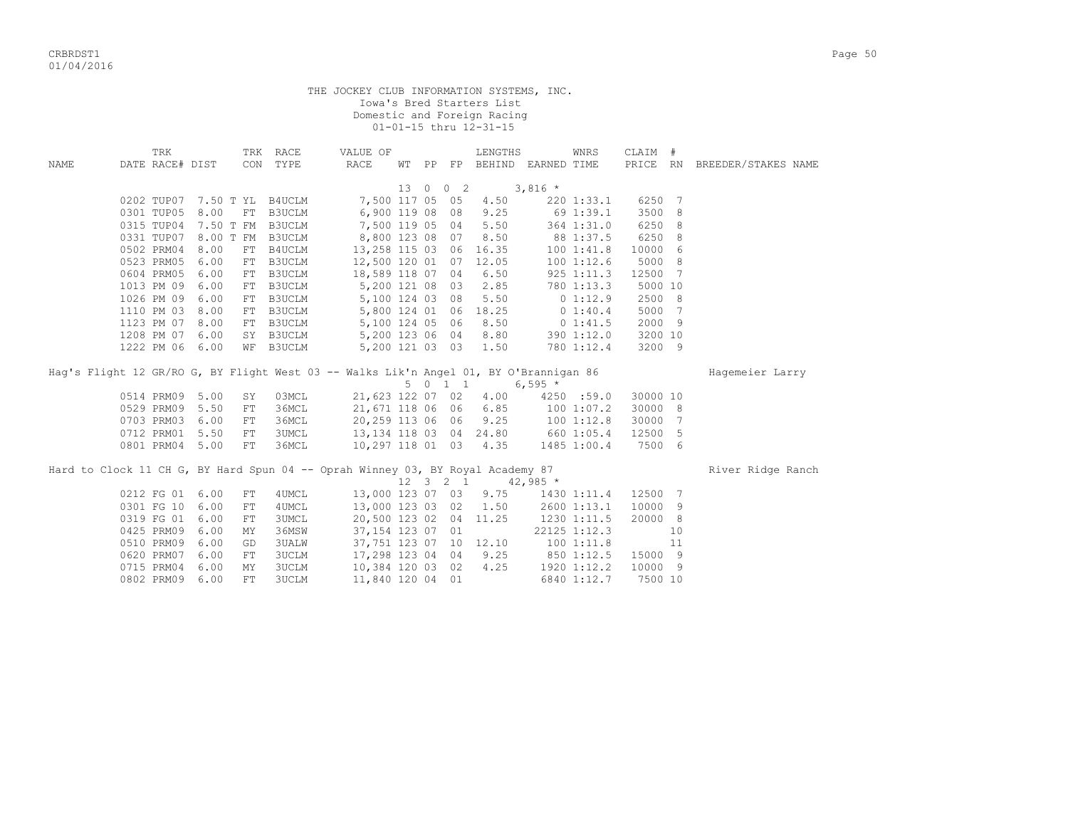|             |                 |                 |            |                             | THE JOCKEY CLUB INFORMATION SYSTEMS, INC.                                             |                 |                              | Iowa's Bred Starters List<br>Domestic and Foreign Racing<br>01-01-15 thru 12-31-15 |                             |                 |          |    |                              |  |
|-------------|-----------------|-----------------|------------|-----------------------------|---------------------------------------------------------------------------------------|-----------------|------------------------------|------------------------------------------------------------------------------------|-----------------------------|-----------------|----------|----|------------------------------|--|
|             | TRK             |                 |            | TRK RACE                    | VALUE OF                                                                              |                 |                              | LENGTHS                                                                            |                             | WNRS            | CLAIM #  |    |                              |  |
| <b>NAME</b> | DATE RACE# DIST |                 |            | CON TYPE                    | RACE                                                                                  |                 |                              |                                                                                    | WT PP FP BEHIND EARNED TIME |                 |          |    | PRICE RN BREEDER/STAKES NAME |  |
|             |                 |                 |            |                             |                                                                                       |                 | 13 0 0 2                     |                                                                                    | $3,816$ *                   |                 |          |    |                              |  |
|             |                 |                 |            | 0202 TUP07 7.50 T YL B4UCLM | 7,500 117 05 05                                                                       |                 |                              | 4.50                                                                               |                             | 2201:33.1       | 6250 7   |    |                              |  |
|             |                 | 0301 TUP05 8.00 |            | FT B3UCLM                   |                                                                                       | 6,900 119 08 08 |                              | 9.25                                                                               |                             | 69 1:39.1       | 3500 8   |    |                              |  |
|             |                 |                 |            | 0315 TUP04 7.50 T FM B3UCLM | 7,500 119 05 04                                                                       |                 |                              | 5.50                                                                               |                             | 364 1:31.0      | 6250 8   |    |                              |  |
|             |                 |                 |            | 0331 TUP07 8.00 T FM B3UCLM | 8,800 123 08 07                                                                       |                 |                              | 8.50                                                                               |                             | 88 1:37.5       | 6250 8   |    |                              |  |
|             | 0502 PRM04      | 8.00            |            | FT B4UCLM                   |                                                                                       |                 |                              | 13,258 115 03 06 16.35                                                             |                             | 1001:41.8       | 10000 6  |    |                              |  |
|             | 0523 PRM05      | 6.00            |            | FT B3UCLM                   | 12,500 120 01 07 12.05                                                                |                 |                              |                                                                                    |                             | 1001:12.6       | 5000 8   |    |                              |  |
|             | 0604 PRM05      | 6.00            |            | FT B3UCLM                   | $12,300 = 12$<br>$18,589 = 118 = 07 = 04$                                             |                 |                              | 6.50                                                                               |                             | 925 1:11.3      | 12500 7  |    |                              |  |
|             |                 | 1013 PM 09 6.00 |            | FT B3UCLM                   |                                                                                       | 5,200 121 08 03 |                              | 2.85                                                                               |                             | 780 1:13.3      | 5000 10  |    |                              |  |
|             |                 | 1026 PM 09 6.00 |            | FT B3UCLM                   |                                                                                       | 5,100 124 03 08 |                              | 5.50                                                                               |                             | 01:12.9         | 2500 8   |    |                              |  |
|             |                 | 1110 PM 03 8.00 |            | FT B3UCLM                   |                                                                                       | 5,800 124 01 06 |                              | 18.25                                                                              |                             | 0 1:40.4        | 5000 7   |    |                              |  |
|             |                 | 1123 PM 07 8.00 |            | FT B3UCLM                   |                                                                                       | 5,100 124 05 06 |                              | 8.50                                                                               |                             | 0 1:41.5        | 2000 9   |    |                              |  |
|             |                 | 1208 PM 07 6.00 |            | SY B3UCLM                   |                                                                                       | 5,200 123 06 04 |                              | 8.80                                                                               |                             | 390 1:12.0      | 3200 10  |    |                              |  |
|             |                 | 1222 PM 06 6.00 |            | WF B3UCLM                   |                                                                                       |                 |                              | 5,200 121 03 03 1.50                                                               |                             | 780 1:12.4      | 3200 9   |    |                              |  |
|             |                 |                 |            |                             | Hag's Flight 12 GR/RO G, BY Flight West 03 -- Walks Lik'n Angel 01, BY O'Brannigan 86 |                 |                              | 5 0 1 1                                                                            | $6,595*$                    |                 |          |    | Hagemeier Larry              |  |
|             |                 | 0514 PRM09 5.00 | SY         | 03MCL                       | 21,623 122 07 02                                                                      |                 |                              | 4.00                                                                               |                             | 4250 :59.0      | 30000 10 |    |                              |  |
|             |                 | 0529 PRM09 5.50 | FT         | 36MCL                       | 21,671 118 06 06 6.85                                                                 |                 |                              |                                                                                    |                             | $100\ \,1:07.2$ | 30000 8  |    |                              |  |
|             |                 | 0703 PRM03 6.00 | FT         | 36MCL                       | 20,259 113 06 06                                                                      |                 |                              | 9.25                                                                               |                             | 1001:12.8       | 30000 7  |    |                              |  |
|             |                 | 0712 PRM01 5.50 | FT         | <b>3UMCL</b>                | $20,20$<br>13,134 118 03 04 24.80                                                     |                 |                              |                                                                                    | $100 1:12.0$<br>660 1:05.4  |                 | 12500 5  |    |                              |  |
|             |                 | 0801 PRM04 5.00 | FT         | 36MCL                       |                                                                                       |                 |                              | 10,297 118 01 03 4.35                                                              |                             | 1485 1:00.4     | 7500 6   |    |                              |  |
|             |                 |                 |            |                             | Hard to Clock 11 CH G, BY Hard Spun 04 -- Oprah Winney 03, BY Royal Academy 87        |                 | $12 \quad 3 \quad 2 \quad 1$ |                                                                                    | $42,985$ *                  |                 |          |    | River Ridge Ranch            |  |
|             |                 | 0212 FG 01 6.00 | FT         | 4UMCL                       |                                                                                       |                 |                              | 13,000 123 07 03 9.75                                                              |                             | 1430 1:11.4     | 12500 7  |    |                              |  |
|             |                 | 0301 FG 10 6.00 | ${\rm FT}$ | 4UMCL                       |                                                                                       |                 |                              | 13,000 123 03 02 1.50                                                              |                             | 2600 1:13.1     | 10000 9  |    |                              |  |
|             |                 | 0319 FG 01 6.00 | FT         | <b>3UMCL</b>                |                                                                                       |                 |                              | 20,500 123 02 04 11.25                                                             | 1230 1:11.5                 |                 | 20000 8  |    |                              |  |
|             |                 | 0425 PRM09 6.00 | MΥ         | 36MSW                       | 37,154 123 07 01                                                                      |                 |                              |                                                                                    |                             | 22125 1:12.3    |          | 10 |                              |  |
|             | 0510 PRM09      | 6.00            | GD         | <b>3UALW</b>                |                                                                                       |                 |                              | 37, 751 123 07 10 12.10                                                            | 100 1:11.8                  |                 |          | 11 |                              |  |
|             | 0620 PRM07      | 6.00            | FT         | <b>3UCLM</b>                | 17,298 123 04 04                                                                      |                 |                              | 9.25                                                                               |                             | 850 1:12.5      | 15000 9  |    |                              |  |
|             | 0715 PRM04      | 6.00            | MY         | <b>3UCLM</b>                | 10,384 120 03 02                                                                      |                 |                              | 4.25                                                                               |                             | 1920 1:12.2     | 10000 9  |    |                              |  |

0802 PRM09 6.00 FT 3UCLM 11,840 120 04 01 6840 1:12.7 7500 10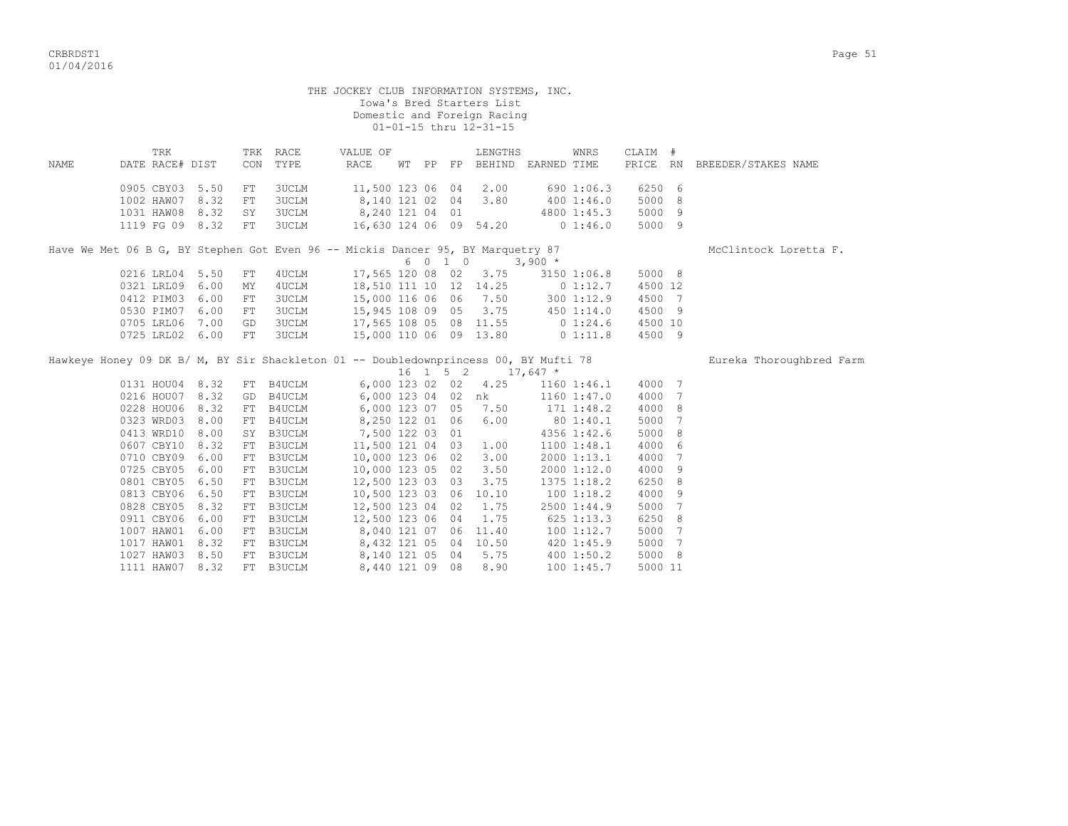|      |                 |            |                                                                                      | THE JOCKEY CLUB INFORMATION SYSTEMS, INC. |  | Iowa's Bred Starters List<br>Domestic and Foreign Racing<br>01-01-15 thru 12-31-15 |            |                 |         |                              |
|------|-----------------|------------|--------------------------------------------------------------------------------------|-------------------------------------------|--|------------------------------------------------------------------------------------|------------|-----------------|---------|------------------------------|
|      | TRK             |            | TRK RACE                                                                             | VALUE OF                                  |  | LENGTHS                                                                            |            | WNRS            | CLAIM # |                              |
| NAME | DATE RACE# DIST |            | CON TYPE                                                                             | RACE                                      |  | WT PP FP BEHIND EARNED TIME                                                        |            |                 |         | PRICE RN BREEDER/STAKES NAME |
|      | 0905 CBY03 5.50 | FT         | 3UCLM                                                                                | 11,500 123 06 04                          |  | 2.00                                                                               |            | 690 1:06.3      | 6250 6  |                              |
|      | 1002 HAW07 8.32 | ${\rm FT}$ | 3UCLM                                                                                | 8,140 121 02 04                           |  | 3.80                                                                               |            | 400 1:46.0      | 5000 8  |                              |
|      | 1031 HAW08 8.32 | SY         | 3UCLM                                                                                | 8,240 121 04 01                           |  |                                                                                    |            | 4800 1:45.3     | 5000 9  |                              |
|      | 1119 FG 09 8.32 | FT         | 3UCLM                                                                                |                                           |  | 16,630 124 06 09 54.20 0 1:46.0                                                    |            |                 | 5000 9  |                              |
|      |                 |            | Have We Met 06 B G, BY Stephen Got Even 96 -- Mickis Dancer 95, BY Marquetry 87      |                                           |  |                                                                                    |            |                 |         | McClintock Loretta F.        |
|      |                 |            |                                                                                      |                                           |  | 6 0 1 0 3,900 *                                                                    |            |                 |         |                              |
|      | 0216 LRL04 5.50 | ${\rm FT}$ | 4UCLM                                                                                |                                           |  | 17,565 120 08 02 3.75                                                              |            | 3150 1:06.8     | 5000 8  |                              |
|      | 0321 LRL09 6.00 | MY         | 4UCLM                                                                                |                                           |  | 18,510 111 10 12 14.25 0 1:12.7                                                    |            |                 | 4500 12 |                              |
|      | 0412 PIM03 6.00 | FT.        | 3UCLM                                                                                |                                           |  | 15,000 116 06 06 7.50                                                              |            | 3001:12.9       | 4500 7  |                              |
|      | 0530 PIM07 6.00 | FT         | 3UCLM                                                                                |                                           |  | 15,945 108 09 05 3.75 450 1:14.0                                                   |            |                 | 4500 9  |                              |
|      | 0705 LRL06 7.00 | GD         | 3UCLM                                                                                |                                           |  | 17,565 108 05 08 11.55 0 1:24.6                                                    |            |                 | 4500 10 |                              |
|      | 0725 LRL02 6.00 | FT         | <b>3UCLM</b>                                                                         |                                           |  | 15,000 110 06 09 13.80 0 1:11.8                                                    |            |                 | 4500 9  |                              |
|      |                 |            | Hawkeye Honey 09 DK B/ M, BY Sir Shackleton 01 -- Doubledownprincess 00, BY Mufti 78 |                                           |  |                                                                                    |            |                 |         | Eureka Thoroughbred Farm     |
|      | 0131 HOU04 8.32 |            | FT B4UCLM                                                                            |                                           |  | $16$ 1 5 2 17,647 *<br>6,000 123 02 02 4.25                                        |            | 1160 1:46.1     | 4000 7  |                              |
|      | 0216 HOU07 8.32 |            | GD B4UCLM 6,000 123 04 02 nk                                                         |                                           |  |                                                                                    |            | $1160$ $1:47.0$ | 4000 7  |                              |
|      | 0228 HOU06 8.32 |            |                                                                                      |                                           |  | 7.50                                                                               |            | $171$ $1:48.2$  | 4000 8  |                              |
|      | 0323 WRD03 8.00 |            | FT B4UCLM 6,000 123 07 05<br>FT B4UCLM                                               | 8,250 122 01 06                           |  | 6.00                                                                               |            | 80 1:40.1       | 5000 7  |                              |
|      | 0413 WRD10 8.00 |            | SY B3UCLM 7,500 122 03 01                                                            |                                           |  |                                                                                    |            | 4356 1:42.6     | 5000 8  |                              |
|      | 0607 CBY10 8.32 |            | FT B3UCLM                                                                            | 11,500 121 04 03                          |  | 1.00                                                                               |            | 1100 1:48.1     | 4000 6  |                              |
|      | 0710 CBY09 6.00 |            | FT B3UCLM                                                                            | 10,000 123 06 02                          |  | 3.00                                                                               |            | 2000 1:13.1     | 4000 7  |                              |
|      | 0725 CBY05 6.00 | FT         | B3UCLM                                                                               | 10,000 123 05 02                          |  | 3.50                                                                               |            | 2000 1:12.0     | 4000 9  |                              |
|      | 0801 CBY05 6.50 |            | FT B3UCLM                                                                            | 12,500 123 03 03                          |  | 3.75                                                                               |            | 1375 1:18.2     | 6250 8  |                              |
|      | 0813 CBY06 6.50 |            | FT B3UCLM                                                                            | 10,500 123 03 06 10.10                    |  |                                                                                    |            | 1001:18.2       | 4000 9  |                              |
|      | 0828 CBY05 8.32 |            | FT B3UCLM                                                                            | 12,500 123 04 02                          |  | 1.75                                                                               |            | 2500 1:44.9     | 5000 7  |                              |
|      | 0911 CBY06 6.00 |            | FT B3UCLM                                                                            | 12,500 123 06 04                          |  | 1.75                                                                               | 625 1:13.3 |                 | 6250 8  |                              |
|      | 1007 HAW01 6.00 |            | FT B3UCLM 8,040 121 07 06                                                            |                                           |  | 11.40                                                                              |            | 1001:12.7       | 5000 7  |                              |
|      | 1017 HAW01 8.32 | FT         | B3UCLM 8,432 121 05 04                                                               |                                           |  | 10.50                                                                              |            | 420 1:45.9      | 5000 7  |                              |
|      | 1027 HAW03 8.50 | FT         | B3UCLM                                                                               | 8,140 121 05 04                           |  | 5.75                                                                               |            | 4001:50.2       | 5000 8  |                              |
|      | 1111 HAW07 8.32 |            | FT B3UCLM                                                                            | 8,440 121 09 08                           |  | 8.90                                                                               |            | 1001:45.7       | 5000 11 |                              |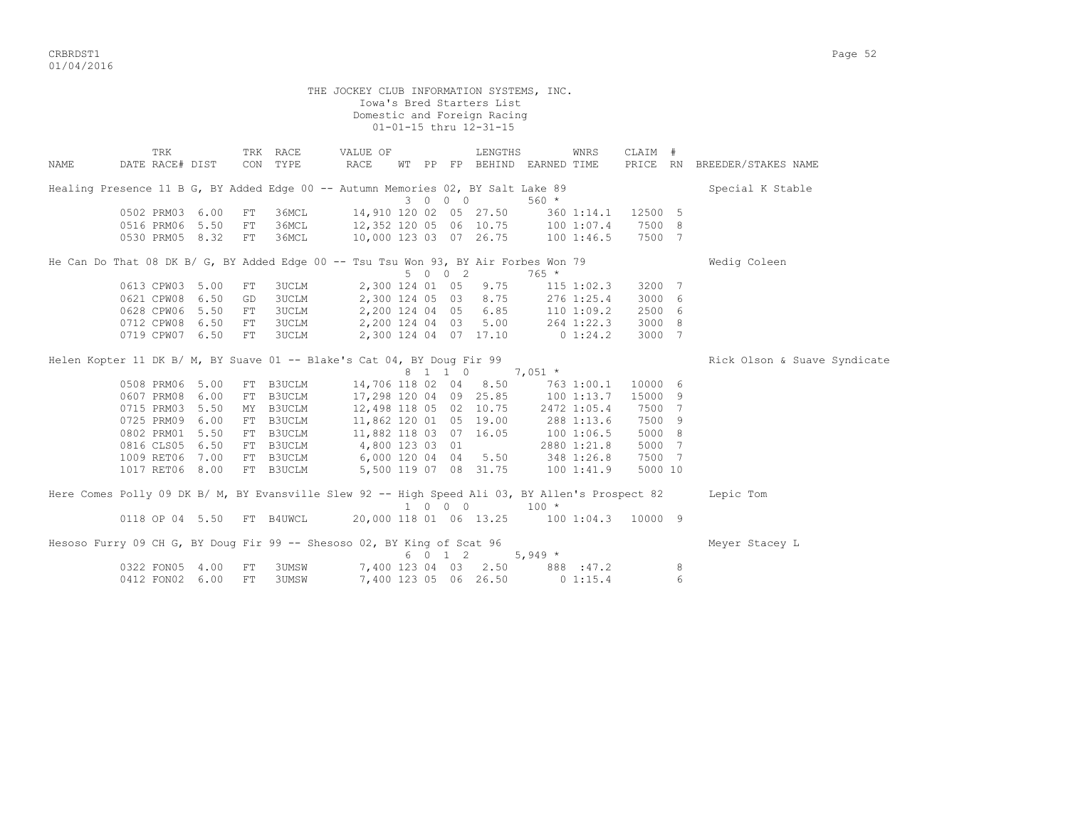CRBRDST1 Page 52 01/04/2016

THE JOCKEY CLUB INFORMATION SYSTEMS, INC. Iowa's Bred Starters List Domestic and Foreign Racing 01-01-15 thru 12-31-15 TRK TRK RACE VALUE OF LENGTHS WNRS CLAIM # NAME DATE RACE# DIST CON TYPE RACE WT PP FP BEHIND EARNED TIME PRICE RN BREEDER/STAKES NAME Healing Presence 11 B G, BY Added Edge 00 -- Autumn Memories 02, BY Salt Lake 89 Special K Stable 3 0 0 0 560 \* 0502 PRM03 6.00 FT 36MCL 14,910 120 02 05 27.50 360 1:14.1 12500 5<br>0516 PRM06 5.50 FT 36MCL 12,352 120 05 06 10.75 100 1:07.4 7500 8 0516 PRM06 5.50 FT 36MCL 12,352 120 05 06 10.75 100 1:07.4 7500 8 0530 PRM05 8.32 FT 36MCL 10,000 123 03 07 26.75 100 1:46.5 7500 7 He Can Do That 08 DK B/ G, BY Added Edge 00 -- Tsu Tsu Won 93, BY Air Forbes Won 79 Wedig Coleen  $5 \t0 \t0 \t2 \t765 \t*$ 0613 CPW03 5.00 FT 3UCLM 2,300 124 01 05 9.75 115 1:02.3 3200 7 0621 CPW08 6.50 GD 3UCLM 2,300 124 05 03 8.75 276 1:25.4 3000 6 0628 CPW06 5.50 FT 3UCLM 2,200 124 04 05 6.85 110 1:09.2 2500 6 0712 CPW08 6.50 FT 3UCLM 2,200 124 04 03 5.00 264 1:22.3 3000 8 0719 CPW07 6.50 FT 3UCLM 2,300 124 04 07 17.10 0 1:24.2 3000 7 Helen Kopter 11 DK B/ M, BY Suave 01 -- Blake's Cat 04, BY Doug Fir 99 Rick Olson & Suave Syndicate 8 1 1 0 7,051 \*<br>0508 PRM06 5.00 FT B3UCLM 14,706 118 02 04 8.50 763 0508 PRM06 5.00 FT B3UCLM 14,706 118 02 04 8.50 763 1:00.1 10000 6 0607 PRM08 6.00 FT B3UCLM 17,298 120 04 09 25.85 100 1:13.7 15000 9 0715 PRM03 5.50 MY B3UCLM 12,498 118 05 02 10.75 2472 1:05.4 7500 7 0725 PRM09 6.00 FT B3UCLM 11,862 120 01 05 19.00 288 1:13.6 7500 9 0802 PRM01 5.50 FT B3UCLM 11,882 118 03 07 16.05 100 1:06.5 5000 8 0816 CLS05 6.50 FT B3UCLM 4,800 123 03 01 2880 1:21.8 5000 7 1009 RET06 7.00 FT B3UCLM 6,000 120 04 04 5.50 348 1:26.8 7500 7 1017 RET06 8.00 FT B3UCLM 5,500 119 07 08 31.75 100 1:41.9 5000 10 Here Comes Polly 09 DK B/ M, BY Evansville Slew 92 -- High Speed Ali 03, BY Allen's Prospect 82 Lepic Tom 0118 OP 04 5.50 FT B4UWCL  $\begin{array}{cccc} 1 & 0 & 0 & 0 & 100 \end{array}$  + 0118 OP 04 5.50 FT B4UWCL  $\begin{array}{cccc} 20.000 & 118 & 01 & 06 & 13.25 & 100 \end{array}$ 20,000 118 01 06 13.25 100 1:04.3 10000 9 Hesoso Furry 09 CH G, BY Doug Fir 99 -- Shesoso 02, BY King of Scat 96 Meyer Stacey L  $6 \t 0 \t 1 \t 2 \t 5.949 \t \star$ 0322 FON05 4.00 FT 3UMSW 7,400 123 04 03 2.50 888 :47.2 8 0412 FON02 6.00 FT 3UMSW 7,400 123 05 06 26.50 0 1:15.4 6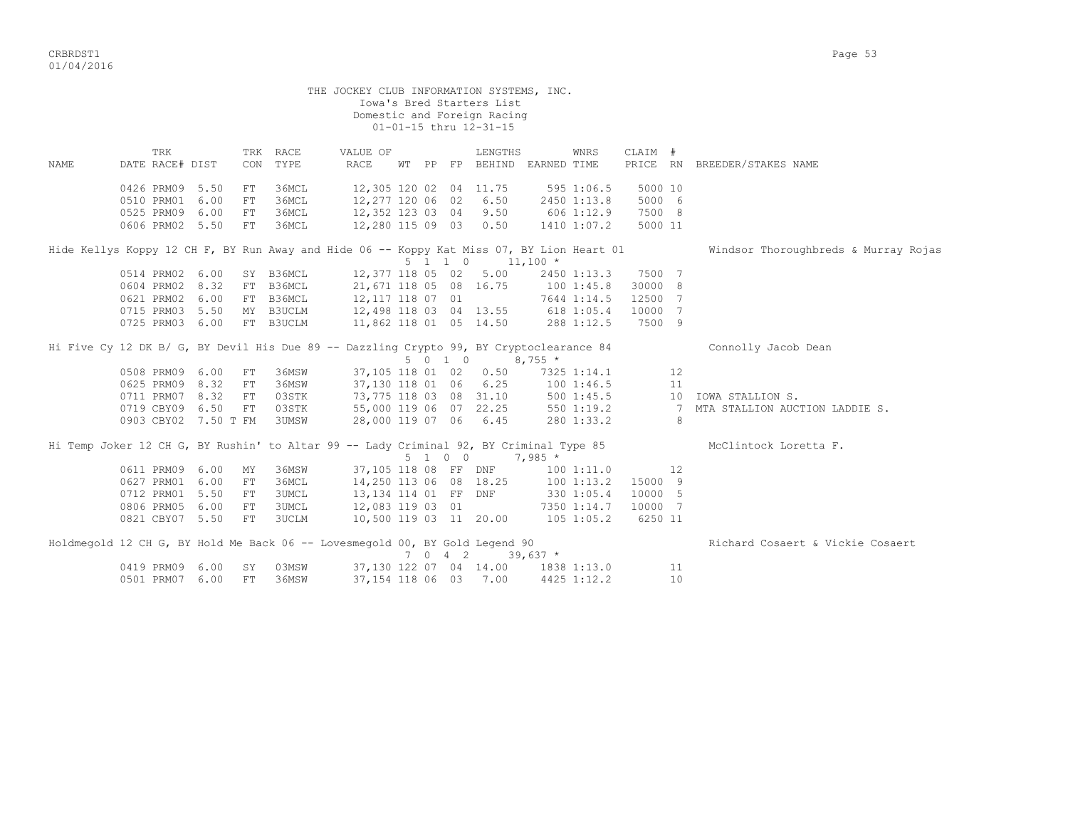|       |                                                                                           |      |            |                      | THE JOCKEY CLUB INFORMATION SYSTEMS, INC. |  | Iowa's Bred Starters List<br>Domestic and Foreign Racing<br>01-01-15 thru 12-31-15 |                          |                    |                |    |                                      |
|-------|-------------------------------------------------------------------------------------------|------|------------|----------------------|-------------------------------------------|--|------------------------------------------------------------------------------------|--------------------------|--------------------|----------------|----|--------------------------------------|
| NAMF. | TRK<br>DATE RACE# DIST                                                                    |      |            | TRK RACE<br>CON TYPE | VALUE OF<br>RACE                          |  | LENGTHS<br>WT PP FP BEHIND EARNED TIME                                             |                          | WNRS               | CLAIM #        |    | PRICE RN BREEDER/STAKES NAME         |
|       |                                                                                           |      |            |                      |                                           |  |                                                                                    |                          |                    |                |    |                                      |
|       | 0426 PRM09 5.50                                                                           |      | FT         | 36MCL                | 12,305 120 02 04 11.75                    |  |                                                                                    | 595 1:06.5               |                    | 5000 10        |    |                                      |
|       | 0510 PRM01                                                                                | 6.00 | FT         | 36MCL                | 12,277 120 06 02 6.50                     |  |                                                                                    |                          | 2450 1:13.8        | 5000 6         |    |                                      |
|       | 0525 PRM09 6.00                                                                           |      | FT         | 36MCL                | 12,352 123 03 04 9.50                     |  |                                                                                    | 606 1:12.9               |                    | 7500 8         |    |                                      |
|       | 0606 PRM02 5.50                                                                           |      | FT         | 36MCL                | 12,280 115 09 03 0.50                     |  |                                                                                    | 1410 1:07.2              |                    | 5000 11        |    |                                      |
|       | Hide Kellys Koppy 12 CH F, BY Run Away and Hide 06 -- Koppy Kat Miss 07, BY Lion Heart 01 |      |            |                      |                                           |  | $5 \t1 \t1 \t0 \t11,100 \t*$                                                       |                          |                    |                |    | Windsor Thoroughbreds & Murray Rojas |
|       | 0514 PRM02 6.00                                                                           |      |            |                      | SY B36MCL 12,377 118 05 02 5.00           |  |                                                                                    |                          | 2450 1:13.3 7500 7 |                |    |                                      |
|       | 0604 PRM02 8.32                                                                           |      |            |                      | FT B36MCL 21,671 118 05 08 16.75          |  |                                                                                    |                          | 1001:45.8          | 30000 8        |    |                                      |
|       | 0621 PRM02 6.00                                                                           |      |            | FT B36MCL            | 12,117 118 07 01                          |  |                                                                                    | 7644 1:14.5              |                    | 12500 7        |    |                                      |
|       | 0715 PRM03 5.50                                                                           |      |            | MY B3UCLM            |                                           |  | 12,498 118 03 04 13.55 618 1:05.4                                                  |                          |                    | 10000 7        |    |                                      |
|       | 0725 PRM03 6.00                                                                           |      |            | FT B3UCLM            | 11,862 118 01 05 14.50                    |  |                                                                                    |                          | 288 1:12.5         | 7500 9         |    |                                      |
|       | Hi Five Cy 12 DK B/ G, BY Devil His Due 89 -- Dazzling Crypto 99, BY Cryptoclearance 84   |      |            |                      |                                           |  | $5 \t0 \t1 \t0 \t8.755 \t*$                                                        |                          |                    |                |    | Connolly Jacob Dean                  |
|       | 0508 PRM09 6.00                                                                           |      | FT         | 36MSW                |                                           |  | 37,105 118 01 02 0.50                                                              |                          | 7325 1:14.1        |                | 12 |                                      |
|       | 0625 PRM09 8.32                                                                           |      | FT         | 36MSW                | 37,130 118 01 06 6.25                     |  |                                                                                    |                          | 1001:46.5          |                | 11 |                                      |
|       | 0711 PRM07 8.32                                                                           |      | FT         | 03STK                | 73,775 118 03 08 31.10                    |  |                                                                                    | 100 1:46.5<br>500 1:45.5 |                    |                |    | 10 IOWA STALLION S.                  |
|       | 0719 CBY09 6.50                                                                           |      | FT         |                      | 03STK 55,000 119 06 07 22.25              |  |                                                                                    | 550 1:19.2               |                    | $\overline{7}$ |    | MTA STALLION AUCTION LADDIE S.       |
|       | 0903 CBY02 7.50 T FM                                                                      |      |            | <b>3UMSW</b>         |                                           |  | 28,000 119 07 06 6.45                                                              |                          | 280 1:33.2         |                | 8  |                                      |
|       | Hi Temp Joker 12 CH G, BY Rushin' to Altar 99 -- Lady Criminal 92, BY Criminal Type 85    |      |            |                      |                                           |  | $5 \t1 \t0 \t0 \t7,985 \t*$                                                        |                          |                    |                |    | McClintock Loretta F.                |
|       | 0611 PRM09 6.00                                                                           |      | MY         | 36MSW                | 37,105 118 08 FF DNF                      |  |                                                                                    |                          | 1001:11.0          | 12             |    |                                      |
|       | 0627 PRM01 6.00                                                                           |      | ${\rm FT}$ | 36MCL                | 14,250 113 06 08 18.25                    |  |                                                                                    |                          | 100 1:13.2         | 15000 9        |    |                                      |
|       | 0712 PRM01 5.50                                                                           |      | FT         | <b>3UMCL</b>         | 13,134 114 01 FF DNF                      |  |                                                                                    | 330 1:05.4               |                    | 10000 5        |    |                                      |
|       | 0806 PRM05 6.00                                                                           |      | FT         | <b>3UMCL</b>         | 12,083 119 03 01                          |  |                                                                                    |                          | 7350 1:14.7        | 10000 7        |    |                                      |
|       | 0821 CBY07 5.50                                                                           |      | FT         | 3UCLM                | 10,500 119 03 11 20.00                    |  |                                                                                    | 105 1:05.2               |                    | 6250 11        |    |                                      |
|       | Holdmegold 12 CH G, BY Hold Me Back 06 -- Lovesmegold 00, BY Gold Legend 90               |      |            |                      |                                           |  | 7 0 4 2 39,637 $*$                                                                 |                          |                    |                |    | Richard Cosaert & Vickie Cosaert     |
|       | 0419 PRM09                                                                                | 6.00 | SY         | 03MSW                |                                           |  | 37,130 122 07 04 14.00 1838 1:13.0                                                 |                          |                    |                | 11 |                                      |
|       | 0501 PRM07 6.00                                                                           |      | FT         | 36MSW                |                                           |  | 37,154 118 06 03 7.00                                                              | 4425 1:12.2              |                    |                | 10 |                                      |
|       |                                                                                           |      |            |                      |                                           |  |                                                                                    |                          |                    |                |    |                                      |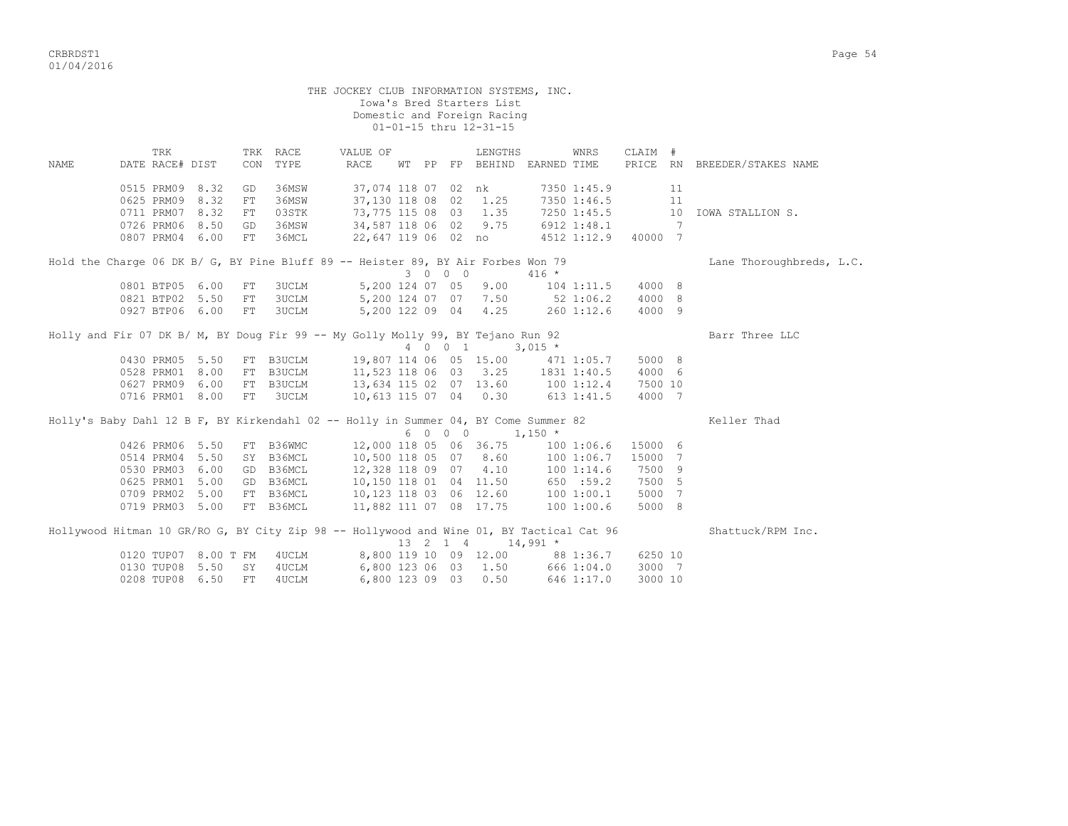CRBRDST1 Page 54 01/04/2016

|      |                                                                                          |      |     |              | THE JOCKEY CLUB INFORMATION SYSTEMS, INC. |  |         | Iowa's Bred Starters List<br>Domestic and Foreign Racing |             |                |         |                              |                              |
|------|------------------------------------------------------------------------------------------|------|-----|--------------|-------------------------------------------|--|---------|----------------------------------------------------------|-------------|----------------|---------|------------------------------|------------------------------|
|      |                                                                                          |      |     |              |                                           |  |         | 01-01-15 thru 12-31-15                                   |             |                |         |                              |                              |
|      | TRK                                                                                      |      |     | TRK RACE     | VALUE OF                                  |  |         | LENGTHS                                                  |             | WNRS           | CLAIM # |                              |                              |
| NAME | DATE RACE# DIST                                                                          |      | CON | TYPE         | RACE                                      |  |         | WT PP FP BEHIND EARNED TIME                              |             |                |         |                              | PRICE RN BREEDER/STAKES NAME |
|      | 0515 PRM09 8.32                                                                          |      | GD  | 36MSW        |                                           |  |         | 37,074 118 07 02 nk                                      |             | 7350 1:45.9    |         | 11                           |                              |
|      | 0625 PRM09                                                                               | 8.32 | FT  | 36MSW        | 37,130 118 08 02                          |  |         | 1.25                                                     |             | 7350 1:46.5    |         | 11                           |                              |
|      | 0711 PRM07                                                                               | 8.32 | FT. | 03STK        | 73,775 115 08 03                          |  |         | 1.35                                                     |             | 7250 1:45.5    |         | 10                           | IOWA STALLION S.             |
|      | 0726 PRM06 8.50                                                                          |      | GD  | 36MSW        | 34,587 118 06 02 9.75                     |  |         |                                                          |             | 6912 1:48.1    |         | $7\phantom{.0}\phantom{.0}7$ |                              |
|      | 0807 PRM04 6.00                                                                          |      | FT  | 36MCL        |                                           |  |         | 22,647 119 06 02 no                                      |             | 4512 1:12.9    | 40000 7 |                              |                              |
|      | Hold the Charge 06 DK B/ G, BY Pine Bluff 89 -- Heister 89, BY Air Forbes Won 79         |      |     |              |                                           |  |         |                                                          |             |                |         |                              | Lane Thoroughbreds, L.C.     |
|      |                                                                                          |      |     |              |                                           |  | 3 0 0 0 |                                                          | $416 *$     |                |         |                              |                              |
|      | 0801 BTP05 6.00                                                                          |      | FT  | <b>3UCLM</b> | 5,200 124 07 05                           |  |         | 9.00                                                     |             | $104$ $1:11.5$ | 4000 8  |                              |                              |
|      | 0821 BTP02 5.50                                                                          |      | FT  | <b>3UCLM</b> | 5,200 124 07 07 7.50                      |  |         |                                                          |             | $52 \t1:06.2$  | 4000 8  |                              |                              |
|      | 0927 BTP06 6.00                                                                          |      | FT  | <b>3UCLM</b> |                                           |  |         | 5,200 122 09 04 4.25                                     |             | 260 1:12.6     | 4000 9  |                              |                              |
|      | Holly and Fir 07 DK B/ M, BY Doug Fir 99 -- My Golly Molly 99, BY Tejano Run 92          |      |     |              |                                           |  |         |                                                          |             |                |         |                              | Barr Three LLC               |
|      |                                                                                          |      |     |              |                                           |  | 4 0 0 1 |                                                          | $3,015$ *   |                |         |                              |                              |
|      | 0430 PRM05 5.50                                                                          |      |     | FT B3UCLM    | 19,807 114 06 05 15.00                    |  |         |                                                          | 471 1:05.7  |                | 5000 8  |                              |                              |
|      | 0528 PRM01 8.00                                                                          |      |     | FT B3UCLM    | 11,523 118 06 03 3.25                     |  |         |                                                          | 1831 1:40.5 |                | 4000 6  |                              |                              |
|      | 0627 PRM09 6.00                                                                          |      |     | FT B3UCLM    | 13,634 115 02 07 13.60                    |  |         |                                                          | 100 1:12.4  |                | 7500 10 |                              |                              |
|      | 0716 PRM01 8.00                                                                          |      | FT  | <b>3UCLM</b> |                                           |  |         | 10,613 115 07 04 0.30                                    |             | $613$ $1:41.5$ | 4000 7  |                              |                              |
|      | Holly's Baby Dahl 12 B F, BY Kirkendahl 02 -- Holly in Summer 04, BY Come Summer 82      |      |     |              |                                           |  |         |                                                          |             |                |         |                              | Keller Thad                  |
|      |                                                                                          |      |     |              |                                           |  | 6 0 0 0 | $1,150$ *                                                |             |                |         |                              |                              |
|      | 0426 PRM06 5.50                                                                          |      |     | FT B36WMC    |                                           |  |         | 12,000 118 05 06 36.75                                   |             | 1001:06.6      | 15000 6 |                              |                              |
|      | 0514 PRM04 5.50                                                                          |      |     | SY B36MCL    |                                           |  |         | 10,500 118 05 07 8.60                                    |             | 1001:06.7      | 15000 7 |                              |                              |
|      | 0530 PRM03 6.00                                                                          |      |     | GD B36MCL    | 12,328 118 09 07 4.10                     |  |         |                                                          |             | 1001:14.6      | 7500 9  |                              |                              |
|      | 0625 PRM01 5.00                                                                          |      |     | GD B36MCL    |                                           |  |         | 10,150 118 01 04 11.50                                   |             | 650 : 59.2     | 7500 5  |                              |                              |
|      | 0709 PRM02                                                                               | 5.00 |     | FT B36MCL    | 10,123 118 03 06 12.60                    |  |         |                                                          |             | 100 1:00.1     | 5000 7  |                              |                              |
|      | 0719 PRM03 5.00                                                                          |      |     | FT B36MCL    | 11,882 111 07 08 17.75                    |  |         |                                                          |             | 1001:00.6      | 5000 8  |                              |                              |
|      | Hollywood Hitman 10 GR/RO G, BY City Zip 98 -- Hollywood and Wine 01, BY Tactical Cat 96 |      |     |              |                                           |  |         | 13 2 1 4 14,991 *                                        |             |                |         |                              | Shattuck/RPM Inc.            |
|      | 0120 TUP07 8.00 T FM                                                                     |      |     | 4UCLM        |                                           |  |         | 8,800 119 10 09 12.00 88 1:36.7                          |             |                | 6250 10 |                              |                              |
|      | 0130 TUP08                                                                               | 5.50 | SY  | 4UCLM        | 6,800 123 06 03                           |  |         | 1.50                                                     |             | 666 1:04.0     | 3000 7  |                              |                              |
|      | 0208 TUP08                                                                               | 6.50 | FT  | 4UCLM        | 6,800 123 09 03                           |  |         | 0.50                                                     |             | 646 1:17.0     | 3000 10 |                              |                              |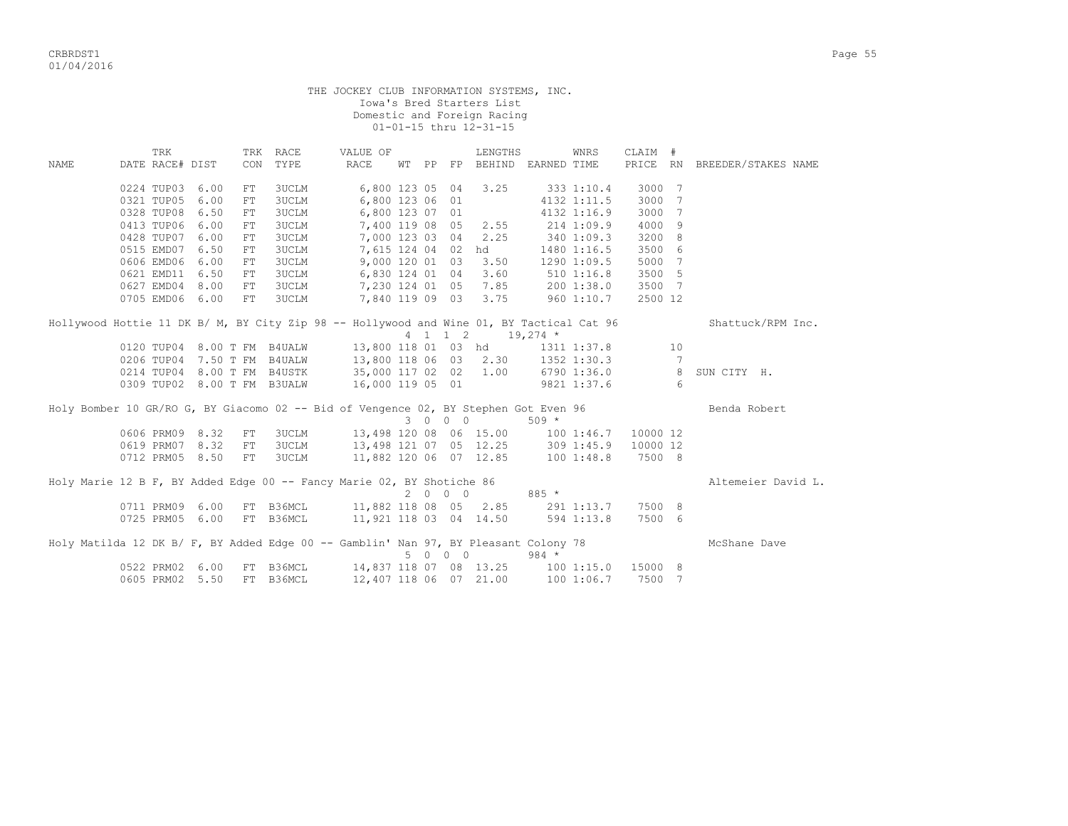|             |                                                                                                                                                        |     |              | THE JOCKEY CLUB INFORMATION SYSTEMS, INC.                                                                       |  |         | Iowa's Bred Starters List<br>Domestic and Foreign Racing<br>01-01-15 thru 12-31-15 |                                                                                       |             |         |                      |                                  |
|-------------|--------------------------------------------------------------------------------------------------------------------------------------------------------|-----|--------------|-----------------------------------------------------------------------------------------------------------------|--|---------|------------------------------------------------------------------------------------|---------------------------------------------------------------------------------------|-------------|---------|----------------------|----------------------------------|
|             | TRK                                                                                                                                                    |     | TRK RACE     | VALUE OF                                                                                                        |  |         | LENGTHS                                                                            |                                                                                       | WNRS        | CLAIM # |                      |                                  |
| <b>NAME</b> | DATE RACE# DIST                                                                                                                                        | CON | TYPE         | RACE                                                                                                            |  |         |                                                                                    | WT PP FP BEHIND EARNED TIME                                                           |             |         |                      | PRICE RN BREEDER/STAKES NAME     |
|             | 0224 TUP03 6.00                                                                                                                                        | FT  | 3UCLM        | 6,800 123 05 04                                                                                                 |  |         | 3.25                                                                               |                                                                                       | 333 1:10.4  | 3000 7  |                      |                                  |
|             | 0321 TUP05 6.00                                                                                                                                        | FT  | <b>3UCLM</b> | 6,800 123 06 01                                                                                                 |  |         |                                                                                    |                                                                                       | 4132 1:11.5 | 3000 7  |                      |                                  |
|             | 0328 TUP08 6.50                                                                                                                                        | FT  | <b>3UCLM</b> | 6,800 123 07 01                                                                                                 |  |         |                                                                                    |                                                                                       | 4132 1:16.9 | 3000 7  |                      |                                  |
|             | 0413 TUP06 6.00                                                                                                                                        | FT  | <b>3UCLM</b> | 7,400 119 08 05 2.55                                                                                            |  |         |                                                                                    | 214 1:09.9                                                                            |             | 4000 9  |                      |                                  |
|             | 0428 TUP07 6.00                                                                                                                                        | FT  | <b>3UCLM</b> | 7,000 123 03 04 2.25                                                                                            |  |         |                                                                                    | 340 1:09.3                                                                            |             | 3200 8  |                      |                                  |
|             | 0515 EMD07 6.50                                                                                                                                        | FT  | <b>3UCLM</b> | 7,615 124 04 02 hd                                                                                              |  |         |                                                                                    |                                                                                       | 1480 1:16.5 | 3500 6  |                      |                                  |
|             | 0606 EMD06 6.00                                                                                                                                        | FT  | <b>3UCLM</b> | 9,000 120 01 03                                                                                                 |  |         | 3.50                                                                               |                                                                                       | 1290 1:09.5 | 5000 7  |                      |                                  |
|             | 0621 EMD11 6.50                                                                                                                                        | FT  | 3UCLM        |                                                                                                                 |  |         | 3.60                                                                               |                                                                                       |             | 3500 5  |                      |                                  |
|             | 0627 EMD04 8.00 FT 3UCLM                                                                                                                               |     |              | 6,830 124 01   04    3.60         510  1:16.8<br>7,230 124  01   05    7.85         200  1:38.0                 |  |         |                                                                                    |                                                                                       |             | 3500 7  |                      |                                  |
|             | 0705 EMD06 6.00                                                                                                                                        | FT  |              | 3UCLM 7,840 119 09 03 3.75                                                                                      |  |         |                                                                                    | 960 1:10.7                                                                            |             | 2500 12 |                      |                                  |
|             | Hollywood Hottie 11 DK B/ M, BY City Zip 98 -- Hollywood and Wine 01, BY Tactical Cat 96<br>0120 TUP04 8.00 T FM B4UALW<br>0206 TUP04 7.50 T FM B4UALW |     |              | 0214 TUP04 8.00 T FM B4USTK 35,000 117 02 02 1.00 6790 1:36.0 8<br>0309 TUP02 8.00 T FM B3UALW 16,000 119 05 01 |  |         | 4 1 1 2 19,274 *                                                                   | 13,800 118 01 03 hd 1311 1:37.8<br>13,800 118 06 03 2.30 1352 1:30.3<br>9821 1:37.6 6 |             |         | 10<br>$\overline{7}$ | Shattuck/RPM Inc.<br>SUN CITY H. |
|             | Holy Bomber 10 GR/RO G, BY Giacomo 02 -- Bid of Vengence 02, BY Stephen Got Even 96                                                                    |     |              |                                                                                                                 |  | 3 0 0 0 |                                                                                    | $509 *$                                                                               |             |         |                      | Benda Robert                     |
|             | 0606 PRM09 8.32                                                                                                                                        | FT  | 3UCLM        |                                                                                                                 |  |         |                                                                                    | 13,498 120 08 06 15.00 100 1:46.7 10000 12                                            |             |         |                      |                                  |
|             | 0619 PRM07 8.32                                                                                                                                        | FT  | <b>3UCLM</b> |                                                                                                                 |  |         |                                                                                    | 13,498 121 07 05 12.25 309 1:45.9 10000 12                                            |             |         |                      |                                  |
|             | 0712 PRM05 8.50                                                                                                                                        | FT  | 3UCLM        |                                                                                                                 |  |         |                                                                                    | 11,882 120 06 07 12.85 100 1:48.8                                                     |             | 7500 8  |                      |                                  |
|             | Holy Marie 12 B F, BY Added Edge 00 -- Fancy Marie 02, BY Shotiche 86                                                                                  |     |              | 0711 PRM09 6.00 FT B36MCL 11,882 118 08 05 2.85 291 1:13.7 7500 8                                               |  | 2000    |                                                                                    | $885 *$                                                                               |             |         |                      | Altemeier David L.               |
|             | 0725 PRM05 6.00 FT B36MCL                                                                                                                              |     |              | 11,921 118 03 04 14.50                                                                                          |  |         |                                                                                    | 594 1:13.8                                                                            |             | 7500 6  |                      |                                  |
|             | Holy Matilda 12 DK B/ F, BY Added Edge 00 -- Gamblin' Nan 97, BY Pleasant Colony 78                                                                    |     |              |                                                                                                                 |  | 5 0 0 0 |                                                                                    | $984 *$                                                                               |             |         |                      | McShane Dave                     |
|             | 0522 PRM02 6.00                                                                                                                                        |     | FT B36MCL    |                                                                                                                 |  |         |                                                                                    | 14,837 118 07 08 13.25 100 1:15.0 15000 8                                             |             |         |                      |                                  |
|             | 0605 PRM02 5.50                                                                                                                                        |     | FT B36MCL    | 12,407 118 06 07 21.00                                                                                          |  |         |                                                                                    |                                                                                       | 1001:06.7   | 7500 7  |                      |                                  |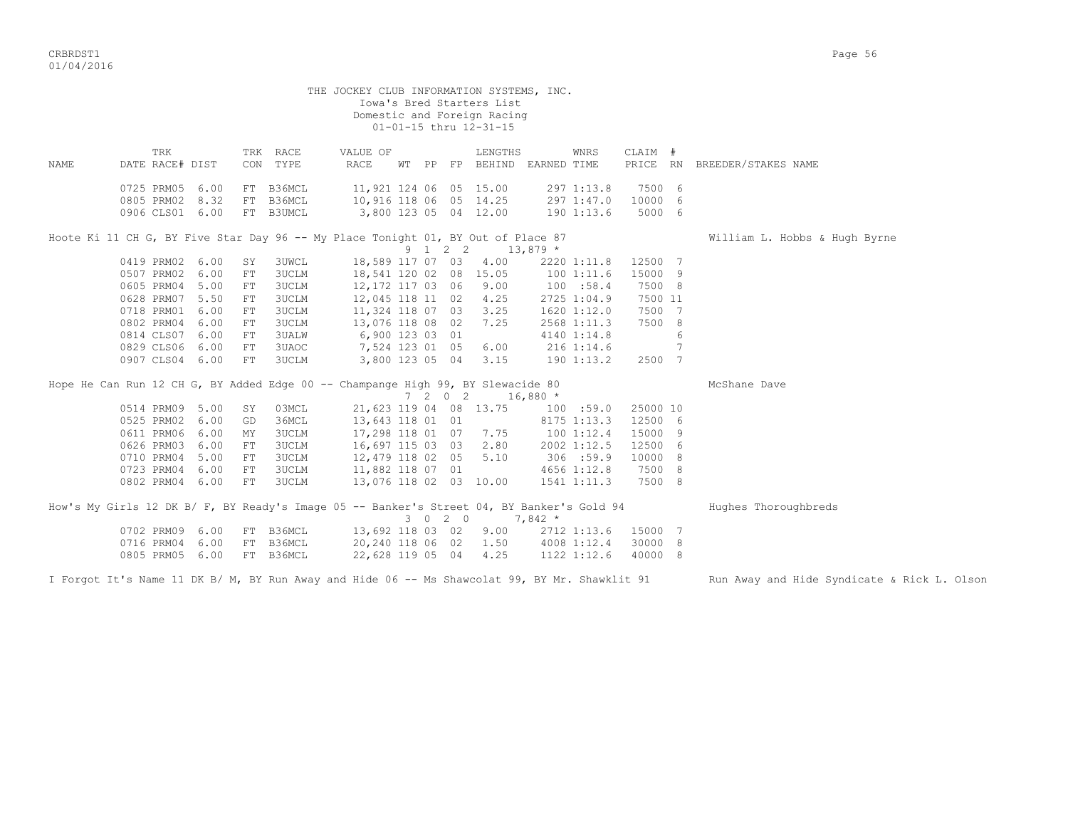|      |                        |      |    |                      | THE JOCKEY CLUB INFORMATION SYSTEMS, INC.                                                 |  |        | Iowa's Bred Starters List<br>Domestic and Foreign Racing<br>01-01-15 thru 12-31-15 |            |             |          |    |                               |
|------|------------------------|------|----|----------------------|-------------------------------------------------------------------------------------------|--|--------|------------------------------------------------------------------------------------|------------|-------------|----------|----|-------------------------------|
| NAME | TRK<br>DATE RACE# DIST |      |    | TRK RACE<br>CON TYPE | VALUE OF<br>RACE                                                                          |  |        | LENGTHS<br>WT PP FP BEHIND EARNED TIME                                             |            | WNRS        | CLAIM #  |    | PRICE RN BREEDER/STAKES NAME  |
|      | 0725 PRM05             | 6.00 | FT | B36MCL               |                                                                                           |  |        | 11,921 124 06 05 15.00 297 1:13.8                                                  |            |             | 7500 6   |    |                               |
|      | 0805 PRM02 8.32        |      |    | FT B36MCL            | 10,916 118 06 05 14.25 297 1:47.0                                                         |  |        |                                                                                    |            |             | 10000 6  |    |                               |
|      | 0906 CLS01 6.00        |      |    | FT B3UMCL            | 3,800 123 05 04 12.00                                                                     |  |        |                                                                                    | 190 1:13.6 |             | 5000 6   |    |                               |
|      |                        |      |    |                      | Hoote Ki 11 CH G, BY Five Star Day 96 -- My Place Tonight 01, BY Out of Place 87          |  |        |                                                                                    |            |             |          |    | William L. Hobbs & Hugh Byrne |
|      |                        |      |    |                      |                                                                                           |  |        | 9 1 2 2 13,879 *                                                                   |            |             |          |    |                               |
|      | 0419 PRM02 6.00        |      | SY | <b>3UWCL</b>         |                                                                                           |  |        | 18,589 117 07 03 4.00                                                              |            | 2220 1:11.8 | 12500 7  |    |                               |
|      | 0507 PRM02 6.00        |      | FT | <b>3UCLM</b>         | 18,541 120 02 08 15.05                                                                    |  |        |                                                                                    |            | 1001:11.6   | 15000 9  |    |                               |
|      | 0605 PRM04 5.00        |      | FT | 3UCLM                | 12,172 117 03 06 9.00                                                                     |  |        |                                                                                    |            | 100 : 58.4  | 7500 8   |    |                               |
|      | 0628 PRM07 5.50        |      | FT | <b>3UCLM</b>         | 12,045 118 11 02 4.25                                                                     |  |        |                                                                                    |            | 2725 1:04.9 | 7500 11  |    |                               |
|      | 0718 PRM01 6.00        |      | FT | 3UCLM                | 11,324 118 07 03 3.25                                                                     |  |        |                                                                                    |            | 1620 1:12.0 | 7500 7   |    |                               |
|      | 0802 PRM04 6.00        |      | FT | <b>3UCLM</b>         | 13,076 118 08 02                                                                          |  |        | 7.25                                                                               |            | 2568 1:11.3 | 7500 8   |    |                               |
|      | 0814 CLS07 6.00        |      | FT | 3UALW                | 6,900 123 03 01                                                                           |  |        |                                                                                    |            | 4140 1:14.8 |          | 6  |                               |
|      | 0829 CLS06 6.00        |      | FT | 3UAOC                | 7,524 123 01 05                                                                           |  |        | 6.00                                                                               | 216 1:14.6 |             |          | 7  |                               |
|      | 0907 CLS04 6.00        |      | FT | <b>3UCLM</b>         | 3,800 123 05 04 3.15                                                                      |  |        |                                                                                    |            | 190 1:13.2  | 2500 7   |    |                               |
|      |                        |      |    |                      | Hope He Can Run 12 CH G, BY Added Edge 00 -- Champange High 99, BY Slewacide 80           |  |        |                                                                                    |            |             |          |    | McShane Dave                  |
|      |                        |      |    |                      |                                                                                           |  | $7202$ |                                                                                    | $16,880$ * |             |          |    |                               |
|      | 0514 PRM09 5.00        |      | SY | 03MCL                | 21,623 119 04 08 13.75                                                                    |  |        |                                                                                    |            | 100 :59.0   | 25000 10 |    |                               |
|      | 0525 PRM02 6.00        |      | GD | 36MCL                | 13,643 118 01 01                                                                          |  |        |                                                                                    |            | 8175 1:13.3 | 12500 6  |    |                               |
|      | 0611 PRM06 6.00        |      | MΥ | <b>3UCLM</b>         | 17,298 118 01 07 7.75                                                                     |  |        |                                                                                    | 100 1:12.4 |             | 15000 9  |    |                               |
|      | 0626 PRM03 6.00        |      | FT | 3UCLM                | 16,697 115 03 03 2.80                                                                     |  |        |                                                                                    |            | 2002 1:12.5 | 12500 6  |    |                               |
|      | 0710 PRM04 5.00        |      | FT | <b>3UCLM</b>         | 12,479 118 02 05                                                                          |  |        | 5.10                                                                               |            | 306 :59.9   | 10000 8  |    |                               |
|      | 0723 PRM04 6.00        |      | FT | <b>3UCLM</b>         | 11,882 118 07 01                                                                          |  |        |                                                                                    |            | 4656 1:12.8 | 7500 8   |    |                               |
|      | 0802 PRM04 6.00        |      | FT | 3UCLM                | 13,076 118 02 03 10.00                                                                    |  |        |                                                                                    |            | 1541 1:11.3 | 7500 8   |    |                               |
|      |                        |      |    |                      | How's My Girls 12 DK B/ F, BY Ready's Image 05 -- Banker's Street 04, BY Banker's Gold 94 |  |        | $3 \t0 \t2 \t0 \t7,842 \t\t*$                                                      |            |             |          |    | Hughes Thoroughbreds          |
|      | 0702 PRM09 6.00        |      |    | FT B36MCL            |                                                                                           |  |        | 13,692 118 03 02 9.00                                                              |            | 2712 1:13.6 | 15000 7  |    |                               |
|      | 0716 PRM04             | 6.00 | FT | B36MCL               | 20,240 118 06 02                                                                          |  |        | 1.50                                                                               |            | 4008 1:12.4 | 30000    | 8  |                               |
|      | 0805 PRM05 6.00        |      |    | FT B36MCL            | 22,628 119 05 04                                                                          |  |        | 4.25                                                                               |            | 1122 1:12.6 | 40000    | -8 |                               |

I Forgot It's Name 11 DK B/ M, BY Run Away and Hide 06 -- Ms Shawcolat 99, BY Mr. Shawklit 91 Run Away and Hide Syndicate & Rick L. Olson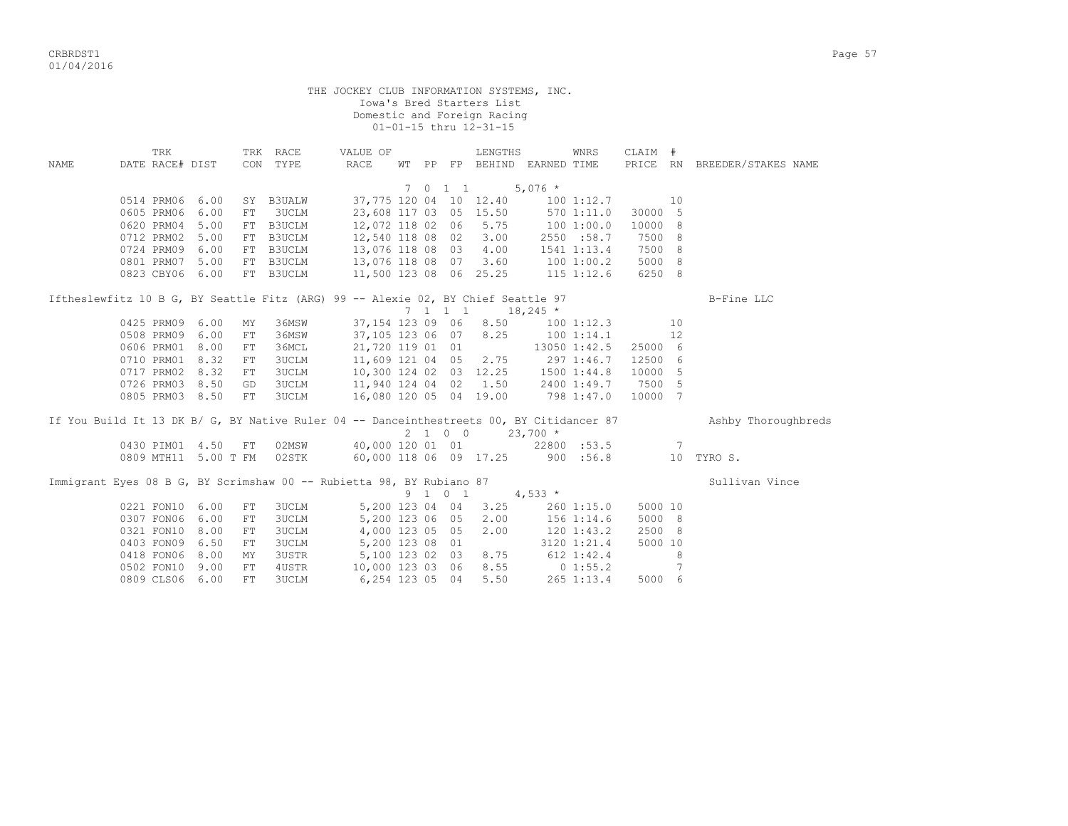critering the contract of the contract of the contract of the contract of the contract of the contract of the contract of the contract of the contract of the contract of the contract of the contract of the contract of the 01/04/2016

|             |                                                                                          |                        |                      |            |                      |                                    |                  |  |         | 01-01-15 thru 12-31-15 |                             |              |                   |                 |                              |  |
|-------------|------------------------------------------------------------------------------------------|------------------------|----------------------|------------|----------------------|------------------------------------|------------------|--|---------|------------------------|-----------------------------|--------------|-------------------|-----------------|------------------------------|--|
| <b>NAME</b> |                                                                                          | TRK<br>DATE RACE# DIST |                      |            | TRK RACE<br>CON TYPE | VALUE OF<br>RACE                   |                  |  |         | LENGTHS                | WT PP FP BEHIND EARNED TIME | WNRS         | CLAIM #           |                 | PRICE RN BREEDER/STAKES NAME |  |
|             |                                                                                          |                        |                      |            |                      |                                    |                  |  | 7 0 1 1 |                        | $5,076$ *                   |              |                   |                 |                              |  |
|             |                                                                                          | 0514 PRM06 6.00        |                      |            | SY B3UALW            |                                    |                  |  |         | 37,775 120 04 10 12.40 |                             | 100 1:12.7   |                   | 10              |                              |  |
|             |                                                                                          | 0605 PRM06             | 6.00                 | FT         | <b>3UCLM</b>         |                                    |                  |  |         | 23,608 117 03 05 15.50 |                             | 570 1:11.0   | 30000 5           |                 |                              |  |
|             |                                                                                          | 0620 PRM04             | 5.00                 |            | FT B3UCLM            |                                    | 12,072 118 02 06 |  |         | 5.75                   | 100 1:00.0                  |              | 10000             | - 8             |                              |  |
|             |                                                                                          | 0712 PRM02             | 5.00                 |            | FT B3UCLM            | 12,540 118 08 02                   |                  |  |         | 3.00                   |                             | 2550 :58.7   | 7500              | 8               |                              |  |
|             |                                                                                          | 0724 PRM09             | 6.00                 |            | FT B3UCLM            | 13,076 118 08 03                   |                  |  |         | 4.00                   |                             | 1541 1:13.4  | 7500 8            |                 |                              |  |
|             |                                                                                          | 0801 PRM07             | 5.00                 |            | FT B3UCLM            | 13,076 118 08 07                   |                  |  |         | 3.60                   | 100 1:00.2                  |              | 5000 8            |                 |                              |  |
|             |                                                                                          | 0823 CBY06 6.00        |                      |            | FT B3UCLM            | 11,500 123 08 06 25.25 115 1:12.6  |                  |  |         |                        |                             |              | 6250 8            |                 |                              |  |
|             | Iftheslewfitz 10 B G, BY Seattle Fitz (ARG) 99 -- Alexie 02, BY Chief Seattle 97         |                        |                      |            |                      |                                    |                  |  |         |                        |                             |              |                   |                 | B-Fine LLC                   |  |
|             |                                                                                          |                        |                      |            |                      |                                    |                  |  | 7 1 1 1 |                        | $18,245$ *                  |              |                   |                 |                              |  |
|             |                                                                                          | 0425 PRM09             | 6.00                 | MY         | 36MSW                |                                    | 37,154 123 09 06 |  |         | 8.50                   |                             |              | $100$ $1:12.3$ 10 |                 |                              |  |
|             |                                                                                          | 0508 PRM09             | 6.00                 | ${\rm FT}$ | 36MSW                |                                    | 37,105 123 06 07 |  |         |                        | 8.25 100 1:14.1             |              |                   | 12              |                              |  |
|             |                                                                                          | 0606 PRM01             | 8.00                 | FT         | 36MCL                |                                    | 21,720 119 01 01 |  |         |                        |                             | 13050 1:42.5 | 25000 6           |                 |                              |  |
|             |                                                                                          | 0710 PRM01             | 8.32                 | FT         | 3UCLM                |                                    | 11,609 121 04 05 |  |         |                        | $2.75$ 297 1:46.7           |              | 12500 6           |                 |                              |  |
|             |                                                                                          | 0717 PRM02             | 8.32                 | FT         | 3UCLM                | 10,300 124 02 03 12.25 1500 1:44.8 |                  |  |         |                        |                             |              | 10000 5           |                 |                              |  |
|             |                                                                                          | 0726 PRM03             | 8.50                 | GD         | 3UCLM                | 11,940 124 04 02 1.50 2400 1:49.7  |                  |  |         |                        |                             |              | 7500 5            |                 |                              |  |
|             |                                                                                          | 0805 PRM03 8.50        |                      | FT         | 3UCLM                | 16,080 120 05 04 19.00 798 1:47.0  |                  |  |         |                        |                             |              | 10000 7           |                 |                              |  |
|             | If You Build It 13 DK B/ G, BY Native Ruler 04 -- Danceinthestreets 00, BY Citidancer 87 |                        |                      |            |                      |                                    |                  |  |         |                        |                             |              |                   |                 | Ashby Thoroughbreds          |  |
|             |                                                                                          |                        |                      |            |                      |                                    |                  |  | 2 1 0 0 |                        | $23,700$ *                  |              |                   |                 |                              |  |
|             |                                                                                          |                        | 0430 PIM01 4.50      | FT         |                      | 02MSW 40,000 120 01 01 22800 :53.5 |                  |  |         |                        |                             |              |                   | $7\phantom{.0}$ |                              |  |
|             |                                                                                          |                        | 0809 MTH11 5.00 T FM |            | 02STK                | 60,000 118 06 09 17.25 900 :56.8   |                  |  |         |                        |                             |              |                   |                 | 10 TYRO S.                   |  |
|             | Immigrant Eyes 08 B G, BY Scrimshaw 00 -- Rubietta 98, BY Rubiano 87                     |                        |                      |            |                      |                                    |                  |  |         |                        |                             |              |                   |                 | Sullivan Vince               |  |
|             |                                                                                          |                        |                      |            |                      |                                    |                  |  | 9 1 0 1 |                        | $4,533$ *                   |              |                   |                 |                              |  |
|             |                                                                                          | 0221 FON10 6.00        |                      | ${\rm FT}$ | 3UCLM                |                                    | 5,200 123 04 04  |  |         | 3.25                   |                             | 260 1:15.0   | 5000 10           |                 |                              |  |
|             |                                                                                          | 0307 FON06             | 6.00                 | ${\rm FT}$ | 3UCLM                |                                    | 5,200 123 06 05  |  |         | 2.00                   |                             | 156 1:14.6   | 5000 8            |                 |                              |  |
|             |                                                                                          | 0321 FON10 8.00        |                      | FT         | 3UCLM                |                                    | 4,000 123 05 05  |  |         | 2.00                   | 1201:43.2                   |              | 2500 8            |                 |                              |  |
|             |                                                                                          | 0403 FON09 6.50        |                      | FT         | <b>3UCLM</b>         |                                    | 5,200 123 08 01  |  |         |                        |                             | 3120 1:21.4  | 5000 10           |                 |                              |  |
|             |                                                                                          | 0418 FON06             | 8.00                 | MΥ         | <b>3USTR</b>         |                                    | 5,100 123 02 03  |  |         | 8.75                   |                             | $612$ 1:42.4 |                   | 8               |                              |  |
|             |                                                                                          | 0502 FON10             | 9.00                 | FT         | 4USTR                |                                    | 10,000 123 03 06 |  |         | 8.55                   |                             | 0 1:55.2     |                   | $\overline{7}$  |                              |  |

0809 CLS06 6.00 FT 3UCLM 6,254 123 05 04 5.50 265 1:13.4 5000 6

Iowa's Bred Starters List

Domestic and Foreign Racing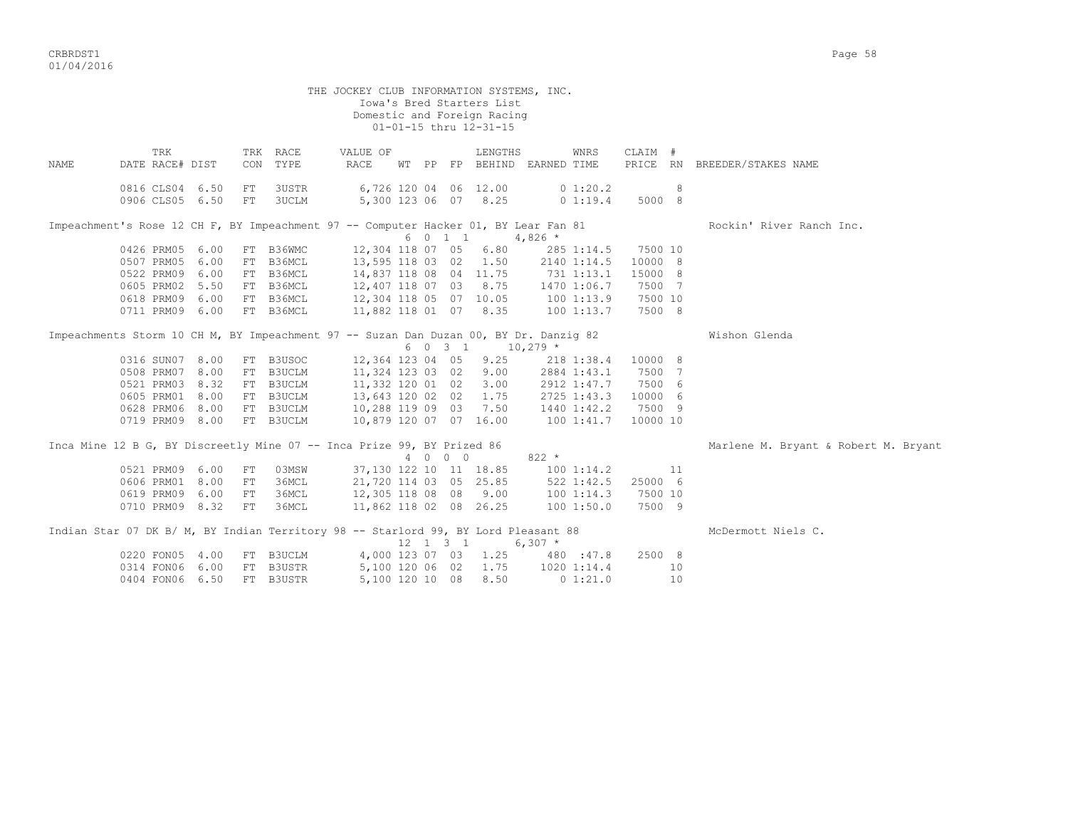critering the contract of the contract of the contract of the contract of the contract of the contract of the contract of the contract of the contract of the contract of the contract of the contract of the contract of the 01/04/2016

|                                                                                       |                                    |      |     |                        | THE JOCKEY CLUB INFORMATION SYSTEMS, INC.                                                 |  |         | Iowa's Bred Starters List<br>Domestic and Foreign Racing<br>01-01-15 thru 12-31-15 |             |                                        |                          |    |                                      |
|---------------------------------------------------------------------------------------|------------------------------------|------|-----|------------------------|-------------------------------------------------------------------------------------------|--|---------|------------------------------------------------------------------------------------|-------------|----------------------------------------|--------------------------|----|--------------------------------------|
| NAME                                                                                  | TRK<br>DATE RACE# DIST             |      | CON | TRK RACE<br>TYPE       | VALUE OF<br>RACE                                                                          |  |         | LENGTHS<br>WT PP FP BEHIND EARNED TIME                                             |             | WNRS                                   | CLAIM #                  |    | PRICE RN BREEDER/STAKES NAME         |
|                                                                                       | 0816 CLS04 6.50<br>0906 CLS05 6.50 |      | FT  | 3USTR<br>FT 3UCLM      |                                                                                           |  |         | 6,726 120 04 06 12.00<br>5,300 123 06 07 8.25                                      |             | 0 1:20.2<br>0 1:19.4                   | 8 <sup>1</sup><br>5000 8 |    |                                      |
| Impeachment's Rose 12 CH F, BY Impeachment 97 -- Computer Hacker 01, BY Lear Fan 81   |                                    |      |     |                        |                                                                                           |  |         |                                                                                    |             |                                        |                          |    | Rockin' River Ranch Inc.             |
|                                                                                       |                                    |      |     |                        |                                                                                           |  |         | 6 0 1 1 4,826 $*$                                                                  |             |                                        |                          |    |                                      |
|                                                                                       | 0426 PRM05 6.00                    |      |     |                        | FT B36WMC 12,304 118 07 05 6.80                                                           |  |         |                                                                                    |             |                                        | 285 1:14.5 7500 10       |    |                                      |
|                                                                                       | 0507 PRM05                         | 6.00 |     |                        | FT B36MCL 13,595 118 03 02 1.50 2140 1:14.5                                               |  |         |                                                                                    |             |                                        | 10000 8                  |    |                                      |
|                                                                                       | 0522 PRM09 6.00                    |      |     |                        | FT B36MCL 14,837 118 08 04 11.75 731 1:13.1                                               |  |         |                                                                                    |             |                                        | 15000 8                  |    |                                      |
|                                                                                       | 0605 PRM02 5.50                    |      |     | FT B36MCL              | 12,407 118 07 03 8.75                                                                     |  |         |                                                                                    | 1470 1:06.7 |                                        | 7500 7                   |    |                                      |
|                                                                                       | 0618 PRM09 6.00                    |      |     | FT B36MCL              |                                                                                           |  |         |                                                                                    |             |                                        |                          |    |                                      |
|                                                                                       | 0711 PRM09 6.00                    |      |     | FT B36MCL              |                                                                                           |  |         |                                                                                    |             |                                        |                          |    |                                      |
| Impeachments Storm 10 CH M, BY Impeachment 97 -- Suzan Dan Duzan 00, BY Dr. Danzig 82 |                                    |      |     |                        |                                                                                           |  |         | 6 0 3 1 10,279 *                                                                   |             |                                        |                          |    | Wishon Glenda                        |
|                                                                                       | 0316 SUN07 8.00                    |      |     |                        |                                                                                           |  |         |                                                                                    |             |                                        | 10000 8                  |    |                                      |
|                                                                                       | 0508 PRM07 8.00                    |      |     |                        | FT B3USOC 12,364 123 04 05 9.25 218 1:38.4<br>FT B3UCLM 11,324 123 03 02 9.00 2884 1:43.1 |  |         |                                                                                    |             |                                        | 7500 7                   |    |                                      |
|                                                                                       | 0521 PRM03                         | 8.32 |     | FT B3UCLM              | $11,332$ 120 01 02                                                                        |  |         | $3.00$ 2912 1:47.7                                                                 |             |                                        | 7500 6                   |    |                                      |
|                                                                                       | 0605 PRM01 8.00                    |      |     |                        | FT B3UCLM 13,643 120 02 02                                                                |  |         | 1.75 2725 1:43.3 10000 6                                                           |             |                                        |                          |    |                                      |
|                                                                                       | 0628 PRM06 8.00                    |      |     | FT B3UCLM              | 10,288 119 09 03 7.50                                                                     |  |         |                                                                                    | 1440 1:42.2 |                                        | 7500 9                   |    |                                      |
|                                                                                       | 0719 PRM09 8.00                    |      |     | FT B3UCLM              | 10,879 120 07 07 16.00                                                                    |  |         |                                                                                    | 100 1:41.7  |                                        | 10000 10                 |    |                                      |
| Inca Mine 12 B G, BY Discreetly Mine 07 -- Inca Prize 99, BY Prized 86                |                                    |      |     |                        |                                                                                           |  |         |                                                                                    |             |                                        |                          |    | Marlene M. Bryant & Robert M. Bryant |
|                                                                                       |                                    |      |     |                        |                                                                                           |  | 4 0 0 0 |                                                                                    | 822 *       |                                        |                          |    |                                      |
|                                                                                       | 0521 PRM09 6.00                    |      |     | FT 03MSW               |                                                                                           |  |         | 37, 130 122 10 11 18.85                                                            | 100 1:14.2  |                                        | 11                       |    |                                      |
|                                                                                       | 0606 PRM01 8.00                    |      |     | FT 36MCL               | 21,720 114 03 05 25.85                                                                    |  |         |                                                                                    |             |                                        | 25000 6                  |    |                                      |
|                                                                                       | 0619 PRM09 6.00                    |      |     | FT 36MCL               | 12,305 118 08 08 9.00<br>11,862 118 02 08 26.25                                           |  |         |                                                                                    |             | 522 1:42.5<br>100 1:14.3<br>100 1:50.0 | 7500 10                  |    |                                      |
|                                                                                       | 0710 PRM09 8.32                    |      | FT  | 36MCL                  |                                                                                           |  |         |                                                                                    |             |                                        | 7500 9                   |    |                                      |
| Indian Star 07 DK B/ M, BY Indian Territory 98 -- Starlord 99, BY Lord Pleasant 88    |                                    |      |     |                        |                                                                                           |  |         | 12 1 3 1                                                                           | $6,307$ *   |                                        |                          |    | McDermott Niels C.                   |
|                                                                                       | 0220 FON05 4.00                    |      |     |                        |                                                                                           |  |         |                                                                                    |             |                                        | 2500 8                   |    |                                      |
|                                                                                       | 0314 FON06 6.00                    |      |     | FT B3UCLM<br>FT B3USTR |                                                                                           |  |         | 4,000 123 07 03 1.25 480 :47.8<br>5,100 120 06 02 1.75 1020 1:14.4                 |             |                                        |                          | 10 |                                      |
|                                                                                       | 0404 FON06 6.50                    |      |     | FT B3USTR              |                                                                                           |  |         | 5,100 120 10 08 8.50                                                               | 0 1:21.0    |                                        |                          | 10 |                                      |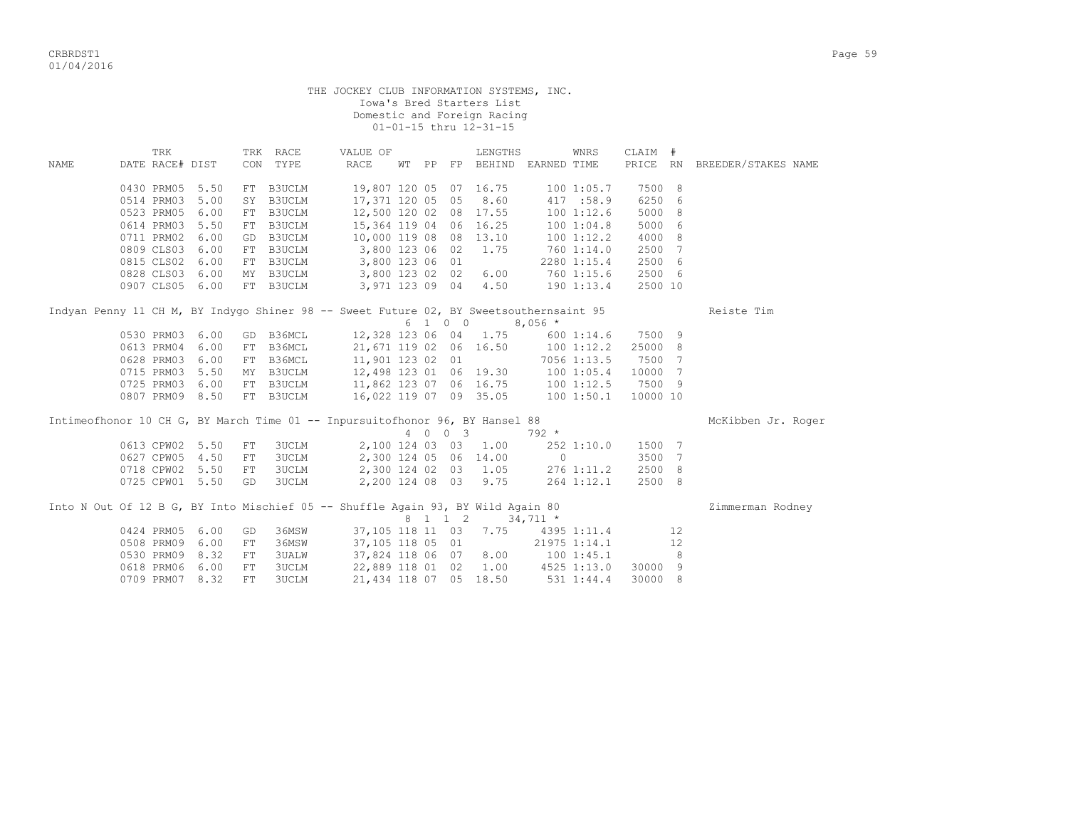|      |                                   |                            | Iowa's Bred Starters List<br>Domestic and Foreign Racing<br>01-01-15 thru 12-31-15 |    | THE JOCKEY CLUB INFORMATION SYSTEMS, INC.       |                        |                     |
|------|-----------------------------------|----------------------------|------------------------------------------------------------------------------------|----|-------------------------------------------------|------------------------|---------------------|
| NAME | TRK<br>DATE RACE# DIST            | RACE<br>TRK<br>TYPE<br>CON | VALUE OF<br>RACE<br>WT PP                                                          | FP | WNRS<br>LENGTHS<br><b>BEHIND</b><br>EARNED TIME | CLAIM #<br>RN<br>PRICE | BREEDER/STAKES NAME |
|      | $0.130$ DDM $0.5$ 5 50 FT R3TICTM |                            | 19 207 120 05 07 16 75                                                             |    |                                                 | 7500 8                 |                     |

|                                                                                        | 0430 PRM05      | 5.50            |                 | FT B3UCLM     |                               |     |             | 19,807 120 05 07 16.75 | 1001:05.7                          | 7500 8   |                 |                    |
|----------------------------------------------------------------------------------------|-----------------|-----------------|-----------------|---------------|-------------------------------|-----|-------------|------------------------|------------------------------------|----------|-----------------|--------------------|
|                                                                                        | 0514 PRM03      | 5.00            | SY              | B3UCLM        | 17,371 120 05 05 8.60         |     |             |                        | 417 :58.9                          | 6250 6   |                 |                    |
|                                                                                        | 0523 PRM05      | 6.00            | FT              | <b>B3UCLM</b> | 12,500 120 02 08 17.55        |     |             |                        | 1001:12.6                          | 5000 8   |                 |                    |
|                                                                                        | 0614 PRM03      | 5.50            | FT              | B3UCLM        | 15,364 119 04 06 16.25        |     |             |                        | 100 1:04.8                         | 5000 6   |                 |                    |
|                                                                                        | 0711 PRM02      | 6.00            | GD              | B3UCLM        | 10,000 119 08 08 13.10        |     |             |                        | 100 1:12.2                         | 4000 8   |                 |                    |
|                                                                                        | 0809 CLS03      | 6.00            | FT              | B3UCLM        | 3,800 123 06 02               |     |             | 1.75                   | 760 1:14.0                         | 2500 7   |                 |                    |
|                                                                                        | 0815 CLS02      | 6.00            | FT              | <b>B3UCLM</b> | 3,800 123 06 01               |     |             |                        | 2280 1:15.4                        | 2500 6   |                 |                    |
|                                                                                        | 0828 CLS03      | 6.00            |                 | MY B3UCLM     | 3,800 123 02 02               |     |             | 6.00                   | 760 1:15.6                         | 2500 6   |                 |                    |
|                                                                                        | 0907 CLS05 6.00 |                 |                 | FT B3UCLM     | 3,971 123 09 04               |     |             | 4.50                   | 190 1:13.4                         | 2500 10  |                 |                    |
| Indyan Penny 11 CH M, BY Indygo Shiner 98 -- Sweet Future 02, BY Sweetsouthernsaint 95 |                 |                 |                 |               |                               |     |             |                        |                                    |          |                 | Reiste Tim         |
|                                                                                        |                 |                 |                 |               |                               |     | 6 1 0 0     |                        | $8,056$ *                          |          |                 |                    |
|                                                                                        | 0530 PRM03      | 6.00            | GD              |               | B36MCL 12,328 123 06 04 1.75  |     |             |                        | 600 1:14.6                         | 7500 9   |                 |                    |
|                                                                                        | 0613 PRM04      | 6.00            | FT              |               | B36MCL 21,671 119 02 06 16.50 |     |             |                        | $100$ $1:12.2$                     | 25000 8  |                 |                    |
|                                                                                        | 0628 PRM03      | 6.00            | FT              |               | B36MCL 11,901 123 02 01       |     |             |                        | $7056$ 1:13.5                      | 7500 7   |                 |                    |
|                                                                                        | 0715 PRM03      | 5.50            | MY              | B3UCLM        | 12,498 123 01 06 19.30        |     |             |                        | 1001:05.4                          | 10000 7  |                 |                    |
|                                                                                        | 0725 PRM03      | 6.00            | FT              |               | B3UCLM 11,862 123 07 06 16.75 |     |             |                        | 1001:12.5                          | 7500 9   |                 |                    |
|                                                                                        | 0807 PRM09      | 8.50            |                 | FT B3UCLM     | 16,022 119 07 09 35.05        |     |             |                        | $100$ $1:50.1$                     | 10000 10 |                 |                    |
| Intimeofhonor 10 CH G, BY March Time 01 -- Inpursuitofhonor 96, BY Hansel 88           |                 |                 |                 |               |                               |     |             |                        |                                    |          |                 | McKibben Jr. Roger |
|                                                                                        |                 |                 |                 |               |                               | 4 0 | $0 \quad 3$ |                        | $792 *$                            |          |                 |                    |
|                                                                                        | 0613 CPW02 5.50 |                 | FT              | 3UCLM         |                               |     |             | 2,100 124 03 03 1.00   | 252 1:10.0                         | 1500 7   |                 |                    |
|                                                                                        | 0627 CPW05      | 4.50            | FT              | 3UCLM         |                               |     |             | 2,300 124 05 06 14.00  | $\Omega$                           | 3500 7   |                 |                    |
|                                                                                        | 0718 CPW02 5.50 |                 | FT              | 3UCLM         |                               |     |             | 2,300 124 02 03 1.05   | 276 1:11.2                         | 2500 8   |                 |                    |
|                                                                                        | 0725 CPW01 5.50 |                 | GD              | 3UCLM         |                               |     |             | 2,200 124 08 03 9.75   | 264 1:12.1                         | 2500 8   |                 |                    |
| Into N Out Of 12 B G, BY Into Mischief 05 -- Shuffle Again 93, BY Wild Again 80        |                 |                 |                 |               |                               |     |             |                        | 8 1 1 2 34,711 *                   |          |                 | Zimmerman Rodney   |
|                                                                                        |                 | 0424 PRM05 6.00 | GD <sub>1</sub> | 36MSW         |                               |     |             |                        | 37, 105 118 11 03 7.75 4395 1:11.4 |          | 12 <sup>°</sup> |                    |

| 0424 PRM05 6.00 GD 36MSW |  | 37,105 118 11 03 7.75  |  |  | 4395 1:11.4        |                | 12              |
|--------------------------|--|------------------------|--|--|--------------------|----------------|-----------------|
| 0508 PRM09 6.00 FT 36MSW |  | 37,105 118 05 01       |  |  | 21975 1:14.1       |                | 12 <sup>7</sup> |
| 0530 PRM09 8.32 FT 3UALW |  | 37,824 118 06 07 8.00  |  |  | 100 1:45.1         | 8 <sup>1</sup> |                 |
| 0618 PRM06 6.00 FT 3UCLM |  | 22,889 118 01 02 1.00  |  |  | 4525 1:13.0        | 30000 9        |                 |
| 0709 PRM07 8.32 FT 3UCLM |  | 21,434 118 07 05 18.50 |  |  | 531 1:44.4 30000 8 |                |                 |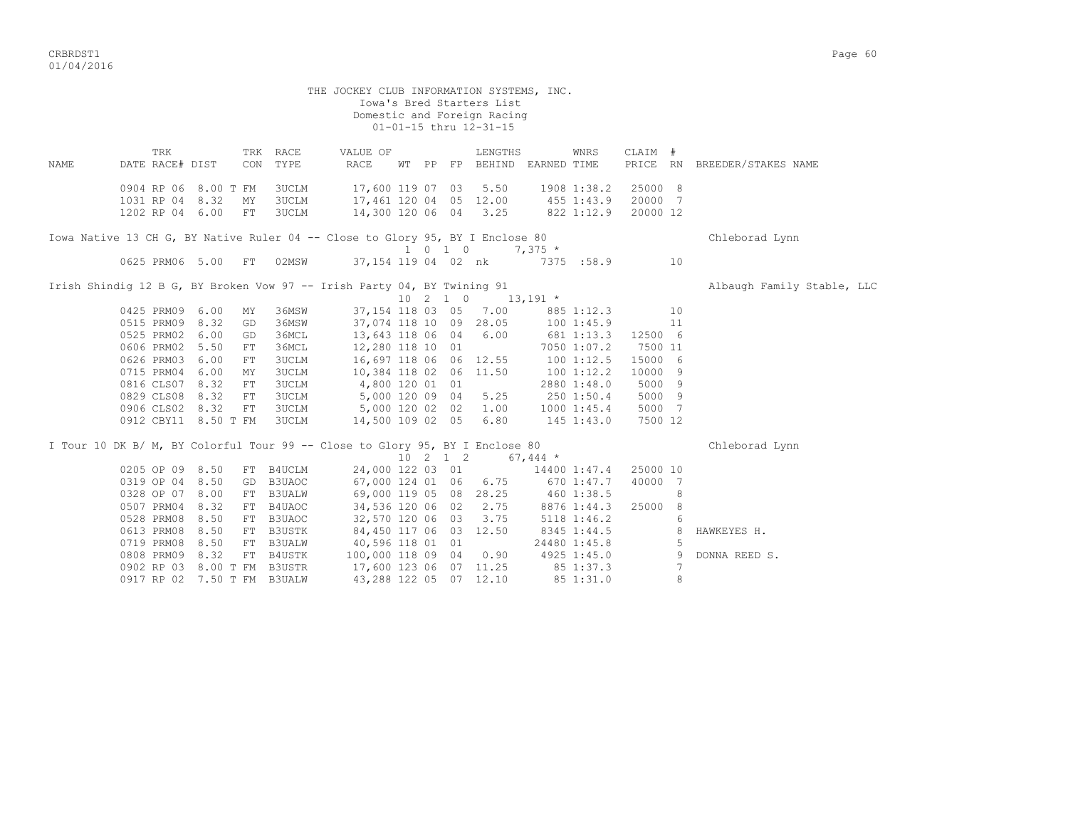|      |                                                                               |            |              | THE JOCKEY CLUB INFORMATION SYSTEMS, INC. |  | Iowa's Bred Starters List<br>Domestic and Foreign Racing<br>01-01-15 thru 12-31-15 |             |                 |          |                |                              |
|------|-------------------------------------------------------------------------------|------------|--------------|-------------------------------------------|--|------------------------------------------------------------------------------------|-------------|-----------------|----------|----------------|------------------------------|
|      | TRK                                                                           |            | TRK RACE     | VALUE OF                                  |  | LENGTHS                                                                            |             | WNRS            | CLAIM #  |                |                              |
| NAME | DATE RACE# DIST                                                               | CON        | TYPE         | RACE                                      |  | WT PP FP BEHIND EARNED TIME                                                        |             |                 |          |                | PRICE RN BREEDER/STAKES NAME |
|      | 0904 RP 06 8.00 T FM                                                          |            | 3UCLM        | 17,600 119 07 03                          |  | 5.50                                                                               |             | 1908 1:38.2     | 25000 8  |                |                              |
|      | 1031 RP 04 8.32                                                               | MY         | 3UCLM        | 17,461 120 04 05 12.00                    |  |                                                                                    | 455 1:43.9  |                 | 20000 7  |                |                              |
|      | 1202 RP 04 6.00 FT                                                            |            | 3UCLM        |                                           |  | 14,300 120 06 04 3.25                                                              | 822 1:12.9  |                 | 20000 12 |                |                              |
|      | Iowa Native 13 CH G, BY Native Ruler 04 -- Close to Glory 95, BY I Enclose 80 |            |              |                                           |  |                                                                                    |             |                 |          |                | Chleborad Lynn               |
|      |                                                                               |            |              |                                           |  | 1 0 1 0                                                                            | $7,375$ *   |                 |          |                |                              |
|      | 0625 PRM06 5.00 FT                                                            |            |              | 02MSW 37,154 119 04 02 nk                 |  |                                                                                    | 7375 : 58.9 |                 |          | 10             |                              |
|      | Irish Shindiq 12 B G, BY Broken Vow 97 -- Irish Party 04, BY Twining 91       |            |              |                                           |  |                                                                                    |             |                 |          |                | Albaugh Family Stable, LLC   |
|      |                                                                               |            |              |                                           |  | $10 \quad 2 \quad 1 \quad 0 \quad 13,191 \quad *$                                  |             |                 |          |                |                              |
|      | 0425 PRM09 6.00                                                               | ΜY         | 36MSW        |                                           |  | 37,154 118 03 05 7.00                                                              |             | 885 1:12.3      |          | 10             |                              |
|      | 0515 PRM09 8.32                                                               | GD         | 36MSW        |                                           |  | 37,074 118 10 09 28.05                                                             | 100 1:45.9  |                 |          | 11             |                              |
|      | 0525 PRM02 6.00                                                               | GD.        | 36MCL        | 13,643 118 06 04 6.00                     |  |                                                                                    | 681 1:13.3  |                 | 12500 6  |                |                              |
|      | 0606 PRM02 5.50                                                               | FT         | 36MCL        | 12,280 118 10 01                          |  |                                                                                    |             | 7050 1:07.2     | 7500 11  |                |                              |
|      | 0626 PRM03 6.00                                                               | FT         | <b>3UCLM</b> | 16,697 118 06 06 12.55                    |  |                                                                                    |             | 1001:12.5       | 15000 6  |                |                              |
|      | 0715 PRM04 6.00                                                               | MY         | 3UCLM        | 10,384 118 02 06 11.50                    |  |                                                                                    |             | 1001:12.2       | 10000 9  |                |                              |
|      | 0816 CLS07 8.32                                                               | FT         | 3UCLM        | 4,800 120 01 01                           |  |                                                                                    |             | 2880 1:48.0     | 5000 9   |                |                              |
|      | 0829 CLS08 8.32                                                               | ${\rm FT}$ | <b>3UCLM</b> | 5,000 120 09 04                           |  | 5.25                                                                               |             | 250 1:50.4      | 5000 9   |                |                              |
|      | 0906 CLS02 8.32                                                               | FT         | <b>3UCLM</b> | 5,000 120 02 02 1.00                      |  |                                                                                    |             | $1000$ $1:45.4$ | 5000 7   |                |                              |
|      | 0912 CBY11 8.50 T FM                                                          |            | 3UCLM        | 14,500 109 02 05                          |  | 6.80                                                                               | 145 1:43.0  |                 | 7500 12  |                |                              |
|      | I Tour 10 DK B/ M, BY Colorful Tour 99 -- Close to Glory 95, BY I Enclose 80  |            |              |                                           |  |                                                                                    |             |                 |          |                | Chleborad Lynn               |
|      |                                                                               |            |              |                                           |  | $10 \quad 2 \quad 1 \quad 2 \quad 67,444 \; *$                                     |             |                 |          |                |                              |
|      | 0205 OP 09 8.50                                                               |            | FT B4UCLM    |                                           |  | 24,000 122 03 01                                                                   |             | 14400 1:47.4    | 25000 10 |                |                              |
|      | 0319 OP 04 8.50                                                               |            | GD B3UAOC    |                                           |  | 67,000 124 01 06 6.75                                                              |             | 670 1:47.7      | 40000 7  |                |                              |
|      | 0328 OP 07 8.00                                                               |            | FT B3UALW    |                                           |  | 69,000 119 05 08 28.25                                                             | 460 1:38.5  |                 |          | 8              |                              |
|      | 0507 PRM04 8.32                                                               |            | FT B4UAOC    |                                           |  | 34,536 120 06 02 2.75                                                              |             | 8876 1:44.3     | 25000 8  |                |                              |
|      | 0528 PRM08 8.50                                                               |            | FT B3UAOC    | 32,570 120 06 03                          |  | 3.75                                                                               |             | 5118 1:46.2     |          | 6              |                              |
|      | 0613 PRM08 8.50                                                               |            | FT B3USTK    | 84,450 117 06 03 12.50                    |  |                                                                                    |             | 8345 1:44.5     |          | 8              | HAWKEYES H.                  |
|      | 0719 PRM08 8.50                                                               |            | FT B3UALW    | 40,596 118 01 01                          |  |                                                                                    |             | 24480 1:45.8    |          | -5             |                              |
|      | 0808 PRM09 8.32                                                               |            | FT B4USTK    | 100,000 118 09 04 0.90                    |  |                                                                                    |             | 4925 1:45.0     |          | $\overline{9}$ | DONNA REED S.                |
|      | 0902 RP 03 8.00 T FM B3USTR                                                   |            |              | 17,600 123 06 07 11.25                    |  |                                                                                    |             | 85 1:37.3       |          | 7              |                              |
|      | 0917 RP 02 7.50 T FM B3UALW                                                   |            |              | 43,288 122 05 07 12.10                    |  |                                                                                    |             | 85 1:31.0       |          | 8              |                              |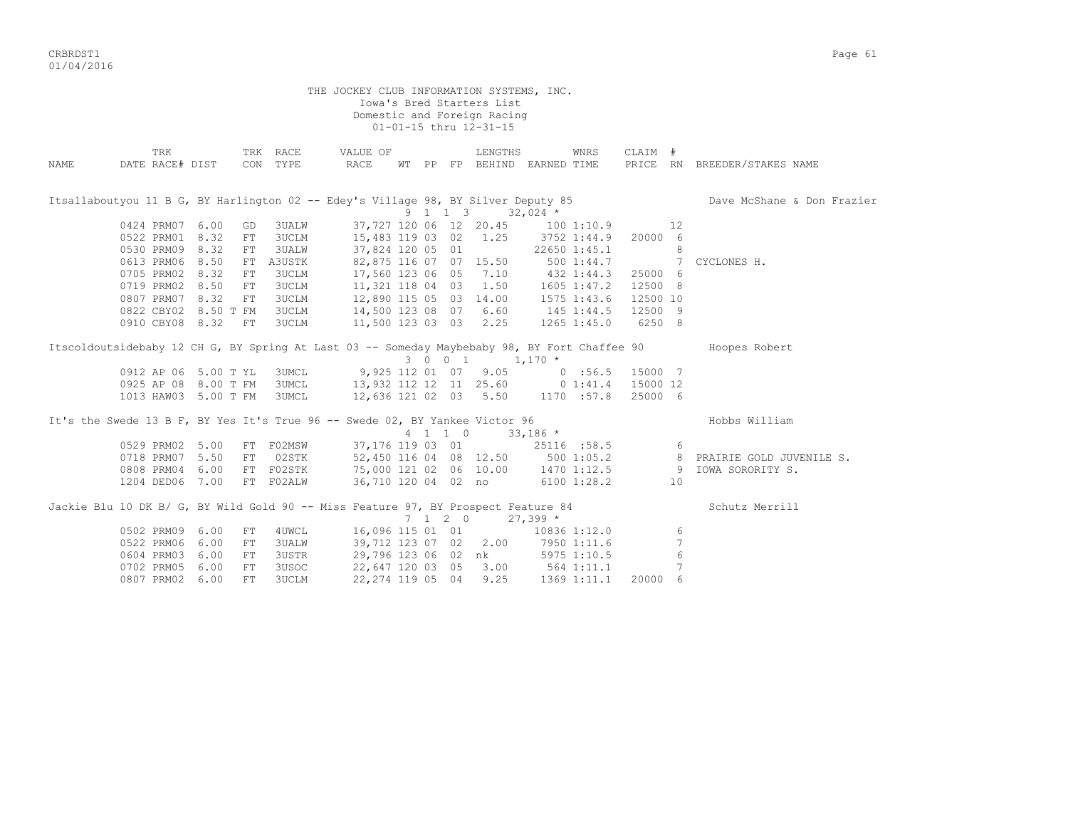CRBRDST1 Page 61 01/04/2016

 THE JOCKEY CLUB INFORMATION SYSTEMS, INC. Iowa's Bred Starters List Domestic and Foreign Racing 01-01-15 thru 12-31-15 TRK TRK RACE VALUE OF LENGTHS WNRS CLAIM # NAME DATE RACE# DIST CON TYPE RACE WT PP FP BEHIND EARNED TIME PRICE RN BREEDER/STAKES NAME Itsallaboutyou 11 B G, BY Harlington 02 -- Edey's Village 98, BY Silver Deputy 85 Dave McShane & Don Frazier  $9 \quad 1 \quad 1 \quad 3 \quad 32,024$  \* 0424 PRM07 6.00 GD 3UALW 37,727 120 06 12 20.45 100 1:10.9 12 0522 PRM01 8.32 FT 3UCLM 15,483 119 03 02 1.25 3752 1:44.9 20000 6 0530 PRM09 8.32 FT 3UALW 37,824 120 05 01 22650 1:45.1 8 0613 PRM06 8.50 FT A3USTK 82,875 116 07 07 15.50 500 1:44.7 7 CYCLONES H. 0705 PRM02 8.32 FT 3UCLM 17,560 123 06 05 7.10 432 1:44.3 25000 6 0719 PRM02 8.50 FT 3UCLM 11,321 118 04 03 1.50 1605 1:47.2 12500 8 0807 PRM07 8.32 FT 3UCLM 12,890 115 05 03 14.00 1575 1:43.6 12500 10 0822 CBY02 8.50 T FM 3UCLM 14,500 123 08 07 6.60 145 1:44.5 12500 9 0910 CBY08 8.32 FT 3UCLM 11,500 123 03 03 2.25 1265 1:45.0 6250 8 Itscoldoutsidebaby 12 CH G, BY Spring At Last 03 -- Someday Maybebaby 98, BY Fort Chaffee 90 Hoopes Robert  $3 \t0 \t0 \t1 \t1,170 \t*$ 0912 AP 06 5.00 T YL 3UMCL 9,925 112 01 07 9.05 0 :56.5 15000 7 0925 AP 08 8.00 T FM 3UMCL 13,932 112 12 11 25.60 0 1:41.4 15000 12 1013 HAW03 5.00 T FM 3UMCL 12,636 121 02 03 5.50 1170 :57.8 25000 6 It's the Swede 13 B F, BY Yes It's True 96 -- Swede 02, BY Yankee Victor 96 Hobbs William 4 1 1 0 33,186 \* 0529 PRM02 5.00 FT F02MSW 37,176 119 03 01 25116 :58.5 6 0718 PRM07 5.50 FT 02STK 52,450 116 04 08 12.50 500 1:05.2 8 PRAIRIE GOLD JUVENILE S. 0808 PRM04 6.00 FT F02STK 75,000 121 02 06 10.00 1470 1:12.5 9 IOWA SORORITY S. 1204 DED06 7.00 FT F02ALW 36,710 120 04 02 no 6100 1:28.2 10 Jackie Blu 10 DK B/ G, BY Wild Gold 90 -- Miss Feature 97, BY Prospect Feature 84 Schutz Merrill  $7 \quad 1 \quad 2 \quad 0 \qquad 27,399$  \* 0502 PRM09 6.00 FT 4UWCL 16,096 115 01 01 10836 1:12.0 6 0522 PRM06 6.00 FT 3UALW 39,712 123 07 02 2.00 7950 1:11.6 7 0604 PRM03 6.00 FT 3USTR 29,796 123 06 02 nk 5975 1:10.5 6 0702 PRM05 6.00 FT 3USOC 22,647 120 03 05 3.00 564 1:11.1 7 0807 PRM02 6.00 FT 3UCLM 22,274 119 05 04 9.25 1369 1:11.1 20000 6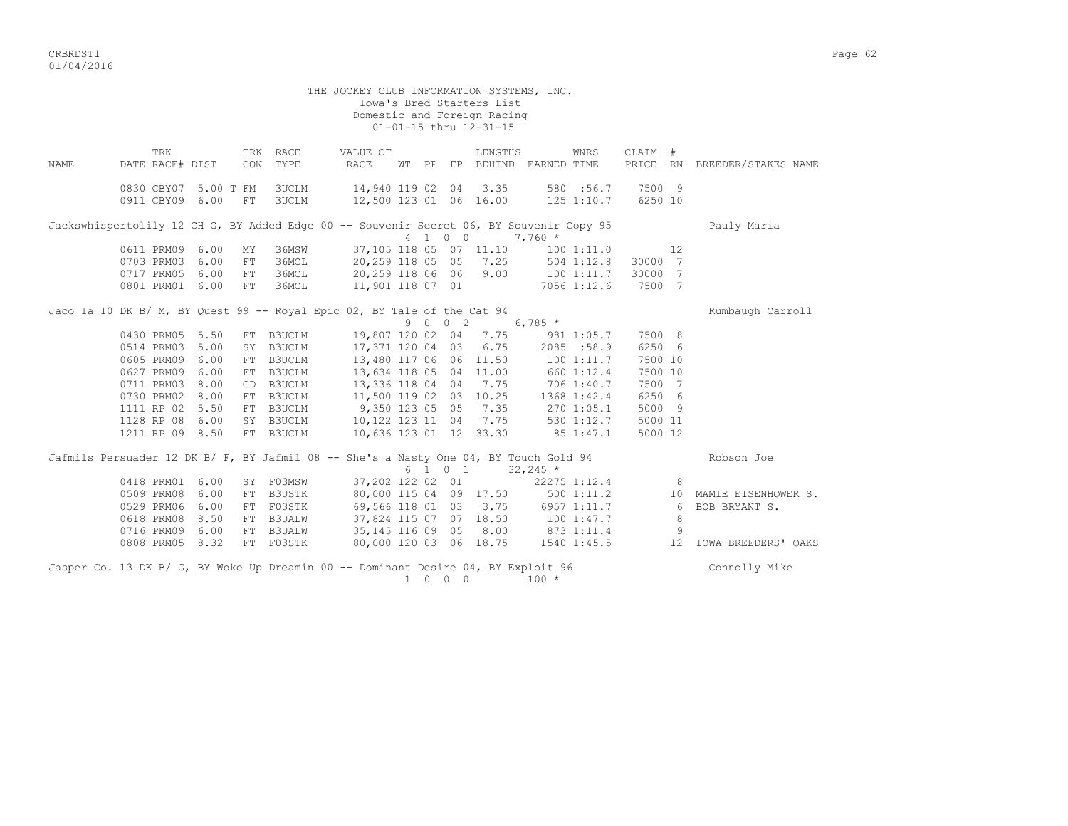|      |                      |     |    |              | THE JOCKEY CLUB INFORMATION SYSTEMS, INC.                                                                   |  |                                                       |            |              |                 |    |                                   |
|------|----------------------|-----|----|--------------|-------------------------------------------------------------------------------------------------------------|--|-------------------------------------------------------|------------|--------------|-----------------|----|-----------------------------------|
|      |                      |     |    |              |                                                                                                             |  | Iowa's Bred Starters List                             |            |              |                 |    |                                   |
|      |                      |     |    |              |                                                                                                             |  | Domestic and Foreign Racing<br>01-01-15 thru 12-31-15 |            |              |                 |    |                                   |
|      |                      |     |    |              |                                                                                                             |  |                                                       |            |              |                 |    |                                   |
|      |                      | TRK |    | TRK RACE     | VALUE OF                                                                                                    |  | LENGTHS                                               |            | WNRS         | CLAIM #         |    |                                   |
| NAME | DATE RACE# DIST      |     |    | CON TYPE     | RACE                                                                                                        |  | WT PP FP BEHIND EARNED TIME                           |            |              |                 |    | PRICE RN BREEDER/STAKES NAME      |
|      |                      |     |    |              |                                                                                                             |  |                                                       |            |              |                 |    |                                   |
|      | 0830 CBY07 5.00 T FM |     |    | 3UCLM        | 14,940 119 02 04 3.35 580 :56.7<br>12,500 123 01 06 16.00 125 1:10.7                                        |  |                                                       |            | 580 :56.7    | 7500 9          |    |                                   |
|      | 0911 CBY09 6.00      |     | FT | <b>3UCLM</b> |                                                                                                             |  |                                                       |            |              | 6250 10         |    |                                   |
|      |                      |     |    |              | Jackswhispertolily 12 CH G, BY Added Edge 00 -- Souvenir Secret 06, BY Souvenir Copy 95                     |  |                                                       |            |              |                 |    | Pauly Maria                       |
|      |                      |     |    |              |                                                                                                             |  | 4 1 0 0 7,760 *                                       |            |              |                 |    |                                   |
|      | 0611 PRM09 6.00      |     | MY | 36MSW        |                                                                                                             |  | 37,105 118 05 07 11.10 100 1:11.0                     |            |              |                 | 12 |                                   |
|      | 0703 PRM03 6.00      |     | FT | 36MCL        | 20, 259 118 05 05 7.25 504 1:12.8                                                                           |  |                                                       |            |              | 30000 7         |    |                                   |
|      | 0717 PRM05 6.00      |     | FT | 36MCL        | 20,259 118 06 06 9.00 100 1:11.7<br>11,901 118 07 01 7056 1:12.6                                            |  |                                                       |            |              | 30000 7         |    |                                   |
|      | 0801 PRM01 6.00      |     | FT | 36MCL        |                                                                                                             |  |                                                       |            |              | 7500 7          |    |                                   |
|      |                      |     |    |              | Jaco Ia 10 DK B/ M, BY Quest 99 -- Royal Epic 02, BY Tale of the Cat 94                                     |  |                                                       |            |              |                 |    | Rumbaugh Carroll                  |
|      |                      |     |    |              |                                                                                                             |  | 9 0 0 2 6,785 $\star$                                 |            |              |                 |    |                                   |
|      | 0430 PRM05 5.50      |     |    |              | FT B3UCLM 19,807 120 02 04 7.75 981 1:05.7                                                                  |  |                                                       |            |              | 7500 8          |    |                                   |
|      | 0514 PRM03 5.00      |     |    | SY B3UCLM    | 17,371 120 04 03 6.75 2085 :58.9                                                                            |  |                                                       |            |              | 6250 6          |    |                                   |
|      | 0605 PRM09 6.00      |     |    | FT B3UCLM    |                                                                                                             |  | 13,480 117 06 06 11.50 100 1:11.7                     |            |              | 7500 10         |    |                                   |
|      | 0627 PRM09 6.00      |     |    | FT B3UCLM    | 13,634 118 05 04 11.00 660 1:12.4<br>13,336 118 04 04 7.75 706 1:40.7<br>11,500 119 02 03 10.25 1368 1:42.4 |  |                                                       |            |              | 7500 10         |    |                                   |
|      | 0711 PRM03 8.00      |     |    | GD B3UCLM    |                                                                                                             |  |                                                       |            |              | 7500 7          |    |                                   |
|      | 0730 PRM02 8.00      |     |    | FT B3UCLM    |                                                                                                             |  |                                                       |            |              | 6250 6          |    |                                   |
|      | 1111 RP 02 5.50      |     |    | FT B3UCLM    | 9,350 123 05 05 7.35 270 1:05.1                                                                             |  |                                                       |            |              | 5000 9          |    |                                   |
|      | 1128 RP 08 6.00      |     |    |              | SY B3UCLM 10,122 123 11 04 7.75 530 1:12.7                                                                  |  |                                                       |            |              | 5000 11         |    |                                   |
|      | 1211 RP 09 8.50      |     |    | FT B3UCLM    | 10,636 123 01 12 33.30 85 1:47.1                                                                            |  |                                                       |            |              | 5000 12         |    |                                   |
|      |                      |     |    |              | Jafmils Persuader 12 DK B/ F, BY Jafmil 08 -- She's a Nasty One 04, BY Touch Gold 94                        |  |                                                       |            |              |                 |    | Robson Joe                        |
|      |                      |     |    |              |                                                                                                             |  | 6 1 0 1                                               | $32,245$ * |              |                 |    |                                   |
|      | 0418 PRM01 6.00      |     |    | SY F03MSW    | 37,202 122 02 01                                                                                            |  |                                                       |            | 22275 1:12.4 |                 | 8  |                                   |
|      | 0509 PRM08 6.00      |     |    | FT B3USTK    | 80,000 115 04 09 17.50                                                                                      |  |                                                       |            |              |                 |    | 500 1:11.2 10 MAMIE EISENHOWER S. |
|      | 0529 PRM06 6.00      |     |    | FT F03STK    | 69,566 118 01 03 3.75 6957 1:11.7                                                                           |  |                                                       |            |              | $6\overline{6}$ |    | BOB BRYANT S.                     |
|      | 0618 PRM08 8.50      |     |    | FT B3UALW    | 37,824 115 07 07 18.50 100 1:47.7                                                                           |  |                                                       |            |              |                 | 8  |                                   |
|      | 0716 PRM09 6.00      |     |    | FT B3UALW    | 35, 145 116 09 05 8.00 873 1:11.4                                                                           |  |                                                       |            |              |                 | 9  |                                   |
|      | 0808 PRM05 8.32      |     |    | FT F03STK    |                                                                                                             |  | 80,000 120 03 06 18.75 1540 1:45.5                    |            |              |                 | 12 | IOWA BREEDERS' OAKS               |
|      |                      |     |    |              | Jasper Co. 13 DK B/ G, BY Woke Up Dreamin 00 -- Dominant Desire 04, BY Exploit 96                           |  |                                                       |            |              |                 |    | Connolly Mike                     |

 $1 \t 0 \t 0 \t 100 \t \star$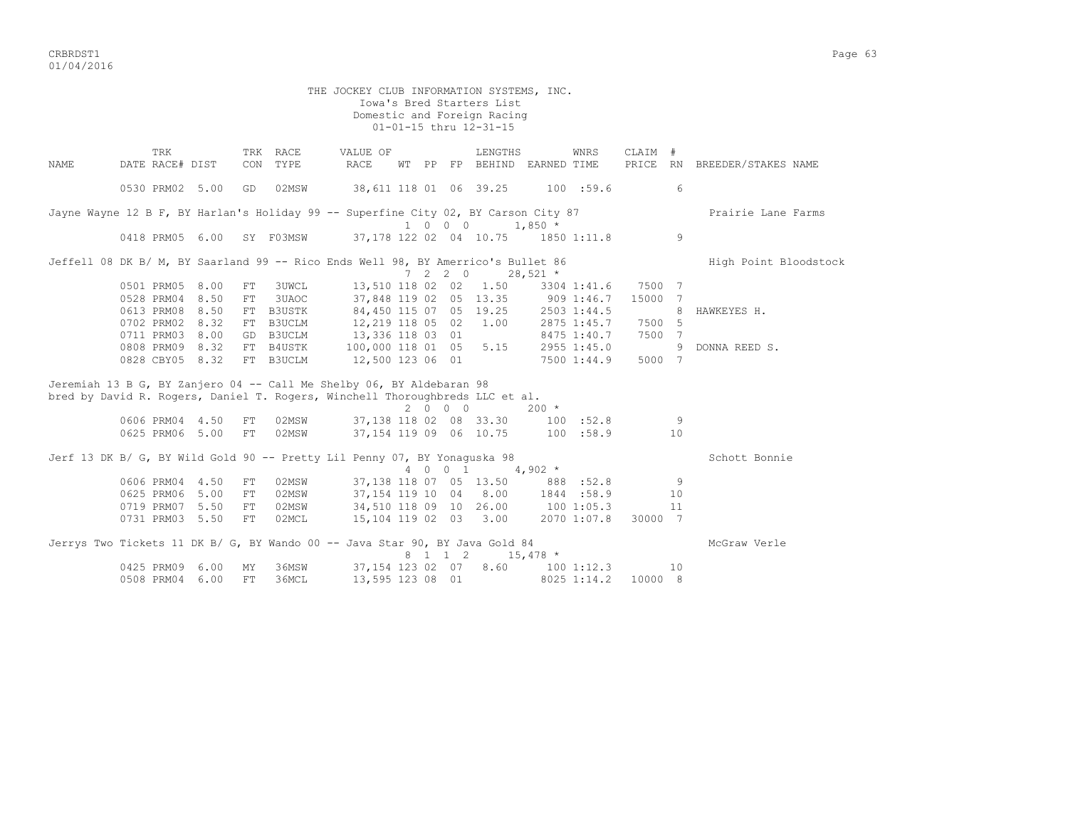CRBRDST1 Page 63 01/04/2016

 THE JOCKEY CLUB INFORMATION SYSTEMS, INC. Iowa's Bred Starters List Domestic and Foreign Racing  $01-01-15$  thru  $12-31-15$ TRK TRK RACE VALUE OF LENGTHS WNRS CLAIM # NAME DATE RACE# DIST CON TYPE RACE WT PP FP BEHIND EARNED TIME PRICE RN BREEDER/STAKES NAME 0530 PRM02 5.00 GD 02MSW 38,611 118 01 06 39.25 100 :59.6 6 Jayne Wayne 12 B F, BY Harlan's Holiday 99 -- Superfine City 02, BY Carson City 87 Prairie Lane Farms 1 0 0 0 1,850 \*<br>1 0 0 0 1,850 \*<br>1 0 0 0 1,850 \*  $0.37,178$  122 02 04 10.75 1850 1:11.8 9 Jeffell 08 DK B/ M, BY Saarland 99 -- Rico Ends Well 98, BY Amerrico's Bullet 86 High Point Bloodstock  $7 \quad 2 \quad 2 \quad 0 \qquad 28,521 \quad *$  $7 \t2 \t2 \t0 \t28,521$  \* 0501 PRM05 8.00 FT 3UWCL 13,510 118 02 02 1.50 3304 1:41.6 7500 7 0528 PRM04 8.50 FT 3UAOC 37,848 119 02 05 13.35 909 1:46.7 15000 7 0613 PRM08 8.50 FT B3USTK 84,450 115 07 05 19.25 2503 1:44.5 8 HAWKEYES H. 0702 PRM02 8.32 FT B3UCLM 12,219 118 05 02 1.00 2875 1:45.7 7500 5 0711 PRM03 8.00 GD B3UCLM 13,336 118 03 01 8475 1:40.7 7500 7 0808 PRM09 8.32 FT B4USTK 100,000 118 01 05 5.15 2955 1:45.0 9 DONNA REED S. 0828 CBY05 8.32 FT B3UCLM 12,500 123 06 01 7500 1:44.9 5000 7 Jeremiah 13 B G, BY Zanjero 04 -- Call Me Shelby 06, BY Aldebaran 98 bred by David R. Rogers, Daniel T. Rogers, Winchell Thoroughbreds LLC et al.  $0.606$  PRM04 4.50 FT 02MSW 37.138 118 02 08 33.30 100 06 9606 961 118 04 08 33.30 100 :52.8 0625 PRM06 5.00 FT 02MSW 37,154 119 09 06 10.75 100 :58.9 10 Jerf 13 DK B/ G, BY Wild Gold 90 -- Pretty Lil Penny 07, BY Yonaguska 98 Schott Sonnie  $4 \t 0 \t 0 \t 1 \t 4,902 \t \star$ 0606 PRM04 4.50 FT 02MSW 37,138 118 07 05 13.50 888 :52.8 9 0625 PRM06 5.00 FT 02MSW 37,154 119 10 04 8.00 1844 :58.9 10 0719 PRM07 5.50 FT 02MSW 34,510 118 09 10 26.00 100 1:05.3 11 0731 PRM03 5.50 FT 02MCL 15,104 119 02 03 3.00 2070 1:07.8 30000 7 Jerrys Two Tickets 11 DK B/ G, BY Wando 00 -- Java Star 90, BY Java Gold 84 McGraw Verle 8 1 1 2 15,478 \*<br>0425 PRM09 6.00 MY 36MSW 37,154 123 02 07 8.60 100 1:12  $37,154$  123 02 07 8.60 100 1:12.3 10 0508 PRM04 6.00 FT 36MCL 13,595 123 08 01 8025 1:14.2 10000 8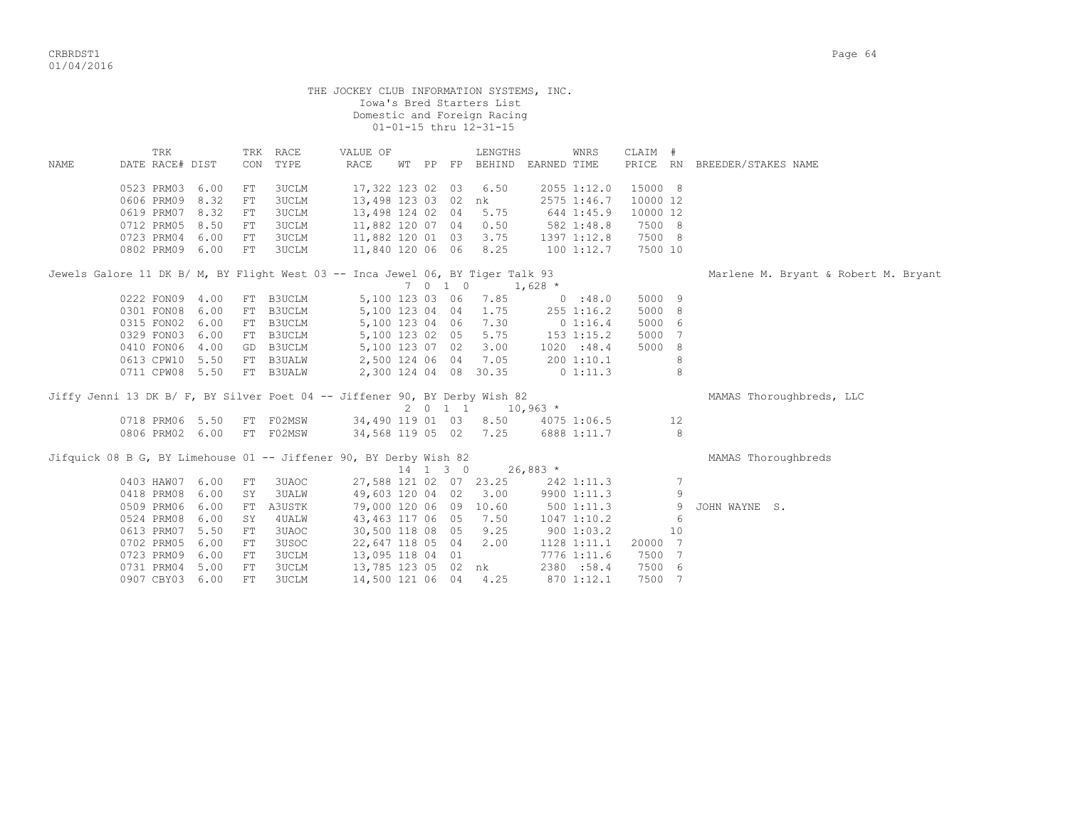|                                                                                |                 |      |     |              |      |          |                  |          | THE JOCKEY CLUB INFORMATION SYSTEMS, INC.<br>Iowa's Bred Starters List<br>Domestic and Foreign Racing<br>01-01-15 thru 12-31-15 |            |             |          |    |                                      |
|--------------------------------------------------------------------------------|-----------------|------|-----|--------------|------|----------|------------------|----------|---------------------------------------------------------------------------------------------------------------------------------|------------|-------------|----------|----|--------------------------------------|
|                                                                                | TRK             |      |     | TRK RACE     |      | VALUE OF |                  |          | LENGTHS                                                                                                                         |            | WNRS        | CLAIM #  |    |                                      |
| <b>NAME</b>                                                                    | DATE RACE# DIST |      | CON | TYPE         | RACE |          |                  |          | WT PP FP BEHIND EARNED TIME                                                                                                     |            |             |          |    | PRICE RN BREEDER/STAKES NAME         |
|                                                                                | 0523 PRM03 6.00 |      | FT  | 3UCLM        |      |          | 17,322 123 02 03 |          | 6.50                                                                                                                            |            | 2055 1:12.0 | 15000 8  |    |                                      |
|                                                                                | 0606 PRM09 8.32 |      | FT  | 3UCLM        |      |          |                  |          | 13,498 123 03 02 nk                                                                                                             |            | 2575 1:46.7 | 10000 12 |    |                                      |
|                                                                                | 0619 PRM07 8.32 |      | FT  | 3UCLM        |      |          |                  |          | 13,498 124 02 04 5.75                                                                                                           | 644 1:45.9 |             | 10000 12 |    |                                      |
|                                                                                | 0712 PRM05 8.50 |      | FT  | 3UCLM        |      |          |                  |          | 11,882 120 07 04 0.50                                                                                                           | 582 1:48.8 |             | 7500 8   |    |                                      |
|                                                                                | 0723 PRM04      | 6.00 | FT  | 3UCLM        |      |          | 11,882 120 01 03 |          | 3.75                                                                                                                            |            | 1397 1:12.8 | 7500 8   |    |                                      |
|                                                                                | 0802 PRM09 6.00 |      | FT  | <b>3UCLM</b> |      |          |                  |          | 11,840 120 06 06 8.25                                                                                                           |            | 1001:12.7   | 7500 10  |    |                                      |
| Jewels Galore 11 DK B/ M, BY Flight West 03 -- Inca Jewel 06, BY Tiger Talk 93 |                 |      |     |              |      |          |                  |          |                                                                                                                                 |            |             |          |    | Marlene M. Bryant & Robert M. Bryant |
|                                                                                |                 |      |     |              |      |          |                  | 7 0 1 0  | $1,628$ *                                                                                                                       |            |             |          |    |                                      |
|                                                                                | 0222 FON09 4.00 |      |     | FT B3UCLM    |      |          |                  |          | 5,100 123 03 06 7.85                                                                                                            |            | 0.38.0      | 5000 9   |    |                                      |
|                                                                                | 0301 FON08 6.00 |      |     | FT B3UCLM    |      |          | 5,100 123 04 04  |          | 1.75                                                                                                                            |            | 255 1:16.2  | 5000 8   |    |                                      |
|                                                                                | 0315 FON02 6.00 |      |     | FT B3UCLM    |      |          |                  |          | 5,100 123 04 06 7.30                                                                                                            |            | 0 1:16.4    | 5000 6   |    |                                      |
|                                                                                | 0329 FON03 6.00 |      |     | FT B3UCLM    |      |          |                  |          | 5,100 123 02 05 5.75                                                                                                            | 153 1:15.2 |             | 5000 7   |    |                                      |
|                                                                                | 0410 FON06 4.00 |      |     | GD B3UCLM    |      |          |                  |          | 5,100 123 07 02 3.00                                                                                                            |            | 1020 : 48.4 | 5000 8   |    |                                      |
|                                                                                | 0613 CPW10 5.50 |      |     | FT B3UALW    |      |          |                  |          | 2,500 124 06 04 7.05                                                                                                            |            | 2001:10.1   |          | 8  |                                      |
|                                                                                | 0711 CPW08 5.50 |      |     | FT B3UALW    |      |          |                  |          | 2,300 124 04 08 30.35                                                                                                           |            | $0\;1:11.3$ |          | 8  |                                      |
| Jiffy Jenni 13 DK B/ F, BY Silver Poet 04 -- Jiffener 90, BY Derby Wish 82     |                 |      |     |              |      |          |                  |          | $2 \t 0 \t 1 \t 1 \t 10,963 \t \star$                                                                                           |            |             |          |    | MAMAS Thoroughbreds, LLC             |
|                                                                                | 0718 PRM06 5.50 |      |     | FT F02MSW    |      |          | 34,490 119 01 03 |          | 8.50                                                                                                                            |            | 4075 1:06.5 |          | 12 |                                      |
|                                                                                | 0806 PRM02 6.00 |      |     | FT F02MSW    |      |          |                  |          | 34,568 119 05 02 7.25                                                                                                           |            | 6888 1:11.7 |          | 8  |                                      |
| Jifquick 08 B G, BY Limehouse 01 -- Jiffener 90, BY Derby Wish 82              |                 |      |     |              |      |          |                  |          |                                                                                                                                 |            |             |          |    | MAMAS Thoroughbreds                  |
|                                                                                |                 |      |     |              |      |          |                  | 14 1 3 0 | $26,883$ *                                                                                                                      |            |             |          |    |                                      |
|                                                                                | 0403 HAW07      | 6.00 | FT  | 3UAOC        |      |          |                  |          | 27,588 121 02 07 23.25                                                                                                          |            | 242 1:11.3  |          | 7  |                                      |
|                                                                                | 0418 PRM08      | 6.00 | SY  | <b>3UALW</b> |      |          | 49,603 120 04 02 |          | 3.00                                                                                                                            |            | 9900 1:11.3 |          | 9  |                                      |
|                                                                                | 0509 PRM06      | 6.00 | FT  | A3USTK       |      |          |                  |          | 79,000 120 06 09 10.60                                                                                                          |            | 5001:11.3   |          | 9  | JOHN WAYNE S.                        |
|                                                                                | 0524 PRM08      | 6.00 | SY  | 4UALW        |      |          | 43,463 117 06 05 |          | 7.50                                                                                                                            |            | 1047 1:10.2 |          | 6  |                                      |
|                                                                                | 0613 PRM07      | 5.50 | FT. | 3UAOC        |      |          | 30,500 118 08 05 |          | 9.25                                                                                                                            |            | 900 1:03.2  |          | 10 |                                      |
|                                                                                | 0702 PRM05      | 6.00 | FT  | 3USOC        |      |          |                  |          | 22,647 118 05 04 2.00                                                                                                           |            | 1128 1:11.1 | 20000 7  |    |                                      |
|                                                                                | 0723 PRM09      | 6.00 | FT  | 3UCLM        |      |          | 13,095 118 04 01 |          |                                                                                                                                 |            | 7776 1:11.6 | 7500 7   |    |                                      |
|                                                                                | 0731 PRM04      | 5.00 | FT  | 3UCLM        |      |          |                  |          | 13,785 123 05 02 nk                                                                                                             |            | 2380 :58.4  | 7500 6   |    |                                      |
|                                                                                | 0907 CBY03 6.00 |      | FT. | <b>3UCLM</b> |      |          | 14,500 121 06 04 |          | 4.25                                                                                                                            |            | 870 1:12.1  | 7500 7   |    |                                      |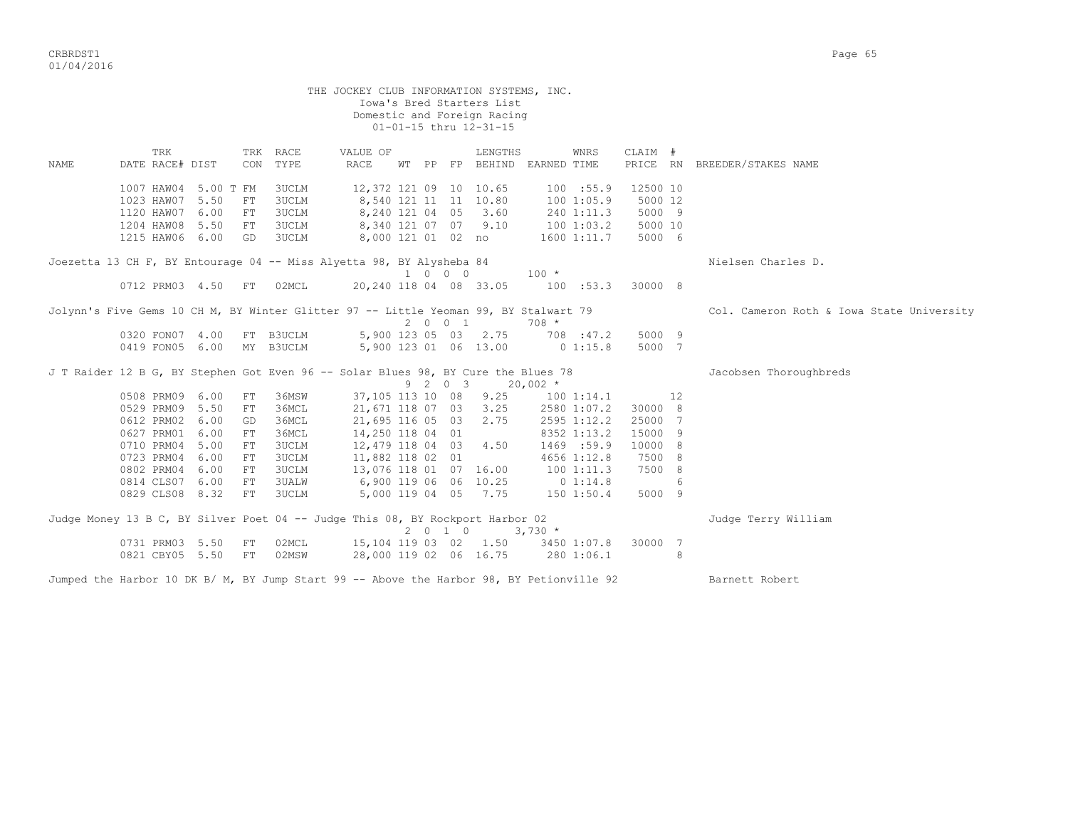CRBRDST1 Page 65 01/04/2016

 THE JOCKEY CLUB INFORMATION SYSTEMS, INC. Iowa's Bred Starters List Domestic and Foreign Racing 01-01-15 thru 12-31-15 TRK TRK RACE VALUE OF LENGTHS WNRS CLAIM # NAME DATE RACE# DIST CON TYPE RACE WT PP FP BEHIND EARNED TIME PRICE RN BREEDER/STAKES NAME 1007 HAW04 5.00 T FM 3UCLM 12,372 121 09 10 10.65 100 :55.9 12500 10 1023 HAW07 5.50 FT 3UCLM 8,540 121 11 11 10.80 100 1:05.9 5000 12 1120 HAW07 6.00 FT 3UCLM 8,240 121 04 05 3.60 240 1:11.3 5000 9 1204 HAW08 5.50 FT 3UCLM 8,340 121 07 07 9.10 100 1:03.2 5000 10 1215 HAW06 6.00 GD 3UCLM 8,000 121 01 02 no 1600 1:11.7 5000 6 Joezetta 13 CH F, BY Entourage 04 -- Miss Alyetta 98, BY Alysheba 84 Nielsen Charles D.  $1 \t 0 \t 0 \t 0$  0712 PRM03 4.50 FT 02MCL 20,240 118 04 08 33.05 100 :53.3 30000 8 Jolynn's Five Gems 10 CH M, BY Winter Glitter 97 -- Little Yeoman 99, BY Stalwart 79 Col. Cameron Roth & Iowa State University 2 0 0 1 708 \* 0320 FON07 4.00 FT B3UCLM 5,900 123 05 03 2.75 708 :47.2 5000 9 0419 FON05 6.00 MY B3UCLM 5,900 123 01 06 13.00 0 1:15.8 5000 7 J T Raider 12 B G, BY Stephen Got Even 96 -- Solar Blues 98, BY Cure the Blues 78 Jacobsen Thoroughbreds  $9 \t2 \t0 \t3 \t20,002 \t*$ 0508 PRM09 6.00 FT 36MSW 37,105 113 10 08 9.25 100 1:14.1 12 0529 PRM09 5.50 FT 36MCL 21,671 118 07 03 3.25 2580 1:07.2 30000 8 0612 PRM02 6.00 GD 36MCL 21,695 116 05 03 2.75 2595 1:12.2 25000 7 0627 PRM01 6.00 FT 36MCL 14,250 118 04 01 8352 1:13.2 15000 9 0710 PRM04 5.00 FT 3UCLM 12,479 118 04 03 4.50 1469 :59.9 10000 8 0723 PRM04 6.00 FT 3UCLM 11,882 118 02 01 4656 1:12.8 7500 8 0802 PRM04 6.00 FT 3UCLM 13,076 118 01 07 16.00 100 1:11.3 7500 8 0814 CLS07 6.00 FT 3UALW 6,900 119 06 06 10.25 0 1:14.8 6 0829 CLS08 8.32 FT 3UCLM 5,000 119 04 05 7.75 150 1:50.4 5000 9 Judge Money 13 B C, BY Silver Poet 04 -- Judge This 08, BY Rockport Harbor 02 3 Judge Terry William  $2 \t 0 \t 1 \t 0 \t 3,730 \t \star$  0731 PRM03 5.50 FT 02MCL 15,104 119 03 02 1.50 3450 1:07.8 30000 7 0821 CBY05 5.50 FT 02MSW 28,000 119 02 06 16.75 280 1:06.1 8 Jumped the Harbor 10 DK B/ M, BY Jump Start 99 -- Above the Harbor 98, BY Petionville 92 Barnett Robert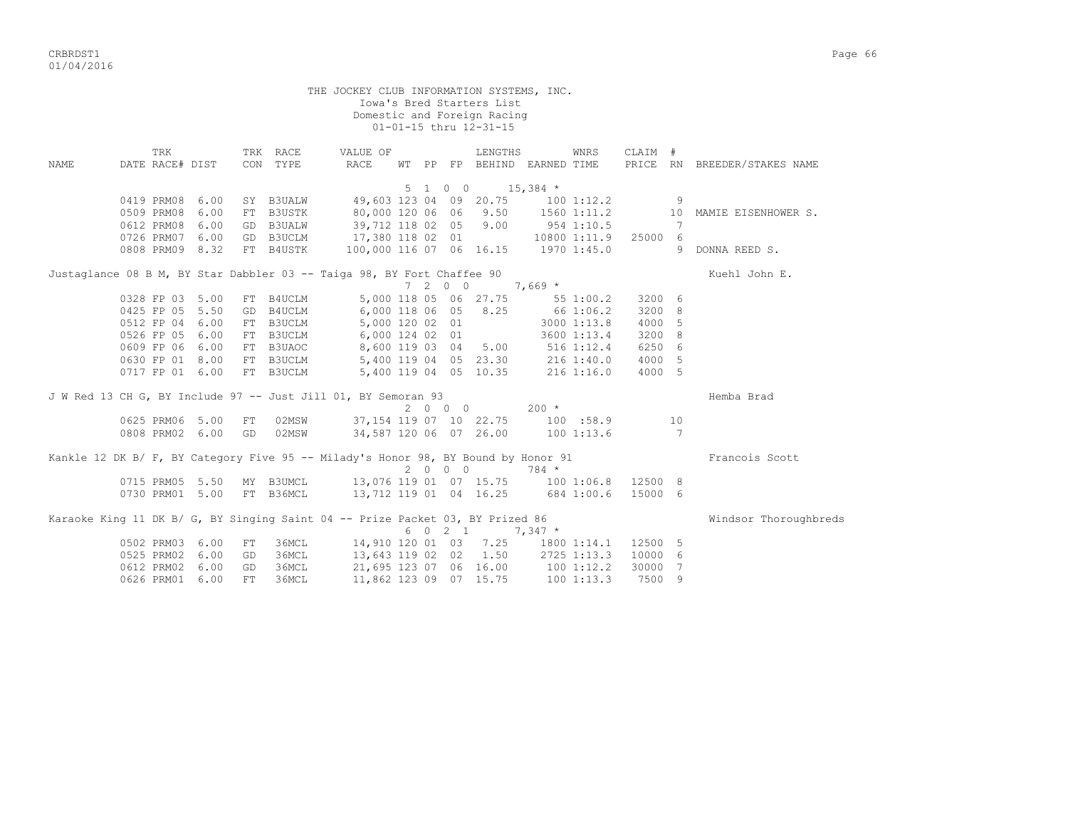THE JOCKEY CLUB INFORMATION SYSTEMS, INC. Iowa's Bred Starters List Domestic and Foreign Racing 01-01-15 thru 12-31-15 TRK TRK RACE VALUE OF LENGTHS WNRS CLAIM # NAME DATE RACE# DIST CON TYPE RACE WT PP FP BEHIND EARNED TIME PRICE RN BREEDER/STAKES NAME  $5 \t1 \t0 \t0 \t15,384 \t*$  0419 PRM08 6.00 SY B3UALW 49,603 123 04 09 20.75 100 1:12.2 9 0509 PRM08 6.00 FT B3USTK 80,000 120 06 06 9.50 1560 1:11.2 10 MAMIE EISENHOWER S. 0612 PRM08 6.00 GD B3UALW 39,712 118 02 05 9.00 954 1:10.5 7 0726 PRM07 6.00 GD B3UCLM 17,380 118 02 01 10800 1:11.9 25000 6 0808 PRM09 8.32 FT B4USTK 100,000 116 07 06 16.15 1970 1:45.0 9 DONNA REED S. Justaglance 08 B M, BY Star Dabbler 03 -- Taiga 98, BY Fort Chaffee 90 Kuehl John E.  $7$  2 0 0 7,669 \*<br>5,000 118 05 06 27.75 55 1:00.2 3200 6 0328 FP 03 5.00 FT B4UCLM 5,000 118 05 06 27.75 55 1:00.2 3200 6 0425 FP 05 5.50 GD B4UCLM 6,000 118 06 05 8.25 66 1:06.2 3200 8 0512 FP 04 6.00 FT B3UCLM 5,000 120 02 01 3000 1:13.8 4000 5 0526 FP 05 6.00 FT B3UCLM 6,000 124 02 01 3600 1:13.4 3200 8 0609 FP 06 6.00 FT B3UAOC 8,600 119 03 04 5.00 516 1:12.4 6250 6 0630 FP 01 8.00 FT B3UCLM 5,400 119 04 05 23.30 216 1:40.0 4000 5 0717 FP 01 6.00 FT B3UCLM 5,400 119 04 05 10.35 216 1:16.0 4000 5 J W Red 13 CH G, BY Include 97 -- Just Jill 01, BY Semoran 93 Hemba Brad  $2 \t 0 \t 0 \t 0$   $200 \t *$  0625 PRM06 5.00 FT 02MSW 37,154 119 07 10 22.75 100 :58.9 10 0808 PRM02 6.00 GD 02MSW 34,587 120 06 07 26.00 100 1:13.6 7 Kankle 12 DK B/ F, BY Category Five 95 -- Milady's Honor 98, BY Bound by Honor 91 Francois Scott 2 0 0 0 784 \* 0715 PRM05 5.50 MY B3UMCL 13,076 119 01 07 15.75 100 1:06.8 12500 8 0730 PRM01 5.00 FT B36MCL 13,712 119 01 04 16.25 684 1:00.6 15000 6 Karaoke King 11 DK B/ G, BY Singing Saint 04 -- Prize Packet 03, BY Prized 86 Windsor Thoroughbreds  $6 \t0 \t2 \t1 \t7,347 \t*$  0502 PRM03 6.00 FT 36MCL 14,910 120 01 03 7.25 1800 1:14.1 12500 5 0525 PRM02 6.00 GD 36MCL 13,643 119 02 02 1.50 2725 1:13.3 10000 6 0612 PRM02 6.00 GD 36MCL 21,695 123 07 06 16.00 100 1:12.2 30000 7 0626 PRM01 6.00 FT 36MCL 11,862 123 09 07 15.75 100 1:13.3 7500 9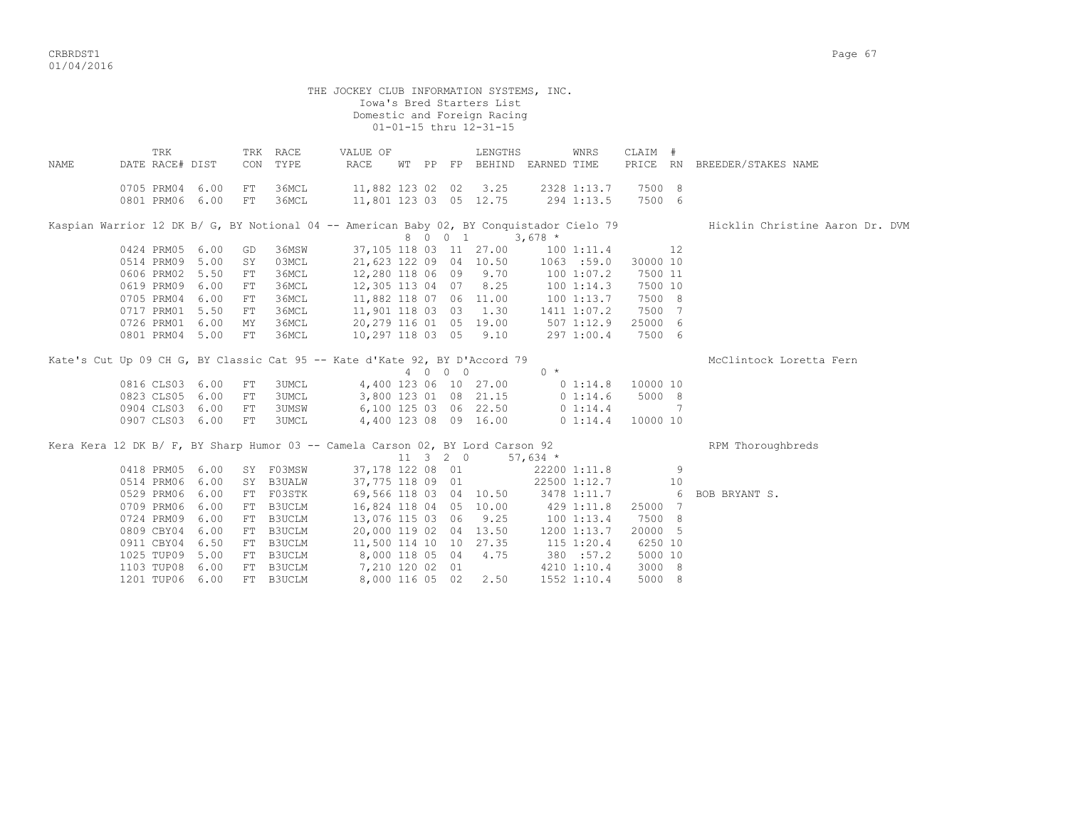CRBRDST1 Page 67 01/04/2016

THE JOCKEY CLUB INFORMATION SYSTEMS, INC. Iowa's Bred Starters List Domestic and Foreign Racing 01-01-15 thru 12-31-15 TRK TRK RACE VALUE OF LENGTHS WNRS CLAIM # NAME DATE RACE# DIST CON TYPE RACE WT PP FP BEHIND EARNED TIME PRICE RN BREEDER/STAKES NAME 0705 PRM04 6.00 FT 36MCL 11,882 123 02 02 3.25 2328 1:13.7 7500 8 0801 PRM06 6.00 FT 36MCL 11,801 123 03 05 12.75 294 1:13.5 7500 6 Kaspian Warrior 12 DK B/ G, BY Notional 04 -- American Baby 02, BY Conquistador Cielo 79 Hicklin Christine Aaron Dr. DVM  $8 \t 0 \t 1 \t 3,678 \t \star$ <br>37.105 118 03 11 27.00 10 0424 PRM05 6.00 GD 36MSW 37,105 118 03 11 27.00 100 1:11.4 12<br>0514 PRM09 5.00 SY 03MCL 21.623 122 09 04 10.50 1063 :59.0 30000 10 0514 PRM09 5.00 SY 03MCL 21,623 122 09 04 10.50 1063 :59.0 30000 10<br>0606 PRM02 5.50 FT 36MCL 12,280 118 06 09 9.70 100 1:07.2 7500 11 0606 PRM02 5.50 FT 36MCL 12,280 118 06 09 9.70 100 1:07.2 7500 11 0619 PRM09 6.00 FT 36MCL 12,305 113 04 07 8.25 100 1:14.3 7500 10 0705 PRM04 6.00 FT 36MCL 11,882 118 07 06 11.00 100 1:13.7 7500 8 0717 PRM01 5.50 FT 36MCL 11,901 118 03 03 1.30 1411 1:07.2 7500 7 0726 PRM01 6.00 MY 36MCL 20,279 116 01 05 19.00 507 1:12.9 25000 6

Kate's Cut Up 09 CH G, BY Classic Cat 95 -- Kate d'Kate 92, BY D'Accord 79 McClintock Loretta Fern<br>  $\begin{array}{ccc}\n4 & 0 & 0 & 0 \\
0 & 5 & 0 & 0\n\end{array}$  $4 \t 0 \t 0 \t 0 \t 0 \t 4$ <br>4,400 123 06 10 27.00 0 1:14.8 10000 10 0816 CLS03 6.00 FT 3UMCL<br>0823 CLS05 6.00 FT 3UMCL 0823 CLS05 6.00 FT 3UMCL 3,800 123 01 08 21.15 0 1:14.6 5000 8 0904 CLS03 6.00 FT 3UMSW 6,100 125 03 06 22.50 0 1:14.4 7 0907 CLS03 6.00 FT 3UMCL 4,400 123 08 09 16.00 0 1:14.4 10000 10 Kera Kera 12 DK B/ F, BY Sharp Humor 03 -- Camela Carson 02, BY Lord Carson 92 RPM Thoroughbreds 11 3 2 0 57,634 \* 0418 PRM05 6.00 SY F03MSW 37,178 122 08 01 22200 1:11.8 9 0514 PRM06 6.00 SY B3UALW 37,775 118 09 01 22500 1:12.7 10 0529 PRM06 6.00 FT F03STK 69,566 118 03 04 10.50 3478 1:11.7 6 BOB BRYANT S. 0709 PRM06 6.00 FT B3UCLM 16,824 118 04 05 10.00 429 1:11.8 25000 7 0724 PRM09 6.00 FT B3UCLM 13,076 115 03 06 9.25 100 1:13.4 7500 8 0809 CBY04 6.00 FT B3UCLM 20,000 119 02 04 13.50 1200 1:13.7 20000 5 0911 CBY04 6.50 FT B3UCLM 11,500 114 10 10 27.35 115 1:20.4 6250 10 1025 TUP09 5.00 FT B3UCLM 8,000 118 05 04 4.75 380 :57.2 5000 10 1103 TUP08 6.00 FT B3UCLM 7,210 120 02 01 4210 1:10.4 3000 8

0801 PRM04 5.00 FT 36MCL 10,297 118 03 05 9.10 297 1:00.4 7500 6

1201 TUP06 6.00 FT B3UCLM 8,000 116 05 02 2.50 1552 1:10.4 5000 8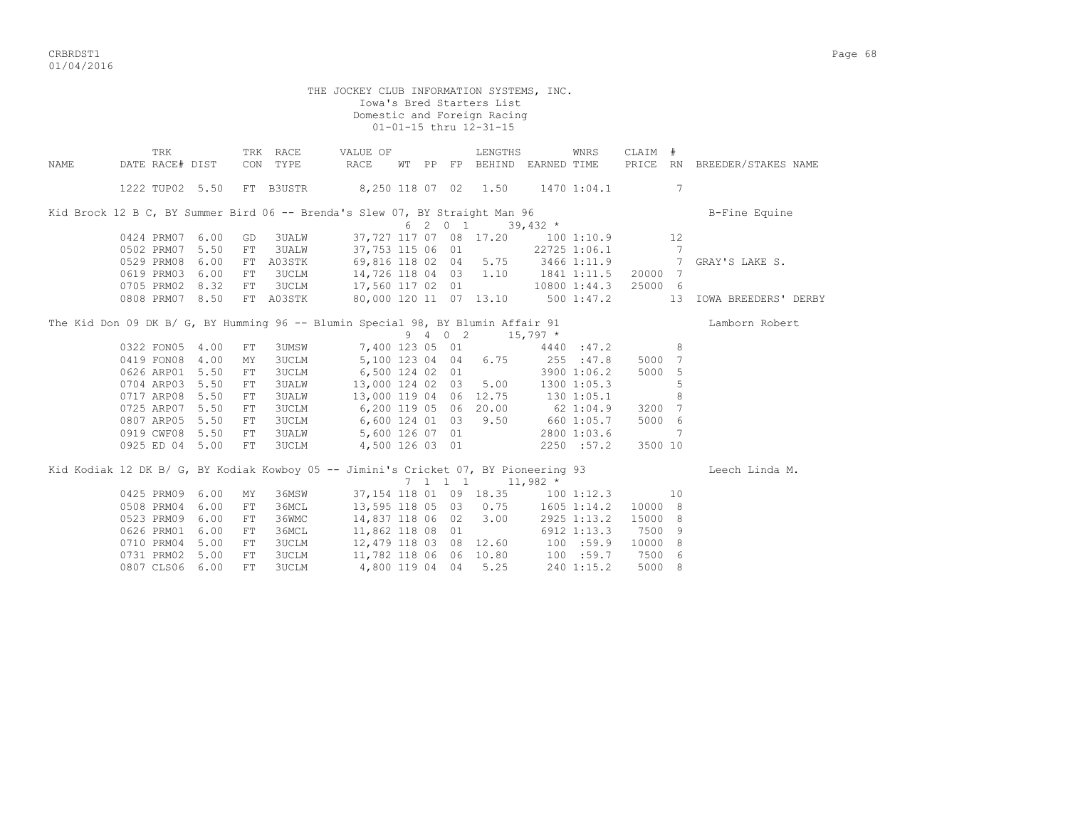CRBRDST1 Page 68 01/04/2016

 THE JOCKEY CLUB INFORMATION SYSTEMS, INC. Iowa's Bred Starters List Domestic and Foreign Racing 01-01-15 thru 12-31-15 TRK TRK RACE VALUE OF LENGTHS WNRS CLAIM # NAME DATE RACE# DIST CON TYPE RACE WT PP FP BEHIND EARNED TIME PRICE RN BREEDER/STAKES NAME 1222 TUP02 5.50 FT B3USTR 8,250 118 07 02 1.50 1470 1:04.1 7 Kid Brock 12 B C, BY Summer Bird 06 -- Brenda's Slew 07, BY Straight Man 96 B-Fine Bquine  $6 \t2 \t0 \t1 \t39,432 \t\t\t\t\t *$ <br>0424 PRM07 6.00 GD 3UALW 37,727 117 07 08 17.20 100 1:10.9 12 0424 PRM07 6.00 GD 3UALW 37,727 117 07 08 17.20 100 1:10.9 12<br>0502 PRM07 5.50 FT 3UALW 37,753 115 06 01 22725 1:06.1 7 0502 PRM07 5.50 FT 3UALW 37,753 115 06 01 22725 1:06.1 7 0529 PRM08 6.00 FT A03STK 69,816 118 02 04 5.75 3466 1:11.9 7 GRAY'S LAKE S. 0619 PRM03 6.00 FT 3UCLM 14,726 118 04 03 1.10 1841 1:11.5 20000 7 0705 PRM02 8.32 FT 3UCLM 17,560 117 02 01 10800 1:44.3 25000 6 0808 PRM07 8.50 FT A03STK 80,000 120 11 07 13.10 500 1:47.2 13 IOWA BREEDERS' DERBY The Kid Don 09 DK B/ G, BY Humming 96 -- Blumin Special 98, BY Blumin Affair 91 Lamborn Robert  $9 \t 4 \t 0 \t 2 \t 15.797$  \* 0322 FON05 4.00 FT 3UMSW 7,400 123 05 01 4440 :47.2 8 0419 FON08 4.00 MY 3UCLM 5,100 123 04 04 6.75 255 :47.8 5000 7 0626 ARP01 5.50 FT 3UCLM 6,500 124 02 01 3900 1:06.2 5000 5<br>0704 ARP03 5.50 FT 3UALW 13,000 124 02 03 5.00 1300 1:05.3 5 0704 ARP03 5.50 FT 3UALW 13,000 124 02 03 5.00 1300 1:05.3 5<br>0717 ARP08 5.50 FT 3UALW 13,000 119 04 06 12.75 130 1:05.1 8 13,000 119 04 06 12.75 130 1:05.1<br>6,200 119 05 06 20.00 62 1:04.9 0725 ARP07 5.50 FT 3UCLM 6,200 119 05 06 20.00 62 1:04.9 3200 7<br>0807 ARP05 5.50 FT 3UCLM 6,600 124 01 03 9.50 660 1:05.7 5000 6 0807 ARP05 5.50 FT 3UCLM 0919 CWF08 5.50 FT 3UALW 5,600 126 07 01 2800 1:03.6 7<br>0925 ED 04 5.00 FT 3UCLM 4,500 126 03 01 2250 :57.2 3500 10 0925 ED 04 5.00 FT 3UCLM 4,500 126 03 01 Kid Kodiak 12 DK B/ G, BY Kodiak Kowboy 05 -- Jimini's Cricket 07, BY Pioneering 93 Leech Linda M.  $7 \quad 1 \quad 1 \quad 1 \quad 11.982 \star$ 0425 PRM09 6.00 MY 36MSW 37,154 118 01 09 18.35 100 1:12.3 10 0508 PRM04 6.00 FT 36MCL 13,595 118 05 03 0.75 1605 1:14.2 10000 8<br>0523 PRM09 6.00 FT 36WMC 14,837 118 06 02 3.00 2925 1:13.2 15000 8 0523 PRM09 6.00 FT 36WMC 14,837 118 06 02 3.00 2925 1:13.2 15000 8 0626 PRM01 6.00 FT 36MCL<br>0710 PRM04 5.00 FT 3UCLM 0710 PRM04 5.00 FT 3UCLM 12,479 118 03 08 12.60 100 :59.9 10000 8 0731 PRM02 5.00 FT 3UCLM 11,782 118 06 06 10.80 100 :59.7 7500 6<br>0807 CLS06 6.00 FT 3UCLM 4.800 119 04 04 5.25 240 1:15.2 5000 8 4,800 119 04 04 5.25 240 1:15.2 5000 8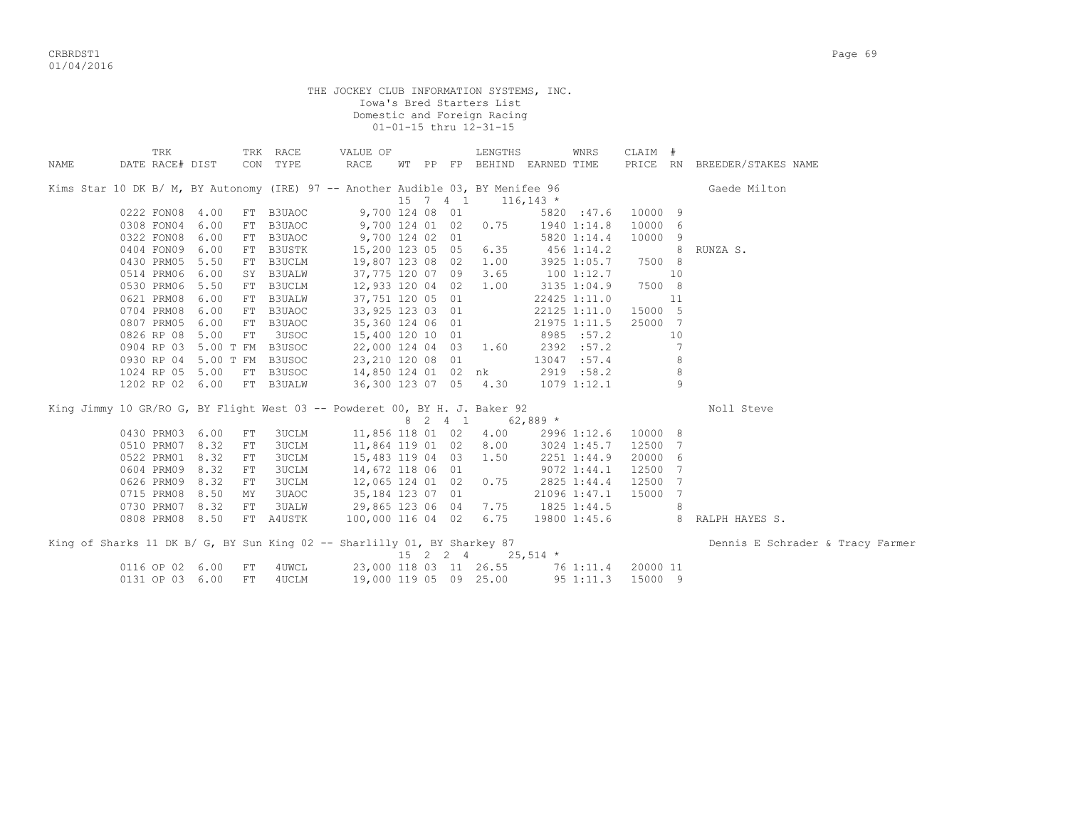CRBRDST1 Page 69 01/04/2016

THE JOCKEY CLUB INFORMATION SYSTEMS, INC. Iowa's Bred Starters List Domestic and Foreign Racing 01-01-15 thru 12-31-15 TRK TRK RACE VALUE OF LENGTHS WNRS CLAIM # NAME DATE RACE# DIST CON TYPE RACE WT PP FP BEHIND EARNED TIME PRICE RN BREEDER/STAKES NAME Kims Star 10 DK B/ M, BY Autonomy (IRE) 97 -- Another Audible 03, BY Menifee 96 Gaede Milton 15 7 4 1 116,143 \* 0222 FON08 4.00 FT B3UAOC 9,700 124 08 01 5820 :47.6 10000 9 0308 FON04 6.00 FT B3UAOC 9,700 124 01 02 0.75 1940 1:14.8 10000 6 0322 FON08 6.00 FT B3UAOC 9,700 124 02 01 5820 1:14.4<br>0404 FON09 6.00 FT B3USTK 15.200 123 05 05 6.35 456 1:14.2 0404 FON09 6.00 FT B3USTK 15,200 123 05 05 6.35 456 1:14.2 8 RUNZA S.<br>0430 PRM05 5.50 FT B3UCLM 19,807 123 08 02 1.00 3925 1:05.7 7500 8 0430 PRM05 5.50 FT B3UCLM 19,807 123 08 02 1.00 3925 1:05.7 7500 8<br>0514 PRM06 6.00 SY B3UALW 37,775 120 07 09 3.65 100 1:12.7 10 0514 PRM06 6.00 SY B3UALW 37,775 120 07 09 3.65 100 1:12.7 10 0530 PRM06 5.50 FT B3UCLM 12,933 120 04 02 1.00 3135 1:04.9 7500 8 0621 PRM08 6.00 FT B3UALW 37,751 120 05 01 22425 1:11.0 11<br>0704 PRM08 6.00 FT B3UALW 37,751 120 05 01 22425 1:11.0 11<br>0807 PRM05 6.00 FT B3UAOC 35,360 124 06 01 21975 1:11.5 25000 7<br>0826 RP 08 5.00 FT 3USOC 15,400 120 10 0 0704 PRM08 6.00 FT B3UAOC 33,925 123 03 01 22125 1:11.0 15000 5 0807 PRM05 6.00 FT B3UAOC 35,360 124 06 01 21975 1:11.5 25000 7 0826 RP 08 5.00 FT 3USOC 15,400 120 10 01 8985 :57.2 10<br>0904 RP 03 5.00 T FM B3USOC 22,000 124 04 03 1.60 2392 :57.2 7 0904 RP 03 5.00 T FM B3USOC 22,000 124 04 03 1.60 2392 :57.2 7 0930 RP 04 5.00 T FM B3USOC 23, 210 120 08 01 13047 :57.4 8 1024 RP 05 5.00 FT B3USOC 14,850 124 01 02 nk 2919 :58.2 8 1202 RP 02 6.00 FT B3UALW King Jimmy 10 GR/RO G, BY Flight West 03 -- Powderet 00, BY H. J. Baker 92 Noll Steve 8 2 4 1 62,889 \* 0430 PRM03 6.00 FT 3UCLM 11,856 118 01 02 4.00 2996 1:12.6 10000 8 0510 PRM07 8.32 FT 3UCLM 11,864 119 01 02 8.00 3024 1:45.7 12500 7 0522 PRM01 8.32 FT 3UCLM 15,483 119 04 03 1.50 2251 1:44.9 20000 6 0604 PRM09 8.32 FT 3UCLM 14,672 118 06 01 9072 1:44.1 12500 7 0626 PRM09 8.32 FT 3UCLM 12,065 124 01 02 0.75 2825 1:44.4 12500 7 0715 PRM08 8.50 MY 3UAOC 35,184 123 07 01 21096 1:47.1 15000 7 0730 PRM07 8.32 FT 3UALW 29,865 123 06 04 7.75 1825 1:44.5 8<br>0808 PRM08 8.50 FT A4USTK 100,000 116 04 02 6.75 19800 1:45.6 8 RALPH HAYES S. 0808 PRM08 8.50 FT A4USTK King of Sharks 11 DK B/ G, BY Sun King 02 -- Sharlilly 01, BY Sharkey 87 Dennis E Schrader & Tracy Farmer  $15$  2 2 4 25,514  $\star$ 0116 OP 02 6.00 FT 4UWCL 23,000 118 03 11 26.55 76 1:11.4 20000 11<br>0131 OP 03 6.00 FT 4UCLM 19,000 119 05 09 25.00 95 1:11.3 15000 9 0131 OP 03 6.00 FT 4UCLM 19,000 119 05 09 25.00 95 1:11.3 15000 9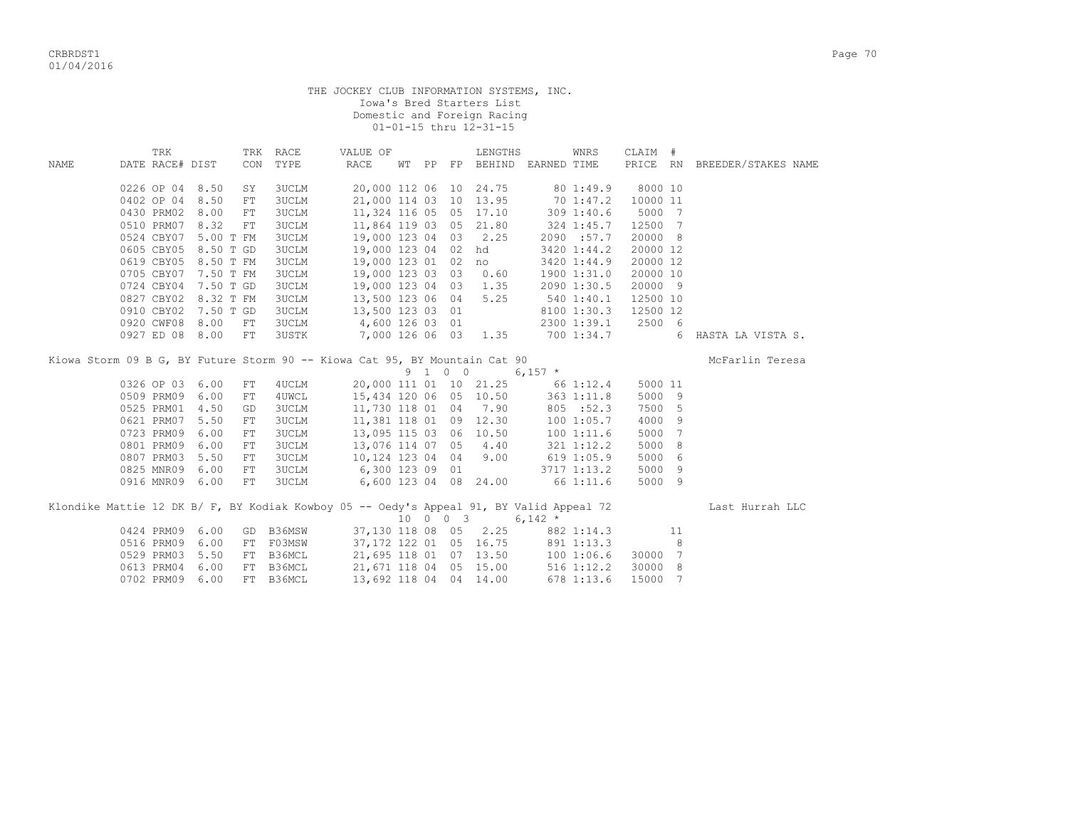THE JOCKEY CLUB INFORMATION SYSTEMS, INC. Iowa's Bred Starters List Domestic and Foreign Racing 01-01-15 thru 12-31-15

|      | TRK             |                      |            | TRK RACE     | VALUE OF                                                                   |    |         | LENGTHS                          |            | WNRS           | CLAIM #  |     |                                                                                                         |
|------|-----------------|----------------------|------------|--------------|----------------------------------------------------------------------------|----|---------|----------------------------------|------------|----------------|----------|-----|---------------------------------------------------------------------------------------------------------|
| NAME | DATE RACE# DIST |                      | CON        | TYPE         | RACE                                                                       | WТ | PP      | FP BEHIND EARNED TIME            |            |                | PRICE RN |     | BREEDER/STAKES NAME                                                                                     |
|      |                 |                      |            |              |                                                                            |    |         |                                  |            |                |          |     |                                                                                                         |
|      | 0226 OP 04 8.50 |                      | SY         | 3UCLM        |                                                                            |    |         | 20,000 112 06 10 24.75 80 1:49.9 |            |                | 8000 10  |     |                                                                                                         |
|      | 0402 OP 04 8.50 |                      | FT         | 3UCLM        | 21,000 114 03 10                                                           |    |         | 13.95                            |            | 70 1:47.2      | 10000 11 |     |                                                                                                         |
|      | 0430 PRM02      | 8.00                 | ${\rm FT}$ | 3UCLM        | 11,324 116 05 05                                                           |    |         | 17.10                            |            | 309 1:40.6     | 5000 7   |     |                                                                                                         |
|      | 0510 PRM07      | 8.32                 | ${\rm FT}$ | 3UCLM        | 11,864 119 03 05                                                           |    |         | 21.80                            |            | 324 1:45.7     | 12500 7  |     |                                                                                                         |
|      |                 | 0524 CBY07 5.00 T FM |            | <b>3UCLM</b> | 19,000 123 04 03                                                           |    |         | 2.25                             |            | 2090 :57.7     | 20000 8  |     |                                                                                                         |
|      |                 | 0605 CBY05 8.50 T GD |            | <b>3UCLM</b> | 19,000 123 04 02                                                           |    |         | hd                               |            | 3420 1:44.2    | 20000 12 |     |                                                                                                         |
|      |                 | 0619 CBY05 8.50 T FM |            | <b>3UCLM</b> | 19,000 123 01 02                                                           |    |         | no                               |            | 3420 1:44.9    | 20000 12 |     |                                                                                                         |
|      |                 | 0705 CBY07 7.50 T FM |            | 3UCLM        | 19,000 123 03 03                                                           |    |         | 0.60                             |            | 1900 1:31.0    | 20000 10 |     |                                                                                                         |
|      |                 | 0724 CBY04 7.50 T GD |            | 3UCLM        | 19,000 123 04 03 1.35                                                      |    |         |                                  |            | 2090 1:30.5    | 20000 9  |     |                                                                                                         |
|      |                 | 0827 CBY02 8.32 T FM |            | 3UCLM        | 13,500 123 06 04                                                           |    |         | 5.25                             | 540 1:40.1 |                | 12500 10 |     |                                                                                                         |
|      |                 | 0910 CBY02 7.50 T GD |            | 3UCLM        | 13,500 123 03 01                                                           |    |         |                                  |            | 8100 1:30.3    | 12500 12 |     |                                                                                                         |
|      | 0920 CWF08 8.00 |                      | FT         | <b>3UCLM</b> | 4,600 126 03 01                                                            |    |         |                                  |            | 2300 1:39.1    | 2500 6   |     |                                                                                                         |
|      | 0927 ED 08 8.00 |                      | FT         | <b>3USTK</b> | 7,000 126 06 03 1.35                                                       |    |         |                                  |            | 700 1:34.7     |          | 6   | HASTA LA VISTA S.                                                                                       |
|      |                 |                      |            |              | Kiowa Storm 09 B G, BY Future Storm 90 -- Kiowa Cat 95, BY Mountain Cat 90 |    |         |                                  |            |                |          |     | McFarlin Teresa                                                                                         |
|      |                 |                      |            |              |                                                                            |    |         |                                  |            |                |          |     |                                                                                                         |
|      |                 |                      |            |              |                                                                            |    | 9 1 0 0 |                                  |            |                |          |     |                                                                                                         |
|      | 0326 OP 03 6.00 |                      | FT         | 4 UCLM       |                                                                            |    |         | 20,000 111 01 10 21.25 66 1:12.4 | $6,157$ *  |                | 5000 11  |     |                                                                                                         |
|      | 0509 PRM09 6.00 |                      | ${\rm FT}$ | 4UWCL        | 15,434 120 06 05 10.50                                                     |    |         |                                  |            | 3631:11.8      | 5000 9   |     |                                                                                                         |
|      | 0525 PRM01 4.50 |                      | GD         | <b>3UCLM</b> | 11,730 118 01 04                                                           |    |         | 7.90                             |            | 805 : 52.3     | 7500 5   |     |                                                                                                         |
|      | 0621 PRM07 5.50 |                      | FT         | <b>3UCLM</b> | 11,381 118 01 09                                                           |    |         | 12.30                            |            | 1001:05.7      | 4000 9   |     |                                                                                                         |
|      | 0723 PRM09 6.00 |                      | FT         | <b>3UCLM</b> | 13,095 115 03 06                                                           |    |         | 10.50                            |            | 1001:11.6      | 5000 7   |     |                                                                                                         |
|      | 0801 PRM09 6.00 |                      | ${\rm FT}$ | <b>3UCLM</b> | 13,076 114 07 05                                                           |    |         | 4.40                             |            | 321 1:12.2     | 5000 8   |     |                                                                                                         |
|      | 0807 PRM03 5.50 |                      | ${\rm FT}$ | <b>3UCLM</b> | 10,124 123 04 04                                                           |    |         | 9.00                             |            | 6191:05.9      | 5000 6   |     |                                                                                                         |
|      | 0825 MNR09 6.00 |                      | FT         | 3UCLM        |                                                                            |    |         |                                  |            | 3717 1:13.2    | 5000 9   |     |                                                                                                         |
|      | 0916 MNR09 6.00 |                      | FT         | 3UCLM        | 6,300 123 09 01<br>6,600 123 04 08 24.00                                   |    |         |                                  | 66 1:11.6  |                | 5000 9   |     |                                                                                                         |
|      |                 |                      |            |              |                                                                            |    |         |                                  |            |                |          |     |                                                                                                         |
|      |                 |                      |            |              |                                                                            |    |         |                                  | $6,142$ *  |                |          |     | Klondike Mattie 12 DK B/ F, BY Kodiak Kowboy 05 -- Oedy's Appeal 91, BY Valid Appeal 72 Last Hurrah LLC |
|      | 0424 PRM09 6.00 |                      |            | GD B36MSW    | 37,130 118 08 05                                                           |    |         | 10 0 0 3<br>2.25                 |            | 882 1:14.3     |          | 11  |                                                                                                         |
|      | 0516 PRM09 6.00 |                      | FT         | F03MSW       |                                                                            |    |         | 37,172 122 01 05 16.75           |            | 891 1:13.3     |          | - 8 |                                                                                                         |
|      | 0529 PRM03 5.50 |                      |            | FT B36MCL    | 21,695 118 01 07 13.50                                                     |    |         |                                  |            | 1001:06.6      | 30000 7  |     |                                                                                                         |
|      | 0613 PRM04 6.00 |                      | FT         | B36MCL       | 21,671 118 04 05 15.00                                                     |    |         |                                  |            | $516$ $1:12.2$ | 30000 8  |     |                                                                                                         |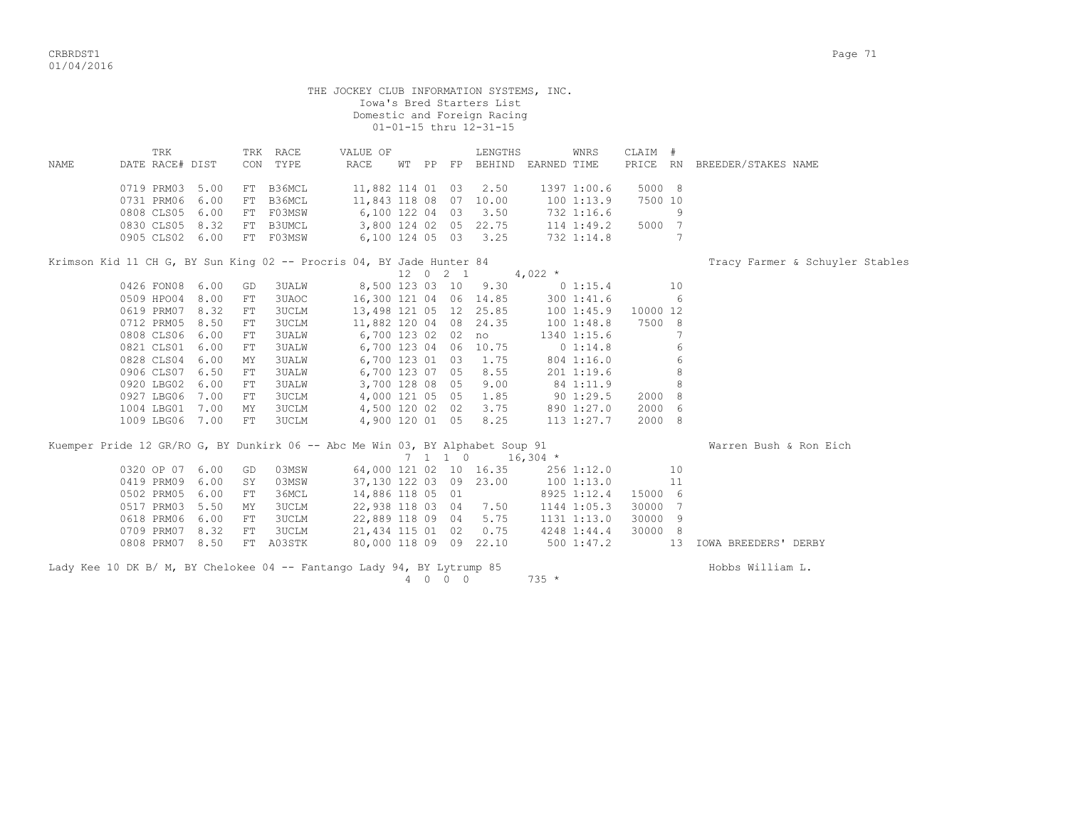CRBRDST1 Page 71 01/04/2016

|       |                                    |      |            |                | Domestic and Foreign Racing                                          |  |          | 01-01-15 thru 12-31-15            |           |               |                  |    |                                 |
|-------|------------------------------------|------|------------|----------------|----------------------------------------------------------------------|--|----------|-----------------------------------|-----------|---------------|------------------|----|---------------------------------|
|       | TRK                                |      |            | TRK RACE       | VALUE OF                                                             |  |          | LENGTHS                           |           | WNRS          | CLAIM #          |    |                                 |
| NAME. | DATE RACE# DIST                    |      |            | CON TYPE       | RACE                                                                 |  |          | WT PP FP BEHIND EARNED TIME       |           |               | PRICE RN         |    | BREEDER/STAKES NAME             |
|       | 0719 PRM03                         | 5.00 | FT         | B36MCL         | 11,882 114 01 03 2.50                                                |  |          |                                   |           | 1397 1:00.6   | 5000 8           |    |                                 |
|       | 0731 PRM06                         | 6.00 | FT         | B36MCL         | 11,843 118 08 07 10.00                                               |  |          |                                   |           | 1001:13.9     | 7500 10          |    |                                 |
|       | 0808 CLS05                         | 6.00 |            | FT F03MSW      | 6,100 122 04 03 3.50                                                 |  |          |                                   |           | 732 1:16.6    |                  | 9  |                                 |
|       | 0830 CLS05 8.32                    |      |            |                | FT B3UMCL 3,800 124 02 05 22.75 114 1:49.2                           |  |          |                                   |           |               | 5000 7           |    |                                 |
|       | 0905 CLS02 6.00                    |      |            | FT FO3MSW      | 6,100 124 05 03 3.25                                                 |  |          |                                   |           | 732 1:14.8    |                  |    |                                 |
|       |                                    |      |            |                | Krimson Kid 11 CH G, BY Sun King 02 -- Procris 04, BY Jade Hunter 84 |  |          |                                   |           |               |                  |    | Tracy Farmer & Schuyler Stables |
|       |                                    |      |            |                |                                                                      |  | 12 0 2 1 |                                   | 4,022 $*$ |               |                  |    |                                 |
|       |                                    |      |            |                |                                                                      |  |          |                                   |           |               |                  |    |                                 |
|       | 0426 FON08 6.00                    |      | GD         | 3UALW          | 8,500 123 03 10 9.30 0 1:15.4                                        |  |          |                                   |           |               |                  | 10 |                                 |
|       | 0509 HPO04 8.00                    |      | FT         | 3UAOC          |                                                                      |  |          | 16,300 121 04 06 14.85 300 1:41.6 |           |               |                  | 6  |                                 |
|       | 0619 PRM07                         | 8.32 | ${\rm FT}$ | <b>3UCLM</b>   |                                                                      |  |          | 13,498 121 05 12 25.85            |           | 1001:45.9     | 10000 12         |    |                                 |
|       | 0712 PRM05                         | 8.50 | FT         | 3UCLM          | 11,882 120 04 08 24.35                                               |  |          |                                   |           | 1001:48.8     | 7500 8           |    |                                 |
|       | 0808 CLS06                         | 6.00 | FT.        | 3UALW          | 6,700 123 02 02 no                                                   |  |          |                                   |           | 1340 1:15.6   |                  |    |                                 |
|       | 0821 CLS01                         | 6.00 | FT         | <b>3UALW</b>   | 6,700 123 04 06 10.75                                                |  |          |                                   |           | $0\;1:14.8$   |                  | 6  |                                 |
|       | 0828 CLS04                         | 6.00 | MY         | <b>3UALW</b>   | 6,700 123 01 03 1.75                                                 |  |          |                                   |           | 804 1:16.0    |                  | 6  |                                 |
|       | 0906 CLS07                         | 6.50 | FT.        | 3UALW          | 6,700 123 07 05 8.55                                                 |  |          |                                   |           | 2011:19.6     |                  | 8  |                                 |
|       | 0920 LBG02                         | 6.00 | FT         | <b>3UALW</b>   | 3,700 128 08 05                                                      |  |          | 9.00                              |           | 84 1:11.9     |                  | 8  |                                 |
|       | 0927 LBG06                         | 7.00 | FT.        | 3UCLM          | 4,000 121 05 05                                                      |  |          | 1.85                              |           | $90 \t1:29.5$ | 2000 8           |    |                                 |
|       | 1004 LBG01 7.00<br>1009 LBG06 7.00 |      | MY         | 3UCLM<br>3UCLM | 4,500 120 02 02                                                      |  |          | 3.75<br>4,900 120 01 05 8.25      |           | 890 1:27.0    | 2000 6<br>2000 8 |    |                                 |

|                           |                    |       |                                   |  |      | 7 1 1 0 16,304 * |             |         |    |                |       |
|---------------------------|--------------------|-------|-----------------------------------|--|------|------------------|-------------|---------|----|----------------|-------|
| 0320 OP 07 6.00 GD        |                    | 03MSW | 64,000 121 02 10 16.35            |  |      |                  | 256 1:12.0  |         | 10 |                |       |
|                           | 0419 PRM09 6.00 SY | 03MSW | 37,130 122 03 09 23.00 100 1:13.0 |  |      |                  |             |         |    |                |       |
| 0502 PRM05 6.00 FT        |                    | З6МСІ | 14,886 118 05 01                  |  |      |                  | 8925 1:12.4 | 15000 6 |    |                |       |
| 0517 PRM03 5.50 MY        |                    | 3UCLM | 22,938 118 03 04 7.50             |  |      |                  | 1144 1:05.3 | 30000 7 |    |                |       |
| 0618 PRM06 6.00 FT        |                    | 3UCLM | 22,889 118 09 04 5.75             |  |      |                  | 1131 1:13.0 | 30000 9 |    |                |       |
| 0709 PRM07 8.32           | FT                 | 3UCLM | 21,434 115 01 02                  |  | 0.75 |                  | 4248 1:44.4 | 30000 8 |    |                |       |
| 0808 PRM07 8.50 FT A03STK |                    |       | 80,000 118 09 09 22.10            |  |      |                  | 500 1:47.2  |         | 13 | IOWA BREEDERS' | DERRY |

Lady Kee 10 DK B/ M, BY Chelokee 04 -- Fantango Lady 94, BY Lytrump 85 Hobbs William L.  $4 \t 0 \t 0 \t 0$  735 \*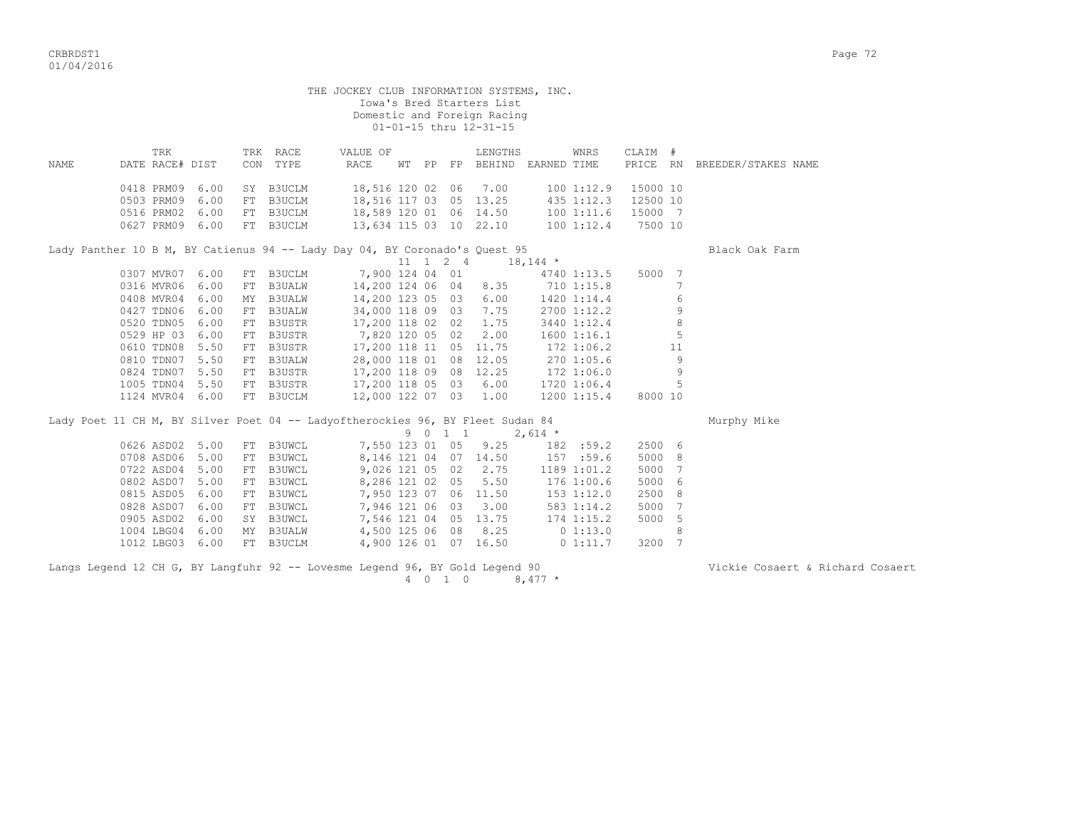|      |                 |                 |    |           | THE JOCKEY CLUB INFORMATION SYSTEMS, INC.                                      |  |         | Iowa's Bred Starters List<br>Domestic and Foreign Racing<br>01-01-15 thru 12-31-15 |           |                    |          |                |                              |
|------|-----------------|-----------------|----|-----------|--------------------------------------------------------------------------------|--|---------|------------------------------------------------------------------------------------|-----------|--------------------|----------|----------------|------------------------------|
|      | TRK             |                 |    | TRK RACE  | VALUE OF                                                                       |  |         | LENGTHS                                                                            |           | WNRS               | CLAIM #  |                |                              |
| NAME | DATE RACE# DIST |                 |    | CON TYPE  | RACE                                                                           |  |         | WT PP FP BEHIND EARNED TIME                                                        |           |                    |          |                | PRICE RN BREEDER/STAKES NAME |
|      | 0418 PRM09      | 6.00            |    | SY B3UCLM | 18,516 120 02 06 7.00                                                          |  |         |                                                                                    |           | 1001:12.9          | 15000 10 |                |                              |
|      |                 | 0503 PRM09 6.00 |    |           | FT B3UCLM 18,516 117 03 05 13.25                                               |  |         |                                                                                    |           | 435 1:12.3         | 12500 10 |                |                              |
|      |                 | 0516 PRM02 6.00 |    |           | FT B3UCLM 18,589 120 01 06 14.50                                               |  |         |                                                                                    |           | 100 1:11.6 15000 7 |          |                |                              |
|      |                 | 0627 PRM09 6.00 |    |           | FT B3UCLM 13,634 115 03 10 22.10                                               |  |         |                                                                                    |           | 100 1:12.4 7500 10 |          |                |                              |
|      |                 |                 |    |           | Lady Panther 10 B M, BY Catienus 94 -- Lady Day 04, BY Coronado's Quest 95     |  |         |                                                                                    |           |                    |          |                | Black Oak Farm               |
|      |                 |                 |    |           |                                                                                |  |         | $11 \quad 1 \quad 2 \quad 4 \quad 18,144 \; *$                                     |           |                    |          |                |                              |
|      |                 | 0307 MVR07 6.00 |    |           | FT B3UCLM 7,900 124 04 01                                                      |  |         |                                                                                    |           | 4740 1:13.5        | 5000 7   |                |                              |
|      | 0316 MVR06      | 6.00            |    |           | FT B3UALW 14,200 124 06 04 8.35 710 1:15.8                                     |  |         |                                                                                    |           |                    |          | 7              |                              |
|      | 0408 MVR04      | 6.00            |    | MY B3UALW | 14,200 123 05 03 6.00                                                          |  |         |                                                                                    |           | 1420 1:14.4        |          | 6              |                              |
|      | 0427 TDN06      | 6.00            |    | FT B3UALW | 34,000 118 09 03                                                               |  |         | 7.75                                                                               |           | 2700 1:12.2        |          | $\overline{9}$ |                              |
|      | 0520 TDN05      | 6.00            | FT |           | B3USTR 17,200 118 02 02                                                        |  |         | 1.75                                                                               |           | 3440 1:12.4        |          | 8              |                              |
|      | 0529 HP 03      | 6.00            | FT |           | B3USTR 7,820 120 05 02                                                         |  |         | 2.00                                                                               |           | $1600$ $1:16.1$    |          | 5              |                              |
|      |                 | 0610 TDN08 5.50 |    |           | FT B3USTR 17,200 118 11 05 11.75                                               |  |         |                                                                                    |           | 172 1:06.2         |          | 11             |                              |
|      |                 | 0810 TDN07 5.50 |    | FT B3UALW | 28,000 118 01 08 12.05                                                         |  |         |                                                                                    |           | 270 1:05.6         |          | 9              |                              |
|      |                 | 0824 TDN07 5.50 |    |           | FT B3USTR 17,200 118 09 08 12.25 172 1:06.0                                    |  |         |                                                                                    |           |                    |          | 9              |                              |
|      |                 | 1005 TDN04 5.50 |    |           | FT B3USTR 17,200 118 05 03 6.00                                                |  |         |                                                                                    |           | 1720 1:06.4        |          | 5              |                              |
|      |                 | 1124 MVR04 6.00 |    | FT B3UCLM | 12,000 122 07 03 1.00                                                          |  |         |                                                                                    |           | $1200$ $1:15.4$    | 8000 10  |                |                              |
|      |                 |                 |    |           | Lady Poet 11 CH M, BY Silver Poet 04 -- Ladyoftherockies 96, BY Fleet Sudan 84 |  |         |                                                                                    |           |                    |          |                | Murphy Mike                  |
|      |                 |                 |    |           |                                                                                |  | 9 0 1 1 |                                                                                    | $2,614$ * |                    |          |                |                              |
|      |                 | 0626 ASD02 5.00 |    | FT B3UWCL | 7,550 123 01 05                                                                |  |         | 9.25                                                                               |           | 182 :59.2          | 2500 6   |                |                              |
|      | 0708 ASD06      | 5.00            | FT | B3UWCL    |                                                                                |  |         | 8,146 121 04 07 14.50                                                              |           | 157 :59.6          | 5000 8   |                |                              |
|      |                 | 0722 ASD04 5.00 |    | FT B3UWCL |                                                                                |  |         | 9,026 121 05 02 2.75                                                               |           | 1189 1:01.2        | 5000     | 7              |                              |
|      |                 | 0802 ASD07 5.00 |    | FT B3UWCL |                                                                                |  |         | 8,286 121 02 05 5.50                                                               |           | 176 1:00.6         | 5000 6   |                |                              |
|      | 0815 ASD05      | 6.00            |    | FT B3UWCL |                                                                                |  |         | 7,950 123 07 06 11.50                                                              |           | $153$ $1:12.0$     | 2500 8   |                |                              |
|      | 0828 ASD07      | 6.00            |    | FT B3UWCL | 7,946 121 06 03                                                                |  |         | 3.00                                                                               |           | 583 1:14.2         | 5000     | 7              |                              |

Langs Legend 12 CH G, BY Langfuhr 92 -- Lovesme Legend 96, BY Gold Legend 90 Vickie Cosaert & Richard Cosaert  $4 \t 0 \t 1 \t 0$  8,477 \*

 0905 ASD02 6.00 SY B3UWCL 7,546 121 04 05 13.75 174 1:15.2 5000 5 1004 LBG04 6.00 MY B3UALW 4,500 125 06 08 8.25 0 1:13.0 8 1012 LBG03 6.00 FT B3UCLM 4,900 126 01 07 16.50 0 1:11.7 3200 7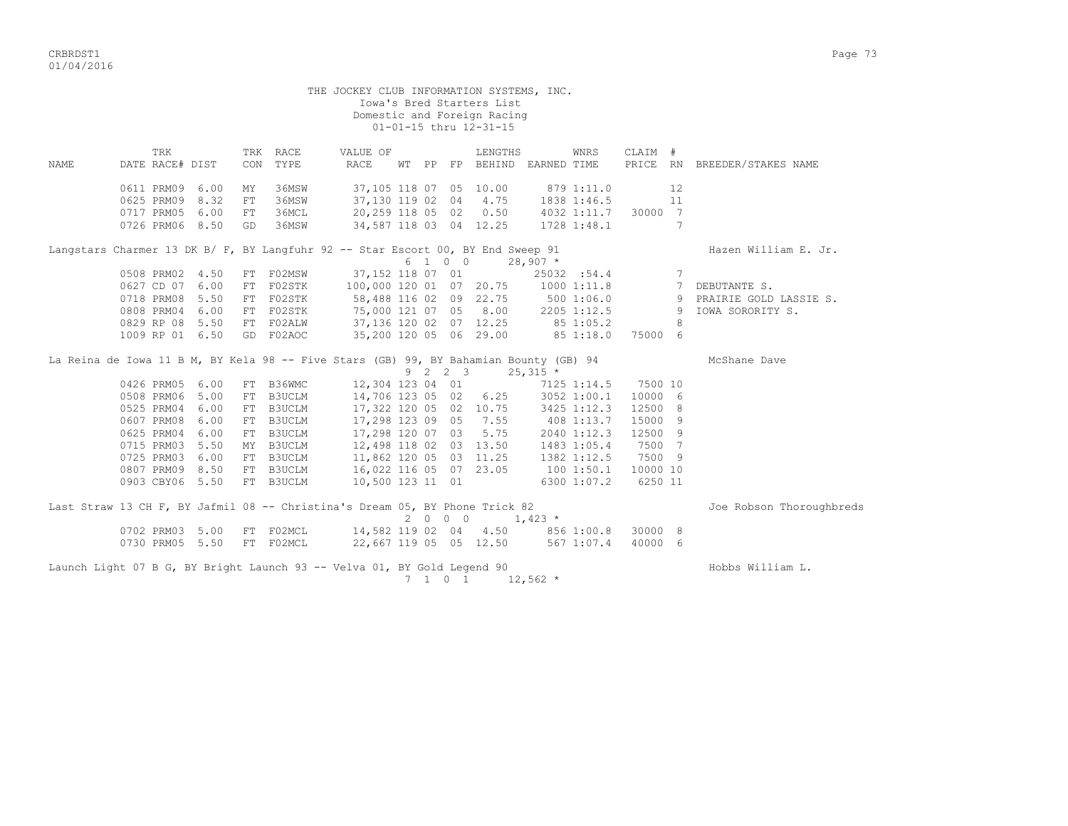|       |                                                                                       |      |          |                  | THE JOCKEY CLUB INFORMATION SYSTEMS, INC.       |  |                             | Iowa's Bred Starters List<br>Domestic and Foreign Racing<br>01-01-15 thru 12-31-15 |                                                      |             |         |                 |                                     |
|-------|---------------------------------------------------------------------------------------|------|----------|------------------|-------------------------------------------------|--|-----------------------------|------------------------------------------------------------------------------------|------------------------------------------------------|-------------|---------|-----------------|-------------------------------------|
| NAMF. | TRK<br>DATE RACE# DIST                                                                |      | CON      | TRK RACE<br>TYPE | VALUE OF<br>RACE                                |  |                             | LENGTHS                                                                            | WT PP FP BEHIND EARNED TIME                          | WNRS        | CLAIM # |                 | PRICE RN BREEDER/STAKES NAME        |
|       | 0611 PRM09<br>0625 PRM09 8.32                                                         | 6.00 | MY<br>FT | 36MSW<br>36MSW   | 37,105 118 07 05 10.00<br>37,130 119 02 04 4.75 |  |                             |                                                                                    | 879 1:11.0                                           |             |         | 12              |                                     |
|       | 0717 PRM05 6.00<br>0726 PRM06 8.50                                                    |      | FT<br>GD | 36MCL<br>36MSW   | 20,259 118 05 02 0.50<br>34,587 118 03 04 12.25 |  |                             |                                                                                    | 1838 1:46.5 11<br>4032 1:11.7 30000 7<br>1728 1:48.1 |             |         | 7               |                                     |
|       | Langstars Charmer 13 DK B/ F, BY Langfuhr 92 -- Star Escort 00, BY End Sweep 91       |      |          |                  |                                                 |  | 6 1 0 0                     |                                                                                    |                                                      |             |         |                 | Hazen William E. Jr.                |
|       | 0508 PRM02 4.50                                                                       |      |          | FT F02MSW        | 37,152 118 07 01                                |  |                             |                                                                                    | $28,907$ *                                           | 25032 :54.4 |         | $7\overline{ }$ |                                     |
|       | 0627 CD 07 6.00                                                                       |      |          | FT F02STK        | 100,000 120 01 07 20.75                         |  |                             |                                                                                    | 10001:11.8                                           |             |         |                 | 7 DEBUTANTE S.                      |
|       | 0718 PRM08 5.50                                                                       |      |          | FT F02STK        | 58,488 116 02 09 22.75                          |  |                             |                                                                                    |                                                      |             |         |                 | 500 1:06.0 9 PRAIRIE GOLD LASSIE S. |
|       | 0808 PRM04                                                                            | 6.00 |          | FT F02STK        | 75,000 121 07 05 8.00                           |  |                             |                                                                                    | 2205 1:12.5 9                                        |             |         |                 | IOWA SORORITY S.                    |
|       | 0829 RP 08                                                                            | 5.50 |          | FT FO2ALW        | 37,136 120 02 07 12.25                          |  |                             |                                                                                    | 85 1:05.2                                            |             |         | 8               |                                     |
|       | 1009 RP 01 6.50                                                                       |      |          | GD F02AOC        | 35,200 120 05 06 29.00                          |  |                             |                                                                                    | 85 1:18.0                                            |             | 75000 6 |                 |                                     |
|       | La Reina de Iowa 11 B M, BY Kela 98 -- Five Stars (GB) 99, BY Bahamian Bounty (GB) 94 |      |          |                  |                                                 |  | $9 \quad 2 \quad 2 \quad 3$ |                                                                                    | $25,315$ *                                           |             |         |                 | McShane Dave                        |
|       | 0426 PRM05                                                                            | 6.00 |          | FT B36WMC        | 12,304 123 04 01                                |  |                             |                                                                                    |                                                      | 7125 1:14.5 | 7500 10 |                 |                                     |
|       | 0508 PRM06                                                                            | 5.00 |          | FT B3UCLM        |                                                 |  |                             |                                                                                    | 14,706 123 05 02 6.25 3052 1:00.1                    |             | 10000 6 |                 |                                     |
|       | 0525 PRM04                                                                            | 6.00 |          | FT B3UCLM        | 17,322 120 05 02 10.75                          |  |                             |                                                                                    |                                                      | 3425 1:12.3 | 12500 8 |                 |                                     |
|       | 0607 PRM08 6.00                                                                       |      |          | FT B3UCLM        | 17,298 123 09 05                                |  |                             | 7.55                                                                               | 408 1:13.7                                           |             | 15000 9 |                 |                                     |
|       | 0625 PRM04                                                                            | 6.00 |          | FT B3UCLM        | 17,298 120 07 03                                |  |                             | 5.75                                                                               | 2040 1:12.3                                          |             | 12500 9 |                 |                                     |
|       | 0715 PRM03                                                                            | 5.50 |          | MY B3UCLM        | 12,498 118 02 03 13.50                          |  |                             |                                                                                    | 1483 1:05.4<br>1382 1:12.5                           |             | 7500 7  |                 |                                     |
|       | 0725 PRM03                                                                            | 6.00 |          | FT B3UCLM        | 11,862 120 05 03 11.25                          |  |                             |                                                                                    |                                                      |             | 7500 9  |                 |                                     |
|       | 0807 PRM09 8.50                                                                       |      |          | FT B3UCLM        | 16,022 116 05 07 23.05                          |  |                             |                                                                                    | 100 1:50.1 10000 10                                  |             |         |                 |                                     |
|       | 0903 CBY06 5.50                                                                       |      |          | FT B3UCLM        | 10,500 123 11 01                                |  |                             |                                                                                    |                                                      | 6300 1:07.2 | 6250 11 |                 |                                     |
|       | Last Straw 13 CH F, BY Jafmil 08 -- Christina's Dream 05, BY Phone Trick 82           |      |          |                  |                                                 |  | 2000                        |                                                                                    | $1,423$ *                                            |             |         |                 | Joe Robson Thoroughbreds            |
|       | 0702 PRM03 5.00                                                                       |      |          | FT F02MCL        | 14,582 119 02 04 4.50                           |  |                             |                                                                                    |                                                      | 856 1:00.8  | 30000 8 |                 |                                     |
|       | 0730 PRM05 5.50                                                                       |      |          | FT F02MCL        | 22,667 119 05 05 12.50                          |  |                             |                                                                                    |                                                      | 5671:07.4   | 40000 6 |                 |                                     |
|       | Launch Light 07 B G, BY Bright Launch 93 -- Velva 01, BY Gold Legend 90               |      |          |                  |                                                 |  | 7 1 0 1                     |                                                                                    | $12,562$ *                                           |             |         |                 | Hobbs William L.                    |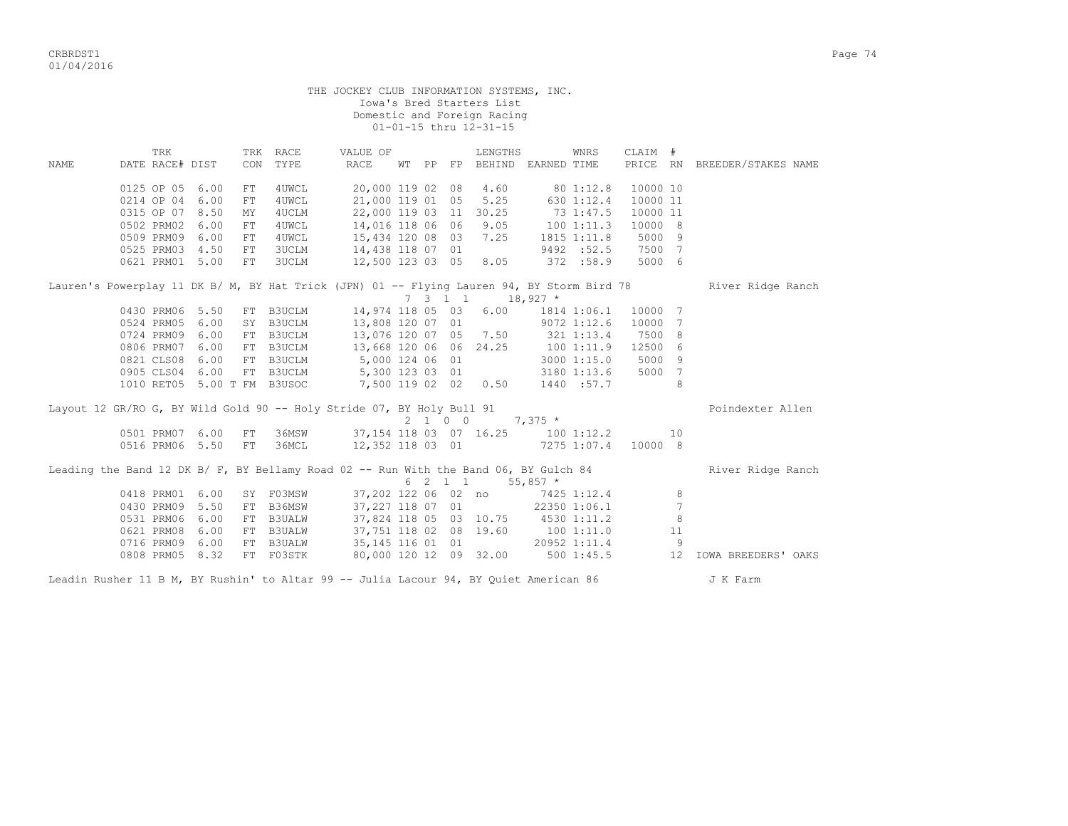|                                                                                                                                                                                                                                             |                                                                        |                                                                                                            | THE JOCKEY CLUB INFORMATION SYSTEMS, INC.                                                                                                     |  |                 | Iowa's Bred Starters List<br>Domestic and Foreign Racing<br>01-01-15 thru 12-31-15 |                                                                |                                                                                                                    |                                                                 |                                |                                                 |
|---------------------------------------------------------------------------------------------------------------------------------------------------------------------------------------------------------------------------------------------|------------------------------------------------------------------------|------------------------------------------------------------------------------------------------------------|-----------------------------------------------------------------------------------------------------------------------------------------------|--|-----------------|------------------------------------------------------------------------------------|----------------------------------------------------------------|--------------------------------------------------------------------------------------------------------------------|-----------------------------------------------------------------|--------------------------------|-------------------------------------------------|
| TRK<br>DATE RACE# DIST<br>NAME                                                                                                                                                                                                              | CON                                                                    | TRK RACE<br>TYPE                                                                                           | VALUE OF<br>RACE                                                                                                                              |  |                 | LENGTHS<br>WT PP FP BEHIND EARNED TIME                                             |                                                                | WNRS                                                                                                               | CLAIM #                                                         |                                | PRICE RN BREEDER/STAKES NAME                    |
| 0125 OP 05 6.00<br>0214 OP 04<br>0315 OP 07 8.50<br>0502 PRM02<br>0509 PRM09<br>0525 PRM03 4.50<br>0621 PRM01 5.00                                                                                                                          | FT<br>6.00<br>FT<br>MY<br>6.00<br>FT<br>6.00<br>${\rm FT}$<br>FT<br>FT | 4UWCL<br>4UWCL<br>4UCLM<br>4UWCL<br>4UWCL<br><b>3UCLM</b><br><b>3UCLM</b>                                  | 20,000 119 02 08 4.60<br>21,000 119 01 05<br>22,000 119 03 11<br>14,016 118 06 06<br>15,434 120 08 03<br>14,438 118 07 01<br>12,500 123 03 05 |  |                 | 5.25<br>30.25<br>9.05<br>7.25<br>8.05                                              | 80 1:12.8<br>630 1:12.4<br>73 1:47.5<br>1001:11.3<br>372 :58.9 | 1815 1:11.8<br>9492 :52.5 7500 7                                                                                   | 10000 10<br>10000 11<br>10000 11<br>10000 8<br>5000 9<br>5000 6 |                                |                                                 |
| Lauren's Powerplay 11 DK B/ M, BY Hat Trick (JPN) 01 -- Flying Lauren 94, BY Storm Bird 78<br>0430 PRM06 5.50<br>0524 PRM05 6.00<br>0724 PRM09 6.00<br>0806 PRM07 6.00<br>0821 CLS08 6.00<br>0905 CLS04 6.00<br>1010 RET05 5.00 T FM B3USOC |                                                                        | FT B3UCLM<br>SY B3UCLM<br>FT B3UCLM<br>FT B3UCLM<br>FT B3UCLM 5,000 124 06 01<br>FT B3UCLM 5,300 123 03 01 | 14,974 118 05 03<br>13,808 120 07 01<br>13,076 120 07 05 7.50<br>13,668 120 06 06 24.25<br>7,500 119 02 02 0.50                               |  | $7 \t3 \t1 \t1$ |                                                                                    | $18,927$ *                                                     | $6.00$ 1814 1:06.1<br>$9072$ 1:12.6<br>321 1:13.4<br>100 1:11.9<br>3000 1:15.0<br>3180 1:13.6 5000 7<br>1440 :57.7 | 10000 7<br>10000 7<br>7500 8<br>12500 6<br>5000 9               | 8                              | River Ridge Ranch                               |
| Layout 12 GR/RO G, BY Wild Gold 90 -- Holy Stride 07, BY Holy Bull 91<br>0501 PRM07 6.00<br>0516 PRM06 5.50 FT                                                                                                                              | FT                                                                     | 36MSW<br>36MCL                                                                                             | 12,352 118 03 01                                                                                                                              |  | 2 1 0 0         | 37, 154 118 03 07 16.25 100 1:12.2<br>$7275$ 1:07.4                                | $7,375$ *                                                      |                                                                                                                    | 10000 8                                                         | 10                             | Poindexter Allen                                |
| Leading the Band 12 DK B/ F, BY Bellamy Road 02 -- Run With the Band 06, BY Gulch 84<br>0418 PRM01 6.00<br>0430 PRM09 5.50<br>0531 PRM06<br>0621 PRM08<br>0716 PRM09 6.00<br>0808 PRM05 8.32                                                | 6.00<br>6.00                                                           | SY F03MSW<br>FT B36MSW<br>FT B3UALW<br>FT B3UALW<br>FT B3UALW<br>FT F03STK                                 | 37,202 122 06 02 no<br>37,227 118 07 01<br>37,751 118 02 08 19.60<br>35, 145 116 01 01                                                        |  | 6 2 1 1         | 37,824 118 05 03 10.75 4530 1:11.2<br>80,000 120 12 09 32.00                       | $55,857$ *<br>100 1:11.0                                       | 7425 1:12.4<br>22350 1:06.1<br>20952 1:11.4<br>5001:45.5                                                           |                                                                 | 8<br>7<br>8<br>11<br>- 9<br>12 | River Ridge Ranch<br><b>IOWA BREEDERS' OAKS</b> |

Leadin Rusher 11 B M, BY Rushin' to Altar 99 -- Julia Lacour 94, BY Quiet American 86 J K Farm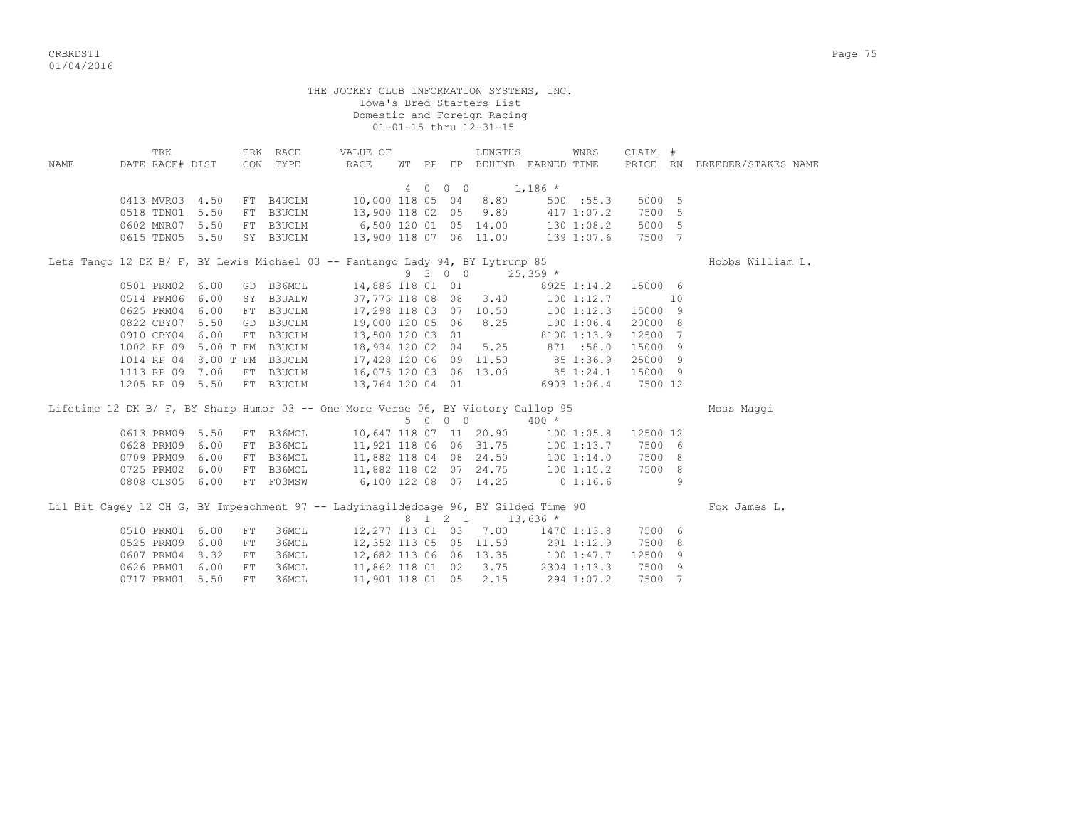CRBRDST1 Page 75 01/04/2016

 THE JOCKEY CLUB INFORMATION SYSTEMS, INC. Iowa's Bred Starters List Domestic and Foreign Racing 01-01-15 thru 12-31-15 TRK TRK RACE VALUE OF LENGTHS WNRS CLAIM # NAME DATE RACE# DIST CON TYPE RACE WT PP FP BEHIND EARNED TIME PRICE RN BREEDER/STAKES NAME 4 0 0 0 1,186 \* 0413 MVR03 4.50 FT B4UCLM 10,000 118 05 04 8.80 500 :55.3 5000 5 0518 TDN01 5.50 FT B3UCLM 13,900 118 02 05 9.80 417 1:07.2 7500 5 0602 MNR07 5.50 FT B3UCLM 6,500 120 01 05 14.00 130 1:08.2 5000 5 0615 TDN05 5.50 SY B3UCLM 13,900 118 07 06 11.00 139 1:07.6 7500 7 Lets Tango 12 DK B/ F, BY Lewis Michael 03 -- Fantango Lady 94, BY Lytrump 85 Hobbs William L.<br>9 3 0 0 25,359 \*  $9 \t3 \t0 \t0 \t25,359$  \* 0501 PRM02 6.00 GD B36MCL 14,886 118 01 01 8925 1:14.2 15000 6 0514 PRM06 6.00 SY B3UALW 37,775 118 08 08 3.40 100 1:12.7 10 0625 PRM04 6.00 FT B3UCLM 17,298 118 03 07 10.50 100 1:12.3 15000 9 0822 CBY07 5.50 GD B3UCLM 19,000 120 05 06 8.25 190 1:06.4 20000 8 0910 CBY04 6.00 FT B3UCLM 13,500 120 03 01 8100 1:13.9 12500 7 1002 RP 09 5.00 T FM B3UCLM 18,934 120 02 04 5.25 871 :58.0 15000 9 1014 RP 04 8.00 T FM B3UCLM 17,428 120 06 09 11.50 85 1:36.9 25000 9 1113 RP 09 7.00 FT B3UCLM 16,075 120 03 06 13.00 85 1:24.1 15000 9 1205 RP 09 5.50 FT B3UCLM 13,764 120 04 01 6903 1:06.4 7500 12 Lifetime 12 DK B/ F, BY Sharp Humor 03 -- One More Verse 06, BY Victory Gallop 95 Moss Maggi<br>5 0 0 0 400 \*  $5 \t0 \t0 \t0 \t0 \t0 \t0$  0613 PRM09 5.50 FT B36MCL 10,647 118 07 11 20.90 100 1:05.8 12500 12 0628 PRM09 6.00 FT B36MCL 11,921 118 06 06 31.75 100 1:13.7 7500 6 0709 PRM09 6.00 FT B36MCL 11,882 118 04 08 24.50 100 1:14.0 7500 8 0725 PRM02 6.00 FT B36MCL 11,882 118 02 07 24.75 100 1:15.2 7500 8 0808 CLS05 6.00 FT F03MSW 6,100 122 08 07 14.25 0 1:16.6 9 Lil Bit Cagey 12 CH G, BY Impeachment 97 -- Ladyinagildedcage 96, BY Gilded Time 90 Fox James L.<br>
8 1 2 1 13,636 \*  $8 \quad 1 \quad 2 \quad 1 \quad 13,636$  \* 0510 PRM01 6.00 FT 36MCL 12,277 113 01 03 7.00 1470 1:13.8 7500 6 0525 PRM09 6.00 FT 36MCL 12,352 113 05 05 11.50 291 1:12.9 7500 8 0607 PRM04 8.32 FT 36MCL 12,682 113 06 06 13.35 100 1:47.7 12500 9 0626 PRM01 6.00 FT 36MCL 11,862 118 01 02 3.75 2304 1:13.3 7500 9

0717 PRM01 5.50 FT 36MCL 11,901 118 01 05 2.15 294 1:07.2 7500 7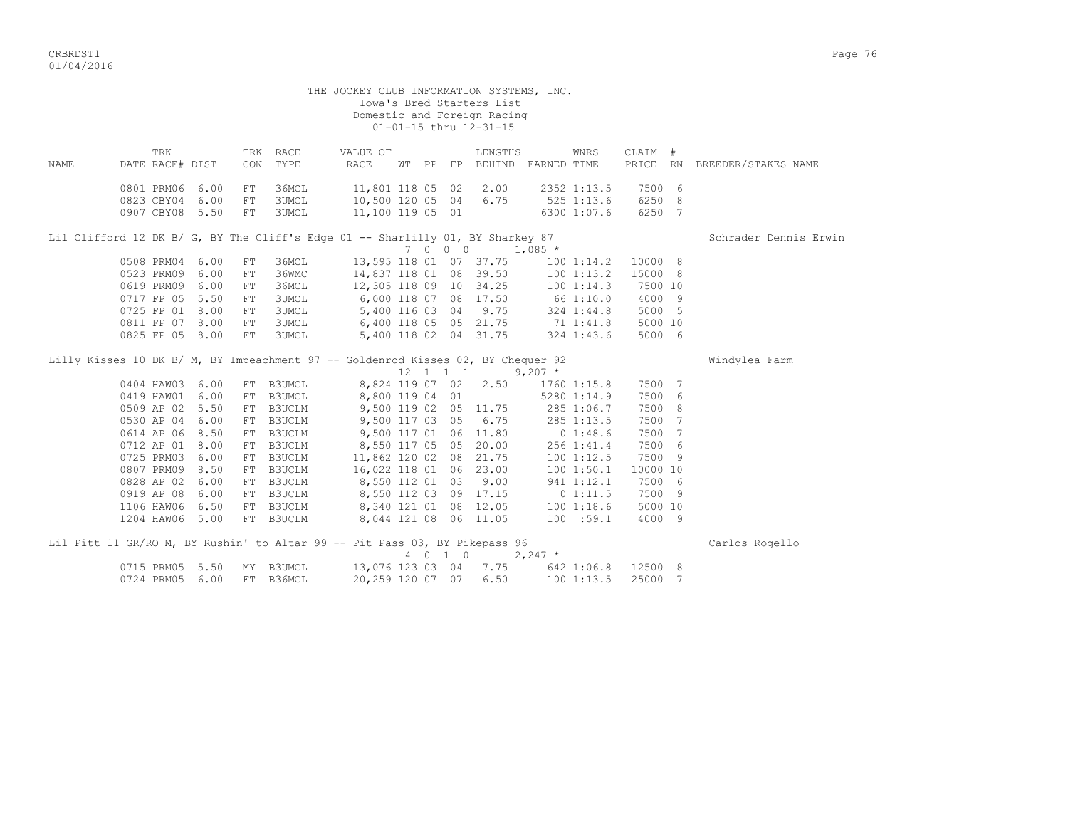|       |                                             |              |                  |                              | THE JOCKEY CLUB INFORMATION SYSTEMS, INC.                                                               |  |         | Iowa's Bred Starters List<br>Domestic and Foreign Racing<br>01-01-15 thru 12-31-15 |              |             |                                          |                              |
|-------|---------------------------------------------|--------------|------------------|------------------------------|---------------------------------------------------------------------------------------------------------|--|---------|------------------------------------------------------------------------------------|--------------|-------------|------------------------------------------|------------------------------|
| NAMF. | TRK<br>DATE RACE# DIST                      |              |                  | TRK RACE<br>CON TYPE         | VALUE OF<br>RACE                                                                                        |  |         | LENGTHS<br>WT PP FP BEHIND EARNED TIME                                             |              | WNRS        | CLAIM #                                  | PRICE RN BREEDER/STAKES NAME |
|       | 0801 PRM06 6.00<br>0823 CBY04 6.00          |              | FT<br>FT         | 36MCL<br><b>3UMCL</b>        | 11,801 118 05 02 2.00<br>10,500 120 05 04 6.75                                                          |  |         |                                                                                    | $525$ 1:13.6 | 2352 1:13.5 | 7500 6<br>6250 8                         |                              |
|       | 0907 CBY08 5.50                             |              | FT               | <b>3UMCL</b>                 | 11,100 119 05 01<br>Lil Clifford 12 DK B/ G, BY The Cliff's Edge 01 -- Sharlilly 01, BY Sharkey 87      |  |         |                                                                                    |              | 6300 1:07.6 | 6250 7                                   | Schrader Dennis Erwin        |
|       |                                             |              |                  |                              |                                                                                                         |  |         | 7 0 0 0 1,085 $*$                                                                  |              |             |                                          |                              |
|       | 0508 PRM04 6.00<br>0523 PRM09<br>0619 PRM09 | 6.00<br>6.00 | FT<br>FT.<br>FT. | 36MCL<br>36WMC<br>36MCL      | 13,595 118 01 07 37.75                                                                                  |  |         | 14,837 118 01 08 39.50 100 1:13.2<br>12,305 118 09 10 34.25 100 1:14.3             |              |             | 100 1:14.2 10000 8<br>15000 8<br>7500 10 |                              |
|       | 0717 FP 05<br>0725 FP 01 8.00               | 5.50         | FT<br>FT         | <b>3UMCL</b><br><b>3UMCL</b> | 6,000 118 07 08 17.50 66 1:10.0<br>5,400 116 03 04 9.75 324 1:44.8                                      |  |         |                                                                                    |              |             | 4000 9<br>5000 5                         |                              |
|       | 0811 FP 07 8.00<br>0825 FP 05 8.00          |              | FT<br>FT         | <b>3UMCL</b><br><b>3UMCL</b> | 6,400 118 05 05 21.75 71 1:41.8<br>5,400 118 02 04 31.75 324 1:43.6                                     |  |         |                                                                                    |              |             | 5000 10<br>5000 6                        |                              |
|       |                                             |              |                  |                              | Lilly Kisses 10 DK B/ M, BY Impeachment 97 -- Goldenrod Kisses 02, BY Chequer 92                        |  |         | $12 \quad 1 \quad 1 \quad 1 \quad 9,207$ *                                         |              |             |                                          | Windylea Farm                |
|       | 0404 HAW03 6.00                             |              |                  | FT B3UMCL                    |                                                                                                         |  |         | 8,824 119 07 02 2.50                                                               |              |             | 1760 1:15.8 7500 7                       |                              |
|       | 0419 HAW01 6.00                             |              |                  | FT B3UMCL                    | 8,800 119 04 01                                                                                         |  |         |                                                                                    |              | 5280 1:14.9 | 7500 6                                   |                              |
|       | 0509 AP 02<br>0530 AP 04                    | 5.50<br>6.00 |                  | FT B3UCLM                    | 9,500 119 02 05 11.75<br>9,500 117 03 05 6.75 285 1:13.5                                                |  |         |                                                                                    | 285 1:06.7   |             | 7500 8<br>7500 7                         |                              |
|       | 0614 AP 06                                  | 8.50         |                  | FT B3UCLM<br>FT B3UCLM       |                                                                                                         |  |         |                                                                                    |              |             | 7500 7                                   |                              |
|       | 0712 AP 01 8.00                             |              |                  | FT B3UCLM                    | 9,500 117 01 06 11.80 0 1:48.6<br>8,550 117 05 05 20.00 256 1:41.4<br>11,862 120 02 08 21.75 100 1:12.5 |  |         |                                                                                    |              |             | 7500 6                                   |                              |
|       | 0725 PRM03 6.00                             |              |                  | FT B3UCLM                    | $11,862$ 120 02 08 21.75                                                                                |  |         |                                                                                    |              |             | 7500 9                                   |                              |
|       | 0807 PRM09 8.50                             |              |                  | FT B3UCLM                    | 16,022 118 01 06 23.00                                                                                  |  |         |                                                                                    | 100 1:50.1   |             | 10000 10                                 |                              |
|       | 0828 AP 02                                  | 6.00         |                  | FT B3UCLM                    | 8,550 112 01 03 9.00                                                                                    |  |         |                                                                                    | 941 1:12.1   |             | 7500 6                                   |                              |
|       | 0919 AP 08                                  | 6.00         |                  | FT B3UCLM                    | 8,550 112 03 09 17.15                                                                                   |  |         |                                                                                    | 0 1:11.5     |             | 7500 9                                   |                              |
|       | 1106 HAW06 6.50                             |              |                  | FT B3UCLM                    | 8,340 121 01 08 12.05 100 1:18.6<br>8,044 121 08 06 11.05 100 :59.1                                     |  |         |                                                                                    |              |             | 5000 10                                  |                              |
|       | 1204 HAW06 5.00                             |              |                  | FT B3UCLM                    | 8,044 121 08 06 11.05                                                                                   |  |         |                                                                                    |              |             | 4000 9                                   |                              |
|       |                                             |              |                  |                              | Lil Pitt 11 GR/RO M, BY Rushin' to Altar 99 -- Pit Pass 03, BY Pikepass 96                              |  | 4 0 1 0 |                                                                                    | $2,247$ *    |             |                                          | Carlos Rogello               |
|       | 0715 PRM05 5.50                             |              |                  | MY B3UMCL                    | 13,076 123 03 04 7.75 642 1:06.8 12500 8                                                                |  |         |                                                                                    |              |             |                                          |                              |
|       | 0724 PRM05 6.00                             |              |                  | FT B36MCL                    | 20,259 120 07 07 6.50                                                                                   |  |         |                                                                                    |              | 1001:13.5   | 25000 7                                  |                              |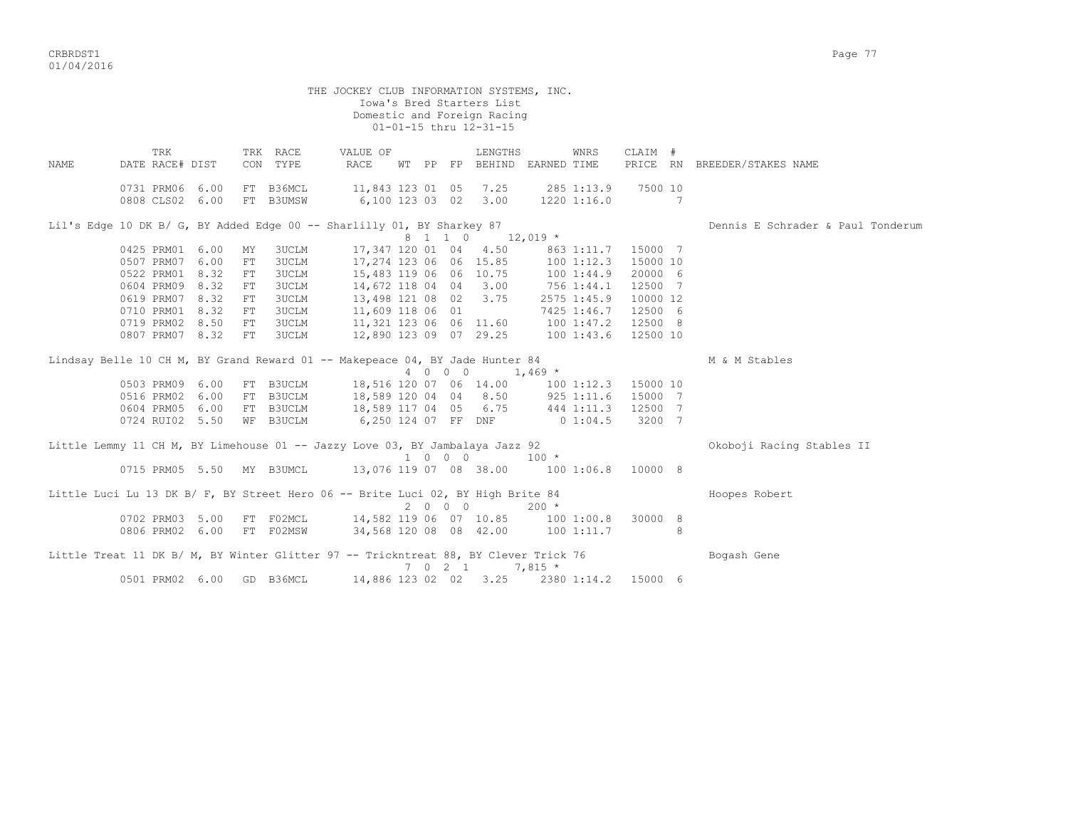|             |                                                                                     |            |                        | THE JOCKEY CLUB INFORMATION SYSTEMS, INC.                            |         |         | Iowa's Bred Starters List<br>Domestic and Foreign Racing<br>01-01-15 thru 12-31-15 |           |             |                     |   |                                   |
|-------------|-------------------------------------------------------------------------------------|------------|------------------------|----------------------------------------------------------------------|---------|---------|------------------------------------------------------------------------------------|-----------|-------------|---------------------|---|-----------------------------------|
| <b>NAME</b> | TRK<br>DATE RACE# DIST                                                              |            | TRK RACE<br>CON TYPE   | VALUE OF<br>RACE                                                     |         |         | LENGTHS<br>WT PP FP BEHIND EARNED TIME                                             |           | WNRS        | CLAIM #             |   | PRICE RN BREEDER/STAKES NAME      |
|             | 0731 PRM06 6.00<br>0808 CLS02 6.00                                                  |            | FT B36MCL<br>FT B3UMSW | 11,843 123 01 05 7.25 285 1:13.9<br>6,100 123 03 02 3.00 1220 1:16.0 |         |         |                                                                                    |           |             | 7500 10<br>$\sim$ 7 |   |                                   |
|             | Lil's Edge 10 DK B/ G, BY Added Edge 00 -- Sharlilly 01, BY Sharkey 87              |            |                        |                                                                      |         |         |                                                                                    |           |             |                     |   | Dennis E Schrader & Paul Tonderum |
|             |                                                                                     |            |                        |                                                                      |         | 8 1 1 0 | $12,019$ *                                                                         |           |             |                     |   |                                   |
|             | 0425 PRM01 6.00                                                                     | MY         | <b>3UCLM</b>           | 17,347 120 01 04 4.50                                                |         |         |                                                                                    |           | 863 1:11.7  | 15000 7             |   |                                   |
|             | 0507 PRM07 6.00                                                                     | ${\rm FT}$ | 3UCLM                  | 17,274 123 06 06 15.85                                               |         |         |                                                                                    | 1001:12.3 |             | 15000 10            |   |                                   |
|             | 0522 PRM01 8.32                                                                     | FT.        | <b>3UCLM</b>           | 15,483 119 06 06 10.75                                               |         |         |                                                                                    |           | 100 1:44.9  | 20000 6             |   |                                   |
|             | 0604 PRM09 8.32                                                                     | FT         | <b>3UCLM</b>           | 14,672 118 04 04 3.00                                                |         |         |                                                                                    |           | 756 1:44.1  | 12500 7             |   |                                   |
|             | 0619 PRM07 8.32                                                                     | FT         | <b>3UCLM</b>           | 13,498 121 08 02 3.75                                                |         |         |                                                                                    |           | 2575 1:45.9 | 10000 12            |   |                                   |
|             | 0710 PRM01 8.32                                                                     | FT         | <b>3UCLM</b>           | 11,609 118 06 01                                                     |         |         |                                                                                    |           | 7425 1:46.7 | 12500 6             |   |                                   |
|             | 0719 PRM02 8.50                                                                     | FT         | <b>3UCLM</b>           | $11,321$ 123 06 06 11.60 100 1:47.2                                  |         |         |                                                                                    |           |             | 12500 8             |   |                                   |
|             | 0807 PRM07 8.32                                                                     | FT         | 3UCLM                  | 12,890 123 09 07 29.25 100 1:43.6                                    |         |         |                                                                                    |           |             | 12500 10            |   |                                   |
|             | Lindsay Belle 10 CH M, BY Grand Reward 01 -- Makepeace 04, BY Jade Hunter 84        |            |                        |                                                                      |         |         |                                                                                    |           |             |                     |   | M & M Stables                     |
|             |                                                                                     |            |                        |                                                                      |         | 4 0 0 0 | $1,469$ *                                                                          |           |             |                     |   |                                   |
|             | 0503 PRM09 6.00                                                                     |            | FT B3UCLM              | 18,516 120 07 06 14.00                                               |         |         |                                                                                    |           | 1001:12.3   | 15000 10            |   |                                   |
|             | 0516 PRM02 6.00                                                                     |            | FT B3UCLM              | 18,589 120 04 04 8.50 925 1:11.6                                     |         |         |                                                                                    |           |             | 15000 7             |   |                                   |
|             | 0604 PRM05 6.00 FT B3UCLM                                                           |            |                        | 18,589 117 04 05 6.75 444 1:11.3                                     |         |         |                                                                                    |           |             | 12500 7             |   |                                   |
|             | 0724 RUI02 5.50                                                                     |            | WF B3UCLM              | 6,250 124 07 FF DNF 0 1:04.5                                         |         |         |                                                                                    |           |             | 3200 7              |   |                                   |
|             | Little Lemmy 11 CH M, BY Limehouse 01 -- Jazzy Love 03, BY Jambalaya Jazz 92        |            |                        |                                                                      | 1 0 0 0 |         |                                                                                    | $100 *$   |             |                     |   | Okoboji Racing Stables II         |
|             | 0715 PRM05 5.50 MY B3UMCL                                                           |            |                        | 13,076 119 07 08 38.00  100 1:06.8  10000 8                          |         |         |                                                                                    |           |             |                     |   |                                   |
|             | Little Luci Lu 13 DK B/ F, BY Street Hero 06 -- Brite Luci 02, BY High Brite 84     |            |                        |                                                                      |         | 2 0 0 0 | $200 *$                                                                            |           |             |                     |   | Hoopes Robert                     |
|             | 0702 PRM03 5.00                                                                     |            | FT F02MCL              | 14,582 119 06 07 10.85 100 1:00.8                                    |         |         |                                                                                    |           |             | 30000 8             |   |                                   |
|             | 0806 PRM02 6.00                                                                     |            | FT F02MSW              | 34,568 120 08 08 42.00 100 1:11.7                                    |         |         |                                                                                    |           |             |                     | 8 |                                   |
|             | Little Treat 11 DK B/ M, BY Winter Glitter 97 -- Trickntreat 88, BY Clever Trick 76 |            |                        |                                                                      |         |         |                                                                                    |           |             |                     |   | Bogash Gene                       |
|             |                                                                                     |            |                        |                                                                      |         | 7 0 2 1 |                                                                                    | $7,815 *$ |             |                     |   |                                   |
|             | 0501 PRM02 6.00                                                                     |            | GD B36MCL              |                                                                      |         |         | 14,886 123 02 02 3.25 2380 1:14.2 15000 6                                          |           |             |                     |   |                                   |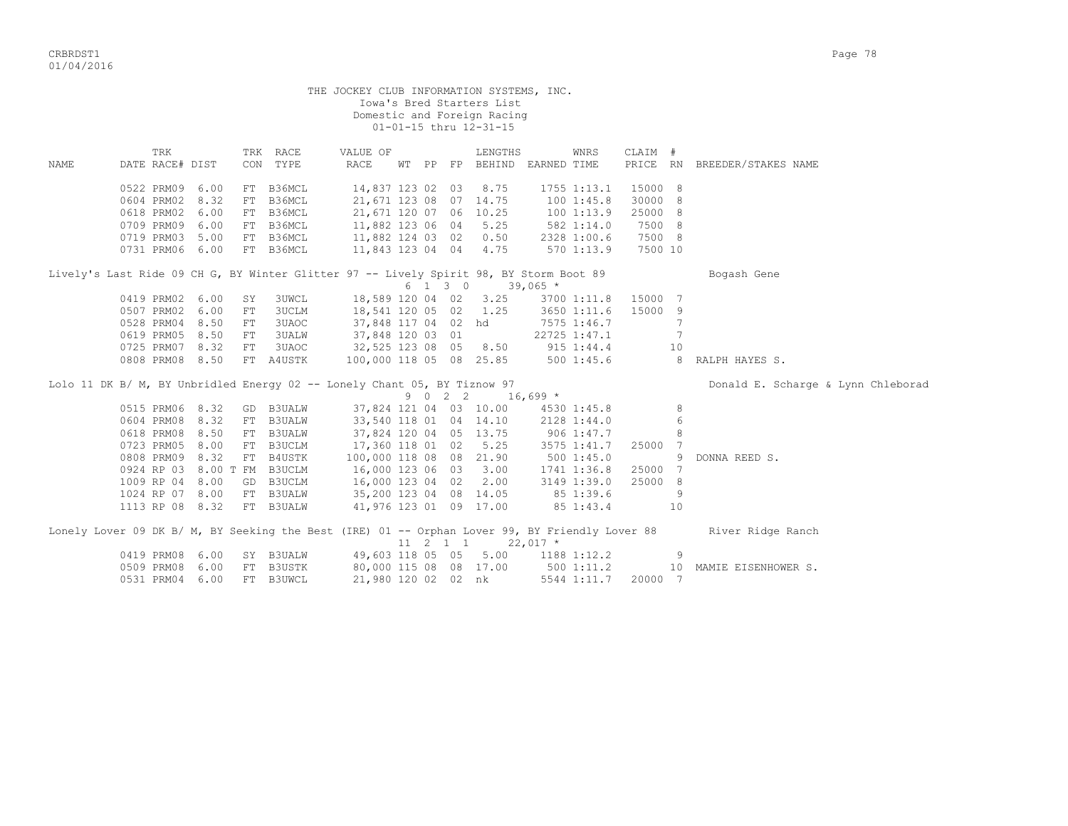CRBRDST1 Page 78 01/04/2016

|      |                                                                                                |            |              |                                  |  |      | Iowa's Bred Starters List                             |              |         |     |                                    |
|------|------------------------------------------------------------------------------------------------|------------|--------------|----------------------------------|--|------|-------------------------------------------------------|--------------|---------|-----|------------------------------------|
|      |                                                                                                |            |              |                                  |  |      | Domestic and Foreign Racing<br>01-01-15 thru 12-31-15 |              |         |     |                                    |
|      |                                                                                                |            |              |                                  |  |      |                                                       |              |         |     |                                    |
|      | TRK                                                                                            |            | TRK RACE     | VALUE OF                         |  |      | LENGTHS                                               | WNRS         | CLAIM # |     |                                    |
| NAME | DATE RACE# DIST                                                                                |            | CON TYPE     | RACE                             |  |      | WT PP FP BEHIND EARNED TIME                           |              |         |     | PRICE RN BREEDER/STAKES NAME       |
|      |                                                                                                |            |              |                                  |  |      |                                                       |              |         |     |                                    |
|      | 0522 PRM09 6.00                                                                                |            | FT B36MCL    | 14,837 123 02 03                 |  |      | 8.75                                                  | 1755 1:13.1  | 15000 8 |     |                                    |
|      | 0604 PRM02 8.32                                                                                |            | FT B36MCL    | 21,671 123 08 07 14.75           |  |      |                                                       | 1001:45.8    | 30000 8 |     |                                    |
|      | 0618 PRM02 6.00                                                                                |            | FT B36MCL    | 21,671 120 07 06 10.25           |  |      |                                                       | 100 1:13.9   | 25000 8 |     |                                    |
|      | 0709 PRM09 6.00                                                                                |            | FT B36MCL    | 11,882 123 06 04 5.25            |  |      |                                                       | 582 1:14.0   | 7500 8  |     |                                    |
|      | 0719 PRM03 5.00                                                                                |            | FT B36MCL    | 11,882 124 03 02 0.50            |  |      |                                                       | 2328 1:00.6  | 7500 8  |     |                                    |
|      | 0731 PRM06 6.00                                                                                |            | FT B36MCL    | 11,843 123 04 04 4.75            |  |      |                                                       | 570 1:13.9   | 7500 10 |     |                                    |
|      | Lively's Last Ride 09 CH G, BY Winter Glitter 97 -- Lively Spirit 98, BY Storm Boot 89         |            |              |                                  |  |      |                                                       |              |         |     | Bogash Gene                        |
|      |                                                                                                |            |              |                                  |  |      | $6 \quad 1 \quad 3 \quad 0 \quad 39,065 \neq$         |              |         |     |                                    |
|      | 0419 PRM02 6.00                                                                                | SY         | 3UWCL        | 18,589 120 04 02 3.25            |  |      |                                                       | 3700 1:11.8  | 15000 7 |     |                                    |
|      | 0507 PRM02 6.00                                                                                | FT         | <b>3UCLM</b> | 18,541 120 05 02 1.25            |  |      |                                                       | 3650 1:11.6  | 15000 9 |     |                                    |
|      | 0528 PRM04 8.50                                                                                | ${\rm FT}$ | 3UAOC        | 37,848 117 04 02 hd              |  |      |                                                       | 7575 1:46.7  |         | 7   |                                    |
|      | 0619 PRM05 8.50                                                                                | FT         | <b>3UALW</b> | 37,848 120 03 01                 |  |      |                                                       | 22725 1:47.1 |         | 7   |                                    |
|      | 0725 PRM07 8.32                                                                                | ${\rm FT}$ | 3UAOC        | 32,525 123 08 05 8.50 915 1:44.4 |  |      |                                                       |              |         | 10  |                                    |
|      | 0808 PRM08 8.50                                                                                |            | FT A4USTK    |                                  |  |      | 100,000 118 05 08 25.85 500 1:45.6                    |              |         |     | 8 RALPH HAYES S.                   |
|      | Lolo 11 DK B/ M, BY Unbridled Energy 02 -- Lonely Chant 05, BY Tiznow 97                       |            |              |                                  |  |      |                                                       |              |         |     | Donald E. Scharge & Lynn Chleborad |
|      |                                                                                                |            |              |                                  |  | 9022 | $16,699*$                                             |              |         |     |                                    |
|      | 0515 PRM06 8.32                                                                                |            | GD B3UALW    |                                  |  |      | 37,824 121 04 03 10.00                                | 4530 1:45.8  |         | 8   |                                    |
|      | 0604 PRM08 8.32                                                                                |            | FT B3UALW    | 33,540 118 01 04 14.10           |  |      |                                                       | 2128 1:44.0  |         | 6   |                                    |
|      | 0618 PRM08 8.50                                                                                |            | FT B3UALW    | 37,824 120 04 05 13.75           |  |      |                                                       | 906 1:47.7   |         | 8   |                                    |
|      | 0723 PRM05 8.00                                                                                |            | FT B3UCLM    | 17,360 118 01 02 5.25            |  |      |                                                       | 3575 1:41.7  | 25000 7 |     |                                    |
|      | 0808 PRM09 8.32                                                                                |            | FT B4USTK    | 100,000 118 08 08 21.90          |  |      |                                                       | 5001:45.0    |         | 9   | DONNA REED S.                      |
|      | 0924 RP 03 8.00 T FM B3UCLM                                                                    |            |              | 16,000 123 06 03 3.00            |  |      |                                                       | 1741 1:36.8  | 25000 7 |     |                                    |
|      | 1009 RP 04 8.00                                                                                |            | GD B3UCLM    | 16,000 123 04 02 2.00            |  |      |                                                       | 3149 1:39.0  | 25000 8 |     |                                    |
|      | 1024 RP 07 8.00                                                                                |            | FT B3UALW    | 35,200 123 04 08 14.05           |  |      |                                                       | 85 1:39.6    |         | 9   |                                    |
|      | 1113 RP 08 8.32                                                                                |            | FT B3UALW    | 41,976 123 01 09 17.00           |  |      |                                                       | 85 1:43.4    |         | 10  |                                    |
|      |                                                                                                |            |              |                                  |  |      |                                                       |              |         |     |                                    |
|      | Lonely Lover 09 DK B/ M, BY Seeking the Best (IRE) 01 -- Orphan Lover 99, BY Friendly Lover 88 |            |              |                                  |  |      |                                                       |              |         |     | River Ridge Ranch                  |
|      |                                                                                                |            |              |                                  |  |      | 11 2 1 1 22,017 *                                     |              |         |     |                                    |
|      | 0419 PRM08 6.00                                                                                |            | SY B3UALW    |                                  |  |      | 49,603 118 05 05 5.00                                 | 1188 1:12.2  |         | - 9 |                                    |
|      | 0509 PRM08 6.00                                                                                |            | FT B3USTK    | 80,000 115 08 08 17.00           |  |      |                                                       | 500 1:11.2   |         |     | 10 MAMIE EISENHOWER S.             |
|      | 0531 PRM04 6.00                                                                                |            | FT B3UWCL    |                                  |  |      | 21,980 120 02 02 nk                                   | 5544 1:11.7  | 20000 7 |     |                                    |

THE JOCKEY CLUB INFORMATION SYSTEMS, INC.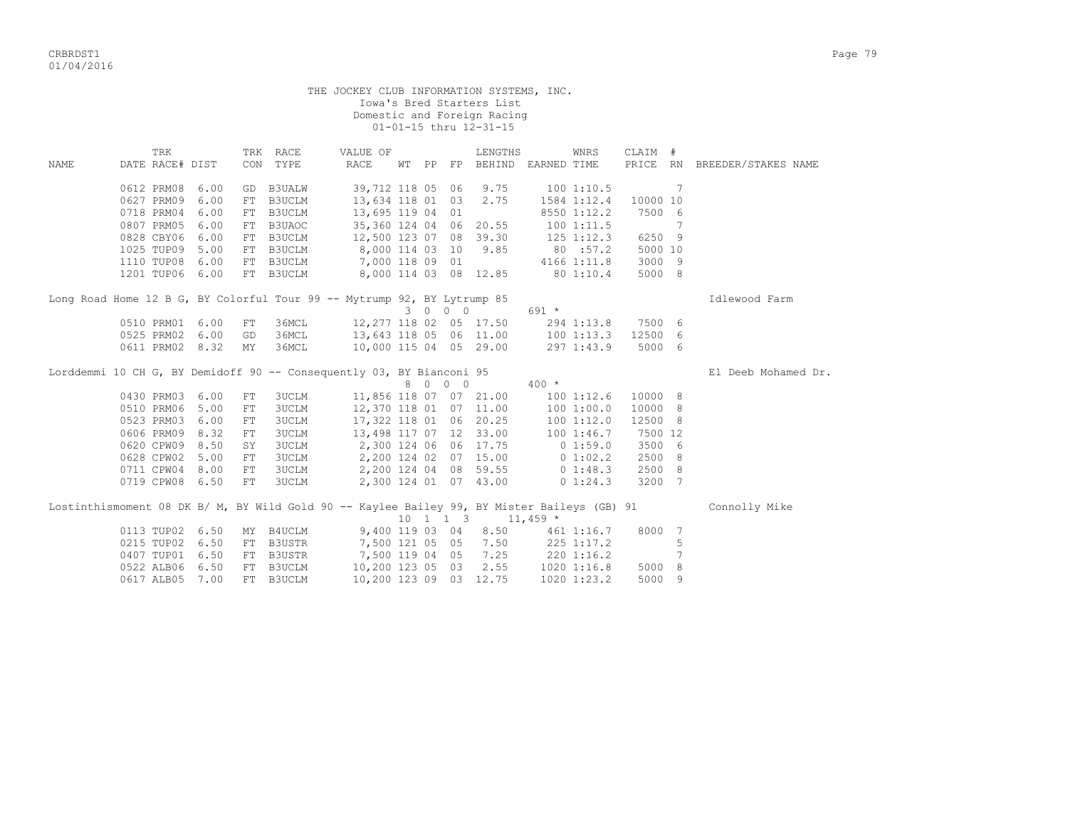CRBRDST1 Page 79 01/04/2016

|      |                 |      |            |              | THE JOCKEY CLUB INFORMATION SYSTEMS, INC.                                                   |  |         |                                                          |                                      |              |          |                 |                              |
|------|-----------------|------|------------|--------------|---------------------------------------------------------------------------------------------|--|---------|----------------------------------------------------------|--------------------------------------|--------------|----------|-----------------|------------------------------|
|      |                 |      |            |              |                                                                                             |  |         | Iowa's Bred Starters List                                |                                      |              |          |                 |                              |
|      |                 |      |            |              |                                                                                             |  |         | Domestic and Foreign Racing                              |                                      |              |          |                 |                              |
|      |                 |      |            |              |                                                                                             |  |         | 01-01-15 thru 12-31-15                                   |                                      |              |          |                 |                              |
|      | TRK             |      |            | TRK RACE     | VALUE OF                                                                                    |  |         | LENGTHS                                                  |                                      | WNRS         | CLAIM #  |                 |                              |
| NAME | DATE RACE# DIST |      |            | CON TYPE     | RACE                                                                                        |  |         | WT PP FP BEHIND EARNED TIME                              |                                      |              |          |                 | PRICE RN BREEDER/STAKES NAME |
|      |                 |      |            |              |                                                                                             |  |         |                                                          |                                      |              |          |                 |                              |
|      | 0612 PRM08      | 6.00 |            | GD B3UALW    | 39,712 118 05 06                                                                            |  |         | 9.75                                                     |                                      | 1001:10.5    |          | 7               |                              |
|      | 0627 PRM09      | 6.00 |            | FT B3UCLM    | 13,634 118 01 03                                                                            |  |         | 2.75                                                     |                                      | 1584 1:12.4  | 10000 10 |                 |                              |
|      | 0718 PRM04 6.00 |      |            | FT B3UCLM    | 13,695 119 04 01                                                                            |  |         |                                                          |                                      | 8550 1:12.2  | 7500 6   |                 |                              |
|      | 0807 PRM05 6.00 |      |            | FT B3UAOC    | 35,360 124 04 06 20.55                                                                      |  |         |                                                          |                                      | 1001:11.5    |          | $7\phantom{.0}$ |                              |
|      | 0828 CBY06 6.00 |      |            | FT B3UCLM    |                                                                                             |  |         | 12,500 123 07 08 39.30                                   |                                      | 125 1:12.3   | 6250 9   |                 |                              |
|      | 1025 TUP09 5.00 |      |            | FT B3UCLM    | 8,000 114 03 10                                                                             |  |         | 9.85                                                     | 80:57.2                              |              | 5000 10  |                 |                              |
|      | 1110 TUP08 6.00 |      |            | FT B3UCLM    | 7,000 118 09 01                                                                             |  |         |                                                          |                                      | 4166 1:11.8  | 3000 9   |                 |                              |
|      | 1201 TUP06 6.00 |      |            | FT B3UCLM    |                                                                                             |  |         | 8,000 114 03 08 12.85                                    | 80 1:10.4                            |              | 5000 8   |                 |                              |
|      |                 |      |            |              |                                                                                             |  |         |                                                          |                                      |              |          |                 |                              |
|      |                 |      |            |              | Long Road Home 12 B G, BY Colorful Tour 99 -- Mytrump 92, BY Lytrump 85                     |  |         |                                                          |                                      |              |          |                 | Idlewood Farm                |
|      |                 |      |            |              |                                                                                             |  | 3 0 0 0 |                                                          | $691 *$                              |              |          |                 |                              |
|      | 0510 PRM01 6.00 |      | FT         | 36MCL        |                                                                                             |  |         | 12,277 118 02 05 17.50                                   |                                      | 294 1:13.8   | 7500 6   |                 |                              |
|      | 0525 PRM02 6.00 |      | GD         | 36MCL        | 13,643 118 05 06 11.00                                                                      |  |         |                                                          |                                      | 1001:13.3    | 12500 6  |                 |                              |
|      | 0611 PRM02 8.32 |      | MY         | 36MCL        | 10,000 115 04 05 29.00                                                                      |  |         |                                                          |                                      | 297 1:43.9   | 5000 6   |                 |                              |
|      |                 |      |            |              |                                                                                             |  |         |                                                          |                                      |              |          |                 |                              |
|      |                 |      |            |              | Lorddemmi 10 CH G, BY Demidoff 90 -- Consequently 03, BY Bianconi 95                        |  |         |                                                          |                                      |              |          |                 | El Deeb Mohamed Dr.          |
|      |                 |      |            |              |                                                                                             |  | 8 0 0 0 |                                                          | $400 *$                              |              |          |                 |                              |
|      | 0430 PRM03 6.00 |      | FT         | <b>3UCLM</b> |                                                                                             |  |         | 11,856 118 07 07 21.00                                   |                                      | 1001:12.6    | 10000 8  |                 |                              |
|      | 0510 PRM06 5.00 |      | ${\rm FT}$ | 3UCLM        |                                                                                             |  |         | 12,370 118 01 07 11.00                                   |                                      | 1001:00.0    | 10000 8  |                 |                              |
|      | 0523 PRM03 6.00 |      | ${\rm FT}$ | 3UCLM        |                                                                                             |  |         | 17,322 118 01 06 20.25                                   |                                      |              | 12500 8  |                 |                              |
|      | 0606 PRM09 8.32 |      | ${\rm FT}$ | 3UCLM        |                                                                                             |  |         | 13,498 117 07 12 33.00                                   |                                      |              | 7500 12  |                 |                              |
|      | 0620 CPW09 8.50 |      | SY         | 3UCLM        | 2,300 124 06 06 17.75                                                                       |  |         |                                                          | 100 1:12.0<br>100 1:46.7<br>0 1:59.0 |              | 3500 6   |                 |                              |
|      | 0628 CPW02 5.00 |      | FT         | 3UCLM        |                                                                                             |  |         | 2,200 124 02 07 15.00                                    | 0 1:02.2                             |              | 2500 8   |                 |                              |
|      | 0711 CPW04 8.00 |      | FT         | 3UCLM        |                                                                                             |  |         | 2,200 124 04 08 59.55                                    |                                      | $0\;1:48.3$  | 2500 8   |                 |                              |
|      | 0719 CPW08 6.50 |      | FT         | 3UCLM        |                                                                                             |  |         | 2,300 124 01 07 43.00                                    |                                      | $0\;1:24.3$  | 3200 7   |                 |                              |
|      |                 |      |            |              |                                                                                             |  |         |                                                          |                                      |              |          |                 |                              |
|      |                 |      |            |              | Lostinthismoment 08 DK B/ M, BY Wild Gold 90 -- Kaylee Bailey 99, BY Mister Baileys (GB) 91 |  |         |                                                          |                                      |              |          |                 | Connolly Mike                |
|      |                 |      |            |              |                                                                                             |  |         | $10 \quad 1 \quad 1 \quad 3 \quad 11,459 \quad ^{\star}$ |                                      |              |          |                 |                              |
|      | 0113 TUP02 6.50 |      |            | MY B4UCLM    | 9,400 119 03 04                                                                             |  |         | 8.50                                                     |                                      | 461 1:16.7   | 8000 7   |                 |                              |
|      | 0215 TUP02 6.50 |      |            | FT B3USTR    | 7,500 121 05 05                                                                             |  |         | 7.50                                                     |                                      | 225 1:17.2   |          | 5               |                              |
|      | 0407 TUP01 6.50 |      |            | FT B3USTR    | 7,500 119 04 05                                                                             |  |         | 7.25                                                     |                                      | $220$ 1:16.2 |          | 7               |                              |
|      | 0522 ALB06 6.50 |      |            | FT B3UCLM    | 10,200 123 05 03                                                                            |  |         | 2.55                                                     |                                      |              | 5000 8   |                 |                              |
|      | 0617 ALB05      | 7.00 |            | FT B3UCLM    | 10,200 123 09 03 12.75                                                                      |  |         |                                                          | 1020 1:16.8                          | 1020 1:23.2  | 5000     | - 9             |                              |
|      |                 |      |            |              |                                                                                             |  |         |                                                          |                                      |              |          |                 |                              |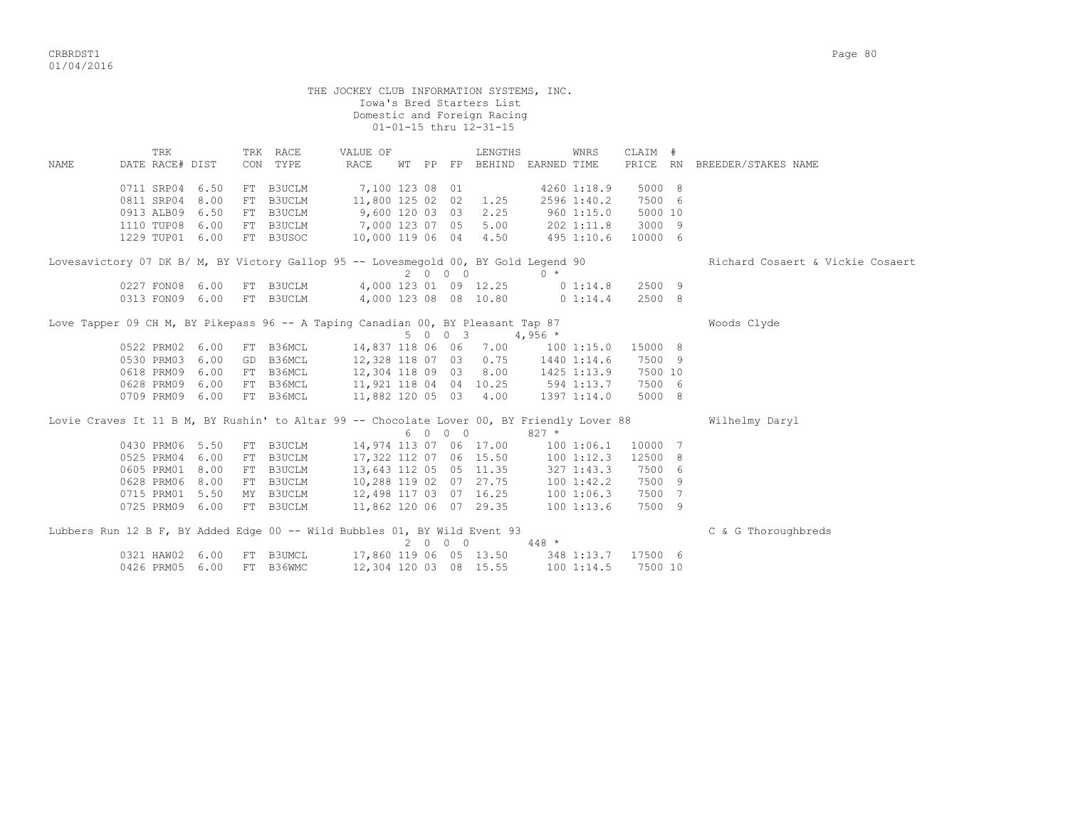critering the contract of the contract of the contract of the contract of the contract of the contract of the contract of the contract of the contract of the contract of the contract of the contract of the contract of the 01/04/2016

 THE JOCKEY CLUB INFORMATION SYSTEMS, INC. Iowa's Bred Starters List Domestic and Foreign Racing 01-01-15 thru 12-31-15 TRK TRK RACE VALUE OF LENGTHS WNRS CLAIM # NAME DATE RACE# DIST CON TYPE RACE WT PP FP BEHIND EARNED TIME PRICE RN BREEDER/STAKES NAME 0711 SRP04 6.50 FT B3UCLM 7,100 123 08 01 4260 1:18.9 5000 8 0811 SRP04 8.00 FT B3UCLM 11,800 125 02 02 1.25 2596 1:40.2 7500 6

 0913 ALB09 6.50 FT B3UCLM 9,600 120 03 03 2.25 960 1:15.0 5000 10 1110 TUP08 6.00 FT B3UCLM 7,000 123 07 05 5.00 202 1:11.8 3000 9 1229 TUP01 6.00 FT B3USOC 10,000 119 06 04 4.50 495 1:10.6 10000 6 Lovesavictory 07 DK B/ M, BY Victory Gallop 95 -- Lovesmegold 00, BY Gold Legend 90 Richard Cosaert & Vickie Cosaert  $2\quad 0\quad 0\quad 0\quad \star$  0227 FON08 6.00 FT B3UCLM 4,000 123 01 09 12.25 0 1:14.8 2500 9 0313 FON09 6.00 FT B3UCLM 4,000 123 08 08 10.80 0 1:14.4 2500 8 Love Tapper 09 CH M, BY Pikepass 96 -- A Taping Canadian 00, BY Pleasant Tap 87  $5 \t0 \t0 \t3 \t4.956$  \* 0522 PRM02 6.00 FT B36MCL 14,837 118 06 06 7.00 100 1:15.0 15000 8 0530 PRM03 6.00 GD B36MCL 12,328 118 07 03 0.75 1440 1:14.6 7500 9 0618 PRM09 6.00 FT B36MCL 12,304 118 09 03 8.00 1425 1:13.9 7500 10 0628 PRM09 6.00 FT B36MCL 11,921 118 04 04 10.25 594 1:13.7 7500 6 0709 PRM09 6.00 FT B36MCL 11,882 120 05 03 4.00 1397 1:14.0 5000 8 Lovie Craves It 11 B M, BY Rushin' to Altar 99 -- Chocolate Lover 00, BY Friendly Lover 88 Wilhelmy Daryl 6 0 0 0 827 \* 0430 PRM06 5.50 FT B3UCLM 14,974 113 07 06 17.00 100 1:06.1 10000 7 0525 PRM04 6.00 FT B3UCLM 17,322 112 07 06 15.50 100 1:12.3 12500 8 0605 PRM01 8.00 FT B3UCLM 13,643 112 05 05 11.35 327 1:43.3 7500 6 0628 PRM06 8.00 FT B3UCLM 10,288 119 02 07 27.75 100 1:42.2 7500 9 0715 PRM01 5.50 MY B3UCLM 12,498 117 03 07 16.25 100 1:06.3 7500 7 0725 PRM09 6.00 FT B3UCLM 11,862 120 06 07 29.35 100 1:13.6 7500 9 Lubbers Run 12 B F, BY Added Edge 00 -- Wild Bubbles 01, BY Wild Event 93 C & G Thoroughbreds  $2\quad 0\quad 0\quad 0\quad 448$  \* 0321 HAW02 6.00 FT B3UMCL 17,860 119 06 05 13.50 348 1:13.7 17500 6 0426 PRM05 6.00 FT B36WMC 12,304 120 03 08 15.55 100 1:14.5 7500 10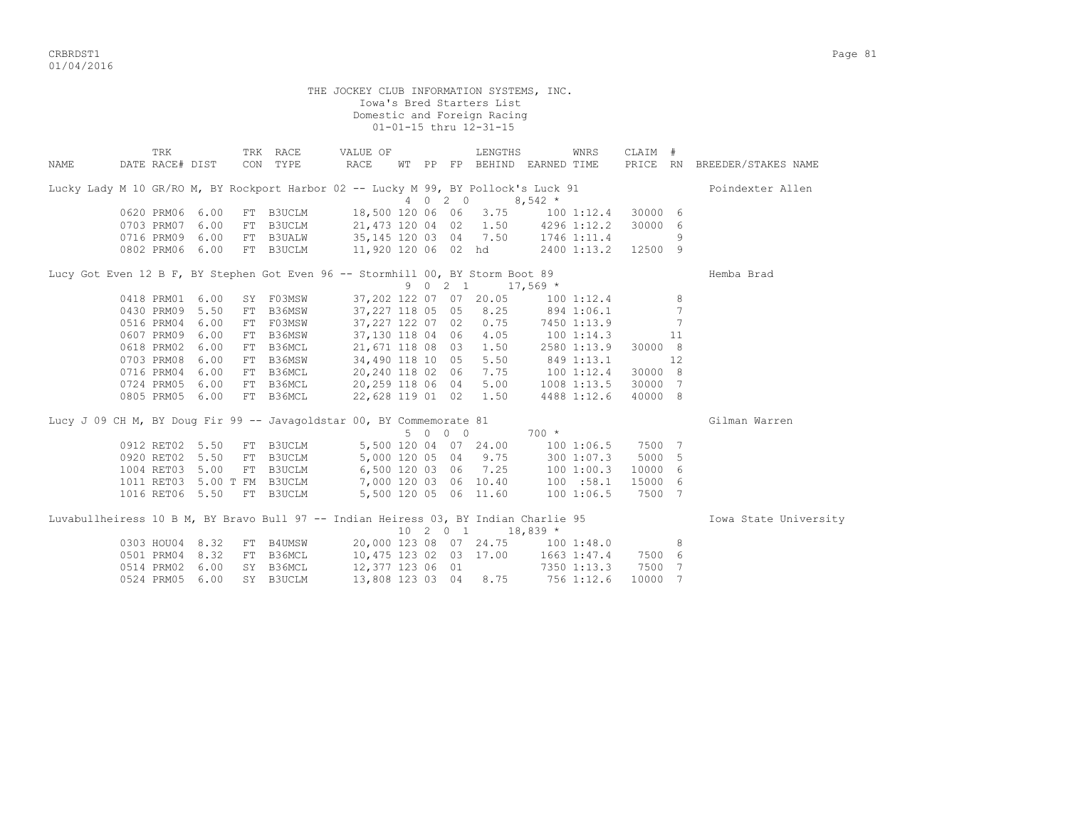CRBRDST1 Page 81 01/04/2016

THE JOCKEY CLUB INFORMATION SYSTEMS, INC. Iowa's Bred Starters List Domestic and Foreign Racing 01-01-15 thru 12-31-15 TRK TRK RACE VALUE OF LENGTHS WNRS CLAIM # NAME DATE RACE# DIST CON TYPE RACE WT PP FP BEHIND EARNED TIME PRICE RN BREEDER/STAKES NAME Lucky Lady M 10 GR/RO M, BY Rockport Harbor 02 -- Lucky M 99, BY Pollock's Luck 91 Poindexter Allen  $4 \t0 \t2 \t0 \t8.542 \t*$  0620 PRM06 6.00 FT B3UCLM 18,500 120 06 06 3.75 100 1:12.4 30000 6 0703 PRM07 6.00 FT B3UCLM 21,473 120 04 02 1.50 4296 1:12.2 30000 6 0716 PRM09 6.00 FT B3UALW 35,145 120 03 04 7.50 1746 1:11.4 9 0802 PRM06 6.00 FT B3UCLM 11,920 120 06 02 hd 2400 1:13.2 12500 9 Lucy Got Even 12 B F, BY Stephen Got Even 96 -- Stormhill 00, BY Storm Boot 89 Hemba Brad 9 0 2 1 17,569 \*<br>37,202 122 07 07 20.05 100 1:12.4 8<br>37,227 118 05 05 8.25 894 1:06.1 7 0418 PRM01 6.00 SY F03MSW 37,202 122 07 07 20.05 100 1:12.4 8 0430 PRM09 5.50 FT B36MSW 37,227 118 05 05 8.25 894 1:06.1 7 0516 PRM04 6.00 FT F03MSW 37,227 122 07 02 0.75 7450 1:13.9 7 0607 PRM09 6.00 FT B36MSW 37,130 118 04 06 4.05 100 1:14.3 11 0618 PRM02 6.00 FT B36MCL 21,671 118 08 03 1.50 2580 1:13.9 30000 8 0703 PRM08 6.00 FT B36MSW 34,490 118 10 05 5.50 849 1:13.1 12 0716 PRM04 6.00 FT B36MCL 20,240 118 02 06 7.75 100 1:12.4 30000 8 0724 PRM05 6.00 FT B36MCL 20,259 118 06 04 5.00 1008 1:13.5 30000 7 0805 PRM05 6.00 FT B36MCL 22,628 119 01 02 1.50 4488 1:12.6 40000 8 Lucy J 09 CH M, BY Doug Fir 99 -- Javagoldstar 00, BY Commemorate 81 Gilman Warren 5 0 0 0 700 \* 0912 RET02 5.50 FT B3UCLM 5,500 120 04 07 24.00 100 1:06.5 7500 7<br>0920 RET02 5.50 FT B3UCLM 5,000 120 05 04 9.75 300 1:07.3 5000 5 0920 RET02 5.50 FT B3UCLM 5,000 120 05 04 9.75 300 1:07.3 1004 RET03 5.00 FT B3UCLM 6,500 120 03 06 7.25 100 1:00.3 10000 6 1011 RET03 5.00 T FM B3UCLM 7,000 120 03 06 10.40 100 :58.1 15000 6 1016 RET06 5.50 FT B3UCLM 5,500 120 05 06 11.60 100 1:06.5 7500 7 Luvabullheiress 10 B M, BY Bravo Bull 97 -- Indian Heiress 03, BY Indian Charlie 95 **Iowa State University**  $10\quad 2\quad 0\quad 1\qquad 18,839$  \* 0303 HOU04 8.32 FT B4UMSW 20,000 123 08 07 24.75 100 1:48.0 8<br>0501 PRM04 8.32 FT B36MCL 10.475 123 02 03 17.00 1663 1:47.4 7500 6 0501 PRM04 8.32 FT B36MCL 10,475 123 02 03 17.00 1663 1:47.4 7500 6 0514 PRM02 6.00 SY B36MCL 12,377 123 06 01 7350 1:13.3 7500 7 0524 PRM05 6.00 SY B3UCLM 13,808 123 03 04 8.75 756 1:12.6 10000 7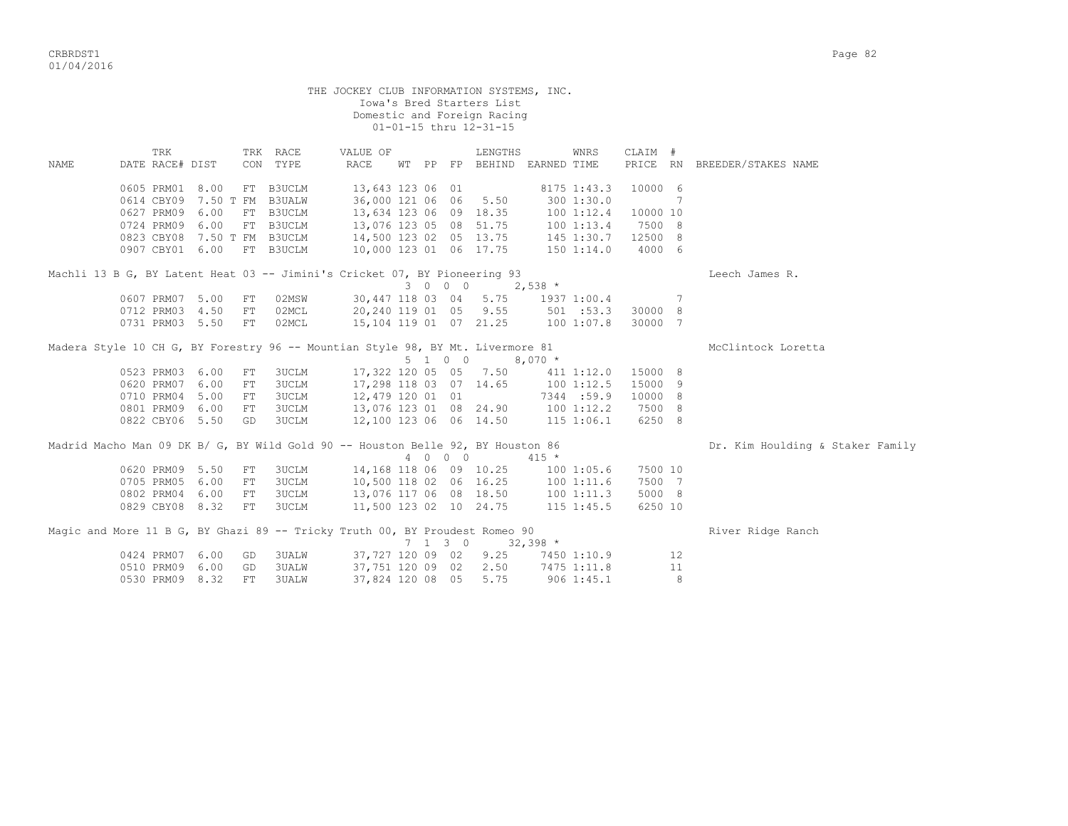CRBRDST1 Page 82 01/04/2016

|      |                                                                                 |      |             |              |                                                                                                                  |                 | Iowa's Bred Starters List<br>Domestic and Foreign Racing<br>01-01-15 thru 12-31-15 |            |                |                |    |                                  |
|------|---------------------------------------------------------------------------------|------|-------------|--------------|------------------------------------------------------------------------------------------------------------------|-----------------|------------------------------------------------------------------------------------|------------|----------------|----------------|----|----------------------------------|
|      | TRK                                                                             |      |             | TRK RACE     | VALUE OF                                                                                                         |                 | LENGTHS                                                                            |            | WNRS           | CLAIM #        |    |                                  |
| NAME | DATE RACE# DIST                                                                 |      |             | CON TYPE     | RACE                                                                                                             |                 | WT PP FP BEHIND EARNED TIME                                                        |            |                |                |    | PRICE RN BREEDER/STAKES NAME     |
|      | 0605 PRM01 8.00                                                                 |      |             | FT B3UCLM    | 13,643 123 06 01                                                                                                 |                 |                                                                                    |            | 8175 1:43.3    | 10000 6        |    |                                  |
|      | 0614 CBY09 7.50 T FM B3UALW                                                     |      |             |              | 36,000 121 06 06 5.50                                                                                            |                 |                                                                                    |            | 300 1:30.0     |                | -7 |                                  |
|      | 0627 PRM09 6.00                                                                 |      |             | FT B3UCLM    |                                                                                                                  |                 |                                                                                    |            | 100 1:12.4     | 10000 10       |    |                                  |
|      | 0724 PRM09 6.00                                                                 |      |             | FT B3UCLM    | 13,634 123 06 09 18.35<br>13,076 123 05 08 51.75                                                                 |                 |                                                                                    |            | 1001:13.4      | 7500 8         |    |                                  |
|      | 0823 CBY08 7.50 T FM B3UCLM                                                     |      |             |              | 14,500 123 02 05 13.75 145 1:30.7                                                                                |                 |                                                                                    |            |                | 12500 8        |    |                                  |
|      | 0907 CBY01 6.00 FT B3UCLM                                                       |      |             |              | 10,000 123 01 06 17.75                                                                                           |                 |                                                                                    |            | 150 1:14.0     | 4000 6         |    |                                  |
|      | Machli 13 B G, BY Latent Heat 03 -- Jimini's Cricket 07, BY Pioneering 93       |      |             |              |                                                                                                                  |                 |                                                                                    |            |                |                |    | Leech James R.                   |
|      |                                                                                 |      |             |              |                                                                                                                  | 3 0 0 0         |                                                                                    | $2,538$ *  |                |                |    |                                  |
|      | 0607 PRM07 5.00                                                                 |      | FT          | 02MSW        |                                                                                                                  |                 | 30,447 118 03 04 5.75                                                              |            | 1937 1:00.4    | $\overline{7}$ |    |                                  |
|      | 0712 PRM03 4.50                                                                 |      | FT          | 02MCL        | 20,240 119 01 05 9.55                                                                                            |                 |                                                                                    |            | 501 : 53.3     | 30000 8        |    |                                  |
|      | 0731 PRM03 5.50                                                                 |      | FT          | 02MCL        | 15, 104 119 01 07 21.25                                                                                          |                 |                                                                                    |            | 100 1:07.8     | 30000 7        |    |                                  |
|      | Madera Style 10 CH G, BY Forestry 96 -- Mountian Style 98, BY Mt. Livermore 81  |      |             |              |                                                                                                                  | 5 1 0 0         |                                                                                    | $8,070*$   |                |                |    | McClintock Loretta               |
|      | 0523 PRM03 6.00                                                                 |      | FT          | 3UCLM        |                                                                                                                  |                 | 17,322 120 05 05 7.50 411 1:12.0                                                   |            |                | 15000 8        |    |                                  |
|      | 0620 PRM07 6.00                                                                 |      | FT          | 3UCLM        | 17,298 118 03 07 14.65 100 1:12.5                                                                                |                 |                                                                                    |            |                | 15000 9        |    |                                  |
|      | 0710 PRM04 5.00                                                                 |      | FT          | 3UCLM        | 12,479 120 01 01                                                                                                 |                 |                                                                                    |            | 7344 :59.9     | 10000 8        |    |                                  |
|      | 0801 PRM09 6.00                                                                 |      | FT          | 3UCLM        |                                                                                                                  |                 | 13,076 123 01 08 24.90 100 1:12.2                                                  |            |                | 7500 8         |    |                                  |
|      | 0822 CBY06 5.50                                                                 |      | GD          | 3UCLM        |                                                                                                                  |                 | 12,100 123 06 06 14.50                                                             |            | 115 1:06.1     | 6250 8         |    |                                  |
|      | Madrid Macho Man 09 DK B/ G, BY Wild Gold 90 -- Houston Belle 92, BY Houston 86 |      |             |              |                                                                                                                  | 4 0 0 0         |                                                                                    | $415 *$    |                |                |    | Dr. Kim Houlding & Staker Family |
|      | 0620 PRM09 5.50                                                                 |      | FT          | 3UCLM        | 14,168 118 06 09 10.25                                                                                           |                 |                                                                                    |            | 1001:05.6      | 7500 10        |    |                                  |
|      | 0705 PRM05 6.00                                                                 |      | ${\rm FT}$  | 3UCLM        | 10,500 118 02 06 16.25                                                                                           |                 |                                                                                    |            | 1001:11.6      | 7500 7         |    |                                  |
|      | 0802 PRM04 6.00                                                                 |      | $_{\rm FT}$ | <b>3UCLM</b> |                                                                                                                  |                 |                                                                                    |            | 1001:11.3      | 5000 8         |    |                                  |
|      | 0829 CBY08 8.32                                                                 |      | FT          | 3UCLM        | 10,500 118 02   06   16.25<br>13,076 117 06   08   18.50<br>11,500 123 02   10   24.75<br>11,500 123 02 10 24.75 |                 |                                                                                    |            | $115$ $1:45.5$ | 6250 10        |    |                                  |
|      | Magic and More 11 B G, BY Ghazi 89 -- Tricky Truth 00, BY Proudest Romeo 90     |      |             |              |                                                                                                                  | $7 \t1 \t3 \t0$ |                                                                                    | $32,398$ * |                |                |    | River Ridge Ranch                |
|      | 0424 PRM07 6.00                                                                 |      | GD          | 3UALW        | 37,727 120 09 02                                                                                                 |                 | 9.25                                                                               |            | 7450 1:10.9    |                | 12 |                                  |
|      | 0510 PRM09                                                                      | 6.00 | GD          | 3UALW        | 37,751 120 09 02                                                                                                 |                 | 2.50                                                                               |            | 7475 1:11.8    |                | 11 |                                  |
|      | 0530 PRM09                                                                      | 8.32 | FT.         | <b>3UALW</b> | 37,824 120 08 05                                                                                                 |                 | 5.75                                                                               |            | $906$ 1:45.1   |                | 8  |                                  |

THE JOCKEY CLUB INFORMATION SYSTEMS, INC.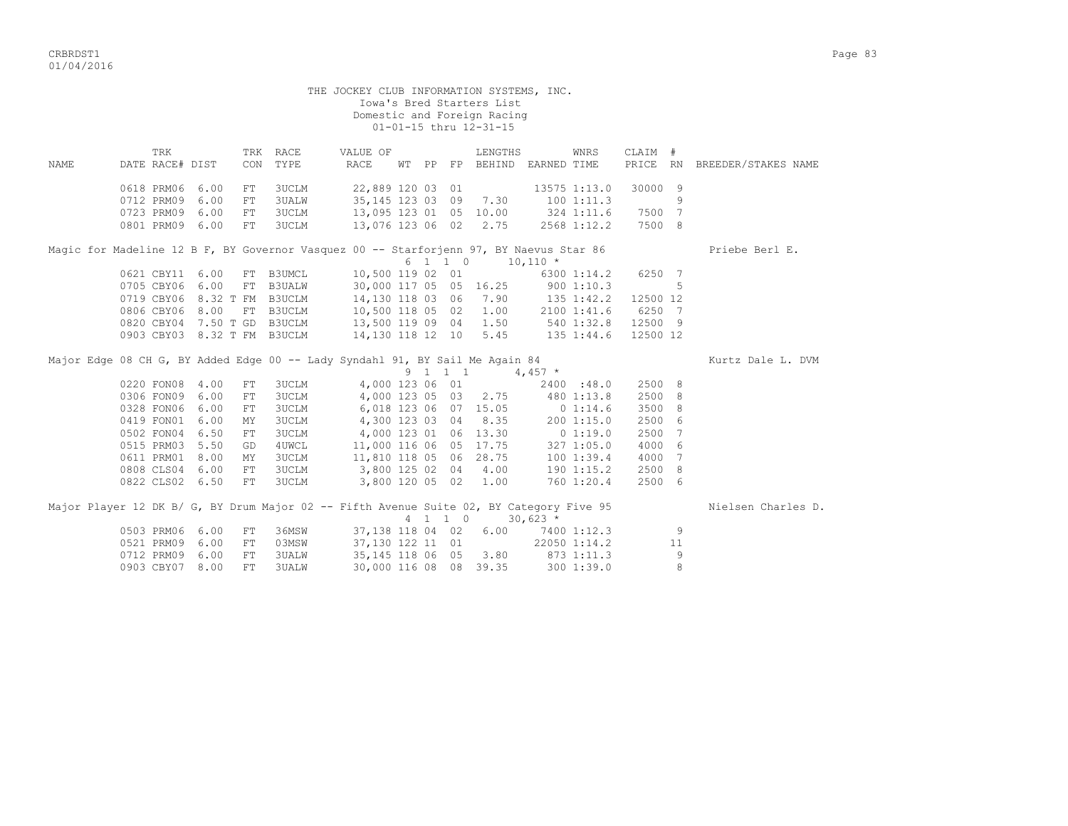CRBRDST1 Page 83 01/04/2016

| VI/ VT/ ムVIV |                                        |                        |                              |                       |                                  |                                                                      |       |                |                                                                                                |             |                                                        |                       |                  |                     |
|--------------|----------------------------------------|------------------------|------------------------------|-----------------------|----------------------------------|----------------------------------------------------------------------|-------|----------------|------------------------------------------------------------------------------------------------|-------------|--------------------------------------------------------|-----------------------|------------------|---------------------|
|              |                                        |                        |                              |                       |                                  | THE JOCKEY CLUB INFORMATION SYSTEMS, INC.                            |       |                | Iowa's Bred Starters List<br>Domestic and Foreign Racing<br>$01 - 01 - 15$ thru $12 - 31 - 15$ |             |                                                        |                       |                  |                     |
| NAME         |                                        | TRK<br>DATE RACE# DIST |                              | CON                   | TRK RACE<br>TYPE                 | VALUE OF<br>RACE                                                     | WT PP | FP             | LENGTHS<br><b>BEHIND</b>                                                                       | EARNED TIME | WNRS                                                   | CLAIM #<br>PRICE      | <b>RN</b>        | BREEDER/STAKES NAME |
|              | 0712 PRM09<br>0723 PRM09<br>0801 PRM09 | 0618 PRM06             | 6.00<br>6.00<br>6.00<br>6.00 | FT<br>FT<br>FT<br>FT. | 3UCLM<br>3UALW<br>3UCLM<br>3UCLM | 22,889 120 03 01<br>35, 145 123 03<br>13,095 123 01<br>13,076 123 06 |       | 09<br>05<br>02 | 7.30<br>10.00<br>2.75                                                                          |             | 13575 1:13.0<br>1001:11.3<br>324 1:11.6<br>2568 1:12.2 | 30000<br>7500<br>7500 | - 9<br>-7<br>- 8 |                     |

|                             |  |                       |  |                       | Magic for Madeline 12 B F, BY Governor Vasquez 00 -- Starforjenn 97, BY Naevus Star 86 |         | Priebe Berl E. |
|-----------------------------|--|-----------------------|--|-----------------------|----------------------------------------------------------------------------------------|---------|----------------|
|                             |  |                       |  |                       | 6 1 1 0 10,110 *                                                                       |         |                |
| 0621 CBY11 6.00 FT B3UMCL   |  |                       |  |                       | 10,500 119 02 01 6300 1:14.2 6250 7                                                    |         |                |
| 0705 CBY06 6.00 FT B3UALW   |  |                       |  |                       | 30,000 117 05 05 16.25 900 1:10.3                                                      | - 5     |                |
| 0719 CBY06 8.32 T FM B3UCLM |  |                       |  | 14,130 118 03 06 7.90 | 135 1:42.2 12500 12                                                                    |         |                |
| 0806 CBY06 8.00 FT B3UCLM   |  | 10,500 118 05 02 1.00 |  |                       | 2100 1:41.6 6250 7                                                                     |         |                |
| 0820 CBY04 7.50 T GD B3UCLM |  | 13,500 119 09 04 1.50 |  |                       | 540 1:32.8                                                                             | 12500 9 |                |
| 0903 CBY03 8.32 T FM B3UCLM |  |                       |  | 14,130 118 12 10 5.45 | 135 1:44.6 12500 12                                                                    |         |                |

| Major Edge 08 CH G, BY Added Edge 00 -- Lady Syndahl 91, BY Sail Me Again 84            |            |      |     |              |                        |   |         |                       |            |                |        |    | Kurtz Dale L. DVM  |
|-----------------------------------------------------------------------------------------|------------|------|-----|--------------|------------------------|---|---------|-----------------------|------------|----------------|--------|----|--------------------|
|                                                                                         |            |      |     |              |                        | 9 |         |                       | 4,457 $*$  |                |        |    |                    |
|                                                                                         | 0220 FON08 | 4.00 | FT. | 3UCLM        | 4,000 123 06 01        |   |         |                       |            | 2400 :48.0     | 2500 8 |    |                    |
|                                                                                         | 0306 FON09 | 6.00 | FT. | 3UCLM        |                        |   |         | 4,000 123 05 03 2.75  |            | 480 1:13.8     | 2500 8 |    |                    |
|                                                                                         | 0328 FON06 | 6.00 | FT  | 3UCLM        |                        |   |         | 6,018 123 06 07 15.05 |            | 01:14.6        | 3500 8 |    |                    |
|                                                                                         | 0419 FON01 | 6.00 | MY  | 3UCLM        | 4,300 123 03 04        |   |         | 8.35                  |            | 2001:15.0      | 2500 6 |    |                    |
|                                                                                         | 0502 FON04 | 6.50 | FT  | 3UCLM        |                        |   |         | 4,000 123 01 06 13.30 |            | $0\;1:19.0$    | 2500 7 |    |                    |
|                                                                                         | 0515 PRM03 | 5.50 | GD  | 4UWCL        | 11,000 116 06 05 17.75 |   |         |                       |            | 3271:05.0      | 4000 6 |    |                    |
|                                                                                         | 0611 PRM01 | 8.00 | MY  | 3UCLM        | 11,810 118 05 06       |   |         | 28.75                 |            | 1001:39.4      | 4000 7 |    |                    |
|                                                                                         | 0808 CLS04 | 6.00 | FT  | 3UCLM        | 3,800 125 02 04        |   |         | 4.00                  |            | $190$ $1:15.2$ | 2500 8 |    |                    |
|                                                                                         | 0822 CLS02 | 6.50 | FT. | 3UCLM        | 3,800 120 05 02        |   |         | 1.00                  |            | 760 1:20.4     | 2500 6 |    |                    |
| Major Player 12 DK B/ G, BY Drum Major 02 -- Fifth Avenue Suite 02, BY Category Five 95 |            |      |     |              |                        |   |         |                       |            |                |        |    | Nielsen Charles D. |
|                                                                                         |            |      |     |              |                        |   | 4 1 1 0 |                       | $30,623$ * |                |        |    |                    |
|                                                                                         | 0503 PRM06 | 6.00 | FТ  | 36MSW        | 37,138 118 04 02       |   |         | 6.00                  |            | 7400 1:12.3    |        | 9  |                    |
|                                                                                         | 0521 PRM09 | 6.00 | FT. | 03MSW        | 37,130 122 11 01       |   |         |                       |            | 22050 1:14.2   |        | 11 |                    |
|                                                                                         | 0712 PRM09 | 6.00 | FT. | <b>3UALW</b> | 35,145 118 06 05       |   |         | 3.80                  |            | 873 1:11.3     |        | 9  |                    |

0903 CBY07 8.00 FT 3UALW 30,000 116 08 08 39.35 300 1:39.0 8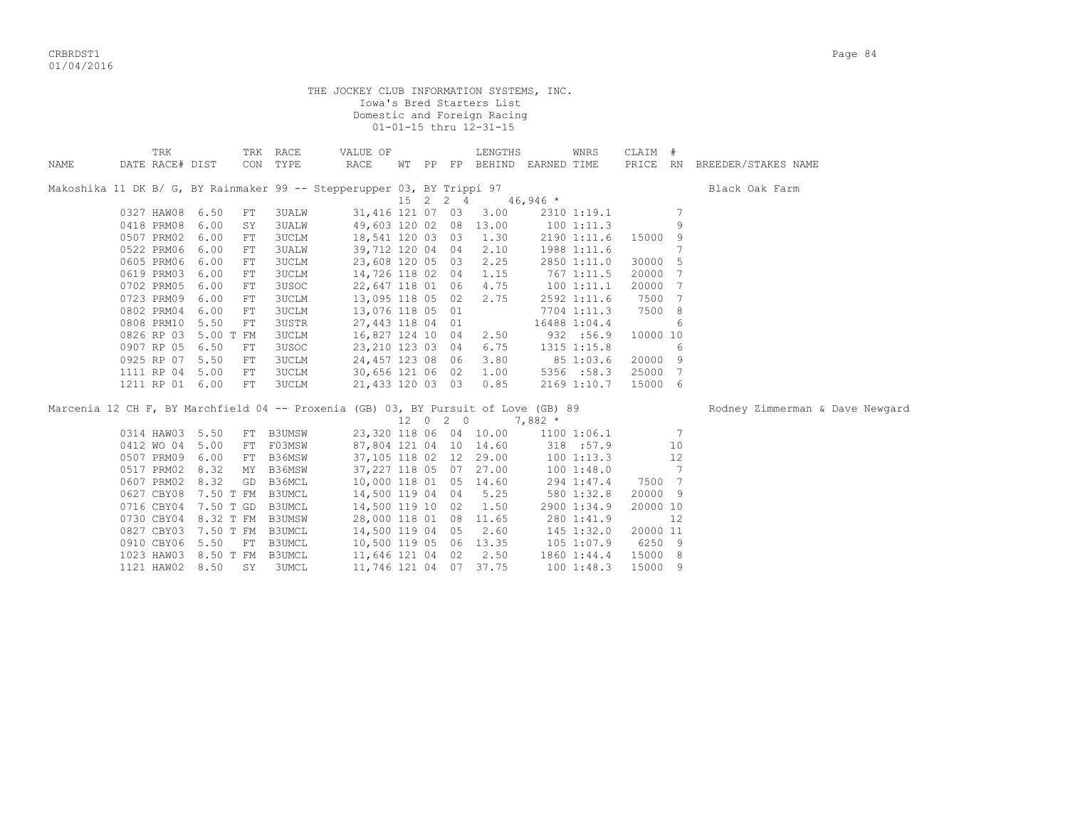CRBRDST1 Page 84 01/04/2016

|      |                             |      |                      | THE JOCKEY CLUB INFORMATION SYSTEMS, INC.                                          |  |          | Iowa's Bred Starters List<br>Domestic and Foreign Racing<br>01-01-15 thru 12-31-15 |            |              |          |                |                                 |
|------|-----------------------------|------|----------------------|------------------------------------------------------------------------------------|--|----------|------------------------------------------------------------------------------------|------------|--------------|----------|----------------|---------------------------------|
| NAME | TRK<br>DATE RACE# DIST      |      | TRK RACE<br>CON TYPE | VALUE OF<br>RACE                                                                   |  |          | LENGTHS<br>WT PP FP BEHIND EARNED TIME                                             |            | WNRS         | CLAIM #  |                | PRICE RN BREEDER/STAKES NAME    |
|      |                             |      |                      | Makoshika 11 DK B/ G, BY Rainmaker 99 -- Stepperupper 03, BY Trippi 97             |  |          | $15 \quad 2 \quad 2 \quad 4 \quad 46,946 \star$                                    |            |              |          |                | Black Oak Farm                  |
|      | 0327 HAW08 6.50             |      | <b>3UALW</b><br>FT   | 31,416 121 07 03                                                                   |  |          | 3.00                                                                               |            | 2310 1:19.1  |          | 7              |                                 |
|      | 0418 PRM08 6.00             |      | 3UALW<br>SY          |                                                                                    |  |          | 49,603 120 02 08 13.00                                                             | 1001:11.3  |              |          | 9              |                                 |
|      | 0507 PRM02                  | 6.00 | 3UCLM<br>FT          | 18,541 120 03 03                                                                   |  |          | 1.30                                                                               |            | 2190 1:11.6  | 15000 9  |                |                                 |
|      | 0522 PRM06                  | 6.00 | <b>3UALW</b><br>FT   | 39,712 120 04 04                                                                   |  |          | 2.10                                                                               |            | 1988 1:11.6  |          | 7              |                                 |
|      | 0605 PRM06 6.00             |      | <b>3UCLM</b><br>FT   | 23,608 120 05 03                                                                   |  |          | 2.25                                                                               |            | 2850 1:11.0  | 30000 5  |                |                                 |
|      | 0619 PRM03 6.00             |      | 3UCLM<br>FT          | 14,726 118 02 04                                                                   |  |          | 1.15                                                                               | 767 1:11.5 |              | 20000 7  |                |                                 |
|      | 0702 PRM05                  | 6.00 | 3USOC<br>FT          | 22,647 118 01 06                                                                   |  |          | 4.75                                                                               | 100 1:11.1 |              | 20000 7  |                |                                 |
|      | 0723 PRM09                  | 6.00 | 3UCLM<br>FT          | 13,095 118 05 02                                                                   |  |          | 2.75                                                                               |            | 2592 1:11.6  | 7500 7   |                |                                 |
|      | 0802 PRM04                  | 6.00 | 3UCLM<br>FT          | 13,076 118 05 01                                                                   |  |          |                                                                                    |            | 7704 1:11.3  | 7500 8   |                |                                 |
|      | 0808 PRM10 5.50             |      | 3USTR<br>FT          | 27,443 118 04 01                                                                   |  |          |                                                                                    |            | 16488 1:04.4 |          | 6              |                                 |
|      | 0826 RP 03 5.00 T FM        |      | <b>3UCLM</b>         | 16,827 124 10 04                                                                   |  |          | 2.50                                                                               |            | 932 :56.9    | 10000 10 |                |                                 |
|      | 0907 RP 05 6.50             | FT   | 3USOC                | 23, 210 123 03 04                                                                  |  |          | 6.75                                                                               |            | 1315 1:15.8  |          | 6              |                                 |
|      | 0925 RP 07 5.50             | FT   | 3UCLM                | 24,457 123 08 06                                                                   |  |          | 3.80                                                                               | 85 1:03.6  |              | 20000 9  |                |                                 |
|      | 1111 RP 04 5.00             | FT   | <b>3UCLM</b>         | 30,656 121 06 02                                                                   |  |          | 1.00                                                                               |            | 5356 :58.3   | 25000 7  |                |                                 |
|      | 1211 RP 01 6.00             |      | FT<br><b>3UCLM</b>   | 21,433 120 03 03                                                                   |  |          | 0.85                                                                               |            | 2169 1:10.7  | 15000 6  |                |                                 |
|      |                             |      |                      | Marcenia 12 CH F, BY Marchfield 04 -- Proxenia (GB) 03, BY Pursuit of Love (GB) 89 |  |          |                                                                                    |            |              |          |                | Rodney Zimmerman & Dave Newgard |
|      |                             |      |                      |                                                                                    |  | 12 0 2 0 | $7,882*$                                                                           |            |              |          |                |                                 |
|      | 0314 HAW03 5.50             |      | FT B3UMSW            |                                                                                    |  |          | 23,320 118 06 04 10.00 1100 1:06.1                                                 |            |              |          | $\overline{7}$ |                                 |
|      | 0412 WO 04 5.00             |      | FT F03MSW            |                                                                                    |  |          | 87,804 121 04 10 14.60                                                             |            | 318 :57.9    |          | 10             |                                 |
|      | 0507 PRM09 6.00             |      | B36MSW<br>FT         |                                                                                    |  |          | 37,105 118 02 12 29.00                                                             |            | 1001:13.3    |          | 12             |                                 |
|      | 0517 PRM02 8.32             |      | MY B36MSW            |                                                                                    |  |          | 37, 227 118 05 07 27.00                                                            |            | 1001:38.0    |          | $\overline{7}$ |                                 |
|      | 0607 PRM02 8.32             |      | GD<br>B36MCL         | 10,000 118 01 05 14.60                                                             |  |          |                                                                                    |            | 294 1:47.4   | 7500 7   |                |                                 |
|      | 0627 CBY08 7.50 T FM B3UMCL |      |                      | 14,500 119 04 04 5.25                                                              |  |          |                                                                                    |            | 580 1:32.8   | 20000 9  |                |                                 |
|      | 0716 CBY04 7.50 T GD B3UMCL |      |                      | 14,500 119 10 02                                                                   |  |          | 1.50                                                                               |            | 2900 1:34.9  | 20000 10 |                |                                 |
|      | 0730 CBY04 8.32 T FM B3UMSW |      |                      | 28,000 118 01 08 11.65                                                             |  |          |                                                                                    |            | 280 1:41.9   |          | 12             |                                 |
|      | 0827 CBY03 7.50 T FM B3UMCL |      |                      | 14,500 119 04 05                                                                   |  |          | 2.60                                                                               | 145 1:32.0 |              | 20000 11 |                |                                 |
|      | 0910 CBY06 5.50             |      | FT B3UMCL            | 10,500 119 05 06 13.35                                                             |  |          |                                                                                    | 105 1:07.9 |              | 6250 9   |                |                                 |
|      | 1023 HAW03 8.50 T FM        |      | B3UMCL               | 11,646 121 04 02                                                                   |  |          | 2.50                                                                               |            | 1860 1:44.4  | 15000 8  |                |                                 |
|      | 1121 HAW02 8.50             |      | SY<br>3UMCL          | 11,746 121 04 07 37.75                                                             |  |          |                                                                                    |            | 1001:48.3    | 15000 9  |                |                                 |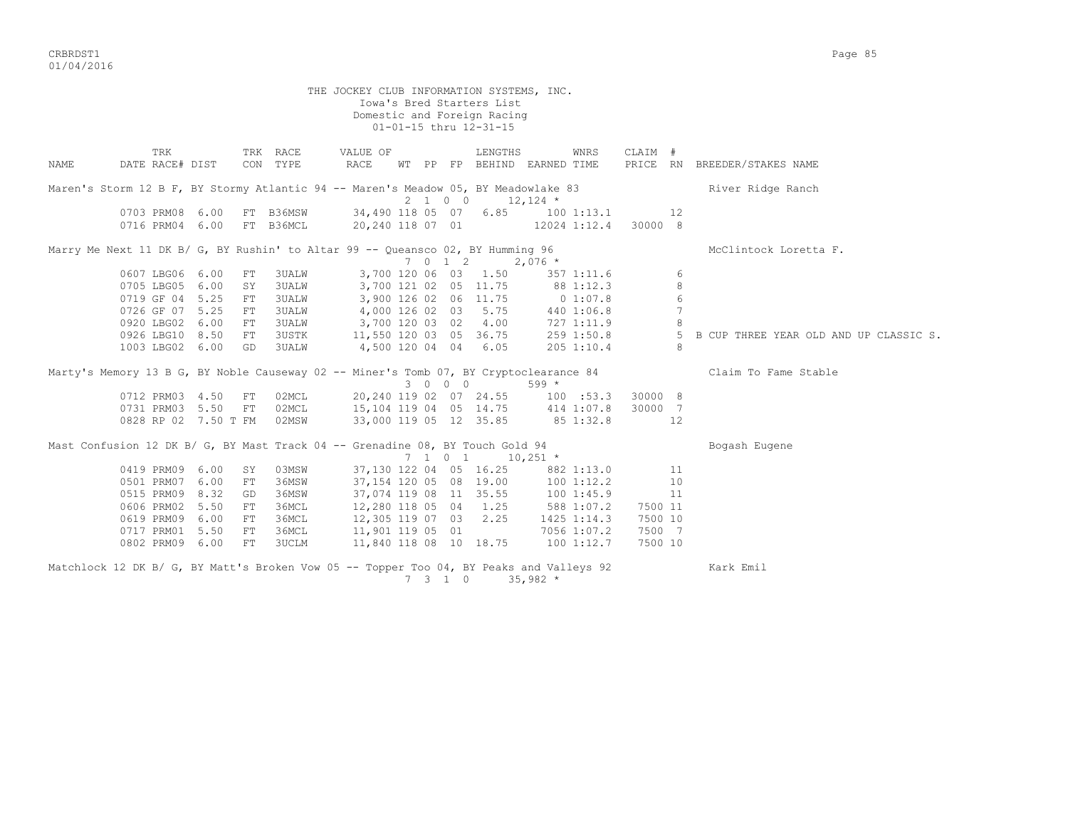CRBRDST1 Page 85 01/04/2016

 THE JOCKEY CLUB INFORMATION SYSTEMS, INC. Iowa's Bred Starters List Domestic and Foreign Racing 01-01-15 thru 12-31-15 TRK TRK RACE VALUE OF LENGTHS WNRS CLAIM # NAME DATE RACE# DIST CON TYPE RACE WT PP FP BEHIND EARNED TIME PRICE RN BREEDER/STAKES NAME Maren's Storm 12 B F, BY Stormy Atlantic 94 -- Maren's Meadow 05, BY Meadowlake 83 River Ridge Ranch  $2 \t1 \t0 \t0 \t12.124$  \* 0703 PRM08 6.00 FT B36MSW 34,490 118 05 07 6.85 100 1:13.1 12 0716 PRM04 6.00 FT B36MCL 20,240 118 07 01 12024 1:12.4 30000 8 Marry Me Next 11 DK B/ G, BY Rushin' to Altar 99 -- Queansco 02, BY Humming 96 McClintock Loretta F.  $7 \t 0 \t 1 \t 2 \t 2,076$  \* 0607 LBG06 6.00 FT 3UALW 3,700 120 06 03 1.50 357 1:11.6 6 0705 LBG05 6.00 SY 3UALW 3,700 121 02 05 11.75 88 1:12.3 8 0719 GF 04 5.25 FT 3UALW 3,900 126 02 06 11.75 0 1:07.8 6 0726 GF 07 5.25 FT 3UALW 4,000 126 02 03 5.75 440 1:06.8 7 0920 LBG02 6.00 FT 3UALW 3,700 120 03 02 4.00 727 1:11.9 8 0926 LBG10 8.50 FT 3USTK 11,550 120 03 05 36.75 259 1:50.8 5 B CUP THREE YEAR OLD AND UP CLASSIC S. 1003 LBG02 6.00 GD 3UALW 4,500 120 04 04 6.05 205 1:10.4 8 Marty's Memory 13 B G, BY Noble Causeway 02 -- Miner's Tomb 07, BY Cryptoclearance 84 Claim To Fame Stable  $3 \t0 \t0 \t0$  599  $\star$  0712 PRM03 4.50 FT 02MCL 20,240 119 02 07 24.55 100 :53.3 30000 8 0731 PRM03 5.50 FT 02MCL 15,104 119 04 05 14.75 414 1:07.8 30000 7 0828 RP 02 7.50 T FM 02MSW 33,000 119 05 12 35.85 85 1:32.8 12 Mast Confusion 12 DK B/ G, BY Mast Track 04 -- Grenadine 08, BY Touch Gold 94 Bogash Eugene  $7 \t1 \t0 \t1 \t10,251 \t*$  0419 PRM09 6.00 SY 03MSW 37,130 122 04 05 16.25 882 1:13.0 11 0501 PRM07 6.00 FT 36MSW 37,154 120 05 08 19.00 100 1:12.2 10 0515 PRM09 8.32 GD 36MSW 37,074 119 08 11 35.55 100 1:45.9 11 0606 PRM02 5.50 FT 36MCL 12,280 118 05 04 1.25 588 1:07.2 7500 11 0619 PRM09 6.00 FT 36MCL 12,305 119 07 03 2.25 1425 1:14.3 7500 10 0717 PRM01 5.50 FT 36MCL 11,901 119 05 01 7056 1:07.2 7500 7 0802 PRM09 6.00 FT 3UCLM 11,840 118 08 10 18.75 100 1:12.7 7500 10 Matchlock 12 DK B/ G, BY Matt's Broken Vow 05 -- Topper Too 04, BY Peaks and Valleys 92 Kark Emil

7 3 1 0 35,982 \*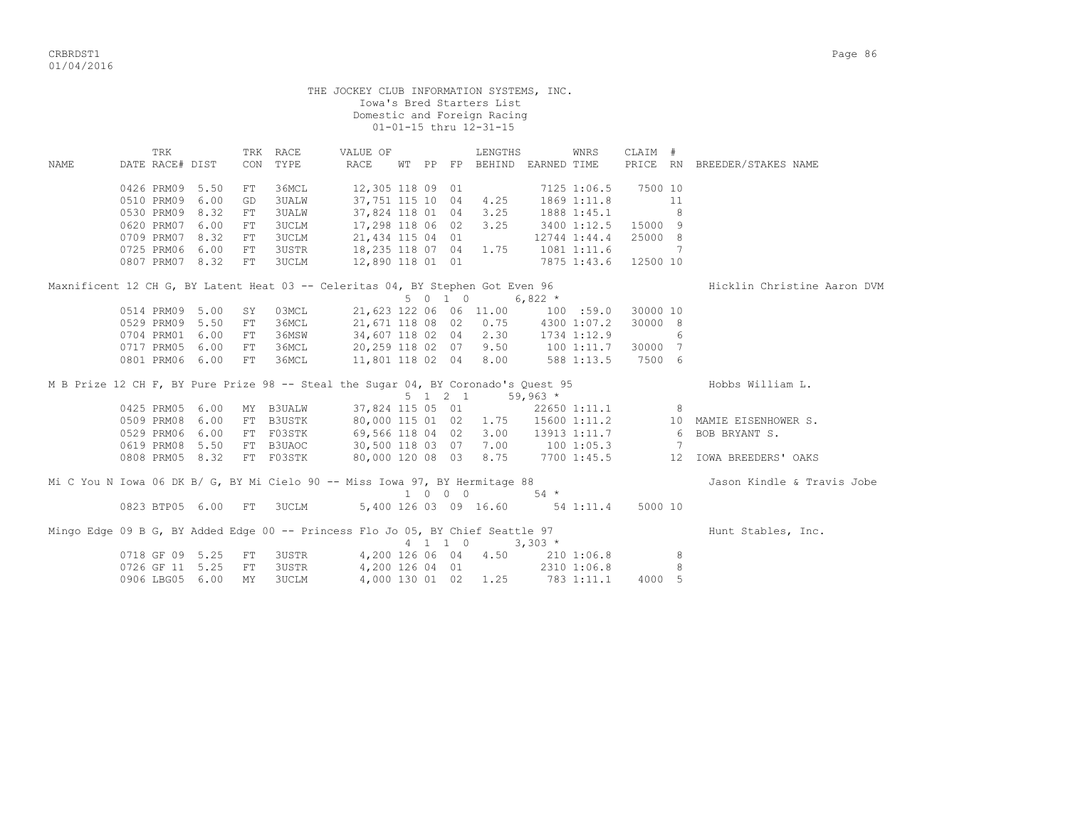CRBRDST1 Page 86 01/04/2016

THE JOCKEY CLUB INFORMATION SYSTEMS, INC. Iowa's Bred Starters List Domestic and Foreign Racing 01-01-15 thru 12-31-15 TRK TRK RACE VALUE OF LENGTHS WNRS CLAIM # NAME DATE RACE# DIST CON TYPE RACE WT PP FP BEHIND EARNED TIME PRICE RN BREEDER/STAKES NAME 0426 PRM09 5.50 FT 36MCL 12,305 118 09 01 7125 1:06.5 7500 10 0510 PRM09 6.00 GD 3UALW 37,751 115 10 04 4.25 1869 1:11.8 11 0530 PRM09 8.32 FT 3UALW 37,824 118 01 04 3.25 1888 1:45.1 8 0620 PRM07 6.00 FT 3UCLM 17,298 118 06 02 3.25 3400 1:12.5 15000 9 0709 PRM07 8.32 FT 3UCLM 21,434 115 04 01 12744 1:44.4 25000 8 0725 PRM06 6.00 FT 3USTR 18,235 118 07 04 1.75 1081 1:11.6 7 0807 PRM07 8.32 FT 3UCLM 12,890 118 01 01 7875 1:43.6 12500 10

Maxnificent 12 CH G, BY Latent Heat 03 -- Celeritas 04, BY Stephen Got Even 96 Hicklin Christine Aaron DVM  $5 \t0 \t1 \t0 \t6,822 \t\t*$  0514 PRM09 5.00 SY 03MCL 21,623 122 06 06 11.00 100 :59.0 30000 10 0529 PRM09 5.50 FT 36MCL 21,671 118 08 02 0.75 4300 1:07.2 30000 8 0704 PRM01 6.00 FT 36MSW 34,607 118 02 04 2.30 1734 1:12.9 6 0717 PRM05 6.00 FT 36MCL 20,259 118 02 07 9.50 100 1:11.7 30000 7 0801 PRM06 6.00 FT 36MCL 11,801 118 02 04 8.00 588 1:13.5 7500 6

M B Prize 12 CH F, BY Pure Prize 98 -- Steal the Sugar 04, BY Coronado's Quest 95 Hobbs William L.  $5 \t1 \t2 \t1 \t59,963$  \* 0425 PRM05 6.00 MY B3UALW 37,824 115 05 01 22650 1:11.1 8 0509 PRM08 6.00 FT B3USTK 80,000 115 01 02 1.75 15600 1:11.2 10 MAMIE EISENHOWER S. 0529 PRM06 6.00 FT F03STK 69,566 118 04 02 3.00 13913 1:11.7 6 BOB BRYANT S. 0619 PRM08 5.50 FT B3UAOC 30,500 118 03 07 7.00 100 1:05.3 7 0808 PRM05 8.32 FT F03STK 80,000 120 08 03 8.75 7700 1:45.5 12 IOWA BREEDERS' OAKS

Mi C You N Iowa 06 DK B/ G, BY Mi Cielo 90 -- Miss Iowa 97, BY Hermitage 88 Jason Kindle & Travis Jobe  $1 \t 0 \t 0 \t 54 \t \star$ <br>5 400 100 0 54  $\star$  0823 BTP05 6.00 FT 3UCLM 5,400 126 03 09 16.60 54 1:11.4 5000 10 Mingo Edge 09 B G, BY Added Edge 00 -- Princess Flo Jo 05, BY Chief Seattle 97 https://www.flunt Stables, Inc. 4 1 1 0 3,303 \* 0718 GF 09 5.25 FT 3USTR 4,200 126 06 04 4.50 210 1:06.8 8 0726 GF 11 5.25 FT 3USTR 4,200 126 04 01 2310 1:06.8 8 0910 GE US U.20 PH SUSTR (4,200 126 06 04 (4.50 (210 1:06.8 )<br>0906 LBG05 6.00 MY 3UCLM (4,000 130 01 02 1.25 783 1:11.1 (4000 5)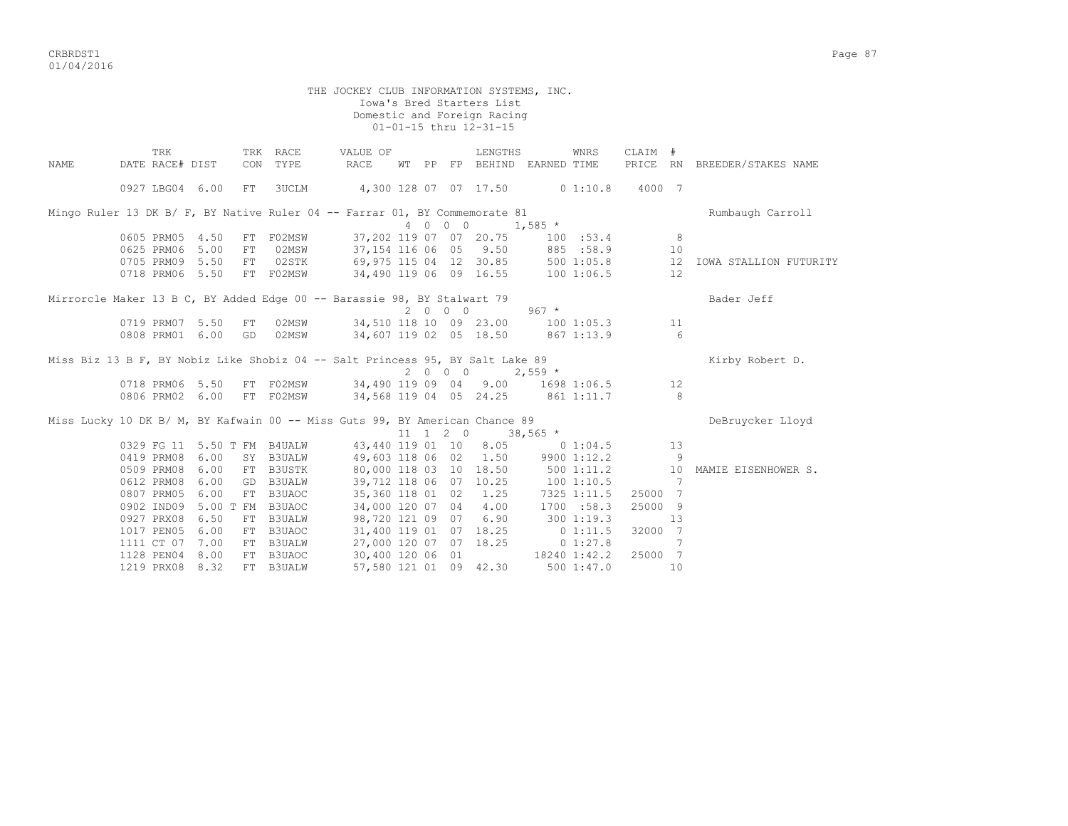CRBRDST1 Page 87 01/04/2016

 THE JOCKEY CLUB INFORMATION SYSTEMS, INC. Iowa's Bred Starters List Domestic and Foreign Racing 01-01-15 thru 12-31-15 TRK TRK RACE VALUE OF LENGTHS WNRS CLAIM # NAME DATE RACE# DIST CON TYPE RACE WT PP FP BEHIND EARNED TIME PRICE RN BREEDER/STAKES NAME 0927 LBG04 6.00 FT 3UCLM 4,300 128 07 07 17.50 0 1:10.8 4000 7 Mingo Ruler 13 DK B/ F, BY Native Ruler 04 -- Farrar 01, BY Commemorate 81 Rumbaugh Carroll 4 0 0 0 1,585 \* 0605 PRM05 4.50 FT F02MSW 37,202 119 07 07 20.75 100 :53.4 8 0625 PRM06 5.00 FT 02MSW 37,154 116 06 05 9.50 885 :58.9 10 0705 PRM09 5.50 FT 02STK 69,975 115 04 12 30.85 500 1:05.8 12 IOWA STALLION FUTURITY 0718 PRM06 5.50 FT F02MSW 34,490 119 06 09 16.55 100 1:06.5 12 Mirrorcle Maker 13 B C, BY Added Edge 00 -- Barassie 98, BY Stalwart 79 Bally Bader Jeff 2 0 0 0 967 \* 0719 PRM07 5.50 FT 02MSW 34,510 118 10 09 23.00 100 1:05.3 11 0808 PRM01 6.00 GD 02MSW 34,607 119 02 05 18.50 867 1:13.9 6 Miss Biz 13 B F, BY Nobiz Like Shobiz 04 -- Salt Princess 95, BY Salt Lake 89 Kirby Robert D.  $2 \t0 \t0 \t0 \t2.559$  \* 0718 PRM06 5.50 FT F02MSW 34,490 119 09 04 9.00 1698 1:06.5 12 0806 PRM02 6.00 FT F02MSW 34,568 119 04 05 24.25 861 1:11.7 8 Miss Lucky 10 DK B/ M, BY Kafwain 00 -- Miss Guts 99, BY American Chance 89 DeBruycker Lloyd  $11 \quad 1 \quad 2 \quad 0 \quad 38,565 \atop 111 \quad 1 \quad 2 \quad 0 \quad 38,565 \atop 111 \quad 2 \quad 0 \quad 3 \quad 3 \quad 5 \quad 5 \quad 5 \quad 6 \quad 7 \quad 8 \quad 7 \quad 8 \quad 7 \quad 8 \quad 7 \quad 8 \quad 7 \quad 8 \quad 8 \quad 7 \quad 8 \quad 9 \quad 9 \quad 10 \quad 9 \quad 11 \quad 12 \quad 13 \quad 14 \quad 15 \quad 16 \quad 17 \quad 18 \quad 19 \quad 10 \quad 11 \quad 12 \$  0329 FG 11 5.50 T FM B4UALW 43,440 119 01 10 8.05 0 1:04.5 13 0419 PRM08 6.00 SY B3UALW 49,603 118 06 02 1.50 9900 1:12.2 9 0509 PRM08 6.00 SI BOOMIN 19,000 118 03 10 18.50 500 1:11.2 10 MAMIE EISENHOWER S.<br>0612 PRM08 6.00 GD B3UALW 39,712 118 06 07 10.25 100 1:10.5 7 0612 PRM08 6.00 GD B3UALW 39,712 118 06 07 10.25 100 1:10.5 7 0807 PRM05 6.00 FT B3UAOC 35,360 118 01 02 1.25 7325 1:11.5 25000 7 0902 IND09 5.00 T FM B3UAOC 34,000 120 07 04 4.00 1700 :58.3 25000 9 0927 PRX08 6.50 FT B3UALW 98,720 121 09 07 6.90 300 1:19.3 13 1017 PEN05 6.00 FT B3UAOC 31,400 119 01 07 18.25 0 1:11.5 32000 7 1111 CT 07 7.00 FT B3UALW 27,000 120 07 07 18.25 0 1:27.8 7 1128 PEN04 8.00 FT B3UAOC 30,400 120 06 01 18240 1:42.2 25000 7 1219 PRX08 8.32 FT B3UALW 57,580 121 01 09 42.30 500 1:47.0 10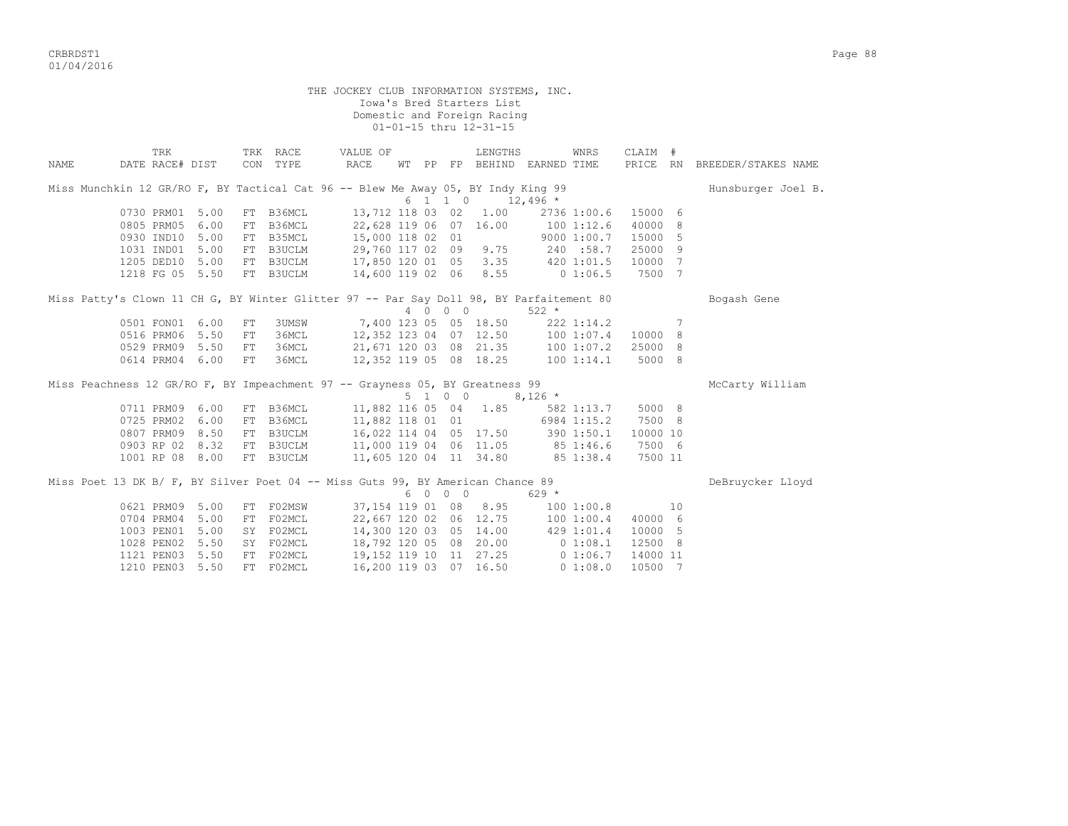critering the contract of the contract of the contract of the contract of the contract of the contract of the contract of the contract of the contract of the contract of the contract of the contract of the contract of the 01/04/2016

THE JOCKEY CLUB INFORMATION SYSTEMS, INC. Iowa's Bred Starters List Domestic and Foreign Racing 01-01-15 thru 12-31-15 TRK TRK RACE VALUE OF LENGTHS WNRS CLAIM # NAME DATE RACE# DIST CON TYPE RACE WT PP FP BEHIND EARNED TIME PRICE RN BREEDER/STAKES NAME Miss Munchkin 12 GR/RO F, BY Tactical Cat 96 -- Blew Me Away 05, BY Indy King 99 Hunsburger Joel B.  $6 \quad 1 \quad 1 \quad 0 \quad 12.496$  \* 0730 PRM01 5.00 FT B36MCL 13,712 118 03 02 1.00 2736 1:00.6 15000 6 0805 PRM05 6.00 FT B36MCL 22,628 119 06 07 16.00 100 1:12.6 40000 8 0930 IND10 5.00 FT B35MCL 15,000 118 02 01 9000 1:00.7 15000 5 1031 IND01 5.00 FT B3UCLM 29,760 117 02 09 9.75 240 :58.7 25000 9 1205 DED10 5.00 FT B3UCLM 17,850 120 01 05 3.35 420 1:01.5 10000 7 1218 FG 05 5.50 FT B3UCLM 14,600 119 02 06 8.55 0 1:06.5 7500 7 Miss Patty's Clown 11 CH G, BY Winter Glitter 97 -- Par Say Doll 98, BY Parfaitement 80 Bogash Gene 4 0 0 0 522 \* 0501 FON01 6.00 FT 3UMSW 7,400 123 05 05 18.50 222 1:14.2 7 0516 PRM06 5.50 FT 36MCL 12,352 123 04 07 12.50 100 1:07.4 10000 8 0529 PRM09 5.50 FT 36MCL 21,671 120 03 08 21.35 100 1:07.2 25000 8 0614 PRM04 6.00 FT 36MCL 12,352 119 05 08 18.25 100 1:14.1 5000 8 Miss Peachness 12 GR/RO F, BY Impeachment 97 -- Grayness 05, BY Greatness 99 McCarty William  $5 \t 1 \t 0 \t 0 \t 8.126 \t\t \star$ 0711 PRM09 6.00 FT B36MCL 11,882 116 05 04 1.85 582 1:13.7 5000 8<br>0725 PRM02 6.00 FT B36MCL 11,882 118 01 01 6984 1:15.2 7500 8 0725 PRM02 6.00 FT B36MCL 11,882 118 01 01 0807 PRM09 8.50 FT B3UCLM 16,022 114 04 05 17.50 390 1:50.1 10000 10 0903 RP 02 8.32 FT B3UCLM 11,000 119 04 06 11.05 85 1:46.6 7500 6 1001 RP 08 8.00 FT B3UCLM 11,605 120 04 11 34.80 85 1:38.4 7500 11 Miss Poet 13 DK B/ F, BY Silver Poet 04 -- Miss Guts 99, BY American Chance 89 DeBruycker Lloyd  $6 \t0 \t0 \t0 \t629$  \* 0621 PRM09 5.00 FT F02MSW 37,154 119 01 08 8.95 100 1:00.8 10 0704 PRM04 5.00 FT F02MCL 22,667 120 02 06 12.75 100 1:00.4 40000 6 1003 PEN01 5.00 SY F02MCL 14,300 120 03 05 14.00 429 1:01.4 10000 5 1028 PEN02 5.50 SY F02MCL 18,792 120 05 08 20.00 0 1:08.1 12500 8 1121 PEN03 5.50 FT F02MCL 19,152 119 10 11 27.25 0 1:06.7 14000 11 1210 PEN03 5.50 FT F02MCL 16,200 119 03 07 16.50 0 1:08.0 10500 7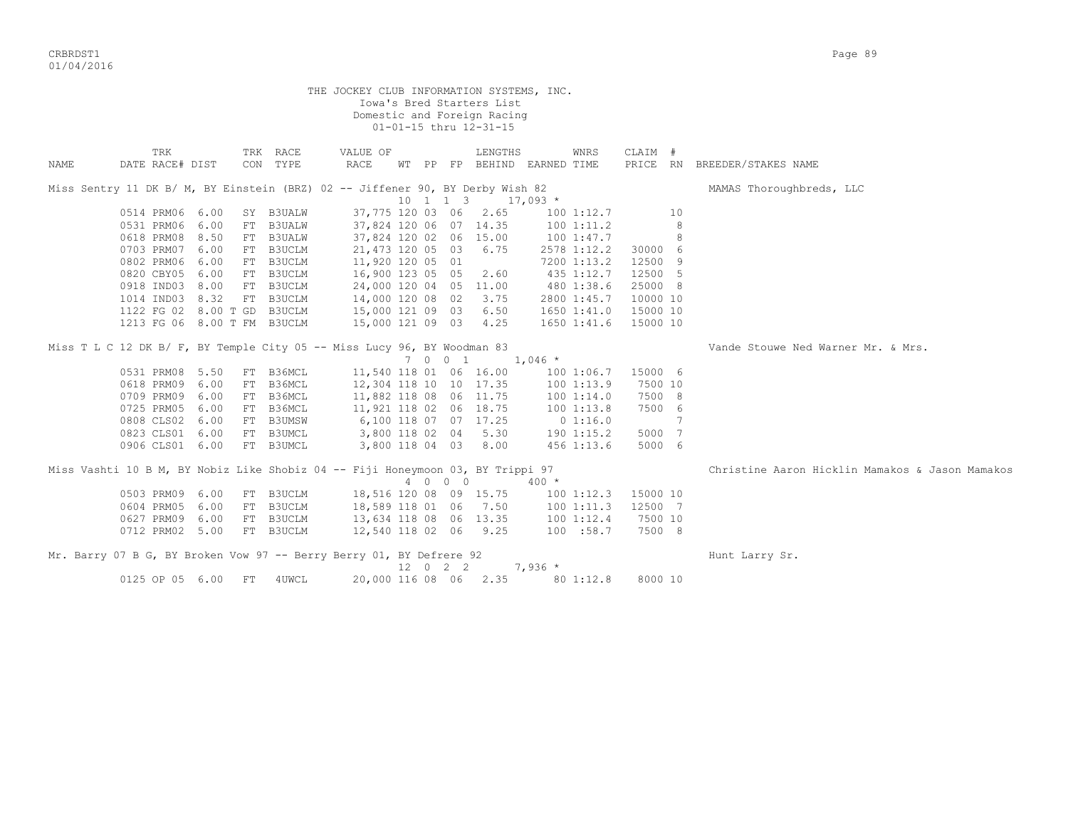CRBRDST1 Page 89 01/04/2016

|             |                                                                                |     |                      | THE JOCKEY CLUB INFORMATION SYSTEMS, INC. |          | Iowa's Bred Starters List<br>Domestic and Foreign Racing<br>01-01-15 thru 12-31-15 |                                     |          |   |                                                 |
|-------------|--------------------------------------------------------------------------------|-----|----------------------|-------------------------------------------|----------|------------------------------------------------------------------------------------|-------------------------------------|----------|---|-------------------------------------------------|
| <b>NAME</b> | TRK<br>DATE RACE# DIST                                                         |     | TRK RACE<br>CON TYPE | VALUE OF<br>RACE                          |          | LENGTHS                                                                            | WNRS<br>WT PP FP BEHIND EARNED TIME | CLAIM #  |   | PRICE RN BREEDER/STAKES NAME                    |
|             | Miss Sentry 11 DK B/ M, BY Einstein (BRZ) 02 -- Jiffener 90, BY Derby Wish 82  |     |                      |                                           |          |                                                                                    |                                     |          |   | MAMAS Thoroughbreds, LLC                        |
|             |                                                                                |     |                      |                                           | 10 1 1 3 |                                                                                    | $17,093$ *                          |          |   |                                                 |
|             | 0514 PRM06 6.00                                                                |     | SY B3UALW            | 37,775 120 03 06 2.65                     |          |                                                                                    | 100 1:12.7                          | 10       |   |                                                 |
|             | 0531 PRM06 6.00                                                                |     | FT B3UALW            | 37,824 120 06 07 14.35                    |          |                                                                                    | 1001:11.2                           |          | 8 |                                                 |
|             | 0618 PRM08<br>8.50                                                             |     | FT B3UALW            | 37,824 120 02 06 15.00                    |          |                                                                                    | 100 1:47.7                          |          | 8 |                                                 |
|             | 0703 PRM07<br>6.00                                                             |     | FT B3UCLM            | 21,473 120 05 03                          |          | 6.75                                                                               | 2578 1:12.2                         | 30000 6  |   |                                                 |
|             | 0802 PRM06<br>6.00                                                             |     | FT B3UCLM            | 11,920 120 05 01                          |          |                                                                                    | 7200 1:13.2                         | 12500 9  |   |                                                 |
|             | 0820 CBY05<br>6.00                                                             |     | FT B3UCLM            | 16,900 123 05 05                          |          | 2.60                                                                               | 435 1:12.7                          | 12500 5  |   |                                                 |
|             | 0918 IND03 8.00                                                                |     | FT B3UCLM            | 24,000 120 04 05 11.00                    |          |                                                                                    | 480 1:38.6                          | 25000 8  |   |                                                 |
|             | 1014 IND03 8.32                                                                |     | FT B3UCLM            | 14,000 120 08 02                          |          | 3.75                                                                               | 2800 1:45.7                         | 10000 10 |   |                                                 |
|             | 1122 FG 02 8.00 T GD B3UCLM                                                    |     |                      | 15,000 121 09 03                          |          | 6.50                                                                               | 1650 1:41.0                         | 15000 10 |   |                                                 |
|             | 1213 FG 06 8.00 T FM B3UCLM                                                    |     |                      | 15,000 121 09 03 4.25                     |          |                                                                                    | 1650 1:41.6                         | 15000 10 |   |                                                 |
|             | Miss T L C 12 DK B/ F, BY Temple City 05 -- Miss Lucy 96, BY Woodman 83        |     |                      |                                           |          |                                                                                    |                                     |          |   | Vande Stouwe Ned Warner Mr. & Mrs.              |
|             |                                                                                |     |                      |                                           | 7 0 0 1  |                                                                                    | $1,046$ *                           |          |   |                                                 |
|             | 0531 PRM08 5.50                                                                |     | FT B36MCL            | 11,540 118 01 06 16.00                    |          |                                                                                    | 1001:06.7                           | 15000 6  |   |                                                 |
|             | 0618 PRM09<br>6.00                                                             |     | FT B36MCL            | 12,304 118 10 10 17.35                    |          |                                                                                    | 1001:13.9                           | 7500 10  |   |                                                 |
|             | 0709 PRM09<br>6.00                                                             |     | FT B36MCL            | 11,882 118 08 06 11.75                    |          |                                                                                    | 100 1:14.0                          | 7500 8   |   |                                                 |
|             | 0725 PRM05<br>6.00                                                             |     | FT B36MCL            | 11,921 118 02 06 18.75                    |          |                                                                                    | 1001:13.8                           | 7500 6   |   |                                                 |
|             | 0808 CLS02 6.00                                                                |     | FT B3UMSW            | 6,100 118 07 07 17.25                     |          |                                                                                    | 0 1:16.0                            |          | 7 |                                                 |
|             | 0823 CLS01 6.00                                                                |     | FT B3UMCL            | 3,800 118 02 04 5.30                      |          |                                                                                    | 190 1:15.2                          | 5000 7   |   |                                                 |
|             | 0906 CLS01 6.00                                                                |     | FT B3UMCL            |                                           |          | 3,800 118 04 03 8.00                                                               | 456 1:13.6                          | 5000 6   |   |                                                 |
|             | Miss Vashti 10 B M, BY Nobiz Like Shobiz 04 -- Fiji Honeymoon 03, BY Trippi 97 |     |                      |                                           |          |                                                                                    |                                     |          |   | Christine Aaron Hicklin Mamakos & Jason Mamakos |
|             |                                                                                |     |                      |                                           | 4 0 0 0  |                                                                                    | $400 *$                             |          |   |                                                 |
|             | 0503 PRM09 6.00                                                                |     | FT B3UCLM            | 18,516 120 08 09 15.75                    |          |                                                                                    | 1001:12.3                           | 15000 10 |   |                                                 |
|             | 0604 PRM05<br>6.00                                                             |     | FT B3UCLM            | 18,589 118 01 06 7.50                     |          |                                                                                    | 1001:11.3                           | 12500 7  |   |                                                 |
|             | 0627 PRM09<br>6.00                                                             |     | FT B3UCLM            | 13,634 118 08 06 13.35                    |          |                                                                                    | 1001:12.4                           | 7500 10  |   |                                                 |
|             | 0712 PRM02 5.00                                                                |     | FT B3UCLM            | 12,540 118 02 06 9.25                     |          |                                                                                    | 100 :58.7                           | 7500 8   |   |                                                 |
|             | Mr. Barry 07 B G, BY Broken Vow 97 -- Berry Berry 01, BY Defrere 92            |     |                      |                                           |          |                                                                                    |                                     |          |   | Hunt Larry Sr.                                  |
|             |                                                                                |     |                      |                                           | 12 0 2 2 |                                                                                    | $7,936*$                            |          |   |                                                 |
|             | 0125 OP 05 6.00                                                                | FT. | 4UWCL                | 20,000 116 08 06 2.35                     |          |                                                                                    | 80 1:12.8                           | 8000 10  |   |                                                 |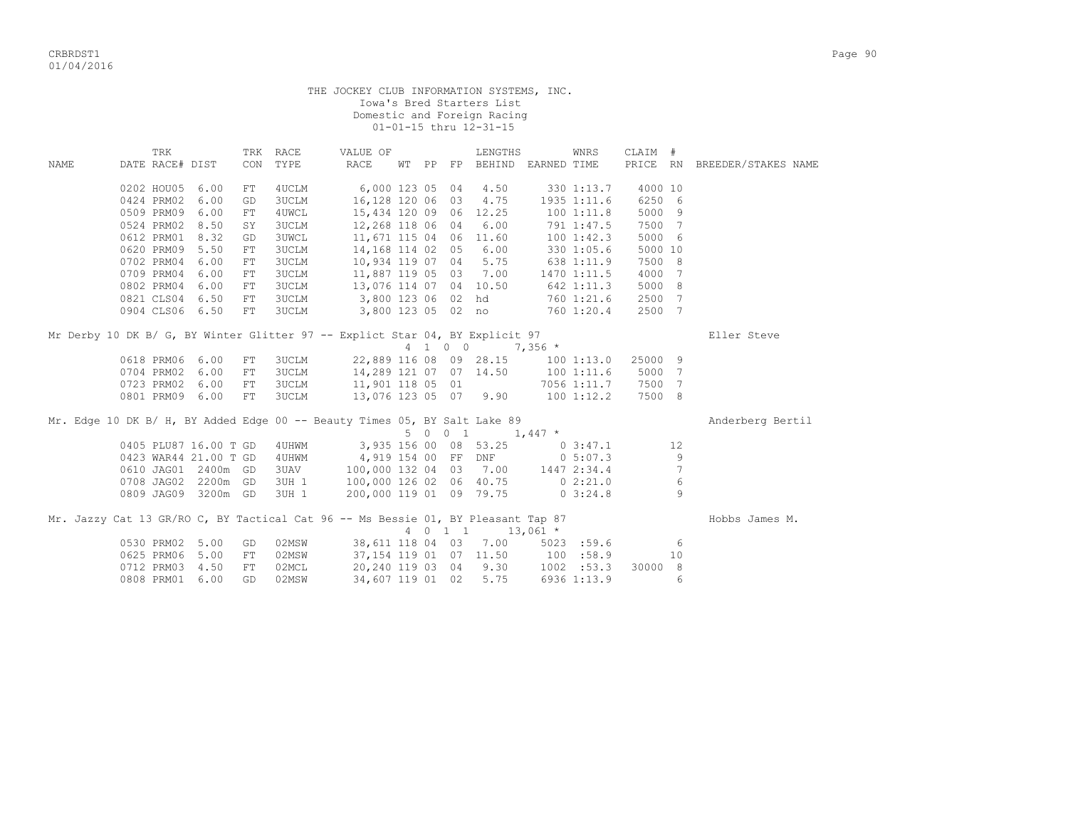THE JOCKEY CLUB INFORMATION SYSTEMS, INC. Iowa's Bred Starters List Domestic and Foreign Racing 01-01-15 thru 12-31-15

|      | TRK                   |      | TRK        | RACE         | VALUE OF                                                                         |    |    |         | LENGTHS                |             | WNRS          | CLAIM #  |               |                     |
|------|-----------------------|------|------------|--------------|----------------------------------------------------------------------------------|----|----|---------|------------------------|-------------|---------------|----------|---------------|---------------------|
| NAME | DATE RACE# DIST       |      | CON        | TYPE         | RACE                                                                             | WТ | PP |         | FP BEHIND EARNED TIME  |             |               | PRICE RN |               | BREEDER/STAKES NAME |
|      |                       |      |            |              |                                                                                  |    |    |         |                        |             |               |          |               |                     |
|      | 0202 HOU05            | 6.00 | FT         | 4UCLM        | 6,000 123 05 04                                                                  |    |    |         | 4.50                   |             | 330 1:13.7    | 4000 10  |               |                     |
|      | 0424 PRM02            | 6.00 | GD         | 3UCLM        | 16,128 120 06 03                                                                 |    |    |         | 4.75                   |             | 1935 1:11.6   | 6250 6   |               |                     |
|      | 0509 PRM09            | 6.00 | FT         | 4UWCL        | 15,434 120 09 06 12.25                                                           |    |    |         |                        |             | 1001:11.8     | 5000 9   |               |                     |
|      | 0524 PRM02            | 8.50 | SY         | 3UCLM        | 12,268 118 06 04                                                                 |    |    |         | 6.00                   |             | 791 1:47.5    | 7500 7   |               |                     |
|      | 0612 PRM01            | 8.32 | GD         | <b>3UWCL</b> | 11,671 115 04 06 11.60                                                           |    |    |         |                        |             | 1001:42.3     | 5000 6   |               |                     |
|      | 0620 PRM09            | 5.50 | FT         | <b>3UCLM</b> | 14,168 114 02 05                                                                 |    |    |         | 6.00                   |             | 330 1:05.6    | 5000 10  |               |                     |
|      | 0702 PRM04            | 6.00 | FT         | 3UCLM        | 10,934 119 07 04                                                                 |    |    |         | 5.75                   |             | 638 1:11.9    | 7500 8   |               |                     |
|      | 0709 PRM04            | 6.00 | FT         | 3UCLM        | 11,887 119 05 03                                                                 |    |    |         | 7.00                   |             | 1470 1:11.5   | 4000 7   |               |                     |
|      | 0802 PRM04            | 6.00 | FT         | 3UCLM        | 13,076 114 07 04 10.50                                                           |    |    |         |                        |             | 642 1:11.3    | 5000 8   |               |                     |
|      | 0821 CLS04 6.50       |      | ${\rm FT}$ | <b>3UCLM</b> | 3,800 123 06 02 hd                                                               |    |    |         |                        |             | 760 1:21.6    | 2500 7   |               |                     |
|      | 0904 CLS06 6.50       |      | FT         | 3UCLM        |                                                                                  |    |    |         | 3,800 123 05 02 no     |             | 760 1:20.4    | 2500 7   |               |                     |
|      |                       |      |            |              |                                                                                  |    |    |         |                        |             |               |          |               |                     |
|      |                       |      |            |              | Mr Derby 10 DK B/ G, BY Winter Glitter 97 -- Explict Star 04, BY Explicit 97     |    |    |         |                        |             |               |          |               | Eller Steve         |
|      |                       |      |            |              |                                                                                  |    |    | 4 1 0 0 |                        | $7,356$ *   |               |          |               |                     |
|      | 0618 PRM06            | 6.00 | ${\rm FT}$ | 3UCLM        |                                                                                  |    |    |         | 22,889 116 08 09 28.15 |             | 1001:13.0     | 25000 9  |               |                     |
|      | 0704 PRM02            | 6.00 | FT         | 3UCLM        |                                                                                  |    |    |         | 14,289 121 07 07 14.50 |             | 1001:11.6     | 5000 7   |               |                     |
|      | 0723 PRM02            | 6.00 | FT         | <b>3UCLM</b> | 11,901 118 05 01                                                                 |    |    |         |                        |             | 7056 1:11.7   | 7500 7   |               |                     |
|      | 0801 PRM09            | 6.00 | FT         | <b>3UCLM</b> |                                                                                  |    |    |         | 13,076 123 05 07 9.90  |             | 100 1:12.2    | 7500 8   |               |                     |
|      |                       |      |            |              |                                                                                  |    |    |         |                        |             |               |          |               |                     |
|      |                       |      |            |              | Mr. Edge 10 DK B/ H, BY Added Edge 00 -- Beauty Times 05, BY Salt Lake 89        |    |    |         |                        |             |               |          |               | Anderberg Bertil    |
|      |                       |      |            |              |                                                                                  |    |    | 5 0 0 1 |                        | $1,447$ *   |               |          |               |                     |
|      | 0405 PLU87 16.00 T GD |      |            | 4 UHWM       |                                                                                  |    |    |         | 3,935 156 00 08 53.25  |             | $0\;3:47.1$   |          | 12            |                     |
|      | 0423 WAR44 21.00 T GD |      |            | 4 UHWM       |                                                                                  |    |    |         | 4,919 154 00 FF DNF    |             | $0\;\;5:07.3$ |          | 9             |                     |
|      | 0610 JAG01 2400m GD   |      |            | 3UAV         | 100,000 132 04 03 7.00                                                           |    |    |         |                        | 1447 2:34.4 |               |          | 7             |                     |
|      | 0708 JAG02 2200m GD   |      |            | 3UH 1        | 100,000 126 02 06 40.75                                                          |    |    |         |                        |             | 0 2:21.0      |          | 6             |                     |
|      | 0809 JAG09 3200m GD   |      |            | 3UH 1        | 200,000 119 01 09 79.75                                                          |    |    |         |                        |             | 03:24.8       |          | $\mathcal{Q}$ |                     |
|      |                       |      |            |              |                                                                                  |    |    |         |                        |             |               |          |               |                     |
|      |                       |      |            |              | Mr. Jazzy Cat 13 GR/RO C, BY Tactical Cat 96 -- Ms Bessie 01, BY Pleasant Tap 87 |    |    |         |                        |             |               |          |               | Hobbs James M.      |
|      |                       |      |            |              |                                                                                  |    |    | 4 0 1 1 |                        | $13,061$ *  |               |          |               |                     |
|      | 0530 PRM02 5.00       |      | GD         | 02MSW        | 38,611 118 04 03                                                                 |    |    |         | 7.00                   |             | $5023$ :59.6  |          | - 6           |                     |
|      | 0625 PRM06            | 5.00 | FT         | 02MSW        |                                                                                  |    |    |         | 37,154 119 01 07 11.50 | 100 : 58.9  |               |          | 10            |                     |
|      | 0712 PRM03            | 4.50 | FT         | 02MCL        |                                                                                  |    |    |         | 20,240 119 03 04 9.30  |             | 1002 : 53.3   | 30000 8  |               |                     |
|      | 0808 PRM01            | 6.00 | GD         | 02MSW        | 34,607 119 01 02                                                                 |    |    |         | 5.75                   |             | 6936 1:13.9   |          | 6             |                     |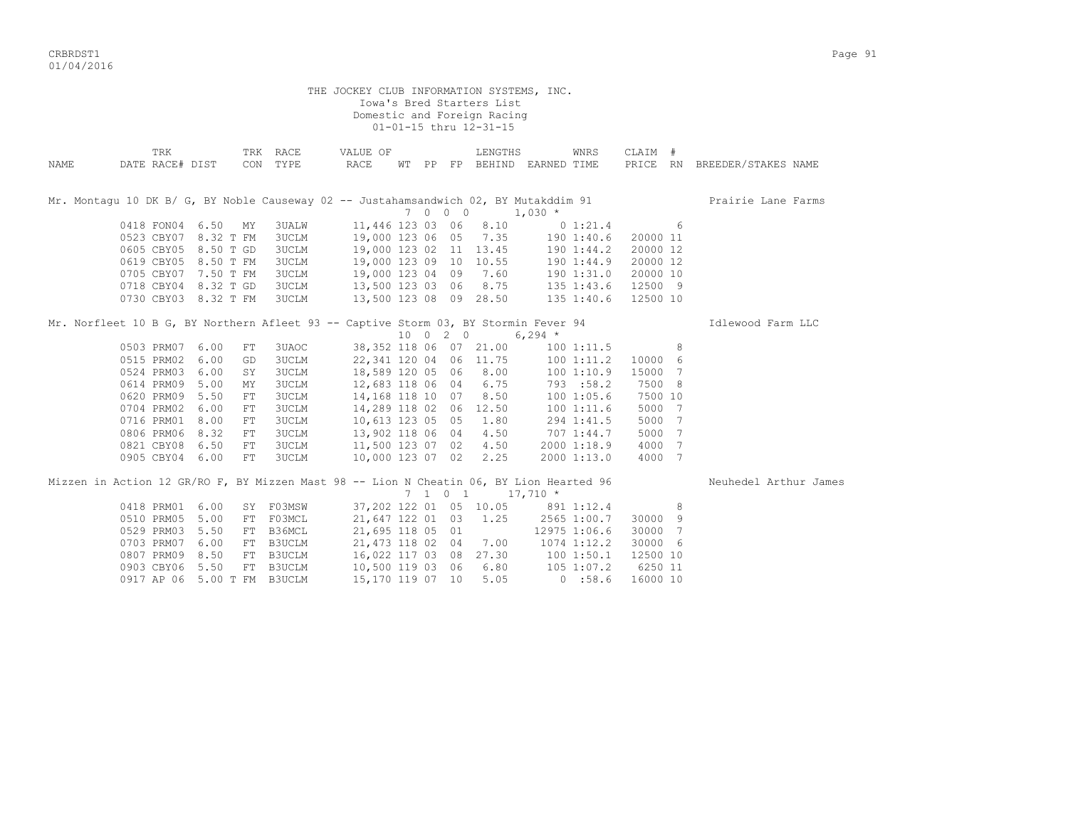CRBRDST1 Page 91 01/04/2016

|      |                                                                                                               |            |                              | THE JOCKEY CLUB INFORMATION SYSTEMS, INC.                                                                                             |  | Iowa's Bred Starters List<br>Domestic and Foreign Racing<br>01-01-15 thru 12-31-15 |                             |             |                   |                              |
|------|---------------------------------------------------------------------------------------------------------------|------------|------------------------------|---------------------------------------------------------------------------------------------------------------------------------------|--|------------------------------------------------------------------------------------|-----------------------------|-------------|-------------------|------------------------------|
| NAME | TRK<br>DATE RACE# DIST                                                                                        |            | CON TYPE                     | TRK RACE VALUE OF<br>RACE                                                                                                             |  | LENGTHS                                                                            | WT PP FP BEHIND EARNED TIME | WNRS        | CLAIM #           | PRICE RN BREEDER/STAKES NAME |
|      | Mr. Montagu 10 DK B/ G, BY Noble Causeway 02 -- Justahamsandwich 02, BY Mutakddim 91<br>7 0 0 0 1,030 *       |            |                              |                                                                                                                                       |  |                                                                                    |                             |             |                   | Prairie Lane Farms           |
|      | 0418 FON04 6.50 MY                                                                                            |            | 3UALW                        | 11,446 123 03 06 8.10 0 1:21.4 6                                                                                                      |  |                                                                                    |                             |             |                   |                              |
|      | 0523 CBY07 8.32 T FM                                                                                          |            | 3UCLM                        |                                                                                                                                       |  |                                                                                    |                             |             |                   |                              |
|      | 0605 CBY05 8.50 T GD                                                                                          |            | <b>3UCLM</b>                 | 19,000 123 06 05 7.35 190 1:40.6 20000 11<br>19,000 123 02 11 13.45 190 1:44.2 20000 12<br>19,000 123 09 10 10.55 190 1:44.9 20000 12 |  |                                                                                    |                             |             |                   |                              |
|      | 0619 CBY05 8.50 T FM                                                                                          |            | 3UCLM                        |                                                                                                                                       |  |                                                                                    |                             |             |                   |                              |
|      | 0705 CBY07 7.50 T FM                                                                                          |            | 3UCLM                        | 19,000 123 04 09 7.60 190 1:31.0 20000 10                                                                                             |  |                                                                                    |                             |             |                   |                              |
|      | 0718 CBY04 8.32 T GD                                                                                          |            | 3UCLM                        | 13,500 123 03 06 8.75 135 1:43.6 12500 9                                                                                              |  |                                                                                    |                             |             |                   |                              |
|      | 0730 CBY03 8.32 T FM                                                                                          |            | 3UCLM                        | 13,500 123 08 09 28.50 135 1:40.6                                                                                                     |  |                                                                                    |                             |             | 12500 10          |                              |
|      | Mr. Norfleet 10 B G, BY Northern Afleet 93 -- Captive Storm 03, BY Stormin Fever 94<br>10 0 2 0 6,294 $\star$ |            |                              |                                                                                                                                       |  |                                                                                    |                             |             |                   | Idlewood Farm LLC            |
|      |                                                                                                               |            |                              |                                                                                                                                       |  |                                                                                    |                             |             |                   |                              |
|      | 0503 PRM07 6.00                                                                                               | FT         | 3UAOC                        | 38,352 118 06 07 21.00 100 1:11.5 8                                                                                                   |  |                                                                                    |                             |             |                   |                              |
|      | 0515 PRM02 6.00                                                                                               | GD         | <b>3UCLM</b>                 | 22,341 120 04 06 11.75 100 1:11.2<br>18,589 120 05 06 8.00 100 1:10.9<br>12,683 118 06 04 6.75 793 :58.2                              |  |                                                                                    |                             |             | 10000 6           |                              |
|      | 0524 PRM03 6.00<br>0614 PRM09 5.00                                                                            | SY         | <b>3UCLM</b>                 |                                                                                                                                       |  |                                                                                    |                             |             | 15000 7<br>7500 8 |                              |
|      | 0620 PRM09 5.50                                                                                               | MY<br>FT.  | <b>3UCLM</b><br><b>3UCLM</b> | 14, 168 118 10 07 8.50                                                                                                                |  |                                                                                    | 100 1:05.6                  |             | 7500 10           |                              |
|      | 0704 PRM02 6.00                                                                                               | ${\rm FT}$ | <b>3UCLM</b>                 | 14,289 118 02 06 12.50 100 1:11.6                                                                                                     |  |                                                                                    |                             |             | 5000 7            |                              |
|      | 0716 PRM01 8.00                                                                                               | $\rm FT$   | <b>3UCLM</b>                 | 10,613 123 05 05 1.80                                                                                                                 |  |                                                                                    | 294 1:41.5                  |             | 5000 7            |                              |
|      | 0806 PRM06 8.32                                                                                               | FT         | 3UCLM                        |                                                                                                                                       |  |                                                                                    |                             |             | 5000 7            |                              |
|      | 0821 CBY08 6.50                                                                                               | FT         | 3UCLM                        | 13,902 118 06 04  4.50  707 1:44.7<br>11,500 123  07  02  4.50  2000 1:18.9                                                           |  |                                                                                    |                             |             | 4000 7            |                              |
|      | 0905 CBY04 6.00                                                                                               | FT         | <b>3UCLM</b>                 | 10,000 123 07 02 2.25                                                                                                                 |  |                                                                                    |                             | 2000 1:13.0 | 4000 7            |                              |
|      | Mizzen in Action 12 GR/RO F, BY Mizzen Mast 98 -- Lion N Cheatin 06, BY Lion Hearted 96                       |            |                              |                                                                                                                                       |  |                                                                                    |                             |             |                   | Neuhedel Arthur James        |
|      |                                                                                                               |            |                              |                                                                                                                                       |  | $7 \quad 1 \quad 0 \quad 1 \quad 17,710 \quad ^{\star}$                            |                             |             |                   |                              |
|      | 0418 PRM01 6.00                                                                                               |            |                              | SY F03MSW 37,202 122 01 05 10.05 891 1:12.4 8                                                                                         |  |                                                                                    |                             |             |                   |                              |
|      | 0510 PRM05 5.00                                                                                               |            | FT F03MCL                    | 21,647 122 01 03 1.25 2565 1:00.7                                                                                                     |  |                                                                                    |                             |             | 30000 9           |                              |
|      | 0529 PRM03 5.50                                                                                               | FT         | B36MCL                       | 21,695 118 05 01 12975 1:06.6                                                                                                         |  |                                                                                    |                             |             | 30000 7           |                              |
|      | 0703 PRM07 6.00                                                                                               |            | FT B3UCLM                    | 21, 473 118 02 04 7.00 1074 1:12.2                                                                                                    |  |                                                                                    |                             |             | 30000 6           |                              |
|      | 0807 PRM09 8.50                                                                                               |            | FT B3UCLM                    |                                                                                                                                       |  |                                                                                    |                             |             | 12500 10          |                              |
|      | 0903 CBY06 5.50                                                                                               |            | FT B3UCLM                    | 16,022 117 03 08 27.30 100 1:50.1<br>10,500 119 03 06 6.80 105 1:07.2<br>15,170 119 07 10 5.05 0 :58.6                                |  |                                                                                    |                             |             | 6250 11           |                              |
|      | 0917 AP 06 5.00 T FM B3UCLM                                                                                   |            |                              |                                                                                                                                       |  |                                                                                    |                             |             | 16000 10          |                              |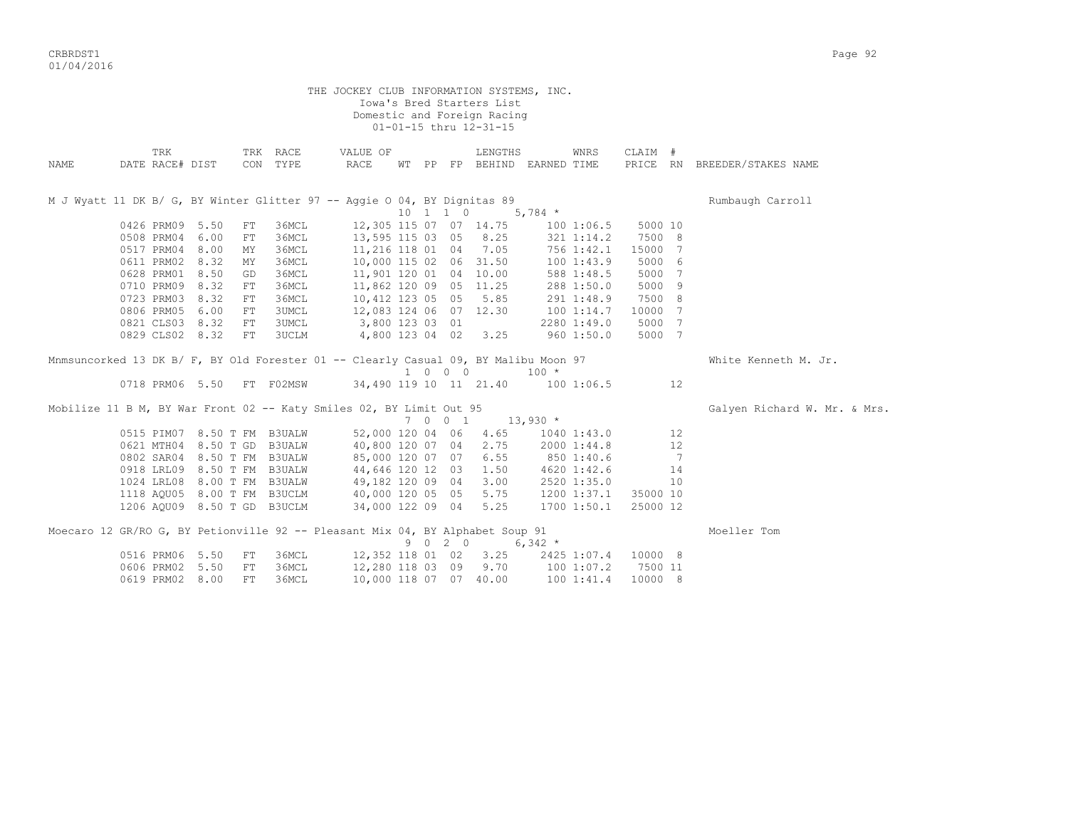CRBRDST1 Page 92 01/04/2016

THE JOCKEY CLUB INFORMATION SYSTEMS, INC. Iowa's Bred Starters List Domestic and Foreign Racing 01-01-15 thru 12-31-15 TRK TRK RACE VALUE OF LENGTHS WNRS CLAIM # NAME DATE RACE# DIST CON TYPE RACE WT PP FP BEHIND EARNED TIME PRICE RN BREEDER/STAKES NAME M J Wyatt 11 DK B/ G, BY Winter Glitter 97 -- Aggie O 04, BY Dignitas 89 Rumbaugh Carroll 10 1 1 0 5,784 \* 0426 PRM09 5.50 FT 36MCL 12,305 115 07 07 14.75 100 1:06.5 5000 10<br>0508 PRM04 6.00 FT 36MCL 13,595 115 03 05 8.25 321 1:14.2 7500 8 0508 PRM04 6.00 FT 36MCL 13,595 115 03 05 8.25<br>0517 PRM04 8.00 MY 36MCL 11.216 118 01 04 7.05 0517 PRM04 8.00 MY 36MCL 11,216 118 01 04 7.05 756 1:42.1 15000 7 0611 PRM02 8.32 MY 36MCL 10,000 115 02 06 31.50 100 1:43.9 5000 6 0628 PRM01 8.50 GD 36MCL 11,901 120 01 04 10.00 588 1:48.5 5000 7 0710 PRM09 8.32 FT 36MCL 11,862 120 09 05 11.25 288 1:50.0 5000 9 0723 PRM03 8.32 FT 36MCL 10,412 123 05 05 5.85 291 1:48.9 7500 8 0806 PRM05 6.00 FT 3UMCL 12,083 124 06 07 12.30 100 1:14.7 10000 7 0821 CLS03 8.32 FT 3UMCL 3,800 123 03 01 2280 1:49.0 5000 7 0829 CLS02 8.32 FT 3UCLM 4,800 123 04 02 3.25 960 1:50.0 5000 7 Mnmsuncorked 13 DK B/ F, BY Old Forester 01 -- Clearly Casual 09, BY Malibu Moon 97 White Kenneth M. Jr.  $\begin{tabular}{lcccccc} 0718 & PRM06 & 5.50 & FT & F02MSW & & & 34,490 & 119 & 10 & 11 & 21.40 & & & 100 \end{tabular}$ 34,490 119 10 11 21.40 100 1:06.5 12 Mobilize 11 B M, BY War Front 02 -- Katy Smiles 02, BY Limit Out 95 Galyen Richard W. Mr. & Mrs.  $7 \t0 \t0 \t1 \t13,930 \t*$ 0515 PIM07 8.50 T FM B3UALW 52,000 120 04 06 4.65 1040 1:43.0 12<br>0621 MTH04 8.50 T GD B3UALW 40,800 120 07 04 2.75 2000 1:44.8 12 0621 MTH04 8.50 T GD B3UALW 40,800 120 07 04 2.75 2000 1:44.8 12 0802 SAR04 8.50 T FM B3UALW 85,000 120 07 07 6.55 850 1:40.6 7 0918 LRL09 8.50 T FM B3UALW 44,646 120 12 03 1.50 4620 1:42.6 14 1024 LRL08 8.00 T FM B3UALW 49,182 120 09 04 3.00 2520 1:35.0 10 1118 AQU05 8.00 T FM B3UCLM 40,000 120 05 05 5.75 1200 1:37.1 35000 10 1206 AQU09 8.50 T GD B3UCLM 34,000 122 09 04 5.25 1700 1:50.1 25000 12 Moecaro 12 GR/RO G, BY Petionville 92 -- Pleasant Mix 04, BY Alphabet Soup 91 Moeller Tom  $9 \t 0 \t 2 \t 0 \t 6.342 \t \star$ 0516 PRM06 5.50 FT 36MCL 12,352 118 01 02 3.25 2425 1:07.4 10000 8<br>0606 PRM02 5.50 FT 36MCL 12,280 118 03 09 9.70 100 1:07.2 7500 11 12,280 118 03 09 9.70 100 1:07.2 7500 11 0619 PRM02 8.00 FT 36MCL 10,000 118 07 07 40.00 100 1:41.4 10000 8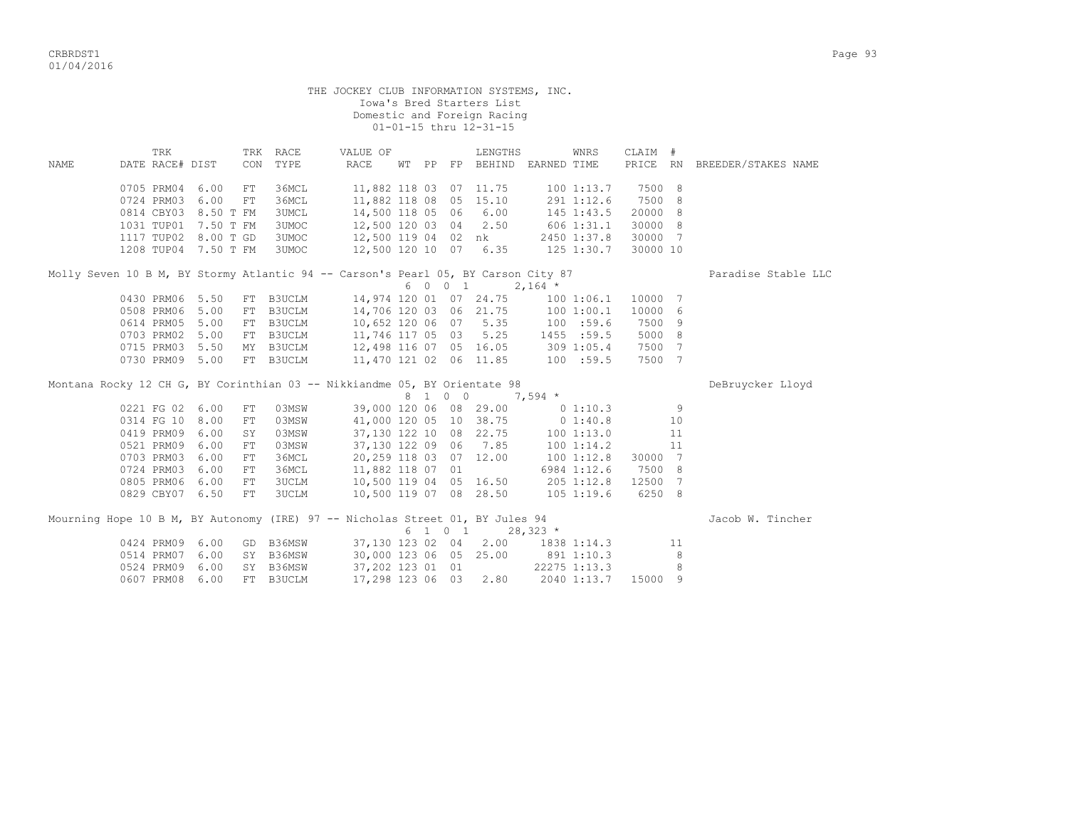|             |                        |      |             |                  | THE JOCKEY CLUB INFORMATION SYSTEMS, INC.                                         |  |         | Iowa's Bred Starters List<br>Domestic and Foreign Racing<br>01-01-15 thru 12-31-15 |                                     |          |                |                              |
|-------------|------------------------|------|-------------|------------------|-----------------------------------------------------------------------------------|--|---------|------------------------------------------------------------------------------------|-------------------------------------|----------|----------------|------------------------------|
| <b>NAME</b> | TRK<br>DATE RACE# DIST |      | CON         | TRK RACE<br>TYPE | VALUE OF<br>RACE                                                                  |  |         | LENGTHS                                                                            | WNRS<br>WT PP FP BEHIND EARNED TIME | CLAIM #  |                | PRICE RN BREEDER/STAKES NAME |
|             | 0705 PRM04 6.00        |      | FT          | 36MCL            |                                                                                   |  |         | 11,882 118 03 07 11.75                                                             | 1001:13.7                           | 7500     | - 8            |                              |
|             | 0724 PRM03 6.00        |      | FT          | 36MCL            |                                                                                   |  |         | 11,882 118 08 05 15.10                                                             | 291 1:12.6                          | 7500     | 8              |                              |
|             | 0814 CBY03 8.50 T FM   |      |             | 3UMCL            | 14,500 118 05 06                                                                  |  |         | 6.00                                                                               | 145 1:43.5                          | 20000    | - 8            |                              |
|             | 1031 TUP01 7.50 T FM   |      |             | 3UMOC            | 12,500 120 03 04                                                                  |  |         | 2.50                                                                               | $606$ $1:31.1$                      | 30000 8  |                |                              |
|             | 1117 TUP02 8.00 T GD   |      |             | 3UMOC            | 12,500 119 04 02 nk                                                               |  |         |                                                                                    | 2450 1:37.8                         | 30000    | $\overline{7}$ |                              |
|             | 1208 TUP04 7.50 T FM   |      |             | 3UMOC            | 12,500 120 10 07                                                                  |  |         | 6.35                                                                               | 125 1:30.7                          | 30000 10 |                |                              |
|             |                        |      |             |                  | Molly Seven 10 B M, BY Stormy Atlantic 94 -- Carson's Pearl 05, BY Carson City 87 |  |         |                                                                                    |                                     |          |                | Paradise Stable LLC          |
|             |                        |      |             |                  |                                                                                   |  | 6 0 0 1 |                                                                                    | $2,164$ *                           |          |                |                              |
|             | 0430 PRM06 5.50        |      |             | FT B3UCLM        |                                                                                   |  |         | 14,974 120 01 07 24.75                                                             | 1001:06.1                           | 10000    | $\overline{7}$ |                              |
|             | 0508 PRM06 5.00        |      | FT          | B3UCLM           | 14,706 120 03 06 21.75                                                            |  |         |                                                                                    | 100 1:00.1                          | 10000    | - 6            |                              |
|             | 0614 PRM05 5.00        |      |             | FT B3UCLM        | 10,652 120 06 07                                                                  |  |         | 5.35                                                                               | 100 : 59.6                          | 7500 9   |                |                              |
|             | 0703 PRM02 5.00        |      |             | FT B3UCLM        | 11,746 117 05 03 5.25                                                             |  |         |                                                                                    | $100$<br>1455 :59.5                 | 5000 8   |                |                              |
|             | 0715 PRM03 5.50        |      |             | MY B3UCLM        |                                                                                   |  |         |                                                                                    | 12,498 116 07 05 16.05 309 1:05.4   | 7500 7   |                |                              |
|             | 0730 PRM09 5.00        |      |             | FT B3UCLM        | 11,470 121 02 06 11.85                                                            |  |         |                                                                                    | 100 : 59.5                          | 7500 7   |                |                              |
|             |                        |      |             |                  | Montana Rocky 12 CH G, BY Corinthian 03 -- Nikkiandme 05, BY Orientate 98         |  |         |                                                                                    |                                     |          |                | DeBruycker Lloyd             |
|             |                        |      |             |                  |                                                                                   |  | 8 1 0 0 |                                                                                    | $7,594$ *                           |          |                |                              |
|             | 0221 FG 02 6.00        |      | FT          | 03MSW            |                                                                                   |  |         | 39,000 120 06 08 29.00                                                             | 01:10.3                             |          | 9              |                              |
|             | 0314 FG 10 8.00        |      | ${\rm FT}$  | 03MSW            |                                                                                   |  |         | 41,000 120 05 10 38.75                                                             | $0 \t1:40.8$                        |          | 10             |                              |
|             | 0419 PRM09 6.00        |      | SY          | 03MSW            |                                                                                   |  |         | 37,130 122 10 08 22.75                                                             | 100 1:13.0                          |          | 11             |                              |
|             | 0521 PRM09 6.00        |      | ${\rm FT}$  | 03MSW            |                                                                                   |  |         | 37,130 122 09 06 7.85                                                              | 100 1:14.2                          |          | 11             |                              |
|             | 0703 PRM03 6.00        |      | ${\rm FT}$  | 36MCL            |                                                                                   |  |         | 20,259 118 03 07 12.00                                                             | $100$ $1:12.8$                      | 30000 7  |                |                              |
|             | 0724 PRM03 6.00        |      | $_{\rm FT}$ | 36MCL            | 11,882 118 07 01                                                                  |  |         |                                                                                    | 6984 1:12.6                         | 7500 8   |                |                              |
|             | 0805 PRM06             | 6.00 | FT          | <b>3UCLM</b>     |                                                                                   |  |         | 10,500 119 04 05 16.50                                                             | 205 1:12.8                          | 12500 7  |                |                              |
|             | 0829 CBY07 6.50        |      | FT          | 3UCLM            |                                                                                   |  |         | 10,500 119 07 08 28.50                                                             | $105$ 1:19.6                        | 6250 8   |                |                              |
|             |                        |      |             |                  | Mourning Hope 10 B M, BY Autonomy (IRE) 97 -- Nicholas Street 01, BY Jules 94     |  | 6 1 0 1 |                                                                                    | $28,323$ *                          |          |                | Jacob W. Tincher             |
|             | 0424 PRM09 6.00        |      |             | GD B36MSW        | 37,130 123 02 04                                                                  |  |         | 2.00                                                                               | 1838 1:14.3                         |          | 11             |                              |
|             | 0514 PRM07 6.00        |      |             | SY B36MSW        |                                                                                   |  |         | 30,000 123 06 05 25.00                                                             | 891 1:10.3                          |          | 8              |                              |
|             | 0524 PRM09             | 6.00 |             | SY B36MSW        | 37,202 123 01 01                                                                  |  |         |                                                                                    | 22275 1:13.3                        |          | 8              |                              |
|             | 0607 PRM08             | 6.00 | FT          | B3UCLM           | 17,298 123 06 03                                                                  |  |         | 2.80                                                                               | 2040 1:13.7                         | 15000 9  |                |                              |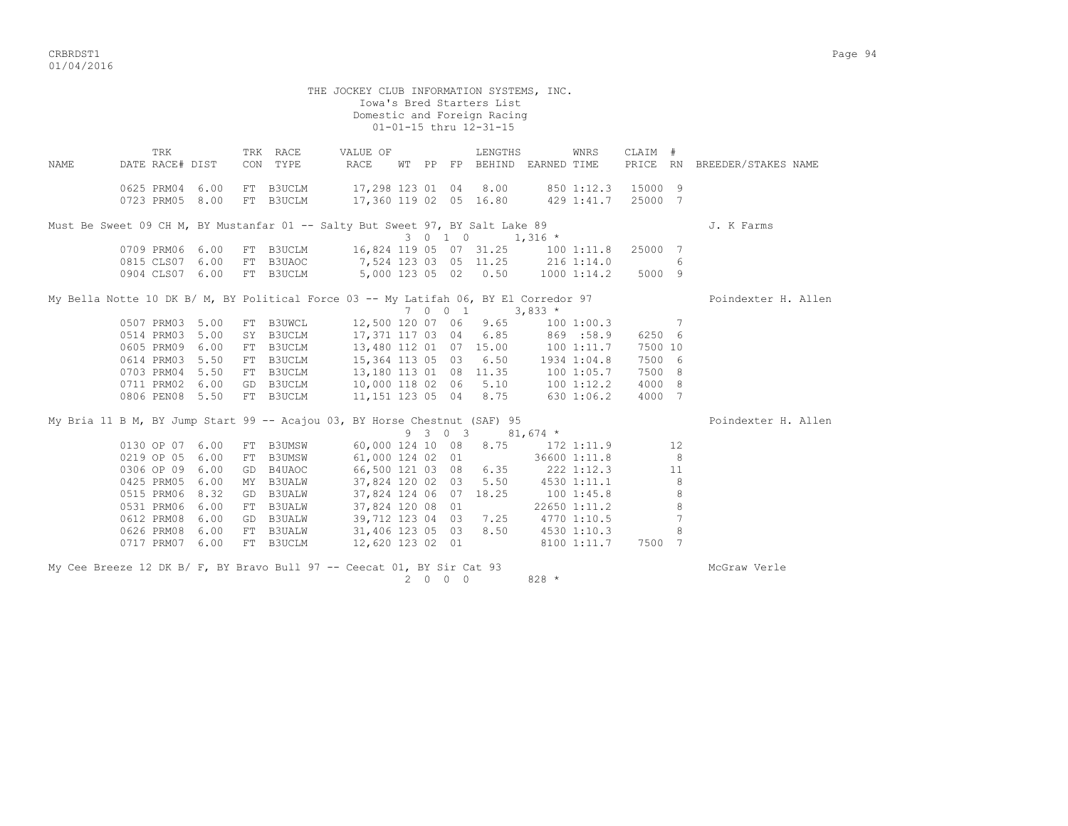CRBRDST1 Page 94 01/04/2016

 THE JOCKEY CLUB INFORMATION SYSTEMS, INC. Iowa's Bred Starters List Domestic and Foreign Racing 01-01-15 thru 12-31-15 TRK TRK RACE VALUE OF LENGTHS WNRS CLAIM # NAME DATE RACE# DIST CON TYPE RACE WT PP FP BEHIND EARNED TIME PRICE RN BREEDER/STAKES NAME 0625 PRM04 6.00 FT B3UCLM 17,298 123 01 04 8.00 850 1:12.3 15000 9 0723 PRM05 8.00 FT B3UCLM 17,360 119 02 05 16.80 429 1:41.7 25000 7 Must Be Sweet 09 CH M, BY Mustanfar 01 -- Salty But Sweet 97, BY Salt Lake 89 J. K Farms  $3 \t0 \t1 \t0 \t1.316 \t*$ 0709 PRM06 6.00 FT B3UCLM 16,824 119 05 07 31.25 100 1:11.8 25000 7<br>0815 CLS07 6.00 FT B3UAOC 7.524 123 03 05 11.25 216 1:14.0 6 0815 CLS07 6.00 FT B3UAOC 7,524 123 03 05 11.25<br>0904 CLS07 6.00 FT B3UCLM 5.000 123 05 02 0.50 5,000 123 05 02 0.50 1000 1:14.2 5000 9 My Bella Notte 10 DK B/ M, BY Political Force 03 -- My Latifah 06, BY El Corredor 97 Poindexter H. Allen  $7 \t 0 \t 0 \t 1 \t 3,833 \star$ <br>  $12,500 \t 120 \t 07 \t 06 \t 9.65 \t 100 \t 1:00.3 \t 7$  0507 PRM03 5.00 FT B3UWCL 12,500 120 07 06 9.65 100 1:00.3 7 0514 PRM03 5.00 SY B3UCLM 17,371 117 03 04 6.85 869 :58.9 6250 6 0605 PRM09 6.00 FT B3UCLM 13,480 112 01 07 15.00 100 1:11.7 7500 10 0614 PRM03 5.50 FT B3UCLM 15,364 113 05 03 6.50 1934 1:04.8 7500 6 0703 PRM04 5.50 FT B3UCLM 13,180 113 01 08 11.35 100 1:05.7 7500 8 0711 PRM02 6.00 GD B3UCLM 10,000 118 02 06 5.10 100 1:12.2 4000 8 0806 PEN08 5.50 FT B3UCLM 11,151 123 05 04 8.75 630 1:06.2 4000 7 My Bria 11 B M, BY Jump Start 99 -- Acajou 03, BY Horse Chestnut (SAF) 95 Poindexter H. Allen 9 3 0 3 81,674 \* 0130 OP 07 6.00 FT B3UMSW 60,000 124 10 08 8.75 172 1:11.9 12<br>0219 OP 05 6.00 FT B3UMSW 61,000 124 02 01 36600 1:11.8 8 0219 OP 05 6.00 FT B3UMSW 61,000 124 02 01 36600 1:11.8 8 0306 OP 09 6.00 GD B4UAOC 66,500 121 03 08 6.35 222 1:12.3 11 0425 PRM05 6.00 MY B3UALW 37,824 120 02 03 5.50 4530 1:11.1 8 0515 PRM06 8.32 GD B3UALW 37,824 124 06 07 18.25 100 1:45.8 8 0531 PRM06 6.00 FT B3UALW 37,824 120 08 01 22650 1:11.2 8 0612 PRM08 6.00 GD B3UALW 39,712 123 04 03 7.25 4770 1:10.5 7 0626 PRM08 6.00 FT B3UALW 31,406 123 05 03 8.50 4530 1:10.3 8 0717 PRM07 6.00 FT B3UCLM 12,620 123 02 01 8100 1:11.7 7500 7 My Cee Breeze 12 DK B/ F, BY Bravo Bull 97 -- Ceecat 01, BY Sir Cat 93 2 0 0 0 828 \*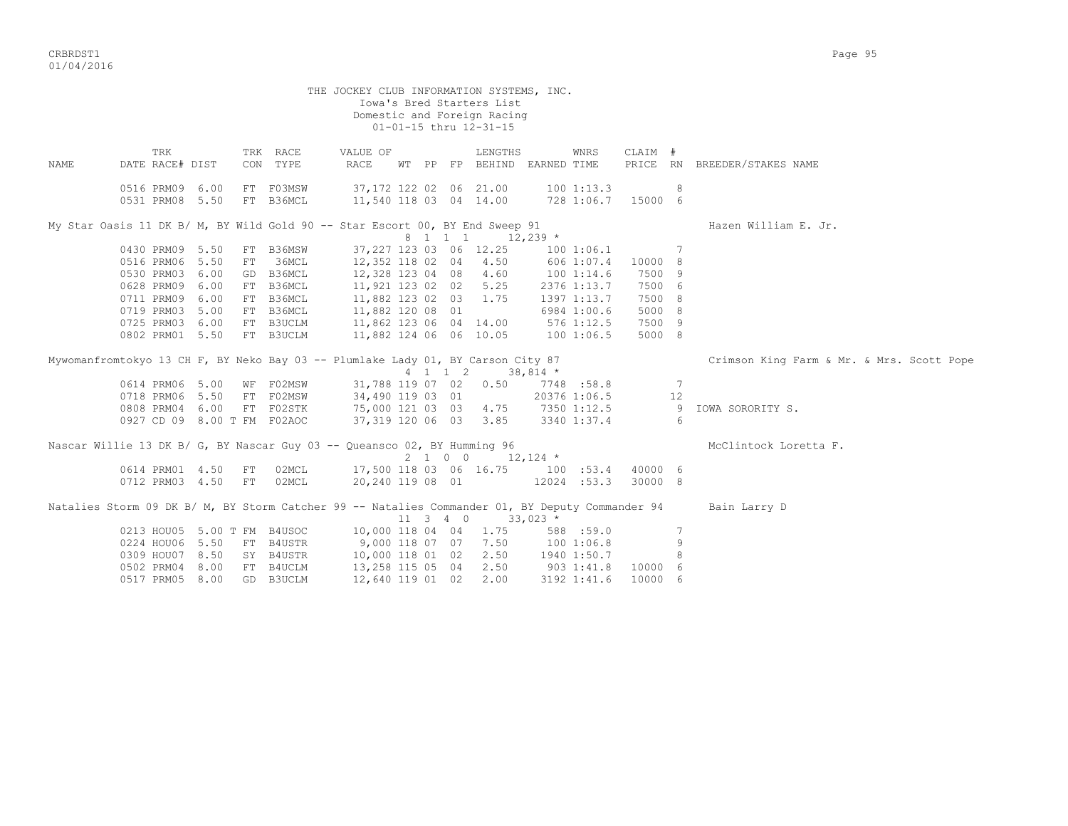CRBRDST1 Page 95 01/04/2016

THE JOCKEY CLUB INFORMATION SYSTEMS, INC. Iowa's Bred Starters List Domestic and Foreign Racing 01-01-15 thru 12-31-15 TRK TRK RACE VALUE OF LENGTHS WNRS CLAIM # NAME DATE RACE# DIST CON TYPE RACE WT PP FP BEHIND EARNED TIME PRICE RN BREEDER/STAKES NAME 0516 PRM09 6.00 FT F03MSW 37,172 122 02 06 21.00 100 1:13.3 8 0531 PRM08 5.50 FT B36MCL 11,540 118 03 04 14.00 728 1:06.7 15000 6 My Star Oasis 11 DK B/ M, BY Wild Gold 90 -- Star Escort 00, BY End Sweep 91 Hazen William E. Jr.  $8 \quad 1 \quad 1 \quad 1 \quad 12.239 \star$ 0430 PRM09 5.50 FT B36MSW 37,227 123 03 06 12.25 100 1:06.1 7<br>0516 PRM06 5.50 FT 36MCT 12.352 118 02 04 4.50 606 1:07.4 10000 8 0516 PRM06 5.50 FT 36MCL 12,352 118 02 04 4.50 606 1:07.4 10000 8 0530 PRM03 6.00 GD B36MCL 12,328 123 04 08 4.60 100 1:14.6 7500 9 0628 PRM09 6.00 FT B36MCL 11,921 123 02 02 5.25 2376 1:13.7 7500 6 0711 PRM09 6.00 FT B36MCL 11,882 123 02 03 1.75 1397 1:13.7 7500 8 0719 PRM03 5.00 FT B36MCL 11,882 120 08 01 6984 1:00.6 5000 8 0725 PRM03 6.00 FT B3UCLM 11,862 123 06 04 14.00 576 1:12.5 7500 9 0802 PRM01 5.50 FT B3UCLM 11,882 124 06 06 10.05 100 1:06.5 5000 8 Mywomanfromtokyo 13 CH F, BY Neko Bay 03 -- Plumlake Lady 01, BY Carson City 87 Crimson King Farm & Mr. & Mrs. Scott Pope  $4$  1 1 2 38,814 \*<br>31,788 119 07 02 0.50 7748 :58.8 0614 PRM06 5.00 WF F02MSW 31,788 119 07 02 0.50 7748 :58.8 7 0718 PRM06 5.50 FT F02MSW 34,490 119 03 01 20376 1:06.5 12 0808 PRM04 6.00 FT F02STK 75,000 121 03 03 4.75 7350 1:12.5 9 IOWA SORORITY S. 0927 CD 09 8.00 T FM F02AOC 37,319 120 06 03 3.85 3340 1:37.4 6 Nascar Willie 13 DK B/ G, BY Nascar Guy 03 -- Queansco 02, BY Humming 96 McClintock Loretta F. 2 1 0 0  $12,124$  \* 0614 PRM01 4.50 FT 02MCL 17,500 118 03 06 16.75 100 :53.4 40000 6 0712 PRM03 4.50 FT 02MCL 20,240 119 08 01 12024 :53.3 30000 8

Natalies Storm 09 DK B/ M, BY Storm Catcher 99 -- Natalies Commander 01, BY Deputy Commander 94 Bain Larry D  $11$  3 4 0  $33,023$   $\overline{x}$ <br>10,000 118 04 04 1.75 588 59.0 0213 HOU05 5.00 T FM B4USOC 10,000 118 04 04 1.75 588 :59.0 7 0224 HOU06 5.50 FT B4USTR 9,000 118 07 07 7.50 100 1:06.8 9 0309 HOU07 8.50 SY B4USTR 10,000 118 01 02 2.50 1940 1:50.7 8 0502 PRM04 8.00 FT B4UCLM 13,258 115 05 04 2.50 903 1:41.8 10000 6 0517 PRM05 8.00 GD B3UCLM 12,640 119 01 02 2.00 3192 1:41.6 10000 6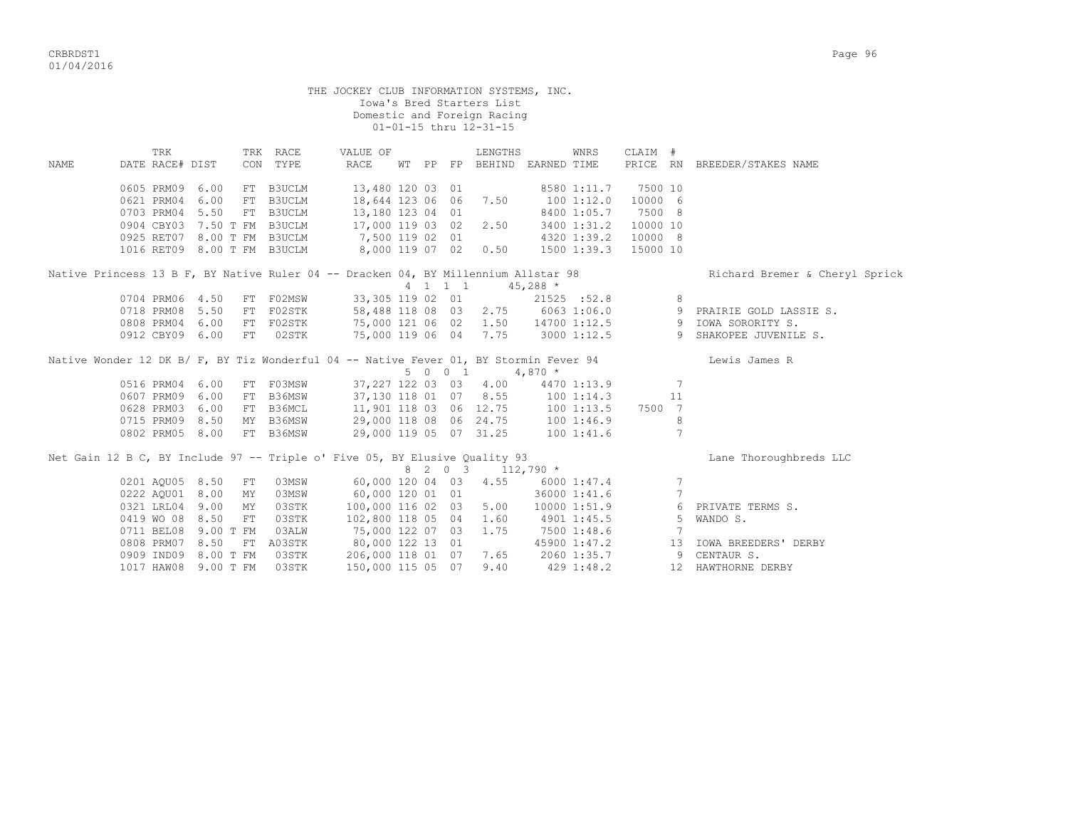|             |                      |    |                             | THE JOCKEY CLUB INFORMATION SYSTEMS, INC.                                                                                             |  |                             | Iowa's Bred Starters List<br>Domestic and Foreign Racing<br>01-01-15 thru 12-31-15 |          |                 |          |    |                                                            |
|-------------|----------------------|----|-----------------------------|---------------------------------------------------------------------------------------------------------------------------------------|--|-----------------------------|------------------------------------------------------------------------------------|----------|-----------------|----------|----|------------------------------------------------------------|
|             | TRK                  |    | TRK RACE                    | VALUE OF                                                                                                                              |  |                             | LENGTHS                                                                            |          | WNRS            | CLAIM #  |    |                                                            |
| <b>NAME</b> | DATE RACE# DIST      |    | CON TYPE                    | RACE                                                                                                                                  |  |                             | WT PP FP BEHIND EARNED TIME                                                        |          |                 |          |    | PRICE RN BREEDER/STAKES NAME                               |
|             | 0605 PRM09 6.00      | FT | B3UCLM                      | 13,480 120 03 01                                                                                                                      |  |                             |                                                                                    |          | 8580 1:11.7     | 7500 10  |    |                                                            |
|             | 0621 PRM04 6.00      |    | FT B3UCLM                   | 18,644 123 06 06                                                                                                                      |  |                             | 7.50                                                                               |          | 1001:12.0       | 10000 6  |    |                                                            |
|             | 0703 PRM04 5.50      |    | FT B3UCLM                   | 13,180 123 04 01                                                                                                                      |  |                             |                                                                                    |          | 8400 1:05.7     | 7500 8   |    |                                                            |
|             |                      |    | 0904 CBY03 7.50 T FM B3UCLM | 17,000 119 03 02                                                                                                                      |  |                             | 2.50                                                                               |          | 3400 1:31.2     | 10000 10 |    |                                                            |
|             |                      |    | 0925 RET07 8.00 T FM B3UCLM | 7,500 119 02 01                                                                                                                       |  |                             |                                                                                    |          | 4320 1:39.2     | 10000 8  |    |                                                            |
|             |                      |    | 1016 RET09 8.00 T FM B3UCLM | 8,000 119 07 02 0.50                                                                                                                  |  |                             |                                                                                    |          | $1500$ $1:39.3$ | 15000 10 |    |                                                            |
|             |                      |    |                             | Native Princess 13 B F, BY Native Ruler 04 -- Dracken 04, BY Millennium Allstar 98                                                    |  | $4 \quad 1 \quad 1 \quad 1$ | $45,288$ *                                                                         |          |                 |          |    | Richard Bremer & Cheryl Sprick                             |
|             | 0704 PRM06 4.50      |    | FT F02MSW                   | 33,305 119 02 01                                                                                                                      |  |                             |                                                                                    |          | 21525 :52.8     |          | 8  |                                                            |
|             | 0718 PRM08 5.50      |    | FT F02STK                   |                                                                                                                                       |  |                             |                                                                                    |          |                 |          |    | 58,488 118 08 03 2.75 6063 1:06.0 9 PRAIRIE GOLD LASSIE S. |
|             | 0808 PRM04 6.00      |    | FT F02STK                   |                                                                                                                                       |  |                             | 1.50                                                                               |          |                 |          |    | 14700 1:12.5 9 IOWA SORORITY S.                            |
|             | 0912 CBY09 6.00      | FT | 02STK                       | 75,000 121 06 02<br>75,000 119 06 04                                                                                                  |  |                             | 7.75                                                                               |          |                 |          |    | 3000 1:12.5 9 SHAKOPEE JUVENILE S.                         |
|             |                      |    |                             | Native Wonder 12 DK B/ F, BY Tiz Wonderful 04 -- Native Fever 01, BY Stormin Fever 94                                                 |  |                             |                                                                                    |          |                 |          |    | Lewis James R                                              |
|             |                      |    |                             |                                                                                                                                       |  | 5 0 0 1                     |                                                                                    | $4,870*$ |                 |          |    |                                                            |
|             | 0516 PRM04 6.00      |    | FT F03MSW                   | 37,227 122 03 03 4.00                                                                                                                 |  |                             |                                                                                    |          | 4470 1:13.9     |          | 7  |                                                            |
|             | 0607 PRM09 6.00      |    | FT B36MSW                   | 37,130 118 01 07 8.55                                                                                                                 |  |                             |                                                                                    |          | 100 1:14.3      |          | 11 |                                                            |
|             | 0628 PRM03 6.00      |    | FT B36MCL                   |                                                                                                                                       |  |                             |                                                                                    |          |                 | 7500 7   |    |                                                            |
|             | 0715 PRM09 8.50      |    | MY B36MSW                   |                                                                                                                                       |  |                             |                                                                                    |          |                 |          | 8  |                                                            |
|             | 0802 PRM05 8.00      |    | FT B36MSW                   | 11,901 118 03 06 12.75 100 1:13.5<br>29,000 118 08 06 24.75 100 1:46.9<br>29,000 119 05 07 31.25 100 1:41.6<br>29,000 119 05 07 31.25 |  |                             |                                                                                    |          |                 |          | 7  |                                                            |
|             |                      |    |                             | Net Gain 12 B C, BY Include 97 -- Triple o' Five 05, BY Elusive Quality 93                                                            |  |                             | 8 2 0 3 112,790 *                                                                  |          |                 |          |    | Lane Thoroughbreds LLC                                     |
|             | 0201 AQU05 8.50      | FT | 03MSW                       | 60,000 120 04 03                                                                                                                      |  |                             | 4.55                                                                               |          | 6000 1:47.4     |          | 7  |                                                            |
|             | 0222 AQU01 8.00      | MY | 03MSW                       | 60,000 120 01 01                                                                                                                      |  |                             |                                                                                    |          | 36000 1:41.6    |          | 7  |                                                            |
|             | 0321 LRL04 9.00      | MY | 03STK                       | 100,000 116 02 03                                                                                                                     |  |                             | 5.00                                                                               |          | 10000 1:51.9    |          |    | 6 PRIVATE TERMS S.                                         |
|             | 0419 WO 08 8.50      | FT | 03STK                       | 102,800 118 05 04                                                                                                                     |  |                             | 1.60                                                                               |          | 4901 1:45.5     |          | 5  | WANDO S.                                                   |
|             | 0711 BEL08 9.00 T FM |    | 03ALW                       | 75,000 122 07 03                                                                                                                      |  |                             | 1.75                                                                               |          | 7500 1:48.6     |          | 7  |                                                            |
|             | 0808 PRM07 8.50      | FT | A03STK                      | 80,000 122 13 01                                                                                                                      |  |                             |                                                                                    |          | 45900 1:47.2    |          |    | 13 IOWA BREEDERS' DERBY                                    |
|             | 0909 IND09 8.00 T FM |    | 03STK                       | 206,000 118 01 07                                                                                                                     |  |                             | 7.65                                                                               |          | 2060 1:35.7     |          | 9  | CENTAUR S.                                                 |
|             | 1017 HAW08 9.00 T FM |    | 03STK                       | 150,000 115 05 07                                                                                                                     |  |                             | 9.40                                                                               |          | 429 1:48.2      |          |    | 12 HAWTHORNE DERBY                                         |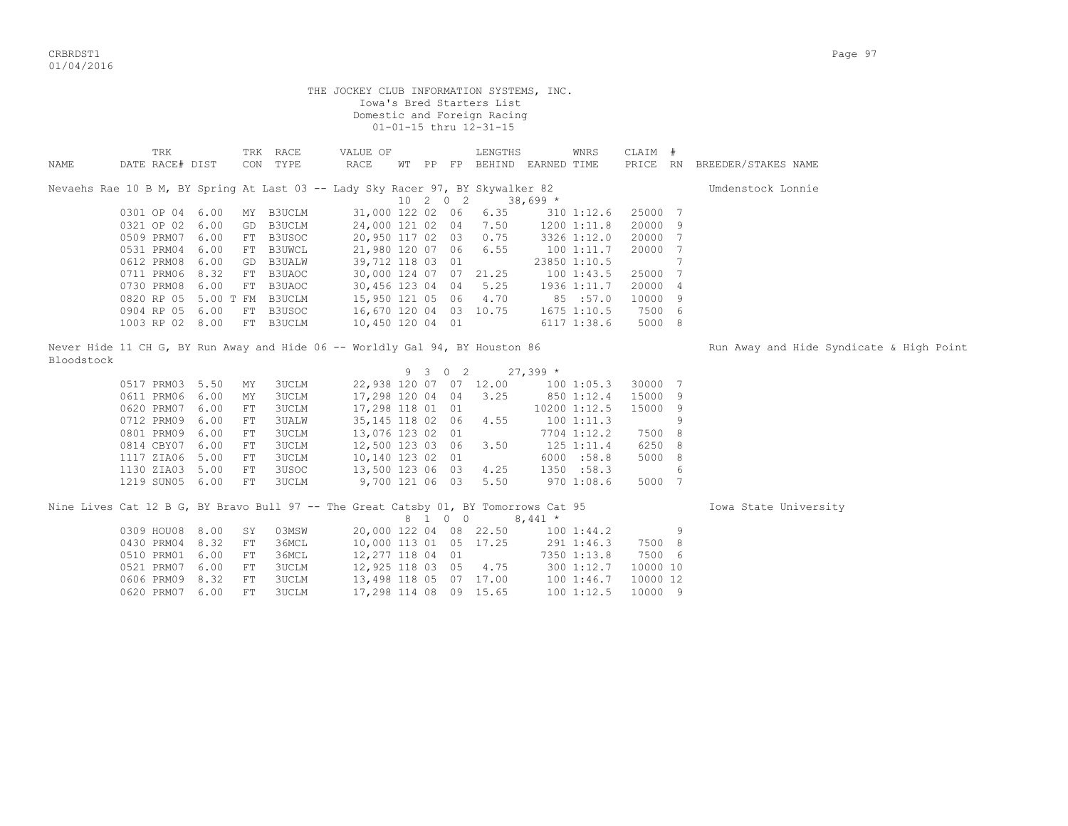CRBRDST1 Page 97 01/04/2016

|            |                                                                                     |      |    |                      | THE JOCKEY CLUB INFORMATION SYSTEMS, INC. |          | Iowa's Bred Starters List<br>Domestic and Foreign Racing<br>01-01-15 thru 12-31-15 |                                     |          |                |                                          |
|------------|-------------------------------------------------------------------------------------|------|----|----------------------|-------------------------------------------|----------|------------------------------------------------------------------------------------|-------------------------------------|----------|----------------|------------------------------------------|
| NAME       | TRK<br>DATE RACE# DIST                                                              |      |    | TRK RACE<br>CON TYPE | VALUE OF<br>RACE                          |          | LENGTHS                                                                            | WNRS<br>WT PP FP BEHIND EARNED TIME | CLAIM #  |                | PRICE RN BREEDER/STAKES NAME             |
|            | Nevaehs Rae 10 B M, BY Spring At Last 03 -- Lady Sky Racer 97, BY Skywalker 82      |      |    |                      |                                           |          |                                                                                    |                                     |          |                | Umdenstock Lonnie                        |
|            |                                                                                     |      |    |                      |                                           | 10 2 0 2 |                                                                                    | $38,699$ *                          |          |                |                                          |
|            | 0301 OP 04 6.00                                                                     |      |    | MY B3UCLM            | 31,000 122 02 06                          |          | 6.35                                                                               | $310$ $1:12.6$                      | 25000 7  |                |                                          |
|            | 0321 OP 02                                                                          | 6.00 |    | GD B3UCLM            |                                           |          | 24,000 121 02 04 7.50                                                              | 1200 1:11.8                         | 20000 9  |                |                                          |
|            | 0509 PRM07                                                                          | 6.00 |    | FT B3USOC            |                                           |          | 20,950 117 02 03 0.75                                                              | 3326 1:12.0                         | 20000 7  |                |                                          |
|            | 0531 PRM04                                                                          | 6.00 |    | FT B3UWCL            | 21,980 120 07 06                          |          | 6.55                                                                               | 1001:11.7                           | 20000    | $\overline{7}$ |                                          |
|            | 0612 PRM08                                                                          | 6.00 |    | GD B3UALW            | 39,712 118 03 01                          |          |                                                                                    | 23850 1:10.5                        |          | 7              |                                          |
|            | 0711 PRM06 8.32                                                                     |      |    | FT B3UAOC            |                                           |          | 30,000 124 07 07 21.25                                                             | 1001:43.5                           | 25000 7  |                |                                          |
|            | 0730 PRM08 6.00                                                                     |      |    | FT B3UAOC            | 30,456 123 04 04                          |          | 5.25                                                                               | 1936 1:11.7                         | 20000 4  |                |                                          |
|            | 0820 RP 05 5.00 T FM B3UCLM                                                         |      |    |                      | 15,950 121 05 06                          |          | 4.70                                                                               | 85 :57.0                            | 10000 9  |                |                                          |
|            | 0904 RP 05 6.00                                                                     |      |    | FT B3USOC            | 16,670 120 04 03 10.75                    |          |                                                                                    | 1675 1:10.5                         | 7500 6   |                |                                          |
|            | 1003 RP 02 8.00                                                                     |      |    | FT B3UCLM            | 10,450 120 04 01                          |          |                                                                                    | 6117 1:38.6                         | 5000 8   |                |                                          |
| Bloodstock | Never Hide 11 CH G, BY Run Away and Hide 06 -- Worldly Gal 94, BY Houston 86        |      |    |                      |                                           |          |                                                                                    |                                     |          |                | Run Away and Hide Syndicate & High Point |
|            |                                                                                     |      |    |                      |                                           | 9 3 0 2  |                                                                                    | $27,399*$                           |          |                |                                          |
|            | 0517 PRM03 5.50                                                                     |      | MY | 3UCLM                |                                           |          | 22,938 120 07 07 12.00                                                             | 100 1:05.3                          | 30000 7  |                |                                          |
|            | 0611 PRM06 6.00                                                                     |      | MΥ | 3UCLM                | 17,298 120 04 04 3.25                     |          |                                                                                    | 850 1:12.4                          | 15000 9  |                |                                          |
|            | 0620 PRM07                                                                          | 6.00 | FT | 3UCLM                | 17,298 118 01 01                          |          |                                                                                    | 10200 1:12.5                        | 15000 9  |                |                                          |
|            | 0712 PRM09                                                                          | 6.00 | FT | <b>3UALW</b>         | 35,145 118 02 06                          |          | 4.55                                                                               | 1001:11.3                           |          | 9              |                                          |
|            | 0801 PRM09                                                                          | 6.00 | FT | 3UCLM                | 13,076 123 02 01                          |          |                                                                                    | 7704 1:12.2                         | 7500 8   |                |                                          |
|            | 0814 CBY07                                                                          | 6.00 | FT | 3UCLM                | 12,500 123 03 06                          |          | 3.50                                                                               | $125$ $1:11.4$                      | 6250 8   |                |                                          |
|            | 1117 ZIA06                                                                          | 5.00 | FT | <b>3UCLM</b>         | 10,140 123 02 01                          |          |                                                                                    | 6000 :58.8                          | 5000 8   |                |                                          |
|            | 1130 ZIA03 5.00                                                                     |      | FT | 3USOC                | 13,500 123 06 03                          |          | 4.25                                                                               | 1350 :58.3                          |          | 6              |                                          |
|            | 1219 SUN05 6.00                                                                     |      | FT | 3UCLM                | 9,700 121 06 03                           |          | 5.50                                                                               | 970 1:08.6                          | 5000 7   |                |                                          |
|            | Nine Lives Cat 12 B G, BY Bravo Bull 97 -- The Great Catsby 01, BY Tomorrows Cat 95 |      |    |                      |                                           | 8 1 0 0  |                                                                                    | $8,441$ *                           |          |                | Iowa State University                    |
|            | 0309 HOU08 8.00                                                                     |      | SY | 03MSW                |                                           |          | 20,000 122 04 08 22.50                                                             | 1001:44.2                           |          | 9              |                                          |
|            | 0430 PRM04                                                                          | 8.32 | FT | 36MCL                | 10,000 113 01 05 17.25                    |          |                                                                                    | 291 1:46.3                          | 7500 8   |                |                                          |
|            | 0510 PRM01 6.00                                                                     |      | FT | 36MCL                | 12,277 118 04 01                          |          |                                                                                    | 7350 1:13.8                         | 7500 6   |                |                                          |
|            | 0521 PRM07                                                                          | 6.00 | FT | 3UCLM                | 12,925 118 03 05                          |          | 4.75                                                                               | 300 1:12.7                          | 10000 10 |                |                                          |
|            | 0606 PRM09                                                                          | 8.32 | FT | 3UCLM                | 13,498 118 05 07 17.00                    |          |                                                                                    | 1001:46.7                           | 10000 12 |                |                                          |
|            | 0620 PRM07                                                                          | 6.00 | FТ | 3UCLM                | 17,298 114 08 09 15.65                    |          |                                                                                    | 1001:12.5                           | 10000 9  |                |                                          |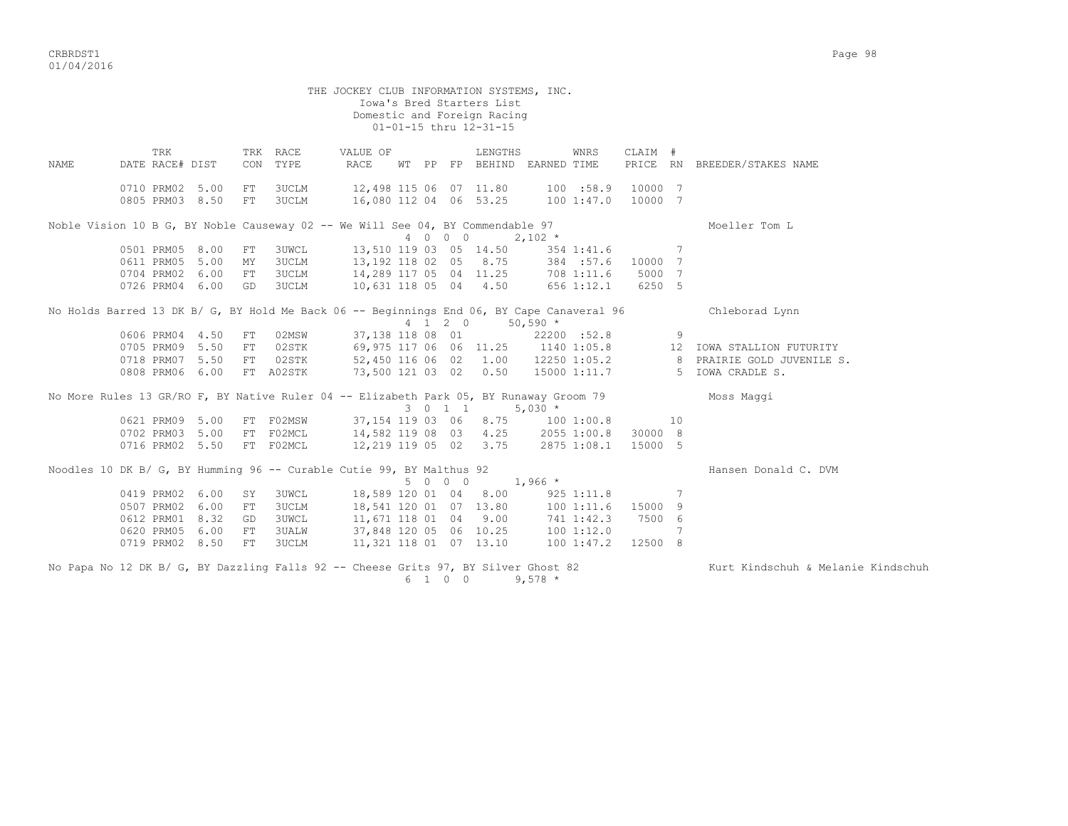THE JOCKEY CLUB INFORMATION SYSTEMS, INC. Iowa's Bred Starters List Domestic and Foreign Racing 01-01-15 thru 12-31-15 TRK TRK RACE VALUE OF LENGTHS WNRS CLAIM # NAME DATE RACE# DIST CON TYPE RACE WT PP FP BEHIND EARNED TIME PRICE RN BREEDER/STAKES NAME 0710 PRM02 5.00 FT 3UCLM 12,498 115 06 07 11.80 100 :58.9 10000 7 0805 PRM03 8.50 FT 3UCLM 16,080 112 04 06 53.25 100 1:47.0 10000 7 Noble Vision 10 B G, BY Noble Causeway 02 -- We Will See 04, BY Commendable 97 Moeller Tom L 4 0 0 0 2,102 \* 0501 PRM05 8.00 FT 3UWCL 13,510 119 03 05 14.50 354 1:41.6 7 0611 PRM05 5.00 MY 3UCLM 13,192 118 02 05 8.75 384 :57.6 10000 7 0704 PRM02 6.00 FT 3UCLM 14,289 117 05 04 11.25 708 1:11.6 5000 7 0726 PRM04 6.00 GD 3UCLM 10,631 118 05 04 4.50 656 1:12.1 6250 5 No Holds Barred 13 DK B/ G, BY Hold Me Back 06 -- Beginnings End 06, BY Cape Canaveral 96 Chleborad Lynn  $4$  1 2 0 50,590  $*$  0606 PRM04 4.50 FT 02MSW 37,138 118 08 01 22200 :52.8 9 0705 PRM09 5.50 FT 02STK 69,975 117 06 06 11.25 1140 1:05.8 12 IOWA STALLION FUTURITY 0718 PRM07 5.50 FT 02STK 52,450 116 06 02 1.00 12250 1:05.2 8 PRAIRIE GOLD JUVENILE S. 0808 PRM06 6.00 FT A02STK 73,500 121 03 02 0.50 15000 1:11.7 5 IOWA CRADLE S. No More Rules 13 GR/RO F, BY Native Ruler 04 -- Elizabeth Park 05, BY Runaway Groom 79 Moss Maggi  $3 \t 0 \t 1 \t 5,030 \t \star$ 0621 PRM09 5.00 FT F02MSW 37,154 119 03 06 8.75 100 1:00.8 10 0702 PRM03 5.00 FT F02MCL 14,582 119 08 03 4.25 2055 1:00.8 30000 8 0716 PRM02 5.50 FT F02MCL 12,219 119 05 02 3.75 2875 1:08.1 15000 5 Noodles 10 DK B/ G, BY Humming 96 -- Curable Cutie 99, BY Malthus 92  $5 \t 0 \t 0 \t 1,966 \t \star$  Hansen Donald C. DVM  $5 \t 0 \t 0 \t 1,966 \star$  0419 PRM02 6.00 SY 3UWCL 18,589 120 01 04 8.00 925 1:11.8 7 0507 PRM02 6.00 FT 3UCLM 18,541 120 01 07 13.80 100 1:11.6 15000 9 0612 PRM01 8.32 GD 3UWCL 11,671 118 01 04 9.00 741 1:42.3 7500 6 0620 PRM05 6.00 FT 3UALW 37,848 120 05 06 10.25 100 1:12.0 7 0719 PRM02 8.50 FT 3UCLM 11,321 118 01 07 13.10 100 1:47.2 12500 8 No Papa No 12 DK B/ G, BY Dazzling Falls 92 -- Cheese Grits 97, BY Silver Ghost 82 Kurt Kindschuh & Melanie Kindschuh 6 1 0 0 9,578 \*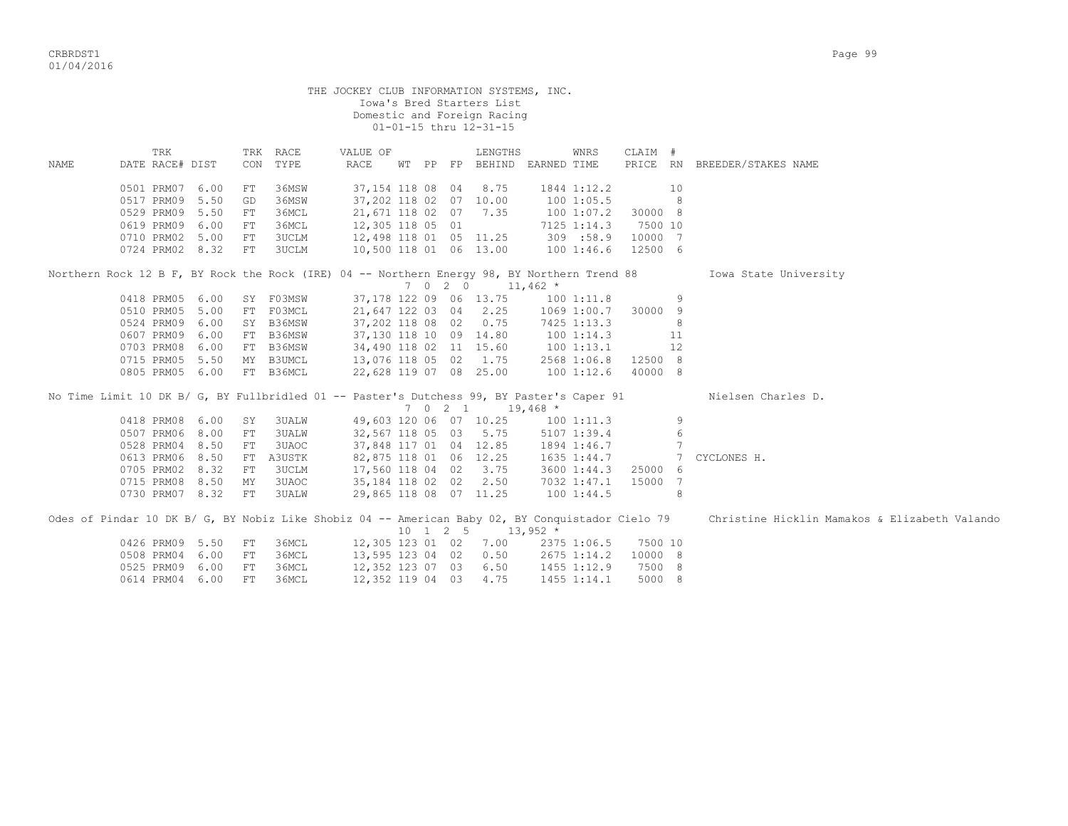|      |                        |            |              | THE JOCKEY CLUB INFORMATION SYSTEMS, INC.<br>Iowa's Bred Starters List<br>Domestic and Foreign Racing |         | 01-01-15 thru 12-31-15                                   |                         |                     |                 |                                               |
|------|------------------------|------------|--------------|-------------------------------------------------------------------------------------------------------|---------|----------------------------------------------------------|-------------------------|---------------------|-----------------|-----------------------------------------------|
| NAME | TRK<br>DATE RACE# DIST | TRK<br>CON | RACE<br>TYPE | VALUE OF<br>RACE                                                                                      |         | LENGTHS<br>WT PP FP BEHIND                               | WNRS<br>EARNED TIME     | CLAIM #<br>PRICE RN |                 | BREEDER/STAKES NAME                           |
|      | 0501 PRM07<br>6.00     | FT         | 36MSW        | 37,154 118 08 04                                                                                      |         | 8.75                                                     | 1844 1:12.2             |                     | 10              |                                               |
|      | 0517 PRM09<br>5.50     | GD         | 36MSW        | 37,202 118 02 07 10.00                                                                                |         |                                                          | 1001:05.5               |                     | 8               |                                               |
|      | 0529 PRM09<br>5.50     | FT         | 36MCL        | 21,671 118 02 07 7.35                                                                                 |         |                                                          | 100 1:07.2              | 30000 8             |                 |                                               |
|      | 6.00<br>0619 PRM09     | FT         | 36MCL        | 12,305 118 05 01                                                                                      |         |                                                          | 7125 1:14.3             | 7500 10             |                 |                                               |
|      | 0710 PRM02<br>5.00     | FT         | 3UCLM        | 12,498 118 01 05 11.25                                                                                |         |                                                          | 309 :58.9               | 10000 7             |                 |                                               |
|      | 0724 PRM02 8.32        | FT         | 3UCLM        | 10,500 118 01 06 13.00                                                                                |         |                                                          | 1001:46.6               | 12500 6             |                 |                                               |
|      |                        |            |              | Northern Rock 12 B F, BY Rock the Rock (IRE) 04 -- Northern Energy 98, BY Northern Trend 88           | 7 0 2 0 |                                                          | $11,462$ *              |                     |                 | Iowa State University                         |
|      | 0418 PRM05 6.00        |            | SY F03MSW    | 37, 178 122 09 06 13.75                                                                               |         |                                                          | 1001:11.8               |                     | 9               |                                               |
|      | 0510 PRM05<br>5.00     |            | FT FO3MCL    | 21,647 122 03 04                                                                                      |         | 2.25                                                     | 1069 1:00.7             | 30000 9             |                 |                                               |
|      | 0524 PRM09<br>6.00     |            | SY B36MSW    | 37,202 118 08 02                                                                                      |         | 0.75                                                     | 7425 1:13.3             |                     | 8               |                                               |
|      | 0607 PRM09<br>6.00     |            | FT B36MSW    | 37,130 118 10 09 14.80                                                                                |         |                                                          | 1001:14.3               |                     | 11              |                                               |
|      | 0703 PRM08<br>6.00     |            | FT B36MSW    | 34,490 118 02 11 15.60                                                                                |         |                                                          | 1001:13.1               |                     | 12              |                                               |
|      | 0715 PRM05 5.50        |            | MY B3UMCL    | 13,076 118 05 02                                                                                      |         | 1.75                                                     | 2568 1:06.8             | 12500 8             |                 |                                               |
|      | 0805 PRM05 6.00        |            | FT B36MCL    | 22,628 119 07 08 25.00                                                                                |         |                                                          | 1001:12.6               | 40000 8             |                 |                                               |
|      |                        |            |              | No Time Limit 10 DK B/ G, BY Fullbridled 01 -- Paster's Dutchess 99, BY Paster's Caper 91             |         |                                                          |                         |                     |                 | Nielsen Charles D.                            |
|      | 0418 PRM08             | 6.00<br>SY | 3UALW        | 49,603 120 06 07 10.25                                                                                | 7 0 2 1 |                                                          | $19,468$ *<br>1001:11.3 |                     | 9               |                                               |
|      | 0507 PRM06<br>8.00     | FT         | 3UALW        | 32,567 118 05 03 5.75                                                                                 |         |                                                          | 5107 1:39.4             |                     | 6               |                                               |
|      | 0528 PRM04<br>8.50     | ${\rm FT}$ | 3UAOC        | 37,848 117 01 04 12.85                                                                                |         |                                                          | 1894 1:46.7             |                     | $7\phantom{.0}$ |                                               |
|      | 8.50<br>0613 PRM06     |            | FT A3USTK    | 82,875 118 01 06 12.25                                                                                |         |                                                          | 1635 1:44.7             |                     | 7               | CYCLONES H.                                   |
|      | 0705 PRM02<br>8.32     | FT         | 3UCLM        | 17,560 118 04 02 3.75                                                                                 |         |                                                          | 3600 1:44.3             | 25000 6             |                 |                                               |
|      | 0715 PRM08<br>8.50     | MΥ         | 3UAOC        | 35,184 118 02 02                                                                                      |         | 2.50                                                     | 7032 1:47.1             | 15000 7             |                 |                                               |
|      | 0730 PRM07 8.32        | FT         | 3UALW        | 29,865 118 08 07 11.25                                                                                |         |                                                          | 1001:44.5               |                     | 8               |                                               |
|      |                        |            |              |                                                                                                       |         |                                                          |                         |                     |                 |                                               |
|      |                        |            |              | Odes of Pindar 10 DK B/ G, BY Nobiz Like Shobiz 04 -- American Baby 02, BY Conquistador Cielo 79      |         | $10 \quad 1 \quad 2 \quad 5 \quad 13,952 \quad ^{\star}$ |                         |                     |                 | Christine Hicklin Mamakos & Elizabeth Valando |
|      | 0426 PRM09<br>5.50     | FT         | 36MCL        | 12,305 123 01 02                                                                                      |         | 7.00                                                     | 2375 1:06.5             | 7500 10             |                 |                                               |
|      | 0508 PRM04<br>6.00     | FT         | 36MCL        | 13,595 123 04 02                                                                                      |         | 0.50                                                     | 2675 1:14.2             | 10000 8             |                 |                                               |
|      | 0525 PRM09<br>6.00     | ${\rm FT}$ | 36MCL        | 12,352 123 07 03                                                                                      |         | 6.50                                                     | 1455 1:12.9             | 7500 8              |                 |                                               |
|      | 0614 PRM04 6.00        | FT         | 36MCL        | 12,352 119 04 03                                                                                      |         | 4.75                                                     | 1455 1:14.1             | 5000 8              |                 |                                               |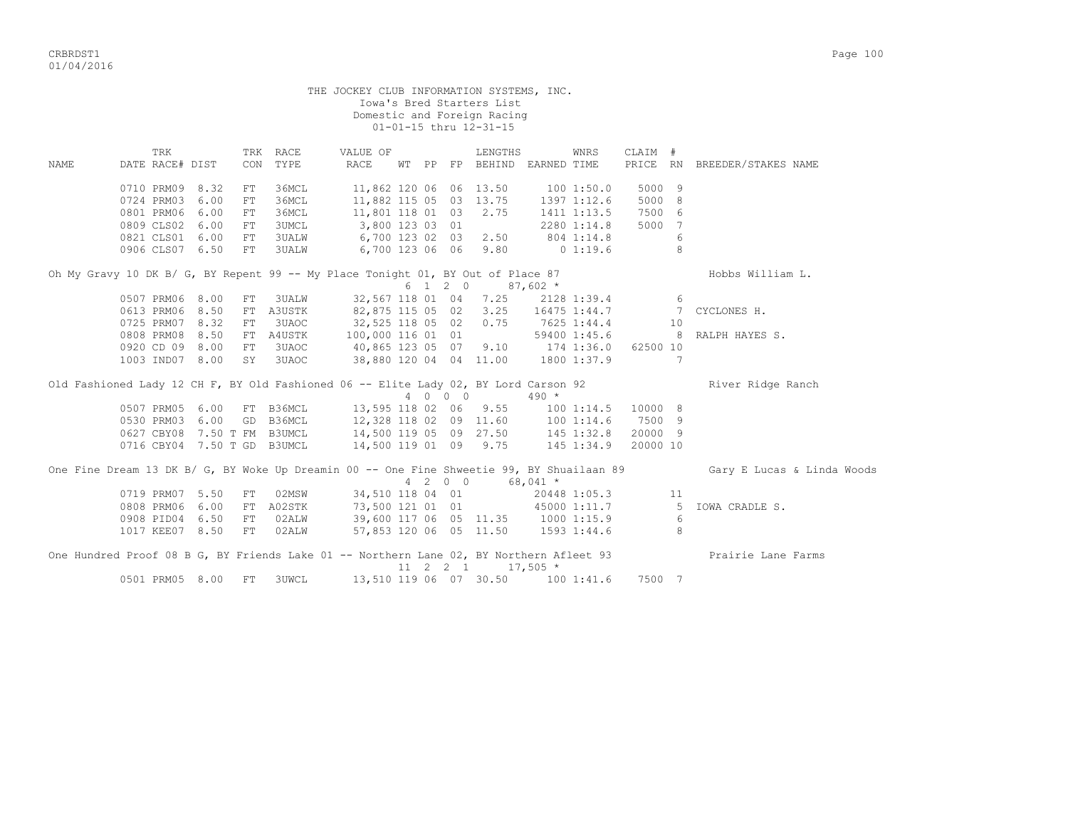|       |                                                                                         |    |              | THE JOCKEY CLUB INFORMATION SYSTEMS, INC.                               |  |         | Iowa's Bred Starters List<br>Domestic and Foreign Racing<br>01-01-15 thru 12-31-15 |            |                    |                |    |                                                                                                                                           |
|-------|-----------------------------------------------------------------------------------------|----|--------------|-------------------------------------------------------------------------|--|---------|------------------------------------------------------------------------------------|------------|--------------------|----------------|----|-------------------------------------------------------------------------------------------------------------------------------------------|
|       | TRK                                                                                     |    | TRK RACE     | VALUE OF                                                                |  |         | LENGTHS                                                                            |            | WNRS               | CLAIM #        |    |                                                                                                                                           |
| NAMF. | DATE RACE# DIST                                                                         |    | CON TYPE     | RACE                                                                    |  |         | WT PP FP BEHIND EARNED TIME                                                        |            |                    |                |    | PRICE RN BREEDER/STAKES NAME                                                                                                              |
|       | 0710 PRM09 8.32                                                                         | FT | 36MCL        | 11,862 120 06 06 13.50 100 1:50.0                                       |  |         |                                                                                    |            |                    | 5000 9         |    |                                                                                                                                           |
|       | 0724 PRM03 6.00                                                                         | FT | 36MCL        |                                                                         |  |         |                                                                                    |            |                    | 5000 8         |    |                                                                                                                                           |
|       | 0801 PRM06 6.00                                                                         | FT | 36MCL        | 11,882 115 05 03 13.75 1397 1:12.6<br>11,801 118 01 03 2.75 1411 1:13.5 |  |         |                                                                                    |            | 1411 1:13.5 7500 6 |                |    |                                                                                                                                           |
|       | 0809 CLS02 6.00                                                                         | FT | 3UMCL        | 3,800 123 03 01                                                         |  |         |                                                                                    |            | 2280 1:14.8 5000 7 |                |    |                                                                                                                                           |
|       | 0821 CLS01 6.00                                                                         | FT | <b>3UALW</b> | 6,700 123 02 03 2.50 804 1:14.8                                         |  |         |                                                                                    |            |                    |                | -6 |                                                                                                                                           |
|       | 0906 CLS07 6.50                                                                         | FT | <b>3UALW</b> | 6,700 123 06 06 9.80 0 1:19.6                                           |  |         |                                                                                    |            |                    | 8 <sup>1</sup> |    |                                                                                                                                           |
|       | Oh My Gravy 10 DK B/ G, BY Repent 99 -- My Place Tonight 01, BY Out of Place 87         |    |              |                                                                         |  |         | $6 \quad 1 \quad 2 \quad 0 \quad 87,602 \neq$                                      |            |                    |                |    | Hobbs William L.                                                                                                                          |
|       | 0507 PRM06 8.00 FT                                                                      |    | 3UALW        |                                                                         |  |         | 32,567 118 01 04 7.25 2128 1:39.4 6                                                |            |                    |                |    |                                                                                                                                           |
|       | 0613 PRM06 8.50                                                                         |    |              |                                                                         |  |         |                                                                                    |            |                    |                |    | FT A3USTK 82,875 115 05 02 3.25 16475 1:44.7 7 CYCLONES H.                                                                                |
|       | 0725 PRM07 8.32                                                                         | FT | 3UAOC        |                                                                         |  |         |                                                                                    |            | 7625 1:44.4        |                | 10 |                                                                                                                                           |
|       | 0808 PRM08 8.50 FT A4USTK                                                               |    |              | 32,525 118 05 02 0.75<br>100,000 116 01 01                              |  |         |                                                                                    |            |                    |                |    | 59400 1:45.6 8 RALPH HAYES S.                                                                                                             |
|       | 0920 CD 09 8.00 FT 3UAOC                                                                |    |              | 40,865 123 05 07 9.10 174 1:36.0 62500 10                               |  |         |                                                                                    |            |                    |                |    |                                                                                                                                           |
|       | 1003 IND07 8.00 SY 3UAOC                                                                |    |              | 38,880 120 04 04 11.00 1800 1:37.9 7                                    |  |         |                                                                                    |            |                    |                |    |                                                                                                                                           |
|       | Old Fashioned Lady 12 CH F, BY Old Fashioned 06 -- Elite Lady 02, BY Lord Carson 92     |    |              |                                                                         |  |         | 4 0 0 0 490 *                                                                      |            |                    |                |    | River Ridge Ranch                                                                                                                         |
|       |                                                                                         |    |              | 0507 PRM05 6.00 FT B36MCL 13,595 118 02 06 9.55 100 1:14.5 10000 8      |  |         |                                                                                    |            |                    |                |    |                                                                                                                                           |
|       |                                                                                         |    |              | 0530 PRM03 6.00 GD B36MCL  12,328 118 02 09 11.60  100 1:14.6  7500 9   |  |         |                                                                                    |            |                    |                |    |                                                                                                                                           |
|       |                                                                                         |    |              | 0627 CBY08 7.50 T FM B3UMCL 14,500 119 05 09 27.50 145 1:32.8 20000 9   |  |         |                                                                                    |            |                    |                |    |                                                                                                                                           |
|       | 0716 CBY04 7.50 T GD B3UMCL                                                             |    |              | 14,500 119 01 09 9.75 145 1:34.9                                        |  |         |                                                                                    |            |                    | 20000 10       |    |                                                                                                                                           |
|       |                                                                                         |    |              |                                                                         |  | 4 2 0 0 |                                                                                    | $68,041$ * |                    |                |    | One Fine Dream 13 DK B/ G, BY Woke Up Dreamin 00 -- One Fine Shweetie 99, BY Shuailaan 89 Gary E Lucas & Linda Woods                      |
|       | 0719 PRM07 5.50                                                                         | FT | 02MSW        |                                                                         |  |         | 34,510 118 04 01                                                                   |            | 20448 1:05.3 11    |                |    |                                                                                                                                           |
|       |                                                                                         |    |              |                                                                         |  |         |                                                                                    |            |                    |                |    |                                                                                                                                           |
|       |                                                                                         |    |              |                                                                         |  |         |                                                                                    |            |                    |                |    | 0808 PRM06 6.00 FT A02STK 73,500 121 01 01 45000 1:11.7 5 IOWA CRADLE S.<br>0908 PID04 6.50 FT 02ALW 39,600 117 06 05 11.35 1000 1:15.9 6 |
|       | 1017 KEE07 8.50                                                                         |    | FT 02ALW     |                                                                         |  |         | 57,853 120 06 05 11.50 1593 1:44.6                                                 |            |                    |                | 8  |                                                                                                                                           |
|       | One Hundred Proof 08 B G, BY Friends Lake 01 -- Northern Lane 02, BY Northern Afleet 93 |    |              |                                                                         |  |         | $11 \quad 2 \quad 2 \quad 1 \quad 17,505$ *                                        |            |                    |                |    | Prairie Lane Farms                                                                                                                        |
|       | 0501 PRM05 8.00                                                                         | FT | 3UWCL        |                                                                         |  |         | 13,510 119 06 07 30.50 100 1:41.6 7500 7                                           |            |                    |                |    |                                                                                                                                           |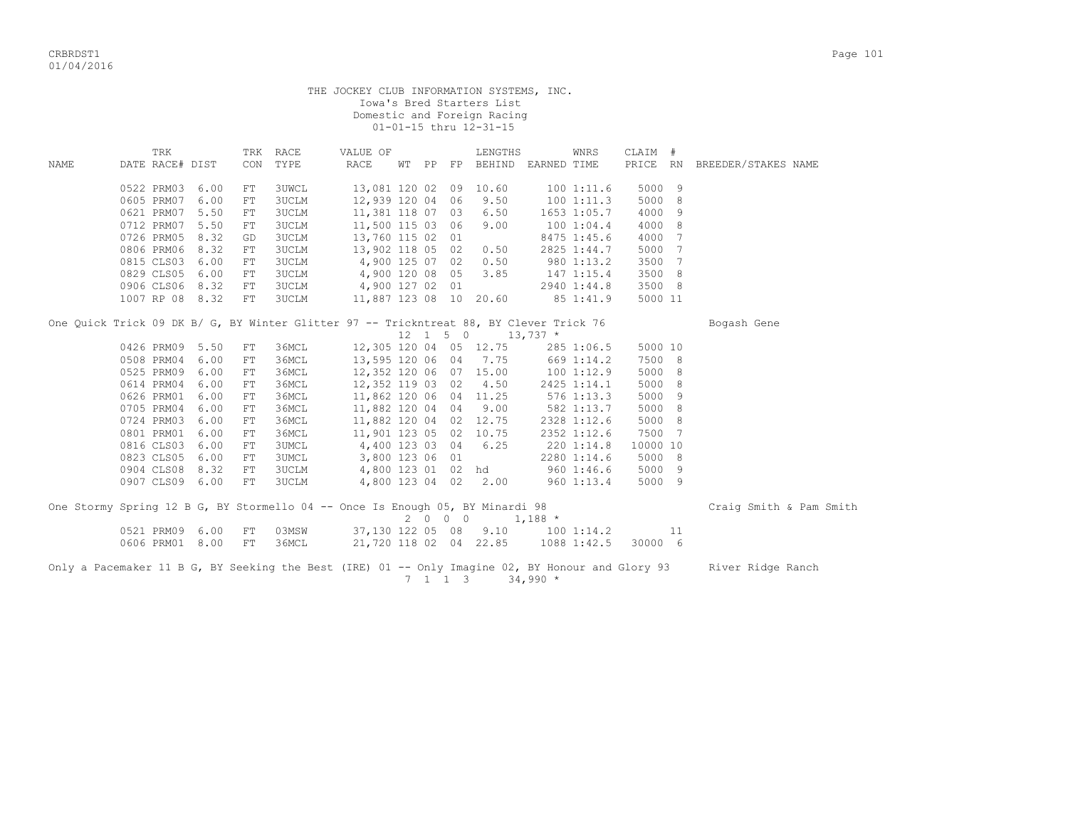|      |                          |              |                   |                | THE JOCKEY CLUB INFORMATION SYSTEMS, INC. |       |    | Iowa's Bred Starters List<br>Domestic and Foreign Racing<br>01-01-15 thru 12-31-15 |             |                        |                  |     |                     |  |
|------|--------------------------|--------------|-------------------|----------------|-------------------------------------------|-------|----|------------------------------------------------------------------------------------|-------------|------------------------|------------------|-----|---------------------|--|
| NAME | TRK<br>DATE RACE# DIST   |              | TRK<br><b>CON</b> | RACE<br>TYPE   | VALUE OF<br>RACE                          | WT PP | FP | LENGTHS<br>BEHIND                                                                  | EARNED TIME | WNRS                   | CLAIM #<br>PRICE | RN. | BREEDER/STAKES NAME |  |
|      | 0522 PRM03<br>0605 PRM07 | 6.00<br>6.00 | FT.<br>FT.        | 3UWCL<br>3UCLM | 13,081 120 02<br>12,939 120 04 06         |       |    | 09 10.60<br>9.50                                                                   |             | 1001:11.6<br>1001:11.3 | 5000 9<br>5000 8 |     |                     |  |

| 000J LIN'IU / 0.00 LL    |  | - JUULII | $\bot$ $\angle$ $\rightarrow$ $\angle$ $\rightarrow$ $\bot$ $\angle$ $\vee$ $\rightarrow$ $\bot$ $\rightarrow$ $\bot$ $\rightarrow$ $\bot$ $\rightarrow$ $\bot$ $\rightarrow$ $\bot$ $\rightarrow$ $\bot$ $\rightarrow$ $\bot$ $\rightarrow$ $\bot$ $\rightarrow$ $\bot$ $\rightarrow$ $\bot$ $\rightarrow$ $\bot$ $\rightarrow$ $\bot$ $\rightarrow$ $\bot$ $\rightarrow$ $\bot$ $\rightarrow$ $\bot$ $\rightarrow$ $\bot$ $\rightarrow$ $\bot$ $\rightarrow$ $\bot$ |  |                        | <b>IVV I.II.J</b> | JUUU U  |  |
|--------------------------|--|----------|-----------------------------------------------------------------------------------------------------------------------------------------------------------------------------------------------------------------------------------------------------------------------------------------------------------------------------------------------------------------------------------------------------------------------------------------------------------------------|--|------------------------|-------------------|---------|--|
| 0621 PRM07 5.50 FT 3UCLM |  |          | 11,381 118 07 03 6.50                                                                                                                                                                                                                                                                                                                                                                                                                                                 |  |                        | 1653 1:05.7       | 4000 9  |  |
| 0712 PRM07 5.50 FT       |  | 3UCLM    | 11,500 115 03 06 9.00                                                                                                                                                                                                                                                                                                                                                                                                                                                 |  |                        | 1001:04.4         | 4000 8  |  |
| 0726 PRM05 8.32 GD 3UCLM |  |          | 13,760 115 02 01                                                                                                                                                                                                                                                                                                                                                                                                                                                      |  |                        | 8475 1:45.6       | 4000 7  |  |
| 0806 PRM06 8.32 FT 3UCLM |  |          | 13,902 118 05 02 0.50                                                                                                                                                                                                                                                                                                                                                                                                                                                 |  |                        | 2825 1:44.7       | 5000 7  |  |
| 0815 CLS03 6.00 FT       |  | 3UCLM    |                                                                                                                                                                                                                                                                                                                                                                                                                                                                       |  | 4,900 125 07 02 0.50   | 980 1:13.2        | 3500 7  |  |
| 0829 CLS05 6.00 FT       |  | 3UCLM    |                                                                                                                                                                                                                                                                                                                                                                                                                                                                       |  | 4,900 120 08 05 3.85   | 147 1:15.4        | 3500 8  |  |
| 0906 CLS06 8.32 FT       |  | 3UCLM    | 4,900 127 02 01                                                                                                                                                                                                                                                                                                                                                                                                                                                       |  |                        | 2940 1:44.8       | 3500 8  |  |
| 1007 RP 08 8.32 FT 3UCLM |  |          |                                                                                                                                                                                                                                                                                                                                                                                                                                                                       |  | 11,887 123 08 10 20.60 | 85 1:41.9         | 5000 11 |  |
|                          |  |          |                                                                                                                                                                                                                                                                                                                                                                                                                                                                       |  |                        |                   |         |  |

| One Ouick Trick 09 DK B/ G, BY Winter Glitter 97 -- Trickntreat 88, BY Clever Trick 76 |      |             |                        |          |      |              |          | Bogash Gene             |
|----------------------------------------------------------------------------------------|------|-------------|------------------------|----------|------|--------------|----------|-------------------------|
|                                                                                        |      |             |                        | 12 1 5 0 |      | $13,737$ *   |          |                         |
| 0426 PRM09                                                                             | 5.50 | З6МСЬ<br>FT | 12,305 120 04 05 12.75 |          |      | 285 1:06.5   | 5000 10  |                         |
| 0508 PRM04                                                                             | 6.00 | З6МСЬ<br>FT | 13,595 120 06 04 7.75  |          |      | 669 1:14.2   | 7500 8   |                         |
| 0525 PRM09                                                                             | 6.00 | З6МСЬ<br>FT | 12,352 120 06 07 15.00 |          |      | 100 1:12.9   | 5000 8   |                         |
| 0614 PRM04                                                                             | 6.00 | 36MCL<br>FT | 12,352 119 03 02       |          | 4.50 | 2425 1:14.1  | 5000 8   |                         |
| 0626 PRM01                                                                             | 6.00 | 36MCL<br>FT | 11,862 120 06 04 11.25 |          |      | $576$ 1:13.3 | 5000 9   |                         |
| 0705 PRM04                                                                             | 6.00 | З6МСЬ<br>FT | 11,882 120 04 04       |          | 9.00 | 582 1:13.7   | 5000 8   |                         |
| 0724 PRM03                                                                             | 6.00 | З6МСІ<br>FT | 11,882 120 04 02 12.75 |          |      | 2328 1:12.6  | 5000 8   |                         |
| 0801 PRM01                                                                             | 6.00 | 36MCL<br>FT | 11,901 123 05 02 10.75 |          |      | 2352 1:12.6  | 7500 7   |                         |
| 0816 CLS03                                                                             | 6.00 | 3UMCL<br>FT | 4,400 123 03 04 6.25   |          |      | 220 1:14.8   | 10000 10 |                         |
| 0823 CLS05                                                                             | 6.00 | 3UMCL<br>FT | 3,800 123 06 01        |          |      | 2280 1:14.6  | 5000 8   |                         |
| 0904 CLS08                                                                             | 8.32 | 3UCLM<br>FT | 4,800 123 01 02 hd     |          |      | 9601:46.6    | 5000 9   |                         |
| 0907 CLS09                                                                             | 6.00 | 3UCLM<br>FT | 4,800 123 04 02        |          | 2.00 | 9601:13.4    | 5000 9   |                         |
| One Stormy Spring 12 B G, BY Stormello 04 -- Once Is Enough 05, BY Minardi 98          |      |             |                        | 2 N N N  |      | $1.188$ *    |          | Craig Smith & Pam Smith |

|  |  |  |                          | One Stormy Spring 12 B G, BY Stormello 04 -- Once is Enough 05, BY Minardi 98 |  |  |                                  |                     |  | Craig Smith & Pam Smi |  |
|--|--|--|--------------------------|-------------------------------------------------------------------------------|--|--|----------------------------------|---------------------|--|-----------------------|--|
|  |  |  |                          |                                                                               |  |  | 2 0 0 0 1.188 *                  |                     |  |                       |  |
|  |  |  | 0521 PRM09 6.00 FT 03MSW |                                                                               |  |  | 37,130 122 05 08 9.10 100 1:14.2 |                     |  |                       |  |
|  |  |  | 0606 PRM01 8.00 FT 36MCL | 21,720 118 02 04 22.85                                                        |  |  |                                  | 1088 1:42.5 30000 6 |  |                       |  |
|  |  |  |                          |                                                                               |  |  |                                  |                     |  |                       |  |

Only a Pacemaker 11 B G, BY Seeking the Best (IRE) 01 -- Only Imagine 02, BY Honour and Glory 93 River Ridge Ranch  $7 \quad 1 \quad 1 \quad 3 \quad 34,990 \star$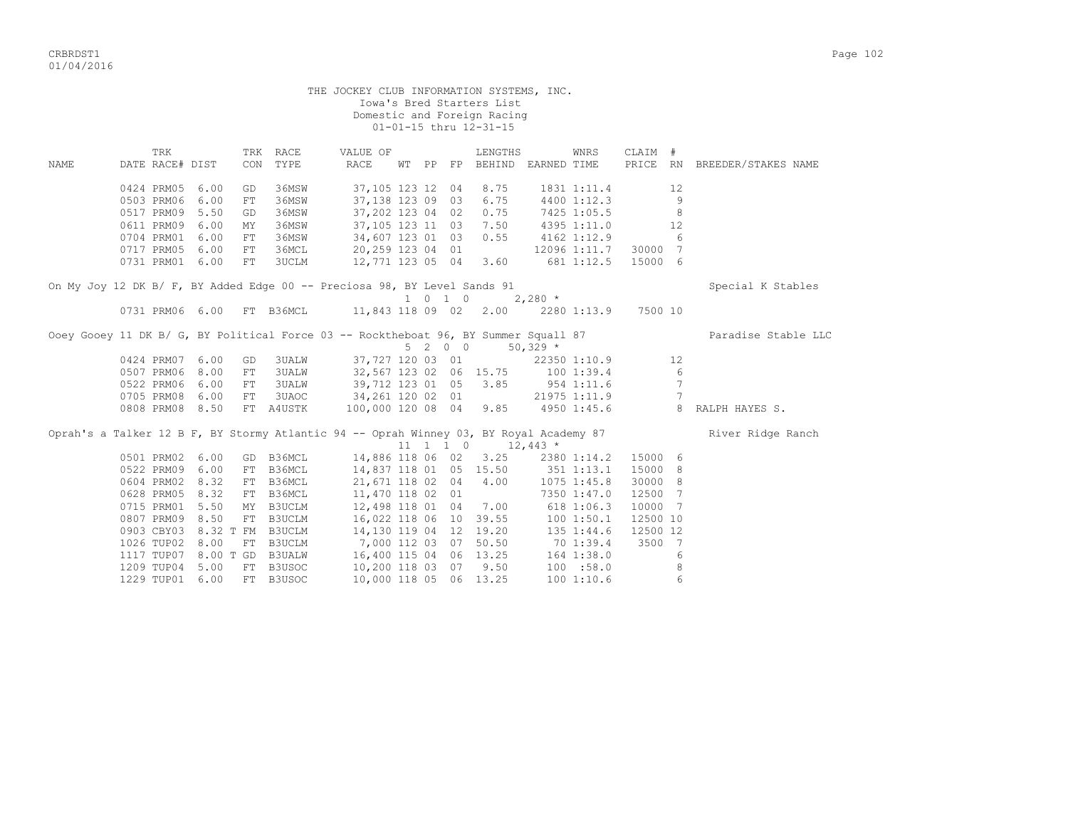|      |                                                                          |      |                 |                                      |                                            |  |                    | THE JOCKEY CLUB INFORMATION SYSTEMS, INC.<br>Iowa's Bred Starters List<br>Domestic and Foreign Racing<br>01-01-15 thru 12-31-15 |                        |                |                    |                 |                                                                                                          |
|------|--------------------------------------------------------------------------|------|-----------------|--------------------------------------|--------------------------------------------|--|--------------------|---------------------------------------------------------------------------------------------------------------------------------|------------------------|----------------|--------------------|-----------------|----------------------------------------------------------------------------------------------------------|
| NAME | TRK<br>DATE RACE# DIST                                                   |      | TRK RACE<br>CON | TYPE                                 | VALUE OF<br>RACE                           |  |                    | LENGTHS<br>WT PP FP BEHIND EARNED TIME                                                                                          |                        | WNRS           | CLAIM #            |                 | PRICE RN BREEDER/STAKES NAME                                                                             |
|      |                                                                          |      |                 |                                      |                                            |  |                    |                                                                                                                                 |                        |                |                    |                 |                                                                                                          |
|      | 0424 PRM05                                                               | 6.00 | GD              | 36MSW                                | 37,105 123 12 04                           |  |                    | 8.75                                                                                                                            |                        | 1831 1:11.4    |                    | 12              |                                                                                                          |
|      | 0503 PRM06                                                               | 6.00 | FT              | 36MSW                                | 37, 138 123 09 03                          |  |                    | 6.75                                                                                                                            |                        | 4400 1:12.3    |                    | 9               |                                                                                                          |
|      | 0517 PRM09 5.50                                                          |      | GD              | 36MSW                                | 37,202 123 04 02                           |  |                    | 0.75                                                                                                                            |                        | 7425 1:05.5    |                    | 8               |                                                                                                          |
|      | 0611 PRM09 6.00                                                          |      | MY              | 36MSW                                | 37, 105 123 11 03                          |  |                    | 7.50                                                                                                                            |                        | 4395 1:11.0    |                    | 12              |                                                                                                          |
|      | 0704 PRM01                                                               | 6.00 | $_{\rm FT}$     | 36MSW                                | 34,607 123 01 03                           |  |                    | 0.55                                                                                                                            | 4162 1:12.9            |                |                    | 6               |                                                                                                          |
|      | 0717 PRM05 6.00                                                          |      | FT              | 36MCL                                | 20,259 123 04 01                           |  |                    |                                                                                                                                 | 12096 1:11.7           |                | 30000 7            |                 |                                                                                                          |
|      | 0731 PRM01 6.00                                                          |      | FT              | <b>3UCLM</b>                         | 12,771 123 05 04                           |  |                    | 3.60                                                                                                                            | 681 1:12.5             |                | 15000 6            |                 |                                                                                                          |
|      | On My Joy 12 DK B/ F, BY Added Edge 00 -- Preciosa 98, BY Level Sands 91 |      |                 |                                      |                                            |  |                    |                                                                                                                                 |                        |                |                    |                 | Special K Stables                                                                                        |
|      |                                                                          |      |                 |                                      |                                            |  | $1 \t 0 \t 1 \t 0$ |                                                                                                                                 | $2,280$ *              |                |                    |                 |                                                                                                          |
|      | 0731 PRM06 6.00 FT B36MCL 11,843 118 09 02 2.00 2280 1:13.9 7500 10      |      |                 |                                      |                                            |  |                    |                                                                                                                                 |                        |                |                    |                 |                                                                                                          |
|      |                                                                          |      |                 |                                      |                                            |  |                    | 5 2 0 0                                                                                                                         | $50,329$ *             |                |                    |                 | Ooey Gooey 11 DK B/ G, BY Political Force 03 -- Rocktheboat 96, BY Summer Squall 87 Paradise Stable LLC  |
|      | 0424 PRM07 6.00                                                          |      | GD              | <b>3UALW</b>                         |                                            |  |                    | 37,727 120 03 01 22350 1:10.9                                                                                                   |                        |                |                    | 12              |                                                                                                          |
|      | 0507 PRM06 8.00                                                          |      | FT              | <b>3UALW</b>                         |                                            |  |                    | 32,567 123 02 06 15.75 100 1:39.4                                                                                               |                        |                |                    | 6               |                                                                                                          |
|      | 0522 PRM06                                                               | 6.00 | ${\rm FT}$      | <b>3UALW</b>                         | 39,712 123 01 05                           |  |                    |                                                                                                                                 | $3.85$ $954$ $1:11.6$  |                |                    | $7\overline{ }$ |                                                                                                          |
|      | 0705 PRM08 6.00                                                          |      | FT              | 3UAOC 34, 261 120 02 01 21975 1:11.9 |                                            |  |                    |                                                                                                                                 |                        |                |                    |                 |                                                                                                          |
|      | 0808 PRM08 8.50                                                          |      |                 |                                      |                                            |  |                    |                                                                                                                                 |                        |                |                    | $7\phantom{.0}$ |                                                                                                          |
|      |                                                                          |      |                 | FT A4USTK 100,000 120 08 04          |                                            |  |                    |                                                                                                                                 | $9.85$ $4950$ $1:45.6$ |                |                    |                 | 8 RALPH HAYES S.                                                                                         |
|      |                                                                          |      |                 |                                      |                                            |  |                    | 11 1 1 0                                                                                                                        |                        |                |                    |                 | Oprah's a Talker 12 B F, BY Stormy Atlantic 94 -- Oprah Winney 03, BY Royal Academy 87 River Ridge Ranch |
|      |                                                                          |      |                 |                                      |                                            |  |                    |                                                                                                                                 | $12,443$ *             |                |                    |                 |                                                                                                          |
|      | 0501 PRM02 6.00<br>0522 PRM09 6.00                                       |      | FT B36MCL       | GD B36MCL                            | 14,886 118 06 02                           |  |                    | 3.25                                                                                                                            |                        | 2380 1:14.2    | 15000 6<br>15000 8 |                 |                                                                                                          |
|      | 0604 PRM02 8.32                                                          |      | FT B36MCL       |                                      | 14,837 118 01 05 15.50<br>21,671 118 02 04 |  |                    | 4.00                                                                                                                            | 351 1:13.1             | 1075 1:45.8    | 30000 8            |                 |                                                                                                          |
|      | 0628 PRM05 8.32                                                          |      | FT B36MCL       |                                      | 11,470 118 02 01                           |  |                    |                                                                                                                                 |                        | 7350 1:47.0    | 12500 7            |                 |                                                                                                          |
|      | 0715 PRM01 5.50                                                          |      | MY B3UCLM       |                                      |                                            |  |                    |                                                                                                                                 |                        |                | 10000 7            |                 |                                                                                                          |
|      | 0807 PRM09 8.50                                                          |      | FT B3UCLM       |                                      |                                            |  |                    | 12,498 118 01 04 7.00 618 1:06.3<br>16,022 118 06 10 39.55 100 1:50.1                                                           |                        |                | 12500 10           |                 |                                                                                                          |
|      | 0903 CBY03 8.32 T FM B3UCLM                                              |      |                 |                                      |                                            |  |                    | 14,130 119 04 12 19.20                                                                                                          |                        | $135$ $1:44.6$ | 12500 12           |                 |                                                                                                          |
|      | 1026 TUP02 8.00                                                          |      | FT B3UCLM       |                                      |                                            |  |                    | 7,000 112 03 07 50.50 70 1:39.4                                                                                                 |                        |                | 3500 7             |                 |                                                                                                          |
|      | 1117 TUP07 8.00 T GD B3UALW                                              |      |                 |                                      |                                            |  |                    | 16,400 115 04 06 13.25                                                                                                          |                        | 164 1:38.0     |                    | 6               |                                                                                                          |

1229 TUP01 6.00 FT B3USOC 10,000 118 05 06 13.25 100 1:10.6 6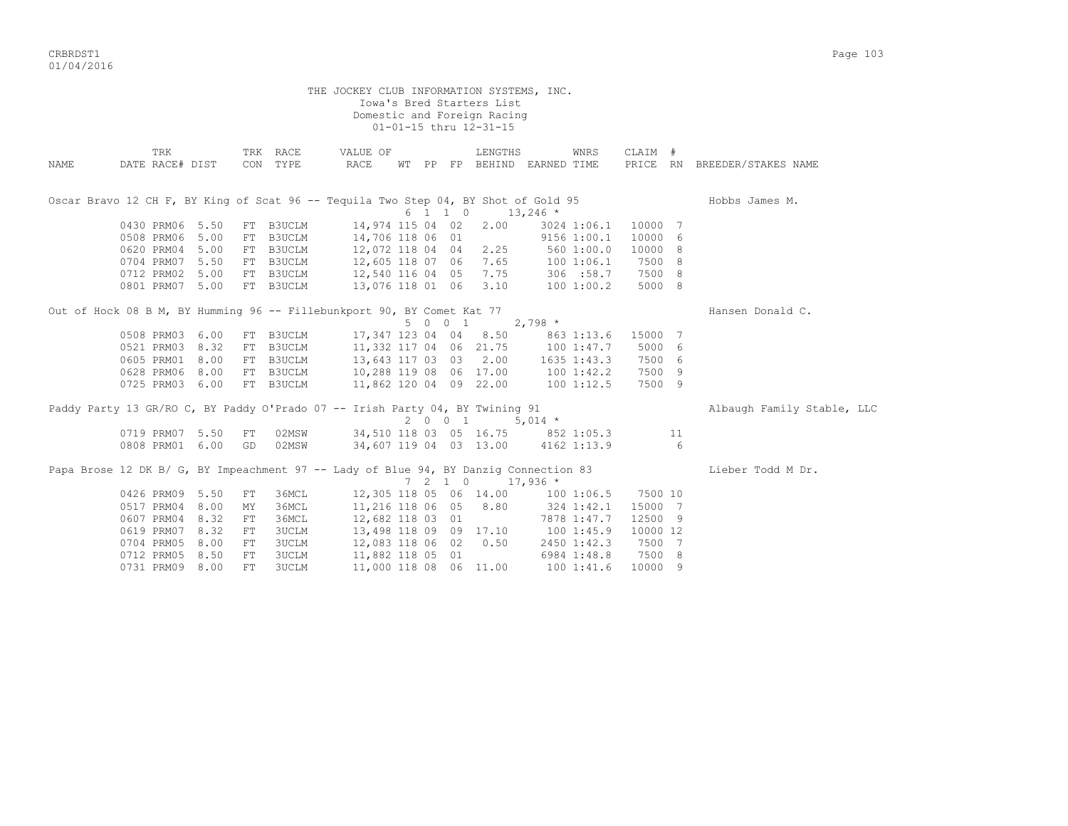CRBRDST1 Page 103 01/04/2016

THE JOCKEY CLUB INFORMATION SYSTEMS, INC. Iowa's Bred Starters List Domestic and Foreign Racing 01-01-15 thru 12-31-15 TRK TRK RACE VALUE OF LENGTHS WNRS CLAIM # NAME DATE RACE# DIST CON TYPE RACE WT PP FP BEHIND EARNED TIME PRICE RN BREEDER/STAKES NAME Oscar Bravo 12 CH F, BY King of Scat 96 -- Tequila Two Step 04, BY Shot of Gold 95 Hobbs James M.  $6 \quad 1 \quad 1 \quad 0 \quad 13,246 \star$  0430 PRM06 5.50 FT B3UCLM 14,974 115 04 02 2.00 3024 1:06.1 10000 7 0508 PRM06 5.00 FT B3UCLM 14,706 118 06 01 9156 1:00.1 10000 6 0620 PRM04 5.00 FT B3UCLM 12,072 118 04 04 2.25 560 1:00.0 10000 8 0704 PRM07 5.50 FT B3UCLM 12,605 118 07 06 7.65 100 1:06.1 7500 8 0712 PRM02 5.00 FT B3UCLM 12,540 116 04 05 7.75 306 :58.7 7500 8 0801 PRM07 5.00 FT B3UCLM 13,076 118 01 06 3.10 100 1:00.2 5000 8 Out of Hock 08 B M, BY Humming 96 -- Fillebunkport 90, BY Comet Kat 77 Hansen Donald C.  $5 \t0 \t0 \t1 \t2,798 \t*$  0508 PRM03 6.00 FT B3UCLM 17,347 123 04 04 8.50 863 1:13.6 15000 7 0521 PRM03 8.32 FT B3UCLM 11,332 117 04 06 21.75 100 1:47.7 5000 6 0605 PRM01 8.00 FT B3UCLM 13,643 117 03 03 2.00 1635 1:43.3 7500 6 0628 PRM06 8.00 FT B3UCLM 10,288 119 08 06 17.00 100 1:42.2 7500 9 0725 PRM03 6.00 FT B3UCLM 11,862 120 04 09 22.00 100 1:12.5 7500 9 Paddy Party 13 GR/RO C, BY Paddy O'Prado 07 -- Irish Party 04, BY Twining 91 Albaugh Family Stable, LLC 2 0 0 1 5,014 \* 0719 PRM07 5.50 FT 02MSW 34,510 118 03 05 16.75 852 1:05.3 11 0808 PRM01 6.00 GD 02MSW 34,607 119 04 03 13.00 4162 1:13.9 6 Papa Brose 12 DK B/ G, BY Impeachment 97 -- Lady of Blue 94, BY Danzig Connection 83 Lieber Todd M Dr. 7 2 1 0 17,936 \* 0426 PRM09 5.50 FT 36MCL 12,305 118 05 06 14.00 100 1:06.5 7500 10<br>0517 PRM04 8.00 MY 36MCL 11,216 118 06 05 8.80 324 1:42.1 15000 7

 0517 PRM04 8.00 MY 36MCL 11,216 118 06 05 8.80 324 1:42.1 15000 7 0607 PRM04 8.32 FT 36MCL 12,682 118 03 01 7878 1:47.7 12500 9 0619 PRM07 8.32 FT 3UCLM 13,498 118 09 09 17.10 100 1:45.9 10000 12 0704 PRM05 8.00 FT 3UCLM 12,083 118 06 02 0.50 2450 1:42.3 7500 7 0712 PRM05 8.50 FT 3UCLM 11,882 118 05 01 6984 1:48.8 7500 8 0731 PRM09 8.00 FT 3UCLM 11,000 118 08 06 11.00 100 1:41.6 10000 9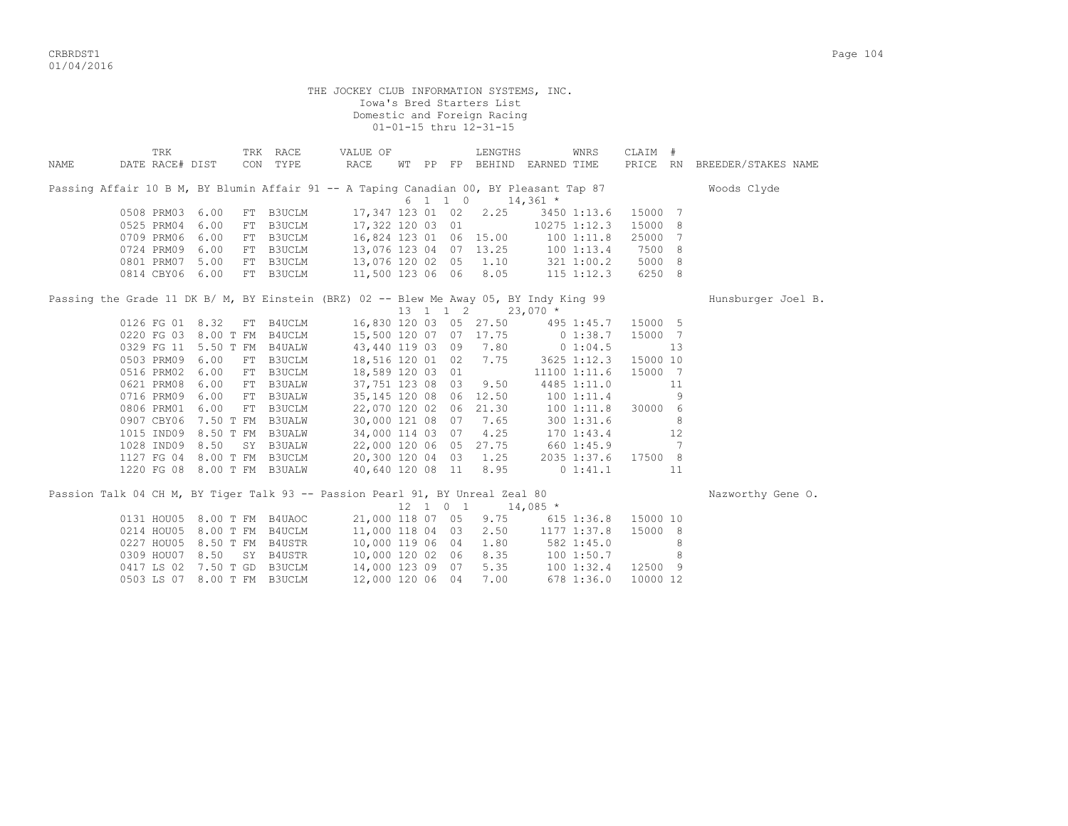CRBRDST1 Page 104 01/04/2016

| THE JOCKEY CLUB INFORMATION SYSTEMS, INC.<br>Iowa's Bred Starters List<br>Domestic and Foreign Racing<br>01-01-15 thru 12-31-15 |                             |           |                                                                                            |                              |  |       |                                                                                                                                                                                                                                                                                                                                     |           |                |                              |  |
|---------------------------------------------------------------------------------------------------------------------------------|-----------------------------|-----------|--------------------------------------------------------------------------------------------|------------------------------|--|-------|-------------------------------------------------------------------------------------------------------------------------------------------------------------------------------------------------------------------------------------------------------------------------------------------------------------------------------------|-----------|----------------|------------------------------|--|
| TRK<br>DATE RACE# DIST<br>NAME                                                                                                  | TRK RACE                    | CON TYPE  | VALUE OF<br>RACE                                                                           |                              |  |       | LENGTHS<br>WNRS<br>WT PP FP BEHIND EARNED TIME                                                                                                                                                                                                                                                                                      | CLAIM #   |                | PRICE RN BREEDER/STAKES NAME |  |
| Passing Affair 10 B M, BY Blumin Affair 91 -- A Taping Canadian 00, BY Pleasant Tap 87                                          | Woods Clyde                 |           |                                                                                            |                              |  |       |                                                                                                                                                                                                                                                                                                                                     |           |                |                              |  |
|                                                                                                                                 |                             |           |                                                                                            |                              |  |       | $6 \quad 1 \quad 1 \quad 0 \quad 14,361 \star$                                                                                                                                                                                                                                                                                      |           |                |                              |  |
| 0508 PRM03 6.00                                                                                                                 |                             | FT B3UCLM | 17,347 123 01 02                                                                           |                              |  |       | 2.25 3450 1:13.6                                                                                                                                                                                                                                                                                                                    | 15000 7   |                |                              |  |
| 0525 PRM04 6.00                                                                                                                 |                             |           |                                                                                            |                              |  |       | FT B3UCLM 17,322 120 03 01 10275 1:12.3<br>FT B3UCLM 16,824 123 01 06 15.00 100 1:11.8<br>FT B3UCLM 13,076 123 04 07 13.25 100 1:13.4                                                                                                                                                                                               | 15000 8   |                |                              |  |
| 0709 PRM06 6.00                                                                                                                 |                             |           |                                                                                            |                              |  |       |                                                                                                                                                                                                                                                                                                                                     | 25000 7   |                |                              |  |
| 0724 PRM09 6.00                                                                                                                 |                             |           |                                                                                            |                              |  |       |                                                                                                                                                                                                                                                                                                                                     | 7500 8    |                |                              |  |
| 0801 PRM07 5.00                                                                                                                 |                             |           |                                                                                            |                              |  |       | FT B3UCLM 13,076 120 02 05 1.10 321 1:00.2 5000 8                                                                                                                                                                                                                                                                                   |           |                |                              |  |
| 0814 CBY06 6.00                                                                                                                 |                             | FT B3UCLM | 11,500 123 06 06 8.05                                                                      |                              |  |       | 115 1:12.3 6250 8                                                                                                                                                                                                                                                                                                                   |           |                |                              |  |
| Passing the Grade 11 DK B/ M, BY Einstein (BRZ) 02 -- Blew Me Away 05, BY Indy King 99                                          |                             |           |                                                                                            |                              |  |       | 13 1 1 2 23,070 *                                                                                                                                                                                                                                                                                                                   |           |                | Hunsburger Joel B.           |  |
| 0126 FG 01 8.32                                                                                                                 |                             | FT B4UCLM |                                                                                            |                              |  |       | 16,830 120 03 05 27.50 495 1:45.7                                                                                                                                                                                                                                                                                                   | 15000 5   |                |                              |  |
|                                                                                                                                 |                             |           | 0220 FG 03 8.00 T FM B4UCLM 15,500 120 07 07 17.75                                         |                              |  |       | $0\;1:38.7$                                                                                                                                                                                                                                                                                                                         | 15000 7   |                |                              |  |
|                                                                                                                                 | 0329 FG 11 5.50 T FM B4UALW |           | 43,440 119 03 09 7.80                                                                      |                              |  |       | 0 1:04.5                                                                                                                                                                                                                                                                                                                            |           | 13             |                              |  |
| 0503 PRM09 6.00                                                                                                                 |                             | FT B3UCLM |                                                                                            |                              |  | 7.75  | 3625 1:12.3                                                                                                                                                                                                                                                                                                                         | 15000 10  |                |                              |  |
| 0516 PRM02 6.00                                                                                                                 |                             | FT B3UCLM | 18,516 120 01 02<br>18,589 120 03 01                                                       |                              |  |       | 11100 1:11.6                                                                                                                                                                                                                                                                                                                        | 15000 7   |                |                              |  |
| 0621 PRM08 6.00                                                                                                                 |                             |           | FT B3UALW 37,751 123 08 03                                                                 |                              |  | 9.50  | 4485 1:11.0                                                                                                                                                                                                                                                                                                                         |           | 11             |                              |  |
| 0716 PRM09 6.00                                                                                                                 |                             |           | FT B3UALW 35,145 120 08 06 12.50                                                           |                              |  |       | 1001:11.4                                                                                                                                                                                                                                                                                                                           |           | - 9            |                              |  |
| 0806 PRM01 6.00                                                                                                                 |                             | FT B3UCLM | 22,070 120 02 06                                                                           |                              |  | 21.30 | 100 1:11.8                                                                                                                                                                                                                                                                                                                          | 30000 6   |                |                              |  |
|                                                                                                                                 |                             |           |                                                                                            |                              |  |       |                                                                                                                                                                                                                                                                                                                                     |           | $_{\circ}$ 8   |                              |  |
|                                                                                                                                 |                             |           |                                                                                            |                              |  |       |                                                                                                                                                                                                                                                                                                                                     |           | 12             |                              |  |
|                                                                                                                                 |                             |           |                                                                                            |                              |  |       | $\begin{array}{cccccccc} 0907 & \text{CBY06} & 7.50 & \text{T FM} & \text{B3UALW} & 30,000 & 121 & 08 & 07 & 7.65 & 300 & 1:31.6 \\ 1015 & \text{IND09} & 8.50 & \text{T FM} & \text{B3UALW} & 34,000 & 114 & 03 & 07 & 4.25 & 170 & 1:43.4 \\ 1028 & \text{IND09} & 8.50 & \text{SY} & \text{B3UALW} & 22,000 & 120 & 06 & 05 & 2$ |           | $\overline{7}$ |                              |  |
|                                                                                                                                 |                             |           |                                                                                            |                              |  |       | 1127 FG 04 8.00 T FM B3UCLM 20,300 120 04 03 1.25 2035 1:37.6                                                                                                                                                                                                                                                                       | 17500 8   |                |                              |  |
|                                                                                                                                 |                             |           |                                                                                            |                              |  |       | 1220 FG 08 8.00 T FM B3UALW 40,640 120 08 11 8.95 0 1:41.1                                                                                                                                                                                                                                                                          | $\sim$ 11 |                |                              |  |
| Passion Talk 04 CH M, BY Tiger Talk 93 -- Passion Pearl 91, BY Unreal Zeal 80                                                   |                             |           |                                                                                            | $12 \quad 1 \quad 0 \quad 1$ |  |       | $14,085$ *                                                                                                                                                                                                                                                                                                                          |           |                | Nazworthy Gene O.            |  |
|                                                                                                                                 | 0131 HOU05 8.00 T FM B4UAOC |           | 21,000 118 07 05                                                                           |                              |  |       | 9.75<br>615 1:36.8                                                                                                                                                                                                                                                                                                                  | 15000 10  |                |                              |  |
|                                                                                                                                 |                             |           | 0214 HOU05 8.00 T FM B4UCLM 11,000 118 04 03                                               |                              |  | 2.50  | $1177$ $1:37.8$                                                                                                                                                                                                                                                                                                                     | 15000 8   |                |                              |  |
|                                                                                                                                 | 0227 HOU05 8.50 T FM B4USTR |           | 10,000 119 06 04                                                                           |                              |  | 1.80  | 582 1:45.0                                                                                                                                                                                                                                                                                                                          |           | 8              |                              |  |
|                                                                                                                                 |                             |           |                                                                                            |                              |  | 8.35  | $100$ $1:50.7$                                                                                                                                                                                                                                                                                                                      |           | 8              |                              |  |
|                                                                                                                                 |                             |           | 0309 HOU07 8.50 SY B4USTR 10,000 120 02 06<br>0417 LS 02 7.50 T GD B3UCLM 14,000 123 09 07 |                              |  | 5.35  | 1001:32.4                                                                                                                                                                                                                                                                                                                           | 12500 9   |                |                              |  |
|                                                                                                                                 | 0503 LS 07 8.00 T FM B3UCLM |           | 12,000 120 06 04                                                                           |                              |  | 7.00  | 678 1:36.0                                                                                                                                                                                                                                                                                                                          | 10000 12  |                |                              |  |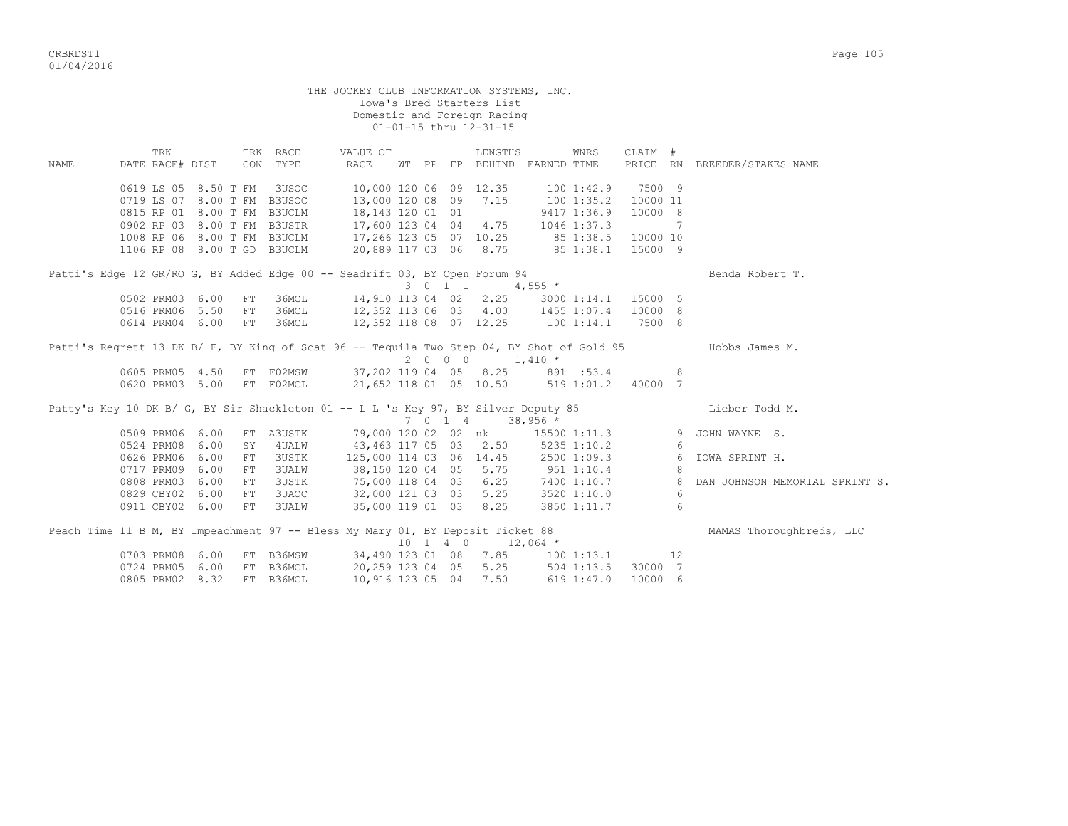THE JOCKEY CLUB INFORMATION SYSTEMS, INC. Iowa's Bred Starters List Domestic and Foreign Racing 01-01-15 thru 12-31-15 TRK TRK RACE VALUE OF LENGTHS WNRS CLAIM # NAME DATE RACE# DIST CON TYPE RACE WT PP FP BEHIND EARNED TIME PRICE RN BREEDER/STAKES NAME 0619 LS 05 8.50 T FM 3USOC 10,000 120 06 09 12.35 100 1:42.9 7500 9 0719 LS 07 8.00 T FM B3USOC 13,000 120 08 09 7.15 100 1:35.2 10000 11 0815 RP 01 8.00 T FM B3UCLM 18,143 120 01 01 9417 1:36.9 10000 8 0902 RP 03 8.00 T FM B3USTR 17,600 123 04 04 4.75 1046 1:37.3 7 1008 RP 06 8.00 T FM B3UCLM 17,266 123 05 07 10.25 85 1:38.5 10000 10 1106 RP 08 8.00 T GD B3UCLM 20,889 117 03 06 8.75 85 1:38.1 15000 9 Patti's Edge 12 GR/RO G, BY Added Edge 00 -- Seadrift 03, BY Open Forum 94 Benda Robert T. 3 0 1 1 4,555  $\star$  0502 PRM03 6.00 FT 36MCL 14,910 113 04 02 2.25 3000 1:14.1 15000 5 0516 PRM06 5.50 FT 36MCL 12,352 113 06 03 4.00 1455 1:07.4 10000 8 0614 PRM04 6.00 FT 36MCL 12,352 118 08 07 12.25 100 1:14.1 7500 8 Patti's Regrett 13 DK B/ F, BY King of Scat 96 -- Tequila Two Step 04, BY Shot of Gold 95 Hobbs James M.  $2 \t0 \t0 \t0 \t1,410 \t*$ 0605 PRM05 4.50 FT F02MSW 37,202 119 04 05 8.25 891 :53.4 8 0620 PRM03 5.00 FT F02MCL 21,652 118 01 05 10.50 519 1:01.2 40000 7 Patty's Key 10 DK B/ G, BY Sir Shackleton 01 -- L L 's Key 97, BY Silver Deputy 85 Lieber Todd M.  $7 \t 0 \t 1 \t 4 \t 38.956 \t \star$  0509 PRM06 6.00 FT A3USTK 79,000 120 02 02 nk 15500 1:11.3 9 JOHN WAYNE S. 0524 PRM08 6.00 SY 4UALW 43,463 117 05 03 2.50 5235 1:10.2 6 0626 PRM06 6.00 FT 3USTK 125,000 114 03 06 14.45 2500 1:09.3 6 IOWA SPRINT H. 0717 PRM09 6.00 FT 3UALW 38,150 120 04 05 5.75 951 1:10.4 8 0808 PRM03 6.00 FT 3USTK 75,000 118 04 03 6.25 7400 1:10.7 8 DAN JOHNSON MEMORIAL SPRINT S. 0829 CBY02 6.00 FT 3UAOC 32,000 121 03 03 5.25 3520 1:10.0 6 0911 CBY02 6.00 FT 3UALW 35,000 119 01 03 8.25 3850 1:11.7 6 Peach Time 11 B M, BY Impeachment 97 -- Bless My Mary 01, BY Deposit Ticket 88 MAMAS Thoroughbreds, LLC  $10 \quad 1 \quad 4 \quad 0 \qquad 12,064$  \* 0703 PRM08 6.00 FT B36MSW 34,490 123 01 08 7.85 100 1:13.1 12 0724 PRM05 6.00 FT B36MCL 20,259 123 04 05 5.25 504 1:13.5 30000 7 0805 PRM02 8.32 FT B36MCL 10,916 123 05 04 7.50 619 1:47.0 10000 6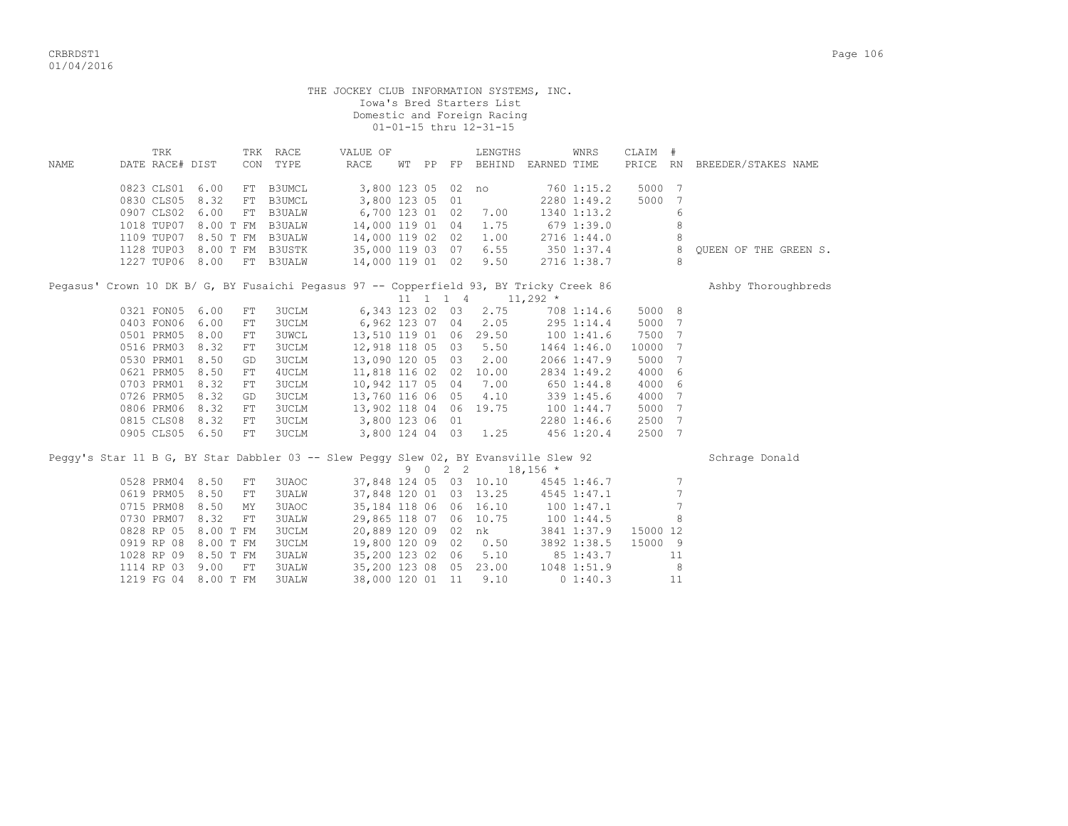|      |                                                                                                                                                                                                               |                                              |                                                                                                                                                                                                            | THE JOCKEY CLUB INFORMATION SYSTEMS, INC.                                                                                                                                                                                                                                               |      | Iowa's Bred Starters List<br>Domestic and Foreign Racing<br>01-01-15 thru 12-31-15                                                |                                                                                                                                                                              |                                                                                                         |                                          |                              |
|------|---------------------------------------------------------------------------------------------------------------------------------------------------------------------------------------------------------------|----------------------------------------------|------------------------------------------------------------------------------------------------------------------------------------------------------------------------------------------------------------|-----------------------------------------------------------------------------------------------------------------------------------------------------------------------------------------------------------------------------------------------------------------------------------------|------|-----------------------------------------------------------------------------------------------------------------------------------|------------------------------------------------------------------------------------------------------------------------------------------------------------------------------|---------------------------------------------------------------------------------------------------------|------------------------------------------|------------------------------|
| NAME | TRK<br>DATE RACE# DIST                                                                                                                                                                                        |                                              | TRK RACE<br>CON TYPE                                                                                                                                                                                       | VALUE OF<br>RACE                                                                                                                                                                                                                                                                        |      | LENGTHS                                                                                                                           | WNRS<br>WT PP FP BEHIND EARNED TIME                                                                                                                                          | CLAIM #                                                                                                 |                                          | PRICE RN BREEDER/STAKES NAME |
|      | 0823 CLS01 6.00<br>0830 CLS05 8.32<br>0907 CLS02 6.00<br>1018 TUP07 8.00 T FM B3UALW<br>1109 TUP07 8.50 T FM B3UALW                                                                                           |                                              | FT B3UMCL<br>FT B3UMCL<br>FT B3UALW                                                                                                                                                                        | 3,800 123 05 02 no<br>3,800 123 05 01<br>6,700 123 01 02 7.00<br>14,000 119 01 04<br>14,000 119 02 02 1.00                                                                                                                                                                              |      | 1.75                                                                                                                              | 760 1:15.2<br>2280 1:49.2<br>1340 1:13.2<br>679 1:39.0<br>2716 1:44.0                                                                                                        | 5000 7<br>5000                                                                                          | 7<br>6<br>8<br>8                         |                              |
|      | 1128 TUP03 8.00 T FM B3USTK<br>1227 TUP06 8.00                                                                                                                                                                |                                              | FT B3UALW                                                                                                                                                                                                  |                                                                                                                                                                                                                                                                                         |      |                                                                                                                                   |                                                                                                                                                                              |                                                                                                         | 8<br>8                                   | OUEEN OF THE GREEN S.        |
|      | 0321 FON05 6.00<br>0403 FON06 6.00<br>0501 PRM05 8.00<br>0516 PRM03 8.32<br>0530 PRM01 8.50<br>0621 PRM05 8.50<br>0703 PRM01 8.32<br>0726 PRM05 8.32<br>0806 PRM06 8.32<br>0815 CLS08 8.32<br>0905 CLS05 6.50 | ${\rm FT}$<br>GD<br>${\rm FT}$<br>${\rm FT}$ | 3UCLM<br>FT<br>3UCLM<br><b>3UWCL</b><br>${\rm FT}$<br><b>3UCLM</b><br>FT<br><b>3UCLM</b><br>4UCLM<br>FT<br><b>3UCLM</b><br>FT<br><b>3UCLM</b><br>GD<br>${\rm FT}$<br><b>3UCLM</b><br><b>3UCLM</b><br>3UCLM | Pegasus' Crown 10 DK B/ G, BY Fusaichi Pegasus 97 -- Copperfield 93, BY Tricky Creek 86<br>13,510 119 01 06 29.50<br>12,918 118 05 03 5.50<br>13,090 120 05 03 2.00<br>11,818 116 02 02 10.00<br>10,942 117 05 04<br>13,760 116 06 05 4.10<br>13,902 118 04 06 19.75<br>3,800 123 06 01 |      | $11 \quad 1 \quad 1 \quad 4 \quad 11,292 \quad *$<br>6,343 123 02 03 2.75<br>6,962 123 07 04 2.05<br>7.00<br>3,800 124 04 03 1.25 | 708 1:14.6<br>295 1:14.4<br>$100$ 1:41.6<br>1464 1:46.0<br>2066 1:47.9<br>2834 1:49.2<br>650 1:44.8<br>339 1:45.6<br>$19.75$ $100$ $1:44.7$<br>$2280$ $1:46.6$<br>456 1:20.4 | 5000 8<br>5000 7<br>7500 7<br>10000<br>5000<br>4000 6<br>4000 6<br>4000 7<br>5000 7<br>2500 7<br>2500 7 | 7<br>$\overline{7}$                      | Ashby Thoroughbreds          |
|      |                                                                                                                                                                                                               |                                              |                                                                                                                                                                                                            | Peggy's Star 11 B G, BY Star Dabbler 03 -- Slew Peggy Slew 02, BY Evansville Slew 92                                                                                                                                                                                                    | 9022 |                                                                                                                                   | $18,156$ *                                                                                                                                                                   |                                                                                                         |                                          | Schrage Donald               |
|      | 0528 PRM04 8.50<br>0619 PRM05 8.50<br>0715 PRM08 8.50<br>0730 PRM07 8.32<br>0828 RP 05 8.00 T FM<br>0919 RP 08 8.00 T FM<br>1028 RP 09 8.50 T FM<br>1114 RP 03                                                | ${\rm FT}$<br>MY<br>9.00<br>FT               | 3UAOC<br>FT<br><b>3UALW</b><br>3UAOC<br>FT<br><b>3UALW</b><br><b>3UCLM</b><br><b>3UCLM</b><br><b>3UALW</b><br>3UALW                                                                                        | 37,848 120 01 03 13.25<br>35,184 118 06 06 16.10<br>29,865 118 07 06 10.75<br>19,800 120 09 02<br>35,200 123 02 06<br>35,200 123 08 05 23.00                                                                                                                                            |      | 20,889 120 09 02 nk<br>0.50<br>5.10                                                                                               | 37,848 124 05 03 10.10 4545 1:46.7<br>4545 1:47.1<br>100 1:47.1<br>100 1:44.5<br>3841 1:37.9<br>3892 1:38.5<br>85 1:43.7<br>1048 1:51.9                                      | 15000 12<br>15000 9                                                                                     | 7<br>$\overline{7}$<br>7<br>8<br>11<br>8 |                              |

1219 FG 04 8.00 T FM 3UALW 38,000 120 01 11 9.10 0 1:40.3 11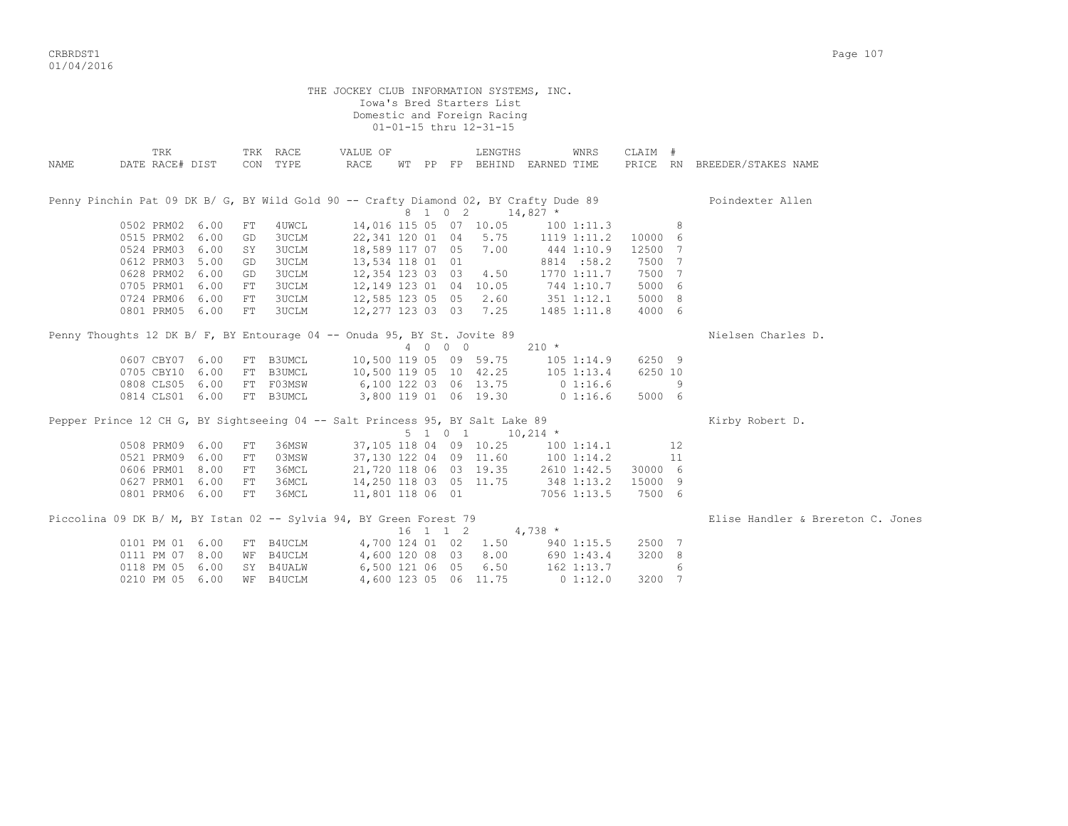CRBRDST1 Page 107 01/04/2016

|       |                        |      |    |                      | THE JOCKEY CLUB INFORMATION SYSTEMS, INC.                                     |          |         | Iowa's Bred Starters List<br>Domestic and Foreign Racing<br>01-01-15 thru 12-31-15 |                                                                                       |         |    |                                   |
|-------|------------------------|------|----|----------------------|-------------------------------------------------------------------------------|----------|---------|------------------------------------------------------------------------------------|---------------------------------------------------------------------------------------|---------|----|-----------------------------------|
| NAMF. | TRK<br>DATE RACE# DIST |      |    | TRK RACE<br>CON TYPE | VALUE OF<br>RACE                                                              |          |         | LENGTHS                                                                            | WNRS<br>WT PP FP BEHIND EARNED TIME                                                   | CLAIM # |    | PRICE RN BREEDER/STAKES NAME      |
|       |                        |      |    |                      |                                                                               |          |         | 8 1 0 2 14,827 *                                                                   | Penny Pinchin Pat 09 DK B/ G, BY Wild Gold 90 -- Crafty Diamond 02, BY Crafty Dude 89 |         |    | Poindexter Allen                  |
|       | 0502 PRM02             | 6.00 | FT | 4UWCL                |                                                                               |          |         | 14,016 115 05 07 10.05                                                             | $100$ $1:11.3$                                                                        |         | 8  |                                   |
|       | 0515 PRM02             | 6.00 | GD | 3UCLM                | 22, 341 120 01 04 5.75                                                        |          |         |                                                                                    | 1119 1:11.2                                                                           | 10000 6 |    |                                   |
|       | 0524 PRM03             | 6.00 | SY | <b>3UCLM</b>         | 18,589 117 07 05                                                              |          |         | 7.00                                                                               | 444 1:10.9                                                                            | 12500 7 |    |                                   |
|       | 0612 PRM03             | 5.00 | GD | 3UCLM                | 13,534 118 01 01                                                              |          |         |                                                                                    | 8814 :58.2                                                                            | 7500    | 7  |                                   |
|       | 0628 PRM02             | 6.00 | GD | <b>3UCLM</b>         | 12,354 123 03 03 4.50                                                         |          |         |                                                                                    | 1770 1:11.7                                                                           | 7500 7  |    |                                   |
|       | 0705 PRM01 6.00        |      | FT | 3UCLM                | 12,149 123 01 04 10.05                                                        |          |         |                                                                                    | 744 1:10.7                                                                            | 5000 6  |    |                                   |
|       | 0724 PRM06 6.00        |      | FT | 3UCLM                | 12,585 123 05 05 2.60                                                         |          |         |                                                                                    | 351 1:12.1                                                                            | 5000 8  |    |                                   |
|       | 0801 PRM05 6.00        |      | FT | 3UCLM                | 12,277 123 03 03 7.25                                                         |          |         |                                                                                    | 1485 1:11.8                                                                           | 4000 6  |    |                                   |
|       |                        |      |    |                      | Penny Thoughts 12 DK B/ F, BY Entourage 04 -- Onuda 95, BY St. Jovite 89      |          |         |                                                                                    |                                                                                       |         |    | Nielsen Charles D.                |
|       |                        |      |    |                      |                                                                               |          | 4 0 0 0 |                                                                                    | $210 *$                                                                               |         |    |                                   |
|       | 0607 CBY07 6.00        |      |    | FT B3UMCL            | 10,500 119 05 09 59.75                                                        |          |         |                                                                                    | 105 1:14.9                                                                            | 6250 9  |    |                                   |
|       | 0705 CBY10             | 6.00 |    | FT B3UMCL            | 10,500 119 05 10 42.25                                                        |          |         |                                                                                    | $105$ $1:13.4$                                                                        | 6250 10 |    |                                   |
|       | 0808 CLS05             | 6.00 |    | FT F03MSW            | 6,100 122 03 06 13.75                                                         |          |         |                                                                                    | $0\;1:16.6$                                                                           |         | 9  |                                   |
|       | 0814 CLS01 6.00        |      |    | FT B3UMCL            |                                                                               |          |         | 3,800 119 01 06 19.30                                                              | $0\;1:16.6$                                                                           | 5000 6  |    |                                   |
|       |                        |      |    |                      | Pepper Prince 12 CH G, BY Sightseeing 04 -- Salt Princess 95, BY Salt Lake 89 |          |         |                                                                                    |                                                                                       |         |    | Kirby Robert D.                   |
|       |                        |      |    |                      |                                                                               |          | 5 1 0 1 | $10,214$ *                                                                         |                                                                                       |         |    |                                   |
|       | 0508 PRM09 6.00        |      | FT | 36MSW                |                                                                               |          |         | 37,105 118 04 09 10.25                                                             | 1001:14.1                                                                             |         | 12 |                                   |
|       | 0521 PRM09             | 6.00 | FT | 03MSW                | 37,130 122 04 09 11.60                                                        |          |         |                                                                                    | 1001:14.2                                                                             |         | 11 |                                   |
|       | 0606 PRM01             | 8.00 | FT | 36MCL                | 21,720 118 06 03 19.35                                                        |          |         |                                                                                    | 2610 1:42.5                                                                           | 30000 6 |    |                                   |
|       | 0627 PRM01             | 6.00 | FT | 36MCL                | 14,250 118 03 05 11.75                                                        |          |         |                                                                                    | 348 1:13.2                                                                            | 15000 9 |    |                                   |
|       | 0801 PRM06 6.00        |      | FT | 36MCL                | 11,801 118 06 01                                                              |          |         |                                                                                    | 7056 1:13.5                                                                           | 7500 6  |    |                                   |
|       |                        |      |    |                      | Piccolina 09 DK B/ M, BY Istan 02 -- Sylvia 94, BY Green Forest 79            |          |         |                                                                                    |                                                                                       |         |    | Elise Handler & Brereton C. Jones |
|       |                        |      |    |                      |                                                                               | 16 1 1 2 |         |                                                                                    | $4,738$ *                                                                             |         |    |                                   |
|       | 0101 PM 01 6.00        |      |    | FT B4UCLM            | 4,700 124 01 02                                                               |          |         | 1.50                                                                               | 940 1:15.5                                                                            | 2500 7  |    |                                   |
|       | 0111 PM 07 8.00        |      |    | WF B4UCLM            | 4,600 120 08 03                                                               |          |         | 8.00                                                                               | 690 1:43.4                                                                            | 3200 8  |    |                                   |

 0118 PM 05 6.00 SY B4UALW 6,500 121 06 05 6.50 162 1:13.7 6 0210 PM 05 6.00 WF B4UCLM 4,600 123 05 06 11.75 0 1:12.0 3200 7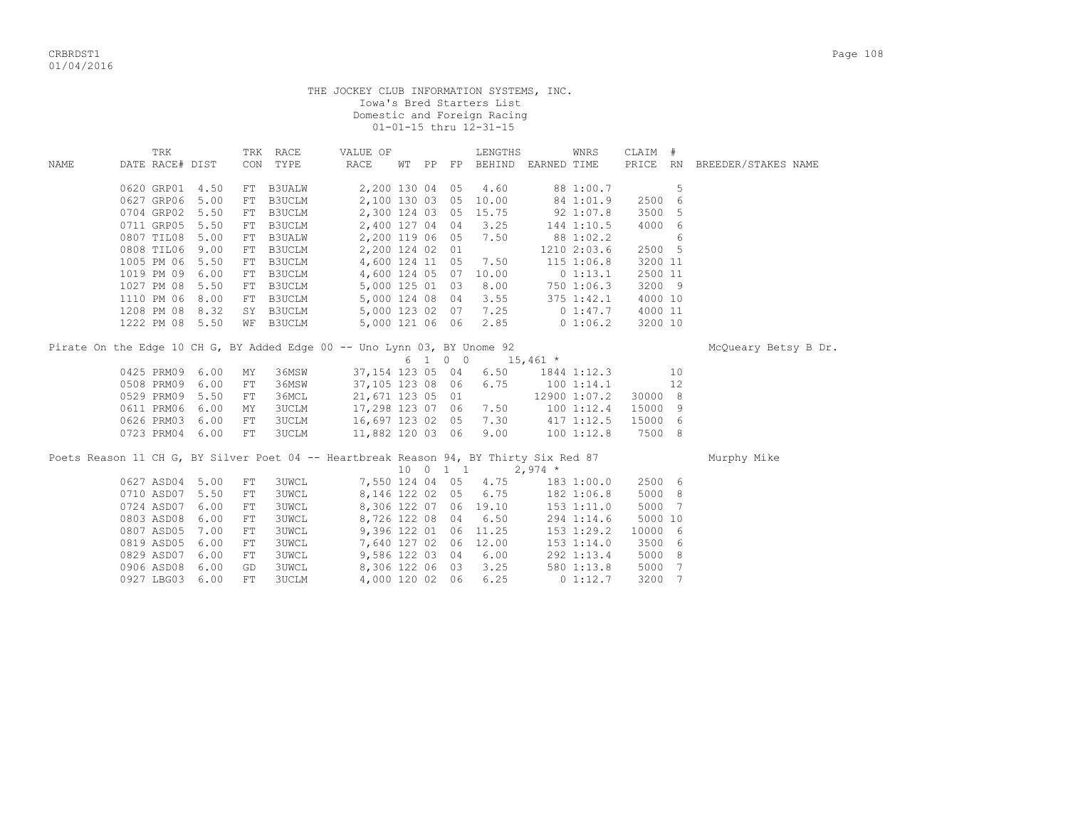| THE JOCKEY CLUB INFORMATION SYSTEMS, INC. |  |
|-------------------------------------------|--|
| Iowa's Bred Starters List                 |  |
| Domestic and Foreign Racing               |  |
| 01-01-15 thru 12-31-15                    |  |

|             | TRK                                                                                   |      |            | TRK RACE      | VALUE OF                             |    |                     | LENGTHS                                      |               | WNRS           | CLAIM # |    |                              |
|-------------|---------------------------------------------------------------------------------------|------|------------|---------------|--------------------------------------|----|---------------------|----------------------------------------------|---------------|----------------|---------|----|------------------------------|
| <b>NAME</b> | DATE RACE# DIST                                                                       |      |            | CON TYPE      | RACE                                 | WТ |                     | PP FP BEHIND EARNED TIME                     |               |                |         |    | PRICE RN BREEDER/STAKES NAME |
|             | 0620 GRP01                                                                            | 4.50 |            | FT B3UALW     | 2,200 130 04 05                      |    |                     | 4.60                                         |               | 88 1:00.7      |         | 5  |                              |
|             | 0627 GRP06                                                                            | 5.00 | FT         | <b>B3UCLM</b> | 2,100 130 03 05                      |    |                     | 10.00                                        |               | 84 1:01.9      | 2500    | 6  |                              |
|             | 0704 GRP02                                                                            | 5.50 | FT         | <b>B3UCLM</b> | 2,300 124 03 05                      |    |                     | 15.75                                        |               | 92 1:07.8      | 3500    | 5  |                              |
|             | 0711 GRP05                                                                            | 5.50 | FT         | B3UCLM        | 2,400 127 04 04                      |    |                     | 3.25                                         |               | 144 1:10.5     | 4000    | 6  |                              |
|             | 0807 TIL08                                                                            | 5.00 | FT         | <b>B3UALW</b> | 2,200 119 06 05                      |    |                     | 7.50                                         |               | 88 1:02.2      |         | 6  |                              |
|             | 0808 TIL06                                                                            | 9.00 | FT         | B3UCLM        | 2,200 124 02 01                      |    |                     |                                              |               | 1210 2:03.6    | 2500 5  |    |                              |
|             | 1005 PM 06                                                                            | 5.50 | FT         | B3UCLM        |                                      |    |                     | 4,600 124 11 05 7.50                         |               | 115 1:06.8     | 3200 11 |    |                              |
|             | 1019 PM 09                                                                            | 6.00 | FT         | B3UCLM        | 4,600 124 05 07                      |    |                     | 10.00                                        |               | 0 1:13.1       | 2500 11 |    |                              |
|             | 1027 PM 08                                                                            | 5.50 |            | FT B3UCLM     |                                      |    |                     | 5,000 125 01 03 8.00<br>5,000 124 08 04 3.55 |               | 750 1:06.3     | 3200 9  |    |                              |
|             | 1110 PM 06                                                                            | 8.00 |            | FT B3UCLM     |                                      |    |                     |                                              |               | $375$ $1:42.1$ | 4000 10 |    |                              |
|             | 1208 PM 08                                                                            | 8.32 |            | SY B3UCLM     |                                      |    |                     | 5,000 123 02 07 7.25                         |               | $0\;1:47.7$    | 4000 11 |    |                              |
|             | 1222 PM 08                                                                            | 5.50 | WF         | <b>B3UCLM</b> | 5,000 121 06 06                      |    |                     |                                              | 2.85 0 1:06.2 |                | 3200 10 |    |                              |
|             | Pirate On the Edge 10 CH G, BY Added Edge 00 -- Uno Lynn 03, BY Unome 92              |      |            |               |                                      |    |                     |                                              |               |                |         |    | McQueary Betsy B Dr.         |
|             |                                                                                       |      |            |               |                                      |    | 6 1 0 0             |                                              | $15,461$ *    |                |         |    |                              |
|             | 0425 PRM09                                                                            | 6.00 | MY         | 36MSW         | 37,154 123 05 04                     |    |                     | 6.50                                         |               | 1844 1:12.3    |         | 10 |                              |
|             | 0508 PRM09                                                                            | 6.00 | FT         | 36MSW         | 37,105 123 08 06                     |    |                     | 6.75                                         |               | 1001:14.1      |         | 12 |                              |
|             | 0529 PRM09                                                                            | 5.50 | FT         | 36MCL         | 21,671 123 05 01                     |    |                     |                                              |               | 12900 1:07.2   | 30000 8 |    |                              |
|             | 0611 PRM06                                                                            | 6.00 | ΜY         | <b>3UCLM</b>  | 17,298 123 07 06                     |    |                     | 7.50                                         |               | 1001:12.4      | 15000   | 9  |                              |
|             | 0626 PRM03                                                                            | 6.00 | FT         | <b>3UCLM</b>  | 16,697 123 02 05 7.30                |    |                     |                                              |               | $417$ $1:12.5$ | 15000 6 |    |                              |
|             | 0723 PRM04 6.00                                                                       |      | FT         | 3UCLM         | 16,697 123 02 05<br>11,882 120 03 06 |    |                     | 9.00                                         |               | 100 1:12.8     | 7500 8  |    |                              |
|             | Poets Reason 11 CH G, BY Silver Poet 04 -- Heartbreak Reason 94, BY Thirty Six Red 87 |      |            |               |                                      |    |                     |                                              |               |                |         |    | Murphy Mike                  |
|             |                                                                                       |      |            |               |                                      |    | $10 \t 0 \t 1 \t 1$ |                                              | $2,974$ *     |                |         |    |                              |
|             | 0627 ASD04                                                                            | 5.00 | FT         | <b>3UWCL</b>  |                                      |    |                     | 7,550 124 04 05 4.75                         |               | 183 1:00.0     | 2500 6  |    |                              |
|             | 0710 ASD07                                                                            | 5.50 | FT         | <b>3UWCL</b>  | 8,146 122 02 05                      |    |                     | 6.75                                         |               | 182 1:06.8     | 5000 8  |    |                              |
|             | 0724 ASD07                                                                            | 6.00 | FT         | <b>3UWCL</b>  |                                      |    |                     | 8,306 122 07 06 19.10                        |               | $153$ $1:11.0$ | 5000 7  |    |                              |
|             | 0803 ASD08                                                                            | 6.00 | FT         | 3UWCL         | 8,726 122 08 04                      |    |                     | 6.50                                         |               | 294 1:14.6     | 5000 10 |    |                              |
|             | 0807 ASD05                                                                            | 7.00 | ${\rm FT}$ | <b>3UWCL</b>  |                                      |    |                     | 9,396 122 01 06 11.25                        |               | 153 1:29.2     | 10000 6 |    |                              |
|             | 0819 ASD05                                                                            | 6.00 | FT         | <b>3UWCL</b>  |                                      |    |                     | 7,640 127 02 06 12.00                        |               | 153 1:14.0     | 3500 6  |    |                              |
|             | 0829 ASD07                                                                            | 6.00 | FT         | <b>3UWCL</b>  | 9,586 122 03 04                      |    |                     | 6.00                                         |               | 292 1:13.4     | 5000 8  |    |                              |
|             | 0906 ASD08                                                                            | 6.00 | GD         | <b>3UWCL</b>  |                                      |    |                     | 8,306 122 06 03 3.25                         |               | 580 1:13.8     | 5000 7  |    |                              |
|             | 0927 LBG03                                                                            | 6.00 | FT         | <b>3UCLM</b>  | 4,000 120 02 06                      |    |                     | 6.25                                         |               | 01:12.7        | 3200 7  |    |                              |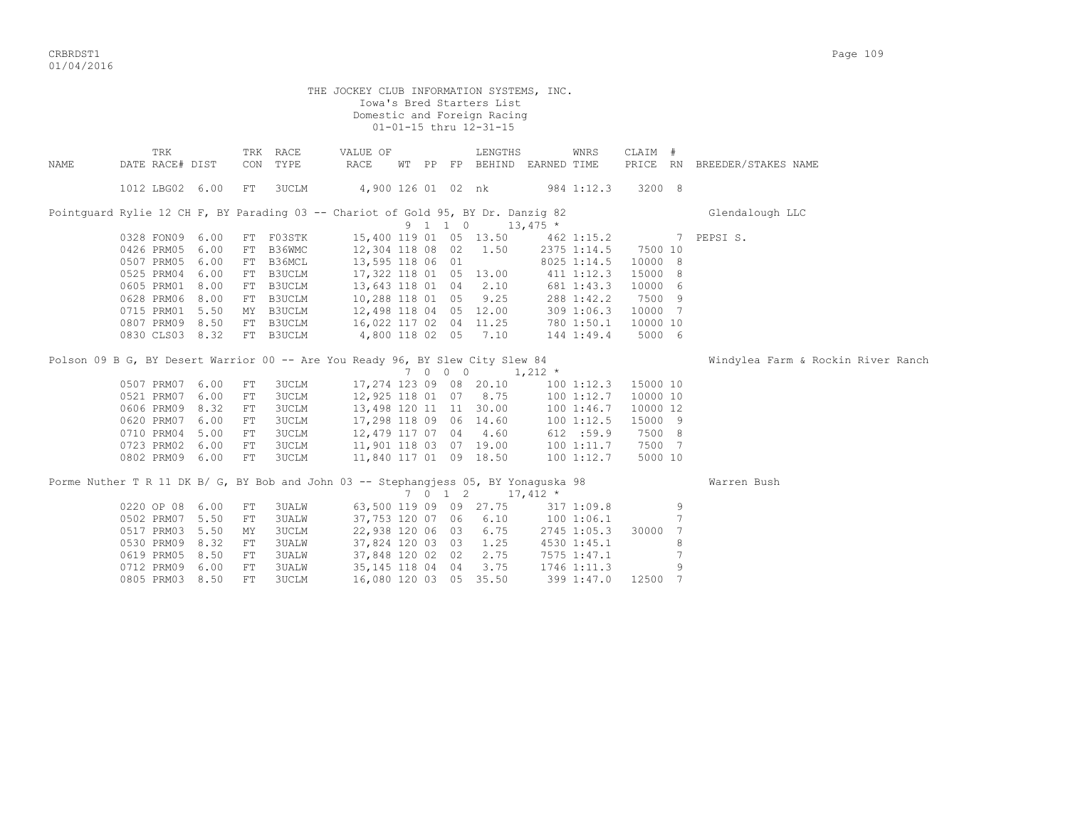CRBRDST1 Page 109 01/04/2016

|      |                        |  |            |                      | THE JOCKEY CLUB INFORMATION SYSTEMS, INC.                                           |  | Iowa's Bred Starters List<br>Domestic and Foreign Racing<br>01-01-15 thru 12-31-15 |                                   |             |          |                 |                                    |
|------|------------------------|--|------------|----------------------|-------------------------------------------------------------------------------------|--|------------------------------------------------------------------------------------|-----------------------------------|-------------|----------|-----------------|------------------------------------|
| NAME | TRK<br>DATE RACE# DIST |  |            | TRK RACE<br>CON TYPE | VALUE OF<br>RACE                                                                    |  | LENGTHS                                                                            | WT PP FP BEHIND EARNED TIME       | WNRS        | CLAIM #  |                 | PRICE RN BREEDER/STAKES NAME       |
|      |                        |  |            |                      |                                                                                     |  |                                                                                    |                                   |             |          |                 |                                    |
|      | 1012 LBG02 6.00        |  | FT         | <b>3UCLM</b>         |                                                                                     |  | 4,900 126 01 02 nk                                                                 |                                   | 984 1:12.3  | 3200 8   |                 |                                    |
|      |                        |  |            |                      | Pointquard Rylie 12 CH F, BY Parading 03 -- Chariot of Gold 95, BY Dr. Danzig 82    |  | $9 \quad 1 \quad 1 \quad 0 \quad 13,475 \star$                                     |                                   |             |          |                 | Glendalough LLC                    |
|      | 0328 FON09 6.00        |  |            | FT F03STK            |                                                                                     |  |                                                                                    | 15,400 119 01 05 13.50 462 1:15.2 |             |          |                 | 7 PEPSIS.                          |
|      | 0426 PRM05 6.00        |  |            | FT B36WMC            |                                                                                     |  | 12,304 118 08 02 1.50                                                              |                                   | 2375 1:14.5 | 7500 10  |                 |                                    |
|      | 0507 PRM05 6.00        |  |            | FT B36MCL            | 13,595 118 06 01                                                                    |  |                                                                                    |                                   | 8025 1:14.5 | 10000 8  |                 |                                    |
|      | 0525 PRM04 6.00        |  |            | FT B3UCLM            |                                                                                     |  | 17,322 118 01 05 13.00                                                             | 411 1:12.3                        |             | 15000 8  |                 |                                    |
|      | 0605 PRM01 8.00        |  |            | FT B3UCLM            |                                                                                     |  | 13,643 118 01 04 2.10                                                              |                                   | 681 1:43.3  | 10000 6  |                 |                                    |
|      | 0628 PRM06 8.00        |  |            | FT B3UCLM            | 10,288 118 01 05 9.25                                                               |  |                                                                                    |                                   | 288 1:42.2  | 7500 9   |                 |                                    |
|      | 0715 PRM01 5.50        |  |            | MY B3UCLM            | 12,498 118 04 05 12.00                                                              |  |                                                                                    |                                   | 309 1:06.3  | 10000 7  |                 |                                    |
|      | 0807 PRM09 8.50        |  |            | FT B3UCLM            |                                                                                     |  |                                                                                    |                                   | 780 1:50.1  | 10000 10 |                 |                                    |
|      | 0830 CLS03 8.32        |  |            | FT B3UCLM            | 16,022 117 02 04 11.25<br>4,800 118 02 05 7.10                                      |  |                                                                                    |                                   | 144 1:49.4  | 5000 6   |                 |                                    |
|      |                        |  |            |                      | Polson 09 B G, BY Desert Warrior 00 -- Are You Ready 96, BY Slew City Slew 84       |  |                                                                                    |                                   |             |          |                 | Windylea Farm & Rockin River Ranch |
|      |                        |  |            |                      |                                                                                     |  | 7 0 0 0 1,212 $*$                                                                  |                                   |             |          |                 |                                    |
|      | 0507 PRM07 6.00        |  | FT         | <b>3UCLM</b>         |                                                                                     |  | 17,274 123 09 08 20.10                                                             |                                   | 100 1:12.3  | 15000 10 |                 |                                    |
|      | 0521 PRM07 6.00        |  | FT         | 3UCLM                |                                                                                     |  | 12,925 118 01 07 8.75                                                              |                                   | 1001:12.7   | 10000 10 |                 |                                    |
|      | 0606 PRM09 8.32        |  | FT         | <b>3UCLM</b>         |                                                                                     |  | 13,498 120 11 11 30.00                                                             |                                   | 1001:46.7   | 10000 12 |                 |                                    |
|      | 0620 PRM07 6.00        |  | FT         | 3UCLM                |                                                                                     |  | 17,298 118 09 06 14.60                                                             |                                   | 1001:12.5   | 15000 9  |                 |                                    |
|      | 0710 PRM04 5.00        |  | FT         | 3UCLM                |                                                                                     |  | 12,479 117 07 04 4.60                                                              |                                   | 612 : 59.9  | 7500 8   |                 |                                    |
|      | 0723 PRM02 6.00        |  | FT         | 3UCLM                |                                                                                     |  | 11,901 118 03 07 19.00                                                             |                                   | 1001:11.7   | 7500 7   |                 |                                    |
|      | 0802 PRM09 6.00        |  | FT         | 3UCLM                |                                                                                     |  | 11,840 117 01 09 18.50                                                             |                                   | 1001:12.7   | 5000 10  |                 |                                    |
|      |                        |  |            |                      | Porme Nuther T R 11 DK B/ G, BY Bob and John 03 -- Stephangjess 05, BY Yonaguska 98 |  | 7 0 1 2 17,412 $\star$                                                             |                                   |             |          |                 | Warren Bush                        |
|      | 0220 OP 08 6.00        |  | FT         | 3UALW                |                                                                                     |  | 63,500 119 09 09 27.75                                                             |                                   | 317 1:09.8  |          | 9               |                                    |
|      | 0502 PRM07 5.50        |  | FT         | <b>3UALW</b>         |                                                                                     |  | 37,753 120 07 06 6.10                                                              |                                   | 100 1:06.1  |          | $7\phantom{.0}$ |                                    |
|      | 0517 PRM03 5.50        |  | MY         | <b>3UCLM</b>         |                                                                                     |  | 22,938 120 06 03 6.75                                                              |                                   | 2745 1:05.3 | 30000    | -7              |                                    |
|      | 0530 PRM09 8.32        |  | FT         | <b>3UALW</b>         |                                                                                     |  | 37,824 120 03 03 1.25                                                              |                                   | 4530 1:45.1 |          | 8               |                                    |
|      | 0619 PRM05 8.50        |  | ${\rm FT}$ | 3UALW                |                                                                                     |  | 37,848 120 02 02 2.75                                                              | 7575 1:47.1                       |             |          |                 |                                    |
|      | 0712 PRM09 6.00        |  | FT         | <b>3UALW</b>         | 35, 145 118 04 04                                                                   |  | 3.75                                                                               | 1746 1:11.3                       |             |          | 9               |                                    |

0805 PRM03 8.50 FT 3UCLM 16,080 120 03 05 35.50 399 1:47.0 12500 7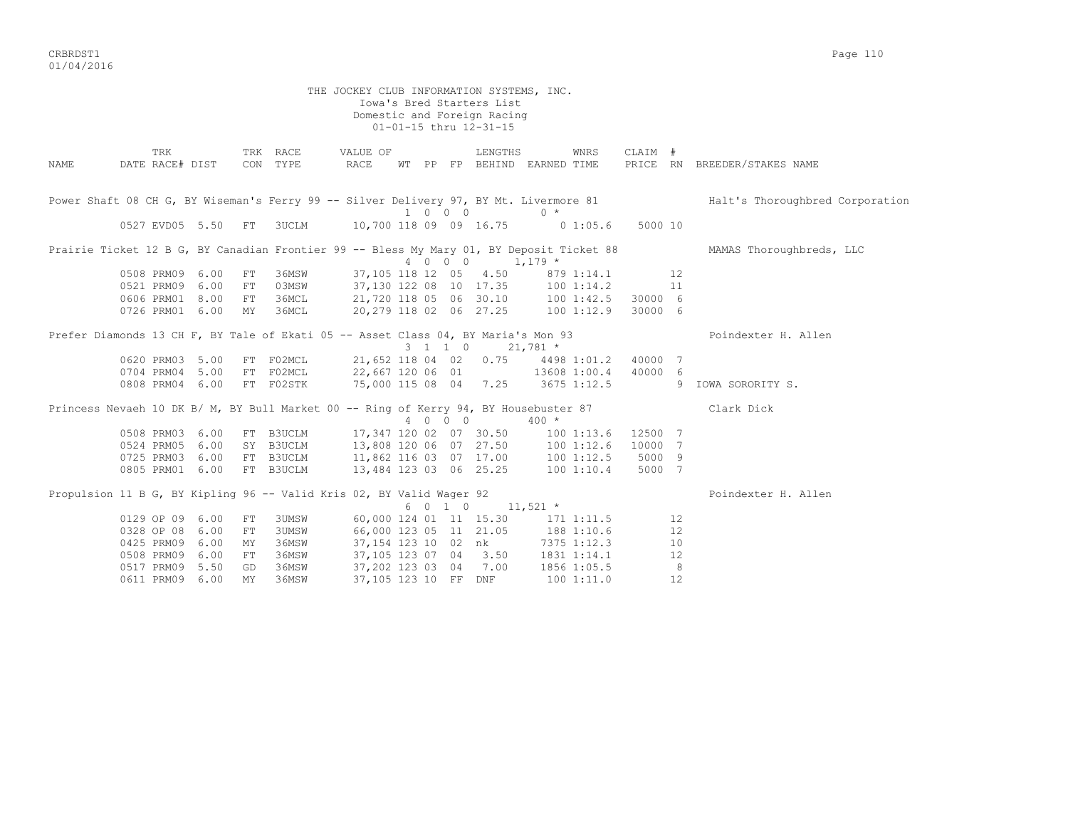CRBRDST1 Page 110 01/04/2016

 THE JOCKEY CLUB INFORMATION SYSTEMS, INC. Iowa's Bred Starters List Domestic and Foreign Racing 01-01-15 thru 12-31-15 TRK TRK RACE VALUE OF LENGTHS WNRS CLAIM # NAME DATE RACE# DIST CON TYPE RACE WT PP FP BEHIND EARNED TIME PRICE RN BREEDER/STAKES NAME Power Shaft 08 CH G, BY Wiseman's Ferry 99 -- Silver Delivery 97, BY Mt. Livermore 81 Halt's Thoroughbred Corporation 1 0 0 0 0 \* 0527 EVD05 5.50 FT 3UCLM 10,700 118 09 09 16.75 0 1:05.6 5000 10 Prairie Ticket 12 B G, BY Canadian Frontier 99 -- Bless My Mary 01, BY Deposit Ticket 88 MAMAS Thoroughbreds, LLC  $4\overline{0}$   $0\overline{0}$  0  $1,179$  \*<br>0508 PRM09 6.00 FT 36MSW 37,105 118 12 05 4.50 879 1:14.1 0508 PRM09 6.00 FT 36MSW 37,105 118 12 05 4.50 879 1:14.1 12 0521 PRM09 6.00 FT 03MSW 37,130 122 08 10 17.35 100 1:14.2 11 0606 PRM01 8.00 FT 36MCL 21,720 118 05 06 30.10 100 1:42.5 30000 6 0726 PRM01 6.00 MY 36MCL 20,279 118 02 06 27.25 100 1:12.9 30000 6 Prefer Diamonds 13 CH F, BY Tale of Ekati 05 -- Asset Class 04, BY Maria's Mon 93 Poindexter H. Allen  $3 \quad 1 \quad 1 \quad 0 \qquad 21,781$  \* 0620 PRM03 5.00 FT F02MCL 21,652 118 04 02 0.75 4498 1:01.2 40000 7 0704 PRM04 5.00 FT F02MCL 22,667 120 06 01 13608 1:00.4 40000 6 0808 PRM04 6.00 FT F02STK 75,000 115 08 04 7.25 3675 1:12.5 9 IOWA SORORITY S. Princess Nevaeh 10 DK B/ M, BY Bull Market 00 -- Ring of Kerry 94, BY Housebuster 87 Clark Dick  $400 \times 400 \times$  0508 PRM03 6.00 FT B3UCLM 17,347 120 02 07 30.50 100 1:13.6 12500 7 0524 PRM05 6.00 SY B3UCLM 13,808 120 06 07 27.50 100 1:12.6 10000 7 0725 PRM03 6.00 FT B3UCLM 11,862 116 03 07 17.00 100 1:12.5 5000 9 0805 PRM01 6.00 FT B3UCLM 13,484 123 03 06 25.25 100 1:10.4 5000 7 Propulsion 11 B G, BY Kipling 96 -- Valid Kris 02, BY Valid Wager 92 Poindexter H. Allen 6 0 1 0  $11,521$  \* 0129 OP 09 6.00 FT 3UMSW 60,000 124 01 11 15.30 171 1:11.5 12 0328 OP 08 6.00 FT 3UMSW 66,000 123 05 11 21.05 188 1:10.6 12 0425 PRM09 6.00 MY 36MSW 37,154 123 10 02 nk 7375 1:12.3 10 0508 PRM09 6.00 FT 36MSW 37,105 123 07 04 3.50 1831 1:14.1 12 0517 PRM09 5.50 GD 36MSW 37,202 123 03 04 7.00 1856 1:05.5 8 0611 PRM09 6.00 MY 36MSW 37,105 123 10 FF DNF 100 1:11.0 12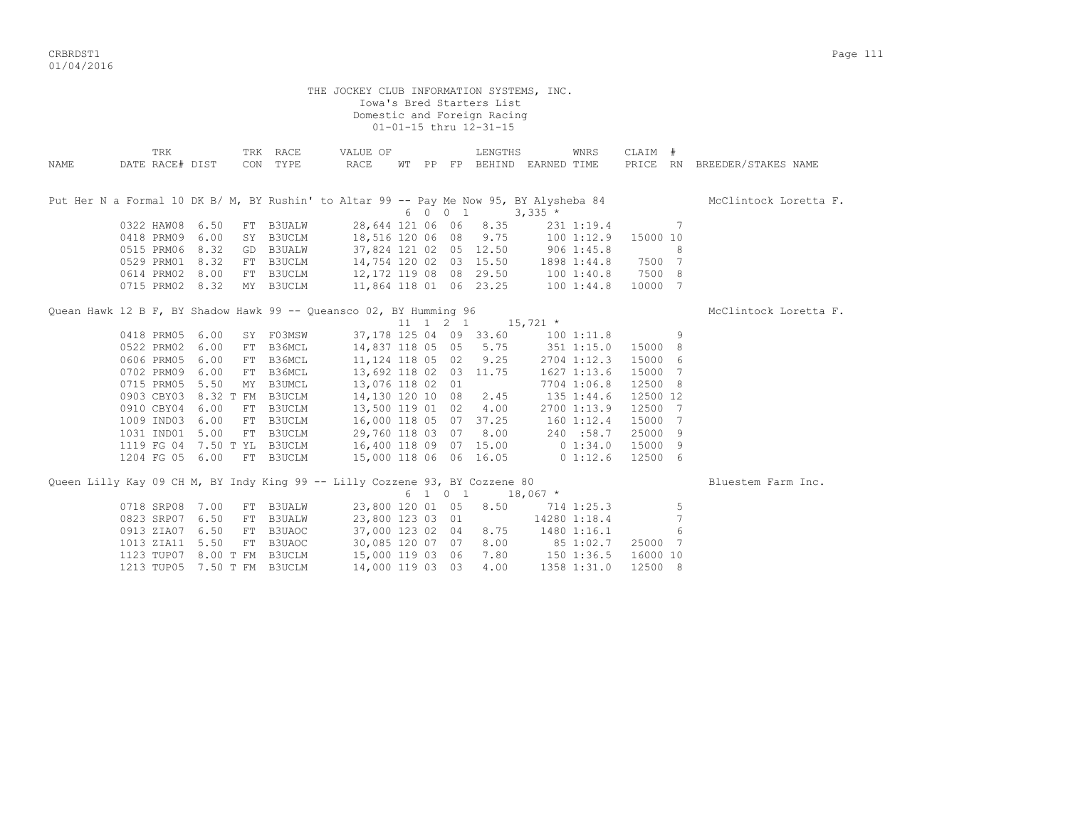CRBRDST1 Page 111 01/04/2016

|                                                                                        |                             |                  | THE JOCKEY CLUB INFORMATION SYSTEMS, INC.<br>Domestic and Foreign Racing |         |         | Iowa's Bred Starters List<br>01-01-15 thru 12-31-15 |                             |                     |          |   |                              |
|----------------------------------------------------------------------------------------|-----------------------------|------------------|--------------------------------------------------------------------------|---------|---------|-----------------------------------------------------|-----------------------------|---------------------|----------|---|------------------------------|
| TRK<br><b>NAME</b><br>DATE RACE# DIST                                                  | CON                         | TRK RACE<br>TYPE | VALUE OF<br>RACE                                                         |         |         | LENGTHS                                             | WT PP FP BEHIND EARNED TIME | WNRS                | CLAIM #  |   | PRICE RN BREEDER/STAKES NAME |
| Put Her N a Formal 10 DK B/ M, BY Rushin' to Altar 99 -- Pay Me Now 95, BY Alysheba 84 |                             |                  |                                                                          | 6 0 0 1 |         |                                                     | $3,335$ *                   |                     |          |   | McClintock Loretta F.        |
| 0322 HAW08                                                                             | 6.50                        | FT B3UALW        | 28,644 121 06 06 8.35                                                    |         |         |                                                     |                             | 231 1:19.4          |          | 7 |                              |
| 0418 PRM09 6.00                                                                        |                             | SY B3UCLM        | 18,516 120 06 08 9.75                                                    |         |         |                                                     |                             | 100 1:12.9 15000 10 |          |   |                              |
| 0515 PRM06 8.32                                                                        |                             | GD B3UALW        | 37,824 121 02 05 12.50                                                   |         |         |                                                     | 906 1:45.8                  |                     |          | 8 |                              |
| 0529 PRM01                                                                             | 8.32                        | FT B3UCLM        | 14,754 120 02 03 15.50                                                   |         |         |                                                     | 1898 1:44.8 7500 7          |                     |          |   |                              |
| 0614 PRM02                                                                             | 8.00                        | FT B3UCLM        | 12,172 119 08 08 29.50                                                   |         |         |                                                     | 1001:40.8                   |                     | 7500 8   |   |                              |
| 0715 PRM02 8.32                                                                        |                             | MY B3UCLM        | 11,864 118 01 06 23.25                                                   |         |         |                                                     | 1001:44.8                   |                     | 10000 7  |   |                              |
| Quean Hawk 12 B F, BY Shadow Hawk 99 -- Queansco 02, BY Humming 96                     |                             |                  |                                                                          |         |         |                                                     | 11 1 2 1 15,721 $*$         |                     |          |   | McClintock Loretta F.        |
| 0418 PRM05                                                                             | 6.00                        | SY F03MSW        | 37, 178 125 04 09 33.60                                                  |         |         |                                                     |                             | 1001:11.8           |          | 9 |                              |
| 0522 PRM02                                                                             | 6.00                        | FT B36MCL        | 14,837 118 05 05 5.75                                                    |         |         |                                                     |                             | $351$ $1:15.0$      | 15000 8  |   |                              |
| 0606 PRM05                                                                             | 6.00                        | FT B36MCL        | 11, 124 118 05 02 9.25                                                   |         |         |                                                     |                             | 2704 1:12.3         | 15000    | 6 |                              |
| 0702 PRM09                                                                             | 6.00<br>FT                  | B36MCL           | 13,692 118 02 03 11.75                                                   |         |         |                                                     |                             | 1627 1:13.6         | 15000 7  |   |                              |
| 0715 PRM05                                                                             | 5.50<br>MY                  | <b>B3UMCL</b>    | 13,076 118 02 01                                                         |         |         |                                                     |                             | 7704 1:06.8         | 12500    | 8 |                              |
|                                                                                        | 0903 CBY03 8.32 T FM B3UCLM |                  | 14,130 120 10 08                                                         |         |         | 2.45                                                |                             | 135 1:44.6          | 12500 12 |   |                              |
| 0910 CBY04                                                                             | 6.00                        | FT B3UCLM        | 13,500 119 01 02 4.00                                                    |         |         |                                                     |                             | 2700 1:13.9         | 12500 7  |   |                              |
| 1009 IND03                                                                             | 6.00                        | FT B3UCLM        | 16,000 118 05 07 37.25                                                   |         |         |                                                     | 160 1:12.4                  |                     | 15000 7  |   |                              |
| 1031 IND01                                                                             | 5.00                        | FT B3UCLM        | 29,760 118 03 07 8.00                                                    |         |         |                                                     |                             | 240 :58.7           | 25000    | 9 |                              |
| 1119 FG 04                                                                             | 7.50 T YL                   | <b>B3UCLM</b>    | 16,400 118 09 07 15.00                                                   |         |         |                                                     | 0 1:34.0                    |                     | 15000    | 9 |                              |
| 1204 FG 05 6.00                                                                        |                             | FT B3UCLM        | 15,000 118 06 06 16.05                                                   |         |         |                                                     | $0\;1:12.6$                 |                     | 12500 6  |   |                              |
| Queen Lilly Kay 09 CH M, BY Indy King 99 -- Lilly Cozzene 93, BY Cozzene 80            |                             |                  |                                                                          |         | 6 1 0 1 |                                                     | $18,067$ *                  |                     |          |   | Bluestem Farm Inc.           |
| 0718 SRP08                                                                             | 7.00                        | FT B3UALW        | 23,800 120 01 05                                                         |         |         | 8.50                                                |                             | 714 1:25.3          |          | 5 |                              |
| 0823 SRP07                                                                             | 6.50<br>FT                  | <b>B3UALW</b>    | 23,800 123 03 01                                                         |         |         |                                                     |                             | 14280 1:18.4        |          | 7 |                              |
| 0913 ZIA07                                                                             | 6.50<br>FT                  | B3UAOC           | 37,000 123 02 04                                                         |         |         | 8.75                                                |                             | 1480 1:16.1         |          | 6 |                              |
| 1013 ZIA11                                                                             | 5.50<br>FT                  | B3UAOC           | 30,085 120 07 07 8.00                                                    |         |         |                                                     | 851:02.7                    |                     | 25000 7  |   |                              |
| 1123 TUP07                                                                             | 8.00 T FM B3UCLM            |                  | $15,000$ 119 03 06 7.80 150 1:36.5                                       |         |         |                                                     |                             |                     | 16000 10 |   |                              |
|                                                                                        | 1213 TUP05 7.50 T FM B3UCLM |                  | 14,000 119 03 03                                                         |         |         | 4.00                                                |                             | 1358 1:31.0         | 12500 8  |   |                              |
|                                                                                        |                             |                  |                                                                          |         |         |                                                     |                             |                     |          |   |                              |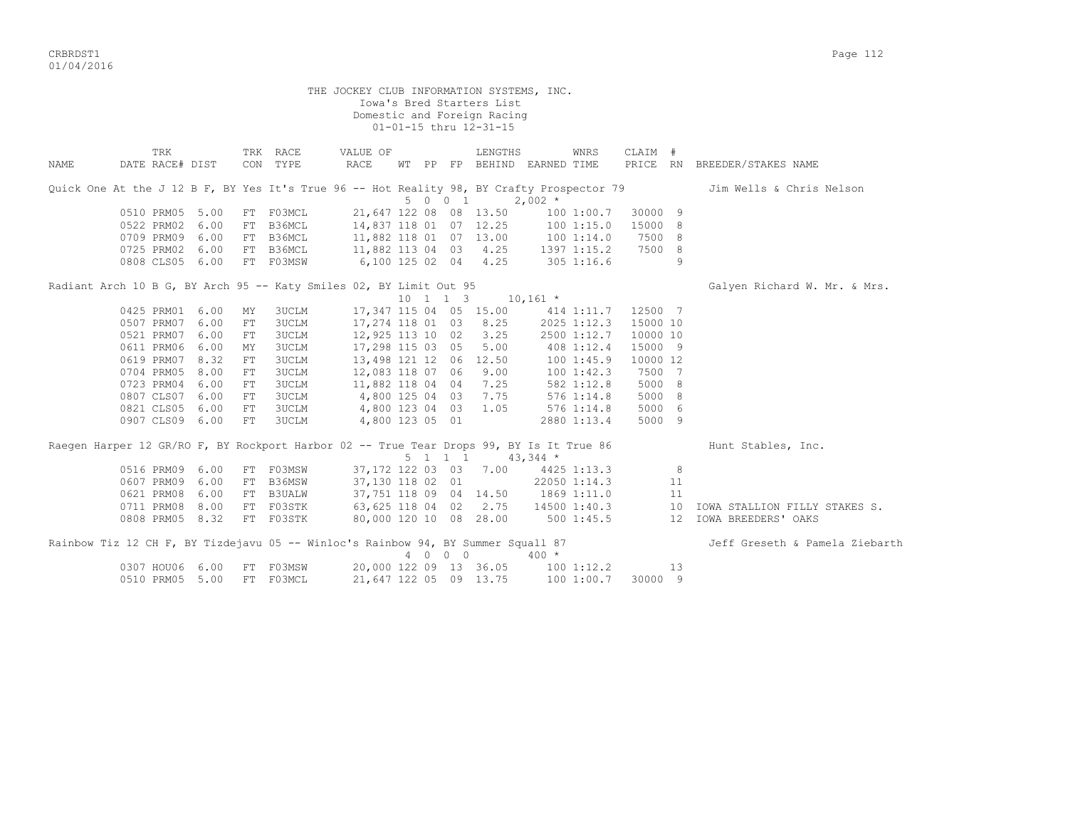CRBRDST1 Page 112 01/04/2016

|      |                                                                                           |      |     |              | THE JOCKEY CLUB INFORMATION SYSTEMS, INC. |                 |                             |                                                   |                |                     |                |                                |
|------|-------------------------------------------------------------------------------------------|------|-----|--------------|-------------------------------------------|-----------------|-----------------------------|---------------------------------------------------|----------------|---------------------|----------------|--------------------------------|
|      |                                                                                           |      |     |              |                                           |                 | Iowa's Bred Starters List   |                                                   |                |                     |                |                                |
|      |                                                                                           |      |     |              |                                           |                 | Domestic and Foreign Racing |                                                   |                |                     |                |                                |
|      |                                                                                           |      |     |              |                                           |                 | 01-01-15 thru 12-31-15      |                                                   |                |                     |                |                                |
|      |                                                                                           |      |     |              |                                           |                 |                             |                                                   |                |                     |                |                                |
|      | TRK                                                                                       |      |     | TRK RACE     | VALUE OF                                  |                 | LENGTHS                     |                                                   | WNRS           | CLAIM #             |                |                                |
| NAME | DATE RACE# DIST                                                                           |      |     | CON TYPE     | RACE                                      |                 |                             | WT PP FP BEHIND EARNED TIME                       |                |                     |                | PRICE RN BREEDER/STAKES NAME   |
|      |                                                                                           |      |     |              |                                           |                 |                             |                                                   |                |                     |                |                                |
|      | Quick One At the J 12 B F, BY Yes It's True 96 -- Hot Reality 98, BY Crafty Prospector 79 |      |     |              |                                           |                 |                             |                                                   |                |                     |                | Jim Wells & Chris Nelson       |
|      |                                                                                           |      |     |              |                                           | 5 0 0 1         |                             | $2,002$ *                                         |                |                     |                |                                |
|      | 0510 PRM05 5.00                                                                           |      |     | FT F03MCL    |                                           |                 | 21,647 122 08 08 13.50      |                                                   | 1001:00.7      | 30000 9             |                |                                |
|      | 0522 PRM02 6.00                                                                           |      |     | FT B36MCL    |                                           |                 | 14,837 118 01 07 12.25      |                                                   | 1001:15.0      | 15000 8             |                |                                |
|      | 0709 PRM09 6.00                                                                           |      |     | FT B36MCL    |                                           |                 | 11,882 118 01 07 13.00      | 100 1:14.0                                        |                | 7500 8              |                |                                |
|      | 0725 PRM02 6.00                                                                           |      |     | FT B36MCL    |                                           |                 | 11,882 113 04 03 4.25       | $1397$ $1:15.2$                                   |                | 7500 8              |                |                                |
|      | 0808 CLS05 6.00                                                                           |      |     | FT F03MSW    | 6,100 125 02 04 4.25                      |                 |                             | $305$ 1:16.6                                      |                |                     | $\overline{9}$ |                                |
|      | Radiant Arch 10 B G, BY Arch 95 -- Katy Smiles 02, BY Limit Out 95                        |      |     |              |                                           |                 |                             |                                                   |                |                     |                | Galyen Richard W. Mr. & Mrs.   |
|      |                                                                                           |      |     |              |                                           |                 |                             | $10 \quad 1 \quad 1 \quad 3 \quad 10,161 \quad *$ |                |                     |                |                                |
|      | 0425 PRM01 6.00                                                                           |      | ΜY  | 3UCLM        |                                           |                 | 17,347 115 04 05 15.00      |                                                   | 414 1:11.7     | 12500 7             |                |                                |
|      | 0507 PRM07                                                                                | 6.00 | FT  | <b>3UCLM</b> |                                           |                 | 8.25                        |                                                   | 2025 1:12.3    | 15000 10            |                |                                |
|      | 0521 PRM07                                                                                | 6.00 | FT  | <b>3UCLM</b> | 17,274 118 01 03<br>12,925 113 10 02      |                 | 3.25                        |                                                   | 2500 1:12.7    | 10000 10            |                |                                |
|      | 0611 PRM06                                                                                | 6.00 |     |              |                                           |                 | 5.00                        |                                                   |                |                     |                |                                |
|      | 0619 PRM07 8.32                                                                           |      | MY  | <b>3UCLM</b> | 17,298 115 03 05                          |                 | 13,498 121 12 06 12.50      |                                                   | 408 1:12.4     | 15000 9<br>10000 12 |                |                                |
|      |                                                                                           |      | FT  | <b>3UCLM</b> |                                           |                 |                             |                                                   | 1001:45.9      |                     |                |                                |
|      | 0704 PRM05                                                                                | 8.00 | FT  | <b>3UCLM</b> | 12,083 118 07 06                          |                 | 9.00                        |                                                   | 100 1:42.3     | 7500 7              |                |                                |
|      | 0723 PRM04                                                                                | 6.00 | FT  | <b>3UCLM</b> | 11,882 118 04 04                          |                 | 7.25                        | 582 1:12.8                                        |                | 5000 8              |                |                                |
|      | 0807 CLS07 6.00                                                                           |      | FT. | <b>3UCLM</b> | 4,800 125 04 03                           |                 | 7.75                        |                                                   | $576$ $1:14.8$ | 5000 8              |                |                                |
|      | 0821 CLS05 6.00                                                                           |      | FT  | 3UCLM        | 4,800 123 04 03                           |                 | 1.05                        | 576 1:14.8                                        |                | 5000 6              |                |                                |
|      | 0907 CLS09 6.00                                                                           |      | FT  | 3UCLM        | 4,800 123 05 01                           |                 |                             |                                                   | 2880 1:13.4    | 5000 9              |                |                                |
|      | Raegen Harper 12 GR/RO F, BY Rockport Harbor 02 -- True Tear Drops 99, BY Is It True 86   |      |     |              |                                           |                 |                             |                                                   |                |                     |                | Hunt Stables, Inc.             |
|      |                                                                                           |      |     |              |                                           | $5 \t1 \t1 \t1$ |                             | $43,344$ *                                        |                |                     |                |                                |
|      | 0516 PRM09 6.00                                                                           |      |     | FT F03MSW    |                                           |                 | 37,172 122 03 03 7.00       |                                                   | 4425 1:13.3    |                     | 8              |                                |
|      | 0607 PRM09 6.00                                                                           |      |     | FT B36MSW    | 37,130 118 02 01                          |                 |                             |                                                   | 22050 1:14.3   |                     | 11             |                                |
|      | 0621 PRM08                                                                                | 6.00 |     | FT B3UALW    |                                           |                 | 37,751 118 09 04 14.50      |                                                   | 1869 1:11.0    |                     | 11             |                                |
|      | 0711 PRM08 8.00                                                                           |      |     | FT F03STK    |                                           |                 | 63,625 118 04 02 2.75       |                                                   | 14500 1:40.3   |                     | 10             | IOWA STALLION FILLY STAKES S.  |
|      | 0808 PRM05 8.32                                                                           |      |     | FT F03STK    |                                           |                 | 80,000 120 10 08 28.00      |                                                   | 500 1:45.5     |                     |                | 12 IOWA BREEDERS' OAKS         |
|      |                                                                                           |      |     |              |                                           |                 |                             |                                                   |                |                     |                |                                |
|      | Rainbow Tiz 12 CH F, BY Tizdejavu 05 -- Winloc's Rainbow 94, BY Summer Squall 87          |      |     |              |                                           | 4 0 0 0         |                             | $400 *$                                           |                |                     |                | Jeff Greseth & Pamela Ziebarth |
|      |                                                                                           |      |     | FT F03MSW    |                                           |                 |                             |                                                   |                |                     | 13             |                                |
|      | 0307 HOU06 6.00                                                                           |      |     |              |                                           |                 | 20,000 122 09 13 36.05      | $100$ $1:12.2$                                    |                |                     |                |                                |
|      | 0510 PRM05 5.00                                                                           |      |     | FT F03MCL    |                                           |                 | 21,647 122 05 09 13.75      | 100 1:00.7                                        |                | 30000 9             |                |                                |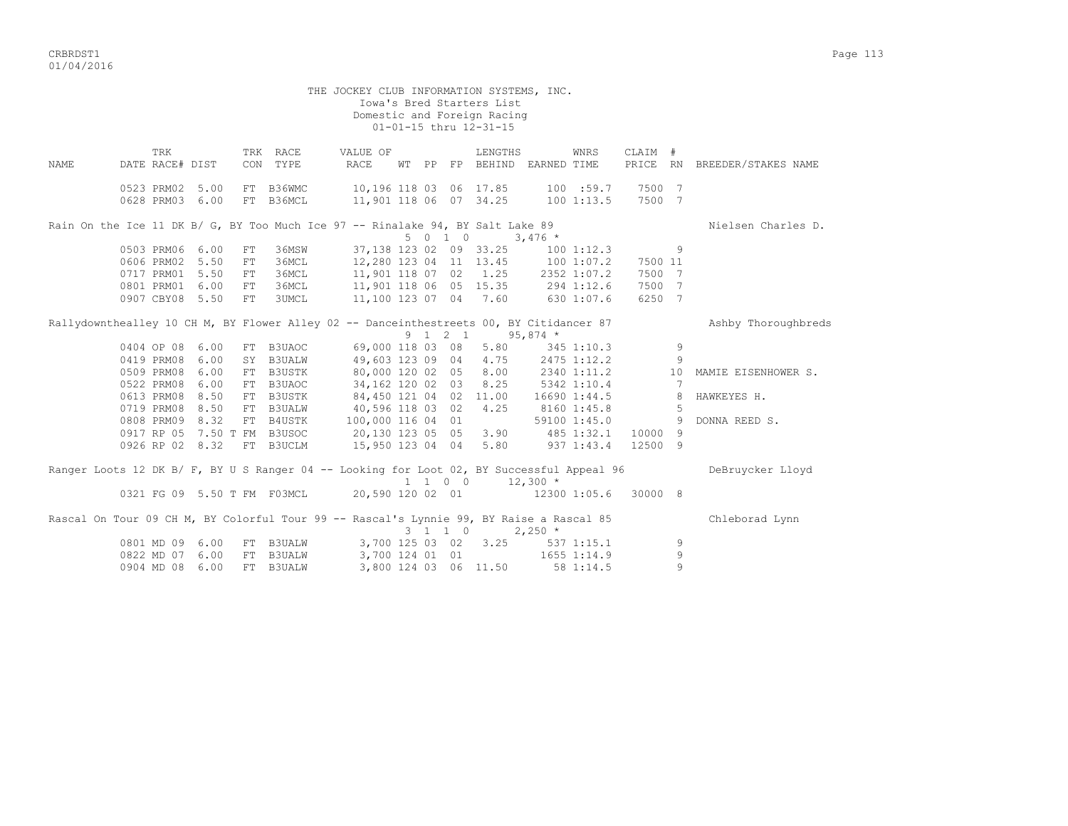|                                                                                           |                                    |      |                  |                             |                  |                  |  |         | THE JOCKEY CLUB INFORMATION SYSTEMS, INC.<br>Iowa's Bred Starters List<br>Domestic and Foreign Racing<br>01-01-15 thru 12-31-15 |                             |                        |                  |                 |                              |
|-------------------------------------------------------------------------------------------|------------------------------------|------|------------------|-----------------------------|------------------|------------------|--|---------|---------------------------------------------------------------------------------------------------------------------------------|-----------------------------|------------------------|------------------|-----------------|------------------------------|
| <b>NAME</b>                                                                               | TRK<br>DATE RACE# DIST             |      |                  | TRK RACE<br>CON TYPE        |                  | VALUE OF<br>RACE |  |         | LENGTHS<br>WT PP FP BEHIND EARNED TIME                                                                                          |                             | WNRS                   | CLAIM #          |                 | PRICE RN BREEDER/STAKES NAME |
|                                                                                           | 0523 PRM02 5.00<br>0628 PRM03 6.00 |      |                  | FT B36WMC<br>FT B36MCL      |                  |                  |  |         | 10,196 118 03 06 17.85<br>11,901 118 06 07 34.25                                                                                |                             | 100 :59.7<br>1001:13.5 | 7500 7<br>7500 7 |                 |                              |
| Rain On the Ice 11 DK B/ G, BY Too Much Ice 97 -- Rinalake 94, BY Salt Lake 89            |                                    |      |                  |                             |                  |                  |  |         |                                                                                                                                 |                             |                        |                  |                 | Nielsen Charles D.           |
|                                                                                           |                                    |      |                  |                             |                  |                  |  | 5 0 1 0 |                                                                                                                                 | $3,476$ *                   |                        |                  |                 |                              |
|                                                                                           | 0503 PRM06 6.00                    |      | FT               | 36MSW                       |                  |                  |  |         | 37,138 123 02 09 33.25                                                                                                          |                             | $100$ $1:12.3$         |                  | 9               |                              |
|                                                                                           | 0606 PRM02 5.50                    |      | FT               | 36MCL                       |                  |                  |  |         | 12,280 123 04 11 13.45                                                                                                          | 1001:07.2                   |                        | 7500 11          |                 |                              |
|                                                                                           | 0717 PRM01 5.50                    |      | FT               | 36MCL                       |                  |                  |  |         |                                                                                                                                 |                             |                        | 7500 7           |                 |                              |
|                                                                                           | 0801 PRM01 6.00<br>0907 CBY08 5.50 |      | ${\rm FT}$<br>FT | 36MCL<br><b>3UMCL</b>       |                  |                  |  |         | $11,100$ 123 07 04 7.60                                                                                                         |                             | 630 1:07.6             | 7500 7<br>6250 7 |                 |                              |
|                                                                                           |                                    |      |                  |                             |                  |                  |  |         |                                                                                                                                 |                             |                        |                  |                 |                              |
| Rallydownthealley 10 CH M, BY Flower Alley 02 -- Danceinthestreets 00, BY Citidancer 87   |                                    |      |                  |                             |                  |                  |  |         |                                                                                                                                 |                             |                        |                  |                 | Ashby Thoroughbreds          |
|                                                                                           |                                    |      |                  |                             |                  |                  |  | 9 1 2 1 |                                                                                                                                 | $95,874$ *                  |                        |                  |                 |                              |
|                                                                                           | 0404 OP 08 6.00                    |      |                  | FT B3UAOC                   |                  | 69,000 118 03 08 |  |         |                                                                                                                                 | $5.80$ $345$ $1:10.3$       |                        |                  | 9               |                              |
|                                                                                           | 0419 PRM08 6.00                    |      |                  | SY B3UALW                   |                  | 49,603 123 09 04 |  |         | 4.75                                                                                                                            | 2475 1:12.2<br>2340 1:11.2  |                        |                  | 9               |                              |
|                                                                                           | 0509 PRM08 6.00                    |      |                  | FT B3USTK                   |                  | 80,000 120 02 05 |  |         | 8.00                                                                                                                            |                             |                        |                  | 10              | MAMIE EISENHOWER S.          |
|                                                                                           | 0522 PRM08 6.00                    |      |                  | FT B3UAOC                   |                  | 34,162 120 02 03 |  |         | 8.25                                                                                                                            | $5342$ 1:10.4               |                        |                  | $7\overline{ }$ |                              |
|                                                                                           | 0613 PRM08 8.50                    |      |                  | FT B3USTK                   |                  |                  |  |         | 84,450 121 04 02 11.00                                                                                                          | 16690 1:44.5                |                        |                  | 8               | HAWKEYES H.                  |
|                                                                                           | 0719 PRM08 8.50                    |      |                  | FT B3UALW                   |                  | 40,596 118 03 02 |  |         | 4.25                                                                                                                            | 8160 1:45.8                 |                        |                  | - 5             |                              |
|                                                                                           | 0808 PRM09 8.32                    |      |                  | FT B4USTK 100,000 116 04 01 |                  |                  |  |         | $59100$ $1:45.0$                                                                                                                |                             |                        |                  | 9               | DONNA REED S.                |
|                                                                                           |                                    |      |                  | 0917 RP 05 7.50 T FM B3USOC | 20,130 123 05 05 |                  |  |         |                                                                                                                                 | $3.90 \qquad 485 \; 1:32.1$ |                        | 10000 9          |                 |                              |
|                                                                                           | 0926 RP 02 8.32                    |      |                  | FT B3UCLM                   |                  |                  |  |         | 15,950 123 04 04 5.80                                                                                                           |                             | 937 1:43.4             | 12500 9          |                 |                              |
| Ranger Loots 12 DK B/ F, BY U S Ranger 04 -- Looking for Loot 02, BY Successful Appeal 96 |                                    |      |                  |                             |                  |                  |  |         | 1 1 0 0                                                                                                                         | $12,300$ *                  |                        |                  |                 | DeBruycker Lloyd             |
|                                                                                           |                                    |      |                  | 0321 FG 09 5.50 T FM F03MCL | 20,590 120 02 01 |                  |  |         |                                                                                                                                 | 12300 1:05.6                |                        | 30000 8          |                 |                              |
| Rascal On Tour 09 CH M, BY Colorful Tour 99 -- Rascal's Lynnie 99, BY Raise a Rascal 85   |                                    |      |                  |                             |                  |                  |  | 3 1 1 0 |                                                                                                                                 | $2,250$ *                   |                        |                  |                 | Chleborad Lynn               |
|                                                                                           | 0801 MD 09 6.00                    |      |                  | FT B3UALW                   |                  | 3,700 125 03 02  |  |         | 3.25                                                                                                                            |                             | $537$ $1:15.1$         |                  | 9               |                              |
|                                                                                           | 0822 MD 07 6.00                    |      |                  | FT B3UALW                   |                  |                  |  |         | 3,700 124 01 01                                                                                                                 |                             | 1655 1:14.9            |                  | 9               |                              |
|                                                                                           | 0904 MD 08                         | 6.00 |                  | FT B3UALW                   |                  |                  |  |         | 3,800 124 03 06 11.50                                                                                                           |                             | 58 1:14.5              |                  | $\overline{9}$  |                              |
|                                                                                           |                                    |      |                  |                             |                  |                  |  |         |                                                                                                                                 |                             |                        |                  |                 |                              |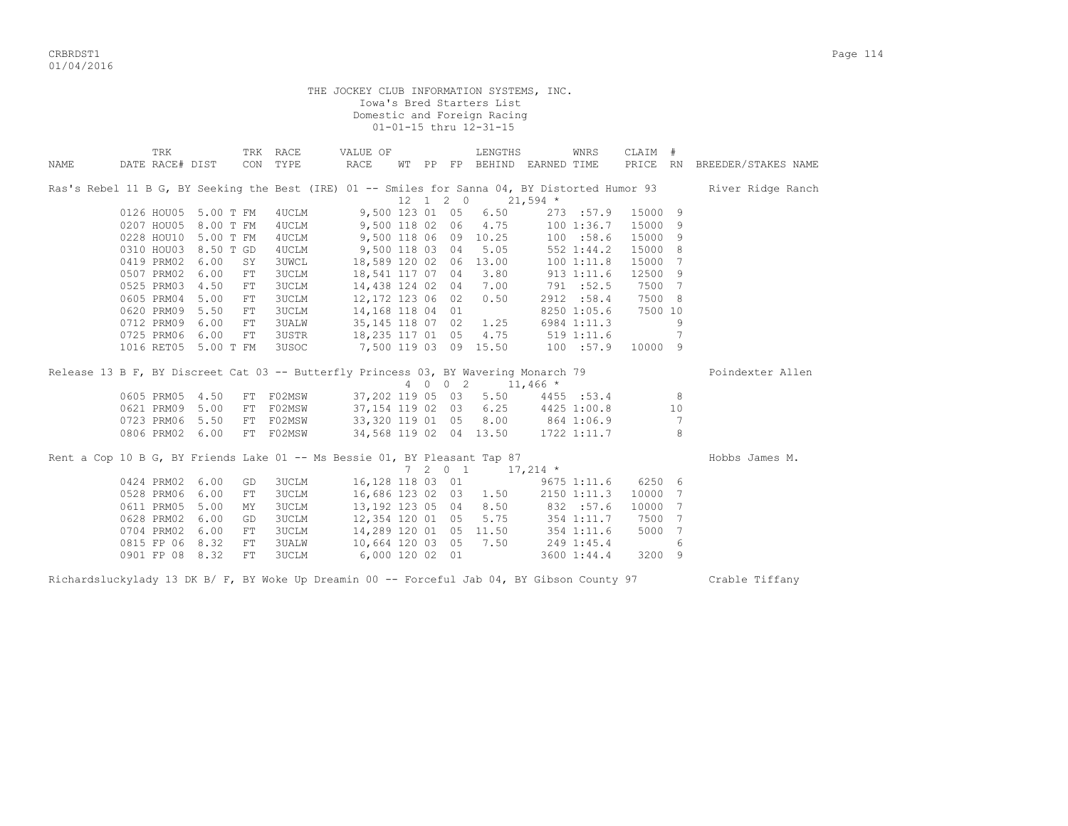|             |                                                                                  |                    |              | THE JOCKEY CLUB INFORMATION SYSTEMS, INC.                                 |                        |  | Iowa's Bred Starters List<br>Domestic and Foreign Racing<br>01-01-15 thru 12-31-15 |                                                                                     |         |                |                                                                                                                  |  |  |  |  |
|-------------|----------------------------------------------------------------------------------|--------------------|--------------|---------------------------------------------------------------------------|------------------------|--|------------------------------------------------------------------------------------|-------------------------------------------------------------------------------------|---------|----------------|------------------------------------------------------------------------------------------------------------------|--|--|--|--|
| <b>NAME</b> | TRK<br>DATE RACE# DIST                                                           | TRK RACE           | CON TYPE     | VALUE OF<br>RACE                                                          |                        |  | LENGTHS                                                                            | WNRS<br>WT PP FP BEHIND EARNED TIME                                                 | CLAIM # |                | PRICE RN BREEDER/STAKES NAME                                                                                     |  |  |  |  |
|             |                                                                                  |                    |              |                                                                           |                        |  | $12 \quad 1 \quad 2 \quad 0 \quad 21,594 \quad ^{\star}$                           |                                                                                     |         |                | Ras's Rebel 11 B G, BY Seeking the Best (IRE) 01 -- Smiles for Sanna 04, BY Distorted Humor 93 River Ridge Ranch |  |  |  |  |
|             | 9,500 123 01 05 6.50<br>0126 HOU05 5.00 T FM<br>4 UCLM<br>273 :57.9<br>15000 9   |                    |              |                                                                           |                        |  |                                                                                    |                                                                                     |         |                |                                                                                                                  |  |  |  |  |
|             | 4.75<br>15000 9<br>0207 HOU05 8.00 T FM<br>4UCLM<br>9,500 118 02 06<br>1001:36.7 |                    |              |                                                                           |                        |  |                                                                                    |                                                                                     |         |                |                                                                                                                  |  |  |  |  |
|             | 0228 HOU10 5.00 T FM                                                             |                    | 4UCLM        | 9,500 118 06 09 10.25                                                     |                        |  |                                                                                    | 100 :58.6                                                                           | 15000 9 |                |                                                                                                                  |  |  |  |  |
|             | 0310 HOU03 8.50 T GD                                                             |                    | 4UCLM        | 9,500 118 03 04                                                           |                        |  | 5.05                                                                               | 552 1:44.2                                                                          | 15000 8 |                |                                                                                                                  |  |  |  |  |
|             | 0419 PRM02                                                                       | 6.00<br>SY         | <b>3UWCL</b> |                                                                           | 18,589 120 02 06 13.00 |  |                                                                                    | 100 1:11.8                                                                          | 15000 7 |                |                                                                                                                  |  |  |  |  |
|             | 0507 PRM02                                                                       | 6.00<br>${\rm FT}$ | 3UCLM        |                                                                           | 18,541 117 07 04       |  | 3.80                                                                               | 913 1:11.6                                                                          | 12500 9 |                |                                                                                                                  |  |  |  |  |
|             | 0525 PRM03 4.50                                                                  | ${\rm FT}$         | 3UCLM        |                                                                           | 14,438 124 02 04       |  | 7.00                                                                               | 791 :52.5                                                                           | 7500 7  |                |                                                                                                                  |  |  |  |  |
|             | 0605 PRM04 5.00                                                                  | ${\rm FT}$         | 3UCLM        |                                                                           | 12,172 123 06 02       |  | 0.50                                                                               | 2912 :58.4                                                                          | 7500 8  |                |                                                                                                                  |  |  |  |  |
|             | 0620 PRM09 5.50                                                                  | FT                 | 3UCLM        |                                                                           | 14,168 118 04 01       |  |                                                                                    | 8250 1:05.6 7500 10                                                                 |         |                |                                                                                                                  |  |  |  |  |
|             | 0712 PRM09 6.00                                                                  | FT                 |              | 3UALW                                                                     | 35,145 118 07 02       |  | 1.25                                                                               | 6984 1:11.3                                                                         |         | 9              |                                                                                                                  |  |  |  |  |
|             | 0725 PRM06 6.00                                                                  | FT                 |              | 3USTR 18,235 117 01 05                                                    |                        |  | 4.75                                                                               | 519 1:11.6                                                                          |         | 7              |                                                                                                                  |  |  |  |  |
|             | 1016 RET05 5.00 T FM                                                             |                    |              | 3USOC 7,500 119 03 09 15.50                                               |                        |  |                                                                                    | 100 :57.9 10000 9                                                                   |         |                |                                                                                                                  |  |  |  |  |
|             |                                                                                  |                    |              |                                                                           |                        |  |                                                                                    | Release 13 B F, BY Discreet Cat 03 -- Butterfly Princess 03, BY Wavering Monarch 79 |         |                | Poindexter Allen                                                                                                 |  |  |  |  |
|             |                                                                                  |                    |              |                                                                           |                        |  | 4 0 0 2 11,466 *                                                                   |                                                                                     |         |                |                                                                                                                  |  |  |  |  |
|             | 0605 PRM05 4.50                                                                  |                    | FT F02MSW    |                                                                           |                        |  |                                                                                    | 37,202 119 05 03 5.50 4455 :53.4                                                    |         | 8              |                                                                                                                  |  |  |  |  |
|             | 0621 PRM09 5.00                                                                  |                    | FT FO2MSW    |                                                                           |                        |  |                                                                                    | $37,154$ 119 02 03 6.25 4425 1:00.8                                                 |         | 10             |                                                                                                                  |  |  |  |  |
|             | 0723 PRM06 5.50                                                                  |                    | FT FO2MSW    |                                                                           |                        |  |                                                                                    | 33, 320 119 01 05 8.00 864 1:06.9                                                   |         | $\overline{7}$ |                                                                                                                  |  |  |  |  |
|             | 0806 PRM02 6.00                                                                  |                    | FT F02MSW    |                                                                           |                        |  |                                                                                    | 34,568 119 02 04 13.50 1722 1:11.7                                                  |         | - 8            |                                                                                                                  |  |  |  |  |
|             |                                                                                  |                    |              |                                                                           |                        |  |                                                                                    |                                                                                     |         |                |                                                                                                                  |  |  |  |  |
|             |                                                                                  |                    |              | Rent a Cop 10 B G, BY Friends Lake 01 -- Ms Bessie 01, BY Pleasant Tap 87 |                        |  |                                                                                    |                                                                                     |         |                | Hobbs James M.                                                                                                   |  |  |  |  |
|             |                                                                                  |                    |              |                                                                           |                        |  | 7 2 0 1 17,214 $*$                                                                 |                                                                                     |         |                |                                                                                                                  |  |  |  |  |
|             | 0424 PRM02 6.00                                                                  | GD                 | 3UCLM        |                                                                           |                        |  |                                                                                    | 16,128 118 03 01 9675 1:11.6 6250 6                                                 |         |                |                                                                                                                  |  |  |  |  |
|             | 0528 PRM06 6.00                                                                  | FT                 | 3UCLM        |                                                                           | 16,686 123 02 03       |  | 1.50                                                                               | 2150 1:11.3                                                                         | 10000 7 |                |                                                                                                                  |  |  |  |  |
|             | 0611 PRM05 5.00                                                                  | MY                 | 3UCLM        |                                                                           | 13,192 123 05 04       |  | 8.50                                                                               | 8.50 832 :57.6<br>5.75 354 1:11.7                                                   | 10000 7 |                |                                                                                                                  |  |  |  |  |
|             | 0628 PRM02                                                                       | 6.00<br>GD         | 3UCLM        |                                                                           | 12,354 120 01 05       |  |                                                                                    |                                                                                     | 7500 7  |                |                                                                                                                  |  |  |  |  |
|             | 0704 PRM02                                                                       | 6.00<br>FT         | 3UCLM        |                                                                           |                        |  | 14,289 120 01 05 11.50                                                             | 354 1:11.6                                                                          | 5000 7  |                |                                                                                                                  |  |  |  |  |
|             | 0815 FP 06 8.32                                                                  | FT.                | <b>3UALW</b> |                                                                           | 10,664 120 03 05       |  | 7.50                                                                               | 249 1:45.4                                                                          |         | 6              |                                                                                                                  |  |  |  |  |
|             | 0901 FP 08 8.32                                                                  | FT                 | <b>3UCLM</b> | 6,000 120 02 01                                                           |                        |  |                                                                                    | 3600 1:44.4                                                                         | 3200 9  |                |                                                                                                                  |  |  |  |  |

Richardsluckylady 13 DK B/ F, BY Woke Up Dreamin 00 -- Forceful Jab 04, BY Gibson County 97 Crable Tiffany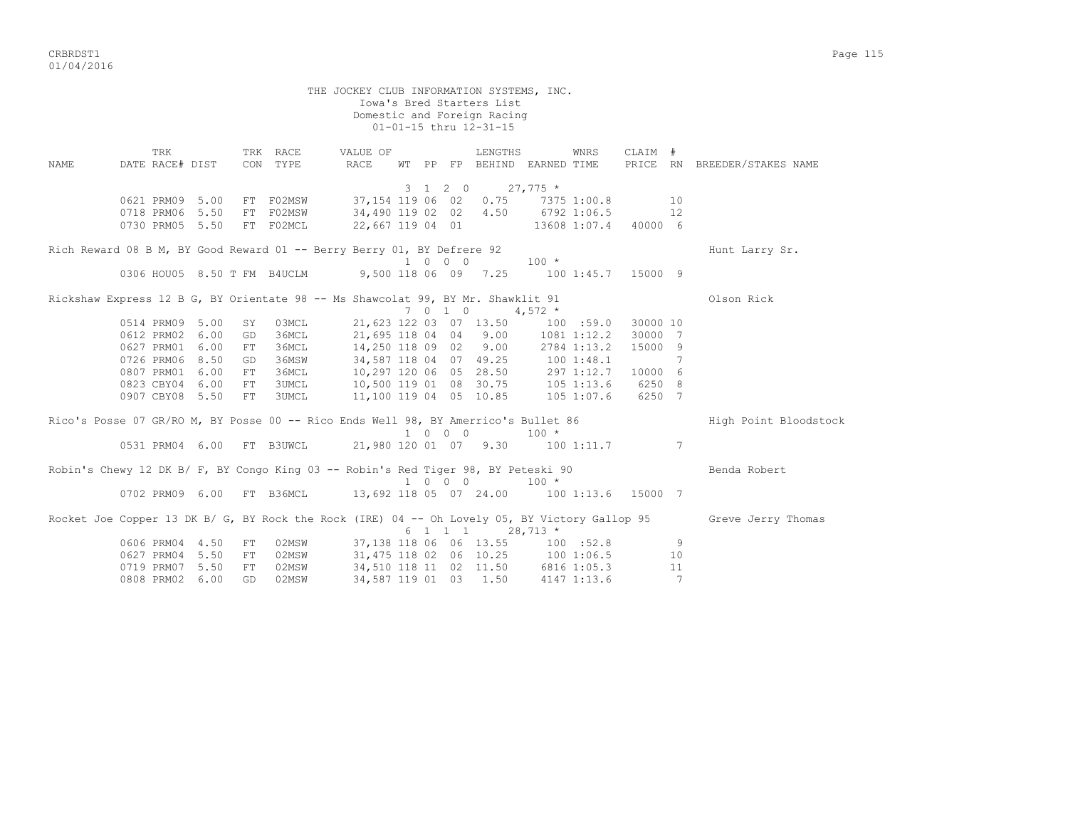|      |                                                                                    |    |                      | THE JOCKEY CLUB INFORMATION SYSTEMS, INC.                                             |  |                             | Iowa's Bred Starters List<br>Domestic and Foreign Racing<br>01-01-15 thru 12-31-15 |            |      |          |    |                                                                                                                  |
|------|------------------------------------------------------------------------------------|----|----------------------|---------------------------------------------------------------------------------------|--|-----------------------------|------------------------------------------------------------------------------------|------------|------|----------|----|------------------------------------------------------------------------------------------------------------------|
| NAME | TRK<br>DATE RACE# DIST                                                             |    | TRK RACE<br>CON TYPE | VALUE OF<br>RACE                                                                      |  |                             | LENGTHS<br>WT PP FP BEHIND EARNED TIME                                             |            | WNRS | CLAIM #  |    | PRICE RN BREEDER/STAKES NAME                                                                                     |
|      |                                                                                    |    |                      |                                                                                       |  |                             | 3 1 2 0                                                                            | $27,775$ * |      |          |    |                                                                                                                  |
|      |                                                                                    |    |                      | 0621 PRM09 5.00 FT F02MSW 37,154 119 06 02 0.75 7375 1:00.8 10                        |  |                             |                                                                                    |            |      |          |    |                                                                                                                  |
|      | 0718 PRM06 5.50                                                                    |    | FT F02MSW            | 34,490 119 02 02 4.50 6792 1:06.5 12                                                  |  |                             |                                                                                    |            |      |          |    |                                                                                                                  |
|      | 0730 PRM05 5.50                                                                    |    | FT F02MCL            | 22,667 119 04 01 13608 1:07.4 40000 6                                                 |  |                             |                                                                                    |            |      |          |    |                                                                                                                  |
|      | Rich Reward 08 B M, BY Good Reward 01 -- Berry Berry 01, BY Defrere 92             |    |                      |                                                                                       |  |                             |                                                                                    |            |      |          |    | Hunt Larry Sr.                                                                                                   |
|      |                                                                                    |    |                      |                                                                                       |  | $1 \quad 0 \quad 0 \quad 0$ |                                                                                    | $100 *$    |      |          |    |                                                                                                                  |
|      |                                                                                    |    |                      | 0306 HOU05 8.50 T FM B4UCLM 9,500 118 06 09 7.25 100 1:45.7 15000 9                   |  |                             |                                                                                    |            |      |          |    |                                                                                                                  |
|      | Rickshaw Express 12 B G, BY Orientate 98 -- Ms Shawcolat 99, BY Mr. Shawklit 91    |    |                      |                                                                                       |  |                             | 7 0 1 0 4,572 $*$                                                                  |            |      |          |    | Olson Rick                                                                                                       |
|      | 0514 PRM09 5.00                                                                    | SY | 03MCL                | 21,623 122 03 07 13.50 100 :59.0 30000 10                                             |  |                             |                                                                                    |            |      |          |    |                                                                                                                  |
|      | 0612 PRM02 6.00                                                                    | GD | 36MCL                | 21,695 118 04 04 9.00 1081 1:12.2                                                     |  |                             |                                                                                    |            |      | 30000 7  |    |                                                                                                                  |
|      | 0627 PRM01 6.00                                                                    | FT | 36MCL                | 14,250 118 09 02 9.00 2784 1:13.2                                                     |  |                             |                                                                                    |            |      | 15000 9  |    |                                                                                                                  |
|      | 0726 PRM06 8.50                                                                    | GD | 36MSW                | 34,587 118 04 07 49.25 100 1:48.1                                                     |  |                             |                                                                                    |            |      | $\sim$ 7 |    |                                                                                                                  |
|      | 0807 PRM01 6.00                                                                    | FT | 36MCL                |                                                                                       |  |                             |                                                                                    |            |      |          |    |                                                                                                                  |
|      | 0823 CBY04 6.00                                                                    | FT | 3UMCL                | 10,297 120 06 05 28.50 297 1:12.7 10000 6<br>10,500 119 01 08 30.75 105 1:13.6 6250 8 |  |                             |                                                                                    |            |      |          |    |                                                                                                                  |
|      | 0907 CBY08 5.50                                                                    | FT | 3UMCL                | 11,100 119 04 05 10.85 105 1:07.6 6250 7                                              |  |                             |                                                                                    |            |      |          |    |                                                                                                                  |
|      | Rico's Posse 07 GR/RO M, BY Posse 00 -- Rico Ends Well 98, BY Amerrico's Bullet 86 |    |                      |                                                                                       |  | 1 0 0 0                     |                                                                                    | $100 *$    |      |          |    | High Point Bloodstock                                                                                            |
|      |                                                                                    |    |                      | 0531 PRM04 6.00 FT B3UWCL 21,980 120 01 07 9.30 100 1:11.7 7                          |  |                             |                                                                                    |            |      |          |    |                                                                                                                  |
|      | Robin's Chewy 12 DK B/ F, BY Congo King 03 -- Robin's Red Tiger 98, BY Peteski 90  |    |                      |                                                                                       |  |                             | 1 0 0 0                                                                            | $100 *$    |      |          |    | Benda Robert                                                                                                     |
|      | 0702 PRM09 6.00 FT B36MCL                                                          |    |                      | 13,692 118 05 07 24.00 100 1:13.6 15000 7                                             |  |                             |                                                                                    |            |      |          |    |                                                                                                                  |
|      |                                                                                    |    |                      |                                                                                       |  |                             | $6 \quad 1 \quad 1 \quad 1 \quad 28,713 \neq$                                      |            |      |          |    | Rocket Joe Copper 13 DK B/ G, BY Rock the Rock (IRE) 04 -- Oh Lovely 05, BY Victory Gallop 95 Greve Jerry Thomas |
|      | 0606 PRM04 4.50                                                                    | FT | 02MSW                | 37,138 118 06 06 13.55 100 :52.8                                                      |  |                             |                                                                                    |            |      |          | 9  |                                                                                                                  |
|      | 0627 PRM04 5.50                                                                    | FT | 02MSW                | 31,475 118 02 06 10.25 100 1:06.5                                                     |  |                             |                                                                                    |            |      |          | 10 |                                                                                                                  |
|      | 0719 PRM07 5.50                                                                    | FT | 02MSW                |                                                                                       |  |                             |                                                                                    |            |      |          | 11 |                                                                                                                  |
|      | 0808 PRM02 6.00                                                                    | GD | 02MSW                | 34,510 118 11 02 11.50 6816 1:05.3<br>34,587 119 01 03 1.50 4147 1:13.6               |  |                             |                                                                                    |            |      |          | 7  |                                                                                                                  |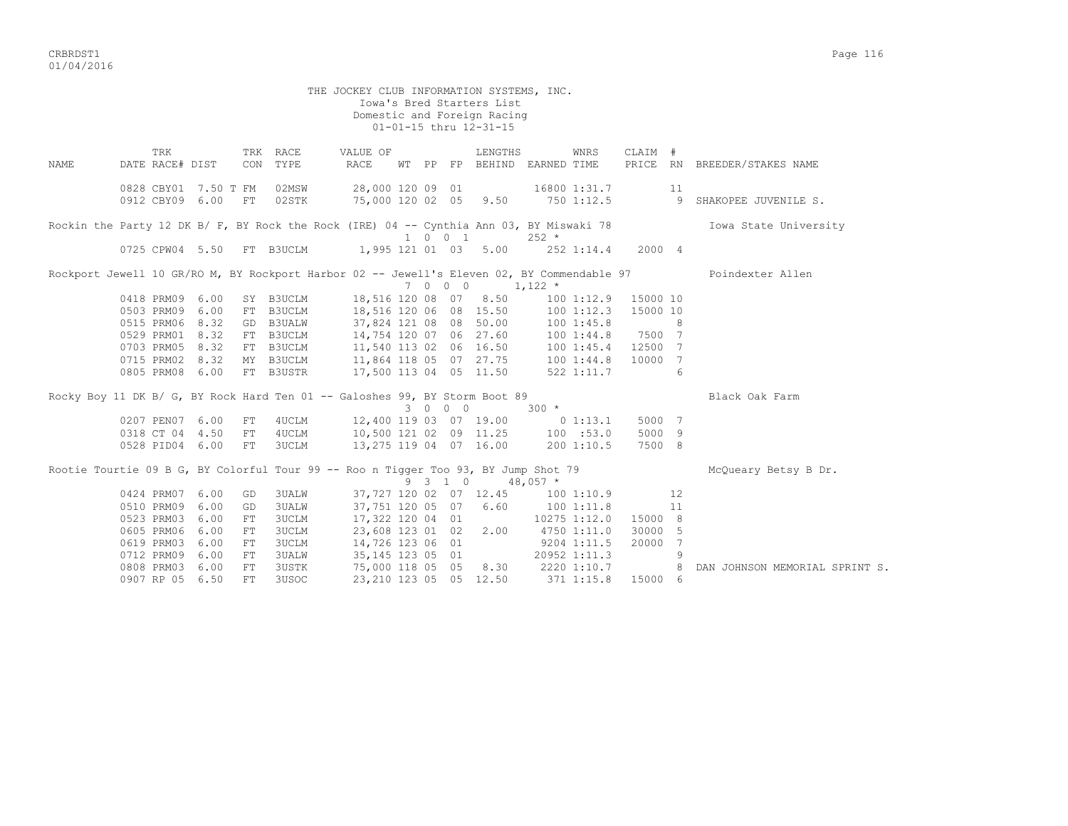|             |                                                                                            |      |            |              | THE JOCKEY CLUB INFORMATION SYSTEMS, INC.                              |         |         | Iowa's Bred Starters List<br>Domestic and Foreign Racing<br>01-01-15 thru 12-31-15 |              |              |                     |      |                                                                                                               |
|-------------|--------------------------------------------------------------------------------------------|------|------------|--------------|------------------------------------------------------------------------|---------|---------|------------------------------------------------------------------------------------|--------------|--------------|---------------------|------|---------------------------------------------------------------------------------------------------------------|
|             | TRK                                                                                        |      |            | TRK RACE     | VALUE OF                                                               |         |         | LENGTHS                                                                            |              | WNRS         | CLAIM #             |      |                                                                                                               |
| <b>NAME</b> | DATE RACE# DIST                                                                            |      |            | CON TYPE     | RACE                                                                   |         |         | WT PP FP BEHIND EARNED TIME                                                        |              |              |                     |      | PRICE RN BREEDER/STAKES NAME                                                                                  |
|             | 0828 CBY01 7.50 T FM                                                                       |      |            | 02MSW        | 28,000 120 09 01 16800 1:31.7                                          |         |         |                                                                                    |              |              |                     | - 11 |                                                                                                               |
|             | 0912 CBY09 6.00 FT                                                                         |      |            | 02STK        |                                                                        |         |         |                                                                                    |              |              |                     |      | --, 000 120 02 05 9.50 750 1:12.5 9 SHAKOPEE JUVENILE S.                                                      |
|             |                                                                                            |      |            |              |                                                                        |         |         |                                                                                    |              |              |                     |      | Rockin the Party 12 DK B/ F, BY Rock the Rock (IRE) 04 -- Cynthia Ann 03, BY Miswaki 78 10Wa State University |
|             |                                                                                            |      |            |              |                                                                        | 1 0 0 1 |         |                                                                                    | $252 *$      |              |                     |      |                                                                                                               |
|             | 0725 CPW04 5.50 FT B3UCLM 1,995 121 01 03 5.00 252 1:14.4 2000 4                           |      |            |              |                                                                        |         |         |                                                                                    |              |              |                     |      |                                                                                                               |
|             | Rockport Jewell 10 GR/RO M, BY Rockport Harbor 02 -- Jewell's Eleven 02, BY Commendable 97 |      |            |              |                                                                        |         | 7 0 0 0 | $1,122$ *                                                                          |              |              |                     |      | Poindexter Allen                                                                                              |
|             | 0418 PRM09 6.00                                                                            |      |            |              | SY B3UCLM 18,516 120 08 07 8.50                                        |         |         |                                                                                    |              |              | 100 1:12.9 15000 10 |      |                                                                                                               |
|             | 0503 PRM09 6.00                                                                            |      |            | FT B3UCLM    |                                                                        |         |         |                                                                                    |              |              | 100 1:12.3 15000 10 |      |                                                                                                               |
|             | 0515 PRM06 8.32                                                                            |      |            | GD B3UALW    | 18,516 120 06 08 15.50 100 1:12.3<br>37,824 121 08 08 50.00 100 1:45.8 |         |         |                                                                                    |              |              | $\sim$ 8            |      |                                                                                                               |
|             | 0529 PRM01 8.32                                                                            |      |            | FT B3UCLM    | 14,754 120 07 06 27.60 100 1:44.8 7500 7                               |         |         |                                                                                    |              |              |                     |      |                                                                                                               |
|             | 0703 PRM05 8.32                                                                            |      |            | FT B3UCLM    | 11,540 113 02 06 16.50 100 1:45.4 12500 7                              |         |         |                                                                                    |              |              |                     |      |                                                                                                               |
|             | 0715 PRM02 8.32                                                                            |      |            | MY B3UCLM    | 11,864 118 05 07 27.75 100 1:44.8                                      |         |         |                                                                                    |              |              | 10000 7             |      |                                                                                                               |
|             | 0805 PRM08 6.00                                                                            |      |            | FT B3USTR    | 17,500 113 04 05 11.50 522 1:11.7                                      |         |         |                                                                                    |              |              | $\sim$ 6            |      |                                                                                                               |
|             | Rocky Boy 11 DK B/ G, BY Rock Hard Ten 01 -- Galoshes 99, BY Storm Boot 89                 |      |            |              |                                                                        |         |         |                                                                                    |              |              |                     |      | Black Oak Farm                                                                                                |
|             |                                                                                            |      |            |              |                                                                        |         | 3 0 0 0 |                                                                                    | $300 *$      |              |                     |      |                                                                                                               |
|             | 0207 PEN07 6.00                                                                            |      | FT         |              | 4UCLM 12,400 119 03 07 19.00 0 1:13.1                                  |         |         |                                                                                    |              |              | 5000 7              |      |                                                                                                               |
|             | 0318 CT 04 4.50 FT                                                                         |      |            | 4UCLM        | 10,500 121 02 09 11.25 100 :53.0<br>13,275 119 04 07 16.00 200 1:10.5  |         |         |                                                                                    |              |              | 5000 9              |      |                                                                                                               |
|             | 0528 PID04 6.00 FT                                                                         |      |            | <b>3UCLM</b> |                                                                        |         |         |                                                                                    |              |              | 7500 8              |      |                                                                                                               |
|             | Rootie Tourtie 09 B G, BY Colorful Tour 99 -- Roo n Tigger Too 93, BY Jump Shot 79         |      |            |              |                                                                        |         | 9 3 1 0 |                                                                                    | $48,057$ *   |              |                     |      | McQueary Betsy B Dr.                                                                                          |
|             | 0424 PRM07 6.00                                                                            |      | GD         | 3UALW        | 37,727 120 02 07 12.45 100 1:10.9                                      |         |         |                                                                                    |              |              |                     | 12   |                                                                                                               |
|             | 0510 PRM09 6.00                                                                            |      | GD         | 3UALW        | 37,751 120 05 07 6.60                                                  |         |         |                                                                                    | 1001:11.8    |              |                     | 11   |                                                                                                               |
|             | 0523 PRM03                                                                                 | 6.00 | FT         | 3UCLM        | 17,322 120 04 01                                                       |         |         |                                                                                    |              | 10275 1:12.0 | 15000 8             |      |                                                                                                               |
|             | 0605 PRM06                                                                                 | 6.00 | FT         | <b>3UCLM</b> | 23,608 123 01 02 2.00                                                  |         |         |                                                                                    | 4750 1:11.0  |              | 30000 5             |      |                                                                                                               |
|             | 0619 PRM03                                                                                 | 6.00 | ${\rm FT}$ | <b>3UCLM</b> | 14,726 123 06 01                                                       |         |         |                                                                                    | 9204 1:11.5  |              | 20000 7             |      |                                                                                                               |
|             | 0712 PRM09                                                                                 | 6.00 | FT         | 3UALW        | 35,145 123 05 01                                                       |         |         |                                                                                    | 20952 1:11.3 |              |                     | 9    |                                                                                                               |
|             | 0808 PRM03 6.00                                                                            |      | FT         | 3USTK        |                                                                        |         |         |                                                                                    |              |              |                     |      | 75,000 118 05 05 8.30 2220 1:10.7 8 DAN JOHNSON MEMORIAL SPRINT S.                                            |
|             | 0907 RP 05 6.50                                                                            |      | FT         | 3USOC        |                                                                        |         |         | 23, 210 123 05 05 12.50                                                            | 371 1:15.8   |              | 15000 6             |      |                                                                                                               |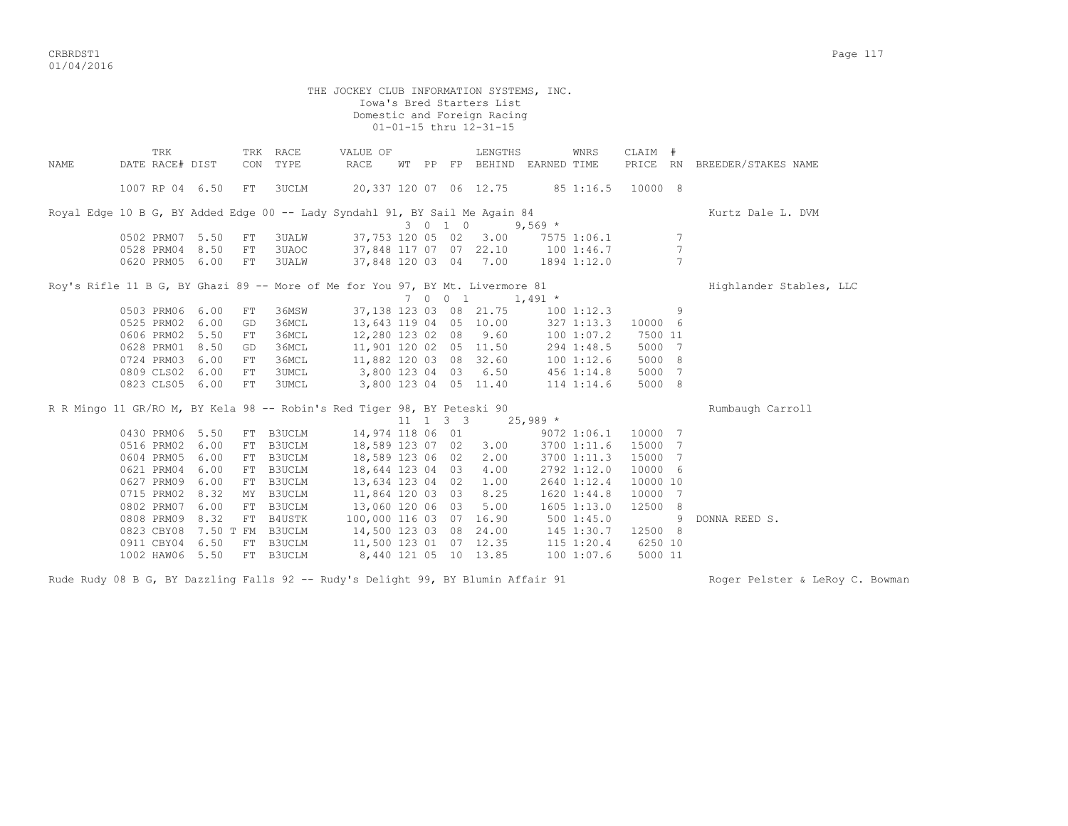CRBRDST1 Page 117 01/04/2016

THE JOCKEY CLUB INFORMATION SYSTEMS, INC. Iowa's Bred Starters List Domestic and Foreign Racing 01-01-15 thru 12-31-15 TRK TRK RACE VALUE OF LENGTHS WNRS CLAIM # NAME DATE RACE# DIST CON TYPE RACE WT PP FP BEHIND EARNED TIME PRICE RN BREEDER/STAKES NAME 1007 RP 04 6.50 FT 3UCLM 20,337 120 07 06 12.75 85 1:16.5 10000 8 Royal Edge 10 B G, BY Added Edge 00 -- Lady Syndahl 91, BY Sail Me Again 84 Kurtz Dale L. DVM  $3 \t 3 \t 0 \t 1 \t 0 \t 9,569 \t \star$ <br> $37,753 \t 120 \t 05 \t 02 \t 3.00 \t 7575 \t 1:06.1$ 0502 PRM07 5.50 FT 3UALW 37,753 120 05 02 3.00 7575 1:06.1 7<br>0528 PRM04 8.50 FT 3UAOC 37.848 117 07 07 22.10 100 1:46.7 7 37,848 117 07 07 22.10 100 1:46.7 7 0620 PRM05 6.00 FT 3UALW 37,848 120 03 04 7.00 1894 1:12.0 7 Rov's Rifle 11 B G, BY Ghazi 89 -- More of Me for You 97, BY Mt. Livermore 81 Highlander Stables, LLC 7 0 0 1 1,491 \* 0503 PRM06 6.00 FT 36MSW 37,138 123 03 08 21.75 100 1:12.3 9 0525 PRM02 6.00 GD 36MCL 13,643 119 04 05 10.00 327 1:13.3 10000 6 0606 PRM02 5.50 FT 36MCL 12,280 123 02 08 9.60 100 1:07.2 7500 11 0628 PRM01 8.50 GD 36MCL 11,901 120 02 05 11.50 294 1:48.5 5000 7 0724 PRM03 6.00 FT 36MCL 11,882 120 03 08 32.60 100 1:12.6 5000 8 0809 CLS02 6.00 FT 3UMCL 3,800 123 04 03 6.50 456 1:14.8 5000 7<br>0823 CLS05 6.00 FT 3UMCL 3,800 123 04 05 11.40 114 1:14.6 5000 8 3,800 123 04 05 11.40 114 1:14.6 5000 8 R R Mingo 11 GR/RO M, BY Kela 98 -- Robin's Red Tiger 98, BY Peteski 90 Rumbaugh Carroll  $11 \t1 \t3 \t3 \t25.989$  \* 0430 PRM06 5.50 FT B3UCLM 14,974 118 06 01 9072 1:06.1 10000 7 0516 PRM02 6.00 FT B3UCLM 18,589 123 07 02 3.00 3700 1:11.6 15000 7 0604 PRM05 6.00 FT B3UCLM 18,589 123 06 02 2.00 3700 1:11.3 15000 7 0621 PRM04 6.00 FT B3UCLM 18,644 123 04 03 4.00 2792 1:12.0 10000 6 0627 PRM09 6.00 FT B3UCLM 13,634 123 04 02 1.00 2640 1:12.4 10000 10 0715 PRM02 8.32 MY B3UCLM 11,864 120 03 03 8.25 1620 1:44.8 10000 7 0802 PRM07 6.00 FT B3UCLM 13,060 120 06 03 5.00 1605 1:13.0 12500 8 0808 PRM09 8.32 FT B4USTK 100,000 116 03 07 16.90 500 1:45.0 9 DONNA REED S. 0823 CBY08 7.50 T FM B3UCLM 14,500 123 03 08 24.00 145 1:30.7 12500 8<br>0911 CBY04 6.50 FT B3UCLM 11,500 123 01 07 12.35 115 1:20.4 6250 10 0911 CBY04 6.50 FT B3UCLM 11,500 123 01 07 12.35<br>1002 HAW06 5.50 FT B3UCLM 8.440 121 05 10 13.85

Rude Rudy 08 B G, BY Dazzling Falls 92 -- Rudy's Delight 99, BY Blumin Affair 91 Roger Pelster & LeRoy C. Bowman

1002 HAW06 5.50 FT B3UCLM 8,440 121 05 10 13.85 100 1:07.6 5000 11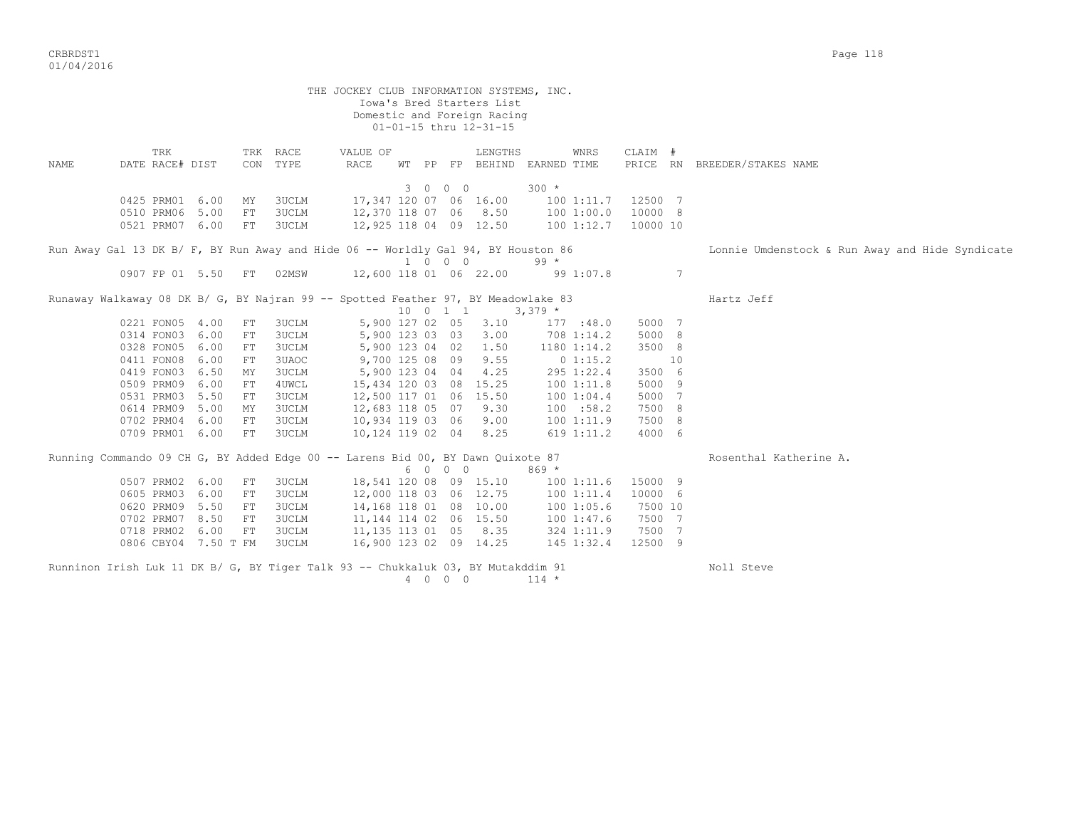|      |                        |                      |            |                      | THE JOCKEY CLUB INFORMATION SYSTEMS, INC.                                         |                  |         | Iowa's Bred Starters List<br>Domestic and Foreign Racing<br>01-01-15 thru 12-31-15 |                                     |          |    |                                                 |
|------|------------------------|----------------------|------------|----------------------|-----------------------------------------------------------------------------------|------------------|---------|------------------------------------------------------------------------------------|-------------------------------------|----------|----|-------------------------------------------------|
| NAME | TRK<br>DATE RACE# DIST |                      |            | TRK RACE<br>CON TYPE | VALUE OF<br>RACE                                                                  |                  |         | LENGTHS                                                                            | WNRS<br>WT PP FP BEHIND EARNED TIME | CLAIM #  |    | PRICE RN BREEDER/STAKES NAME                    |
|      |                        |                      |            |                      |                                                                                   |                  | 3 0 0 0 |                                                                                    | $300 *$                             |          |    |                                                 |
|      | 0425 PRM01             | 6.00                 | ΜY         | 3UCLM                |                                                                                   |                  |         | 17,347 120 07 06 16.00                                                             | 1001:11.7                           | 12500 7  |    |                                                 |
|      | 0510 PRM06             | 5.00                 | ${\rm FT}$ | 3UCLM                |                                                                                   |                  |         | 12,370 118 07 06 8.50                                                              | 100 1:00.0                          | 10000 8  |    |                                                 |
|      | 0521 PRM07 6.00        |                      | ${\rm FT}$ | 3UCLM                |                                                                                   |                  |         | 12,925 118 04 09 12.50                                                             | 100 1:12.7                          | 10000 10 |    |                                                 |
|      |                        |                      |            |                      | Run Away Gal 13 DK B/ F, BY Run Away and Hide 06 -- Worldly Gal 94, BY Houston 86 |                  |         |                                                                                    |                                     |          |    | Lonnie Umdenstock & Run Away and Hide Syndicate |
|      |                        |                      |            |                      |                                                                                   |                  | 1 0 0 0 |                                                                                    | $99 *$                              |          |    |                                                 |
|      | 0907 FP 01 5.50        |                      | FT         | 02MSW                |                                                                                   |                  |         | 12,600 118 01 06 22.00                                                             | 99 1:07.8                           |          | 7  |                                                 |
|      |                        |                      |            |                      | Runaway Walkaway 08 DK B/ G, BY Najran 99 -- Spotted Feather 97, BY Meadowlake 83 | 10 0 1 1         |         |                                                                                    | $3,379$ *                           |          |    | Hartz Jeff                                      |
|      | 0221 FON05 4.00        |                      | ${\rm FT}$ | 3UCLM                |                                                                                   | 5,900 127 02 05  |         | 3.10                                                                               | 177 : 48.0                          | 5000 7   |    |                                                 |
|      | 0314 FON03             | 6.00                 | ${\rm FT}$ | 3UCLM                |                                                                                   | 5,900 123 03 03  |         | 3.00                                                                               | 708 1:14.2                          | 5000 8   |    |                                                 |
|      | 0328 FON05             | 6.00                 | FT         | 3UCLM                |                                                                                   | 5,900 123 04 02  |         | 1.50                                                                               | 1180 1:14.2                         | 3500 8   |    |                                                 |
|      | 0411 FON08             | 6.00                 | FT         | 3UAOC                |                                                                                   | 9,700 125 08 09  |         | 9.55                                                                               | 01:15.2                             |          | 10 |                                                 |
|      | 0419 FON03             | 6.50                 | ΜY         | 3UCLM                |                                                                                   | 5,900 123 04 04  |         | 4.25                                                                               | 295 1:22.4                          | 3500 6   |    |                                                 |
|      | 0509 PRM09             | 6.00                 | FT         | 4UWCL                |                                                                                   |                  |         | 15,434 120 03 08 15.25                                                             | 100 1:11.8                          | 5000 9   |    |                                                 |
|      | 0531 PRM03             | 5.50                 | FT         | 3UCLM                |                                                                                   |                  |         | 12,500 117 01 06 15.50                                                             | 1001:04.4                           | 5000 7   |    |                                                 |
|      | 0614 PRM09             | 5.00                 | MY         | 3UCLM                |                                                                                   | 12,683 118 05 07 |         | 9.30                                                                               | 100 : 58.2                          | 7500 8   |    |                                                 |
|      | 0702 PRM04             | 6.00                 | ${\rm FT}$ | 3UCLM                |                                                                                   | 10,934 119 03 06 |         | 9.00                                                                               | 1001:11.9                           | 7500 8   |    |                                                 |
|      | 0709 PRM01             | 6.00                 | ${\rm FT}$ | 3UCLM                |                                                                                   | 10,124 119 02 04 |         | 8.25                                                                               | 619 1:11.2                          | 4000 6   |    |                                                 |
|      |                        |                      |            |                      | Running Commando 09 CH G, BY Added Edge 00 -- Larens Bid 00, BY Dawn Quixote 87   |                  | 6 0 0 0 |                                                                                    | $869*$                              |          |    | Rosenthal Katherine A.                          |
|      | 0507 PRM02             | 6.00                 | FT         | 3UCLM                |                                                                                   |                  |         | 18,541 120 08 09 15.10                                                             | 1001:11.6                           | 15000 9  |    |                                                 |
|      | 0605 PRM03             | 6.00                 | ${\rm FT}$ | 3UCLM                |                                                                                   |                  |         | 12,000 118 03 06 12.75                                                             | 1001:11.4                           | 10000 6  |    |                                                 |
|      | 0620 PRM09             | 5.50                 | FT         | 3UCLM                |                                                                                   |                  |         | 14,168 118 01 08 10.00                                                             | 100 1:05.6                          | 7500 10  |    |                                                 |
|      | 0702 PRM07             | 8.50                 | ${\rm FT}$ | 3UCLM                |                                                                                   |                  |         | 11, 144 114 02 06 15.50                                                            | 100 1:47.6                          | 7500 7   |    |                                                 |
|      | 0718 PRM02             | 6.00                 | ${\rm FT}$ | 3UCLM                |                                                                                   |                  |         | 11, 135 113 01 05 8.35                                                             | 324 1:11.9                          | 7500 7   |    |                                                 |
|      |                        | 0806 CBY04 7.50 T FM |            | 3UCLM                |                                                                                   |                  |         | 16,900 123 02 09 14.25                                                             | 145 1:32.4                          | 12500 9  |    |                                                 |
|      |                        |                      |            |                      | Runninon Irish Luk 11 DK B/ G, BY Tiger Talk 93 -- Chukkaluk 03, BY Mutakddim 91  |                  | 4 0 0 0 |                                                                                    | $114 *$                             |          |    | Noll Steve                                      |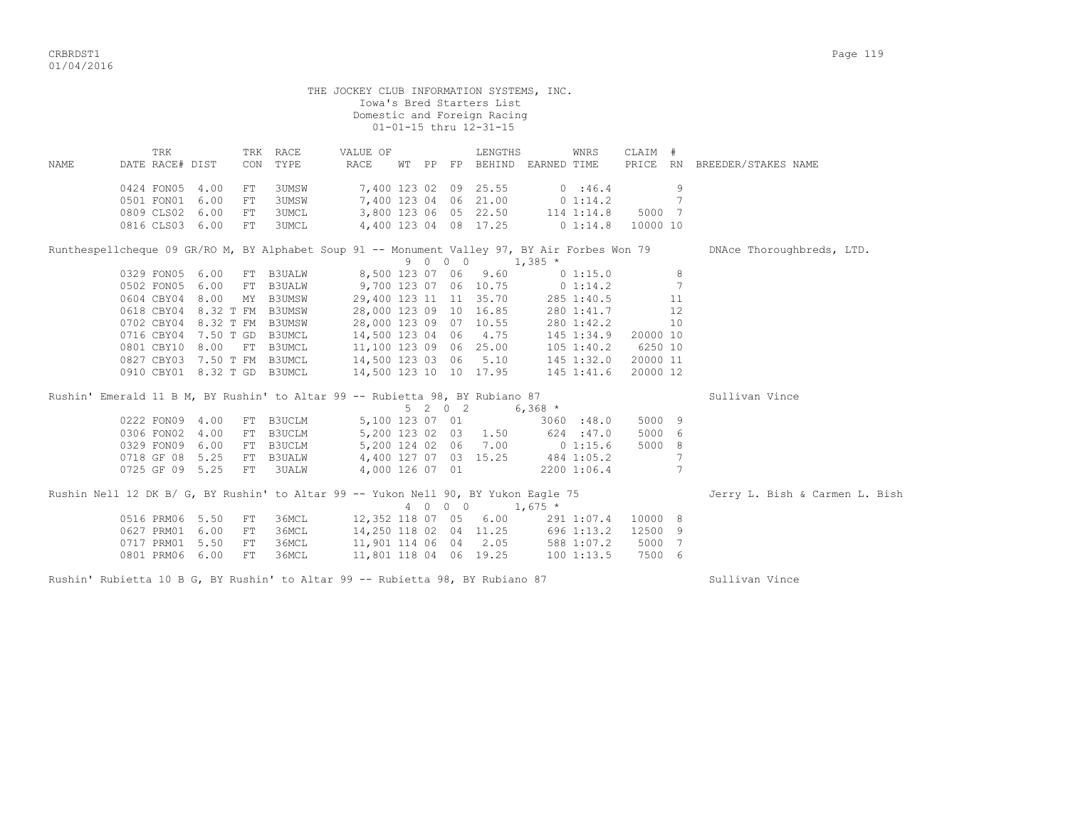|      |                                                                                               |    |                      | THE JOCKEY CLUB INFORMATION SYSTEMS, INC.       |  | Iowa's Bred Starters List<br>Domestic and Foreign Racing<br>01-01-15 thru 12-31-15                                                 |            |                                                                  |                 |                                |
|------|-----------------------------------------------------------------------------------------------|----|----------------------|-------------------------------------------------|--|------------------------------------------------------------------------------------------------------------------------------------|------------|------------------------------------------------------------------|-----------------|--------------------------------|
| NAME | TRK<br>DATE RACE# DIST                                                                        |    | TRK RACE<br>CON TYPE | VALUE OF<br>RACE                                |  | LENGTHS<br>WT PP FP BEHIND EARNED TIME                                                                                             | WNRS       | CLAIM #                                                          |                 | PRICE RN BREEDER/STAKES NAME   |
|      |                                                                                               |    |                      |                                                 |  |                                                                                                                                    |            |                                                                  |                 |                                |
|      | 0424 FON05 4.00                                                                               | FT | 3UMSW                | 7,400 123 02 09 25.55 0 :46.4                   |  |                                                                                                                                    |            |                                                                  | 9               |                                |
|      | 0501 FON01 6.00                                                                               | FT | 3UMSW                | $7,400$ 123 04 06 21.00                         |  |                                                                                                                                    |            | $0\;1:14.2\;7$                                                   |                 |                                |
|      | 0809 CLS02 6.00                                                                               | FT | <b>3UMCL</b>         | 3,800 123 06 05 22.50                           |  |                                                                                                                                    |            | 114 1:14.8 5000 7                                                |                 |                                |
|      | 0816 CLS03 6.00                                                                               | FT | <b>3UMCL</b>         | 4,400 123 04 08 17.25                           |  |                                                                                                                                    |            | $0\;1:14.8\;10000\;10$                                           |                 |                                |
|      | Runthespellcheque 09 GR/RO M, BY Alphabet Soup 91 -- Monument Valley 97, BY Air Forbes Won 79 |    |                      |                                                 |  | $9 \t0 \t0 \t0 \t1,385 \t*$                                                                                                        |            |                                                                  |                 | DNAce Thoroughbreds, LTD.      |
|      | 0329 FON05 6.00 FT B3UALW 8,500 123 07 06 9.60 0 1:15.0                                       |    |                      |                                                 |  |                                                                                                                                    |            |                                                                  | 8               |                                |
|      | 0502 FON05 6.00 FT B3UALW 9,700 123 07 06 10.75                                               |    |                      |                                                 |  |                                                                                                                                    | 0 1:14.2   |                                                                  | $7\phantom{.0}$ |                                |
|      | 0604 CBY04 8.00 MY B3UMSW                                                                     |    |                      |                                                 |  | 29,400 123 11 11 35.70                                                                                                             |            | 285 1:40.5 11                                                    |                 |                                |
|      | 0618 CBY04 8.32 T FM B3UMSW                                                                   |    |                      | 28,000 123 09 10 16.85                          |  |                                                                                                                                    | 280 1:41.7 | 12                                                               |                 |                                |
|      | 0702 CBY04 8.32 T FM B3UMSW                                                                   |    |                      | 28,000 123 09 07 10.55                          |  |                                                                                                                                    | 280 1:42.2 |                                                                  | 10              |                                |
|      | 0716 CBY04 7.50 T GD B3UMCL                                                                   |    |                      | $14,500$ 123 04 06 4.75                         |  |                                                                                                                                    |            |                                                                  |                 |                                |
|      | 0801 CBY10 8.00 FT B3UMCL                                                                     |    |                      |                                                 |  |                                                                                                                                    |            | 145 1:34.9 20000 10<br>105 1:40.2 6250 10<br>145 1:32.0 20000 11 |                 |                                |
|      | 0827 CBY03 7.50 T FM B3UMCL                                                                   |    |                      | 11,100 123 09 06 25.00<br>14,500 123 03 06 5.10 |  |                                                                                                                                    |            |                                                                  |                 |                                |
|      | 0910 CBY01 8.32 T GD B3UMCL                                                                   |    |                      | 14,500 123 10 10 17.95 145 1:41.6               |  |                                                                                                                                    |            | 20000 12                                                         |                 |                                |
|      | Rushin' Emerald 11 B M, BY Rushin' to Altar 99 -- Rubietta 98, BY Rubiano 87                  |    |                      |                                                 |  |                                                                                                                                    |            |                                                                  |                 | Sullivan Vince                 |
|      |                                                                                               |    |                      |                                                 |  | $5 \t2 \t0 \t2 \t6,368 \t*$                                                                                                        |            |                                                                  |                 |                                |
|      | 0222 FON09 4.00                                                                               |    | FT B3UCLM            |                                                 |  |                                                                                                                                    |            | 5000 9                                                           |                 |                                |
|      | 0306 FON02 4.00                                                                               |    | FT B3UCLM            |                                                 |  | $\begin{array}{lllllllll} 5,100&123&07&01&3060&:48.0\\ 5,200&123&02&03&1.50&624&:47.0\\ 5,200&124&02&06&7.00&0&1:15.6 \end{array}$ |            | 5000 6                                                           |                 |                                |
|      | 0329 FON09 6.00 FT B3UCLM                                                                     |    |                      |                                                 |  |                                                                                                                                    |            | 5000 8                                                           |                 |                                |
|      | 0718 GF 08 5.25 FT B3UALW                                                                     |    |                      | 4,400 127 07 03 15.25                           |  |                                                                                                                                    | 484 1:05.2 |                                                                  | 7               |                                |
|      | 0725 GF 09 5.25 FT 3UALW                                                                      |    |                      | 4,000 126 07 01                                 |  | 2200 1:06.4                                                                                                                        |            |                                                                  | $7\phantom{.0}$ |                                |
|      |                                                                                               |    |                      |                                                 |  |                                                                                                                                    |            |                                                                  |                 |                                |
|      | Rushin Nell 12 DK B/ G, BY Rushin' to Altar 99 -- Yukon Nell 90, BY Yukon Eagle 75            |    |                      |                                                 |  | 4 0 0 0 1,675 *                                                                                                                    |            |                                                                  |                 | Jerry L. Bish & Carmen L. Bish |
|      | 0516 PRM06 5.50 FT                                                                            |    | 36MCL                | 12,352 118 07 05 6.00                           |  |                                                                                                                                    |            | 291 1:07.4 10000 8                                               |                 |                                |
|      | 0627 PRM01 6.00                                                                               | FT | 36MCL                | 14,250 118 02 04 11.25 696 1:13.2               |  |                                                                                                                                    |            | 12500 9                                                          |                 |                                |
|      | 0717 PRM01 5.50                                                                               | FT | 36MCL                | 11,901 114 06 04 2.05                           |  |                                                                                                                                    | 588 1:07.2 | 5000 7                                                           |                 |                                |
|      | 0801 PRM06 6.00                                                                               | FT | 36MCL                | 11,801 118 04 06 19.25                          |  |                                                                                                                                    | 1001:13.5  | 7500 6                                                           |                 |                                |
|      |                                                                                               |    |                      |                                                 |  |                                                                                                                                    |            |                                                                  |                 |                                |

Rushin' Rubietta 10 B G, BY Rushin' to Altar 99 -- Rubietta 98, BY Rubiano 87 Sullivan Vince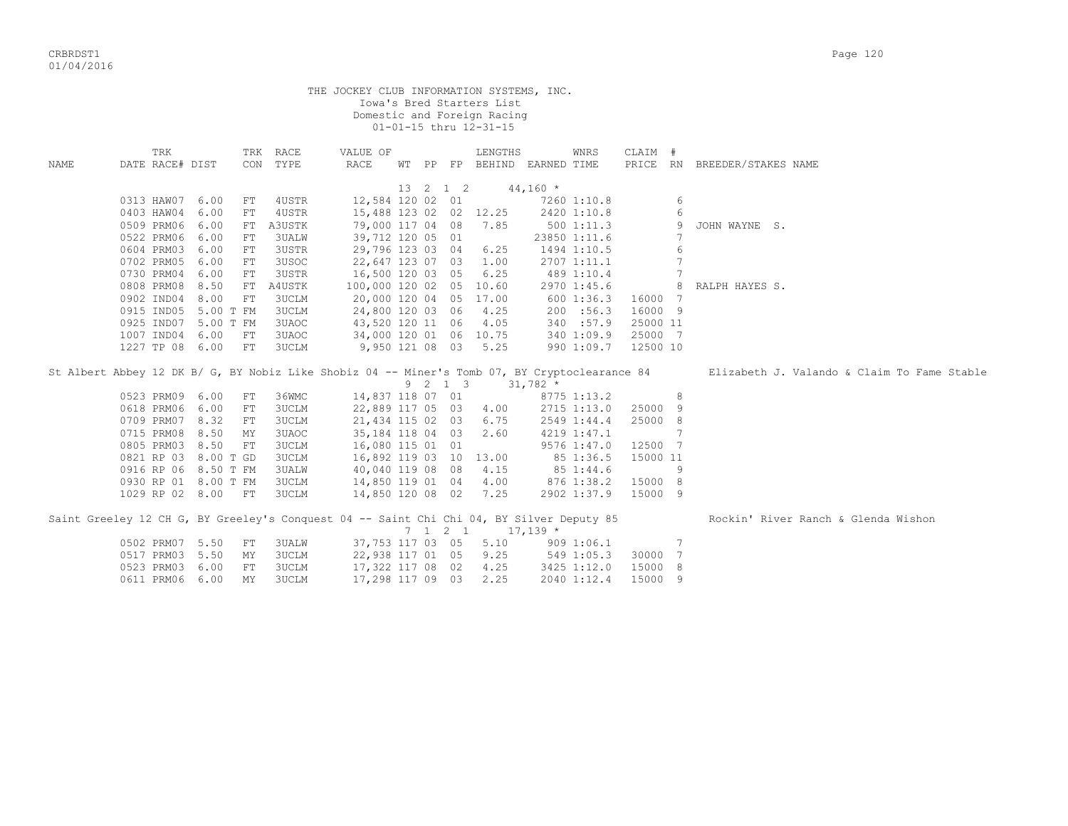|             |                                                                                               |                    |                       | THE JOCKEY CLUB INFORMATION SYSTEMS, INC. |          | Iowa's Bred Starters List<br>Domestic and Foreign Racing<br>01-01-15 thru 12-31-15 |            |                            |                     |                 |                                             |
|-------------|-----------------------------------------------------------------------------------------------|--------------------|-----------------------|-------------------------------------------|----------|------------------------------------------------------------------------------------|------------|----------------------------|---------------------|-----------------|---------------------------------------------|
| <b>NAME</b> | TRK<br>DATE RACE# DIST                                                                        |                    | TRK RACE<br>CON TYPE  | VALUE OF<br>RACE                          |          | LENGTHS<br>WT PP FP BEHIND EARNED TIME                                             |            | WNRS                       | CLAIM #<br>PRICE RN |                 | BREEDER/STAKES NAME                         |
|             |                                                                                               |                    |                       |                                           | 13 2 1 2 |                                                                                    | $44,160 *$ |                            |                     |                 |                                             |
|             | 0313 HAW07 6.00                                                                               | FT                 | 4USTR                 | 12,584 120 02 01                          |          |                                                                                    |            | 7260 1:10.8                |                     | 6               |                                             |
|             | 0403 HAW04                                                                                    | 6.00<br>${\rm FT}$ | 4USTR                 |                                           |          | 15,488 123 02 02 12.25                                                             |            | 2420 1:10.8                |                     | 6               |                                             |
|             | 0509 PRM06                                                                                    | 6.00               | FT A3USTK             |                                           |          | 79,000 117 04 08 7.85                                                              |            | 5001:11.3                  |                     | 9               | JOHN WAYNE S.                               |
|             | 0522 PRM06                                                                                    | 6.00<br>FT         | 3UALW                 | 39,712 120 05 01                          |          |                                                                                    |            | 23850 1:11.6               |                     | 7               |                                             |
|             | 0604 PRM03                                                                                    | 6.00<br>FT         | 3USTR                 | 29,796 123 03 04                          |          | 6.25                                                                               |            | 1494 1:10.5                |                     | 6               |                                             |
|             | 0702 PRM05                                                                                    | 6.00<br>${\rm FT}$ | 3USOC                 |                                           |          | 22,647 123 07 03 1.00                                                              |            | 2707 1:11.1                |                     | $7\phantom{.0}$ |                                             |
|             | 0730 PRM04                                                                                    | 6.00<br>FT         | 3USTR                 | 16,500 120 03 05                          |          | 6.25                                                                               |            | 489 1:10.4                 |                     | $7\phantom{.0}$ |                                             |
|             | 0808 PRM08                                                                                    | 8.50               | FT A4USTK             |                                           |          | 100,000 120 02 05 10.60                                                            |            | 2970 1:45.6                |                     | 8               | RALPH HAYES S.                              |
|             | 0902 IND04                                                                                    | 8.00<br>FT         | 3UCLM                 |                                           |          | 20,000 120 04 05 17.00                                                             |            | 600 1:36.3                 | 16000 7             |                 |                                             |
|             | 0915 IND05 5.00 T FM                                                                          |                    | 3UCLM                 | 24,800 120 03 06                          |          | 4.25                                                                               |            | 200 : 56.3                 | 16000 9             |                 |                                             |
|             | 0925 IND07 5.00 T FM                                                                          |                    | 3UAOC                 | 43,520 120 11 06                          |          | 4.05                                                                               |            | 340 :57.9                  | 25000 11            |                 |                                             |
|             | 1007 IND04 6.00                                                                               | FT                 | 3UAOC                 |                                           |          | 34,000 120 01 06 10.75                                                             |            | 340 1:09.9                 | 25000 7             |                 |                                             |
|             | 1227 TP 08 6.00                                                                               | FT                 | <b>3UCLM</b>          | 9,950 121 08 03                           |          | 5.25                                                                               |            | 990 1:09.7                 | 12500 10            |                 |                                             |
|             |                                                                                               |                    |                       |                                           |          |                                                                                    |            |                            |                     |                 |                                             |
|             | St Albert Abbey 12 DK B/ G, BY Nobiz Like Shobiz 04 -- Miner's Tomb 07, BY Cryptoclearance 84 |                    |                       |                                           |          |                                                                                    |            |                            |                     |                 | Elizabeth J. Valando & Claim To Fame Stable |
|             |                                                                                               |                    |                       |                                           |          | $9 \quad 2 \quad 1 \quad 3 \quad 31,782 \quad *$                                   |            |                            |                     |                 |                                             |
|             | 0523 PRM09<br>0618 PRM06                                                                      | 6.00<br>FT<br>6.00 | 36WMC<br><b>3UCLM</b> | 14,837 118 07 01                          |          |                                                                                    |            | 8775 1:13.2                | 25000 9             | 8               |                                             |
|             | 0709 PRM07                                                                                    | FT<br>8.32<br>FT   | 3UCLM                 |                                           |          | 22,889 117 05 03 4.00<br>6.75                                                      |            | 2715 1:13.0                | 25000               |                 |                                             |
|             | 0715 PRM08                                                                                    | 8.50<br>MΥ         | 3UAOC                 | 21,434 115 02 03<br>35,184 118 04 03      |          | 2.60                                                                               |            | 2549 1:44.4<br>4219 1:47.1 |                     | 8<br>7          |                                             |
|             | 0805 PRM03                                                                                    | 8.50<br>FT         | 3UCLM                 | 16,080 115 01 01                          |          |                                                                                    |            | 9576 1:47.0                | 12500 7             |                 |                                             |
|             | 0821 RP 03                                                                                    | 8.00 T GD          | 3UCLM                 |                                           |          | 16,892 119 03 10 13.00                                                             |            | 85 1:36.5                  | 15000 11            |                 |                                             |
|             | 0916 RP 06 8.50 T FM                                                                          |                    | 3UALW                 | 40,040 119 08 08                          |          | 4.15                                                                               |            | 85 1:44.6                  |                     | 9               |                                             |
|             | 0930 RP 01 8.00 T FM                                                                          |                    | <b>3UCLM</b>          | 14,850 119 01 04                          |          | 4.00                                                                               |            | 876 1:38.2                 | 15000 8             |                 |                                             |
|             | 1029 RP 02 8.00 FT                                                                            |                    | 3UCLM                 | 14,850 120 08 02                          |          | 7.25                                                                               |            | 2902 1:37.9                | 15000 9             |                 |                                             |
|             |                                                                                               |                    |                       |                                           |          |                                                                                    |            |                            |                     |                 |                                             |
|             | Saint Greeley 12 CH G, BY Greeley's Conquest 04 -- Saint Chi Chi 04, BY Silver Deputy 85      |                    |                       |                                           |          | $7 \quad 1 \quad 2 \quad 1 \quad 17,139 \quad ^{\star}$                            |            |                            |                     |                 | Rockin' River Ranch & Glenda Wishon         |
|             | 0502 PRM07 5.50                                                                               | FT                 | 3UALW                 | 37,753 117 03 05                          |          | 5.10                                                                               |            | 909 1:06.1                 |                     | 7               |                                             |
|             | 0517 PRM03                                                                                    | 5.50<br>MΥ         | 3UCLM                 | 22,938 117 01 05                          |          | 9.25                                                                               |            | 549 1:05.3                 | 30000 7             |                 |                                             |
|             | 0523 PRM03                                                                                    | 6.00<br>FT         | 3UCLM                 | 17,322 117 08 02                          |          | 4.25                                                                               |            | 3425 1:12.0                | 15000               | 8               |                                             |
|             | 0611 PRM06 6.00                                                                               | MY                 | 3UCLM                 | 17,298 117 09 03                          |          | 2.25                                                                               |            | 2040 1:12.4                | 15000 9             |                 |                                             |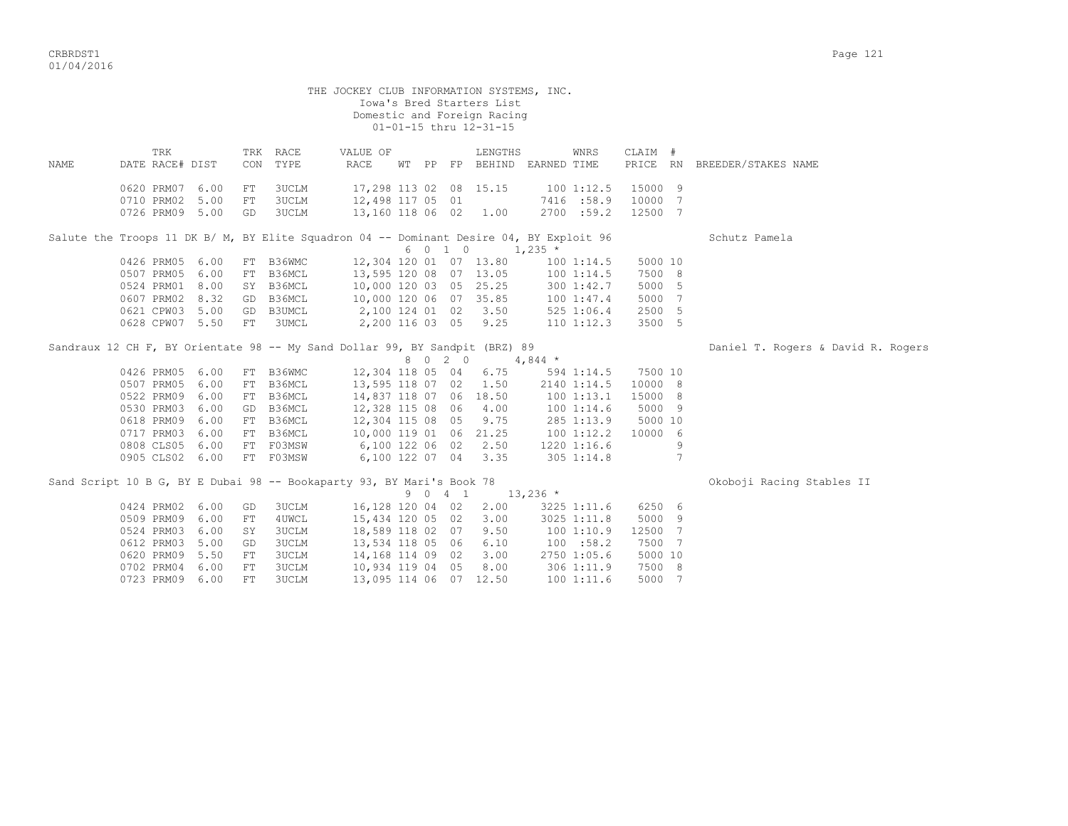| VI/ VI/ ムVIV |                          |              |            |                |                                            |    |    |    |                                                                                    |             |                         |                  |               |                     |
|--------------|--------------------------|--------------|------------|----------------|--------------------------------------------|----|----|----|------------------------------------------------------------------------------------|-------------|-------------------------|------------------|---------------|---------------------|
|              |                          |              |            |                | THE JOCKEY CLUB INFORMATION SYSTEMS, INC.  |    |    |    | Iowa's Bred Starters List<br>Domestic and Foreign Racing<br>01-01-15 thru 12-31-15 |             |                         |                  |               |                     |
| NAME         | TRK<br>DATE RACE# DIST   |              | TRK<br>CON | RACE<br>TYPE   | VALUE OF<br>RACE                           | WT | PP | FP | LENGTHS<br>BEHIND                                                                  | EARNED TIME | WNRS                    | CLAIM #<br>PRICE | RN            | BREEDER/STAKES NAME |
|              | 0620 PRM07<br>0710 PRM02 | 6.00<br>5.00 | FT.<br>FT  | 3UCLM<br>3UCLM | 17,298 113 02 08 15.15<br>12,498 117 05 01 |    |    |    |                                                                                    |             | 1001:12.5<br>7416 :58.9 | 15000 9<br>10000 | $\rightarrow$ |                     |
|              | 0726 PRM09               | 5.00         | GD         | 3UCLM          | 13,160 118 06                              |    |    | 02 | 1.00                                                                               | 2700        | :59.2                   | 12500            |               |                     |

|                           |    |           |  |      |                        | Salute the Troops 11 DK B/ M, BY Elite Squadron 04 -- Dominant Desire 04, BY Exploit 96 |         | Schutz Pamela |
|---------------------------|----|-----------|--|------|------------------------|-----------------------------------------------------------------------------------------|---------|---------------|
|                           |    |           |  | 6010 |                        | $1,235$ *                                                                               |         |               |
| 0426 PRM05 6.00 FT B36WMC |    |           |  |      |                        | 12,304 120 01 07 13.80 100 1:14.5                                                       | 5000 10 |               |
| 0507 PRM05 6.00           |    | FT B36MCL |  |      | 13,595 120 08 07 13.05 | $100$ $1:14.5$                                                                          | 7500 8  |               |
| 0524 PRM01 8.00           |    | SY B36MCL |  |      | 10,000 120 03 05 25.25 | 3001:42.7                                                                               | 5000 5  |               |
| 0607 PRM02 8.32 GD B36MCL |    |           |  |      | 10,000 120 06 07 35.85 | 1001:37.4                                                                               | 5000 7  |               |
| 0621 CPW03 5.00           |    | GD B3UMCL |  |      | 2,100 124 01 02 3.50   | $525$ 1:06.4                                                                            | 2500 5  |               |
| 0628 CPW07 5.50           | FT | 3UMCL     |  |      | 2,200 116 03 05 9.25   | $110$ $1:12.3$                                                                          | 3500 5  |               |

| Daniel T. Rogers & David R. Rogers<br>Sandraux 12 CH F, BY Orientate 98 -- My Sand Dollar 99, BY Sandpit (BRZ) 89 |
|-------------------------------------------------------------------------------------------------------------------|
|-------------------------------------------------------------------------------------------------------------------|

|                 |      |           |                        |  | 8 0 2 0 |                      | 4,844 $*$ |                 |         |  |
|-----------------|------|-----------|------------------------|--|---------|----------------------|-----------|-----------------|---------|--|
| 0426 PRM05 6.00 |      | FT B36WMC | 12,304 118 05          |  | 04      | 6.75                 |           | $594$ 1:14.5    | 7500 10 |  |
| 0507 PRM05      | 6.00 | FT B36MCL | 13,595 118 07 02 1.50  |  |         |                      |           | 2140 1:14.5     | 10000 8 |  |
| 0522 PRM09      | 6.00 | FT B36MCL | 14,837 118 07 06 18.50 |  |         |                      |           | 1001:13.1       | 15000 8 |  |
| 0530 PRM03 6.00 |      | GD B36MCL | 12,328 115 08 06 4.00  |  |         |                      |           | 1001:14.6       | 5000 9  |  |
| 0618 PRM09      | 6.00 | FT B36MCL | 12,304 115 08          |  |         | 05 9.75              |           | 285 1:13.9      | 5000 10 |  |
| 0717 PRM03      | 6.00 | FT B36MCL | 10,000 119 01          |  |         | 06 21.25             |           | 1001:12.2       | 10000 6 |  |
| 0808 CLS05      | 6.00 | FT F03MSW | 6,100 122 06           |  | 02      | 2.50                 |           | $1220$ $1:16.6$ |         |  |
| 0905 CLS02      | 6.00 | FT F03MSW |                        |  |         | 6,100 122 07 04 3.35 |           | $305 \t1:14.8$  |         |  |

| Sand Script 10 B G, BY E Dubai 98 -- Bookaparty 93, BY Mari's Book 78 |    |       |                        |  |         |      |                |         | Okoboji Racing Stables II |
|-----------------------------------------------------------------------|----|-------|------------------------|--|---------|------|----------------|---------|---------------------------|
|                                                                       |    |       |                        |  | 9 0 4 1 |      | $13,236$ *     |         |                           |
| 0424 PRM02 6.00                                                       | GD | 3UCLM | 16,128 120 04 02 2.00  |  |         |      | 3225 1:11.6    | 6250 6  |                           |
| 0509 PRM09 6.00                                                       | FT | 4UWCL | 15,434 120 05 02 3.00  |  |         |      | 3025 1:11.8    | 5000 9  |                           |
| 0524 PRM03 6.00                                                       | SY | 3UCLM | 18,589 118 02 07       |  |         | 9.50 | 100 1:10.9     | 12500 7 |                           |
| 0612 PRM03 5.00                                                       | GD | 3UCLM | 13,534 118 05 06       |  |         | 6.10 | 100 : 58.2     | 7500 7  |                           |
| 0620 PRM09 5.50                                                       | FT | 3UCLM | 14,168 114 09 02 3.00  |  |         |      | 2750 1:05.6    | 5000 10 |                           |
| 0702 PRM04 6.00                                                       | FT | 3UCLM | 10,934 119 04 05       |  |         | 8.00 | 3061:11.9      | 7500 8  |                           |
| 0723 PRM09 6.00                                                       | FT | 3UCLM | 13,095 114 06 07 12.50 |  |         |      | $100$ $1:11.6$ | 5000 7  |                           |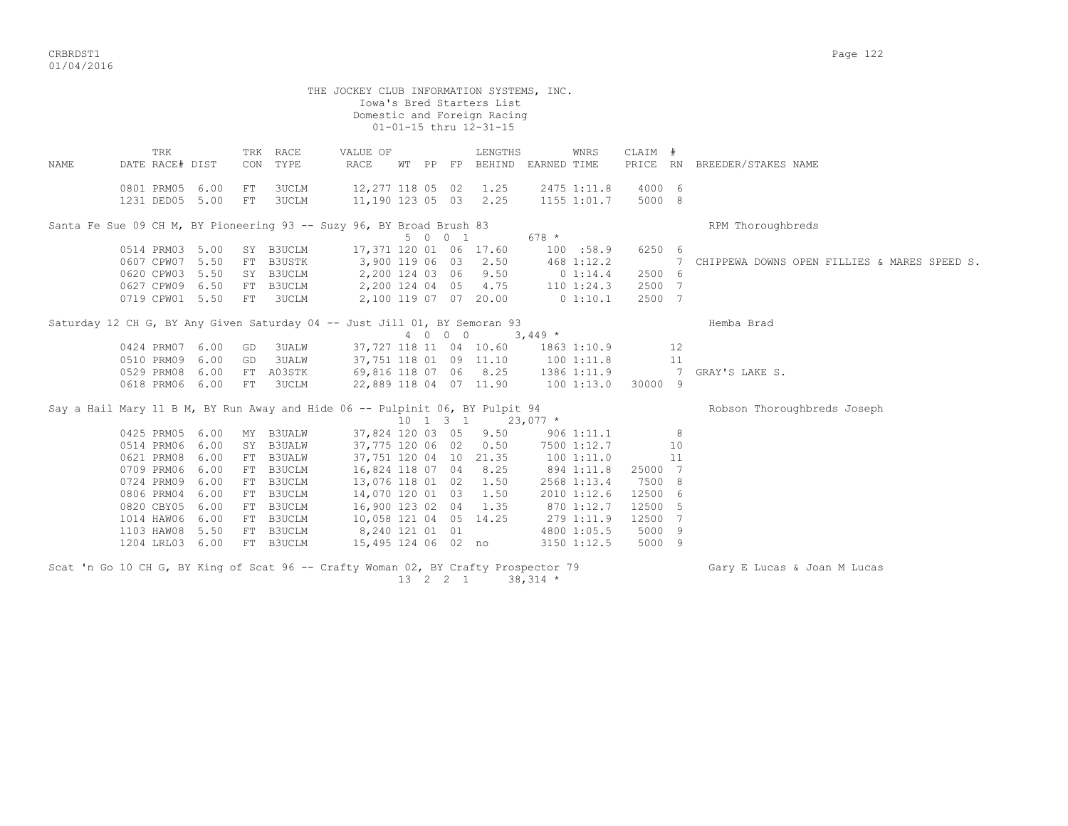|      |                                                                                                                                               |                                                                      |                        |                                                                                                                                | THE JOCKEY CLUB INFORMATION SYSTEMS, INC.                                                                                                                                                                     |  |         | Iowa's Bred Starters List<br>Domestic and Foreign Racing<br>01-01-15 thru 12-31-15 |             |                                                                                                                                                 |                                                                        |               |                                              |
|------|-----------------------------------------------------------------------------------------------------------------------------------------------|----------------------------------------------------------------------|------------------------|--------------------------------------------------------------------------------------------------------------------------------|---------------------------------------------------------------------------------------------------------------------------------------------------------------------------------------------------------------|--|---------|------------------------------------------------------------------------------------|-------------|-------------------------------------------------------------------------------------------------------------------------------------------------|------------------------------------------------------------------------|---------------|----------------------------------------------|
| NAME | TRK<br>DATE RACE# DIST                                                                                                                        |                                                                      | CON                    | TRK RACE<br>TYPE                                                                                                               | VALUE OF<br>RACE                                                                                                                                                                                              |  |         | LENGTHS<br>WT PP FP BEHIND                                                         | EARNED TIME | WNRS                                                                                                                                            | CLAIM #                                                                |               | PRICE RN BREEDER/STAKES NAME                 |
|      | 0801 PRM05<br>1231 DED05 5.00                                                                                                                 | 6.00                                                                 | FT<br>FT               | 3UCLM<br><b>3UCLM</b>                                                                                                          | 12,277 118 05 02 1.25<br>11,190 123 05 03 2.25                                                                                                                                                                |  |         |                                                                                    |             | 2475 1:11.8<br>1155 1:01.7                                                                                                                      | 4000 6<br>5000 8                                                       |               |                                              |
|      | Santa Fe Sue 09 CH M, BY Pioneering 93 -- Suzy 96, BY Broad Brush 83                                                                          |                                                                      |                        |                                                                                                                                |                                                                                                                                                                                                               |  | 5 0 0 1 |                                                                                    | 678 *       |                                                                                                                                                 |                                                                        |               | RPM Thoroughbreds                            |
|      | 0514 PRM03 5.00<br>0607 CPW07 5.50<br>0620 CPW03 5.50<br>0627 CPW09 6.50<br>0719 CPW01 5.50                                                   |                                                                      |                        | SY B3UCLM<br>FT B3USTK<br>SY B3UCLM<br>FT B3UCLM<br>FT 3UCLM                                                                   | 17,371 120 01 06 17.60<br>3,900 119 06 03 2.50<br>2,200 124 03 06 9.50                                                                                                                                        |  |         | 2,200 124 04 05 4.75<br>2,100 119 07 07 20.00                                      | $0\;1:14.4$ | 100 : 58.9<br>468 1:12.2<br>$110$ $1:24.3$<br>0 1:10.1                                                                                          | 6250 6<br>2500 6<br>2500 7<br>2500 7                                   | 7             | CHIPPEWA DOWNS OPEN FILLIES & MARES SPEED S. |
|      | Saturday 12 CH G, BY Any Given Saturday 04 -- Just Jill 01, BY Semoran 93                                                                     |                                                                      |                        |                                                                                                                                |                                                                                                                                                                                                               |  | 4 0 0 0 | $3,449$ *                                                                          |             |                                                                                                                                                 |                                                                        |               | Hemba Brad                                   |
|      | 0424 PRM07<br>0510 PRM09<br>0529 PRM08<br>0618 PRM06                                                                                          | 6.00<br>6.00<br>6.00<br>6.00                                         | GD<br>GD<br>${\rm FT}$ | 3UALW<br>3UALW<br>FT A03STK<br>3UCLM                                                                                           | 37,751 118 01 09 11.10 100 1:11.8<br>69,816 118 07 06 8.25                                                                                                                                                    |  |         | 37,727 118 11 04 10.60<br>22,889 118 04 07 11.90                                   | 1001:13.0   | 1863 1:10.9                                                                                                                                     | 1386 1:11.9 7<br>30000 9                                               | 12<br>11      | GRAY'S LAKE S.                               |
|      | Say a Hail Mary 11 B M, BY Run Away and Hide 06 -- Pulpinit 06, BY Pulpit 94                                                                  |                                                                      |                        |                                                                                                                                |                                                                                                                                                                                                               |  |         | $10 \quad 1 \quad 3 \quad 1 \quad 23,077 \quad *$                                  |             |                                                                                                                                                 |                                                                        |               | Robson Thoroughbreds Joseph                  |
|      | 0425 PRM05<br>0514 PRM06<br>0621 PRM08<br>0709 PRM06<br>0724 PRM09<br>0806 PRM04<br>0820 CBY05<br>1014 HAW06<br>1103 HAW08 5.50<br>1204 LRL03 | 6.00<br>6.00<br>6.00<br>6.00<br>6.00<br>6.00<br>6.00<br>6.00<br>6.00 |                        | MY B3UALW<br>SY B3UALW<br>FT B3UALW<br>FT B3UCLM<br>FT B3UCLM<br>FT B3UCLM<br>FT B3UCLM<br>FT B3UCLM<br>FT B3UCLM<br>FT B3UCLM | 37,775 120 06 02<br>37,751 120 04 10 21.35<br>16,824 118 07 04 8.25<br>13,076 118 01 02 1.50<br>14,070 120 01 03<br>16,900 123 02 04 1.35<br>10,058 121 04 05 14.25<br>8,240 121 01 01<br>15,495 124 06 02 no |  |         | 37,824 120 03 05 9.50<br>0.50<br>1.50                                              |             | $906$ 1:11.1<br>7500 1:12.7<br>100 1:11.0<br>894 1:11.8<br>2568 1:13.4<br>2010 1:12.6<br>870 1:12.7<br>279 1:11.9<br>4800 1:05.5<br>3150 1:12.5 | 25000 7<br>7500 8<br>12500 6<br>12500 5<br>12500 7<br>5000 9<br>5000 9 | 8<br>10<br>11 |                                              |
|      | Scat 'n Go 10 CH G, BY King of Scat 96 -- Crafty Woman 02, BY Crafty Prospector 79                                                            |                                                                      |                        |                                                                                                                                |                                                                                                                                                                                                               |  |         |                                                                                    |             |                                                                                                                                                 |                                                                        |               | Gary E Lucas & Joan M Lucas                  |

 $13 \quad 2 \quad 2 \quad 1 \quad 38,314 \neq$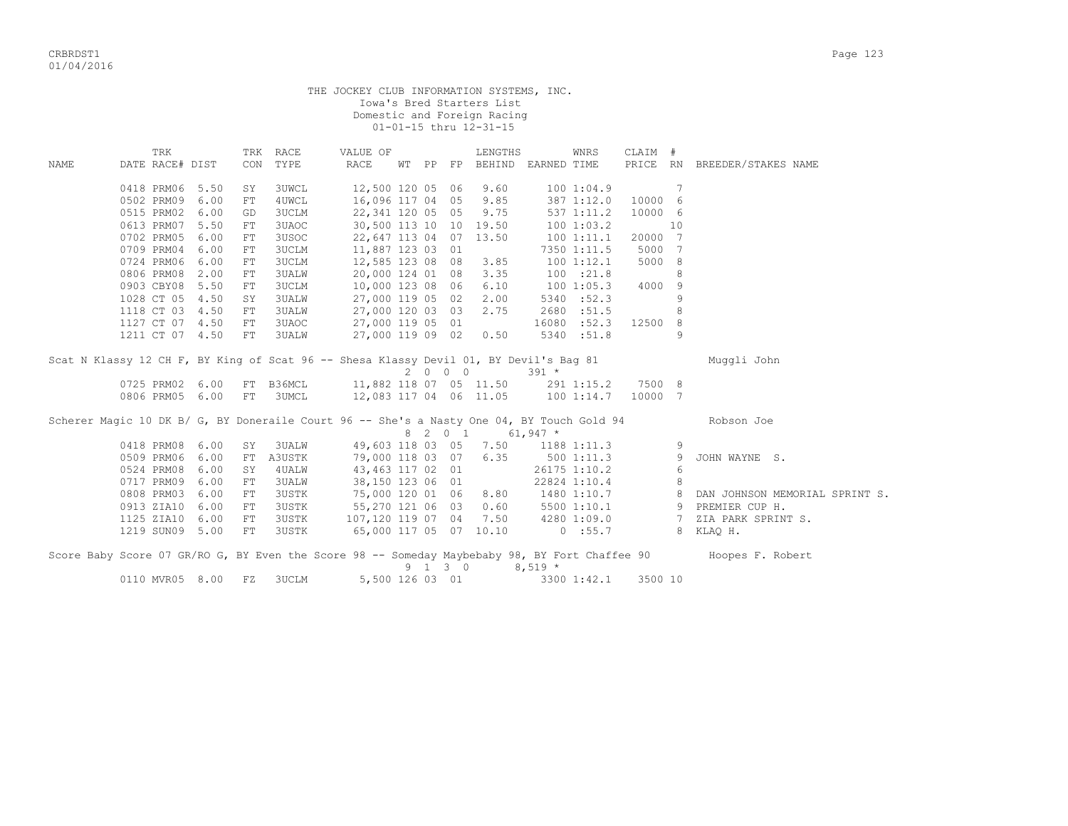THE JOCKEY CLUB INFORMATION SYSTEMS, INC. Iowa's Bred Starters List Domestic and Foreign Racing 01-01-15 thru 12-31-15

|      | TRK                      |      |            | TRK RACE     | VALUE OF                                                                                  |    |         | LENGTHS                           |           | WNRS         | CLAIM # |    |                                                                                                                |
|------|--------------------------|------|------------|--------------|-------------------------------------------------------------------------------------------|----|---------|-----------------------------------|-----------|--------------|---------|----|----------------------------------------------------------------------------------------------------------------|
| NAME | DATE RACE# DIST          |      |            | CON TYPE     | RACE                                                                                      | WТ |         | PP FP BEHIND EARNED TIME          |           |              |         |    | PRICE RN BREEDER/STAKES NAME                                                                                   |
|      | 0418 PRM06               | 5.50 | SY         | 3UWCL        |                                                                                           |    |         | 12,500 120 05 06 9.60             |           | 1001:04.9    |         | 7  |                                                                                                                |
|      | 0502 PRM09               | 6.00 | $FT$       | 4UWCL        |                                                                                           |    |         | 16,096 117 04 05 9.85             |           | 387 1:12.0   | 10000   | -6 |                                                                                                                |
|      | 0515 PRM02               | 6.00 | GD         | 3UCLM        | 22, 341 120 05 05 9.75                                                                    |    |         |                                   |           | 537 1:11.2   | 10000 6 |    |                                                                                                                |
|      | 0613 PRM07               | 5.50 | FT         | 3UAOC        |                                                                                           |    |         | 30,500 113 10 10 19.50            |           | 1001:03.2    |         | 10 |                                                                                                                |
|      | 0702 PRM05               | 6.00 | FT         | 3USOC        |                                                                                           |    |         | 22,647 113 04 07 13.50            |           | 1001:11.1    | 20000 7 |    |                                                                                                                |
|      | 0709 PRM04               | 6.00 | FT         | 3UCLM        | 11,887 123 03 01                                                                          |    |         |                                   |           | 7350 1:11.5  | 5000    | 7  |                                                                                                                |
|      | 0724 PRM06               | 6.00 | FT         | 3UCLM        | 12,585 123 08 08 3.85                                                                     |    |         |                                   |           | 1001:12.1    | 5000 8  |    |                                                                                                                |
|      | 0806 PRM08 2.00          |      | FT         | 3UALW        | 20,000 124 01 08 3.35                                                                     |    |         |                                   |           | 100 : 21.8   |         | 8  |                                                                                                                |
|      | 0903 CBY08 5.50          |      | FT         | 3UCLM        | 10,000 123 08 06 6.10                                                                     |    |         |                                   |           | 1001:05.3    | 4000    | 9  |                                                                                                                |
|      | 1028 CT 05 4.50          |      | SY         | 3UALW        |                                                                                           |    |         | 27,000 119 05 02 2.00             |           | 5340 :52.3   |         | 9  |                                                                                                                |
|      | 1118 CT 03 4.50          |      | FT         | 3UALW        | 27,000 120 03 03 2.75                                                                     |    |         |                                   |           | 2680 :51.5   |         | 8  |                                                                                                                |
|      | 1127 CT 07 4.50          |      | ${\rm FT}$ | 3UAOC        | 27,000 119 05 01                                                                          |    |         |                                   |           | 16080 : 52.3 | 12500   | 8  |                                                                                                                |
|      | 1211 CT 07 4.50          |      | FT         | <b>3UALW</b> | 27,000 119 09 02 0.50                                                                     |    |         |                                   |           | 5340 :51.8   |         | 9  |                                                                                                                |
|      |                          |      |            |              | Scat N Klassy 12 CH F, BY King of Scat 96 -- Shesa Klassy Devil 01, BY Devil's Bag 81     |    |         |                                   |           |              |         |    | Muqqli John                                                                                                    |
|      |                          |      |            |              |                                                                                           |    |         | 2 0 0 0                           | $391 *$   |              |         |    |                                                                                                                |
|      | 0725 PRM02 6.00          |      |            | FT B36MCL    |                                                                                           |    |         | 11,882 118 07 05 11.50 291 1:15.2 |           |              | 7500 8  |    |                                                                                                                |
|      | 0806 PRM05 6.00 FT 3UMCL |      |            |              | 12,083 117 04 06 11.05 100 1:14.7                                                         |    |         |                                   |           |              | 10000 7 |    |                                                                                                                |
|      |                          |      |            |              | Scherer Magic 10 DK B/ G, BY Doneraile Court 96 -- She's a Nasty One 04, BY Touch Gold 94 |    |         |                                   |           |              |         |    | Robson Joe                                                                                                     |
|      |                          |      |            |              |                                                                                           |    |         | 8 2 0 1 61,947 *                  |           |              |         |    |                                                                                                                |
|      | 0418 PRM08 6.00          |      | SY         | 3UALW        |                                                                                           |    |         | 49,603 118 03 05 7.50 1188 1:11.3 |           |              |         | 9  |                                                                                                                |
|      | 0509 PRM06               | 6.00 | FT         | A3USTK       | 79,000 118 03 07 6.35                                                                     |    |         |                                   | 5001:11.3 |              |         | 9  | JOHN WAYNE S.                                                                                                  |
|      | 0524 PRM08               | 6.00 | SY         | 4UALW        | 43,463 117 02 01                                                                          |    |         |                                   |           | 26175 1:10.2 |         | 6  |                                                                                                                |
|      | 0717 PRM09               | 6.00 | FT         | 3UALW        |                                                                                           |    |         | 38,150 123 06 01                  |           | 22824 1:10.4 |         | 8  |                                                                                                                |
|      | 0808 PRM03               | 6.00 | FT         | 3USTK        | 75,000 120 01 06 8.80 1480 1:10.7 8                                                       |    |         |                                   |           |              |         |    | DAN JOHNSON MEMORIAL SPRINT S.                                                                                 |
|      | 0913 ZIA10               | 6.00 | FT         | 3USTK        | 55,270 121 06 03 0.60                                                                     |    |         |                                   |           |              |         |    | 5500 1:10.1 9 PREMIER CUP H.                                                                                   |
|      | 1125 ZIA10 6.00          |      | FT         | 3USTK        | 107,120 119 07 04 7.50 4280 1:09.0 7                                                      |    |         |                                   |           |              |         |    | ZIA PARK SPRINT S.                                                                                             |
|      | 1219 SUN09 5.00          |      | FT         | 3USTK        |                                                                                           |    |         | 65,000 117 05 07 10.10 0 :55.7    |           |              |         |    | 8 KLAO H.                                                                                                      |
|      |                          |      |            |              |                                                                                           |    |         |                                   |           |              |         |    | Score Baby Score 07 GR/RO G, BY Even the Score 98 -- Someday Maybebaby 98, BY Fort Chaffee 90 Hoopes F. Robert |
|      |                          |      |            |              |                                                                                           |    | 9 1 3 0 |                                   | $8,519 *$ |              |         |    |                                                                                                                |
|      | 0110 MVR05 8.00          |      | FZ         | 3UCLM        | 5,500 126 03 01                                                                           |    |         |                                   |           | 3300 1:42.1  | 3500 10 |    |                                                                                                                |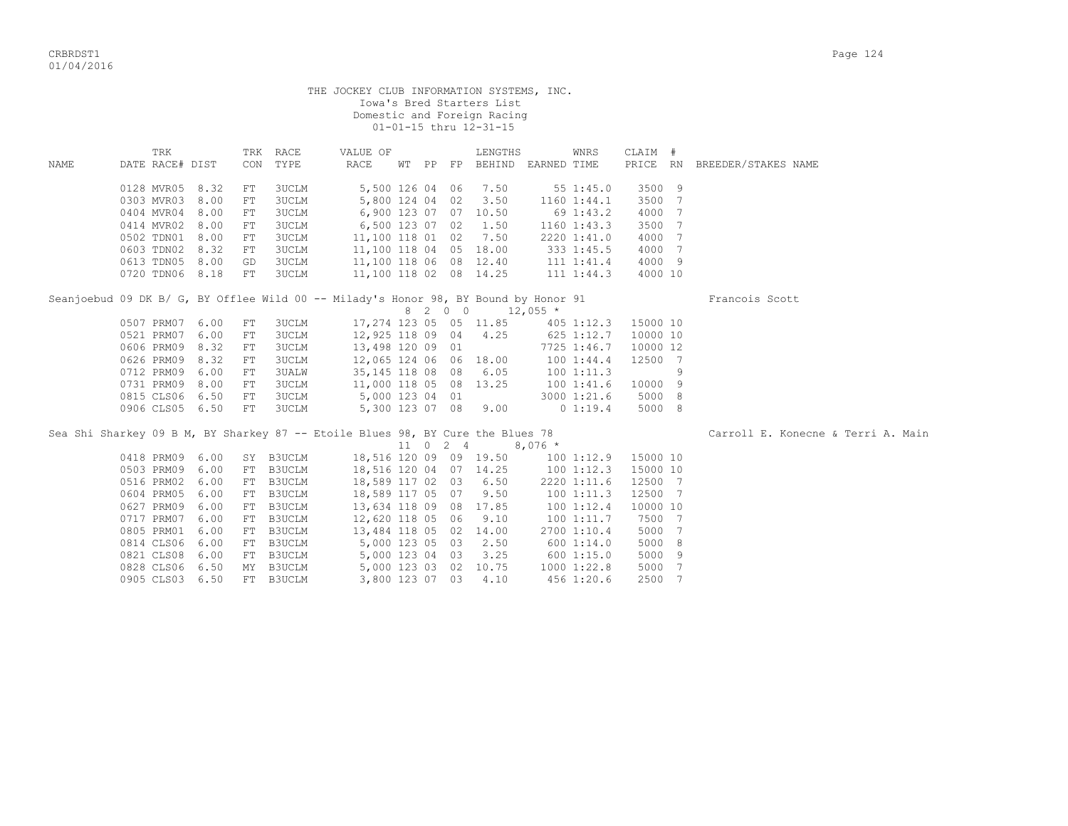|       |                                                                                     |             |              | THE JOCKEY CLUB INFORMATION SYSTEMS, INC.       |  | Iowa's Bred Starters List<br>Domestic and Foreign Racing<br>01-01-15 thru 12-31-15 |                             |                 |                     |   |                                    |
|-------|-------------------------------------------------------------------------------------|-------------|--------------|-------------------------------------------------|--|------------------------------------------------------------------------------------|-----------------------------|-----------------|---------------------|---|------------------------------------|
|       | TRK                                                                                 |             | TRK RACE     | VALUE OF                                        |  | LENGTHS                                                                            |                             | WNRS            | CLAIM #             |   |                                    |
| NAMF. | DATE RACE# DIST                                                                     |             | CON TYPE     | RACE                                            |  |                                                                                    | WT PP FP BEHIND EARNED TIME |                 |                     |   | PRICE RN BREEDER/STAKES NAME       |
|       | 0128 MVR05 8.32                                                                     | FT          | 3UCLM        |                                                 |  | 5,500 126 04 06 7.50                                                               |                             | 55 1:45.0       | 3500 9              |   |                                    |
|       | 0303 MVR03 8.00                                                                     | FT          | <b>3UCLM</b> |                                                 |  | 5,800 124 04 02 3.50                                                               |                             | $1160$ $1:44.1$ | 3500 7              |   |                                    |
|       | 0404 MVR04 8.00                                                                     | FT          | 3UCLM        | 6,900 123 07 07 10.50                           |  |                                                                                    |                             | 69 1:43.2       | 4000 7              |   |                                    |
|       | 0414 MVR02 8.00                                                                     | FT          | 3UCLM        | 6,500 123 07 02 1.50                            |  |                                                                                    |                             | 1160 1:43.3     | 3500 7              |   |                                    |
|       | 0502 TDN01 8.00                                                                     | FT          | 3UCLM        | 11,100 118 01 02 7.50                           |  |                                                                                    |                             | 2220 1:41.0     | 4000 7              |   |                                    |
|       | 0603 TDN02 8.32                                                                     | FT          | 3UCLM        | 11,100 118 04 05 18.00                          |  |                                                                                    |                             | 333 1:45.5      | 4000 7              |   |                                    |
|       | 0613 TDN05 8.00                                                                     | GD          | 3UCLM        | 11,100 118 06 08 12.40                          |  |                                                                                    |                             | 111 1:41.4      | 4000 9              |   |                                    |
|       | 0720 TDN06 8.18                                                                     | FT          | 3UCLM        | 11,100 118 02 08 14.25                          |  |                                                                                    |                             | 111 1:44.3      | 4000 10             |   |                                    |
|       | Seanjoebud 09 DK B/ G, BY Offlee Wild 00 -- Milady's Honor 98, BY Bound by Honor 91 |             |              |                                                 |  | 8 2 0 0 12,055 *                                                                   |                             |                 |                     |   | Francois Scott                     |
|       | 0507 PRM07 6.00                                                                     | FT          | 3UCLM        |                                                 |  | 17,274 123 05 05 11.85                                                             |                             | 405 1:12.3      | 15000 10            |   |                                    |
|       | 0521 PRM07 6.00                                                                     | FT          | 3UCLM        | 12,925 118 09 04 4.25                           |  |                                                                                    | $625$ 1:12.7                |                 | 10000 10            |   |                                    |
|       | 0606 PRM09 8.32                                                                     | FT          | 3UCLM        | 13,498 120 09 01                                |  |                                                                                    |                             | 7725 1:46.7     | 10000 12            |   |                                    |
|       | 0626 PRM09 8.32                                                                     | FT          | 3UCLM        | 12,065 124 06 06 18.00                          |  |                                                                                    |                             | 1001:44.4       | 12500 7             |   |                                    |
|       | 0712 PRM09 6.00                                                                     | FT          | 3UALW        | 35,145 118 08 08 6.05                           |  |                                                                                    |                             | 1001:11.3       |                     | 9 |                                    |
|       | 0731 PRM09 8.00                                                                     | $_{\rm FT}$ | 3UCLM        | 11,000 118 05 08 13.25                          |  |                                                                                    |                             | 1001:31.6       | 10000 9             |   |                                    |
|       | 0815 CLS06 6.50                                                                     | FT          | 3UCLM        | 5,000 123 04 01                                 |  |                                                                                    |                             | 3000 1:21.6     | 5000 8              |   |                                    |
|       | 0906 CLS05 6.50                                                                     | FT          | <b>3UCLM</b> | 5,300 123 07 08 9.00                            |  |                                                                                    |                             | $0\;1:19.4$     | 5000 8              |   |                                    |
|       | Sea Shi Sharkey 09 B M, BY Sharkey 87 -- Etoile Blues 98, BY Cure the Blues 78      |             |              |                                                 |  | 11 0 2 4 8,076 $\star$                                                             |                             |                 |                     |   | Carroll E. Konecne & Terri A. Main |
|       | 0418 PRM09 6.00                                                                     |             | SY B3UCLM    | 18,516 120 09 09 19.50                          |  |                                                                                    |                             |                 | 100 1:12.9 15000 10 |   |                                    |
|       | 0503 PRM09 6.00                                                                     |             | FT B3UCLM    |                                                 |  |                                                                                    |                             | 1001:12.3       | 15000 10            |   |                                    |
|       | 0516 PRM02 6.00                                                                     |             | FT B3UCLM    | 18,516 120 04 07 14.25<br>18,589 117 02 03 6.50 |  |                                                                                    |                             | 2220 1:11.6     | 12500 7             |   |                                    |
|       | 0604 PRM05 6.00                                                                     |             | FT B3UCLM    | 18,589 117 05 07 9.50                           |  |                                                                                    |                             | 1001:11.3       | 12500 7             |   |                                    |
|       | 0627 PRM09 6.00                                                                     |             | FT B3UCLM    | 13,634 118 09 08 17.85                          |  |                                                                                    |                             | 100 1:12.4      | 10000 10            |   |                                    |
|       | 0717 PRM07 6.00                                                                     |             | FT B3UCLM    | 12,620 118 05 06 9.10                           |  |                                                                                    |                             | 1001:11.7       | 7500 7              |   |                                    |
|       | 0805 PRM01 6.00                                                                     |             | FT B3UCLM    | 13,484 118 05 02 14.00                          |  |                                                                                    |                             | 2700 1:10.4     | 5000 7              |   |                                    |
|       | 0814 CLS06 6.00                                                                     |             | FT B3UCLM    | 5,000 123 05 03 2.50                            |  |                                                                                    |                             | 6001:14.0       | 5000 8              |   |                                    |
|       | 0821 CLS08 6.00                                                                     |             | FT B3UCLM    | 5,000 123 04 03 3.25                            |  |                                                                                    |                             | 600 1:15.0      | 5000 9              |   |                                    |
|       | 0828 CLS06 6.50                                                                     |             | MY B3UCLM    |                                                 |  | 5,000 123 03 02 10.75                                                              |                             | 1000 1:22.8     | 5000 7              |   |                                    |
|       | 0905 CLS03 6.50                                                                     |             | FT B3UCLM    | 3,800 123 07 03                                 |  | 4.10                                                                               |                             | 456 1:20.6      | 2500 7              |   |                                    |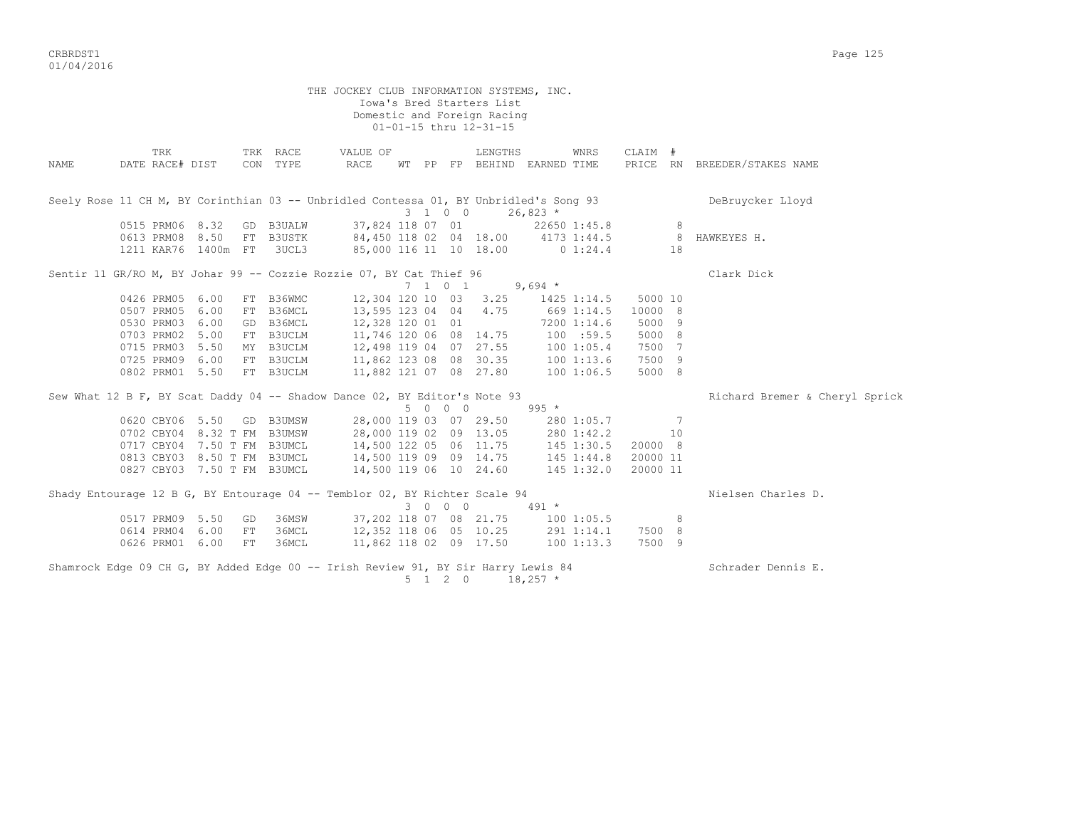CRBRDST1 Page 125 01/04/2016

THE JOCKEY CLUB INFORMATION SYSTEMS, INC. Iowa's Bred Starters List Domestic and Foreign Racing 01-01-15 thru 12-31-15 TRK TRK RACE VALUE OF LENGTHS WNRS CLAIM # NAME DATE RACE# DIST CON TYPE RACE WT PP FP BEHIND EARNED TIME PRICE RN BREEDER/STAKES NAME Seely Rose 11 CH M, BY Corinthian 03 -- Unbridled Contessa 01, BY Unbridled's Song 93 DeBruycker Lloyd  $3 \quad 1 \quad 0 \quad 0 \quad 26.823$ \* 0515 PRM06 8.32 GD B3UALW 37,824 118 07 01 22650 1:45.8 8 0613 PRM08 8.50 FT B3USTK 84,450 118 02 04 18.00 4173 1:44.5 8 HAWKEYES H. 1211 KAR76 1400m FT 3UCL3 85,000 116 11 10 18.00 0 1:24.4 18 Sentir 11 GR/RO M, BY Johar 99 -- Cozzie Rozzie 07, BY Cat Thief 96 Clark Dick Clark Dick  $7$  1 0 1 9,694 \*  $7 \t1 \t0 \t1 \t9.694$  \* 0426 PRM05 6.00 FT B36WMC 12,304 120 10 03 3.25 1425 1:14.5 5000 10 0507 PRM05 6.00 FT B36MCL 13,595 123 04 04 4.75 669 1:14.5 10000 8 0530 PRM03 6.00 GD B36MCL 12,328 120 01 01 7200 1:14.6 5000 9 0703 PRM02 5.00 FT B3UCLM 11,746 120 06 08 14.75 100 :59.5 5000 8 0715 PRM03 5.50 MY B3UCLM 12,498 119 04 07 27.55 100 1:05.4 7500 7 0725 PRM09 6.00 FT B3UCLM 11,862 123 08 08 30.35 100 1:13.6 7500 9 0802 PRM01 5.50 FT B3UCLM 11,882 121 07 08 27.80 100 1:06.5 5000 8 Sew What 12 B F, BY Scat Daddy 04 -- Shadow Dance 02, BY Editor's Note 93 Richard Bremer & Cheryl Sprick w Dance UZ, BY Editor's Note 93<br>5 0 0 0 995 \* 0620 CBY06 5.50 GD B3UMSW 28,000 119 03 07 29.50 280 1:05.7 7 0702 CBY04 8.32 T FM B3UMSW 28,000 119 02 09 13.05 280 1:42.2 10 0717 CBY04 7.50 T FM B3UMCL 14,500 122 05 06 11.75 145 1:30.5 20000 8 0813 CBY03 8.50 T FM B3UMCL 14,500 119 09 09 14.75 145 1:44.8 20000 11 0827 CBY03 7.50 T FM B3UMCL 14,500 119 06 10 24.60 145 1:32.0 20000 11 Shady Entourage 12 B G, BY Entourage 04 -- Temblor 02, BY Richter Scale 94 Nielsen Charles D.  $3 \t 0 \t 0 \t 0$  491 \* 0517 PRM09 5.50 GD 36MSW 37,202 118 07 08 21.75 100 1:05.5 8 0614 PRM04 6.00 FT 36MCL 12,352 118 06 05 10.25 291 1:14.1 7500 8 0626 PRM01 6.00 FT 36MCL 11,862 118 02 09 17.50 100 1:13.3 7500 9 Shamrock Edge 09 CH G, BY Added Edge 00 -- Irish Review 91, BY Sir Harry Lewis 84 Schrader Dennis E.

 $5 \t1 \t2 \t0 \t18,257$  \*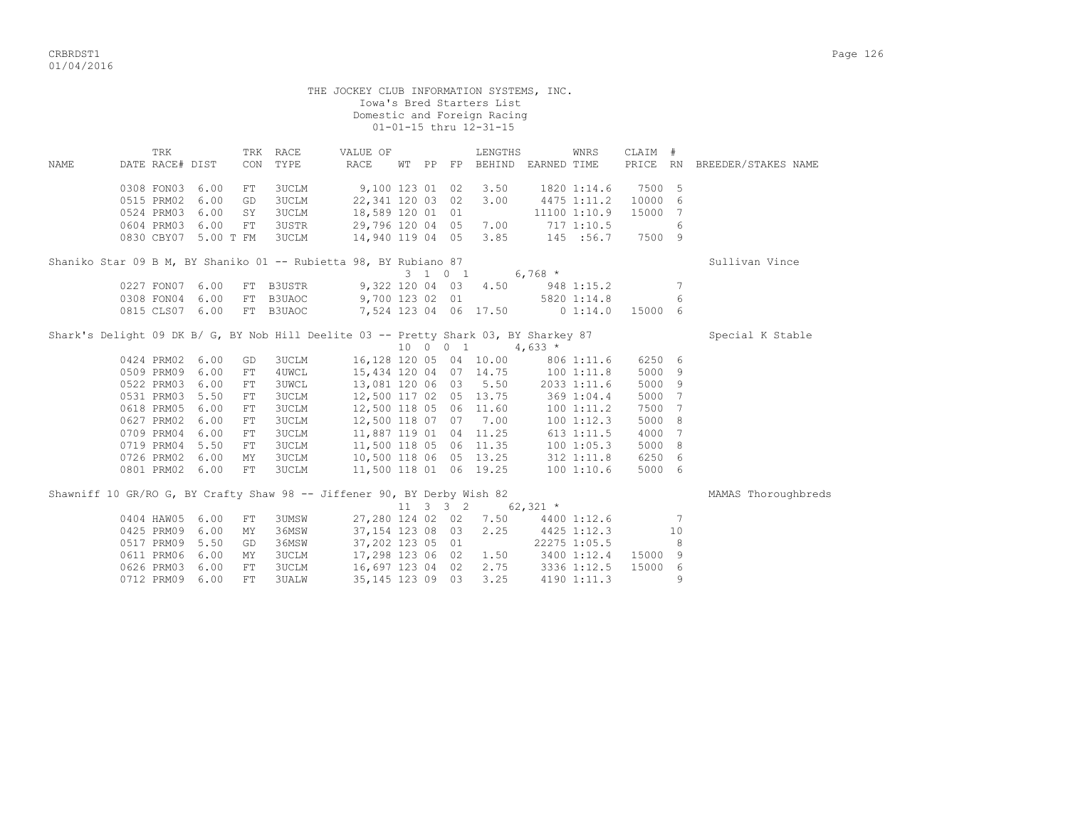|      |                                    |                      |            |                  | THE JOCKEY CLUB INFORMATION SYSTEMS, INC.                                                                                                                                                                                                    |  |         | Iowa's Bred Starters List<br>Domestic and Foreign Racing<br>01-01-15 thru 12-31-15 |                            |              |                   |                 |                              |
|------|------------------------------------|----------------------|------------|------------------|----------------------------------------------------------------------------------------------------------------------------------------------------------------------------------------------------------------------------------------------|--|---------|------------------------------------------------------------------------------------|----------------------------|--------------|-------------------|-----------------|------------------------------|
| NAME | TRK<br>DATE RACE# DIST             |                      | CON        | TRK RACE<br>TYPE | VALUE OF<br>RACE                                                                                                                                                                                                                             |  |         | LENGTHS<br>WT PP FP BEHIND EARNED TIME                                             |                            | WNRS         | CLAIM #           |                 | PRICE RN BREEDER/STAKES NAME |
|      | 0308 FON03 6.00<br>0515 PRM02 6.00 |                      | FT<br>GD   | 3UCLM<br>3UCLM   | 9,100 123 01 02                                                                                                                                                                                                                              |  |         | 3.50<br>3.00                                                                       | 1820 1:14.6<br>4475 1:11.2 |              | 7500 5<br>10000 6 |                 |                              |
|      | 0524 PRM03 6.00                    |                      | SY         | <b>3UCLM</b>     | 22,341 120 03 02<br>18,589 120 01 01                                                                                                                                                                                                         |  |         |                                                                                    |                            | 11100 1:10.9 | 15000             | 7               |                              |
|      | 0604 PRM03 6.00                    |                      | FT         | 3USTR            | 29,796 120 04 05 7.00                                                                                                                                                                                                                        |  |         |                                                                                    | 717 1:10.5                 |              |                   | 6               |                              |
|      |                                    | 0830 CBY07 5.00 T FM |            | 3UCLM            | 14,940 119 04 05 3.85 145 :56.7                                                                                                                                                                                                              |  |         |                                                                                    |                            |              | 7500 9            |                 |                              |
|      |                                    |                      |            |                  | Shaniko Star 09 B M, BY Shaniko 01 -- Rubietta 98, BY Rubiano 87                                                                                                                                                                             |  |         |                                                                                    |                            |              |                   |                 | Sullivan Vince               |
|      |                                    |                      |            |                  |                                                                                                                                                                                                                                              |  | 3 1 0 1 | $6,768$ *                                                                          |                            |              |                   |                 |                              |
|      | 0227 FON07 6.00                    |                      |            | FT B3USTR        |                                                                                                                                                                                                                                              |  |         | 9,322 120 04 03 4.50 948 1:15.2                                                    |                            |              |                   | 7               |                              |
|      | 0308 FON04 6.00                    |                      |            | FT B3UAOC        | 9,700 123 02 01 5820 1:14.8                                                                                                                                                                                                                  |  |         |                                                                                    |                            |              |                   | 6               |                              |
|      | 0815 CLS07 6.00                    |                      |            | FT B3UAOC        | 7,524 123 04 06 17.50 0 1:14.0                                                                                                                                                                                                               |  |         |                                                                                    |                            |              | 15000 6           |                 |                              |
|      |                                    |                      |            |                  | Shark's Delight 09 DK B/ G, BY Nob Hill Deelite 03 -- Pretty Shark 03, BY Sharkey 87                                                                                                                                                         |  |         |                                                                                    |                            |              |                   |                 | Special K Stable             |
|      | 0424 PRM02 6.00                    |                      | GD         | 3UCLM            |                                                                                                                                                                                                                                              |  |         | $10 \t 0 \t 1 \t 4.633 *$<br>16,128 120 05 04 10.00 806 1:11.6                     |                            |              | 6250 6            |                 |                              |
|      | 0509 PRM09 6.00                    |                      | FT         | 4UWCL            |                                                                                                                                                                                                                                              |  |         | 15,434 120 04 07 14.75 100 1:11.8                                                  |                            |              | 5000 9            |                 |                              |
|      | 0522 PRM03 6.00                    |                      | FT         | <b>3UWCL</b>     |                                                                                                                                                                                                                                              |  |         |                                                                                    |                            |              | 5000 9            |                 |                              |
|      | 0531 PRM03 5.50                    |                      | FT         | <b>3UCLM</b>     | $\begin{array}{cccc} 13\text{, }081 & 120 & 06 & 03 & 5.50 & 2033 & 1:11.6 \\ 12\text{, }500 & 117 & 02 & 05 & 13.75 & 369 & 1:04.4 \\ 12\text{, }500 & 118 & 05 & 06 & 11.60 & 100 & 1:11.2 \end{array}$                                    |  |         |                                                                                    |                            |              | 5000              | $7\phantom{.0}$ |                              |
|      | 0618 PRM05 6.00                    |                      | FT         | 3UCLM            |                                                                                                                                                                                                                                              |  |         |                                                                                    |                            |              | 7500              | 7               |                              |
|      | 0627 PRM02 6.00                    |                      | FT.        | <b>3UCLM</b>     | 12,500 118 07 07 7.00                                                                                                                                                                                                                        |  |         |                                                                                    |                            | 100 1:12.3   | 5000              | - 8             |                              |
|      | 0709 PRM04 6.00                    |                      | ${\rm FT}$ | <b>3UCLM</b>     |                                                                                                                                                                                                                                              |  |         |                                                                                    |                            |              | 4000              | - 7             |                              |
|      | 0719 PRM04 5.50                    |                      | FT         | 3UCLM            |                                                                                                                                                                                                                                              |  |         |                                                                                    |                            |              | 5000 8            |                 |                              |
|      | 0726 PRM02 6.00                    |                      | MΥ         | 3UCLM            | $\begin{array}{cccccc} 11,887 & 119 & 01 & 04 & 11.25 & & 613 & 1:11.5 \\ 11,500 & 118 & 05 & 06 & 11.35 & & 100 & 1:05.3 \\ 10,500 & 118 & 06 & 05 & 13.25 & & 312 & 1:11.8 \\ 11,500 & 118 & 01 & 06 & 19.25 & & 100 & 1:10.6 \end{array}$ |  |         |                                                                                    |                            |              | 6250 6            |                 |                              |
|      | 0801 PRM02 6.00                    |                      | FT         | <b>3UCLM</b>     |                                                                                                                                                                                                                                              |  |         |                                                                                    |                            |              | 5000 6            |                 |                              |
|      |                                    |                      |            |                  | Shawniff 10 GR/RO G, BY Crafty Shaw 98 -- Jiffener 90, BY Derby Wish 82                                                                                                                                                                      |  |         | 11 3 3 2 62,321 $*$                                                                |                            |              |                   |                 | MAMAS Thoroughbreds          |
|      | 0404 HAW05 6.00                    |                      | FT         | 3UMSW            |                                                                                                                                                                                                                                              |  |         | 27,280 124 02 02 7.50 4400 1:12.6                                                  |                            |              |                   | $7\phantom{.0}$ |                              |
|      | 0425 PRM09 6.00                    |                      | MY         | 36MSW            | 37, 154 123 08 03                                                                                                                                                                                                                            |  |         | 2.25                                                                               | 4425 1:12.3                |              |                   | 10              |                              |
|      | 0517 PRM09 5.50                    |                      | GD         | 36MSW            | 37,202 123 05 01                                                                                                                                                                                                                             |  |         |                                                                                    | 22275 1:05.5               |              |                   | 8               |                              |
|      | 0611 PRM06 6.00                    |                      | MY         | <b>3UCLM</b>     | 17,298 123 06 02                                                                                                                                                                                                                             |  |         | 1.50 3400 1:12.4                                                                   |                            |              | 15000             | - 9             |                              |
|      | 0626 PRM03 6.00                    |                      | FT         | <b>3UCLM</b>     | 16,697 123 04 02                                                                                                                                                                                                                             |  |         | 2.75 3336 1:12.5                                                                   |                            |              | 15000             | - 6             |                              |
|      | 0712 PRM09 6.00                    |                      | FT         | <b>3UALW</b>     | 35, 145 123 09 03                                                                                                                                                                                                                            |  |         | 3.25                                                                               |                            | 4190 1:11.3  |                   | 9               |                              |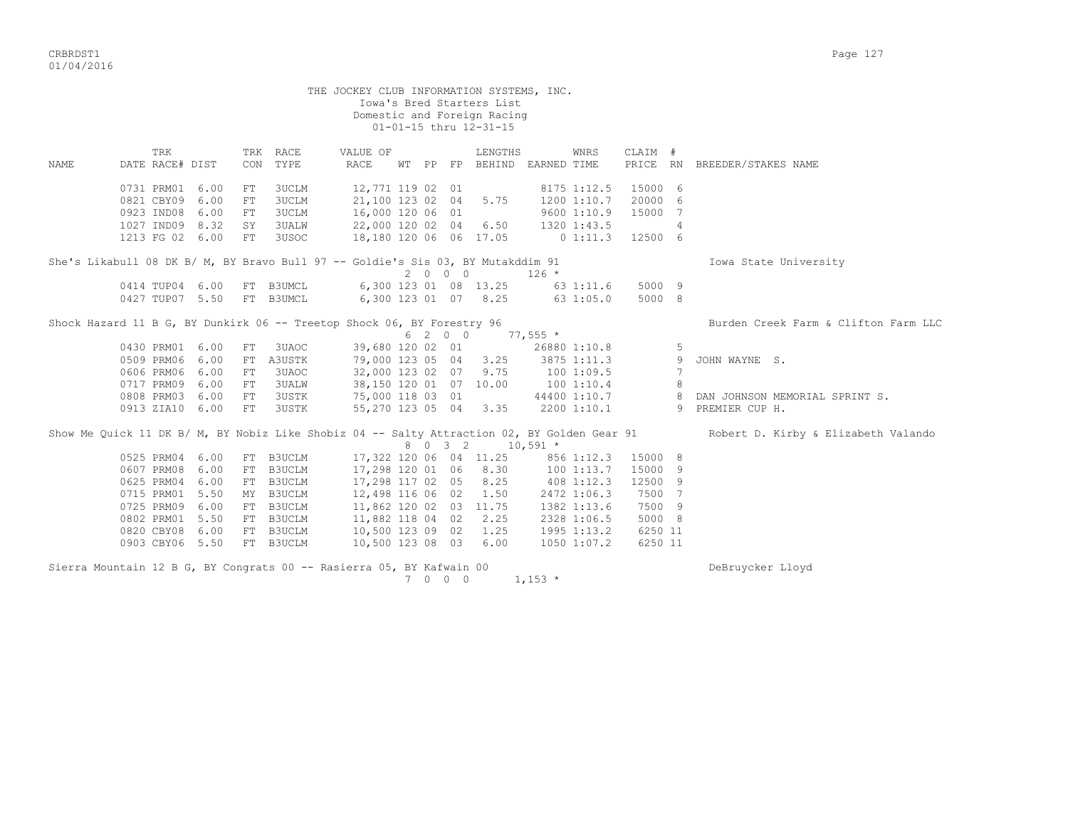|             | THE JOCKEY CLUB INFORMATION SYSTEMS, INC.<br>Iowa's Bred Starters List<br>Domestic and Foreign Racing<br>01-01-15 thru 12-31-15 |      |                       |                                         |                                                                                                           |  |         |  |                                        |              |                                                          |                               |                |                                                                                                                                 |  |
|-------------|---------------------------------------------------------------------------------------------------------------------------------|------|-----------------------|-----------------------------------------|-----------------------------------------------------------------------------------------------------------|--|---------|--|----------------------------------------|--------------|----------------------------------------------------------|-------------------------------|----------------|---------------------------------------------------------------------------------------------------------------------------------|--|
| <b>NAME</b> | TRK<br>DATE RACE# DIST                                                                                                          |      |                       | TRK RACE<br>CON TYPE                    | VALUE OF<br>RACE                                                                                          |  |         |  | LENGTHS<br>WT PP FP BEHIND EARNED TIME |              | WNRS                                                     | CLAIM #                       |                | PRICE RN BREEDER/STAKES NAME                                                                                                    |  |
|             | 0731 PRM01 6.00<br>0821 CBY09 6.00<br>0923 IND08<br>1027 IND09 8.32                                                             | 6.00 | FT.<br>FT<br>FT<br>SY | 3UCLM<br>3UCLM<br>3UCLM<br><b>3UALW</b> | 12,771 119 02 01<br>21,100 123 02 04 5.75<br>16,000 120 06 01<br>22,000 120 02 04 6.50                    |  |         |  |                                        |              | 8175 1:12.5<br>1200 1:10.7<br>9600 1:10.9<br>1320 1:43.5 | 15000 6<br>20000 6<br>15000 7 | $\overline{4}$ |                                                                                                                                 |  |
|             | 1213 FG 02 6.00                                                                                                                 |      | FT                    | 3USOC                                   | 18,180 120 06 06 17.05<br>She's Likabull 08 DK B/ M, BY Bravo Bull 97 -- Goldie's Sis 03, BY Mutakddim 91 |  | 2000    |  |                                        | $126 *$      | $0\;1:11.3$                                              | 12500 6                       |                | Iowa State University                                                                                                           |  |
|             | 0414 TUP04 6.00<br>0427 TUP07 5.50                                                                                              |      |                       | FT B3UMCL<br>FT B3UMCL                  | 6,300 123 01 08 13.25<br>6,300 123 01 07 8.25                                                             |  |         |  |                                        |              | 63 1:11.6<br>631:05.0                                    | 5000 9<br>5000 8              |                |                                                                                                                                 |  |
|             | Shock Hazard 11 B G, BY Dunkirk 06 -- Treetop Shock 06, BY Forestry 96                                                          |      |                       | Burden Creek Farm & Clifton Farm LLC    |                                                                                                           |  |         |  |                                        |              |                                                          |                               |                |                                                                                                                                 |  |
|             | 0430 PRM01 6.00                                                                                                                 |      | FT                    | 3UAOC                                   | 39,680 120 02 01                                                                                          |  | 6 2 0 0 |  | $77,555$ *                             | 26880 1:10.8 |                                                          |                               | 5              |                                                                                                                                 |  |
|             | 0509 PRM06                                                                                                                      | 6.00 | FT                    | A3USTK                                  | 79,000 123 05 04 3.25                                                                                     |  |         |  |                                        |              | 3875 1:11.3                                              |                               | 9              | JOHN WAYNE S.                                                                                                                   |  |
|             | 0606 PRM06                                                                                                                      | 6.00 | FT.                   | 3UAOC                                   | 32,000 123 02 07                                                                                          |  |         |  | 9.75                                   | 100 1:09.5   |                                                          |                               | 7              |                                                                                                                                 |  |
|             | 0717 PRM09                                                                                                                      | 6.00 | FT                    | <b>3UALW</b>                            | 38,150 120 01 07 10.00                                                                                    |  |         |  |                                        | 100 1:10.4   |                                                          |                               | 8              |                                                                                                                                 |  |
|             | 0808 PRM03                                                                                                                      | 6.00 | FT                    | 3USTK                                   | 75,000 118 03 01                                                                                          |  |         |  |                                        |              | 44400 1:10.7                                             |                               |                | 8 DAN JOHNSON MEMORIAL SPRINT S.                                                                                                |  |
|             | 0913 ZIA10 6.00                                                                                                                 |      | FT                    | 3USTK                                   | 55,270 123 05 04 3.35                                                                                     |  |         |  |                                        |              | 2200 1:10.1                                              |                               |                | 9 PREMIER CUP H.                                                                                                                |  |
|             |                                                                                                                                 |      |                       |                                         |                                                                                                           |  | 8 0 3 2 |  | $10,591$ *                             |              |                                                          |                               |                | Show Me Quick 11 DK B/ M, BY Nobiz Like Shobiz 04 -- Salty Attraction 02, BY Golden Gear 91 Robert D. Kirby & Elizabeth Valando |  |
|             | 0525 PRM04 6.00                                                                                                                 |      |                       | FT B3UCLM                               | 17,322 120 06 04 11.25                                                                                    |  |         |  |                                        |              | 856 1:12.3                                               | 15000 8                       |                |                                                                                                                                 |  |
|             | 0607 PRM08                                                                                                                      | 6.00 |                       | FT B3UCLM                               | 17,298 120 01 06 8.30                                                                                     |  |         |  |                                        |              | 1001:13.7                                                | 15000 9                       |                |                                                                                                                                 |  |
|             | 0625 PRM04                                                                                                                      | 6.00 |                       | FT B3UCLM                               | 17,298 117 02 05 8.25                                                                                     |  |         |  |                                        | 408 1:12.3   |                                                          | 12500 9                       |                |                                                                                                                                 |  |
|             | 0715 PRM01                                                                                                                      | 5.50 |                       | MY B3UCLM                               | 12,498 116 06 02                                                                                          |  |         |  | 1.50                                   |              | 2472 1:06.3                                              | 7500 7                        |                |                                                                                                                                 |  |
|             | 0725 PRM09                                                                                                                      | 6.00 |                       | FT B3UCLM                               | 11,862 120 02 03 11.75                                                                                    |  |         |  |                                        |              | 1382 1:13.6                                              | 7500 9                        |                |                                                                                                                                 |  |
|             | 0802 PRM01 5.50                                                                                                                 |      |                       | FT B3UCLM                               | 11,882 118 04 02 2.25                                                                                     |  |         |  |                                        |              | 2328 1:06.5                                              | 5000 8                        |                |                                                                                                                                 |  |
|             | 0820 CBY08                                                                                                                      | 6.00 |                       | FT B3UCLM                               | 10,500 123 09 02 1.25                                                                                     |  |         |  |                                        |              | 1995 1:13.2                                              | 6250 11                       |                |                                                                                                                                 |  |
|             | 0903 CBY06 5.50                                                                                                                 |      |                       | FT B3UCLM                               | 10,500 123 08 03 6.00                                                                                     |  |         |  |                                        |              | $1050$ 1:07.2                                            | 6250 11                       |                |                                                                                                                                 |  |
|             |                                                                                                                                 |      |                       |                                         | Sierra Mountain 12 B G, BY Congrats 00 -- Rasierra 05, BY Kafwain 00                                      |  | 7 0 0 0 |  |                                        | $1,153$ *    |                                                          |                               |                | DeBruycker Lloyd                                                                                                                |  |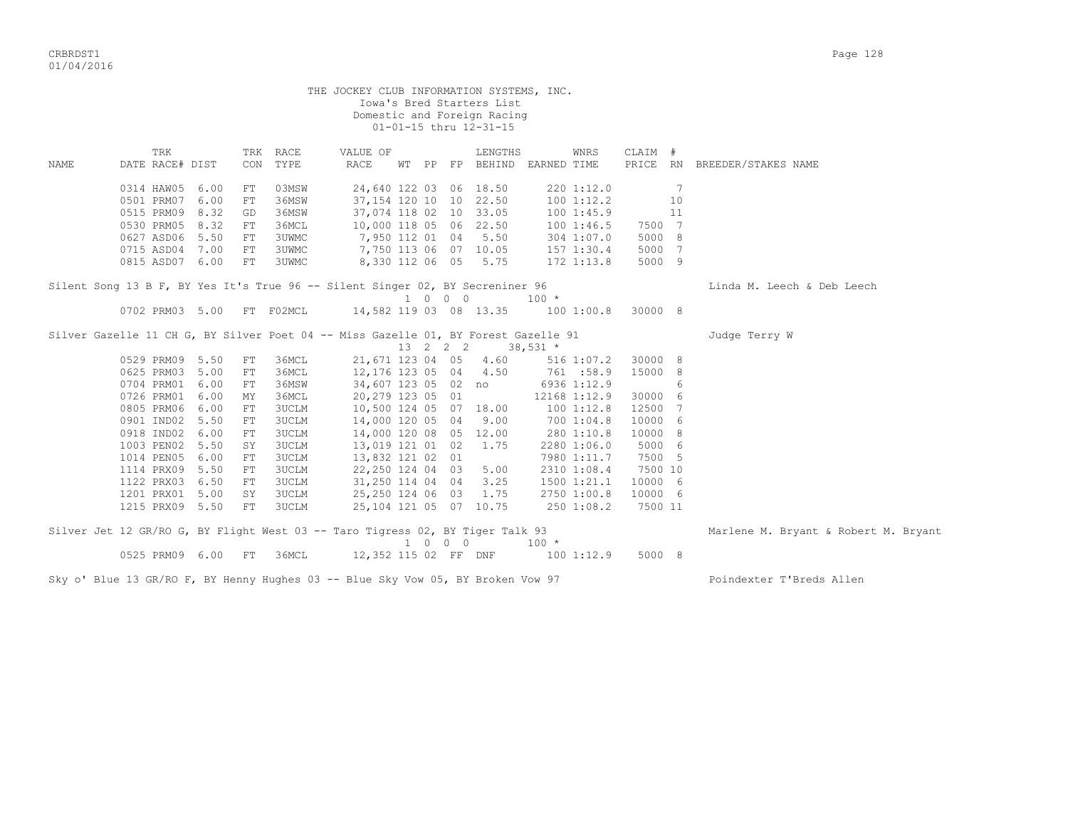|      |                                                                                 |      |             |                  | THE JOCKEY CLUB INFORMATION SYSTEMS, INC. |                             | Iowa's Bred Starters List<br>Domestic and Foreign Racing<br>01-01-15 thru 12-31-15 |                                                                                          |         |                |                                      |
|------|---------------------------------------------------------------------------------|------|-------------|------------------|-------------------------------------------|-----------------------------|------------------------------------------------------------------------------------|------------------------------------------------------------------------------------------|---------|----------------|--------------------------------------|
| NAME | TRK<br>DATE RACE# DIST                                                          |      | CON         | TRK RACE<br>TYPE | VALUE OF<br>RACE                          |                             | LENGTHS                                                                            | WNRS<br>WT PP FP BEHIND EARNED TIME                                                      | CLAIM # |                | PRICE RN BREEDER/STAKES NAME         |
|      | 0314 HAW05 6.00                                                                 |      | FT          | 03MSW            |                                           |                             | 24,640 122 03 06 18.50                                                             | 220 1:12.0                                                                               |         | $\overline{7}$ |                                      |
|      | 0501 PRM07                                                                      | 6.00 | FT          | 36MSW            |                                           |                             | 37, 154 120 10 10 22.50                                                            | 100 1:12.2                                                                               |         | 10             |                                      |
|      | 0515 PRM09 8.32                                                                 |      | GD          | 36MSW            |                                           |                             | 37,074 118 02 10 33.05                                                             | 1001:45.9                                                                                |         | 11             |                                      |
|      | 0530 PRM05 8.32                                                                 |      | FT          | 36MCL            |                                           |                             | 10,000 118 05 06 22.50                                                             | 1001:46.5                                                                                | 7500 7  |                |                                      |
|      | 0627 ASD06 5.50                                                                 |      | FT          | 3UWMC            | 7,950 112 01 04                           |                             | 5.50                                                                               | 304 1:07.0                                                                               | 5000 8  |                |                                      |
|      | 0715 ASD04 7.00                                                                 |      | FT          | 3UWMC            | 7,750 113 06 07 10.05                     |                             |                                                                                    | 157 1:30.4                                                                               | 5000 7  |                |                                      |
|      | 0815 ASD07 6.00                                                                 |      | $_{\rm FT}$ | 3UWMC            |                                           |                             | 8,330 112 06 05 5.75                                                               | 172 1:13.8                                                                               | 5000 9  |                |                                      |
|      | Silent Song 13 B F, BY Yes It's True 96 -- Silent Singer 02, BY Secreniner 96   |      |             |                  |                                           |                             |                                                                                    |                                                                                          |         |                | Linda M. Leech & Deb Leech           |
|      |                                                                                 |      |             |                  |                                           | 1 0 0 0                     |                                                                                    | $100 *$                                                                                  |         |                |                                      |
|      | 0702 PRM03 5.00 FT F02MCL                                                       |      |             |                  |                                           |                             |                                                                                    | 14,582 119 03 08 13.35 100 1:00.8 30000 8                                                |         |                |                                      |
|      |                                                                                 |      |             |                  |                                           |                             |                                                                                    | Silver Gazelle 11 CH G, BY Silver Poet 04 -- Miss Gazelle 01, BY Forest Gazelle 91       |         |                | Judge Terry W                        |
|      |                                                                                 |      |             |                  |                                           | 13 2 2 2                    |                                                                                    | $38,531$ *                                                                               |         |                |                                      |
|      | 0529 PRM09 5.50                                                                 |      | FT          | 36MCL            |                                           |                             | 21,671 123 04 05 4.60                                                              | 516 1:07.2                                                                               | 30000 8 |                |                                      |
|      | 0625 PRM03 5.00                                                                 |      | FT.         | 36MCL            | 12,176 123 05 04 4.50                     |                             |                                                                                    | 761 :58.9                                                                                | 15000 8 |                |                                      |
|      | 0704 PRM01 6.00                                                                 |      | FT          | 36MSW            |                                           |                             | 34,607 123 05 02 no                                                                | 6936 1:12.9                                                                              |         | 6              |                                      |
|      | 0726 PRM01                                                                      | 6.00 | MY          | 36MCL            |                                           | 20,279 123 05 01            |                                                                                    | 12168 1:12.9                                                                             | 30000 6 |                |                                      |
|      | 0805 PRM06 6.00                                                                 |      | FT          | 3UCLM            |                                           |                             | 10,500 124 05 07 18.00                                                             | 1001:12.8                                                                                | 12500 7 |                |                                      |
|      | 0901 IND02 5.50                                                                 |      | FT          | 3UCLM            |                                           |                             | 14,000 120 05 04 9.00                                                              | 700 1:04.8                                                                               | 10000 6 |                |                                      |
|      | 0918 IND02 6.00                                                                 |      | FT          | 3UCLM            | 14,000 120 08 05 12.00                    |                             |                                                                                    | 280 1:10.8                                                                               | 10000 8 |                |                                      |
|      | 1003 PEN02                                                                      | 5.50 | SY          | 3UCLM            | 13,019 121 01 02 1.75                     |                             |                                                                                    | 2280 1:06.0                                                                              | 5000 6  |                |                                      |
|      | 1014 PEN05 6.00                                                                 |      | FT          | 3UCLM            | 13,832 121 02 01                          |                             |                                                                                    | 7980 1:11.7                                                                              | 7500 5  |                |                                      |
|      | 1114 PRX09 5.50                                                                 |      | FT          | <b>3UCLM</b>     |                                           |                             | 22,250 124 04 03 5.00                                                              | 2310 1:08.4                                                                              | 7500 10 |                |                                      |
|      | 1122 PRX03 6.50                                                                 |      | FT          | 3UCLM            |                                           | 31,250 114 04 04 3.25       |                                                                                    | 1500 1:21.1                                                                              | 10000 6 |                |                                      |
|      | 1201 PRX01 5.00                                                                 |      | SY          | <b>3UCLM</b>     | 25,250 124 06 03                          |                             | 1.75                                                                               | 2750 1:00.8                                                                              | 10000 6 |                |                                      |
|      | 1215 PRX09 5.50                                                                 |      | FT          | 3UCLM            |                                           |                             | 25, 104 121 05 07 10.75                                                            | 250 1:08.2                                                                               | 7500 11 |                |                                      |
|      |                                                                                 |      |             |                  |                                           | $1 \quad 0 \quad 0 \quad 0$ |                                                                                    | Silver Jet 12 GR/RO G, BY Flight West 03 -- Taro Tigress 02, BY Tiger Talk 93<br>$100 *$ |         |                | Marlene M. Bryant & Robert M. Bryant |
|      | 0525 PRM09 6.00 FT 36MCL                                                        |      |             |                  |                                           |                             |                                                                                    | 12,352 115 02 FF DNF 100 1:12.9                                                          | 5000 8  |                |                                      |
|      | Sky o' Blue 13 GR/RO F, BY Henny Hughes 03 -- Blue Sky Vow 05, BY Broken Vow 97 |      |             |                  |                                           |                             |                                                                                    |                                                                                          |         |                | Poindexter T'Breds Allen             |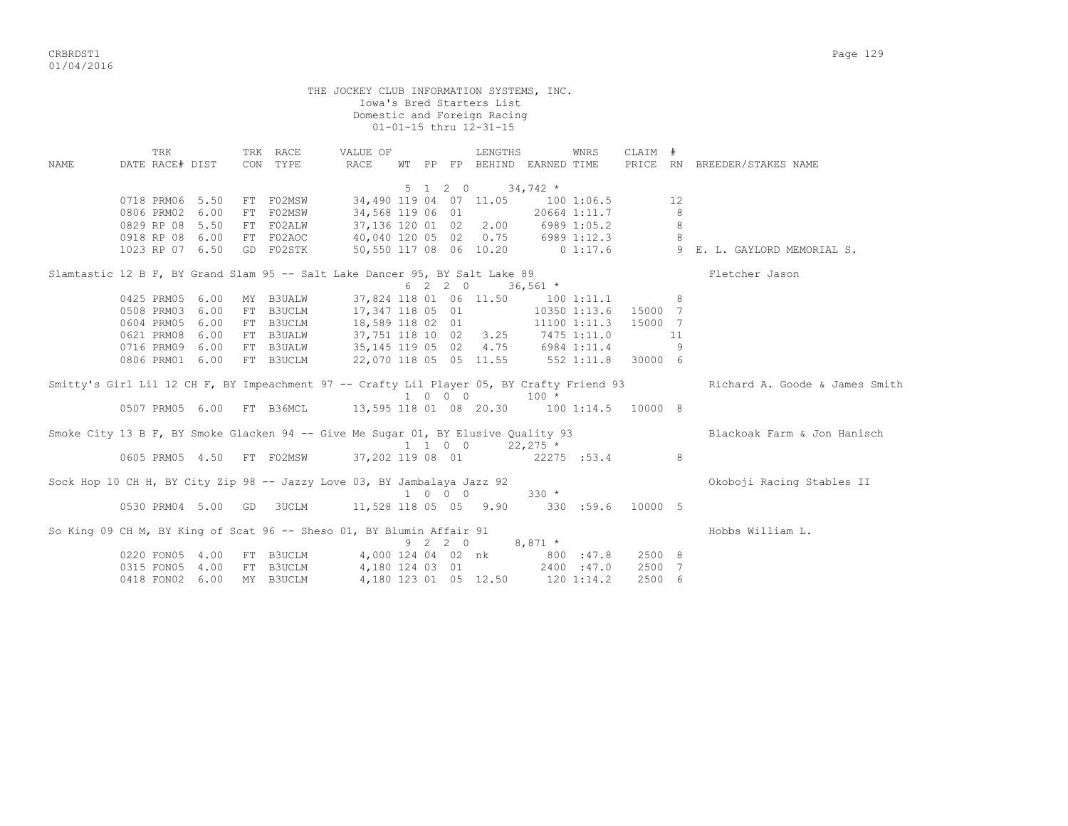THE JOCKEY CLUB INFORMATION SYSTEMS, INC. Iowa's Bred Starters List Domestic and Foreign Racing 01-01-15 thru 12-31-15 TRK TRK RACE VALUE OF LENGTHS WNRS CLAIM # NAME DATE RACE# DIST CON TYPE RACE WT PP FP BEHIND EARNED TIME PRICE RN BREEDER/STAKES NAME  $5 \t1 \t2 \t0 \t34,742 \t*$ 0718 PRM06 5.50 FT F02MSW 34,490 119 04 07 11.05 100 1:06.5 12 0806 PRM02 6.00 FT F02MSW 34,568 119 06 01 20664 1:11.7 8 0829 RP 08 5.50 FT F02ALW 37,136 120 01 02 2.00 6989 1:05.2 8 0918 RP 08 6.00 FT F02AOC 40,040 120 05 02 0.75 6989 1:12.3 8 1023 RP 07 6.50 GD F02STK 50,550 117 08 06 10.20 0 1:17.6 9 E. L. GAYLORD MEMORIAL S. Slamtastic 12 B F, BY Grand Slam 95 -- Salt Lake Dancer 95, BY Salt Lake 89<br>6 2 2 0 36,561 \*<br>0425 PRM05 6.00 MY B3UALW 37.824 118 01 06 11 FO  $6 \t2 \t2 \t0 \t36,561 \t*$ 0425 PRM05 6.00 MY B3UALW 37,824 118 01 06 11.50 100 1:11.1 8 0508 PRM03 6.00 FT B3UCLM 17,347 118 05 01 10350 1:13.6 15000 7 0604 PRM05 6.00 FT B3UCLM 18,589 118 02 01 11100 1:11.3 15000 7 0621 PRM08 6.00 FT B3UALW 37,751 118 10 02 3.25 7475 1:11.0 11 0716 PRM09 6.00 FT B3UALW 35,145 119 05 02 4.75 6984 1:11.4 9 0806 PRM01 6.00 FT B3UCLM 22,070 118 05 05 11.55 552 1:11.8 30000 6 Smitty's Girl Lil 12 CH F, BY Impeachment 97 -- Crafty Lil Player 05, BY Crafty Friend 93 Richard A. Goode & James Smith  $100 \times 100 \times 100 \times 100 \times 100 \times 100 \times 100$ <br>0507 PRM05 6.00 FT B36MCL 13,595 118 01 08 20.30 100 13,595 118 01 08 20.30 100 1:14.5 10000 8 Smoke City 13 B F, BY Smoke Glacken 94 -- Give Me Sugar 01, BY Elusive Quality 93 Blackoak Farm & Jon Hanisch  $1 \t1 \t0 \t0 \t22,275$  \* 0605 PRM05 4.50 FT F02MSW 37,202 119 08 01 22275 :53.4 8 Sock Hop 10 CH H, BY City Zip 98 -- Jazzy Love 03, BY Jambalaya Jazz 92 Okoboji Racing Stables II  $1 \t 0 \t 0 \t 0$  330 \* 0530 PRM04 5.00 GD 3UCLM 11,528 118 05 05 9.90 330 :59.6 10000 5 So King 09 CH M, BY King of Scat 96 -- Sheso 01, BY Blumin Affair 91 Hobbs William L. 9 2 2 0 8,871 \* 0220 FON05 4.00 FT B3UCLM 4,000 124 04 02 nk 800 :47.8 2500 8 0315 FON05 4.00 FT B3UCLM 4,180 124 03 01 2400 :47.0 2500 7 0418 FON02 6.00 MY B3UCLM 4,180 123 01 05 12.50 120 1:14.2 2500 6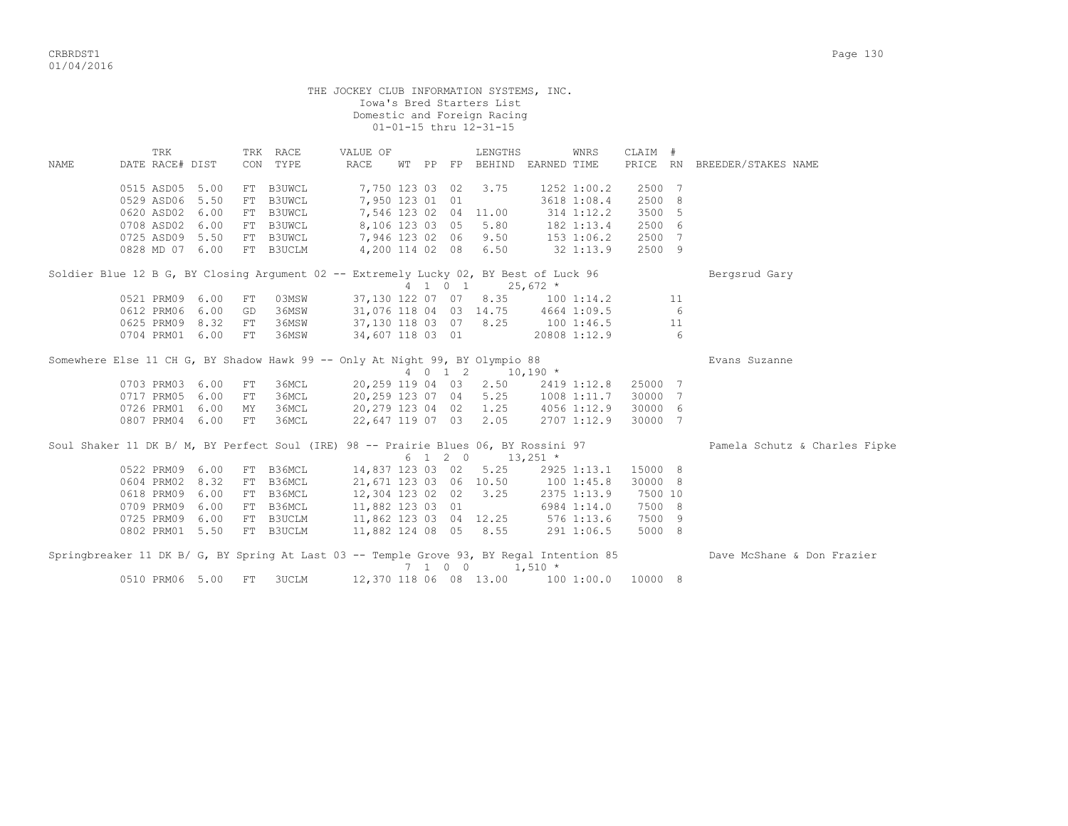|                                                                                          |                        |                    |    |                           |                  |                  |  |         | THE JOCKEY CLUB INFORMATION SYSTEMS, INC.<br>Iowa's Bred Starters List<br>Domestic and Foreign Racing<br>01-01-15 thru 12-31-15 |                     |         |     |                               |
|------------------------------------------------------------------------------------------|------------------------|--------------------|----|---------------------------|------------------|------------------|--|---------|---------------------------------------------------------------------------------------------------------------------------------|---------------------|---------|-----|-------------------------------|
| NAME                                                                                     | TRK<br>DATE RACE# DIST |                    |    | TRK RACE<br>CON TYPE      |                  | VALUE OF<br>RACE |  |         | LENGTHS<br>WT PP FP BEHIND EARNED TIME                                                                                          | WNRS                | CLAIM # |     | PRICE RN BREEDER/STAKES NAME  |
|                                                                                          |                        |                    |    |                           |                  |                  |  |         |                                                                                                                                 |                     |         |     |                               |
|                                                                                          | 0515 ASD05 5.00        |                    | FT | B3UWCL                    |                  | 7,750 123 03 02  |  |         | 3.75                                                                                                                            | $1252$ $1:00.2$     | 2500 7  |     |                               |
|                                                                                          | 0529 ASD06 5.50        |                    |    | FT B3UWCL                 |                  | 7,950 123 01 01  |  |         |                                                                                                                                 | 3618 1:08.4         | 2500 8  |     |                               |
|                                                                                          | 0620 ASD02 6.00        |                    |    | FT B3UWCL                 |                  |                  |  |         | $7,546$ 123 02 04 11.00                                                                                                         | 314 1:12.2          | 3500 5  |     |                               |
|                                                                                          |                        |                    |    | 0708 ASD02 6.00 FT B3UWCL |                  |                  |  |         | 8,106 123 03 05 5.80                                                                                                            | 182 1:13.4          | 2500 6  |     |                               |
|                                                                                          |                        |                    |    | 0725 ASD09 5.50 FT B3UWCL |                  |                  |  |         | 7,946 123 02 06 9.50                                                                                                            | $153$ $1:06.2$      | 2500 7  |     |                               |
|                                                                                          |                        |                    |    | 0828 MD 07 6.00 FT B3UCLM |                  |                  |  |         | 4,200 114 02 08 6.50                                                                                                            | $32 \t1:13.9$       | 2500 9  |     |                               |
| Soldier Blue 12 B G, BY Closing Argument 02 -- Extremely Lucky 02, BY Best of Luck 96    |                        |                    |    |                           |                  |                  |  |         | 4 1 0 1 25,672 *                                                                                                                |                     |         |     | Bergsrud Gary                 |
|                                                                                          | 0521 PRM09 6.00        |                    | FT | 03MSW                     |                  |                  |  |         | 37,130 122 07 07 8.35 100 1:14.2                                                                                                |                     |         | 11  |                               |
|                                                                                          | 0612 PRM06 6.00        |                    | GD | 36MSW                     |                  |                  |  |         | 31,076 118 04 03 14.75 4664 1:09.5                                                                                              |                     |         | - 6 |                               |
|                                                                                          | 0625 PRM09 8.32        |                    | FT | 36MSW                     |                  |                  |  |         |                                                                                                                                 | 1001:46.5           | 11      |     |                               |
|                                                                                          |                        | 0704 PRM01 6.00 FT |    | 36MSW                     |                  |                  |  |         | 37,130 118 03  07    8.25       100 1:46.5<br>34,607 118 03  01                  20808 1:12.9                                   |                     |         | 6   |                               |
| Somewhere Else 11 CH G, BY Shadow Hawk 99 -- Only At Night 99, BY Olympio 88             |                        |                    |    |                           |                  |                  |  |         | 4 0 1 2 10,190 *                                                                                                                |                     |         |     | Evans Suzanne                 |
|                                                                                          |                        |                    |    |                           |                  |                  |  |         |                                                                                                                                 |                     |         |     |                               |
|                                                                                          | 0717 PRM05 6.00        | 0703 PRM03 6.00 FT | FT | 36MCL<br>36MCL            |                  |                  |  |         | 20, 259 119 04 03 2.50<br>20,259 123 07 04 5.25 1008 1:11.7                                                                     | 2419 1:12.8 25000 7 | 30000 7 |     |                               |
|                                                                                          |                        | 0726 PRM01 6.00 MY |    | 36MCL                     |                  |                  |  |         | 20,279 123 04 02 1.25 4056 1:12.9                                                                                               |                     | 30000 6 |     |                               |
|                                                                                          | 0807 PRM04 6.00        |                    | FT | 36MCL                     |                  |                  |  |         | 22,647 119 07 03 2.05                                                                                                           | 2707 1:12.9         | 30000 7 |     |                               |
|                                                                                          |                        |                    |    |                           |                  |                  |  |         |                                                                                                                                 |                     |         |     |                               |
| Soul Shaker 11 DK B/ M, BY Perfect Soul (IRE) 98 -- Prairie Blues 06, BY Rossini 97      |                        |                    |    |                           |                  |                  |  |         |                                                                                                                                 |                     |         |     | Pamela Schutz & Charles Fipke |
|                                                                                          |                        |                    |    |                           |                  |                  |  |         | $6 \t1 \t2 \t0 \t13,251 \t*$                                                                                                    |                     |         |     |                               |
|                                                                                          | 0522 PRM09 6.00        |                    |    | FT B36MCL                 | 14,837 123 03 02 |                  |  |         |                                                                                                                                 | $5.25$ 2925 1:13.1  | 15000 8 |     |                               |
|                                                                                          | 0604 PRM02 8.32        |                    |    | FT B36MCL                 |                  |                  |  |         | 21,671 123 03 06 10.50 100 1:45.8                                                                                               |                     | 30000 8 |     |                               |
|                                                                                          | 0618 PRM09 6.00        |                    |    | FT B36MCL                 |                  |                  |  |         | 12,304 123 02 02 3.25                                                                                                           | 2375 1:13.9         | 7500 10 |     |                               |
|                                                                                          | 0709 PRM09 6.00        |                    |    | FT B36MCL                 |                  | 11,882 123 03 01 |  |         | 11,882 123 03 01 6984 1:14.0<br>11,862 123 03 04 12.25 576 1:13.6                                                               |                     | 7500 8  |     |                               |
|                                                                                          |                        |                    |    | 0725 PRM09 6.00 FT B3UCLM |                  |                  |  |         |                                                                                                                                 |                     | 7500 9  |     |                               |
|                                                                                          |                        |                    |    | 0802 PRM01 5.50 FT B3UCLM |                  |                  |  |         | 11,882 124 08 05 8.55                                                                                                           | 291 1:06.5          | 5000 8  |     |                               |
| Springbreaker 11 DK B/ G, BY Spring At Last 03 -- Temple Grove 93, BY Regal Intention 85 |                        |                    |    |                           |                  |                  |  | 7 1 0 0 | $1,510$ *                                                                                                                       |                     |         |     | Dave McShane & Don Frazier    |
|                                                                                          | 0510 PRM06 5.00        |                    | FT | 3UCLM                     |                  |                  |  |         | 12,370 118 06 08 13.00   100 1:00.0  10000  8                                                                                   |                     |         |     |                               |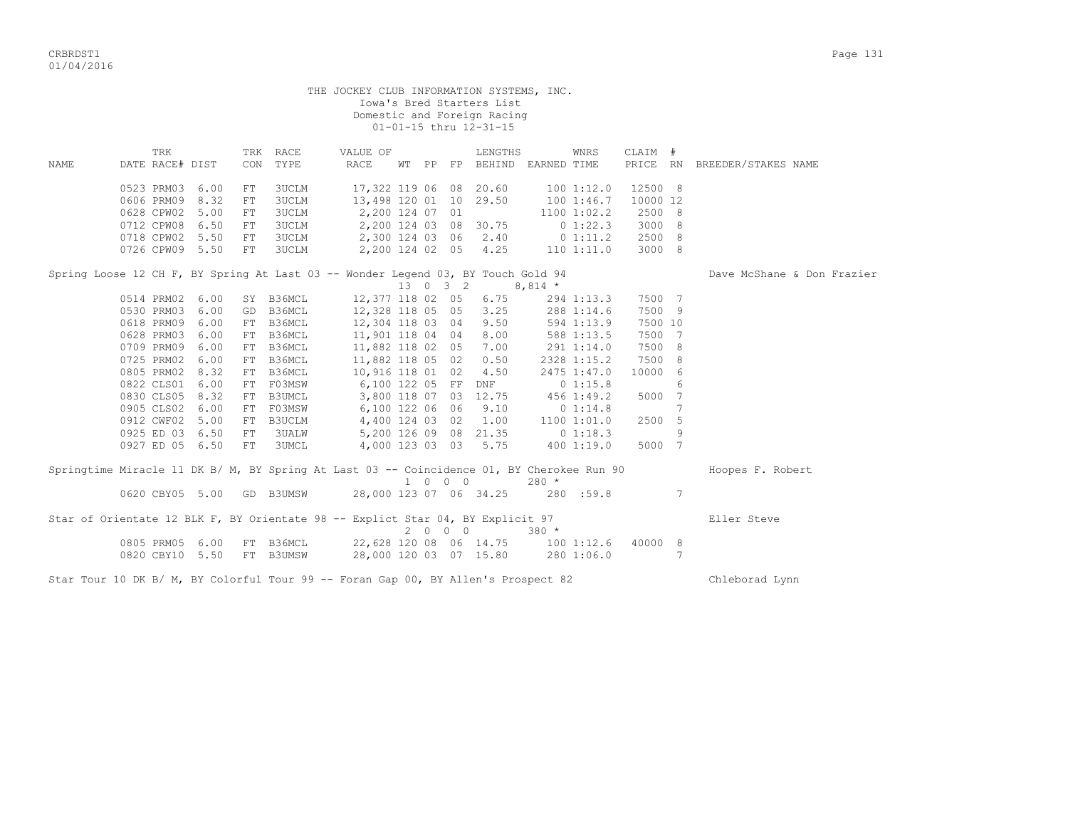|             |                        |                 |            |                  | THE JOCKEY CLUB INFORMATION SYSTEMS, INC.                                                 |  |                             | Iowa's Bred Starters List<br>Domestic and Foreign Racing<br>01-01-15 thru 12-31-15 |            |                |          |                 |                              |
|-------------|------------------------|-----------------|------------|------------------|-------------------------------------------------------------------------------------------|--|-----------------------------|------------------------------------------------------------------------------------|------------|----------------|----------|-----------------|------------------------------|
| <b>NAME</b> | TRK<br>DATE RACE# DIST |                 | CON        | TRK RACE<br>TYPE | VALUE OF<br>RACE                                                                          |  |                             | LENGTHS<br>WT PP FP BEHIND EARNED TIME                                             |            | WNRS           | CLAIM #  |                 | PRICE RN BREEDER/STAKES NAME |
|             |                        |                 |            |                  |                                                                                           |  |                             |                                                                                    |            |                |          |                 |                              |
|             | 0523 PRM03             | 6.00            | ${\rm FT}$ | 3UCLM            |                                                                                           |  |                             | 17,322 119 06 08 20.60                                                             | 100 1:12.0 |                | 12500 8  |                 |                              |
|             | 0606 PRM09             | 8.32            | FT         | 3UCLM            |                                                                                           |  |                             | 13,498 120 01 10 29.50                                                             |            | 1001:46.7      | 10000 12 |                 |                              |
|             | 0628 CPW02             | 5.00            | ${\rm FT}$ | 3UCLM            | 2,200 124 07 01                                                                           |  |                             |                                                                                    |            | 1100 1:02.2    | 2500 8   |                 |                              |
|             | 0712 CPW08 6.50        |                 | FT         | 3UCLM            |                                                                                           |  |                             | 2,200 124 03 08 30.75                                                              |            | $0\;1:22.3$    | 3000 8   |                 |                              |
|             | 0718 CPW02 5.50        |                 | ${\rm FT}$ | 3UCLM            |                                                                                           |  |                             | 2,300 124 03 06 2.40                                                               |            | 0 1:11.2       | 2500 8   |                 |                              |
|             | 0726 CPW09 5.50        |                 | ${\rm FT}$ | <b>3UCLM</b>     |                                                                                           |  |                             | 2,200 124 02 05 4.25                                                               |            | $110$ $1:11.0$ | 3000 8   |                 |                              |
|             |                        |                 |            |                  | Spring Loose 12 CH F, BY Spring At Last 03 -- Wonder Legend 03, BY Touch Gold 94          |  |                             |                                                                                    |            |                |          |                 | Dave McShane & Don Frazier   |
|             |                        |                 |            |                  |                                                                                           |  |                             | 13 0 3 2                                                                           | $8,814$ *  |                |          |                 |                              |
|             | 0514 PRM02 6.00        |                 |            | SY B36MCL        |                                                                                           |  |                             | 12,377 118 02 05 6.75                                                              |            | 294 1:13.3     | 7500 7   |                 |                              |
|             | 0530 PRM03             | 6.00            |            | GD B36MCL        | 12,328 118 05 05 3.25                                                                     |  |                             |                                                                                    |            | 288 1:14.6     | 7500 9   |                 |                              |
|             | 0618 PRM09             | 6.00            |            | FT B36MCL        | 12,304 118 03 04                                                                          |  |                             | 9.50                                                                               |            | 594 1:13.9     | 7500 10  |                 |                              |
|             | 0628 PRM03             | 6.00            |            | FT B36MCL        | 11,901 118 04 04                                                                          |  |                             | 8.00                                                                               |            | 588 1:13.5     | 7500 7   |                 |                              |
|             | 0709 PRM09             | 6.00            |            | FT B36MCL        | 11,882 118 02 05                                                                          |  |                             | 7.00                                                                               |            | 291 1:14.0     | 7500 8   |                 |                              |
|             | 0725 PRM02             | 6.00            |            | FT B36MCL        | 11,882 118 05 02                                                                          |  |                             | 0.50                                                                               |            | 2328 1:15.2    | 7500 8   |                 |                              |
|             | 0805 PRM02             | 8.32            |            | FT B36MCL        | 10,916 118 01 02                                                                          |  |                             | 4.50                                                                               |            | 2475 1:47.0    | 10000 6  |                 |                              |
|             | 0822 CLS01 6.00        |                 |            | FT F03MSW        | 6,100 122 05 FF                                                                           |  |                             | <b>DNF</b>                                                                         |            | 01:15.8        |          | 6               |                              |
|             | 0830 CLS05 8.32        |                 |            | FT B3UMCL        |                                                                                           |  |                             | 3,800 118 07 03 12.75                                                              | 456 1:49.2 |                | 5000 7   |                 |                              |
|             | 0905 CLS02 6.00        |                 |            | FT F03MSW        | 6,100 122 06 06                                                                           |  |                             | 9.10                                                                               | 0 1:14.8   |                |          | $7\phantom{.0}$ |                              |
|             | 0912 CWF02 5.00        |                 |            | FT B3UCLM        | 4,400 124 03 02                                                                           |  |                             | 1.00                                                                               |            | 11001:01.0     | 2500 5   |                 |                              |
|             | 0925 ED 03 6.50        |                 | ${\rm FT}$ | 3UALW            |                                                                                           |  |                             | 5,200 126 09 08 21.35 0 1:18.3                                                     |            |                |          | 9               |                              |
|             | 0927 ED 05 6.50        |                 | FT         | 3UMCL            |                                                                                           |  |                             | 4,000 123 03 03 5.75 400 1:19.0                                                    |            |                | 5000 7   |                 |                              |
|             |                        |                 |            |                  | Springtime Miracle 11 DK B/ M, BY Spring At Last 03 -- Coincidence 01, BY Cherokee Run 90 |  | $1 \quad 0 \quad 0 \quad 0$ |                                                                                    | $280 *$    |                |          |                 | Hoopes F. Robert             |
|             |                        |                 |            |                  | 0620 CBY05 5.00 GD B3UMSW 28,000 123 07 06 34.25 280 :59.8                                |  |                             |                                                                                    |            |                |          | 7               |                              |
|             |                        |                 |            |                  | Star of Orientate 12 BLK F, BY Orientate 98 -- Explict Star 04, BY Explicit 97            |  |                             |                                                                                    |            |                |          |                 | Eller Steve                  |
|             |                        |                 |            |                  |                                                                                           |  | 2000                        | $380 *$                                                                            |            |                |          |                 |                              |
|             |                        | 0805 PRM05 6.00 |            | FT B36MCL        | 22,628 120 08 06 14.75 100 1:12.6                                                         |  |                             |                                                                                    |            |                | 40000 8  |                 |                              |
|             | 0820 CBY10 5.50        |                 |            | FT B3UMSW        | 28,000 120 03 07 15.80 280 1:06.0                                                         |  |                             |                                                                                    |            |                |          | 7               |                              |
|             |                        |                 |            |                  | Star Tour 10 DK B/ M, BY Colorful Tour 99 -- Foran Gap 00, BY Allen's Prospect 82         |  |                             |                                                                                    |            |                |          |                 | Chleborad Lynn               |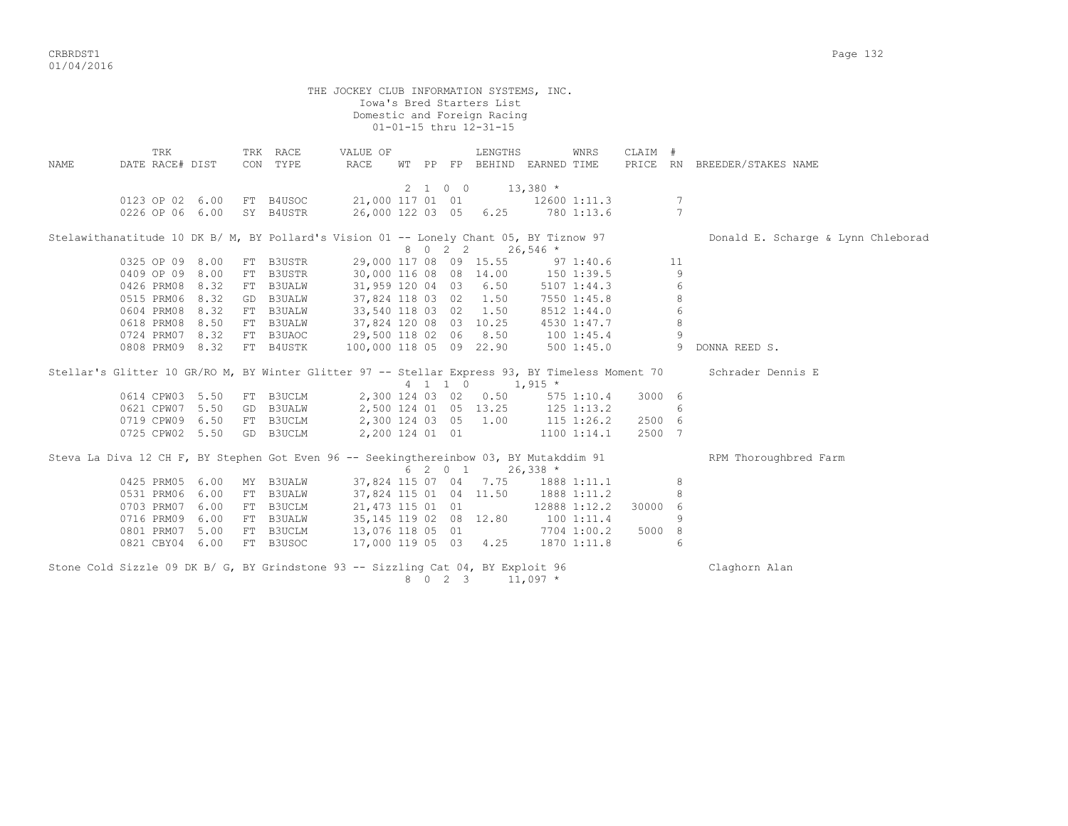|      | THE JOCKEY CLUB INFORMATION SYSTEMS, INC.<br>Iowa's Bred Starters List<br>Domestic and Foreign Racing<br>01-01-15 thru 12-31-15 |      |  |                      |                         |  |  |         |                                        |            |               |         |                |                                    |  |
|------|---------------------------------------------------------------------------------------------------------------------------------|------|--|----------------------|-------------------------|--|--|---------|----------------------------------------|------------|---------------|---------|----------------|------------------------------------|--|
| NAME | TRK<br>DATE RACE# DIST                                                                                                          |      |  | TRK RACE<br>CON TYPE | VALUE OF<br>RACE        |  |  |         | LENGTHS<br>WT PP FP BEHIND EARNED TIME |            | WNRS          | CLAIM # |                | PRICE RN BREEDER/STAKES NAME       |  |
|      |                                                                                                                                 |      |  |                      |                         |  |  | 2 1 0 0 |                                        | $13,380$ * |               |         |                |                                    |  |
|      | 0123 OP 02 6.00                                                                                                                 |      |  | FT B4USOC            | 21,000 117 01 01        |  |  |         |                                        |            | 12600 1:11.3  |         | 7              |                                    |  |
|      | 0226 OP 06 6.00                                                                                                                 |      |  | SY B4USTR            | 26,000 122 03 05 6.25   |  |  |         |                                        | 780 1:13.6 |               |         | 7              |                                    |  |
|      | Stelawithanatitude 10 DK B/ M, BY Pollard's Vision 01 -- Lonely Chant 05, BY Tiznow 97                                          |      |  |                      |                         |  |  |         |                                        |            |               |         |                | Donald E. Scharge & Lynn Chleborad |  |
|      |                                                                                                                                 |      |  |                      |                         |  |  | 8 0 2 2 |                                        | $26,546$ * |               |         |                |                                    |  |
|      | 0325 OP 09 8.00                                                                                                                 |      |  | FT B3USTR            | 29,000 117 08 09 15.55  |  |  |         |                                        |            | $97 \t1:40.6$ |         | 11             |                                    |  |
|      | 0409 OP 09 8.00                                                                                                                 |      |  | FT B3USTR            | 30,000 116 08 08 14.00  |  |  |         |                                        |            | 150 1:39.5    |         | 9              |                                    |  |
|      | 0426 PRM08 8.32                                                                                                                 |      |  | FT B3UALW            | 31,959 120 04 03 6.50   |  |  |         |                                        |            | $5107$ 1:44.3 |         | 6              |                                    |  |
|      | 0515 PRM06                                                                                                                      | 8.32 |  | GD B3UALW            | 37,824 118 03 02 1.50   |  |  |         |                                        |            | 7550 1:45.8   |         | 8              |                                    |  |
|      | 0604 PRM08 8.32                                                                                                                 |      |  | FT B3UALW            | 33,540 118 03 02 1.50   |  |  |         |                                        |            | 8512 1:44.0   |         | $\epsilon$     |                                    |  |
|      | 0618 PRM08 8.50                                                                                                                 |      |  | FT B3UALW            | 37,824 120 08 03 10.25  |  |  |         |                                        |            | 4530 1:47.7   |         | 8              |                                    |  |
|      | 0724 PRM07 8.32                                                                                                                 |      |  | FT B3UAOC            | 29,500 118 02 06 8.50   |  |  |         |                                        | 100 1:45.4 |               |         | $\overline{9}$ |                                    |  |
|      | 0808 PRM09 8.32                                                                                                                 |      |  | FT B4USTK            | 100,000 118 05 09 22.90 |  |  |         |                                        |            | 5001:45.0     |         |                | 9 DONNA REED S.                    |  |
|      | Stellar's Glitter 10 GR/RO M, BY Winter Glitter 97 -- Stellar Express 93, BY Timeless Moment 70                                 |      |  |                      |                         |  |  |         | $4$ 1 1 0 1,915 *                      |            |               |         |                | Schrader Dennis E                  |  |
|      | 0614 CPW03 5.50                                                                                                                 |      |  | FT B3UCLM            |                         |  |  |         | 2,300 124 03 02 0.50                   |            | 575 1:10.4    | 3000 6  |                |                                    |  |
|      | 0621 CPW07 5.50                                                                                                                 |      |  | GD B3UALW            | 2,500 124 01 05 13.25   |  |  |         |                                        |            | 125 1:13.2    |         | 6              |                                    |  |
|      | 0719 CPW09 6.50                                                                                                                 |      |  | FT B3UCLM            | 2,300 124 03 05 1.00    |  |  |         |                                        |            | 115 1:26.2    | 2500 6  |                |                                    |  |
|      | 0725 CPW02 5.50                                                                                                                 |      |  | GD B3UCLM            | 2,200 124 01 01         |  |  |         |                                        |            | 1100 1:14.1   | 2500 7  |                |                                    |  |
|      | Steva La Diva 12 CH F, BY Stephen Got Even 96 -- Seekingthereinbow 03, BY Mutakddim 91                                          |      |  |                      |                         |  |  | 6 2 0 1 |                                        | $26,338$ * |               |         |                | RPM Thoroughbred Farm              |  |
|      | 0425 PRM05                                                                                                                      | 6.00 |  | MY B3UALW            | 37,824 115 07 04 7.75   |  |  |         |                                        |            | 1888 1:11.1   |         | 8              |                                    |  |
|      | 0531 PRM06                                                                                                                      | 6.00 |  | FT B3UALW            | 37,824 115 01 04 11.50  |  |  |         |                                        |            | 1888 1:11.2   |         | 8              |                                    |  |
|      | 0703 PRM07 6.00                                                                                                                 |      |  | FT B3UCLM            | 21, 473 115 01 01       |  |  |         |                                        |            | 12888 1:12.2  | 30000 6 |                |                                    |  |
|      | 0716 PRM09                                                                                                                      | 6.00 |  | FT B3UALW            | 35, 145 119 02 08 12.80 |  |  |         |                                        |            | 1001:11.4     |         | 9              |                                    |  |
|      | 0801 PRM07 5.00                                                                                                                 |      |  | FT B3UCLM            | 13,076 118 05 01        |  |  |         |                                        |            | 7704 1:00.2   | 5000 8  |                |                                    |  |
|      | 0821 CBY04 6.00                                                                                                                 |      |  | FT B3USOC            | 17,000 119 05 03 4.25   |  |  |         |                                        |            | 1870 1:11.8   |         | 6              |                                    |  |
|      | Stone Cold Sizzle 09 DK B/ G, BY Grindstone 93 -- Sizzling Cat 04, BY Exploit 96                                                |      |  |                      |                         |  |  | 8 0 2 3 |                                        | $11,097$ * |               |         |                | Claghorn Alan                      |  |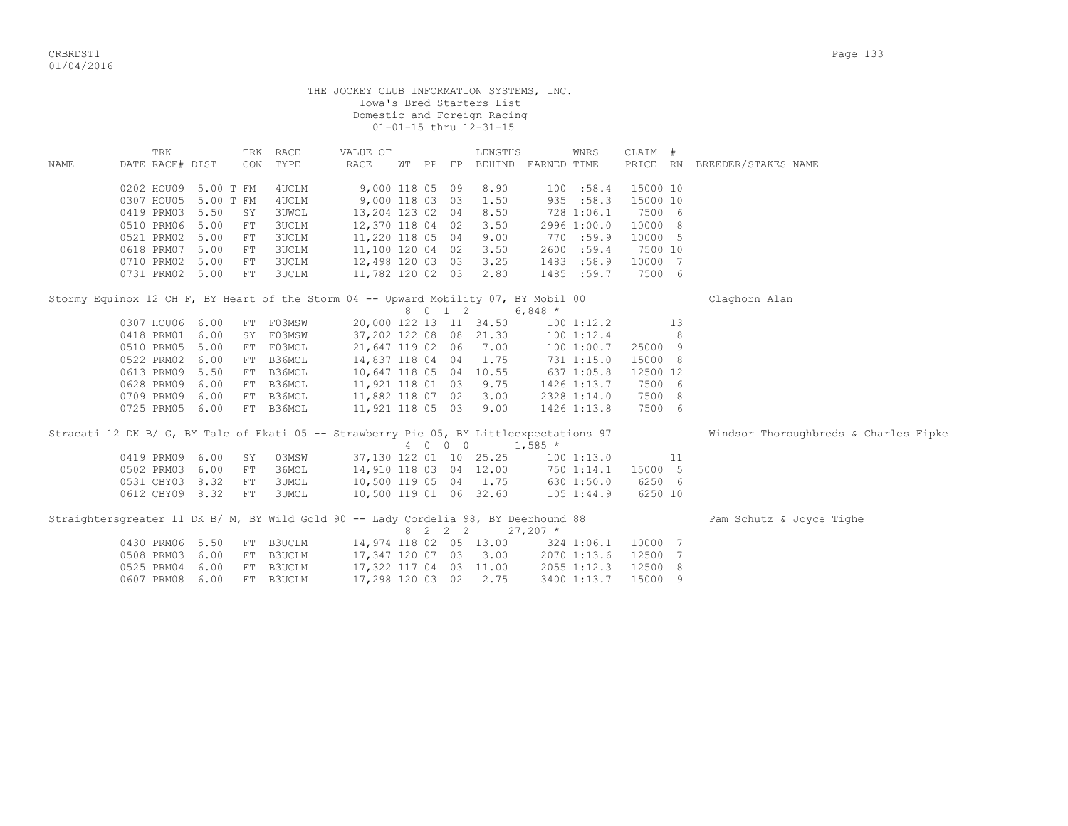|                                                                                         |                               |           |            |                            | THE JOCKEY CLUB INFORMATION SYSTEMS, INC. |                 |         | Iowa's Bred Starters List<br>Domestic and Foreign Racing<br>01-01-15 thru 12-31-15 |            |                |          |    |                                       |
|-----------------------------------------------------------------------------------------|-------------------------------|-----------|------------|----------------------------|-------------------------------------------|-----------------|---------|------------------------------------------------------------------------------------|------------|----------------|----------|----|---------------------------------------|
| NAME                                                                                    | TRK<br>DATE RACE# DIST        |           | CON        | TRK RACE<br>TYPE           | VALUE OF<br>RACE                          |                 |         | LENGTHS<br>WT PP FP BEHIND EARNED TIME                                             |            | WNRS           | CLAIM #  |    | PRICE RN BREEDER/STAKES NAME          |
|                                                                                         | 0202 HOU09                    | 5.00 T FM |            | 4UCLM                      |                                           | 9,000 118 05 09 |         | 8.90                                                                               |            | 100 : 58.4     | 15000 10 |    |                                       |
|                                                                                         | 0307 HOU05                    | 5.00 T FM |            | 4UCLM                      | 9,000 118 03 03                           |                 |         | 1.50                                                                               |            | 935 : 58.3     | 15000 10 |    |                                       |
|                                                                                         | 0419 PRM03                    | 5.50      | SY         | <b>3UWCL</b>               | 13,204 123 02 04                          |                 |         | 8.50                                                                               |            | 728 1:06.1     | 7500 6   |    |                                       |
|                                                                                         | 0510 PRM06                    | 5.00      | FT         | <b>3UCLM</b>               | 12,370 118 04 02                          |                 |         | 3.50                                                                               |            | 2996 1:00.0    | 10000 8  |    |                                       |
|                                                                                         | 0521 PRM02                    | 5.00      | FT         | 3UCLM                      | 11,220 118 05 04                          |                 |         | 9.00                                                                               |            | 770 :59.9      | 10000 5  |    |                                       |
|                                                                                         | 0618 PRM07                    | 5.00      | FT         | <b>3UCLM</b>               | 11,100 120 04 02                          |                 |         | 3.50                                                                               |            | 2600:59.4      | 7500 10  |    |                                       |
|                                                                                         | 0710 PRM02                    | 5.00      | FT         | 3UCLM                      | 12,498 120 03 03                          |                 |         | 3.25                                                                               |            | 1483 :58.9     | 10000 7  |    |                                       |
|                                                                                         | 0731 PRM02 5.00               |           | FT         | <b>3UCLM</b>               | 11,782 120 02 03                          |                 |         | 2.80                                                                               |            | 1485 :59.7     | 7500 6   |    |                                       |
|                                                                                         |                               |           |            |                            |                                           |                 |         |                                                                                    |            |                |          |    |                                       |
| Stormy Equinox 12 CH F, BY Heart of the Storm 04 -- Upward Mobility 07, BY Mobil 00     |                               |           |            |                            |                                           |                 |         |                                                                                    |            |                |          |    | Claghorn Alan                         |
|                                                                                         |                               |           |            |                            |                                           |                 | 8 0 1 2 | $6,848$ *                                                                          |            |                |          |    |                                       |
|                                                                                         | 0307 HOU06 6.00               |           |            | FT FO3MSW                  |                                           |                 |         | 20,000 122 13 11 34.50                                                             |            | 100 1:12.2     |          | 13 |                                       |
|                                                                                         | 0418 PRM01 6.00               |           |            | SY FO3MSW                  |                                           |                 |         | 37,202 122 08 08 21.30                                                             |            | 100 1:12.4     |          | 8  |                                       |
|                                                                                         | 0510 PRM05 5.00               |           |            | FT F03MCL                  | 21,647 119 02 06                          |                 |         | 7.00                                                                               |            | 100 1:00.7     | 25000 9  |    |                                       |
|                                                                                         | 0522 PRM02                    | 6.00      |            | FT B36MCL                  | 14,837 118 04 04                          |                 |         | 1.75                                                                               | 731 1:15.0 |                | 15000 8  |    |                                       |
|                                                                                         | 0613 PRM09                    | 5.50      |            | FT B36MCL                  |                                           |                 |         | 10,647 118 05 04 10.55                                                             |            | 637 1:05.8     | 12500 12 |    |                                       |
|                                                                                         | 0628 PRM09                    | 6.00      |            | FT B36MCL                  | 11,921 118 01 03                          |                 |         | 9.75                                                                               |            | 1426 1:13.7    | 7500 6   |    |                                       |
|                                                                                         | 0709 PRM09                    | 6.00      |            | FT B36MCL                  | 11,882 118 07 02                          |                 |         | 3.00                                                                               |            | 2328 1:14.0    | 7500 8   |    |                                       |
|                                                                                         | 0725 PRM05                    | 6.00      |            | FT B36MCL                  | 11,921 118 05 03                          |                 |         | 9.00                                                                               |            | 1426 1:13.8    | 7500 6   |    |                                       |
|                                                                                         |                               |           |            |                            |                                           |                 |         |                                                                                    |            |                |          |    |                                       |
| Stracati 12 DK B/ G, BY Tale of Ekati 05 -- Strawberry Pie 05, BY Littleexpectations 97 |                               |           |            |                            |                                           |                 |         |                                                                                    |            |                |          |    | Windsor Thoroughbreds & Charles Fipke |
|                                                                                         |                               |           |            |                            |                                           |                 | 4 0 0 0 |                                                                                    | $1,585$ *  |                |          |    |                                       |
|                                                                                         | 0419 PRM09 6.00               |           | SY         | 03MSW                      |                                           |                 |         | 37,130 122 01 10 25.25                                                             |            | 1001:13.0      |          | 11 |                                       |
|                                                                                         | 0502 PRM03                    | 6.00      | FT         | 36MCL                      |                                           |                 |         | 14,910 118 03 04 12.00                                                             |            | 750 1:14.1     | 15000 5  |    |                                       |
|                                                                                         | 0531 CBY03 8.32               |           | ${\rm FT}$ | <b>3UMCL</b>               |                                           |                 |         | 10,500 119 05 04 1.75                                                              |            | 630 1:50.0     | 6250 6   |    |                                       |
|                                                                                         | 0612 CBY09 8.32               |           | FT         | 3UMCL                      |                                           |                 |         | 10,500 119 01 06 32.60                                                             |            | $105$ $1:44.9$ | 6250 10  |    |                                       |
| Straightersgreater 11 DK B/ M, BY Wild Gold 90 -- Lady Cordelia 98, BY Deerhound 88     |                               |           |            |                            |                                           |                 |         | 8 2 2 2                                                                            | $27,207$ * |                |          |    | Pam Schutz & Joyce Tighe              |
|                                                                                         |                               |           |            |                            |                                           |                 |         | 14,974 118 02 05 13.00                                                             |            |                | 10000 7  |    |                                       |
|                                                                                         | 0430 PRM06 5.50<br>0508 PRM03 | 6.00      | FT         | FT B3UCLM<br><b>B3UCLM</b> |                                           |                 |         |                                                                                    |            | 324 1:06.1     | 12500 7  |    |                                       |
|                                                                                         |                               |           |            |                            |                                           |                 |         | 17,347 120 07 03 3.00                                                              |            | 2070 1:13.6    |          |    |                                       |
|                                                                                         | 0525 PRM04                    | 6.00      |            | FT B3UCLM                  |                                           |                 |         | 17,322 117 04 03 11.00                                                             |            | 2055 1:12.3    | 12500 8  |    |                                       |

0607 PRM08 6.00 FT B3UCLM 17,298 120 03 02 2.75 3400 1:13.7 15000 9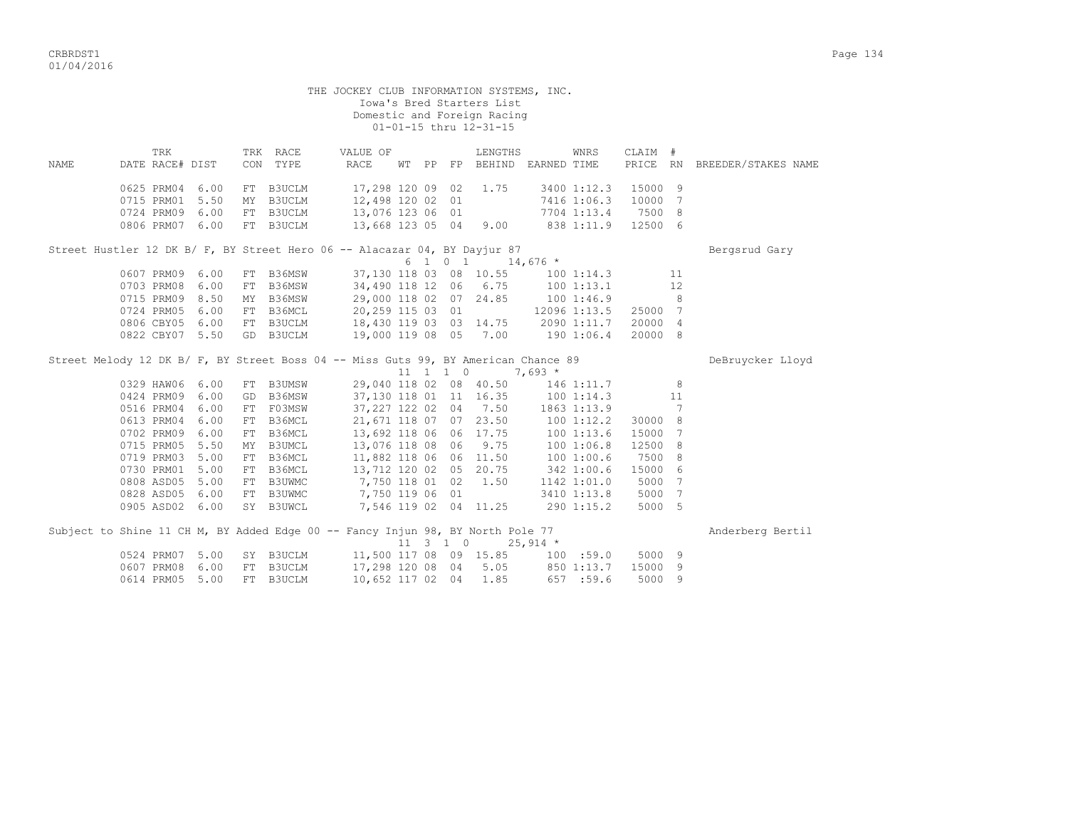|                                                                                    |                        |  |                                                        | THE JOCKEY CLUB INFORMATION SYSTEMS, INC.      |                  |  |                              | Iowa's Bred Starters List<br>Domestic and Foreign Racing<br>01-01-15 thru 12-31-15                                                   |            |             |                     |    |                     |
|------------------------------------------------------------------------------------|------------------------|--|--------------------------------------------------------|------------------------------------------------|------------------|--|------------------------------|--------------------------------------------------------------------------------------------------------------------------------------|------------|-------------|---------------------|----|---------------------|
| NAME                                                                               | TRK<br>DATE RACE# DIST |  | TRK RACE<br>CON TYPE                                   | VALUE OF<br>RACE                               |                  |  |                              | LENGTHS<br>WT PP FP BEHIND EARNED TIME                                                                                               |            | WNRS        | CLAIM #<br>PRICE RN |    | BREEDER/STAKES NAME |
|                                                                                    | 0625 PRM04 6.00        |  | FT B3UCLM                                              |                                                | 17,298 120 09 02 |  |                              | 1.75                                                                                                                                 |            |             | 3400 1:12.3 15000 9 |    |                     |
|                                                                                    | 0715 PRM01 5.50        |  | MY B3UCLM                                              |                                                | 12,498 120 02 01 |  |                              |                                                                                                                                      |            |             | 7416 1:06.3 10000 7 |    |                     |
|                                                                                    |                        |  | 0724 PRM09 6.00 FT B3UCLM<br>0806 PRM09 6.00 FT B3UCLM |                                                |                  |  |                              | 12,498 120 02 01<br>13,076 123 06 01                                                                                                 |            |             | 7704 1:13.4 7500 8  |    |                     |
|                                                                                    |                        |  | 0806 PRM07 6.00 FT B3UCLM                              |                                                |                  |  |                              | 13,668 123 05 04 9.00 838 1:11.9                                                                                                     |            |             | 12500 6             |    |                     |
| Street Hustler 12 DK B/ F, BY Street Hero 06 -- Alacazar 04, BY Dayjur 87          |                        |  |                                                        |                                                |                  |  |                              |                                                                                                                                      |            |             |                     |    | Bergsrud Gary       |
|                                                                                    |                        |  |                                                        |                                                |                  |  |                              | 6 1 0 1 14,676 $*$                                                                                                                   |            |             |                     |    |                     |
|                                                                                    |                        |  | 0607 PRM09 6.00 FT B36MSW                              |                                                |                  |  |                              | 37,130 118 03 08 10.55 100 1:14.3                                                                                                    |            |             |                     | 11 |                     |
|                                                                                    |                        |  | 0703 PRM08 6.00 FT B36MSW                              |                                                |                  |  |                              | 34,490 118 12 06 6.75                                                                                                                | 1001:13.1  |             |                     | 12 |                     |
|                                                                                    |                        |  | 0715 PRM09 8.50 MY B36MSW                              |                                                |                  |  |                              | 29,000 118 02 07 24.85 100 1:46.9                                                                                                    |            |             |                     | 8  |                     |
|                                                                                    |                        |  | 0724 PRM05 6.00 FT B36MCL                              |                                                | 20,259 115 03 01 |  |                              | 12096 1:13.5 25000 7                                                                                                                 |            |             |                     |    |                     |
|                                                                                    |                        |  | 0806 CBY05 6.00 FT B3UCLM                              |                                                |                  |  |                              | 18,430 119 03 03 14.75 2090 1:11.7                                                                                                   |            |             | 20000 4             |    |                     |
|                                                                                    | 0822 CBY07 5.50        |  | GD B3UCLM                                              |                                                |                  |  |                              | 19,000 119 08 05 7.00 190 1:06.4                                                                                                     |            |             | 20000 8             |    |                     |
| Street Melody 12 DK B/ F, BY Street Boss 04 -- Miss Guts 99, BY American Chance 89 |                        |  |                                                        |                                                |                  |  | $11 \quad 1 \quad 1 \quad 0$ |                                                                                                                                      | $7,693*$   |             |                     |    | DeBruycker Lloyd    |
|                                                                                    | 0329 HAW06 6.00        |  | FT B3UMSW                                              |                                                |                  |  |                              | 29,040 118 02 08 40.50                                                                                                               | 146 1:11.7 |             |                     | 8  |                     |
|                                                                                    | 0424 PRM09 6.00        |  | GD B36MSW                                              |                                                |                  |  |                              | 37,130 118 01 11 16.35 100 1:14.3                                                                                                    |            |             |                     | 11 |                     |
|                                                                                    | 0516 PRM04 6.00        |  | GD B36MSW<br>FT F03MSW                                 |                                                |                  |  |                              | 37, 227 122 02 04 7.50 1863 1:13.9                                                                                                   |            |             |                     | 7  |                     |
|                                                                                    | 0613 PRM04 6.00        |  | FT B36MCL                                              |                                                |                  |  |                              | 21,671 118 07 07 23.50 100 1:12.2                                                                                                    |            |             | 30000 8             |    |                     |
|                                                                                    | 0702 PRM09 6.00        |  | FT B36MCL                                              |                                                |                  |  |                              | 13,692 118 06 06 17.75 100 1:13.6                                                                                                    |            |             | 15000 7             |    |                     |
|                                                                                    | 0715 PRM05 5.50        |  | MY B3UMCL                                              |                                                |                  |  |                              |                                                                                                                                      |            |             | 12500 8             |    |                     |
|                                                                                    | 0719 PRM03 5.00        |  | FT B36MCL                                              |                                                |                  |  |                              | $13,076 \t118 \t08 \t06 \t9.75 \t100 \t1:06.8$<br>11,882 118 06 06 11.50       100 1:00.6<br>13,712 120 02 05 20.75       342 1:00.6 |            |             | 7500 8              |    |                     |
|                                                                                    | 0730 PRM01 5.00        |  | FT B36MCL<br>FT B36MCL                                 |                                                |                  |  |                              |                                                                                                                                      |            |             | 15000 6             |    |                     |
|                                                                                    |                        |  |                                                        | 0808 ASD05 5.00 FT B3UWMC 7,750 118 01 02 1.50 |                  |  |                              |                                                                                                                                      |            |             | 1142 1:01.0 5000 7  |    |                     |
|                                                                                    |                        |  |                                                        | 0828 ASD05 6.00 FT B3UWMC 7,750 119 06 01      |                  |  |                              |                                                                                                                                      |            | 3410 1:13.8 | 5000 7              |    |                     |
|                                                                                    | 0905 ASD02 6.00        |  |                                                        | SY B3UWCL 7,546 119 02 04 11.25 290 1:15.2     |                  |  |                              |                                                                                                                                      |            |             | 5000 5              |    |                     |
| Subject to Shine 11 CH M, BY Added Edge 00 -- Fancy Injun 98, BY North Pole 77     |                        |  |                                                        |                                                |                  |  |                              |                                                                                                                                      |            |             |                     |    | Anderberg Bertil    |
|                                                                                    |                        |  |                                                        |                                                |                  |  |                              | $11 \quad 3 \quad 1 \quad 0 \quad 25,914 \; *$                                                                                       |            |             |                     |    |                     |
|                                                                                    | 0524 PRM07 5.00        |  |                                                        |                                                |                  |  |                              |                                                                                                                                      |            |             |                     |    |                     |
|                                                                                    | 0607 PRM08 6.00        |  | FT B3UCLM                                              |                                                |                  |  |                              | 17,298 120 08 04 5.05 850 1:13.7                                                                                                     |            |             | 15000               | -9 |                     |
|                                                                                    | 0614 PRM05 5.00        |  | FT B3UCLM                                              |                                                | 10,652 117 02 04 |  |                              | 1.85                                                                                                                                 |            | 657 :59.6   | 5000                | 9  |                     |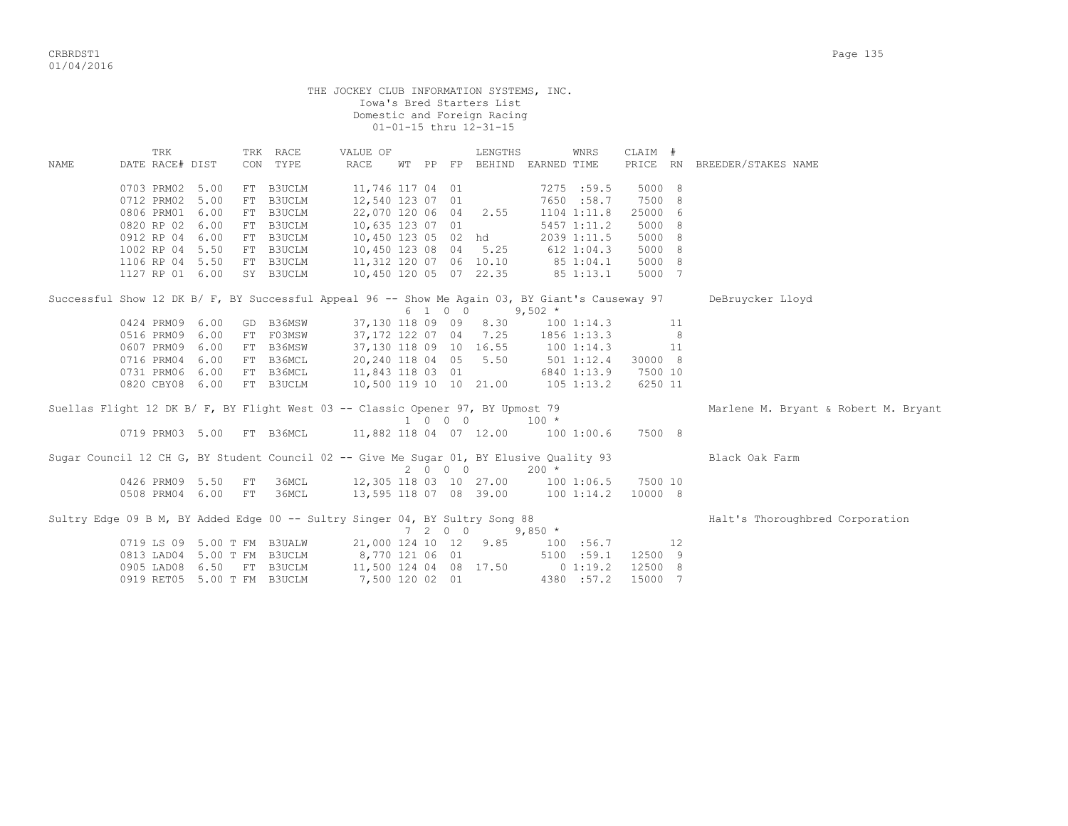|             |                                                                                                 |              |    |                                     | THE JOCKEY CLUB INFORMATION SYSTEMS, INC.                           |                             | Iowa's Bred Starters List<br>Domestic and Foreign Racing<br>01-01-15 thru 12-31-15 |                                         |      |                             |    |                                      |
|-------------|-------------------------------------------------------------------------------------------------|--------------|----|-------------------------------------|---------------------------------------------------------------------|-----------------------------|------------------------------------------------------------------------------------|-----------------------------------------|------|-----------------------------|----|--------------------------------------|
| <b>NAME</b> | TRK<br>DATE RACE# DIST                                                                          |              |    | TRK RACE<br>CON TYPE                | VALUE OF<br><b>RACE</b>                                             |                             | LENGTHS                                                                            | WT PP FP BEHIND EARNED TIME             | WNRS | CLAIM #                     |    | PRICE RN BREEDER/STAKES NAME         |
|             | 0703 PRM02 5.00<br>0712 PRM02<br>0806 PRM01                                                     | 5.00<br>6.00 |    | FT B3UCLM<br>FT B3UCLM<br>FT B3UCLM | 11,746 117 04 01<br>12,540 123 07 01                                |                             | 22,070 120 06 04 2.55                                                              | 7275 :59.5<br>7650 :58.7<br>1104 1:11.8 |      | 5000 8<br>7500 8<br>25000 6 |    |                                      |
|             | 0820 RP 02<br>0912 RP 04                                                                        | 6.00<br>6.00 |    | FT B3UCLM<br>FT B3UCLM              | 10,635 123 07 01                                                    |                             | 10,450 123 05 02 hd                                                                | 5457 1:11.2<br>2039 1:11.5              |      | 5000 8<br>5000 8            |    |                                      |
|             | 1002 RP 04 5.50                                                                                 |              |    | FT B3UCLM                           | FT B3UCLM 10,450 123 08 04 5.25<br>FT B3UCLM 11,312 120 07 06 10.10 |                             | 10,450 123 08 04 5.25                                                              | 612 1:04.3                              |      | 5000 8                      |    |                                      |
|             | 1106 RP 04 5.50<br>1127 RP 01 6.00                                                              |              |    | SY B3UCLM                           |                                                                     |                             | 10,450 120 05 07 22.35                                                             | 851:04.1<br>85 1:13.1                   |      | 5000 8<br>5000 7            |    |                                      |
|             | Successful Show 12 DK B/ F, BY Successful Appeal 96 -- Show Me Again 03, BY Giant's Causeway 97 |              |    |                                     |                                                                     | 6 1 0 0                     | $9,502*$                                                                           |                                         |      |                             |    | DeBruycker Lloyd                     |
|             | 0424 PRM09 6.00                                                                                 |              |    | GD B36MSW                           |                                                                     |                             |                                                                                    | 37,130 118 09 09 8.30 100 1:14.3        |      |                             | 11 |                                      |
|             | 0516 PRM09                                                                                      | 6.00         |    | FT FO3MSW                           | 37,172 122 07 04                                                    |                             | 7.25                                                                               | 1856 1:13.3                             |      |                             | 8  |                                      |
|             | 0607 PRM09                                                                                      | 6.00         |    | FT B36MSW                           |                                                                     |                             | 37,130 118 09 10 16.55                                                             | 1001:14.3                               |      | 11                          |    |                                      |
|             | 0716 PRM04                                                                                      | 6.00         |    | FT B36MCL                           |                                                                     |                             | 20,240 118 04 05 5.50                                                              | 501 1:12.4                              |      | 30000 8                     |    |                                      |
|             | 0731 PRM06                                                                                      | 6.00         |    | FT B36MCL                           | 11,843 118 03 01<br>10,500 119 10 10 21.00                          |                             |                                                                                    | 6840 1:13.9                             |      | 7500 10                     |    |                                      |
|             | 0820 CBY08 6.00                                                                                 |              |    | FT B3UCLM                           |                                                                     |                             |                                                                                    | $105$ $1:13.2$                          |      | 6250 11                     |    |                                      |
|             | Suellas Flight 12 DK B/ F, BY Flight West 03 -- Classic Opener 97, BY Upmost 79                 |              |    |                                     |                                                                     | 1 0 0 0                     |                                                                                    | $100 *$                                 |      |                             |    | Marlene M. Bryant & Robert M. Bryant |
|             |                                                                                                 |              |    |                                     | 0719 PRM03 5.00 FT B36MCL 11,882 118 04 07 12.00 100 1:00.6         |                             |                                                                                    |                                         |      | 7500 8                      |    |                                      |
|             | Sugar Council 12 CH G, BY Student Council 02 -- Give Me Sugar 01, BY Elusive Quality 93         |              |    |                                     |                                                                     | $2\qquad 0\qquad 0\qquad 0$ |                                                                                    | $200 *$                                 |      |                             |    | Black Oak Farm                       |
|             | 0426 PRM09 5.50                                                                                 |              | FT | 36MCL                               |                                                                     |                             | 12,305 118 03 10 27.00                                                             | 100 1:06.5                              |      | 7500 10                     |    |                                      |
|             | 0508 PRM04 6.00 FT                                                                              |              |    | 36MCL                               | 13,595 118 07 08 39.00                                              |                             |                                                                                    | 100 1:14.2                              |      | 10000 8                     |    |                                      |
|             | Sultry Edge 09 B M, BY Added Edge 00 -- Sultry Singer 04, BY Sultry Song 88                     |              |    |                                     |                                                                     | $7200$                      |                                                                                    | $9,850$ *                               |      |                             |    | Halt's Thoroughbred Corporation      |
|             | 0719 LS 09 5.00 T FM B3UALW                                                                     |              |    |                                     |                                                                     |                             | 21,000 124 10 12 9.85                                                              |                                         |      | $100$ : 56.7 12             |    |                                      |
|             |                                                                                                 |              |    |                                     | 0813 LAD04 5.00 T FM B3UCLM 8,770 121 06 01                         |                             |                                                                                    | 5100 : 59.1                             |      | 12500 9                     |    |                                      |
|             | 0905 LAD08                                                                                      |              |    | 6.50 FT B3UCLM                      |                                                                     |                             | 11,500 124 04 08 17.50                                                             | 0 1:19.2                                |      | 12500 8                     |    |                                      |
|             | 0919 RET05 5.00 T FM B3UCLM                                                                     |              |    |                                     | 7,500 120 02 01                                                     |                             |                                                                                    | 4380 :57.2                              |      | 15000 7                     |    |                                      |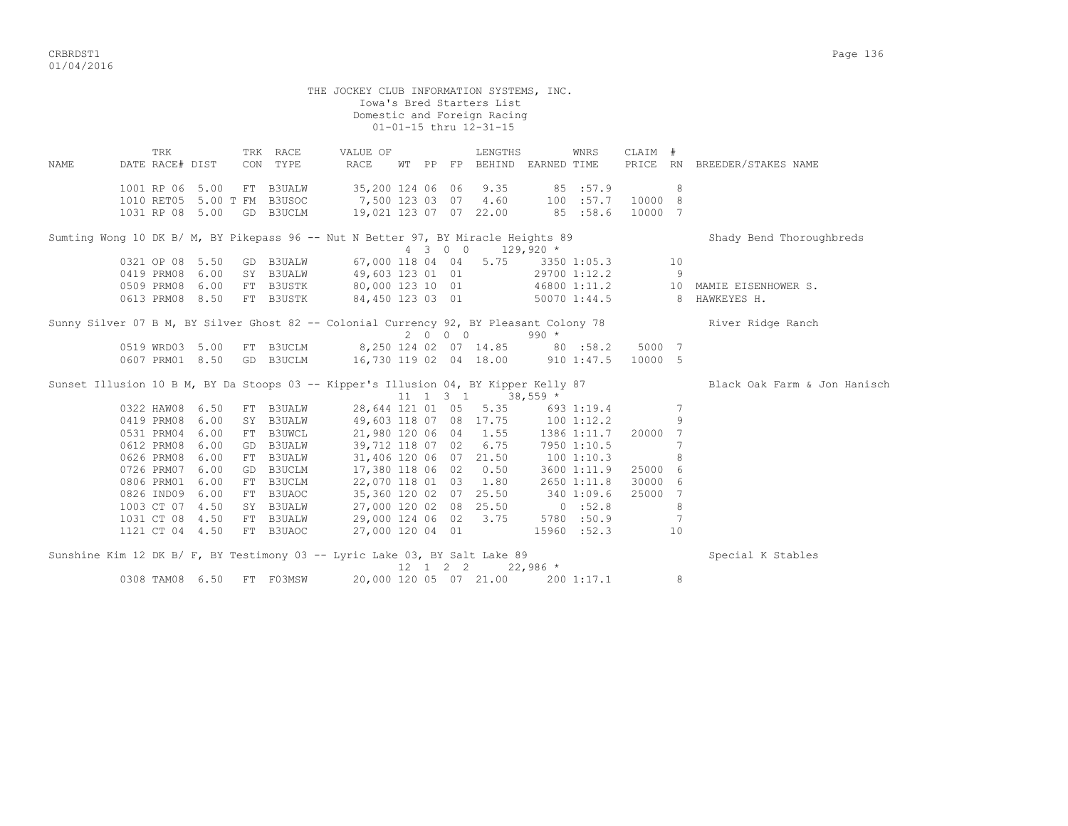CRBRDST1 Page 136 01/04/2016

THE JOCKEY CLUB INFORMATION SYSTEMS, INC. Iowa's Bred Starters List Domestic and Foreign Racing 01-01-15 thru 12-31-15 TRK TRK RACE VALUE OF LENGTHS WNRS CLAIM # NAME DATE RACE# DIST CON TYPE RACE WT PP FP BEHIND EARNED TIME PRICE RN BREEDER/STAKES NAME 1001 RP 06 5.00 FT B3UALW 35,200 124 06 06 9.35 85 :57.9 8 1010 RET05 5.00 T FM B3USOC 7,500 123 03 07 4.60 100 :57.7 10000 8 1031 RP 08 5.00 GD B3UCLM 19,021 123 07 07 22.00 85 :58.6 10000 7 Sumting Wong 10 DK B/ M, BY Pikepass 96 -- Nut N Better 97, BY Miracle Heights 89 Shady Bend Thoroughbreds  $4$  3 0 0 129,920  $*$ 0321 OP 08 5.50 GD B3UALW 67,000 118 04 04 5.75 3350 1:05.3 10 0419 PRM08 6.00 SY B3UALW 49,603 123 01 01 29700 1:12.2 9 0509 PRM08 6.00 FT B3USTK 80,000 123 10 01 46800 1:11.2 10 MAMIE EISENHOWER S. 0613 PRM08 8.50 FT B3USTK 84,450 123 03 01 50070 1:44.5 8 HAWKEYES H. Sunny Silver 07 B M, BY Silver Ghost 82 -- Colonial Currency 92, BY Pleasant Colony 78 River Ridge Ranch 2 0 0 0 990 \* 0519 WRD03 5.00 FT B3UCLM 8,250 124 02 07 14.85 80 :58.2 5000 7 0607 PRM01 8.50 GD B3UCLM 16,730 119 02 04 18.00 910 1:47.5 10000 5 Sunset Illusion 10 B M, BY Da Stoops 03 -- Kipper's Illusion 04, BY Kipper Kelly 87 Black Oak Farm & Jon Hanisch  $11$  1 3 1  $38,559$  \* 0322 HAW08 6.50 FT B3UALW 28,644 121 01 05 5.35 693 1:19.4 7 0419 PRM08 6.00 SY B3UALW 49,603 118 07 08 17.75 100 1:12.2 9 0531 PRM04 6.00 FT B3UWCL 21,980 120 06 04 1.55 1386 1:11.7 20000 7 0612 PRM08 6.00 GD B3UALW 39,712 118 07 02 6.75 7950 1:10.5 7 0626 PRM08 6.00 FT B3UALW 31,406 120 06 07 21.50 100 1:10.3 8 0726 PRM07 6.00 GD B3UCLM 17,380 118 06 02 0.50 3600 1:11.9 25000 6 0806 PRM01 6.00 FT B3UCLM 22,070 118 01 03 1.80 2650 1:11.8 30000 6 0826 IND09 6.00 FT B3UAOC 35,360 120 02 07 25.50 340 1:09.6 25000 7 1003 CT 07 4.50 SY B3UALW 27,000 120 02 08 25.50 0 :52.8 8 1031 CT 08 4.50 FT B3UALW 29,000 124 06 02 3.75 5780 :50.9 7 1121 CT 04 4.50 FT B3UAOC 27,000 120 04 01 15960 :52.3 10 Sunshine Kim 12 DK B/ F, BY Testimony 03 -- Lyric Lake 03, BY Salt Lake 89 Special K Stables  $12$  1 2 2 22,986 \*<br>00 120 05 07 22,986 \*

0308 TAM08 6.50 FT F03MSW 20,000 120 05 07 21.00 200 1:17.1 8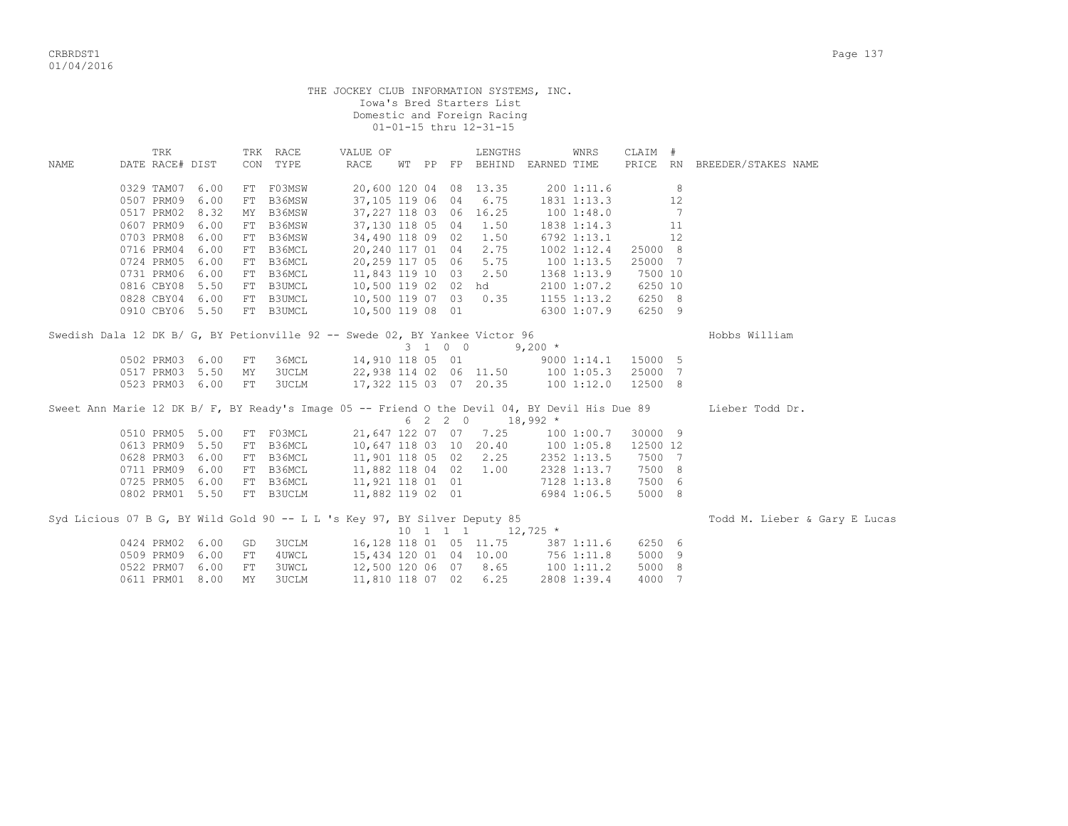|      |                                                                                               |      |            |              | THE JOCKEY CLUB INFORMATION SYSTEMS, INC. |  |         | Iowa's Bred Starters List<br>Domestic and Foreign Racing<br>01-01-15 thru 12-31-15 |           |                 |          |    |                               |
|------|-----------------------------------------------------------------------------------------------|------|------------|--------------|-------------------------------------------|--|---------|------------------------------------------------------------------------------------|-----------|-----------------|----------|----|-------------------------------|
|      | TRK                                                                                           |      |            | TRK RACE     | VALUE OF                                  |  |         | LENGTHS                                                                            |           | WNRS            | CLAIM #  |    |                               |
| NAME | DATE RACE# DIST                                                                               |      |            | CON TYPE     | RACE                                      |  |         | WT PP FP BEHIND EARNED TIME                                                        |           |                 |          |    | PRICE RN BREEDER/STAKES NAME  |
|      |                                                                                               |      |            |              |                                           |  |         |                                                                                    |           |                 |          |    |                               |
|      | 0329 TAM07                                                                                    | 6.00 |            | FT F03MSW    | 20,600 120 04 08 13.35                    |  |         |                                                                                    |           | 2001:11.6       |          | 8  |                               |
|      | 0507 PRM09                                                                                    | 6.00 |            | FT B36MSW    | 37,105 119 06 04                          |  |         | 6.75                                                                               |           | 1831 1:13.3     |          | 12 |                               |
|      | 0517 PRM02                                                                                    | 8.32 |            | MY B36MSW    | 37, 227 118 03 06 16.25                   |  |         |                                                                                    |           | 1001:48.0       |          | 7  |                               |
|      | 0607 PRM09                                                                                    | 6.00 |            | FT B36MSW    |                                           |  |         | 37,130 118 05 04 1.50                                                              |           | 1838 1:14.3     |          | 11 |                               |
|      | 0703 PRM08                                                                                    | 6.00 |            | FT B36MSW    | 34,490 118 09 02 1.50                     |  |         |                                                                                    |           | 6792 1:13.1     |          | 12 |                               |
|      | 0716 PRM04                                                                                    | 6.00 |            | FT B36MCL    | 20,240 117 01 04 2.75                     |  |         |                                                                                    |           | $1002$ $1:12.4$ | 25000 8  |    |                               |
|      | 0724 PRM05                                                                                    | 6.00 |            | FT B36MCL    | 20,259 117 05 06 5.75                     |  |         |                                                                                    |           | $100$ $1:13.5$  | 25000 7  |    |                               |
|      | 0731 PRM06                                                                                    | 6.00 |            | FT B36MCL    | 11,843 119 10 03 2.50                     |  |         |                                                                                    |           | 1368 1:13.9     | 7500 10  |    |                               |
|      | 0816 CBY08                                                                                    | 5.50 |            | FT B3UMCL    | 10,500 119 02 02 hd                       |  |         |                                                                                    |           | 2100 1:07.2     | 6250 10  |    |                               |
|      | 0828 CBY04 6.00                                                                               |      |            | FT B3UMCL    | 10,500 119 07 03 0.35                     |  |         |                                                                                    |           | $1155$ $1:13.2$ | 6250 8   |    |                               |
|      | 0910 CBY06 5.50                                                                               |      |            | FT B3UMCL    | 10,500 119 08 01                          |  |         |                                                                                    |           | 6300 1:07.9     | 6250 9   |    |                               |
|      | Swedish Dala 12 DK B/ G, BY Petionville 92 -- Swede 02, BY Yankee Victor 96                   |      |            |              |                                           |  | 3 1 0 0 |                                                                                    | $9,200$ * |                 |          |    | Hobbs William                 |
|      | 0502 PRM03 6.00                                                                               |      | FT         | 36MCL        | 14,910 118 05 01                          |  |         |                                                                                    |           | 9000 1:14.1     | 15000 5  |    |                               |
|      | 0517 PRM03                                                                                    | 5.50 | MΥ         | 3UCLM        | 22,938 114 02 06 11.50                    |  |         |                                                                                    | 1001:05.3 |                 | 25000 7  |    |                               |
|      | 0523 PRM03 6.00                                                                               |      | FT         | <b>3UCLM</b> |                                           |  |         | 17,322 115 03 07 20.35                                                             |           | 100 1:12.0      | 12500 8  |    |                               |
|      | Sweet Ann Marie 12 DK B/ F, BY Ready's Image 05 -- Friend O the Devil 04, BY Devil His Due 89 |      |            |              |                                           |  |         | $6 \quad 2 \quad 2 \quad 0 \quad 18,992 \neq$                                      |           |                 |          |    | Lieber Todd Dr.               |
|      | 0510 PRM05                                                                                    | 5.00 |            | FT F03MCL    |                                           |  |         | 21,647 122 07 07 7.25                                                              |           | 1001:00.7       | 30000 9  |    |                               |
|      | 0613 PRM09                                                                                    | 5.50 |            | FT B36MCL    | 10,647 118 03 10 20.40                    |  |         |                                                                                    |           | 1001:05.8       | 12500 12 |    |                               |
|      | 0628 PRM03                                                                                    | 6.00 |            | FT B36MCL    | 11,901 118 05 02 2.25                     |  |         |                                                                                    |           | 2352 1:13.5     | 7500 7   |    |                               |
|      | 0711 PRM09                                                                                    | 6.00 |            | FT B36MCL    | 11,882 118 04 02 1.00                     |  |         |                                                                                    |           | 2328 1:13.7     | 7500 8   |    |                               |
|      | 0725 PRM05 6.00                                                                               |      |            | FT B36MCL    | 11,921 118 01 01                          |  |         |                                                                                    |           | 7128 1:13.8     | 7500 6   |    |                               |
|      | 0802 PRM01 5.50                                                                               |      |            | FT B3UCLM    | 11,882 119 02 01                          |  |         |                                                                                    |           | 6984 1:06.5     | 5000 8   |    |                               |
|      | Syd Licious 07 B G, BY Wild Gold 90 -- L L 's Key 97, BY Silver Deputy 85                     |      |            |              |                                           |  |         | $10 \quad 1 \quad 1 \quad 1 \qquad 12,725 \star$                                   |           |                 |          |    | Todd M. Lieber & Gary E Lucas |
|      | 0424 PRM02                                                                                    | 6.00 | GD         | 3UCLM        | 16,128 118 01 05 11.75                    |  |         |                                                                                    |           | 387 1:11.6      | 6250 6   |    |                               |
|      | 0509 PRM09                                                                                    | 6.00 | FT         | 4UWCL        | 15,434 120 01 04 10.00                    |  |         |                                                                                    |           | 756 1:11.8      | 5000 9   |    |                               |
|      | 0522 PRM07                                                                                    | 6.00 | ${\rm FT}$ | <b>3UWCL</b> | 12,500 120 06 07 8.65                     |  |         |                                                                                    |           | 100 1:11.2      | 5000 8   |    |                               |
|      | 0611 PRM01                                                                                    | 8.00 | <b>MY</b>  | <b>3UCLM</b> | 11,810 118 07 02                          |  |         | 6.25                                                                               |           | 2808 1:39.4     | 4000     | 7  |                               |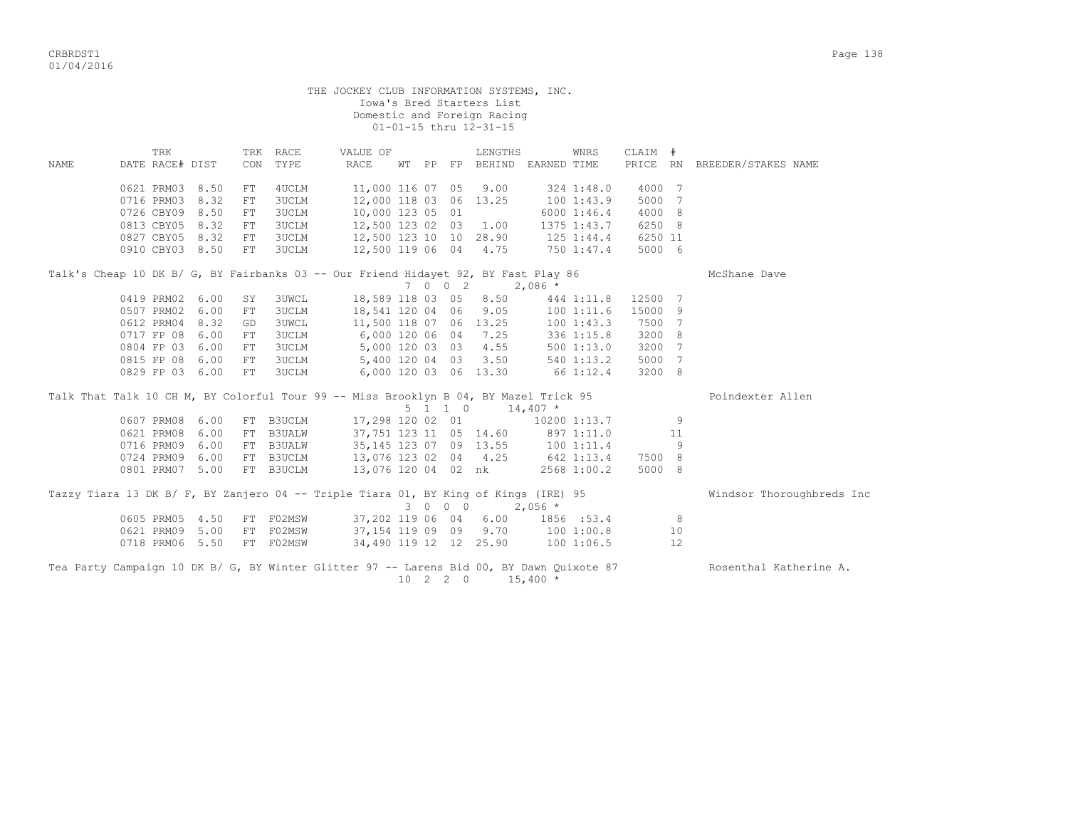|      | THE JOCKEY CLUB INFORMATION SYSTEMS, INC.<br>Iowa's Bred Starters List<br>Domestic and Foreign Racing<br>01-01-15 thru 12-31-15 |      |     |              |                                                                        |                  |         |  |                             |            |                                   |         |    |                              |  |
|------|---------------------------------------------------------------------------------------------------------------------------------|------|-----|--------------|------------------------------------------------------------------------|------------------|---------|--|-----------------------------|------------|-----------------------------------|---------|----|------------------------------|--|
|      | TRK                                                                                                                             |      |     | TRK RACE     | VALUE OF                                                               |                  |         |  | LENGTHS                     |            | WNRS                              | CLAIM # |    |                              |  |
| NAME | DATE RACE# DIST                                                                                                                 |      | CON | TYPE         | RACE                                                                   |                  |         |  | WT PP FP BEHIND EARNED TIME |            |                                   |         |    | PRICE RN BREEDER/STAKES NAME |  |
|      | 0621 PRM03 8.50                                                                                                                 |      | FT  | 4UCLM        | 11,000 116 07 05                                                       |                  |         |  | 9.00                        |            | 324 1:48.0                        | 4000 7  |    |                              |  |
|      | 0716 PRM03 8.32                                                                                                                 |      | FT  | <b>3UCLM</b> | 12,000 118 03 06 13.25                                                 |                  |         |  |                             |            | 100 1:43.9                        | 5000 7  |    |                              |  |
|      | 0726 CBY09 8.50                                                                                                                 |      | FT  | <b>3UCLM</b> | 10,000 123 05 01                                                       |                  |         |  |                             |            | 60001:46.4                        | 4000 8  |    |                              |  |
|      | 0813 CBY05 8.32                                                                                                                 |      | FT  | 3UCLM        |                                                                        |                  |         |  |                             |            | 12,500 123 02 03 1.00 1375 1:43.7 | 6250 8  |    |                              |  |
|      | 0827 CBY05 8.32                                                                                                                 |      | FT  | <b>3UCLM</b> |                                                                        |                  |         |  |                             |            | 12,500 123 10 10 28.90 125 1:44.4 | 6250 11 |    |                              |  |
|      | 0910 CBY03 8.50                                                                                                                 |      | FT  | <b>3UCLM</b> | 12,500 119 06 04 4.75                                                  |                  |         |  |                             |            | 750 1:47.4                        | 5000 6  |    |                              |  |
|      | Talk's Cheap 10 DK B/ G, BY Fairbanks 03 -- Our Friend Hidayet 92, BY Fast Play 86                                              |      |     |              |                                                                        |                  |         |  |                             |            |                                   |         |    | McShane Dave                 |  |
|      |                                                                                                                                 |      |     |              |                                                                        |                  | 7 0 0 2 |  |                             | $2,086$ *  |                                   |         |    |                              |  |
|      | 0419 PRM02 6.00                                                                                                                 |      | SY  | <b>3UWCL</b> | 18,589 118 03 05                                                       |                  |         |  | 8.50                        |            | 444 1:11.8                        | 12500 7 |    |                              |  |
|      | 0507 PRM02 6.00                                                                                                                 |      | FT  | <b>3UCLM</b> | 18,541 120 04 06                                                       |                  |         |  | 9.05                        |            | 1001:11.6                         | 15000 9 |    |                              |  |
|      | 0612 PRM04 8.32                                                                                                                 |      | GD  | <b>3UWCL</b> | 11,500 118 07 06 13.25<br>6,000 120 06 04 7.25<br>5,000 120 03 03 4.55 |                  |         |  |                             |            | 1001:43.3                         | 7500 7  |    |                              |  |
|      | 0717 FP 08 6.00                                                                                                                 |      | FT  | 3UCLM        |                                                                        |                  |         |  |                             |            | 3361:15.8                         | 3200 8  |    |                              |  |
|      | 0804 FP 03 6.00                                                                                                                 |      | FT  | <b>3UCLM</b> |                                                                        |                  |         |  |                             |            | 5001:13.0                         | 3200 7  |    |                              |  |
|      | 0815 FP 08 6.00                                                                                                                 |      | FT  | <b>3UCLM</b> | 5,400 120 04 03 3.50                                                   |                  |         |  |                             |            | 540 1:13.2                        | 5000 7  |    |                              |  |
|      | 0829 FP 03 6.00                                                                                                                 |      | FT  | <b>3UCLM</b> | 6,000 120 03 06 13.30                                                  |                  |         |  |                             |            | 66 1:12.4                         | 3200 8  |    |                              |  |
|      | Talk That Talk 10 CH M, BY Colorful Tour 99 -- Miss Brooklyn B 04, BY Mazel Trick 95                                            |      |     |              |                                                                        |                  |         |  |                             |            |                                   |         |    | Poindexter Allen             |  |
|      |                                                                                                                                 |      |     |              |                                                                        |                  | 5 1 1 0 |  |                             | $14,407$ * |                                   |         |    |                              |  |
|      | 0607 PRM08 6.00                                                                                                                 |      |     | FT B3UCLM    | 17,298 120 02 01                                                       |                  |         |  |                             |            | 10200 1:13.7                      |         | 9  |                              |  |
|      | 0621 PRM08                                                                                                                      | 6.00 |     | FT B3UALW    |                                                                        |                  |         |  |                             |            | 37,751 123 11 05 14.60 897 1:11.0 |         | 11 |                              |  |
|      | 0716 PRM09 6.00                                                                                                                 |      |     | FT B3UALW    | 35, 145 123 07 09 13.55                                                |                  |         |  |                             |            | 100 1:11.4<br>642 1:13.4          |         | 9  |                              |  |
|      | 0724 PRM09 6.00                                                                                                                 |      |     | FT B3UCLM    | 13,076 123 02 04 4.25                                                  |                  |         |  |                             |            |                                   | 7500 8  |    |                              |  |
|      | 0801 PRM07 5.00                                                                                                                 |      |     | FT B3UCLM    | 13,076 120 04 02 nk                                                    |                  |         |  |                             |            | 2568 1:00.2                       | 5000 8  |    |                              |  |
|      | Tazzy Tiara 13 DK B/ F, BY Zanjero 04 -- Triple Tiara 01, BY King of Kings (IRE) 95                                             |      |     |              |                                                                        |                  | 3 0 0 0 |  |                             | $2,056$ *  |                                   |         |    | Windsor Thoroughbreds Inc    |  |
|      | 0605 PRM05 4.50                                                                                                                 |      |     | FT F02MSW    | 37,202 119 06 04                                                       |                  |         |  | 6.00                        |            | 1856 :53.4                        |         | 8  |                              |  |
|      | 0621 PRM09 5.00                                                                                                                 |      |     | FT F02MSW    |                                                                        |                  |         |  |                             |            | 37,154 119 09 09 9.70 100 1:00.8  |         | 10 |                              |  |
|      | 0718 PRM06 5.50                                                                                                                 |      |     | FT F02MSW    | 34,490 119 12 12 25.90                                                 |                  |         |  |                             |            | 100 1:06.5                        |         | 12 |                              |  |
|      | Tea Party Campaign 10 DK B/ G, BY Winter Glitter 97 -- Larens Bid 00, BY Dawn Quixote 87                                        |      |     |              |                                                                        | $10 \t2 \t2 \t0$ |         |  |                             | $15,400*$  |                                   |         |    | Rosenthal Katherine A.       |  |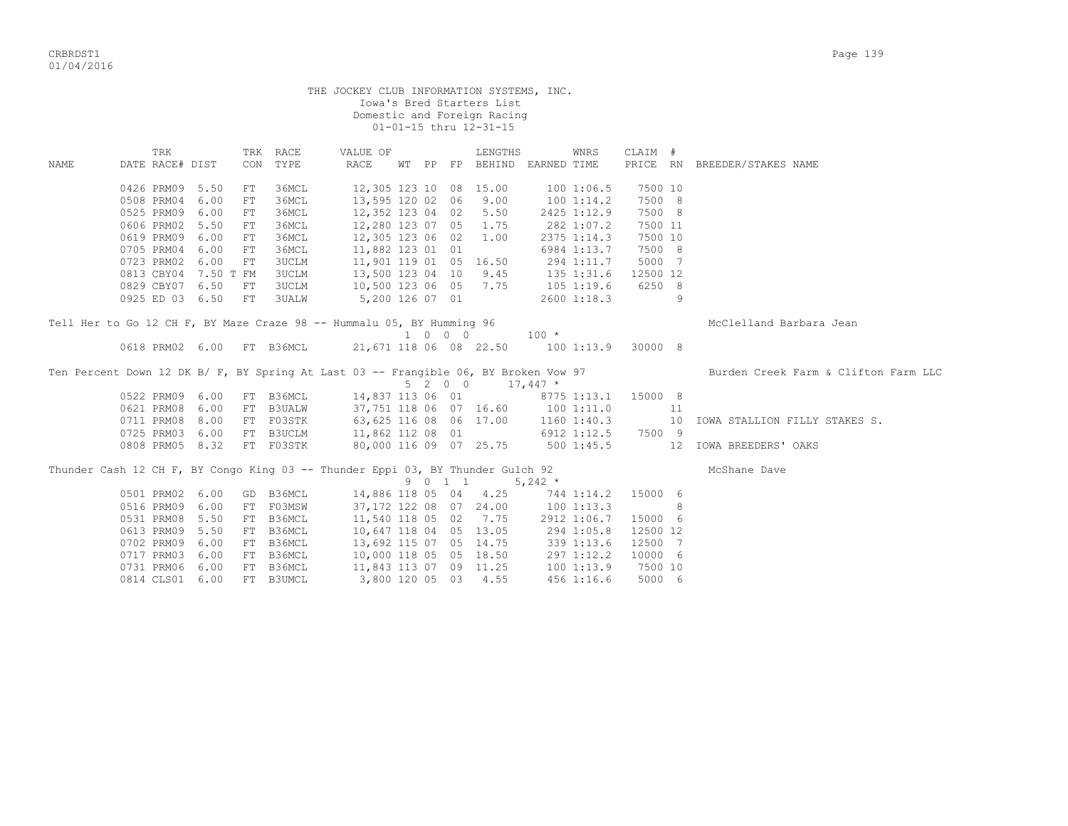|      |                                                                                                                                                          |      |            |                      | THE JOCKEY CLUB INFORMATION SYSTEMS, INC. |  |  |         | Iowa's Bred Starters List<br>Domestic and Foreign Racing<br>01-01-15 thru 12-31-15 |            |             |          |   |                                      |  |
|------|----------------------------------------------------------------------------------------------------------------------------------------------------------|------|------------|----------------------|-------------------------------------------|--|--|---------|------------------------------------------------------------------------------------|------------|-------------|----------|---|--------------------------------------|--|
| NAME | TRK<br>DATE RACE# DIST                                                                                                                                   |      |            | TRK RACE<br>CON TYPE | VALUE OF<br>RACE                          |  |  |         | LENGTHS<br>WT PP FP BEHIND EARNED TIME                                             |            | WNRS        | CLAIM #  |   | PRICE RN BREEDER/STAKES NAME         |  |
|      |                                                                                                                                                          |      |            |                      |                                           |  |  |         |                                                                                    |            |             |          |   |                                      |  |
|      | 0426 PRM09                                                                                                                                               | 5.50 | FT         | 36MCL                | 12,305 123 10 08 15.00                    |  |  |         |                                                                                    |            | 1001:06.5   | 7500 10  |   |                                      |  |
|      | 0508 PRM04 6.00                                                                                                                                          |      | FT         | 36MCL                | 13,595 120 02 06 9.00                     |  |  |         |                                                                                    | 100 1:14.2 |             | 7500 8   |   |                                      |  |
|      | 0525 PRM09                                                                                                                                               | 6.00 | FT         | 36MCL                | 12,352 123 04 02 5.50                     |  |  |         |                                                                                    |            | 2425 1:12.9 | 7500 8   |   |                                      |  |
|      | 0606 PRM02 5.50                                                                                                                                          |      | FT         | 36MCL                | 12,280 123 07 05 1.75                     |  |  |         |                                                                                    |            | 282 1:07.2  | 7500 11  |   |                                      |  |
|      | 0619 PRM09                                                                                                                                               | 6.00 | FT         | 36MCL                | 12,305 123 06 02                          |  |  |         | 1.00                                                                               |            | 2375 1:14.3 | 7500 10  |   |                                      |  |
|      | 0705 PRM04                                                                                                                                               | 6.00 | ${\rm FT}$ | 36MCL                | 11,882 123 01 01                          |  |  |         |                                                                                    |            | 6984 1:13.7 | 7500 8   |   |                                      |  |
|      | 0723 PRM02                                                                                                                                               | 6.00 | FT         | 3UCLM                | 11,901 119 01 05 16.50                    |  |  |         |                                                                                    |            | 294 1:11.7  | 5000 7   |   |                                      |  |
|      | 0813 CBY04 7.50 T FM                                                                                                                                     |      |            | <b>3UCLM</b>         | 13,500 123 04 10 9.45                     |  |  |         |                                                                                    | 135 1:31.6 |             | 12500 12 |   |                                      |  |
|      | 0829 CBY07 6.50                                                                                                                                          |      | FT         | 3UCLM                | 10,500 123 06 05 7.75                     |  |  |         |                                                                                    | 105 1:19.6 |             | 6250 8   |   |                                      |  |
|      |                                                                                                                                                          |      |            | <b>3UALW</b>         |                                           |  |  |         |                                                                                    |            |             |          | 9 |                                      |  |
|      | 5,200 126 07 01<br>0925 ED 03 6.50 FT<br>2600 1:18.3<br>Tell Her to Go 12 CH F, BY Maze Craze 98 -- Hummalu 05, BY Humming 96<br>McClelland Barbara Jean |      |            |                      |                                           |  |  |         |                                                                                    |            |             |          |   |                                      |  |
|      |                                                                                                                                                          |      |            |                      |                                           |  |  |         |                                                                                    |            |             |          |   |                                      |  |
|      |                                                                                                                                                          |      |            |                      |                                           |  |  |         | $1 0 0 0 100 *$                                                                    |            |             |          |   |                                      |  |
|      | 0618 PRM02 6.00 FT B36MCL                                                                                                                                |      |            |                      | 21,671 118 06 08 22.50 100 1:13.9 30000 8 |  |  |         |                                                                                    |            |             |          |   |                                      |  |
|      | Ten Percent Down 12 DK B/ F, BY Spring At Last 03 -- Frangible 06, BY Broken Vow 97                                                                      |      |            |                      |                                           |  |  |         | $5 \t2 \t0 \t0 \t17,447 \t*$                                                       |            |             |          |   | Burden Creek Farm & Clifton Farm LLC |  |
|      | 0522 PRM09 6.00                                                                                                                                          |      |            | FT B36MCL            | 14,837 113 06 01 8775 1:13.1              |  |  |         |                                                                                    |            |             | 15000 8  |   |                                      |  |
|      | 0621 PRM08                                                                                                                                               | 6.00 |            | FT B3UALW            | 37,751 118 06 07 16.60 100 1:11.0         |  |  |         |                                                                                    |            |             | 11       |   |                                      |  |
|      | 0711 PRM08                                                                                                                                               | 8.00 |            | FT F03STK            |                                           |  |  |         |                                                                                    |            |             |          |   | 10 IOWA STALLION FILLY STAKES S.     |  |
|      | 0725 PRM03 6.00                                                                                                                                          |      |            | FT B3UCLM            |                                           |  |  |         |                                                                                    |            |             |          |   |                                      |  |
|      | 0808 PRM05 8.32                                                                                                                                          |      |            | FT F03STK            | 80,000 116 09 07 25.75                    |  |  |         |                                                                                    | 5001:45.5  |             |          |   | 12 IOWA BREEDERS' OAKS               |  |
|      | Thunder Cash 12 CH F, BY Congo King 03 -- Thunder Eppi 03, BY Thunder Gulch 92                                                                           |      |            |                      |                                           |  |  | 9 0 1 1 |                                                                                    | $5,242$ *  |             |          |   | McShane Dave                         |  |
|      | 0501 PRM02 6.00                                                                                                                                          |      |            | GD B36MCL            | 14,886 118 05 04 4.25                     |  |  |         |                                                                                    | 744 1:14.2 |             | 15000 6  |   |                                      |  |
|      | 0516 PRM09 6.00                                                                                                                                          |      |            | FT F03MSW            | 37,172 122 08 07 24.00                    |  |  |         |                                                                                    | 1001:13.3  |             |          | 8 |                                      |  |
|      | 0531 PRM08 5.50                                                                                                                                          |      |            | FT B36MCL            | 11,540 118 05 02 7.75                     |  |  |         |                                                                                    |            | 2912 1:06.7 | 15000 6  |   |                                      |  |
|      | 0613 PRM09 5.50                                                                                                                                          |      |            | FT B36MCL            | 10,647 118 04 05 13.05                    |  |  |         |                                                                                    | 294 1:05.8 |             | 12500 12 |   |                                      |  |
|      | 0702 PRM09                                                                                                                                               | 6.00 |            | FT B36MCL            | 13,692 115 07 05 14.75                    |  |  |         |                                                                                    |            | 339 1:13.6  | 12500 7  |   |                                      |  |
|      | 0717 PRM03                                                                                                                                               | 6.00 |            | FT B36MCL            | 10,000 118 05 05 18.50                    |  |  |         |                                                                                    |            | 297 1:12.2  | 10000 6  |   |                                      |  |
|      | 0731 PRM06                                                                                                                                               | 6.00 |            | FT B36MCL            | 11,843 113 07 09 11.25                    |  |  |         |                                                                                    |            | 1001:13.9   | 7500 10  |   |                                      |  |

0814 CLS01 6.00 FT B3UMCL 3,800 120 05 03 4.55 456 1:16.6 5000 6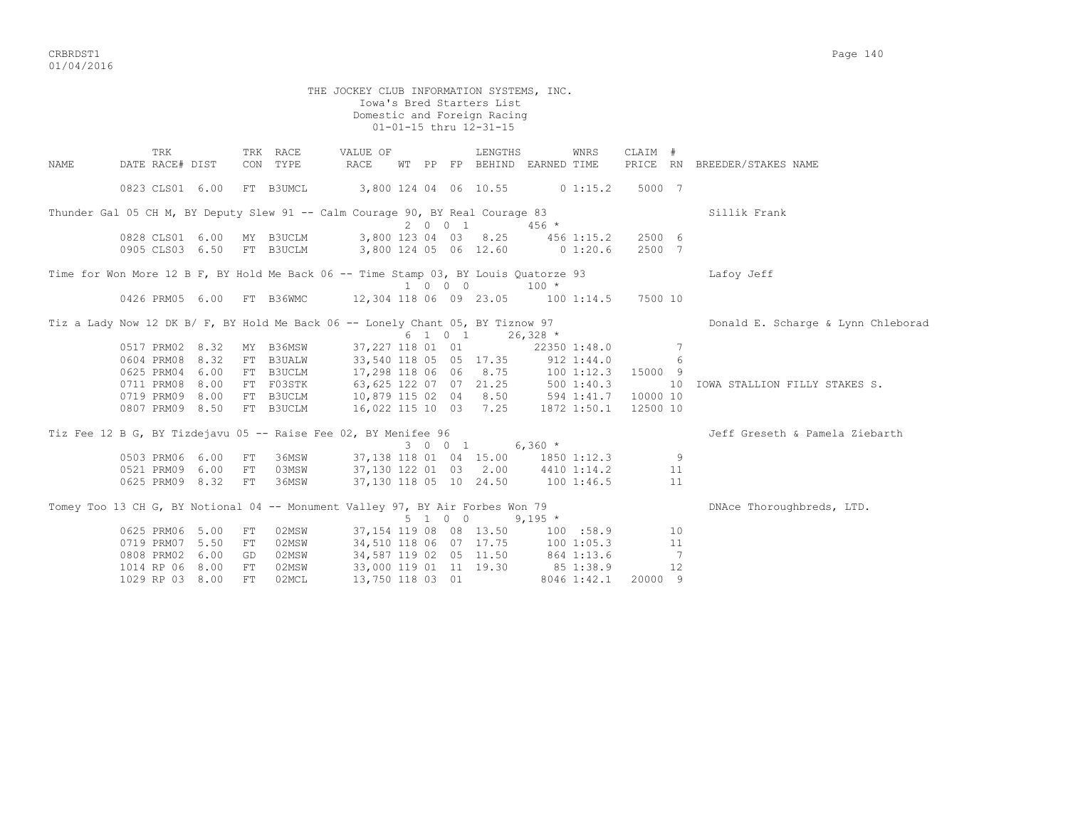|      |                           |    |                      | THE JOCKEY CLUB INFORMATION SYSTEMS, INC.                                                          |         | Iowa's Bred Starters List<br>Domestic and Foreign Racing<br>01-01-15 thru 12-31-15 |           |             |          |                |                                    |
|------|---------------------------|----|----------------------|----------------------------------------------------------------------------------------------------|---------|------------------------------------------------------------------------------------|-----------|-------------|----------|----------------|------------------------------------|
|      |                           |    |                      |                                                                                                    |         |                                                                                    |           |             |          |                |                                    |
| NAME | TRK<br>DATE RACE# DIST    |    | TRK RACE<br>CON TYPE | VALUE OF<br>RACE                                                                                   |         | LENGTHS<br>WT PP FP BEHIND EARNED TIME                                             |           | WNRS        | CLAIM #  |                | PRICE RN BREEDER/STAKES NAME       |
|      | 0823 CLS01 6.00 FT B3UMCL |    |                      | 3,800 124 04 06 10.55 0 1:15.2 5000 7                                                              |         |                                                                                    |           |             |          |                |                                    |
|      |                           |    |                      | Thunder Gal 05 CH M, BY Deputy Slew 91 -- Calm Courage 90, BY Real Courage 83                      | 2001    |                                                                                    | $456$ *   |             |          |                | Sillik Frank                       |
|      | 0828 CLS01 6.00 MY B3UCLM |    |                      | 3,800 123 04 03 8.25 456 1:15.2                                                                    |         |                                                                                    |           |             | 2500 6   |                |                                    |
|      | 0905 CLS03 6.50 FT B3UCLM |    |                      | 3,800 124 05 06 12.60 0 1:20.6                                                                     |         |                                                                                    |           |             | 2500 7   |                |                                    |
|      |                           |    |                      | Time for Won More 12 B F, BY Hold Me Back 06 -- Time Stamp 03, BY Louis Quatorze 93                |         | 1 0 0 0                                                                            | $100 *$   |             |          |                | Lafoy Jeff                         |
|      |                           |    |                      | 0426 PRM05 6.00 FT B36WMC 12,304 118 06 09 23.05 100 1:14.5 7500 10                                |         |                                                                                    |           |             |          |                |                                    |
|      |                           |    |                      | Tiz a Lady Now 12 DK B/ F, BY Hold Me Back 06 -- Lonely Chant 05, BY Tiznow 97<br>6 1 0 1 26,328 * |         | 6 1 0 1 26,328 $\star$                                                             |           |             |          |                | Donald E. Scharge & Lynn Chleborad |
|      | 0517 PRM02 8.32           |    | MY B36MSW            |                                                                                                    |         | 37,227 118 01 01 22350 1:48.0 7                                                    |           |             |          |                |                                    |
|      | 0604 PRM08 8.32           |    | FT B3UALW            | 33,540 118 05 05 17.35 912 1:44.0                                                                  |         |                                                                                    |           |             |          | 6              |                                    |
|      | 0625 PRM04 6.00 FT B3UCLM |    |                      | 17,298 118 06 06 8.75 100 1:12.3 15000 9                                                           |         |                                                                                    |           |             |          |                |                                    |
|      | 0711 PRM08 8.00           |    | FT F03STK            | 63,625 122 07 07 21.25 500 1:40.3<br>10,879 115 02 04 8.50 594 1:41.7                              |         |                                                                                    |           |             |          |                | 10 IOWA STALLION FILLY STAKES S.   |
|      | 0719 PRM09 8.00 FT B3UCLM |    |                      |                                                                                                    |         |                                                                                    |           |             | 10000 10 |                |                                    |
|      | 0807 PRM09 8.50 FT B3UCLM |    |                      | 16,022 115 10 03 7.25 1872 1:50.1 12500 10                                                         |         |                                                                                    |           |             |          |                |                                    |
|      |                           |    |                      | Tiz Fee 12 B G, BY Tizdejavu 05 -- Raise Fee 02, BY Menifee 96                                     |         |                                                                                    |           |             |          |                | Jeff Greseth & Pamela Ziebarth     |
|      |                           |    |                      |                                                                                                    |         | 3 0 0 1                                                                            | $6,360$ * |             |          |                |                                    |
|      | 0503 PRM06 6.00           | FT | 36MSW                |                                                                                                    |         | 37, 138 118 01 04 15.00 1850 1:12.3 9                                              |           |             |          |                |                                    |
|      | 0521 PRM09 6.00           | FT | 03MSW                | 37,130 122 01 03 2.00 4410 1:14.2 11                                                               |         |                                                                                    |           |             |          |                |                                    |
|      | 0625 PRM09 8.32 FT        |    | 36MSW                |                                                                                                    |         | 37,130 118 05 10 24.50 100 1:46.5                                                  |           |             |          | 11             |                                    |
|      |                           |    |                      | Tomey Too 13 CH G, BY Notional 04 -- Monument Valley 97, BY Air Forbes Won 79                      | 5 1 0 0 |                                                                                    | 9,195 $*$ |             |          |                | DNAce Thoroughbreds, LTD.          |
|      | 0625 PRM06 5.00           | FT | 02MSW                |                                                                                                    |         | 37,154 119 08 08 13.50 100 :58.9                                                   |           |             | 10       |                |                                    |
|      | 0719 PRM07 5.50           | FT | 02MSW                |                                                                                                    |         | 34,510 118 06 07 17.75 100 1:05.3                                                  |           |             |          | 11             |                                    |
|      | 0808 PRM02 6.00           | GD | 02MSW                |                                                                                                    |         | 34,587 119 02 05 11.50 864 1:13.6                                                  |           |             |          | $\overline{7}$ |                                    |
|      | 1014 RP 06 8.00           | FT | 02MSW                |                                                                                                    |         | 33,000 119 01 11 19.30                                                             |           | 85 1:38.9   |          | 12             |                                    |
|      | 1029 RP 03 8.00           | FT | 02MCL                | 13,750 118 03 01                                                                                   |         |                                                                                    |           | 8046 1:42.1 | 20000 9  |                |                                    |
|      |                           |    |                      |                                                                                                    |         |                                                                                    |           |             |          |                |                                    |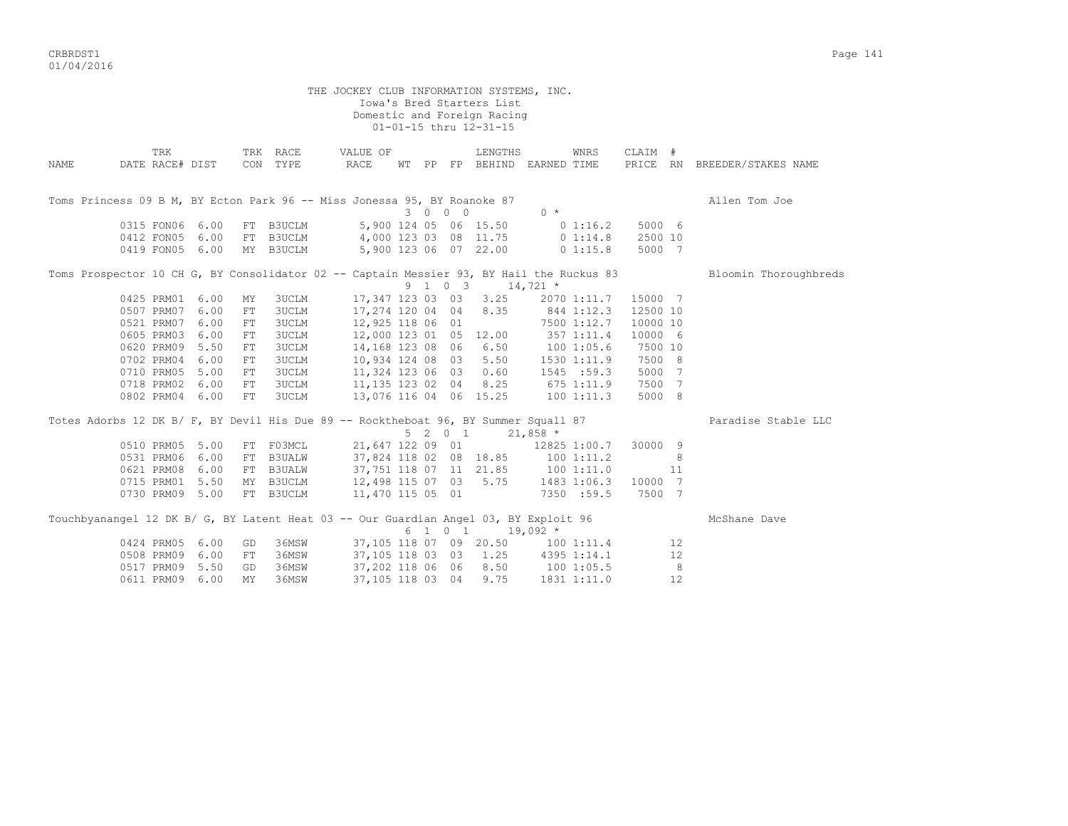CRBRDST1 Page 141 01/04/2016

THE JOCKEY CLUB INFORMATION SYSTEMS, INC. Iowa's Bred Starters List Domestic and Foreign Racing 01-01-15 thru 12-31-15 TRK TRK RACE VALUE OF LENGTHS WNRS CLAIM # NAME DATE RACE# DIST CON TYPE RACE WT PP FP BEHIND EARNED TIME PRICE RN BREEDER/STAKES NAME Toms Princess 09 B M, BY Ecton Park 96 -- Miss Jonessa 95, BY Roanoke 87 Allen Tom Joe Allen Tom Joe  $3 \t 0 \t 0 \t 0$   $0 \t \star$  0315 FON06 6.00 FT B3UCLM 5,900 124 05 06 15.50 0 1:16.2 5000 6 0412 FON05 6.00 FT B3UCLM 4,000 123 03 08 11.75 0 1:14.8 2500 10 0419 FON05 6.00 MY B3UCLM 5,900 123 06 07 22.00 0 1:15.8 5000 7 Toms Prospector 10 CH G, BY Consolidator 02 -- Captain Messier 93, BY Hail the Ruckus 83 Bloomin Thoroughbreds<br>9 1 0 3 14.721 \*  $9 \t1 \t0 \t3 \t14,721 \t*$  0425 PRM01 6.00 MY 3UCLM 17,347 123 03 03 3.25 2070 1:11.7 15000 7 0507 PRM07 6.00 FT 3UCLM 17,274 120 04 04 8.35 844 1:12.3 12500 10 0521 PRM07 6.00 FT 3UCLM 12,925 118 06 01 7500 1:12.7 10000 10 0605 PRM03 6.00 FT 3UCLM 12,000 123 01 05 12.00 357 1:11.4 10000 6 0620 PRM09 5.50 FT 3UCLM 14,168 123 08 06 6.50 100 1:05.6 7500 10 0702 PRM04 6.00 FT 3UCLM 10,934 124 08 03 5.50 1530 1:11.9 7500 8 0710 PRM05 5.00 FT 3UCLM 11,324 123 06 03 0.60 1545 :59.3 5000 7 0718 PRM02 6.00 FT 3UCLM 11,135 123 02 04 8.25 675 1:11.9 7500 7 0802 PRM04 6.00 FT 3UCLM 13,076 116 04 06 15.25 100 1:11.3 5000 8 Totes Adorbs 12 DK B/ F, BY Devil His Due 89 -- Rocktheboat 96, BY Summer Squall 87 Paradise Stable LLC  $5 \t2 \t0 \t1 \t21,858$  \* 0510 PRM05 5.00 FT F03MCL 21,647 122 09 01 12825 1:00.7 30000 9 0531 PRM06 6.00 FT B3UALW 37,824 118 02 08 18.85 100 1:11.2 8 0621 PRM08 6.00 FT B3UALW 37,751 118 07 11 21.85 100 1:11.0 11 0715 PRM01 5.50 MY B3UCLM 12,498 115 07 03 5.75 1483 1:06.3 10000 7 0730 PRM09 5.00 FT B3UCLM 11,470 115 05 01 7350 :59.5 7500 7

| Touchbyanangel 12 DK B/ G, BY Latent Heat 03 -- Our Guardian Angel 03, BY Exploit 96 |                    |           |       |                        |  |         |           |             |    | McShane Dave |
|--------------------------------------------------------------------------------------|--------------------|-----------|-------|------------------------|--|---------|-----------|-------------|----|--------------|
|                                                                                      |                    |           |       |                        |  | 6 1 0 1 | $19.092*$ |             |    |              |
|                                                                                      | 0424 PRM05 6.00 GD |           | 36MSW | 37,105 118 07 09 20.50 |  |         |           | 1001:11.4   |    |              |
|                                                                                      | 0508 PRM09 6.00 FT |           | 36MSW | 37,105 118 03 03 1.25  |  |         |           | 4395 1:14.1 | 12 |              |
|                                                                                      | 0517 PRM09 5.50    | GD.       | 36MSW | 37,202 118 06 06 8.50  |  |         |           | 1001:05.5   |    |              |
|                                                                                      | 0611 PRM09 6.00    | <b>MY</b> | 36MSW | 37,105 118 03 04 9.75  |  |         |           | 1831 1:11.0 |    |              |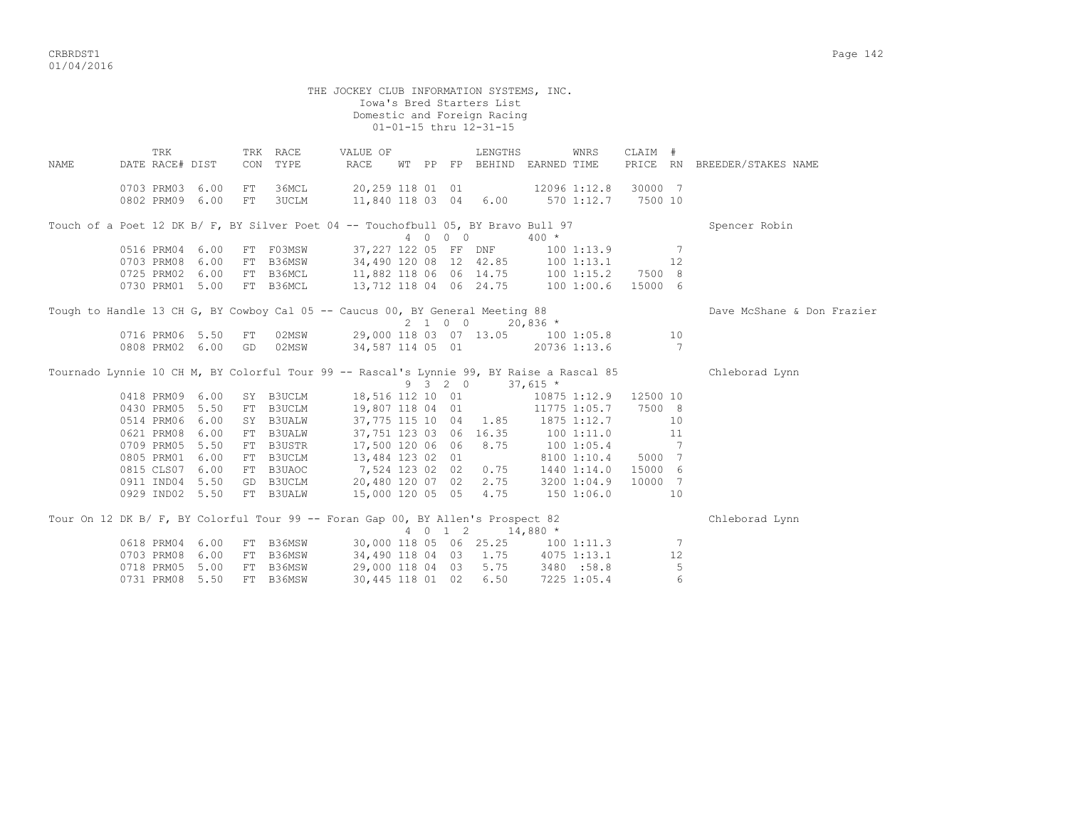|             |                                    |      |          |                          | THE JOCKEY CLUB INFORMATION SYSTEMS, INC.                                                                                                                                                           |  |         | Iowa's Bred Starters List<br>Domestic and Foreign Racing |            |                       |         |                |                              |
|-------------|------------------------------------|------|----------|--------------------------|-----------------------------------------------------------------------------------------------------------------------------------------------------------------------------------------------------|--|---------|----------------------------------------------------------|------------|-----------------------|---------|----------------|------------------------------|
|             |                                    |      |          |                          |                                                                                                                                                                                                     |  |         | 01-01-15 thru 12-31-15                                   |            |                       |         |                |                              |
| <b>NAME</b> | TRK<br>DATE RACE# DIST             |      |          | TRK RACE<br>CON TYPE     | VALUE OF<br>RACE                                                                                                                                                                                    |  |         | LENGTHS<br>WT PP FP BEHIND EARNED TIME                   |            | WNRS                  | CLAIM # |                | PRICE RN BREEDER/STAKES NAME |
|             | 0703 PRM03 6.00<br>0802 PRM09 6.00 |      | FT<br>FT |                          | 36MCL 20,259 118 01 01 12096 1:12.8 30000 7<br>3UCLM 11,840 118 03 04 6.00 570 1:12.7 7500 10                                                                                                       |  |         |                                                          |            |                       |         |                |                              |
|             |                                    |      |          |                          | Touch of a Poet 12 DK B/ F, BY Silver Poet 04 -- Touchofbull 05, BY Bravo Bull 97                                                                                                                   |  |         |                                                          |            |                       |         |                | Spencer Robin                |
|             |                                    |      |          |                          |                                                                                                                                                                                                     |  | 4 0 0 0 |                                                          | $400 *$    |                       |         |                |                              |
|             |                                    |      |          |                          |                                                                                                                                                                                                     |  |         |                                                          |            |                       |         |                |                              |
|             |                                    |      |          |                          | 0516 PRM04 6.00 FT F03MSW 37,227 122 05 FF DNF 100 1:13.9 7<br>0703 PRM08 6.00 FT B36MSW 34,490 120 08 12 42.85 100 1:13.1 12<br>0725 PRM02 6.00 FT B36MCL 11,882 118 06 06 14.75 100 1:15.2 7500 8 |  |         |                                                          |            |                       |         |                |                              |
|             |                                    |      |          |                          |                                                                                                                                                                                                     |  |         |                                                          |            |                       |         |                |                              |
|             | 0730 PRM01 5.00                    |      |          | FT B36MCL                | 13,712 118 04 06 24.75 100 1:00.6 15000 6                                                                                                                                                           |  |         |                                                          |            |                       |         |                |                              |
|             |                                    |      |          |                          | Tough to Handle 13 CH G, BY Cowboy Cal 05 -- Caucus 00, BY General Meeting 88                                                                                                                       |  |         |                                                          |            |                       |         |                | Dave McShane & Don Frazier   |
|             |                                    |      |          |                          |                                                                                                                                                                                                     |  | 2 1 0 0 |                                                          | $20,836$ * |                       |         |                |                              |
|             |                                    |      |          | 0716 PRM06 5.50 FT 02MSW |                                                                                                                                                                                                     |  |         | 29,000 118 03 07 13.05 100 1:05.8 10                     |            |                       |         |                |                              |
|             |                                    |      |          | 0808 PRM02 6.00 GD 02MSW | 34,587 114 05 01                                                                                                                                                                                    |  |         |                                                          |            | 20736 1:13.6          |         | $\overline{7}$ |                              |
|             |                                    |      |          |                          | Tournado Lynnie 10 CH M, BY Colorful Tour 99 -- Rascal's Lynnie 99, BY Raise a Rascal 85                                                                                                            |  |         |                                                          |            |                       |         |                | Chleborad Lynn               |
|             |                                    |      |          |                          |                                                                                                                                                                                                     |  |         | 9 3 2 0                                                  | $37,615$ * |                       |         |                |                              |
|             | 0418 PRM09 6.00                    |      |          |                          | SY B3UCLM 18,516 112 10 01                                                                                                                                                                          |  |         |                                                          |            | 10875 1:12.9 12500 10 |         |                |                              |
|             | 0430 PRM05 5.50                    |      |          |                          | FT B3UCLM 19,807 118 04 01                                                                                                                                                                          |  |         |                                                          |            | 11775 1:05.7 7500 8   |         |                |                              |
|             | 0514 PRM06 6.00                    |      |          | SY B3UALW                |                                                                                                                                                                                                     |  |         | 37,775 115 10 04 1.85 1875 1:12.7                        |            |                       |         | 10             |                              |
|             | 0621 PRM08                         | 6.00 |          | FT B3UALW                |                                                                                                                                                                                                     |  |         | 37,751 123 03 06 16.35 100 1:11.0                        |            |                       |         | 11             |                              |
|             | 0709 PRM05 5.50                    |      |          | FT B3USTR                |                                                                                                                                                                                                     |  |         | 17,500 120 06 06 8.75                                    |            | $1001:05.4$ 7         |         |                |                              |
|             | 0805 PRM01 6.00                    |      |          | FT B3UCLM                | 13,484 123 02 01<br>7,524 123 02 02 0.75 1440 1:14.0 15000 6<br>7,524 123 02 02 0.75 1440 1:14.0 15000 6                                                                                            |  |         |                                                          |            |                       |         |                |                              |
|             | 0815 CLS07 6.00                    |      |          | FT B3UAOC                |                                                                                                                                                                                                     |  |         |                                                          |            |                       |         |                |                              |
|             | 0911 IND04 5.50                    |      |          | GD B3UCLM                |                                                                                                                                                                                                     |  |         | 20,480 120 07 02 2.75 3200 1:04.9 10000 7                |            |                       |         |                |                              |
|             |                                    |      |          |                          | 0929 IND02 5.50 FT B3UALW 15,000 120 05 05 4.75 150 1:06.0                                                                                                                                          |  |         |                                                          |            |                       | 10      |                |                              |
|             |                                    |      |          |                          | Tour On 12 DK B/ F, BY Colorful Tour 99 -- Foran Gap 00, BY Allen's Prospect 82                                                                                                                     |  |         | 4 0 1 2 14,880 *                                         |            |                       |         |                | Chleborad Lynn               |
|             | 0618 PRM04 6.00                    |      |          | FT B36MSW                |                                                                                                                                                                                                     |  |         | 30,000 118 05 06 25.25 100 1:11.3                        |            |                       |         | 7              |                              |
|             | 0703 PRM08 6.00                    |      |          | FT B36MSW                |                                                                                                                                                                                                     |  |         | 34,490 118 04 03 1.75 4075 1:13.1                        |            |                       |         | 12             |                              |
|             | 0718 PRM05 5.00                    |      |          | FT B36MSW                | 29,000 118 04 03                                                                                                                                                                                    |  |         |                                                          |            | 5.75 3480 :58.8       |         | 5              |                              |
|             | 0731 PRM08 5.50                    |      |          | FT B36MSW                | 30,445 118 01 02                                                                                                                                                                                    |  |         | 6.50                                                     |            | 7225 1:05.4           |         | 6              |                              |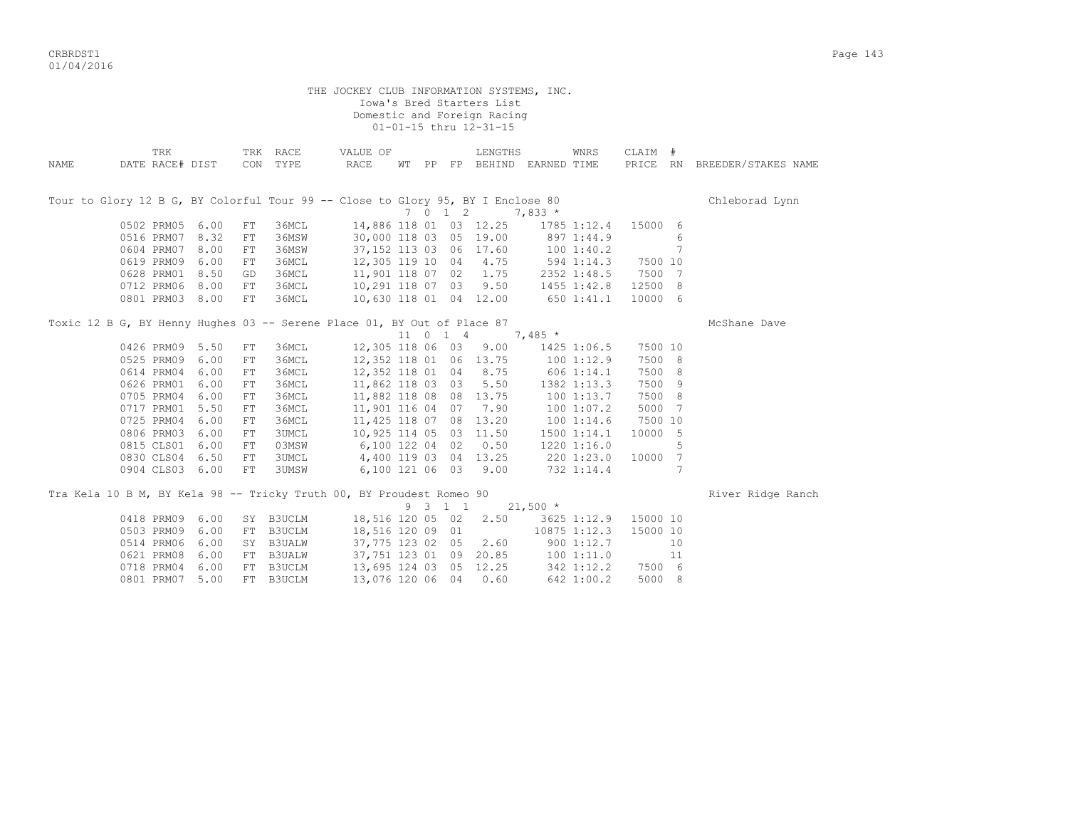CRBRDST1 Page 143 01/04/2016

| THE JOCKEY CLUB INFORMATION SYSTEMS, INC.<br>Iowa's Bred Starters List<br>Domestic and Foreign Racing<br>01-01-15 thru 12-31-15 |                                                                                 |      |                  |                      |                                            |  |  |                     |                                                                       |                          |                |                   |                 |                              |
|---------------------------------------------------------------------------------------------------------------------------------|---------------------------------------------------------------------------------|------|------------------|----------------------|--------------------------------------------|--|--|---------------------|-----------------------------------------------------------------------|--------------------------|----------------|-------------------|-----------------|------------------------------|
| NAME                                                                                                                            | TRK<br>DATE RACE# DIST                                                          |      |                  | TRK RACE<br>CON TYPE | VALUE OF<br>RACE                           |  |  |                     | LENGTHS<br>WT PP FP BEHIND EARNED TIME                                |                          | WNRS           | CLAIM #           |                 | PRICE RN BREEDER/STAKES NAME |
|                                                                                                                                 | Tour to Glory 12 B G, BY Colorful Tour 99 -- Close to Glory 95, BY I Enclose 80 |      |                  |                      |                                            |  |  | 7012                |                                                                       | $7,833*$                 |                |                   |                 | Chleborad Lynn               |
|                                                                                                                                 | 0502 PRM05 6.00                                                                 |      | FT               | 36MCL                |                                            |  |  |                     | 14,886 118 01 03 12.25                                                |                          | 1785 1:12.4    | 15000 6           |                 |                              |
|                                                                                                                                 | 0516 PRM07 8.32                                                                 |      | FT               | 36MSW                | 30,000 118 03 05 19.00                     |  |  |                     |                                                                       |                          | 897 1:44.9     |                   | 6               |                              |
|                                                                                                                                 | 0604 PRM07 8.00                                                                 |      | FT               | 36MSW                | 37, 152 113 03 06 17.60                    |  |  |                     |                                                                       |                          | 1001:40.2      |                   | $7\phantom{.0}$ |                              |
|                                                                                                                                 | 0619 PRM09 6.00                                                                 |      | ${\rm FT}$       | 36MCL                |                                            |  |  |                     | 37,152 113 03 06 17.60 100 1:40.2<br>12,305 119 10 04 4.75 594 1:14.3 |                          |                | 7500 10           |                 |                              |
|                                                                                                                                 | 0628 PRM01 8.50                                                                 |      | GD               | 36MCL                | 11,901 118 07 02                           |  |  |                     | 1.75                                                                  |                          | 2352 1:48.5    | 7500 7            |                 |                              |
|                                                                                                                                 | 0712 PRM06 8.00                                                                 |      | FT               | 36MCL                | 10,291 118 07 03 9.50                      |  |  |                     |                                                                       | 1455 1:42.8              |                | 12500 8           |                 |                              |
|                                                                                                                                 | 0801 PRM03 8.00                                                                 |      | FT               | 36MCL                | 10,630 118 01 04 12.00                     |  |  |                     |                                                                       | 650 1:41.1               |                | 10000 6           |                 |                              |
|                                                                                                                                 | Toxic 12 B G, BY Henny Hughes 03 -- Serene Place 01, BY Out of Place 87         |      |                  |                      |                                            |  |  |                     |                                                                       |                          |                |                   |                 | McShane Dave                 |
|                                                                                                                                 |                                                                                 |      |                  |                      |                                            |  |  | $11 \t 0 \t 1 \t 4$ |                                                                       | $7,485$ *                |                |                   |                 |                              |
|                                                                                                                                 | 0426 PRM09 5.50<br>0525 PRM09 6.00                                              |      | FT<br>${\rm FT}$ | 36MCL<br>36MCL       | 12,305 118 06 03<br>12,352 118 01 06 13.75 |  |  |                     | 9.00                                                                  | 1001:12.9                | 1425 1:06.5    | 7500 10<br>7500 8 |                 |                              |
|                                                                                                                                 | 0614 PRM04 6.00                                                                 |      | ${\rm FT}$       | 36MCL                | 12,352 118 01 04 8.75                      |  |  |                     |                                                                       |                          | 606 1:14.1     | 7500 8            |                 |                              |
|                                                                                                                                 | 0626 PRM01 6.00                                                                 |      | FT               | 36MCL                | 11,862 118 03 03                           |  |  |                     | 5.50                                                                  |                          | 1382 1:13.3    | 7500 9            |                 |                              |
|                                                                                                                                 | 0705 PRM04 6.00                                                                 |      | FT               | 36MCL                | 11,882 118 08 08 13.75                     |  |  |                     |                                                                       |                          | 100 1:13.7     | 7500 8            |                 |                              |
|                                                                                                                                 | 0717 PRM01 5.50                                                                 |      | FT               | 36MCL                | 11,901 116 04 07 7.90                      |  |  |                     |                                                                       |                          | $100$ $1:07.2$ | 5000 7            |                 |                              |
|                                                                                                                                 | 0725 PRM04 6.00                                                                 |      | FT               | 36MCL                | 11,425 118 07 08 13.20                     |  |  |                     |                                                                       | 1001:14.6                |                | 7500 10           |                 |                              |
|                                                                                                                                 | 0806 PRM03 6.00                                                                 |      | ${\rm FT}$       | 3UMCL                | 10,925 114 05 03 11.50                     |  |  |                     |                                                                       |                          | 1500 1:14.1    | 10000 5           |                 |                              |
|                                                                                                                                 | 0815 CLS01 6.00                                                                 |      | FT               | 03MSW                | 6,100 122 04 02 0.50                       |  |  |                     |                                                                       |                          | 1220 1:16.0    |                   | 5               |                              |
|                                                                                                                                 | 0830 CLS04 6.50                                                                 |      | FT               | 3UMCL                | 4,400 119 03 04 13.25                      |  |  |                     |                                                                       |                          |                | 10000 7           |                 |                              |
|                                                                                                                                 | 0904 CLS03 6.00                                                                 |      | FT               | 3UMSW                | 6,100 121 06 03 9.00                       |  |  |                     |                                                                       | 220 1:23.0<br>732 1:14.4 |                |                   | 7               |                              |
|                                                                                                                                 | Tra Kela 10 B M, BY Kela 98 -- Tricky Truth 00, BY Proudest Romeo 90            |      |                  |                      |                                            |  |  |                     |                                                                       |                          |                |                   |                 | River Ridge Ranch            |
|                                                                                                                                 |                                                                                 |      |                  |                      |                                            |  |  | 9 3 1 1             |                                                                       | $21,500$ *               |                |                   |                 |                              |
|                                                                                                                                 | 0418 PRM09 6.00                                                                 |      |                  | SY B3UCLM            | 18,516 120 05 02                           |  |  |                     | 2.50                                                                  |                          | 3625 1:12.9    | 15000 10          |                 |                              |
|                                                                                                                                 | 0503 PRM09 6.00                                                                 |      |                  | FT B3UCLM            | 18,516 120 09 01                           |  |  |                     |                                                                       |                          | 10875 1:12.3   | 15000 10          |                 |                              |
|                                                                                                                                 | 0514 PRM06 6.00                                                                 |      |                  | SY B3UALW            | 37,775 123 02 05                           |  |  |                     | 2.60                                                                  |                          | 900 1:12.7     |                   | 10              |                              |
|                                                                                                                                 | 0621 PRM08                                                                      | 6.00 | FT               | <b>B3UALW</b>        |                                            |  |  |                     | 37,751 123 01 09 20.85                                                |                          | 1001:11.0      |                   | 11              |                              |
|                                                                                                                                 | 0718 PRM04                                                                      | 6.00 | FT               | B3UCLM               | 13,695 124 03 05 12.25                     |  |  |                     |                                                                       |                          | 342 1:12.2     | 7500 6            |                 |                              |
|                                                                                                                                 | 0801 PRM07 5.00                                                                 |      |                  | FT B3UCLM            | 13,076 120 06 04                           |  |  |                     | 0.60                                                                  |                          | 642 1:00.2     | 5000 8            |                 |                              |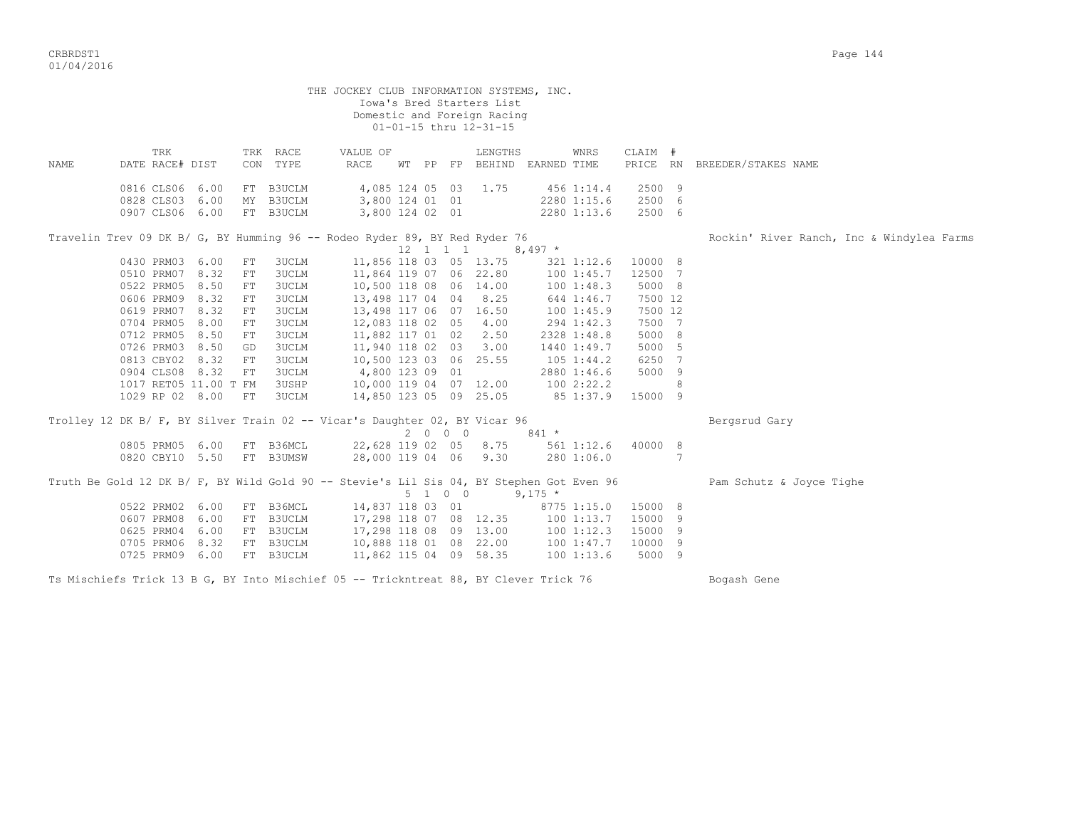|      | THE JOCKEY CLUB INFORMATION SYSTEMS, INC.<br>Iowa's Bred Starters List<br>Domestic and Foreign Racing<br>01-01-15 thru 12-31-15                                                 |      |            |                      |                                                                            |  |  |         |         |                                                                                                       |                |   |                                           |  |  |
|------|---------------------------------------------------------------------------------------------------------------------------------------------------------------------------------|------|------------|----------------------|----------------------------------------------------------------------------|--|--|---------|---------|-------------------------------------------------------------------------------------------------------|----------------|---|-------------------------------------------|--|--|
| NAME | TRK<br>DATE RACE# DIST                                                                                                                                                          |      |            | TRK RACE<br>CON TYPE | VALUE OF<br>RACE                                                           |  |  |         | LENGTHS | WNRS<br>WT PP FP BEHIND EARNED TIME                                                                   | CLAIM #        |   | PRICE RN BREEDER/STAKES NAME              |  |  |
|      |                                                                                                                                                                                 |      |            |                      |                                                                            |  |  |         |         |                                                                                                       |                |   |                                           |  |  |
|      | 0816 CLS06 6.00                                                                                                                                                                 |      |            | FT B3UCLM            | 4,085 124 05 03 1.75                                                       |  |  |         |         | 456 1:14.4                                                                                            | 2500 9         |   |                                           |  |  |
|      | 0828 CLS03 6.00                                                                                                                                                                 |      |            | MY B3UCLM            | 3,800 124 01 01                                                            |  |  |         |         | 2280 1:15.6                                                                                           | 2500 6         |   |                                           |  |  |
|      | 0907 CLS06 6.00                                                                                                                                                                 |      |            | FT B3UCLM            | 3,800 124 02 01                                                            |  |  |         |         | 2280 1:13.6                                                                                           | 2500 6         |   |                                           |  |  |
|      |                                                                                                                                                                                 |      |            |                      |                                                                            |  |  |         |         |                                                                                                       |                |   |                                           |  |  |
|      |                                                                                                                                                                                 |      |            |                      |                                                                            |  |  |         |         |                                                                                                       |                |   | Rockin' River Ranch, Inc & Windylea Farms |  |  |
|      | Travelin Trev 09 DK B/ G, BY Humming 96 -- Rodeo Ryder 89, BY Red Ryder 76<br>$8,497$ *<br>$12 \quad 1 \quad 1 \quad 1$<br>11,856 118 03 05 13.75<br>0430 PRM03 6.00<br>10000 8 |      |            |                      |                                                                            |  |  |         |         |                                                                                                       |                |   |                                           |  |  |
|      |                                                                                                                                                                                 |      | FT         | 3UCLM                |                                                                            |  |  |         |         | 321 1:12.6                                                                                            |                |   |                                           |  |  |
|      | 0510 PRM07 8.32                                                                                                                                                                 |      | ${\rm FT}$ | 3UCLM                | 11,864 119 07 06 22.80                                                     |  |  |         |         | 1001:45.7                                                                                             | 12500 7        |   |                                           |  |  |
|      | 0522 PRM05                                                                                                                                                                      | 8.50 | FT         | 3UCLM                | 10,500 118 08 06 14.00                                                     |  |  |         |         | 1001:48.3                                                                                             | 5000 8         |   |                                           |  |  |
|      | 0606 PRM09 8.32                                                                                                                                                                 |      | ${\rm FT}$ | 3UCLM                | 13,498 117 04 04 8.25                                                      |  |  |         |         | 644 1:46.7                                                                                            | 7500 12        |   |                                           |  |  |
|      | 0619 PRM07 8.32                                                                                                                                                                 |      | FT         | <b>3UCLM</b>         | 13,498 117 06 07 16.50                                                     |  |  |         |         | 1001:45.9                                                                                             | 7500 12        |   |                                           |  |  |
|      | 0704 PRM05                                                                                                                                                                      | 8.00 | FT         | <b>3UCLM</b>         | 12,083 118 02 05                                                           |  |  |         | 4.00    | 294 1:42.3                                                                                            | 7500 7         |   |                                           |  |  |
|      | 0712 PRM05                                                                                                                                                                      | 8.50 | ${\rm FT}$ | 3UCLM                | 11,882 117 01 02                                                           |  |  |         | 2.50    | 2328 1:48.8                                                                                           | 5000 8         |   |                                           |  |  |
|      | 0726 PRM03                                                                                                                                                                      | 8.50 | GD         | <b>3UCLM</b>         | 11,940 118 02 03                                                           |  |  |         | 3.00    | 1440 1:49.7                                                                                           | 5000 5         |   |                                           |  |  |
|      | 0813 CBY02 8.32                                                                                                                                                                 |      | FT         | 3UCLM                | 10,500 123 03 06 25.55                                                     |  |  |         |         | $105$ $1:44.2$                                                                                        | 6250 7         |   |                                           |  |  |
|      | 0904 CLS08 8.32                                                                                                                                                                 |      | FT         | 3UCLM                | 4,800 123 09 01                                                            |  |  |         |         | 2880 1:46.6                                                                                           | 5000 9         |   |                                           |  |  |
|      | 1017 RET05 11.00 T FM                                                                                                                                                           |      |            | 3USHP                | 10,000 119 04 07 12.00                                                     |  |  |         |         | 100 2:22.2                                                                                            |                | 8 |                                           |  |  |
|      | 1029 RP 02 8.00                                                                                                                                                                 |      | FT         | 3UCLM                | 14,850 123 05 09 25.05                                                     |  |  |         |         | 85 1:37.9                                                                                             | 15000 9        |   |                                           |  |  |
|      |                                                                                                                                                                                 |      |            |                      |                                                                            |  |  |         |         |                                                                                                       |                |   |                                           |  |  |
|      |                                                                                                                                                                                 |      |            |                      | Trolley 12 DK B/ F, BY Silver Train 02 -- Vicar's Daughter 02, BY Vicar 96 |  |  |         |         |                                                                                                       |                |   | Bergsrud Gary                             |  |  |
|      |                                                                                                                                                                                 |      |            |                      |                                                                            |  |  |         | 2 0 0 0 | $841 *$                                                                                               |                |   |                                           |  |  |
|      | 0805 PRM05 6.00                                                                                                                                                                 |      |            | FT B36MCL            |                                                                            |  |  |         |         | 22,628 119 02 05 8.75 561 1:12.6 40000 8                                                              |                |   |                                           |  |  |
|      | 0820 CBY10 5.50                                                                                                                                                                 |      |            | FT B3UMSW            | 28,000 119 04 06 9.30                                                      |  |  |         |         | 280 1:06.0                                                                                            | $\overline{7}$ |   |                                           |  |  |
|      |                                                                                                                                                                                 |      |            |                      |                                                                            |  |  | 5 1 0 0 |         | Truth Be Gold 12 DK B/ F, BY Wild Gold 90 -- Stevie's Lil Sis 04, BY Stephen Got Even 96<br>$9,175$ * |                |   | Pam Schutz & Joyce Tighe                  |  |  |
|      | 0522 PRM02 6.00                                                                                                                                                                 |      |            | FT B36MCL            | 14,837 118 03 01                                                           |  |  |         |         | 8775 1:15.0                                                                                           | 15000 8        |   |                                           |  |  |
|      | 0607 PRM08                                                                                                                                                                      | 6.00 |            | FT B3UCLM            | 17,298 118 07 08 12.35                                                     |  |  |         |         | 1001:13.7                                                                                             | 15000 9        |   |                                           |  |  |
|      | 0625 PRM04 6.00                                                                                                                                                                 |      |            | FT B3UCLM            | 17,298 118 08 09 13.00                                                     |  |  |         |         | 1001:12.3                                                                                             | 15000 9        |   |                                           |  |  |
|      | 0705 PRM06 8.32                                                                                                                                                                 |      |            | FT B3UCLM            | 10,888 118 01 08 22.00                                                     |  |  |         |         | 1001:37.7                                                                                             | 10000 9        |   |                                           |  |  |
|      | 0725 PRM09 6.00                                                                                                                                                                 |      |            | FT B3UCLM            | 11,862 115 04 09 58.35                                                     |  |  |         |         | 1001:13.6                                                                                             | 5000 9         |   |                                           |  |  |
|      |                                                                                                                                                                                 |      |            |                      |                                                                            |  |  |         |         |                                                                                                       |                |   |                                           |  |  |

Ts Mischiefs Trick 13 B G, BY Into Mischief 05 -- Trickntreat 88, BY Clever Trick 76 Bogash Gene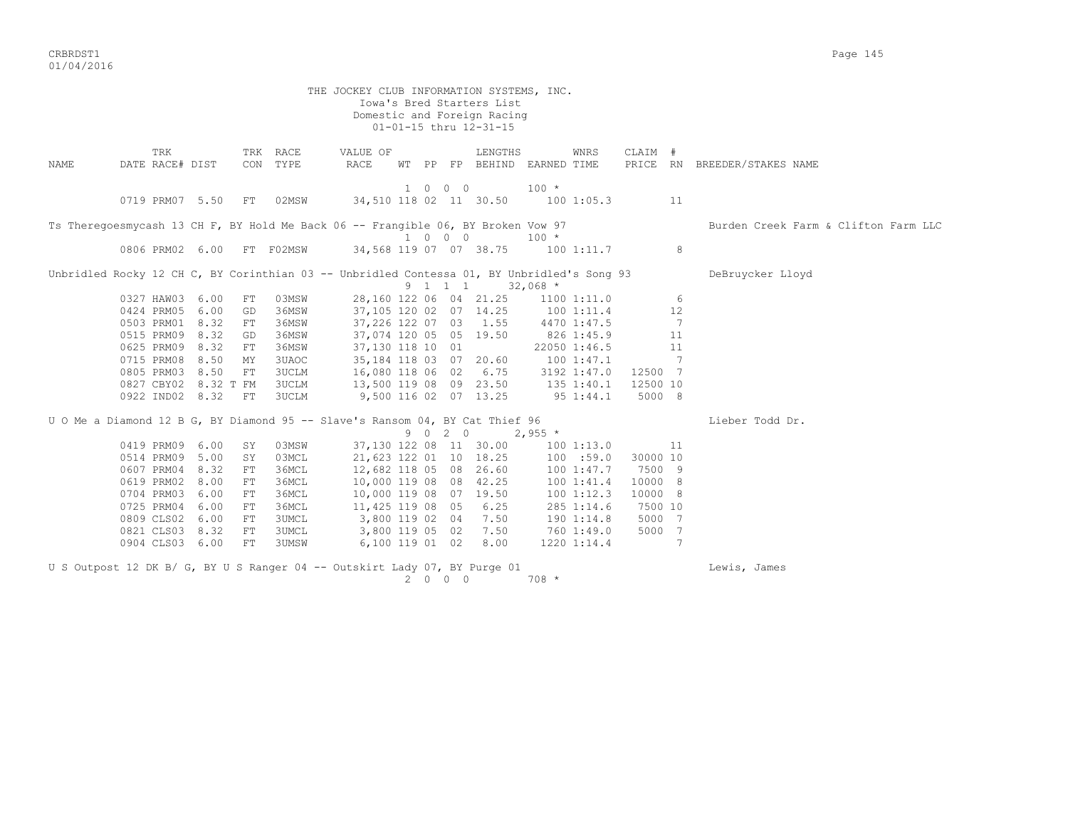CRBRDST1 Page 145 01/04/2016

THE JOCKEY CLUB INFORMATION SYSTEMS, INC. Iowa's Bred Starters List Domestic and Foreign Racing 01-01-15 thru 12-31-15 TRK TRK RACE VALUE OF LENGTHS WNRS CLAIM # NAME DATE RACE# DIST CON TYPE RACE WT PP FP BEHIND EARNED TIME PRICE RN BREEDER/STAKES NAME 1 0 0 0 100 \* 0719 PRM07 5.50 FT 02MSW 34,510 118 02 11 30.50 100 1:05.3 11 Ts Theregoesmycash 13 CH F, BY Hold Me Back 06 -- Frangible 06, BY Broken Vow 97 Burden Creek Farm & Clifton Farm LLC 1 0 0 0 100 \* 34,568 119 07 07 38.75 100 1:11.7 8 Unbridled Rocky 12 CH C, BY Corinthian 03 -- Unbridled Contessa 01, BY Unbridled's Song 93 DeBruycker Lloyd  $9 \quad 1 \quad 1 \quad 1 \quad 32.068 \star$  0327 HAW03 6.00 FT 03MSW 28,160 122 06 04 21.25 1100 1:11.0 6 0424 PRM05 6.00 GD 36MSW 37,105 120 02 07 14.25 100 1:11.4 12 0503 PRM01 8.32 FT 36MSW 37,226 122 07 03 1.55 4470 1:47.5 7 0515 PRM09 8.32 GD 36MSW 37,074 120 05 05 19.50 826 1:45.9 11 0625 PRM09 8.32 FT 36MSW 37,130 118 10 01 22050 1:46.5 11 0715 PRM08 8.50 MY 3UAOC 35,184 118 03 07 20.60 100 1:47.1 7 0805 PRM03 8.50 FT 3UCLM 16,080 118 06 02 6.75 3192 1:47.0 12500 7 0827 CBY02 8.32 T FM 3UCLM 13,500 119 08 09 23.50 135 1:40.1 12500 10 0922 IND02 8.32 FT 3UCLM 9,500 116 02 07 13.25 95 1:44.1 5000 8 U O Me a Diamond 12 B G, BY Diamond 95 -- Slave's Ransom 04, BY Cat Thief 96 Lieber Todd Dr. 9 0 2 0 2,955 \* 0419 PRM09 6.00 SY 03MSW 37,130 122 08 11 30.00 100 1:13.0 11 0514 PRM09 5.00 SY 03MCL 21,623 122 01 10 18.25 100 :59.0 30000 10 0607 PRM04 8.32 FT 36MCL 12,682 118 05 08 26.60 100 1:47.7 7500 9 0619 PRM02 8.00 FT 36MCL 10,000 119 08 08 42.25 100 1:41.4 10000 8 0704 PRM03 6.00 FT 36MCL 10,000 119 08 07 19.50 100 1:12.3 10000 8 0725 PRM04 6.00 FT 36MCL 11,425 119 08 05 6.25 285 1:14.6 7500 10 0809 CLS02 6.00 FT 3UMCL 3,800 119 02 04 7.50 190 1:14.8 5000 7<br>0821 CLS03 8.32 FT 3UMCL 3,800 119 05 02 7.50 760 1:49.0 5000 7 3,800 119 05 02 7.50 760 1:49.0 5000 7 0904 CLS03 6.00 FT 3UMSW 6,100 119 01 02 8.00 1220 1:14.4 7 U S Outpost 12 DK B/ G, BY U S Ranger 04 -- Outskirt Lady 07, BY Purge 01 Lewis, James 2 0 0 0 708 \*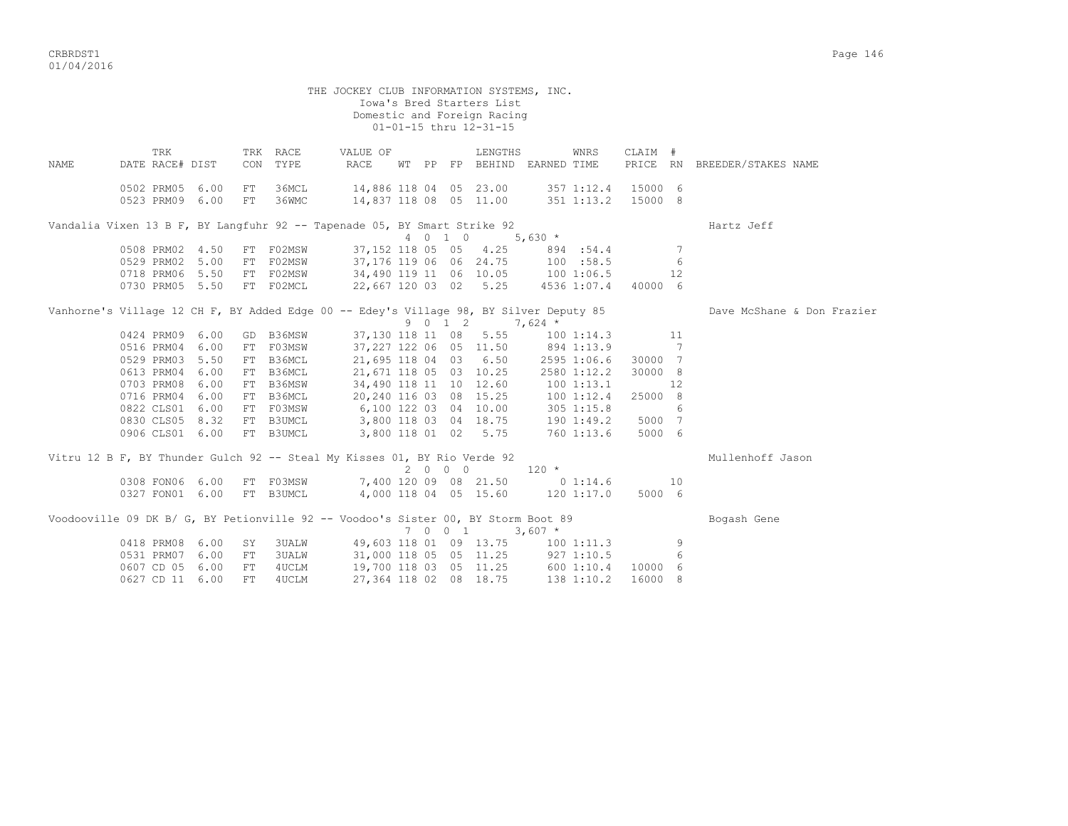|      |                                                                                        |      |     |              | THE JOCKEY CLUB INFORMATION SYSTEMS, INC.                  |  |      |                                                       |         |             |                     |    |                              |
|------|----------------------------------------------------------------------------------------|------|-----|--------------|------------------------------------------------------------|--|------|-------------------------------------------------------|---------|-------------|---------------------|----|------------------------------|
|      |                                                                                        |      |     |              |                                                            |  |      | Iowa's Bred Starters List                             |         |             |                     |    |                              |
|      |                                                                                        |      |     |              |                                                            |  |      | Domestic and Foreign Racing<br>01-01-15 thru 12-31-15 |         |             |                     |    |                              |
|      |                                                                                        |      |     |              |                                                            |  |      |                                                       |         |             |                     |    |                              |
|      | TRK                                                                                    |      |     | TRK RACE     | VALUE OF                                                   |  |      | LENGTHS                                               |         | WNRS        | CLAIM #             |    |                              |
| NAME | DATE RACE# DIST                                                                        |      |     | CON TYPE     | RACE                                                       |  |      | WT PP FP BEHIND EARNED TIME                           |         |             |                     |    | PRICE RN BREEDER/STAKES NAME |
|      | 0502 PRM05 6.00                                                                        |      | FT  | 36MCL        | 14,886 118 04 05 23.00 357 1:12.4 15000 6                  |  |      |                                                       |         |             |                     |    |                              |
|      | 0523 PRM09 6.00 FT 36WMC                                                               |      |     |              | 14,837 118 08 05 11.00 351 1:13.2 15000 8                  |  |      |                                                       |         |             |                     |    |                              |
|      |                                                                                        |      |     |              |                                                            |  |      |                                                       |         |             |                     |    |                              |
|      | Vandalia Vixen 13 B F, BY Langfuhr 92 -- Tapenade 05, BY Smart Strike 92               |      |     |              |                                                            |  |      |                                                       |         |             |                     |    | Hartz Jeff                   |
|      |                                                                                        |      |     |              |                                                            |  |      | 4 0 1 0 5,630 *                                       |         |             |                     |    |                              |
|      | 0508 PRM02 4.50                                                                        |      |     | FT FO2MSW    |                                                            |  |      | 37, 152 118 05 05 4.25 894 :54.4                      |         |             |                     | 7  |                              |
|      | 0529 PRM02 5.00                                                                        |      |     | FT F02MSW    |                                                            |  |      | 37,176 119 06 06 24.75 100 :58.5                      |         |             |                     | 6  |                              |
|      | 0718 PRM06 5.50                                                                        |      |     | FT F02MSW    |                                                            |  |      | 34,490 119 11 06 10.05 100 1:06.5                     |         |             |                     | 12 |                              |
|      | 0730 PRM05 5.50                                                                        |      |     | FT F02MCL    |                                                            |  |      | 22,667 120 03 02 5.25                                 |         |             | 4536 1:07.4 40000 6 |    |                              |
|      | Vanhorne's Village 12 CH F, BY Added Edge 00 -- Edey's Village 98, BY Silver Deputy 85 |      |     |              |                                                            |  |      |                                                       |         |             |                     |    | Dave McShane & Don Frazier   |
|      |                                                                                        |      |     |              |                                                            |  |      | $9 \t0 \t1 \t2 \t7,624 \t*$                           |         |             |                     |    |                              |
|      | 0424 PRM09 6.00                                                                        |      |     | GD B36MSW    |                                                            |  |      | 37,130 118 11 08 5.55                                 |         |             | 100 1:14.3 11       |    |                              |
|      | 0516 PRM04 6.00                                                                        |      |     | FT FO3MSW    |                                                            |  |      | 37, 227 122 06 05 11.50 894 1:13.9 7                  |         |             |                     |    |                              |
|      | 0529 PRM03 5.50                                                                        |      |     | FT B36MCL    |                                                            |  |      | 21,695 118 04 03 6.50 2595 1:06.6 30000 7             |         |             |                     |    |                              |
|      | 0613 PRM04 6.00                                                                        |      |     | FT B36MCL    |                                                            |  |      | 21,671 118 05 03 10.25                                |         | 2580 1:12.2 | 30000 8             |    |                              |
|      | 0703 PRM08 6.00                                                                        |      |     | FT B36MSW    |                                                            |  |      | 34,490 118 11 10 12.60 100 1:13.1                     |         |             |                     | 12 |                              |
|      | 0716 PRM04 6.00                                                                        |      |     | FT B36MCL    |                                                            |  |      | 20, 240 116 03 08 15.25 100 1:12.4                    |         |             | 25000 8             |    |                              |
|      | 0822 CLS01 6.00                                                                        |      |     |              | FT F03MSW 6,100 122 03 04 10.00 305 1:15.8                 |  |      |                                                       |         |             |                     | 6  |                              |
|      | 0830 CLS05 8.32                                                                        |      |     |              | FT B3UMCL 3,800 118 03 04 18.75 190 1:49.2                 |  |      |                                                       |         |             | 5000 7              |    |                              |
|      | 0906 CLS01 6.00                                                                        |      |     | FT B3UMCL    |                                                            |  |      | 3,800 118 01 02 5.75 760 1:13.6                       |         |             | 5000 6              |    |                              |
|      | Vitru 12 B F, BY Thunder Gulch 92 -- Steal My Kisses 01, BY Rio Verde 92               |      |     |              |                                                            |  |      |                                                       |         |             |                     |    | Mullenhoff Jason             |
|      |                                                                                        |      |     |              |                                                            |  | 2000 |                                                       | $120 *$ |             |                     |    |                              |
|      | 0308 FON06 6.00                                                                        |      |     |              | FT F03MSW 7,400 120 09 08 21.50 0 1:14.6 10                |  |      |                                                       |         |             |                     |    |                              |
|      |                                                                                        |      |     |              | 0327 FON01 6.00 FT B3UMCL 4,000 118 04 05 15.60 120 1:17.0 |  |      |                                                       |         |             | 5000 6              |    |                              |
|      |                                                                                        |      |     |              |                                                            |  |      |                                                       |         |             |                     |    |                              |
|      | Voodooville 09 DK B/ G, BY Petionville 92 -- Voodoo's Sister 00, BY Storm Boot 89      |      |     |              |                                                            |  |      |                                                       |         |             |                     |    | Bogash Gene                  |
|      |                                                                                        |      |     |              |                                                            |  |      | 7 0 0 1 3,607 $*$                                     |         |             |                     |    |                              |
|      | 0418 PRM08 6.00                                                                        |      | SY  | <b>3UALW</b> |                                                            |  |      | 49,603 118 01 09 13.75 100 1:11.3                     |         |             |                     | 9  |                              |
|      | 0531 PRM07                                                                             | 6.00 | FT  | <b>3UALW</b> |                                                            |  |      | 31,000 118 05 05 11.25 927 1:10.5                     |         |             |                     | 6  |                              |
|      | 0607 CD 05                                                                             | 6.00 | FT  | 4UCLM        |                                                            |  |      | 19,700 118 03 05 11.25 600 1:10.4                     |         |             | 10000 6             |    |                              |
|      | 0627 CD 11 6.00                                                                        |      | FT. | 4UCLM        |                                                            |  |      | 27,364 118 02 08 18.75                                |         | 138 1:10.2  | 16000 8             |    |                              |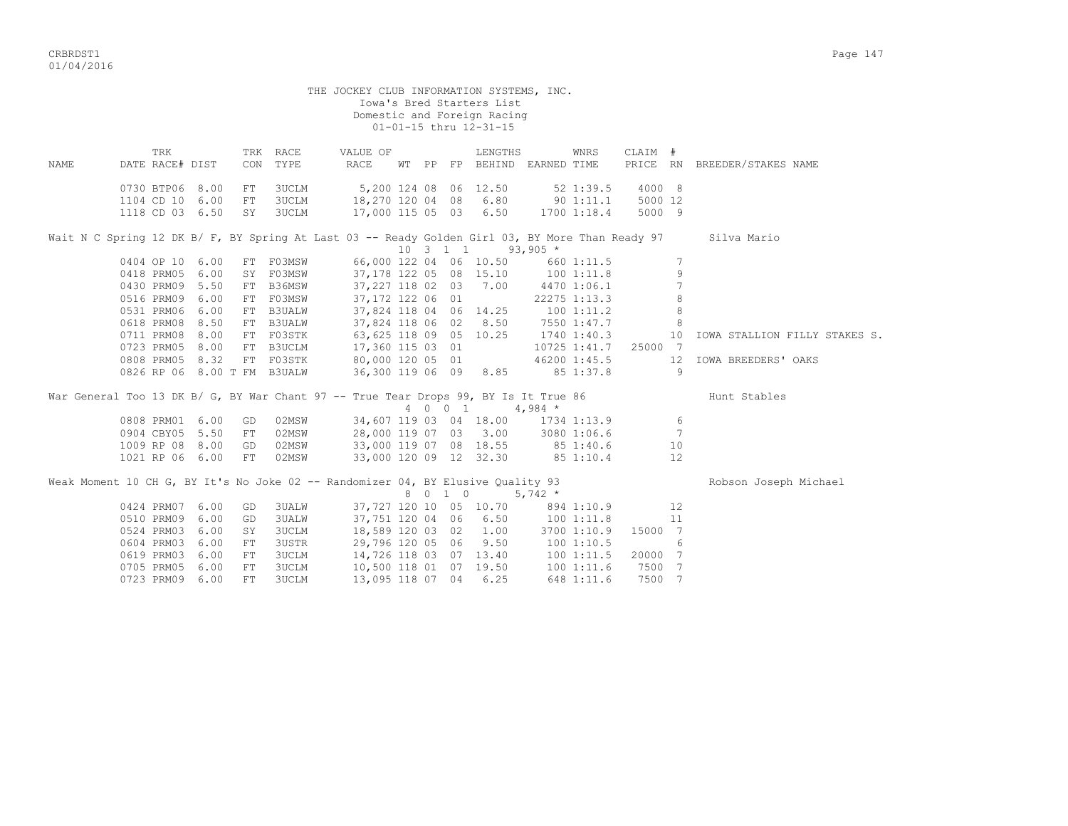|      |                        |                    |            |                             | THE JOCKEY CLUB INFORMATION SYSTEMS, INC.                                                                    |  |         | Iowa's Bred Starters List<br>Domestic and Foreign Racing<br>01-01-15 thru 12-31-15 |            |              |          |                 |                                                                                                             |
|------|------------------------|--------------------|------------|-----------------------------|--------------------------------------------------------------------------------------------------------------|--|---------|------------------------------------------------------------------------------------|------------|--------------|----------|-----------------|-------------------------------------------------------------------------------------------------------------|
| NAME | TRK<br>DATE RACE# DIST |                    |            | TRK RACE<br>CON TYPE        | VALUE OF<br>RACE                                                                                             |  |         | LENGTHS<br>WT PP FP BEHIND EARNED TIME                                             |            | WNRS         | CLAIM #  |                 | PRICE RN BREEDER/STAKES NAME                                                                                |
|      | 0730 BTP06 8.00        |                    | FT         | 3UCLM                       | 5,200 124 08 06 12.50                                                                                        |  |         |                                                                                    |            | 52 1:39.5    | 4000 8   |                 |                                                                                                             |
|      | 1104 CD 10 6.00        |                    | FT         | 3UCLM                       | $18,270$ 120 04 08 6.80 90 1:11.1                                                                            |  |         |                                                                                    |            |              | 5000 12  |                 |                                                                                                             |
|      | 1118 CD 03 6.50        |                    |            | SY 3UCLM                    | 17,000 115 05 03 6.50                                                                                        |  |         |                                                                                    |            | 1700 1:18.4  | 5000 9   |                 |                                                                                                             |
|      |                        |                    |            |                             |                                                                                                              |  |         |                                                                                    |            |              |          |                 | Wait N C Spring 12 DK B/ F, BY Spring At Last 03 -- Ready Golden Girl 03, BY More Than Ready 97 Silva Mario |
|      |                        |                    |            |                             |                                                                                                              |  |         | $10 \quad 3 \quad 1 \quad 1 \quad 93,905$ *                                        |            |              |          |                 |                                                                                                             |
|      |                        | 0404 OP 10 6.00    |            | FT FO3MSW                   |                                                                                                              |  |         | 66,000 122 04 06 10.50 660 1:11.5                                                  |            |              |          | $7\phantom{.0}$ |                                                                                                             |
|      | 0418 PRM05 6.00        |                    |            |                             | SY F03MSW 37,178 122 05 08 15.10 100 1:11.8                                                                  |  |         |                                                                                    |            |              |          | 9               |                                                                                                             |
|      |                        | 0430 PRM09 5.50    |            | FT B36MSW                   |                                                                                                              |  |         | 37, 227 118 02 03 7.00 4470 1:06.1                                                 |            |              |          | $7\phantom{.0}$ |                                                                                                             |
|      | 0516 PRM09 6.00        |                    |            | FT F03MSW                   |                                                                                                              |  |         | 37,172 122 06 01                                                                   |            | 22275 1:13.3 |          | 8               |                                                                                                             |
|      | 0531 PRM06 6.00        |                    |            | FT B3UALW                   |                                                                                                              |  |         | 37,824 118 04 06 14.25 100 1:11.2                                                  |            |              |          | $\,8\,$         |                                                                                                             |
|      | 0618 PRM08 8.50        |                    |            | FT B3UALW                   |                                                                                                              |  |         | 37,824 118 06 02 8.50                                                              |            | 7550 1:47.7  |          | 8               |                                                                                                             |
|      | 0711 PRM08 8.00        |                    |            | FT F03STK                   | 63, 625 118 09 05 10.25                                                                                      |  |         |                                                                                    |            | 1740 1:40.3  |          | 10              | IOWA STALLION FILLY STAKES S.                                                                               |
|      |                        |                    |            | 0723 PRM05 8.00 FT B3UCLM   | 17,360 115 03 01                                                                                             |  |         |                                                                                    |            | 10725 1:41.7 | 25000 7  |                 |                                                                                                             |
|      | 0808 PRM05 8.32        |                    |            | FT FO3STK                   | 80,000 120 05 01                                                                                             |  |         |                                                                                    |            | 46200 1:45.5 |          | 12              | IOWA BREEDERS' OAKS                                                                                         |
|      |                        |                    |            | 0826 RP 06 8.00 T FM B3UALW | 36,300 119 06 09 8.85                                                                                        |  |         |                                                                                    |            | 85 1:37.8    | $\sim$ 9 |                 |                                                                                                             |
|      |                        |                    |            |                             | War General Too 13 DK B/ G, BY War Chant 97 -- True Tear Drops 99, BY Is It True 86<br>4 0 0 1 4.984 $\star$ |  |         |                                                                                    |            |              |          |                 | Hunt Stables                                                                                                |
|      |                        |                    |            |                             |                                                                                                              |  |         |                                                                                    |            |              |          |                 |                                                                                                             |
|      | 0808 PRM01 6.00        |                    | GD         | 02MSW                       | 34,607 119 03 04 18.00 1734 1:13.9                                                                           |  |         |                                                                                    |            |              |          | 6               |                                                                                                             |
|      | 0904 CBY05 5.50        |                    | FT         | 02MSW                       | 28,000 119 07 03 3.00 3080 1:06.6                                                                            |  |         |                                                                                    |            |              |          | - 7             |                                                                                                             |
|      |                        | 1009 RP 08 8.00 GD |            | 02MSW                       |                                                                                                              |  |         |                                                                                    |            |              |          | 10              |                                                                                                             |
|      | 1021 RP 06 6.00        |                    | FT         | 02MSW                       | 33,000 119 07 08 18.55 85 1:40.6<br>33,000 120 09 12 32.30 85 1:10.4                                         |  |         |                                                                                    |            |              |          | 12              |                                                                                                             |
|      |                        |                    |            |                             | Weak Moment 10 CH G, BY It's No Joke 02 -- Randomizer 04, BY Elusive Quality 93                              |  | 8 0 1 0 |                                                                                    | $5,742$ *  |              |          |                 | Robson Joseph Michael                                                                                       |
|      | 0424 PRM07 6.00        |                    | GD         | 3UALW                       |                                                                                                              |  |         |                                                                                    |            |              |          | 12              |                                                                                                             |
|      | 0510 PRM09 6.00        |                    | GD         | 3UALW                       |                                                                                                              |  |         | $37,727$ 120 10 05 10.70 894 1:10.9<br>37,751 120 04 06 6.50                       |            | 1001:11.8    |          | 11              |                                                                                                             |
|      | 0524 PRM03 6.00        |                    | SY         | 3UCLM                       |                                                                                                              |  |         | 18,589 120 03 02 1.00 3700 1:10.9                                                  |            |              | 15000 7  |                 |                                                                                                             |
|      | 0604 PRM03 6.00        |                    | FT.        | 3USTR                       |                                                                                                              |  |         | 29,796 120 05 06 9.50                                                              | 1001:10.5  |              |          | 6               |                                                                                                             |
|      | 0619 PRM03             | 6.00               | ${\rm FT}$ | 3UCLM                       | 14,726 118 03 07 13.40                                                                                       |  |         |                                                                                    | 100 1:11.5 |              | 20000 7  |                 |                                                                                                             |
|      | 0705 PRM05 6.00        |                    | FT         | 3UCLM                       | 10,500 118 01 07 19.50                                                                                       |  |         |                                                                                    |            |              | 7500 7   |                 |                                                                                                             |
|      | 0723 PRM09 6.00        |                    | FT         | 3UCLM                       | 13,095 118 07 04 6.25                                                                                        |  |         |                                                                                    | 100 1:11.6 | 648 1:11.6   | 7500 7   |                 |                                                                                                             |
|      |                        |                    |            |                             |                                                                                                              |  |         |                                                                                    |            |              |          |                 |                                                                                                             |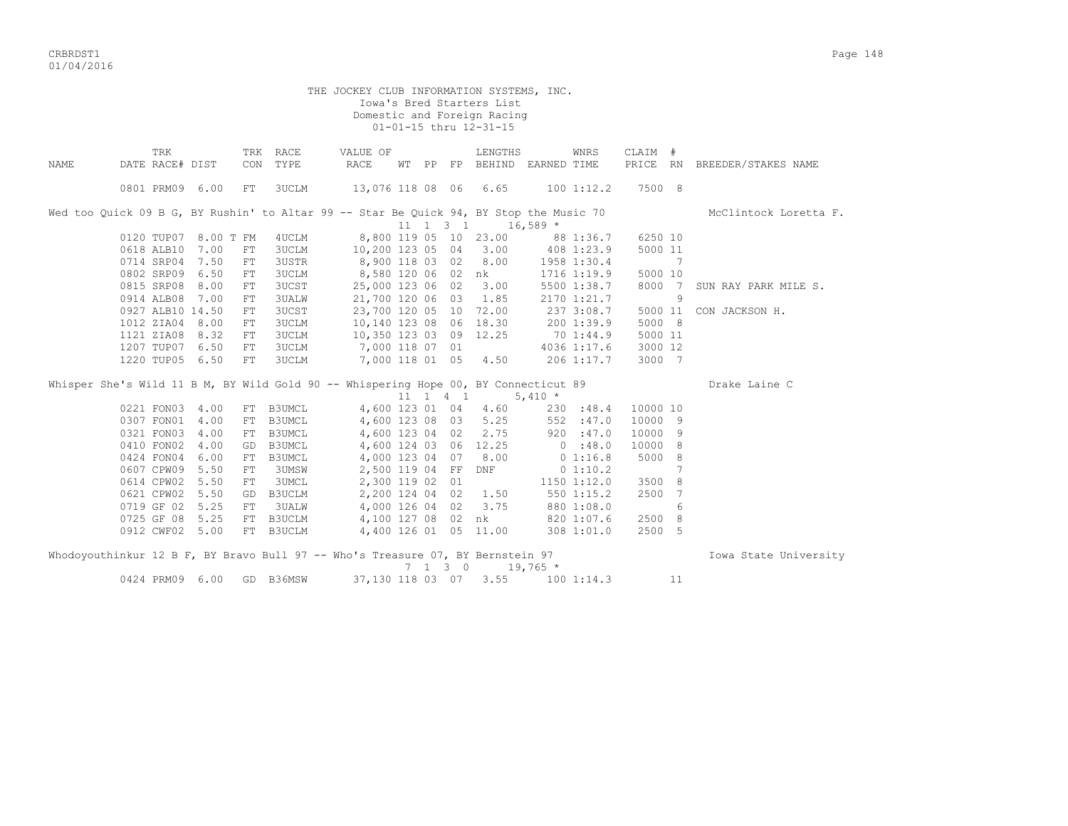| THE JOCKEY CLUB INFORMATION SYSTEMS, INC.<br>Iowa's Bred Starters List<br>Domestic and Foreign Racing<br>01-01-15 thru 12-31-15 |                                                                                                                  |  |            |                  |                               |  |  |         |                                                                                  |            |                         |          |                 |                              |  |
|---------------------------------------------------------------------------------------------------------------------------------|------------------------------------------------------------------------------------------------------------------|--|------------|------------------|-------------------------------|--|--|---------|----------------------------------------------------------------------------------|------------|-------------------------|----------|-----------------|------------------------------|--|
| NAMF.                                                                                                                           | TRK<br>DATE RACE# DIST                                                                                           |  | CON        | TRK RACE<br>TYPE | VALUE OF<br>RACE              |  |  |         | LENGTHS<br>WT PP FP BEHIND EARNED TIME                                           |            | WNRS                    | CLAIM #  |                 | PRICE RN BREEDER/STAKES NAME |  |
|                                                                                                                                 | 0801 PRM09 6.00                                                                                                  |  | ${\rm FT}$ | 3UCLM            | 13,076 118 08 06 6.65         |  |  |         |                                                                                  |            | 100 1:12.2              | 7500 8   |                 |                              |  |
|                                                                                                                                 | Wed too Quick 09 B G, BY Rushin' to Altar 99 -- Star Be Quick 94, BY Stop the Music 70<br>11 1 3 1<br>$16,589$ * |  |            |                  |                               |  |  |         |                                                                                  |            |                         |          |                 |                              |  |
| 8,800 119 05 10 23.00 88 1:36.7<br>6250 10<br>0120 TUP07 8.00 T FM<br>4UCLM<br>10,200 123 05 04 3.00                            |                                                                                                                  |  |            |                  |                               |  |  |         |                                                                                  |            |                         |          |                 |                              |  |
|                                                                                                                                 | 0618 ALB10 7.00                                                                                                  |  | FT         | <b>3UCLM</b>     |                               |  |  |         |                                                                                  |            | 408 1:23.9              | 5000 11  |                 |                              |  |
|                                                                                                                                 | 0714 SRP04 7.50                                                                                                  |  | FT         | <b>3USTR</b>     | $8,900$ 118 03 02 8.00        |  |  |         |                                                                                  |            | 1958 1:30.4             |          | 7               |                              |  |
|                                                                                                                                 | 0802 SRP09 6.50                                                                                                  |  | FT         | 3UCLM            | 8,580 120 06 02 nk            |  |  |         |                                                                                  |            | 1716 1:19.9             | 5000 10  |                 |                              |  |
|                                                                                                                                 | 0815 SRP08 8.00                                                                                                  |  | FT.        | <b>3UCST</b>     | 25,000 123 06 02 3.00         |  |  |         |                                                                                  |            | 5500 1:38.7             | 8000 7   |                 | SUN RAY PARK MILE S.         |  |
|                                                                                                                                 | 0914 ALB08 7.00                                                                                                  |  | FT         | 3UALW            | 21,700 120 06 03 1.85         |  |  |         |                                                                                  |            | 2170 1:21.7             |          | 9               |                              |  |
|                                                                                                                                 | 0927 ALB10 14.50                                                                                                 |  | ${\rm FT}$ | 3UCST            | 23,700 120 05 10 72.00        |  |  |         |                                                                                  |            | 237 3:08.7              | 5000 11  |                 | CON JACKSON H.               |  |
|                                                                                                                                 | 1012 ZIA04 8.00                                                                                                  |  | FT         | <b>3UCLM</b>     | 10,140 123 08 06 18.30        |  |  |         |                                                                                  |            |                         | 5000 8   |                 |                              |  |
|                                                                                                                                 | 1121 ZIA08 8.32                                                                                                  |  | ${\rm FT}$ | 3UCLM            | $10,350$ 123 03 09 12.25      |  |  |         |                                                                                  |            | 200 1:39.9<br>70 1:44.9 | 5000 11  |                 |                              |  |
|                                                                                                                                 | 1207 TUP07 6.50                                                                                                  |  | FT         | 3UCLM            | 7,000 118 07 01 4036 1:17.6   |  |  |         |                                                                                  |            |                         | 3000 12  |                 |                              |  |
|                                                                                                                                 | 1220 TUP05 6.50                                                                                                  |  | ${\rm FT}$ | <b>3UCLM</b>     | 7,000 118 01 05 4.50          |  |  |         |                                                                                  |            | 206 1:17.7              | 3000 7   |                 |                              |  |
| Whisper She's Wild 11 B M, BY Wild Gold 90 -- Whispering Hope 00, BY Connecticut 89<br>Drake Laine C<br>11 1 4 1<br>$5,410 *$   |                                                                                                                  |  |            |                  |                               |  |  |         |                                                                                  |            |                         |          |                 |                              |  |
|                                                                                                                                 | 0221 FON03 4.00                                                                                                  |  |            | FT B3UMCL        |                               |  |  |         | 4,600 123 01 04 4.60                                                             |            | 230 : 48.4              | 10000 10 |                 |                              |  |
|                                                                                                                                 | 0307 FON01 4.00                                                                                                  |  | FT         | B3UMCL           | 4,600 123 08 03 5.25          |  |  |         |                                                                                  |            | 552 : 47.0              | 10000 9  |                 |                              |  |
|                                                                                                                                 | 0321 FON03 4.00                                                                                                  |  |            | FT B3UMCL        |                               |  |  |         | 4,600 123 00 00 000 000 147.0<br>4,600 123 04 02 2.75 920 :47.0<br>12 25 0 :48.0 |            |                         | 10000 9  |                 |                              |  |
|                                                                                                                                 | 0410 FON02 4.00                                                                                                  |  |            | GD B3UMCL        |                               |  |  |         |                                                                                  |            |                         | 10000 8  |                 |                              |  |
|                                                                                                                                 | 0424 FON04 6.00                                                                                                  |  |            | FT B3UMCL        |                               |  |  |         | 4,000 123 04 07 8.00                                                             |            | 0 1:16.8                | 5000 8   |                 |                              |  |
|                                                                                                                                 | 0607 CPW09 5.50                                                                                                  |  | FT         | 3UMSW            | 2,500 119 04 FF DNF           |  |  |         |                                                                                  |            | 0 1:10.2                |          | $7\phantom{.0}$ |                              |  |
|                                                                                                                                 | 0614 CPW02 5.50                                                                                                  |  | FT         | 3UMCL            | 2,300 119 02 01               |  |  |         |                                                                                  |            | 1150 1:12.0             | 3500     | 8               |                              |  |
|                                                                                                                                 | 0621 CPW02 5.50                                                                                                  |  |            | GD B3UCLM        |                               |  |  |         | 2,200 124 04 02 1.50                                                             |            | 550 1:15.2              | 2500 7   |                 |                              |  |
|                                                                                                                                 | 0719 GF 02 5.25                                                                                                  |  | FT         | <b>3UALW</b>     |                               |  |  |         | 4,000 126 04 02 3.75                                                             |            | $880$ 1:08.0            |          | 6               |                              |  |
|                                                                                                                                 | 0725 GF 08 5.25                                                                                                  |  |            | FT B3UCLM        | 4,100 127 08 02 nk 820 1:07.6 |  |  |         |                                                                                  |            |                         | 2500 8   |                 |                              |  |
|                                                                                                                                 | 0912 CWF02 5.00                                                                                                  |  |            | FT B3UCLM        |                               |  |  |         | 4,400 126 01 05 11.00                                                            |            | 308 1:01.0              | 2500 5   |                 |                              |  |
|                                                                                                                                 | Whodoyouthinkur 12 B F, BY Bravo Bull 97 -- Who's Treasure 07, BY Bernstein 97                                   |  |            |                  |                               |  |  |         |                                                                                  |            |                         |          |                 | Iowa State University        |  |
|                                                                                                                                 |                                                                                                                  |  |            |                  |                               |  |  | 7 1 3 0 |                                                                                  | $19,765$ * |                         |          |                 |                              |  |
|                                                                                                                                 | 0424 PRM09 6.00 GD B36MSW                                                                                        |  |            |                  |                               |  |  |         | 37, 130 118 03 07 3.55 100 1:14.3                                                |            |                         |          | 11              |                              |  |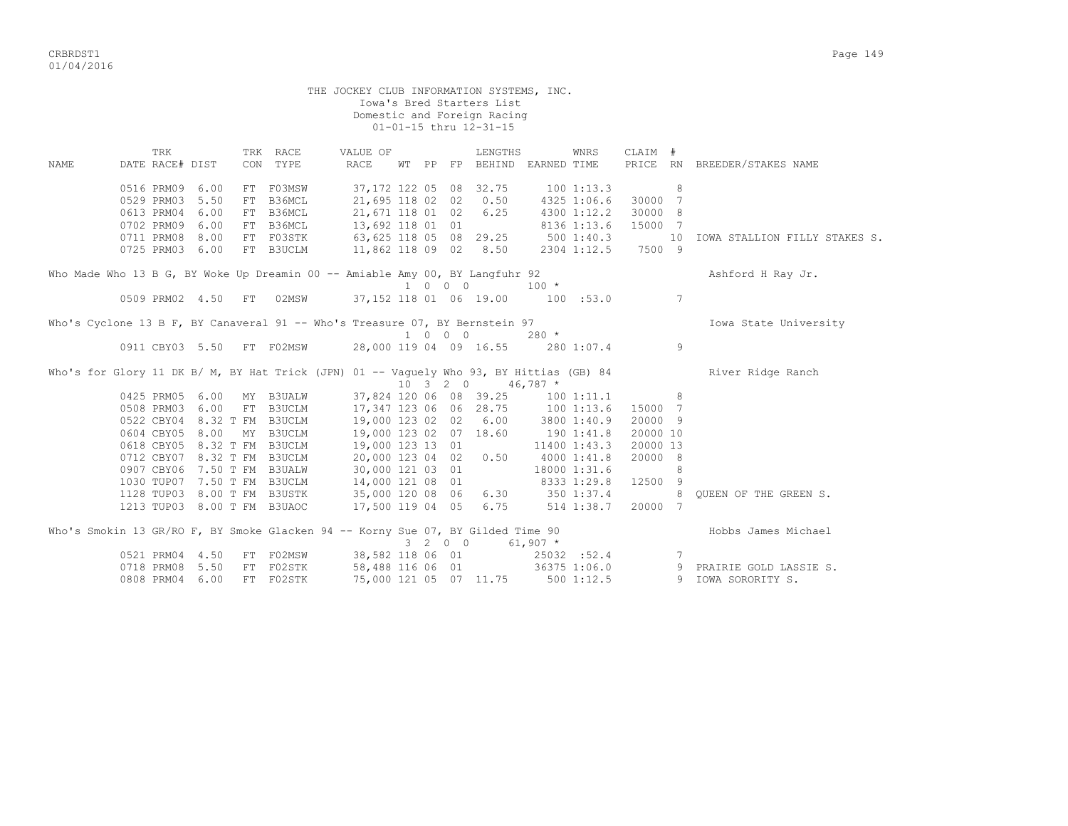|                                                                             | THE JOCKEY CLUB INFORMATION SYSTEMS, INC.<br>Iowa's Bred Starters List<br>Domestic and Foreign Racing<br>01-01-15 thru 12-31-15 |                 |                       |  |                                                            |                                                                                         |  |  |         |                                                          |            |                             |                     |    |                               |
|-----------------------------------------------------------------------------|---------------------------------------------------------------------------------------------------------------------------------|-----------------|-----------------------|--|------------------------------------------------------------|-----------------------------------------------------------------------------------------|--|--|---------|----------------------------------------------------------|------------|-----------------------------|---------------------|----|-------------------------------|
|                                                                             |                                                                                                                                 | TRK             |                       |  | TRK RACE                                                   | VALUE OF                                                                                |  |  |         | LENGTHS                                                  |            | WNRS                        | CLAIM #             |    |                               |
| NAME                                                                        |                                                                                                                                 | DATE RACE# DIST |                       |  | CON TYPE                                                   | RACE                                                                                    |  |  |         | WT PP FP BEHIND EARNED TIME                              |            |                             |                     |    | PRICE RN BREEDER/STAKES NAME  |
|                                                                             |                                                                                                                                 | 0516 PRM09 6.00 |                       |  | FT F03MSW                                                  |                                                                                         |  |  |         | 37,172 122 05 08 32.75                                   |            | 1001:13.3                   |                     | 8  |                               |
|                                                                             |                                                                                                                                 | 0529 PRM03      | 5.50                  |  | FT B36MCL                                                  |                                                                                         |  |  |         | 21,695 118 02 02 0.50                                    |            | 4325 1:06.6                 | 30000 7             |    |                               |
|                                                                             |                                                                                                                                 | 0613 PRM04      | 6.00                  |  | FT B36MCL                                                  | 21,671 118 01 02 6.25                                                                   |  |  |         |                                                          |            | 4300 1:12.2                 | 30000 8             |    |                               |
|                                                                             |                                                                                                                                 | 0702 PRM09      | 6.00                  |  | FT B36MCL                                                  | 13,692 118 01 01                                                                        |  |  |         |                                                          |            | 8136 1:13.6                 | 15000 7             |    |                               |
|                                                                             |                                                                                                                                 | 0711 PRM08 8.00 |                       |  | FT F03STK                                                  |                                                                                         |  |  |         |                                                          |            | 5001:40.3                   |                     | 10 | IOWA STALLION FILLY STAKES S. |
|                                                                             |                                                                                                                                 | 0725 PRM03 6.00 |                       |  | FT B3UCLM                                                  | 63,625 118 05 08 29.25<br>11,862 118 09 02 8.50                                         |  |  |         |                                                          |            |                             | 2304 1:12.5 7500 9  |    |                               |
|                                                                             |                                                                                                                                 |                 |                       |  |                                                            | Who Made Who 13 B G, BY Woke Up Dreamin 00 -- Amiable Amy 00, BY Langfuhr 92            |  |  |         |                                                          |            |                             |                     |    | Ashford H Ray Jr.             |
|                                                                             |                                                                                                                                 |                 |                       |  |                                                            |                                                                                         |  |  |         | 1 0 0 0                                                  | $100 *$    |                             |                     |    |                               |
|                                                                             |                                                                                                                                 |                 |                       |  | 0509 PRM02 4.50 FT 02MSW                                   |                                                                                         |  |  |         | 37,152 118 01 06 19.00 100 :53.0                         |            |                             |                     | 7  |                               |
| Who's Cyclone 13 B F, BY Canaveral 91 -- Who's Treasure 07, BY Bernstein 97 |                                                                                                                                 |                 | Iowa State University |  |                                                            |                                                                                         |  |  |         |                                                          |            |                             |                     |    |                               |
|                                                                             |                                                                                                                                 |                 |                       |  |                                                            |                                                                                         |  |  |         | 1 0 0 0                                                  | $280 *$    |                             |                     |    |                               |
|                                                                             |                                                                                                                                 |                 |                       |  | 0911 CBY03 5.50 FT F02MSW                                  |                                                                                         |  |  |         | 28,000 119 04 09 16.55 280 1:07.4                        |            |                             |                     | 9  |                               |
|                                                                             |                                                                                                                                 |                 |                       |  |                                                            | Who's for Glory 11 DK B/ M, BY Hat Trick (JPN) 01 -- Vaguely Who 93, BY Hittias (GB) 84 |  |  |         |                                                          |            |                             |                     |    | River Ridge Ranch             |
|                                                                             |                                                                                                                                 |                 |                       |  |                                                            |                                                                                         |  |  |         | $10 \quad 3 \quad 2 \quad 0 \quad 46,787 \quad ^{\star}$ |            |                             |                     |    |                               |
|                                                                             |                                                                                                                                 |                 |                       |  | 0425 PRM05 6.00 MY B3UALW                                  |                                                                                         |  |  |         | 37,824 120 06 08 39.25                                   |            | 1001:11.1                   | 8 <sup>1</sup>      |    |                               |
|                                                                             |                                                                                                                                 |                 |                       |  | 0508 PRM03 6.00 FT B3UCLM                                  | 17,347 123 06 06 28.75 100 1:13.6                                                       |  |  |         |                                                          |            |                             | 15000 7             |    |                               |
|                                                                             |                                                                                                                                 |                 |                       |  | 0522 CBY04 8.32 T FM B3UCLM                                |                                                                                         |  |  |         | 19,000 123 02 02 6.00 3800 1:40.9                        |            |                             | 20000 9             |    |                               |
|                                                                             |                                                                                                                                 | 0604 CBY05 8.00 |                       |  | MY B3UCLM                                                  | 19,000 123 02 07 18.60                                                                  |  |  |         |                                                          | 190 1:41.8 |                             | 20000 10            |    |                               |
|                                                                             |                                                                                                                                 |                 |                       |  | 0618 CBY05 8.32 T FM B3UCLM<br>0712 CBY07 8.32 T FM B3UCLM | 19,000 123 13 01                                                                        |  |  |         |                                                          |            | 11400 1:43.3                | 20000 13<br>20000 8 |    |                               |
|                                                                             |                                                                                                                                 |                 |                       |  | 0907 CBY06 7.50 T FM B3UALW                                | 20,000 123 04 02 0.50                                                                   |  |  |         | 30,000 121 03 01                                         |            | 4000 1:41.8                 |                     | 8  |                               |
|                                                                             |                                                                                                                                 |                 |                       |  | 1030 TUP07 7.50 T FM B3UCLM                                |                                                                                         |  |  |         |                                                          |            | 18000 1:31.6<br>8333 1:29.8 | 12500 9             |    |                               |
|                                                                             |                                                                                                                                 |                 |                       |  | 1128 TUP03 8.00 T FM B3USTK                                | 14,000 121 08 01                                                                        |  |  |         |                                                          |            |                             | 8 <sup>1</sup>      |    | OUEEN OF THE GREEN S.         |
|                                                                             |                                                                                                                                 |                 |                       |  | 1213 TUP03 8.00 T FM B3UAOC                                | 35,000 120 08 06 6.30 350 1:37.4<br>17,500 119 04 05 6.75 514 1:38.7                    |  |  |         |                                                          |            | 514 1:38.7                  | 20000 7             |    |                               |
|                                                                             |                                                                                                                                 |                 |                       |  |                                                            |                                                                                         |  |  |         |                                                          |            |                             |                     |    |                               |
|                                                                             |                                                                                                                                 |                 |                       |  |                                                            | Who's Smokin 13 GR/RO F, BY Smoke Glacken 94 -- Korny Sue 07, BY Gilded Time 90         |  |  | 3 2 0 0 |                                                          | $61,907$ * |                             |                     |    | Hobbs James Michael           |
|                                                                             |                                                                                                                                 | 0521 PRM04 4.50 |                       |  | FT F02MSW                                                  | 38,582 118 06 01                                                                        |  |  |         |                                                          |            | 25032 :52.4                 |                     | 7  |                               |
|                                                                             |                                                                                                                                 | 0718 PRM08 5.50 |                       |  | FT F02STK                                                  | 58,488 116 06 01 36375 1:06.0                                                           |  |  |         |                                                          |            |                             |                     |    | 9 PRAIRIE GOLD LASSIE S.      |
|                                                                             |                                                                                                                                 | 0808 PRM04 6.00 |                       |  | FT F02STK                                                  |                                                                                         |  |  |         | 75,000 121 05 07 11.75 500 1:12.5                        |            |                             |                     |    | 9 IOWA SORORITY S.            |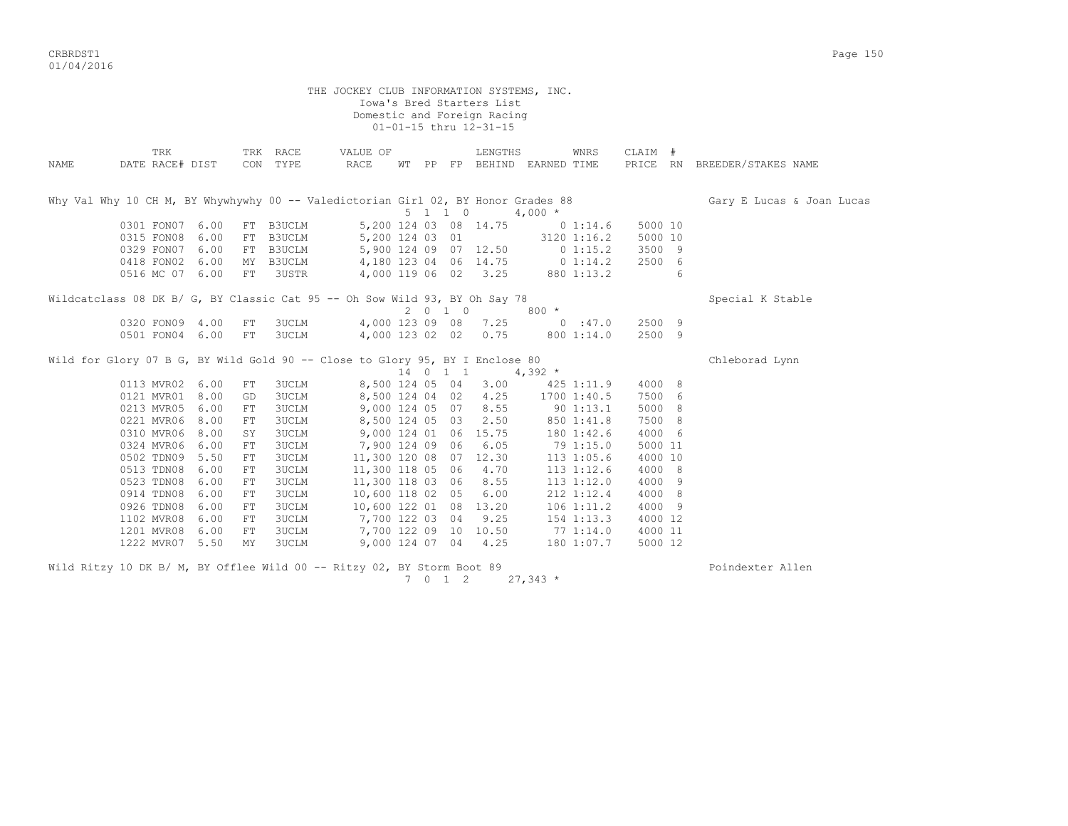CRBRDST1 Page 150 01/04/2016

THE JOCKEY CLUB INFORMATION SYSTEMS, INC. Iowa's Bred Starters List Domestic and Foreign Racing 01-01-15 thru 12-31-15 TRK TRK RACE VALUE OF LENGTHS WNRS CLAIM # NAME DATE RACE# DIST CON TYPE RACE WT PP FP BEHIND EARNED TIME PRICE RN BREEDER/STAKES NAME Why Val Why 10 CH M, BY Whywhywhy 00 -- Valedictorian Girl 02, BY Honor Grades 88 Gary E Lucas & Joan Lucas &  $5 \t1 \t1 \t0 \t4.000 \t*$  0301 FON07 6.00 FT B3UCLM 5,200 124 03 08 14.75 0 1:14.6 5000 10 0315 FON08 6.00 FT B3UCLM 5,200 124 03 01 3120 1:16.2 5000 10 0329 FON07 6.00 FT B3UCLM 5,900 124 09 07 12.50 0 1:15.2 3500 9 0418 FON02 6.00 MY B3UCLM 4,180 123 04 06 14.75 0 1:14.2 2500 6 0516 MC 07 6.00 FT 3USTR 4,000 119 06 02 3.25 880 1:13.2 6 Wildcatclass 08 DK B/ G, BY Classic Cat 95 -- Oh Sow Wild 93, BY Oh Say 78 Special K Stable  $2$  0 1 0  $800$  \* 0320 FON09 4.00 FT 3UCLM 4,000 123 09 08 7.25 0 :47.0 2500 9 0501 FON04 6.00 FT 3UCLM 4,000 123 02 02 0.75 800 1:14.0 2500 9 Wild for Glory 07 B G, BY Wild Gold 90 -- Close to Glory 95, BY I Enclose 80 Chleborad Lynn 0113 MVR02 6.00 FT 3UCLM 8,500 124 05 04 3.00 425 8,500 124 05 04 3.00 425 1:11.9 4000 8 0121 MVR01 8.00 GD 3UCLM 8,500 124 04 02 4.25 1700 1:40.5 7500 6 0213 MVR05 6.00 FT 3UCLM 9,000 124 05 07 8.55 90 1:13.1 5000 8 0221 MVR06 8.00 FT 3UCLM 8,500 124 05 03 2.50 850 1:41.8 7500 8 0310 MVR06 8.00 SY 3UCLM 9,000 124 01 06 15.75 180 1:42.6 4000 6 0324 MVR06 6.00 FT 3UCLM 7,900 124 09 06 6.05 79 1:15.0 5000 11 0502 TDN09 5.50 FT 3UCLM 11,300 120 08 07 12.30 113 1:05.6 4000 10 0513 TDN08 6.00 FT 3UCLM 11,300 118 05 06 4.70 113 1:12.6 4000 8 0523 TDN08 6.00 FT 3UCLM 11,300 118 03 06 8.55 113 1:12.0 4000 9 0914 TDN08 6.00 FT 3UCLM 10,600 118 02 05 6.00 212 1:12.4 4000 8 0926 TDN08 6.00 FT 3UCLM 10,600 122 01 08 13.20 106 1:11.2 4000 9 1102 MVR08 6.00 FT 3UCLM 7,700 122 03 04 9.25 154 1:13.3 4000 12 1201 MVR08 6.00 FT 3UCLM 7,700 122 09 10 10.50 77 1:14.0 4000 11 1222 MVR07 5.50 MY 3UCLM 9,000 124 07 04 4.25 180 1:07.7 5000 12

Wild Ritzy 10 DK B/ M, BY Offlee Wild 00 -- Ritzy 02, BY Storm Boot 89 Poindexter Allen 7 0 1 2 27,343 \*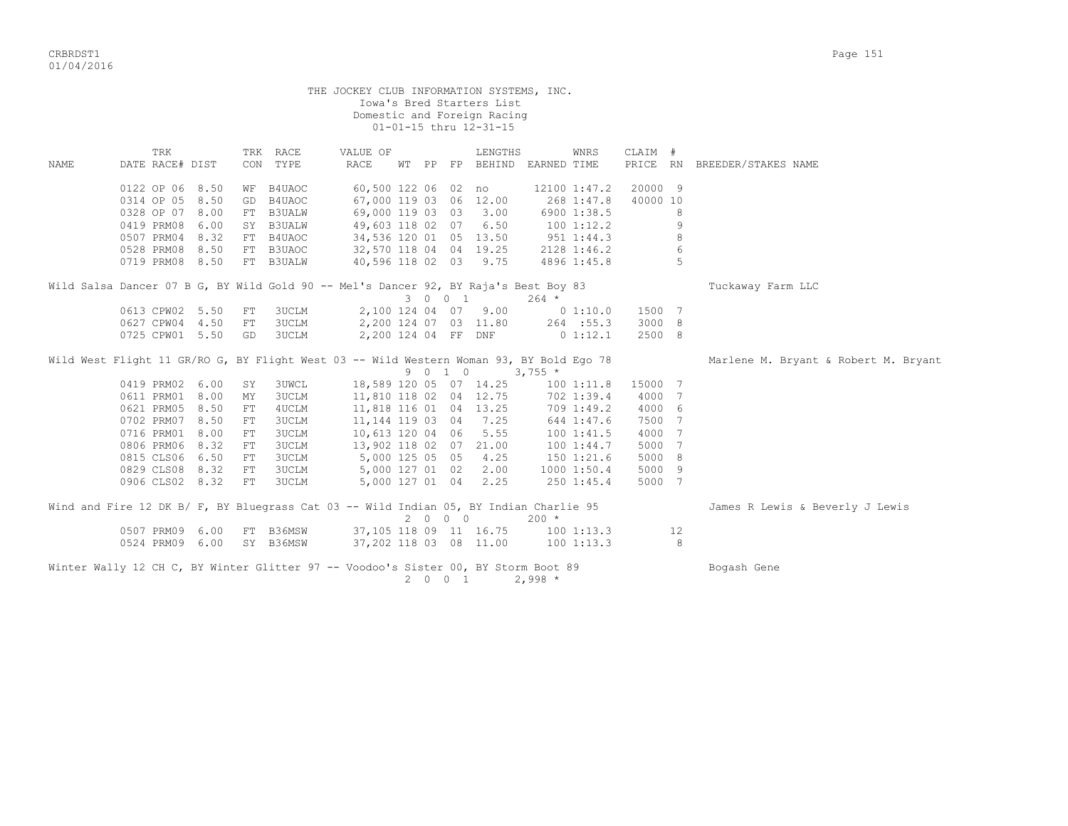| THE JOCKEY CLUB INFORMATION SYSTEMS, INC.<br>Iowa's Bred Starters List<br>Domestic and Foreign Racing<br>01-01-15 thru 12-31-15 |                                                                                         |      |                                      |                      |  |                                                 |  |  |         |                                        |              |              |          |    |                                 |
|---------------------------------------------------------------------------------------------------------------------------------|-----------------------------------------------------------------------------------------|------|--------------------------------------|----------------------|--|-------------------------------------------------|--|--|---------|----------------------------------------|--------------|--------------|----------|----|---------------------------------|
| NAME                                                                                                                            | TRK<br>DATE RACE# DIST                                                                  |      |                                      | TRK RACE<br>CON TYPE |  | VALUE OF<br>RACE                                |  |  |         | LENGTHS<br>WT PP FP BEHIND EARNED TIME |              | WNRS         | CLAIM #  |    | PRICE RN BREEDER/STAKES NAME    |
|                                                                                                                                 |                                                                                         |      |                                      |                      |  |                                                 |  |  |         |                                        |              |              |          |    |                                 |
|                                                                                                                                 | 0122 OP 06 8.50                                                                         |      |                                      | WF B4UAOC            |  |                                                 |  |  |         | 60,500 122 06 02 no                    |              | 12100 1:47.2 | 20000 9  |    |                                 |
|                                                                                                                                 | 0314 OP 05 8.50                                                                         |      |                                      | GD B4UAOC            |  |                                                 |  |  |         | 67,000 119 03 06 12.00                 |              | 268 1:47.8   | 40000 10 |    |                                 |
|                                                                                                                                 | 0328 OP 07 8.00                                                                         |      |                                      | FT B3UALW            |  |                                                 |  |  |         | 69,000 119 03 03 3.00                  |              | 6900 1:38.5  |          | 8  |                                 |
|                                                                                                                                 | 0419 PRM08                                                                              | 6.00 |                                      | SY B3UALW            |  |                                                 |  |  |         | 49,603 118 02 07 6.50                  | 1001:12.2    |              |          | 9  |                                 |
|                                                                                                                                 | 0507 PRM04                                                                              | 8.32 |                                      | FT B4UAOC            |  |                                                 |  |  |         | 34,536 120 01 05 13.50                 | $951$ 1:44.3 |              |          | 8  |                                 |
|                                                                                                                                 | 0528 PRM08                                                                              | 8.50 |                                      | FT B3UAOC            |  | 32,570 118 04 04 19.25<br>40,596 118 02 03 9.75 |  |  |         | 32,570 118 04 04 19.25                 |              | 2128 1:46.2  |          | 6  |                                 |
|                                                                                                                                 | 0719 PRM08 8.50                                                                         |      |                                      | FT B3UALW            |  |                                                 |  |  |         |                                        |              | 4896 1:45.8  |          | -5 |                                 |
|                                                                                                                                 | Wild Salsa Dancer 07 B G, BY Wild Gold 90 -- Mel's Dancer 92, BY Raja's Best Boy 83     |      | Tuckaway Farm LLC                    |                      |  |                                                 |  |  |         |                                        |              |              |          |    |                                 |
|                                                                                                                                 | 0613 CPW02 5.50                                                                         |      | FT                                   | 3UCLM                |  |                                                 |  |  |         | 2,100 124 04 07 9.00                   |              | 0 1:10.0     | 1500 7   |    |                                 |
|                                                                                                                                 | 0627 CPW04 4.50                                                                         |      | FT                                   | 3UCLM                |  |                                                 |  |  |         | 2,200 124 07 03 11.80                  |              | 264 : 55.3   | 3000 8   |    |                                 |
|                                                                                                                                 | 0725 CPW01 5.50                                                                         |      | GD                                   | 3UCLM                |  |                                                 |  |  |         | 2,200 124 04 FF DNF                    |              | $0\;1:12.1$  | 2500 8   |    |                                 |
|                                                                                                                                 | Wild West Flight 11 GR/RO G, BY Flight West 03 -- Wild Western Woman 93, BY Bold Ego 78 |      | Marlene M. Bryant & Robert M. Bryant |                      |  |                                                 |  |  |         |                                        |              |              |          |    |                                 |
|                                                                                                                                 | 0419 PRM02 6.00                                                                         |      | SY                                   | <b>3UWCL</b>         |  |                                                 |  |  | 9 0 1 0 | 18,589 120 05 07 14.25                 | $3,755$ *    | 1001:11.8    | 15000 7  |    |                                 |
|                                                                                                                                 | 0611 PRM01 8.00                                                                         |      | MY                                   | 3UCLM                |  |                                                 |  |  |         | 11,810 118 02 04 12.75                 |              | 702 1:39.4   | 4000 7   |    |                                 |
|                                                                                                                                 | 0621 PRM05 8.50                                                                         |      | FT                                   | 4UCLM                |  |                                                 |  |  |         | 11,818 116 01 04 13.25                 |              | 709 1:49.2   | 4000 6   |    |                                 |
|                                                                                                                                 | 0702 PRM07 8.50                                                                         |      | FT                                   | <b>3UCLM</b>         |  |                                                 |  |  |         | 11, 144 119 03 04 7.25                 |              | 644 1:47.6   | 7500 7   |    |                                 |
|                                                                                                                                 | 0716 PRM01                                                                              | 8.00 | FT                                   | 3UCLM                |  |                                                 |  |  |         | 10,613 120 04 06 5.55                  |              | 1001:41.5    | 4000 7   |    |                                 |
|                                                                                                                                 | 0806 PRM06 8.32                                                                         |      | FT                                   | 3UCLM                |  |                                                 |  |  |         | 13,902 118 02 07 21.00                 |              | 100 1:44.7   | 5000 7   |    |                                 |
|                                                                                                                                 | 0815 CLS06 6.50                                                                         |      | FT                                   | 3UCLM                |  | 5,000 125 05 05 4.25                            |  |  |         |                                        |              | 150 1:21.6   | 5000 8   |    |                                 |
|                                                                                                                                 | 0829 CLS08 8.32                                                                         |      | FT                                   | 3UCLM                |  |                                                 |  |  |         | 5,000 127 01 02 2.00                   |              | 1000 1:50.4  | 5000 9   |    |                                 |
|                                                                                                                                 | 0906 CLS02 8.32                                                                         |      | FT                                   | 3UCLM                |  |                                                 |  |  |         | 5,000 127 01 04 2.25                   |              | 250 1:45.4   | 5000 7   |    |                                 |
|                                                                                                                                 | Wind and Fire 12 DK B/ F, BY Bluegrass Cat 03 -- Wild Indian 05, BY Indian Charlie 95   |      |                                      |                      |  |                                                 |  |  | 2 0 0 0 |                                        | $200 *$      |              |          |    | James R Lewis & Beverly J Lewis |
|                                                                                                                                 | 0507 PRM09 6.00                                                                         |      |                                      | FT B36MSW            |  |                                                 |  |  |         | 37,105 118 09 11 16.75                 | 1001:13.3    |              |          | 12 |                                 |
|                                                                                                                                 | 0524 PRM09 6.00                                                                         |      |                                      | SY B36MSW            |  |                                                 |  |  |         | 37,202 118 03 08 11.00                 | 100 1:13.3   |              |          | 8  |                                 |
|                                                                                                                                 | Winter Wally 12 CH C, BY Winter Glitter 97 -- Voodoo's Sister 00, BY Storm Boot 89      |      |                                      |                      |  |                                                 |  |  | 2 0 0 1 |                                        | $2,998 *$    |              |          |    | Bogash Gene                     |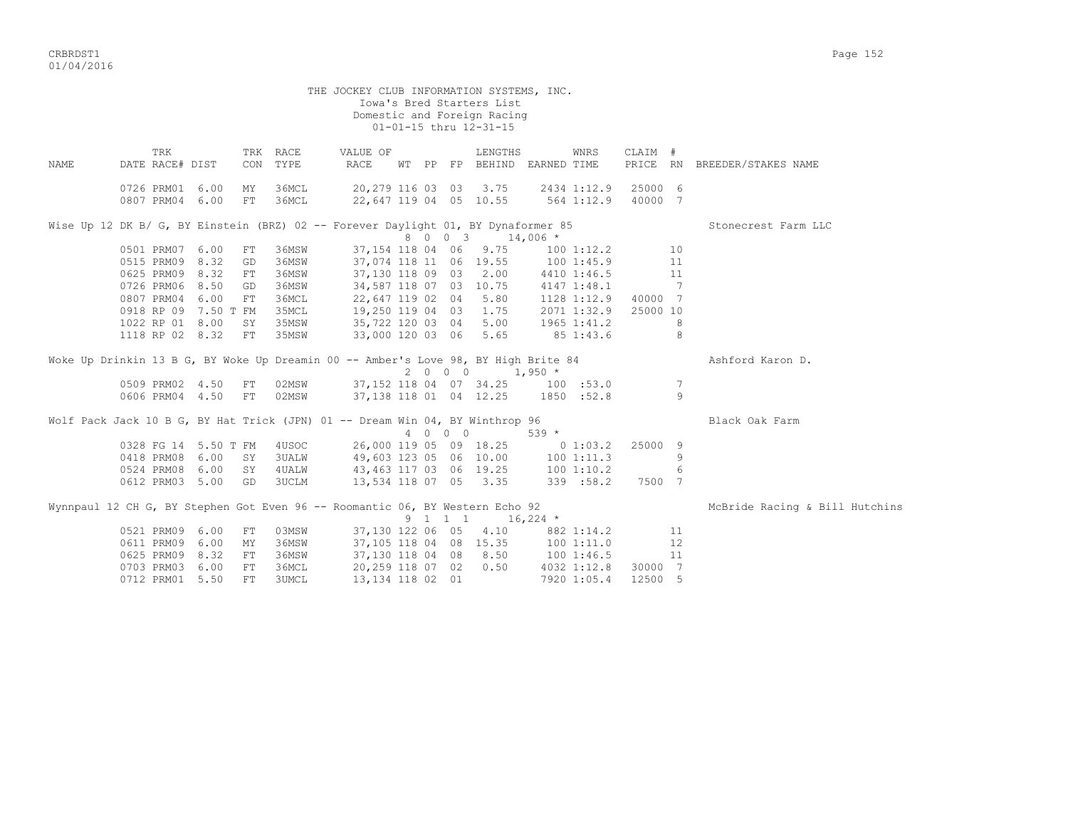| THE JOCKEY CLUB INFORMATION SYSTEMS, INC.<br>Iowa's Bred Starters List<br>Domestic and Foreign Racing<br>01-01-15 thru 12-31-15 |                                                                                    |  |          |                      |                                                                                        |  |  |         |                                        |           |                      |         |                |                                |
|---------------------------------------------------------------------------------------------------------------------------------|------------------------------------------------------------------------------------|--|----------|----------------------|----------------------------------------------------------------------------------------|--|--|---------|----------------------------------------|-----------|----------------------|---------|----------------|--------------------------------|
| NAMF.                                                                                                                           | TRK<br>DATE RACE# DIST                                                             |  |          | TRK RACE<br>CON TYPE | VALUE OF<br>RACE                                                                       |  |  |         | LENGTHS<br>WT PP FP BEHIND EARNED TIME |           | WNRS                 | CLAIM # |                | PRICE RN BREEDER/STAKES NAME   |
|                                                                                                                                 | 0726 PRM01 6.00<br>0807 PRM04 6.00                                                 |  | MY<br>FT | 36MCL<br>36MCL       | 20,279 116 03 03 3.75 2434 1:12.9 25000 6<br>22,647 119 04 05 10.55 564 1:12.9 40000 7 |  |  |         |                                        |           |                      |         |                |                                |
|                                                                                                                                 | Wise Up 12 DK B/ G, BY Einstein (BRZ) 02 -- Forever Daylight 01, BY Dynaformer 85  |  |          |                      |                                                                                        |  |  |         |                                        |           |                      |         |                | Stonecrest Farm LLC            |
|                                                                                                                                 |                                                                                    |  |          |                      |                                                                                        |  |  |         | 8 0 0 3 14,006 *                       |           |                      |         |                |                                |
|                                                                                                                                 | 0501 PRM07 6.00                                                                    |  | FT       | 36MSW                |                                                                                        |  |  |         | 37,154 118 04 06 9.75                  |           | 100 1:12.2 10        |         |                |                                |
|                                                                                                                                 | 0515 PRM09 8.32                                                                    |  | GD       | 36MSW                |                                                                                        |  |  |         | 37,074 118 11 06 19.55                 |           | 100 1:45.9           |         | 11             |                                |
|                                                                                                                                 | 0625 PRM09 8.32                                                                    |  | FT       | 36MSW                |                                                                                        |  |  |         | 37,130 118 09 03 2.00                  |           | 4410 1:46.5          |         | 11             |                                |
|                                                                                                                                 | 0726 PRM06 8.50                                                                    |  | GD       | 36MSW                | 34,587 118 07 03 10.75                                                                 |  |  |         |                                        |           | 4147 1:48.1          |         | $\overline{7}$ |                                |
|                                                                                                                                 | 0807 PRM04 6.00                                                                    |  | FT       | 36MCL                | 22,647 119 02 04 5.80                                                                  |  |  |         |                                        |           | 1128 1:12.9 40000 7  |         |                |                                |
|                                                                                                                                 | 0918 RP 09 7.50 T FM                                                               |  |          | 35MCL                | 19,250 119 04 03 1.75                                                                  |  |  |         |                                        |           | 2071 1:32.9 25000 10 |         |                |                                |
|                                                                                                                                 | 1022 RP 01 8.00                                                                    |  | SY       | 35MSW                | 35,722 120 03 04 5.00                                                                  |  |  |         |                                        |           | 1965 1:41.2          |         | 8              |                                |
|                                                                                                                                 | 1118 RP 02 8.32                                                                    |  | FT       | 35MSW                | 33,000 120 03 06 5.65                                                                  |  |  |         |                                        |           | 85 1:43.6            |         | 8              |                                |
|                                                                                                                                 |                                                                                    |  |          |                      |                                                                                        |  |  |         |                                        |           |                      |         |                |                                |
|                                                                                                                                 | Woke Up Drinkin 13 B G, BY Woke Up Dreamin 00 -- Amber's Love 98, BY High Brite 84 |  |          |                      |                                                                                        |  |  |         |                                        |           |                      |         |                | Ashford Karon D.               |
|                                                                                                                                 |                                                                                    |  |          |                      |                                                                                        |  |  | 2 0 0 0 | $1,950$ *                              |           |                      |         |                |                                |
|                                                                                                                                 | 0509 PRM02 4.50 FT 02MSW                                                           |  |          |                      | $37,152$ 118 04 07 34.25 100 :53.0                                                     |  |  |         |                                        |           |                      |         | 7              |                                |
|                                                                                                                                 | 0606 PRM04 4.50 FT 02MSW                                                           |  |          |                      | 37,138 118 01 04 12.25 1850 :52.8                                                      |  |  |         |                                        |           |                      |         | 9              |                                |
|                                                                                                                                 |                                                                                    |  |          |                      |                                                                                        |  |  |         |                                        |           |                      |         |                |                                |
|                                                                                                                                 | Wolf Pack Jack 10 B G, BY Hat Trick (JPN) 01 -- Dream Win 04, BY Winthrop 96       |  |          |                      |                                                                                        |  |  |         |                                        |           |                      |         |                | Black Oak Farm                 |
|                                                                                                                                 |                                                                                    |  |          |                      |                                                                                        |  |  | 4 0 0 0 |                                        | $539$ $*$ |                      |         |                |                                |
|                                                                                                                                 |                                                                                    |  |          |                      | 0328 FG 14 5.50 T FM 4USOC 26,000 119 05 09 18.25 0 1:03.2 25000 9                     |  |  |         |                                        |           |                      |         |                |                                |
|                                                                                                                                 | 0418 PRM08 6.00 SY                                                                 |  |          | <b>3UALW</b>         | 49,603 123 05 06 10.00 100 1:11.3                                                      |  |  |         |                                        |           |                      |         | 9              |                                |
|                                                                                                                                 | 0524 PRM08 6.00 SY 4UALW                                                           |  |          |                      | 43, 463 117 03 06 19.25                                                                |  |  |         |                                        |           | 100 1:10.2           |         | 6              |                                |
|                                                                                                                                 | 0612 PRM03 5.00 GD 3UCLM                                                           |  |          |                      | 13,534 118 07 05 3.35                                                                  |  |  |         |                                        |           | 339 : 58.2           | 7500 7  |                |                                |
|                                                                                                                                 |                                                                                    |  |          |                      |                                                                                        |  |  |         |                                        |           |                      |         |                |                                |
|                                                                                                                                 | Wynnpaul 12 CH G, BY Stephen Got Even 96 -- Roomantic 06, BY Western Echo 92       |  |          |                      |                                                                                        |  |  |         |                                        |           |                      |         |                | McBride Racing & Bill Hutchins |
|                                                                                                                                 |                                                                                    |  |          |                      |                                                                                        |  |  |         | 9 1 1 1 1 16,224 $\star$               |           |                      |         |                |                                |
|                                                                                                                                 | 0521 PRM09 6.00                                                                    |  | FT       | 03MSW                |                                                                                        |  |  |         | 37,130 122 06 05 4.10                  |           | 882 1:14.2           |         | 11             |                                |
|                                                                                                                                 | 0611 PRM09 6.00                                                                    |  | MY       | 36MSW                | 37,105 118 04 08 15.35 100 1:11.0                                                      |  |  |         |                                        |           |                      |         | 12             |                                |
|                                                                                                                                 |                                                                                    |  |          |                      |                                                                                        |  |  |         |                                        |           |                      |         |                |                                |
|                                                                                                                                 | 0625 PRM09 8.32                                                                    |  | FT       | 36MSW                | 37,130 118 04 08 8.50                                                                  |  |  |         |                                        |           | 1001:46.5            |         | 11             |                                |
|                                                                                                                                 | 0703 PRM03 6.00                                                                    |  | FT       | 36MCL                |                                                                                        |  |  |         | 20,259 118 07 02 0.50                  |           | 4032 1:12.8          | 30000 7 |                |                                |
|                                                                                                                                 | 0712 PRM01 5.50                                                                    |  | FT       | 3UMCL                | 13,134 118 02 01                                                                       |  |  |         |                                        |           | 7920 1:05.4          | 12500 5 |                |                                |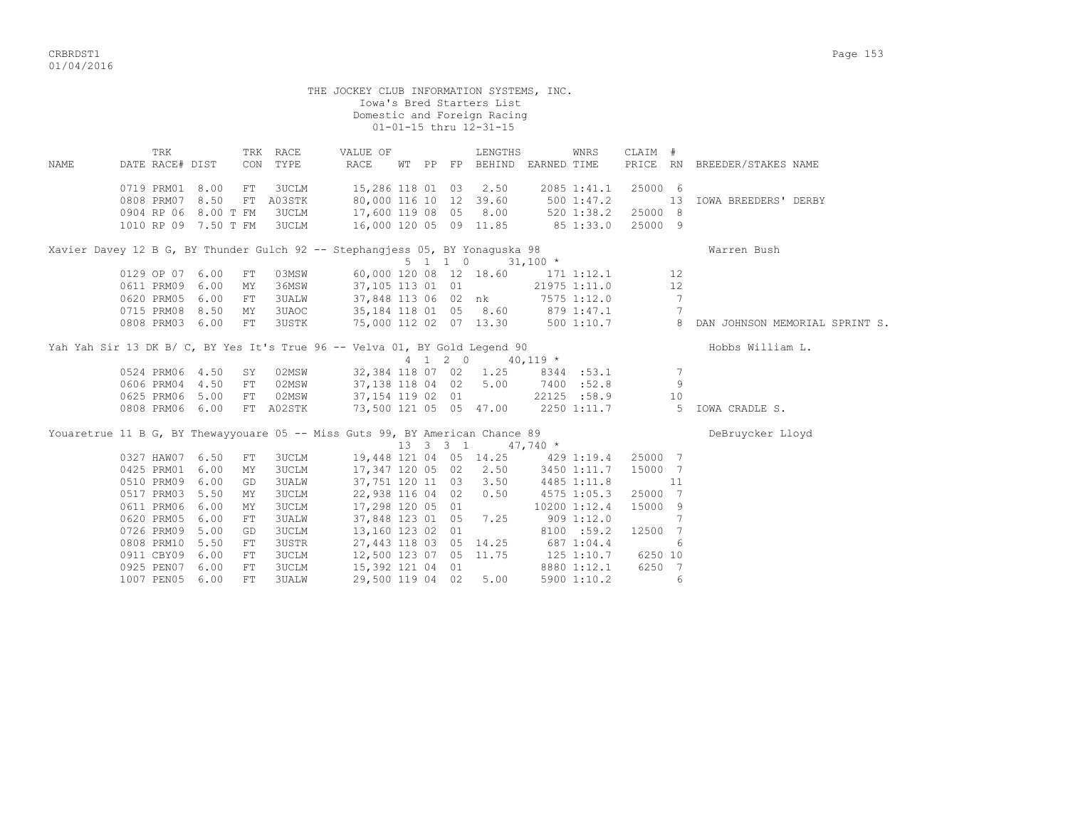| THE JOCKEY CLUB INFORMATION SYSTEMS, INC.<br>Iowa's Bred Starters List<br>Domestic and Foreign Racing<br>01-01-15 thru 12-31-15 |                                                                                                         |  |            |                                             |                                                                                                    |  |  |  |                                        |  |                                                        |                               |                 |                              |  |
|---------------------------------------------------------------------------------------------------------------------------------|---------------------------------------------------------------------------------------------------------|--|------------|---------------------------------------------|----------------------------------------------------------------------------------------------------|--|--|--|----------------------------------------|--|--------------------------------------------------------|-------------------------------|-----------------|------------------------------|--|
| NAME                                                                                                                            | TRK<br>DATE RACE# DIST                                                                                  |  |            | TRK RACE<br>CON TYPE                        | VALUE OF<br>RACE                                                                                   |  |  |  | LENGTHS<br>WT PP FP BEHIND EARNED TIME |  | WNRS                                                   | CLAIM #                       |                 | PRICE RN BREEDER/STAKES NAME |  |
|                                                                                                                                 | 0719 PRM01 8.00<br>0808 PRM07 8.50<br>0904 RP 06 8.00 T FM<br>1010 RP 09 7.50 T FM                      |  | FT         | 3UCLM<br>FT A03STK<br><b>3UCLM</b><br>3UCLM | 15,286 118 01 03 2.50<br>80,000 116 10 12 39.60<br>17,600 119 08 05 8.00<br>16,000 120 05 09 11.85 |  |  |  |                                        |  | 2085 1:41.1<br>5001:47.2<br>520 1:38.2<br>$85\;1:33.0$ | 25000 6<br>25000 8<br>25000 9 | 13              | IOWA BREEDERS' DERBY         |  |
| Xavier Davey 12 B G, BY Thunder Gulch 92 -- Stephangjess 05, BY Yonaguska 98<br>Warren Bush                                     |                                                                                                         |  |            |                                             |                                                                                                    |  |  |  |                                        |  |                                                        |                               |                 |                              |  |
|                                                                                                                                 | $5 \t1 \t1 \t0 \t31,100 \t*$<br>60,000 120 08 12 18.60 171 1:12.1<br>0129 OP 07 6.00                    |  |            |                                             |                                                                                                    |  |  |  |                                        |  |                                                        |                               |                 |                              |  |
|                                                                                                                                 |                                                                                                         |  | FT         | 03MSW                                       |                                                                                                    |  |  |  |                                        |  |                                                        |                               | 12              |                              |  |
|                                                                                                                                 | 0611 PRM09 6.00                                                                                         |  | MY         | 36MSW                                       | 37,105 113 01 01                                                                                   |  |  |  |                                        |  | 21975 1:11.0                                           |                               | 12              |                              |  |
|                                                                                                                                 | 0620 PRM05 6.00                                                                                         |  | FT         | 3UALW                                       |                                                                                                    |  |  |  | 37,848 113 06 02 nk 7575 1:12.0        |  |                                                        |                               | $7\phantom{.0}$ |                              |  |
|                                                                                                                                 | 0715 PRM08 8.50                                                                                         |  | MY         | 3UAOC                                       | 35,184 118 01 05 8.60 879 1:47.1                                                                   |  |  |  |                                        |  |                                                        |                               | 7               |                              |  |
|                                                                                                                                 | 75,000 112 02 07 13.30<br>0808 PRM03 6.00<br>3USTK<br>500 1:10.7 8 DAN JOHNSON MEMORIAL SPRINT S.<br>FT |  |            |                                             |                                                                                                    |  |  |  |                                        |  |                                                        |                               |                 |                              |  |
| Yah Yah Sir 13 DK B/ C, BY Yes It's True 96 -- Velva 01, BY Gold Legend 90<br>Hobbs William L.                                  |                                                                                                         |  |            |                                             |                                                                                                    |  |  |  |                                        |  |                                                        |                               |                 |                              |  |
|                                                                                                                                 |                                                                                                         |  |            |                                             |                                                                                                    |  |  |  | 4 1 2 0 40,119 *                       |  |                                                        |                               |                 |                              |  |
|                                                                                                                                 | 0524 PRM06 4.50                                                                                         |  | SY         | 02MSW                                       |                                                                                                    |  |  |  | 32,384 118 07 02 1.25                  |  | 8344 : 53.1                                            |                               | 7               |                              |  |
|                                                                                                                                 | 0606 PRM04 4.50                                                                                         |  | FT         | 02MSW                                       | 37,138 118 04 02 5.00                                                                              |  |  |  |                                        |  | 7400 :52.8                                             |                               | 9               |                              |  |
|                                                                                                                                 | 0625 PRM06 5.00                                                                                         |  | FT         | 02MSW                                       | 37, 154 119 02 01                                                                                  |  |  |  |                                        |  | 22125 :58.9                                            |                               | 10              |                              |  |
|                                                                                                                                 | 0808 PRM06 6.00                                                                                         |  |            | FT A02STK                                   | 73,500 121 05 05 47.00                                                                             |  |  |  |                                        |  | 2250 1:11.7                                            |                               |                 | 5 IOWA CRADLE S.             |  |
|                                                                                                                                 |                                                                                                         |  |            |                                             |                                                                                                    |  |  |  |                                        |  |                                                        |                               |                 |                              |  |
|                                                                                                                                 |                                                                                                         |  |            |                                             | Youaretrue 11 B G, BY Thewayyouare 05 -- Miss Guts 99, BY American Chance 89                       |  |  |  |                                        |  |                                                        |                               |                 | DeBruycker Lloyd             |  |
|                                                                                                                                 |                                                                                                         |  |            |                                             |                                                                                                    |  |  |  | 13 3 3 1 47,740 *                      |  |                                                        |                               |                 |                              |  |
|                                                                                                                                 | 0327 HAW07 6.50                                                                                         |  | FT         | 3UCLM                                       |                                                                                                    |  |  |  | 19,448 121 04 05 14.25 429 1:19.4      |  |                                                        | 25000 7                       |                 |                              |  |
|                                                                                                                                 | 0425 PRM01 6.00                                                                                         |  | MΥ         | 3UCLM                                       |                                                                                                    |  |  |  | 17,347 120 05 02 2.50                  |  | 3450 1:11.7                                            | 15000 7                       |                 |                              |  |
|                                                                                                                                 | 0510 PRM09 6.00                                                                                         |  | GD         | 3UALW                                       |                                                                                                    |  |  |  | 37, 751 120 11 03 3.50                 |  | 4485 1:11.8                                            |                               | 11              |                              |  |
|                                                                                                                                 | 0517 PRM03 5.50                                                                                         |  | MY         | <b>3UCLM</b>                                | 22,938 116 04 02 0.50                                                                              |  |  |  |                                        |  | 4575 1:05.3                                            | 25000 7                       |                 |                              |  |
|                                                                                                                                 | 0611 PRM06 6.00                                                                                         |  | MY         | 3UCLM                                       | 17,298 120 05 01                                                                                   |  |  |  |                                        |  | 10200 1:12.4                                           | 15000 9                       |                 |                              |  |
| 0620 PRM05 6.00<br>3UALW<br>37,848 123 01 05 7.25<br>$909$ 1:12.0<br>FT                                                         |                                                                                                         |  |            |                                             |                                                                                                    |  |  |  |                                        |  |                                                        |                               | $7\phantom{.0}$ |                              |  |
|                                                                                                                                 | 0726 PRM09 5.00                                                                                         |  | GD         | 3UCLM                                       | 13,160 123 02 01                                                                                   |  |  |  |                                        |  | 8100 :59.2                                             | 12500 7                       |                 |                              |  |
| 27, 443 118 03 05 14.25<br>0808 PRM10 5.50<br>3USTR<br>687 1:04.4<br>${\rm FT}$                                                 |                                                                                                         |  |            |                                             |                                                                                                    |  |  |  |                                        |  |                                                        |                               | 6               |                              |  |
|                                                                                                                                 | 0911 CBY09 6.00                                                                                         |  | ${\rm FT}$ | 3UCLM                                       | 12,500 123 07 05 11.75                                                                             |  |  |  |                                        |  | 125 1:10.7                                             | 6250 10                       |                 |                              |  |
|                                                                                                                                 | 0925 PEN07 6.00                                                                                         |  | FТ         | 3UCLM                                       | 15,392 121 04 01                                                                                   |  |  |  |                                        |  | 8880 1:12.1                                            | 6250 7                        |                 |                              |  |

1007 PEN05 6.00 FT 3UALW 29,500 119 04 02 5.00 5900 1:10.2 6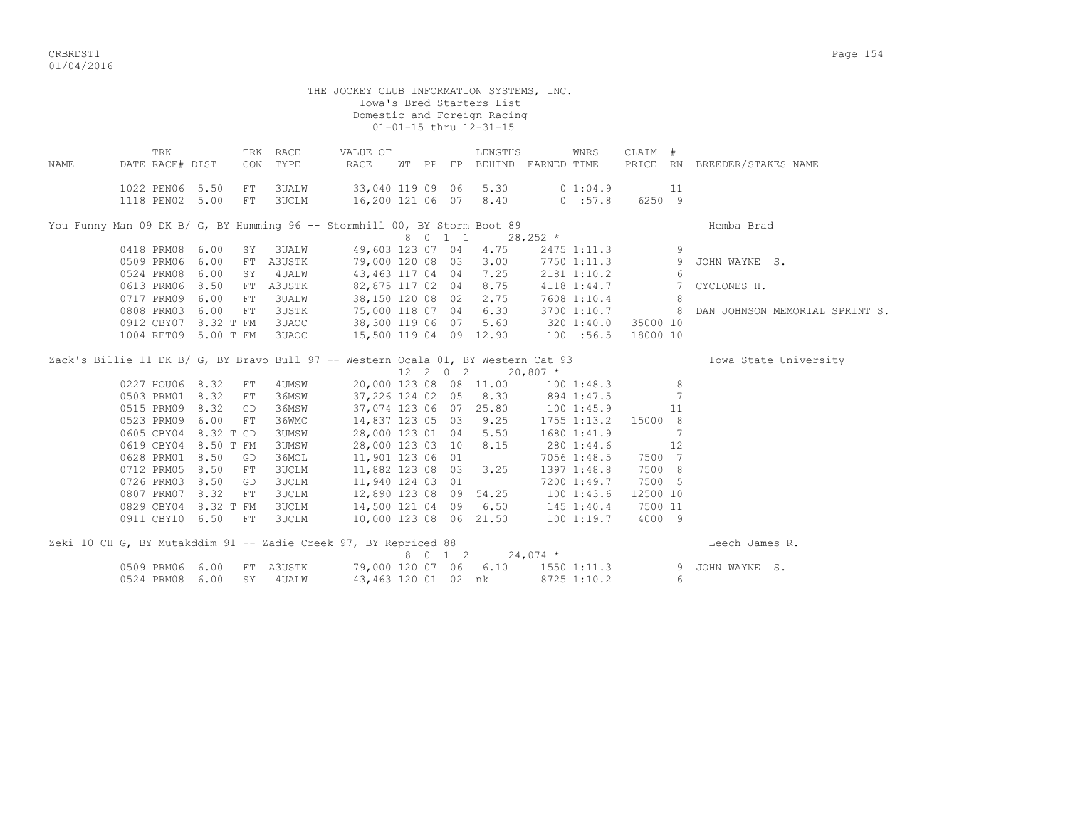CRBRDST1 Page 154 01/04/2016

| 01-01-15 thru 12-31-15 |                                    |           |                                                  |                                                                                   |  |  |         |                                             |            |                     |                     |                 |                                |
|------------------------|------------------------------------|-----------|--------------------------------------------------|-----------------------------------------------------------------------------------|--|--|---------|---------------------------------------------|------------|---------------------|---------------------|-----------------|--------------------------------|
| <b>NAME</b>            | TRK<br>DATE RACE# DIST             |           | TRK RACE<br>TYPE<br>CON                          | VALUE OF<br>RACE                                                                  |  |  |         | LENGTHS<br>WT PP FP BEHIND EARNED TIME      |            | WNRS                | CLAIM #<br>PRICE RN |                 | BREEDER/STAKES NAME            |
|                        | 1022 PEN06 5.50<br>1118 PEN02 5.00 |           | ${\rm FT}$<br><b>3UALW</b><br><b>3UCLM</b><br>FT | 33,040 119 09 06                                                                  |  |  |         | 5.30<br>16,200 121 06 07 8.40               |            | 0 1:04.9<br>0.157.8 | 6250 9              | 11              |                                |
|                        |                                    |           |                                                  | You Funny Man 09 DK B/ G, BY Humming 96 -- Stormhill 00, BY Storm Boot 89         |  |  |         |                                             |            |                     |                     |                 | Hemba Brad                     |
|                        |                                    |           |                                                  |                                                                                   |  |  | 8 0 1 1 |                                             | $28,252$ * |                     |                     |                 |                                |
|                        | 0418 PRM08                         | 6.00      | 3UALW<br>SY                                      | 49,603 123 07 04                                                                  |  |  |         | 4.75                                        |            | 2475 1:11.3         |                     | 9               |                                |
|                        | 0509 PRM06                         | 6.00      | A3USTK<br>FT                                     |                                                                                   |  |  |         | 79,000 120 08 03 3.00                       |            | 7750 1:11.3         |                     | 9               | JOHN WAYNE S.                  |
|                        | 0524 PRM08                         | 6.00      | 4UALW<br>SY                                      |                                                                                   |  |  |         | 43,463 117 04 04 7.25                       |            | 2181 1:10.2         |                     | 6               |                                |
|                        | 0613 PRM06                         | 8.50      | A3USTK<br>FT                                     | 82,875 117 02 04                                                                  |  |  |         | 8.75                                        |            | 4118 1:44.7         |                     | $7\phantom{.0}$ | CYCLONES H.                    |
|                        | 0717 PRM09                         | 6.00      | 3UALW<br>FT                                      |                                                                                   |  |  |         | 38,150 120 08 02 2.75                       |            | 7608 1:10.4         |                     | 8               |                                |
|                        | 0808 PRM03                         | 6.00      | 3USTK<br>FT                                      | 75,000 118 07 04 6.30                                                             |  |  |         |                                             |            | 3700 1:10.7         |                     | 8               | DAN JOHNSON MEMORIAL SPRINT S. |
|                        | 0912 CBY07 8.32 T FM               |           | 3UAOC                                            | 38,300 119 06 07 5.60                                                             |  |  |         |                                             | 3201:40.0  |                     | 35000 10            |                 |                                |
|                        | 1004 RET09 5.00 T FM               |           | 3UAOC                                            |                                                                                   |  |  |         | 15,500 119 04 09 12.90                      | 100 : 56.5 |                     | 18000 10            |                 |                                |
|                        |                                    |           |                                                  | Zack's Billie 11 DK B/ G, BY Bravo Bull 97 -- Western Ocala 01, BY Western Cat 93 |  |  |         | $12 \quad 2 \quad 0 \quad 2 \quad 20,807$ * |            |                     |                     |                 | Iowa State University          |
|                        | 0227 HOU06 8.32                    |           | FT<br>4UMSW                                      |                                                                                   |  |  |         | 20,000 123 08 08 11.00                      |            | 1001:48.3           |                     | 8               |                                |
|                        | 0503 PRM01                         | 8.32      | 36MSW<br>FT                                      | 37,226 124 02 05 8.30                                                             |  |  |         |                                             | 894 1:47.5 |                     |                     | $7\phantom{.0}$ |                                |
|                        | 0515 PRM09                         | 8.32      | 36MSW<br>GD                                      |                                                                                   |  |  |         | 37,074 123 06 07 25.80                      | 1001:45.9  |                     |                     | 11              |                                |
|                        | 0523 PRM09                         | 6.00      | 36WMC<br>FT                                      | 14,837 123 05 03 9.25                                                             |  |  |         |                                             |            | 1755 1:13.2         | 15000 8             |                 |                                |
|                        | 0605 CBY04                         | 8.32 T GD | 3UMSW                                            | 28,000 123 01 04 5.50                                                             |  |  |         |                                             |            | 1680 1:41.9         |                     | 7               |                                |
|                        | 0619 CBY04                         | 8.50 T FM | 3UMSW                                            | 28,000 123 03 10                                                                  |  |  |         | 8.15                                        |            | 280 1:44.6          |                     | 12              |                                |
|                        | 0628 PRM01                         | 8.50      | 36MCL<br>GD                                      | 11,901 123 06 01                                                                  |  |  |         |                                             |            | 7056 1:48.5         | 7500 7              |                 |                                |
|                        | 0712 PRM05                         | 8.50      | 3UCLM<br>${\rm FT}$                              | 11,882 123 08 03                                                                  |  |  |         | 3.25                                        |            | 1397 1:48.8         | 7500 8              |                 |                                |
|                        | 0726 PRM03                         | 8.50      | 3UCLM<br>GD                                      | 11,940 124 03 01                                                                  |  |  |         |                                             |            | 7200 1:49.7         | 7500 5              |                 |                                |
|                        | 0807 PRM07                         | 8.32      | 3UCLM<br>FT                                      | 12,890 123 08 09 54.25                                                            |  |  |         |                                             |            | 1001:43.6           | 12500 10            |                 |                                |
|                        | 0829 CBY04 8.32 T FM               |           | 3UCLM                                            | 14,500 121 04 09 6.50                                                             |  |  |         |                                             |            | $145$ $1:40.4$      | 7500 11             |                 |                                |
|                        | 0911 CBY10 6.50                    | FT        | <b>3UCLM</b>                                     | 10,000 123 08 06 21.50                                                            |  |  |         |                                             |            | 1001:19.7           | 4000 9              |                 |                                |
|                        |                                    |           |                                                  | Zeki 10 CH G, BY Mutakddim 91 -- Zadie Creek 97, BY Repriced 88                   |  |  |         | 8 0 1 2                                     | $24,074$ * |                     |                     |                 | Leech James R.                 |
|                        | 0509 PRM06 6.00                    |           | FT A3USTK                                        |                                                                                   |  |  |         | 79,000 120 07 06 6.10                       |            | 1550 1:11.3         |                     | 9               | JOHN WAYNE S.                  |
|                        | 0524 PRM08 6.00                    |           | SY 4UALW                                         | 43,463 120 01 02 nk                                                               |  |  |         |                                             |            | 8725 1:10.2         |                     | 6               |                                |

Iowa's Bred Starters List

Domestic and Foreign Racing